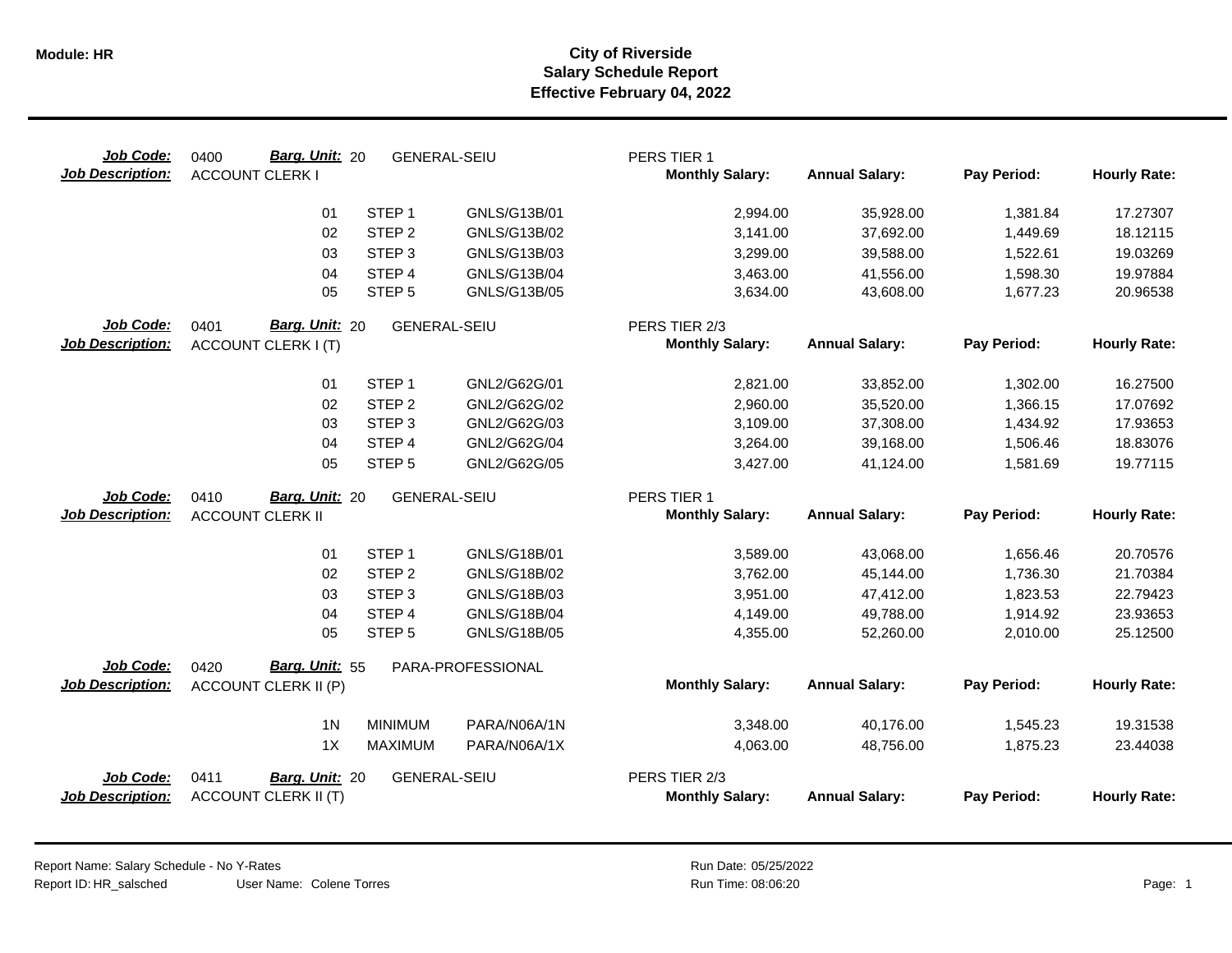| Job Code:<br><b>Job Description:</b> | <b>Barg. Unit: 20</b><br>0400<br><b>ACCOUNT CLERK I</b> | <b>GENERAL-SEIU</b>            | PERS TIER 1<br><b>Monthly Salary:</b>   | <b>Annual Salary:</b> | Pay Period: | <b>Hourly Rate:</b> |
|--------------------------------------|---------------------------------------------------------|--------------------------------|-----------------------------------------|-----------------------|-------------|---------------------|
|                                      | STEP <sub>1</sub><br>01                                 | GNLS/G13B/01                   | 2,994.00                                | 35,928.00             | 1,381.84    | 17.27307            |
|                                      | 02<br>STEP <sub>2</sub>                                 | GNLS/G13B/02                   | 3,141.00                                | 37,692.00             | 1,449.69    | 18.12115            |
|                                      | STEP <sub>3</sub><br>03                                 | GNLS/G13B/03                   | 3,299.00                                | 39,588.00             | 1,522.61    | 19.03269            |
|                                      | STEP <sub>4</sub><br>04                                 | GNLS/G13B/04                   | 3,463.00                                | 41,556.00             | 1,598.30    | 19.97884            |
|                                      | 05<br>STEP <sub>5</sub>                                 | GNLS/G13B/05                   | 3,634.00                                | 43,608.00             | 1,677.23    | 20.96538            |
| Job Code:                            | Barg. Unit: 20<br>0401                                  | <b>GENERAL-SEIU</b>            | PERS TIER 2/3                           |                       |             |                     |
| <b>Job Description:</b>              | <b>ACCOUNT CLERK I (T)</b>                              |                                | <b>Monthly Salary:</b>                  | <b>Annual Salary:</b> | Pay Period: | <b>Hourly Rate:</b> |
|                                      | STEP <sub>1</sub><br>01                                 | GNL2/G62G/01                   | 2,821.00                                | 33,852.00             | 1,302.00    | 16.27500            |
|                                      | STEP <sub>2</sub><br>02                                 | GNL2/G62G/02                   | 2,960.00                                | 35,520.00             | 1,366.15    | 17.07692            |
|                                      | 03<br>STEP <sub>3</sub>                                 | GNL2/G62G/03                   | 3,109.00                                | 37,308.00             | 1,434.92    | 17.93653            |
|                                      | 04<br>STEP 4                                            | GNL2/G62G/04                   | 3,264.00                                | 39,168.00             | 1,506.46    | 18.83076            |
|                                      | 05<br>STEP <sub>5</sub>                                 | GNL2/G62G/05                   | 3,427.00                                | 41,124.00             | 1,581.69    | 19.77115            |
| Job Code:                            | <b>Barg. Unit: 20</b><br>0410                           | <b>GENERAL-SEIU</b>            | PERS TIER 1                             |                       |             |                     |
| <b>Job Description:</b>              | <b>ACCOUNT CLERK II</b>                                 |                                | <b>Monthly Salary:</b>                  | <b>Annual Salary:</b> | Pay Period: | <b>Hourly Rate:</b> |
|                                      | STEP <sub>1</sub><br>01                                 | GNLS/G18B/01                   | 3,589.00                                | 43,068.00             | 1,656.46    | 20.70576            |
|                                      | STEP <sub>2</sub><br>02                                 | GNLS/G18B/02                   | 3,762.00                                | 45,144.00             | 1,736.30    | 21.70384            |
|                                      | STEP <sub>3</sub><br>03                                 | GNLS/G18B/03                   | 3,951.00                                | 47,412.00             | 1,823.53    | 22.79423            |
|                                      | STEP 4<br>04                                            | <b>GNLS/G18B/04</b>            | 4,149.00                                | 49,788.00             | 1,914.92    | 23.93653            |
|                                      | STEP <sub>5</sub><br>05                                 | GNLS/G18B/05                   | 4,355.00                                | 52,260.00             | 2,010.00    | 25.12500            |
| Job Code:                            | Barg. Unit: 55<br>0420                                  | PARA-PROFESSIONAL              |                                         |                       |             |                     |
| <b>Job Description:</b>              | <b>ACCOUNT CLERK II (P)</b>                             |                                | <b>Monthly Salary:</b>                  | <b>Annual Salary:</b> | Pay Period: | <b>Hourly Rate:</b> |
|                                      | 1 <sub>N</sub>                                          | <b>MINIMUM</b><br>PARA/N06A/1N | 3,348.00                                | 40,176.00             | 1,545.23    | 19.31538            |
|                                      | 1X                                                      | PARA/N06A/1X<br><b>MAXIMUM</b> | 4,063.00                                | 48,756.00             | 1,875.23    | 23.44038            |
| Job Code:<br><b>Job Description:</b> | 0411<br>Barg. Unit: 20<br><b>ACCOUNT CLERK II (T)</b>   | <b>GENERAL-SEIU</b>            | PERS TIER 2/3<br><b>Monthly Salary:</b> | <b>Annual Salary:</b> | Pay Period: | <b>Hourly Rate:</b> |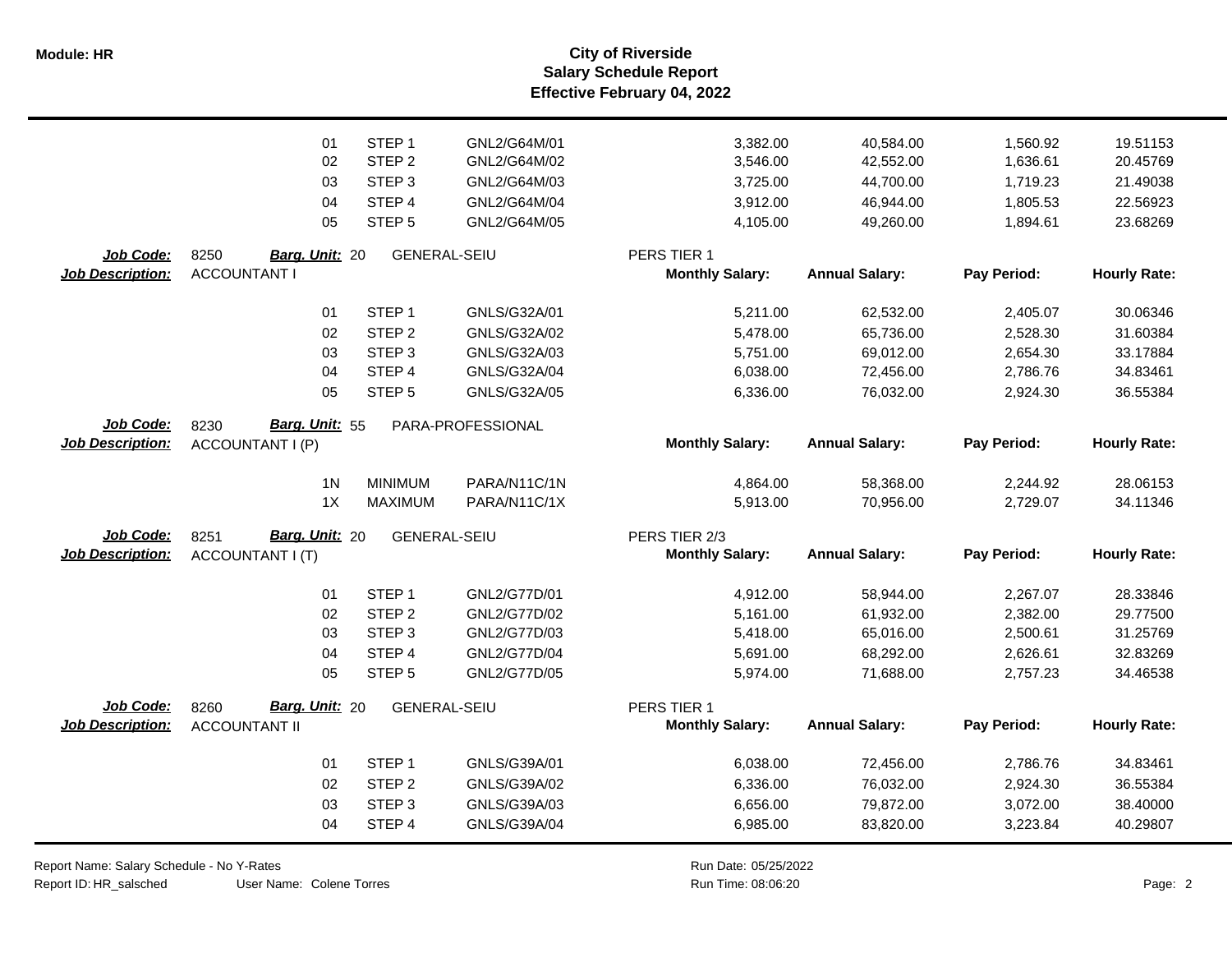**Salary Schedule Report Effective February 04, 2022 Module: HR City of Riverside**

|                         | 01                     | STEP <sub>1</sub>   | GNL2/G64M/01      | 3,382.00               | 40,584.00             | 1,560.92    | 19.51153            |
|-------------------------|------------------------|---------------------|-------------------|------------------------|-----------------------|-------------|---------------------|
|                         | 02                     | STEP <sub>2</sub>   | GNL2/G64M/02      | 3,546.00               | 42,552.00             | 1,636.61    | 20.45769            |
|                         | 03                     | STEP <sub>3</sub>   | GNL2/G64M/03      | 3,725.00               | 44,700.00             | 1,719.23    | 21.49038            |
|                         | 04                     | STEP 4              | GNL2/G64M/04      | 3,912.00               | 46,944.00             | 1,805.53    | 22.56923            |
|                         | 05                     | STEP <sub>5</sub>   | GNL2/G64M/05      | 4,105.00               | 49,260.00             | 1,894.61    | 23.68269            |
| Job Code:               | 8250<br>Barg. Unit: 20 | <b>GENERAL-SEIU</b> |                   | PERS TIER 1            |                       |             |                     |
| Job Description:        | <b>ACCOUNTANT I</b>    |                     |                   | <b>Monthly Salary:</b> | <b>Annual Salary:</b> | Pay Period: | <b>Hourly Rate:</b> |
|                         | 01                     | STEP <sub>1</sub>   | GNLS/G32A/01      | 5,211.00               | 62,532.00             | 2,405.07    | 30.06346            |
|                         | 02                     | STEP <sub>2</sub>   | GNLS/G32A/02      | 5,478.00               | 65,736.00             | 2,528.30    | 31.60384            |
|                         | 03                     | STEP <sub>3</sub>   | GNLS/G32A/03      | 5,751.00               | 69,012.00             | 2,654.30    | 33.17884            |
|                         | 04                     | STEP 4              | GNLS/G32A/04      | 6,038.00               | 72,456.00             | 2,786.76    | 34.83461            |
|                         | 05                     | STEP <sub>5</sub>   | GNLS/G32A/05      | 6,336.00               | 76,032.00             | 2,924.30    | 36.55384            |
| Job Code:               | Barg. Unit: 55<br>8230 |                     | PARA-PROFESSIONAL |                        |                       |             |                     |
| <b>Job Description:</b> | ACCOUNTANT I (P)       |                     |                   | <b>Monthly Salary:</b> | <b>Annual Salary:</b> | Pay Period: | <b>Hourly Rate:</b> |
|                         | 1 <sub>N</sub>         | <b>MINIMUM</b>      | PARA/N11C/1N      | 4,864.00               | 58,368.00             | 2,244.92    | 28.06153            |
|                         | 1X                     | <b>MAXIMUM</b>      | PARA/N11C/1X      | 5,913.00               | 70,956.00             | 2,729.07    | 34.11346            |
| Job Code:               | Barg. Unit: 20<br>8251 | <b>GENERAL-SEIU</b> |                   | PERS TIER 2/3          |                       |             |                     |
| <b>Job Description:</b> | ACCOUNTANT I (T)       |                     |                   | <b>Monthly Salary:</b> | <b>Annual Salary:</b> | Pay Period: | <b>Hourly Rate:</b> |
|                         | 01                     | STEP <sub>1</sub>   | GNL2/G77D/01      | 4,912.00               | 58,944.00             | 2,267.07    | 28.33846            |
|                         | 02                     | STEP <sub>2</sub>   | GNL2/G77D/02      | 5,161.00               | 61,932.00             | 2,382.00    | 29.77500            |
|                         | 03                     | STEP <sub>3</sub>   | GNL2/G77D/03      | 5,418.00               | 65,016.00             | 2,500.61    | 31.25769            |
|                         | 04                     | STEP 4              | GNL2/G77D/04      | 5,691.00               | 68,292.00             | 2,626.61    | 32.83269            |
|                         | 05                     | STEP <sub>5</sub>   | GNL2/G77D/05      | 5,974.00               | 71,688.00             | 2,757.23    | 34.46538            |
| Job Code:               | Barg. Unit: 20<br>8260 | <b>GENERAL-SEIU</b> |                   | PERS TIER 1            |                       |             |                     |
| <b>Job Description:</b> | <b>ACCOUNTANT II</b>   |                     |                   | <b>Monthly Salary:</b> | <b>Annual Salary:</b> | Pay Period: | <b>Hourly Rate:</b> |
|                         | 01                     | STEP <sub>1</sub>   | GNLS/G39A/01      | 6,038.00               | 72,456.00             | 2,786.76    | 34.83461            |
|                         | 02                     | STEP <sub>2</sub>   | GNLS/G39A/02      | 6,336.00               | 76,032.00             | 2,924.30    | 36.55384            |
|                         | 03                     | STEP <sub>3</sub>   | GNLS/G39A/03      | 6,656.00               | 79,872.00             | 3,072.00    | 38.40000            |
|                         | 04                     | STEP 4              | GNLS/G39A/04      | 6,985.00               | 83,820.00             | 3,223.84    | 40.29807            |

Report Name: Salary Schedule - No Y-Rates Report ID: HR\_salsched

User Name: Colene Torres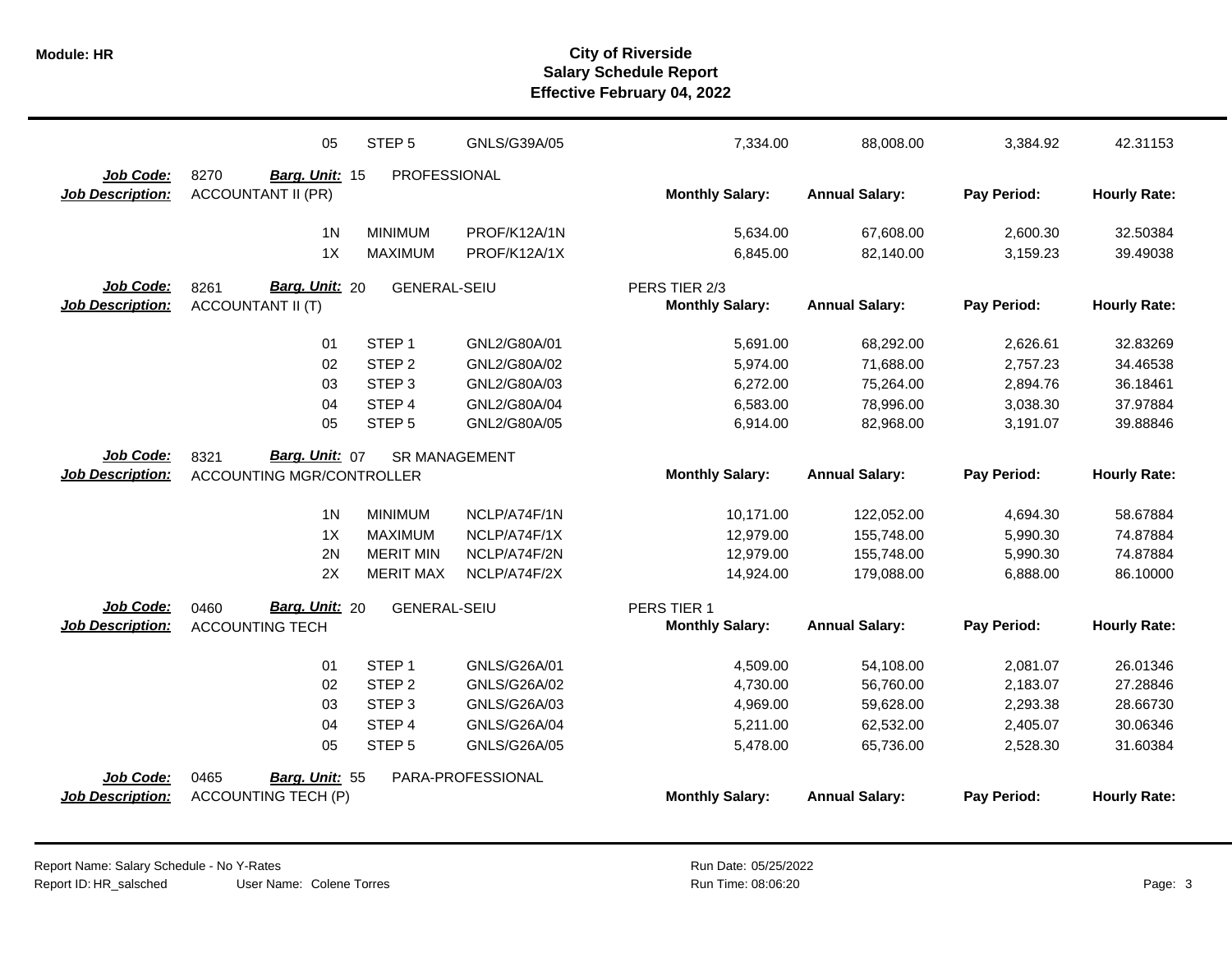|                         | 05                               | STEP <sub>5</sub>    | GNLS/G39A/05      | 7,334.00               | 88,008.00             | 3,384.92    | 42.31153            |
|-------------------------|----------------------------------|----------------------|-------------------|------------------------|-----------------------|-------------|---------------------|
| Job Code:               | 8270<br>Barg. Unit: 15           | PROFESSIONAL         |                   |                        |                       |             |                     |
| <b>Job Description:</b> | <b>ACCOUNTANT II (PR)</b>        |                      |                   | <b>Monthly Salary:</b> | <b>Annual Salary:</b> | Pay Period: | <b>Hourly Rate:</b> |
|                         | 1 <sub>N</sub>                   | <b>MINIMUM</b>       | PROF/K12A/1N      | 5,634.00               | 67,608.00             | 2,600.30    | 32.50384            |
|                         | 1X                               | <b>MAXIMUM</b>       | PROF/K12A/1X      | 6,845.00               | 82,140.00             | 3,159.23    | 39.49038            |
| Job Code:               | Barg. Unit: 20<br>8261           | <b>GENERAL-SEIU</b>  |                   | PERS TIER 2/3          |                       |             |                     |
| <b>Job Description:</b> | <b>ACCOUNTANT II (T)</b>         |                      |                   | <b>Monthly Salary:</b> | <b>Annual Salary:</b> | Pay Period: | <b>Hourly Rate:</b> |
|                         |                                  |                      |                   |                        |                       |             |                     |
|                         | 01                               | STEP <sub>1</sub>    | GNL2/G80A/01      | 5,691.00               | 68,292.00             | 2,626.61    | 32.83269            |
|                         | 02                               | STEP <sub>2</sub>    | GNL2/G80A/02      | 5,974.00               | 71,688.00             | 2,757.23    | 34.46538            |
|                         | 03                               | STEP <sub>3</sub>    | GNL2/G80A/03      | 6,272.00               | 75,264.00             | 2,894.76    | 36.18461            |
|                         | 04                               | STEP 4               | GNL2/G80A/04      | 6,583.00               | 78,996.00             | 3,038.30    | 37.97884            |
|                         | 05                               | STEP <sub>5</sub>    | GNL2/G80A/05      | 6,914.00               | 82,968.00             | 3,191.07    | 39.88846            |
| Job Code:               | 8321<br>Barg. Unit: 07           | <b>SR MANAGEMENT</b> |                   |                        |                       |             |                     |
| <b>Job Description:</b> | <b>ACCOUNTING MGR/CONTROLLER</b> |                      |                   | <b>Monthly Salary:</b> | <b>Annual Salary:</b> | Pay Period: | <b>Hourly Rate:</b> |
|                         |                                  |                      |                   |                        |                       |             |                     |
|                         | 1 <sub>N</sub>                   | <b>MINIMUM</b>       | NCLP/A74F/1N      | 10,171.00              | 122,052.00            | 4,694.30    | 58.67884            |
|                         | 1X                               | <b>MAXIMUM</b>       | NCLP/A74F/1X      | 12,979.00              | 155,748.00            | 5,990.30    | 74.87884            |
|                         | 2N                               | <b>MERIT MIN</b>     | NCLP/A74F/2N      | 12,979.00              | 155,748.00            | 5,990.30    | 74.87884            |
|                         | 2X                               | <b>MERIT MAX</b>     | NCLP/A74F/2X      | 14,924.00              | 179,088.00            | 6,888.00    | 86.10000            |
| <b>Job Code:</b>        | Barg. Unit: 20<br>0460           | <b>GENERAL-SEIU</b>  |                   | PERS TIER 1            |                       |             |                     |
| <b>Job Description:</b> | <b>ACCOUNTING TECH</b>           |                      |                   | <b>Monthly Salary:</b> | <b>Annual Salary:</b> | Pay Period: | <b>Hourly Rate:</b> |
|                         | 01                               | STEP <sub>1</sub>    | GNLS/G26A/01      | 4,509.00               | 54,108.00             | 2,081.07    | 26.01346            |
|                         | 02                               | STEP <sub>2</sub>    | GNLS/G26A/02      | 4,730.00               | 56,760.00             | 2,183.07    | 27.28846            |
|                         | 03                               | STEP <sub>3</sub>    | GNLS/G26A/03      | 4,969.00               | 59,628.00             | 2,293.38    | 28.66730            |
|                         | 04                               | STEP 4               | GNLS/G26A/04      | 5,211.00               | 62,532.00             | 2,405.07    | 30.06346            |
|                         | 05                               | STEP <sub>5</sub>    | GNLS/G26A/05      | 5,478.00               | 65,736.00             | 2,528.30    | 31.60384            |
| Job Code:               | 0465<br>Barg. Unit: 55           |                      | PARA-PROFESSIONAL |                        |                       |             |                     |
| Job Description:        | <b>ACCOUNTING TECH (P)</b>       |                      |                   | <b>Monthly Salary:</b> | <b>Annual Salary:</b> | Pay Period: | <b>Hourly Rate:</b> |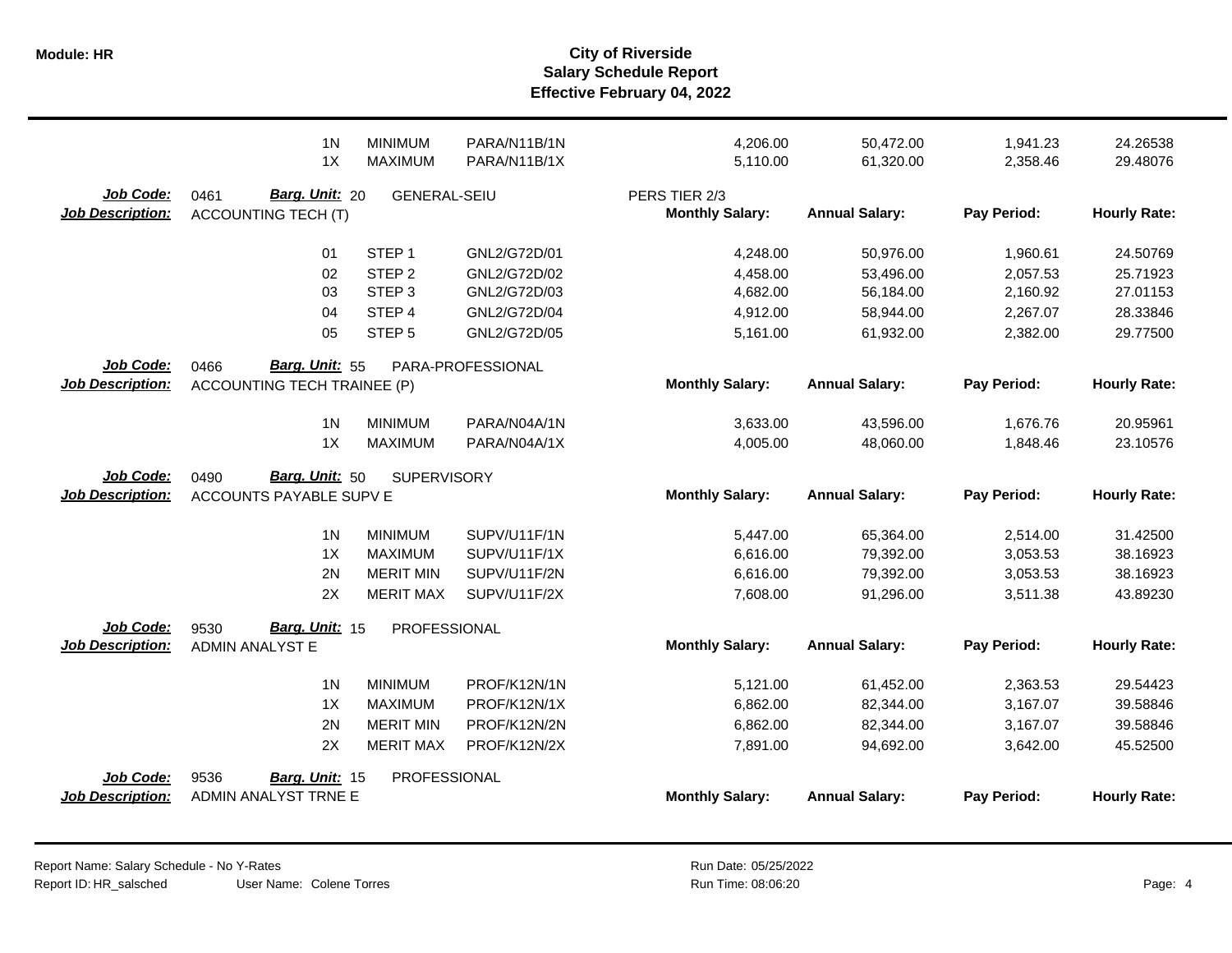|                                      | 1 <sub>N</sub><br>1X                                 | <b>MINIMUM</b><br><b>MAXIMUM</b> | PARA/N11B/1N<br>PARA/N11B/1X | 4,206.00<br>5,110.00                    | 50,472.00<br>61,320.00 | 1,941.23<br>2,358.46 | 24.26538<br>29.48076 |
|--------------------------------------|------------------------------------------------------|----------------------------------|------------------------------|-----------------------------------------|------------------------|----------------------|----------------------|
| Job Code:<br><b>Job Description:</b> | 0461<br>Barg. Unit: 20<br><b>ACCOUNTING TECH (T)</b> | <b>GENERAL-SEIU</b>              |                              | PERS TIER 2/3<br><b>Monthly Salary:</b> | <b>Annual Salary:</b>  | Pay Period:          | <b>Hourly Rate:</b>  |
|                                      | 01                                                   | STEP <sub>1</sub>                | GNL2/G72D/01                 | 4,248.00                                | 50,976.00              | 1,960.61             | 24.50769             |
|                                      | 02                                                   | STEP <sub>2</sub>                | GNL2/G72D/02                 | 4,458.00                                | 53,496.00              | 2,057.53             | 25.71923             |
|                                      | 03                                                   | STEP <sub>3</sub>                | GNL2/G72D/03                 | 4,682.00                                | 56,184.00              | 2,160.92             | 27.01153             |
|                                      | 04                                                   | STEP 4                           | GNL2/G72D/04                 | 4,912.00                                | 58,944.00              | 2,267.07             | 28.33846             |
|                                      | 05                                                   | STEP <sub>5</sub>                | GNL2/G72D/05                 | 5,161.00                                | 61,932.00              | 2,382.00             | 29.77500             |
| Job Code:                            | Barg. Unit: 55<br>0466                               |                                  | PARA-PROFESSIONAL            |                                         |                        |                      |                      |
| <b>Job Description:</b>              | <b>ACCOUNTING TECH TRAINEE (P)</b>                   |                                  |                              | <b>Monthly Salary:</b>                  | <b>Annual Salary:</b>  | Pay Period:          | <b>Hourly Rate:</b>  |
|                                      | 1 <sub>N</sub>                                       | <b>MINIMUM</b>                   | PARA/N04A/1N                 | 3,633.00                                | 43,596.00              | 1,676.76             | 20.95961             |
|                                      | 1X                                                   | <b>MAXIMUM</b>                   | PARA/N04A/1X                 | 4,005.00                                | 48,060.00              | 1,848.46             | 23.10576             |
| <b>Job Code:</b>                     | <b>Barg. Unit: 50</b><br>0490                        | <b>SUPERVISORY</b>               |                              |                                         |                        |                      |                      |
| <b>Job Description:</b>              | ACCOUNTS PAYABLE SUPV E                              |                                  |                              | <b>Monthly Salary:</b>                  | <b>Annual Salary:</b>  | Pay Period:          | <b>Hourly Rate:</b>  |
|                                      | 1 <sub>N</sub>                                       | <b>MINIMUM</b>                   | SUPV/U11F/1N                 | 5,447.00                                | 65,364.00              | 2,514.00             | 31.42500             |
|                                      | 1X                                                   | <b>MAXIMUM</b>                   | SUPV/U11F/1X                 | 6,616.00                                | 79,392.00              | 3,053.53             | 38.16923             |
|                                      | 2N                                                   | <b>MERIT MIN</b>                 | SUPV/U11F/2N                 | 6,616.00                                | 79,392.00              | 3,053.53             | 38.16923             |
|                                      | 2X                                                   | <b>MERIT MAX</b>                 | SUPV/U11F/2X                 | 7,608.00                                | 91,296.00              | 3,511.38             | 43.89230             |
| Job Code:                            | Barg. Unit: 15<br>9530                               | PROFESSIONAL                     |                              |                                         |                        |                      |                      |
| <b>Job Description:</b>              | <b>ADMIN ANALYST E</b>                               |                                  |                              | <b>Monthly Salary:</b>                  | <b>Annual Salary:</b>  | Pay Period:          | <b>Hourly Rate:</b>  |
|                                      | 1 <sub>N</sub>                                       | <b>MINIMUM</b>                   | PROF/K12N/1N                 | 5,121.00                                | 61,452.00              | 2,363.53             | 29.54423             |
|                                      | 1X                                                   | <b>MAXIMUM</b>                   | PROF/K12N/1X                 | 6,862.00                                | 82,344.00              | 3,167.07             | 39.58846             |
|                                      | 2N                                                   | <b>MERIT MIN</b>                 | PROF/K12N/2N                 | 6,862.00                                | 82,344.00              | 3,167.07             | 39.58846             |
|                                      | 2X                                                   | <b>MERIT MAX</b>                 | PROF/K12N/2X                 | 7,891.00                                | 94,692.00              | 3,642.00             | 45.52500             |
| Job Code:                            | 9536<br>Barg. Unit: 15                               | PROFESSIONAL                     |                              |                                         |                        |                      |                      |
| <b>Job Description:</b>              | ADMIN ANALYST TRNE E                                 |                                  |                              | <b>Monthly Salary:</b>                  | <b>Annual Salary:</b>  | Pay Period:          | <b>Hourly Rate:</b>  |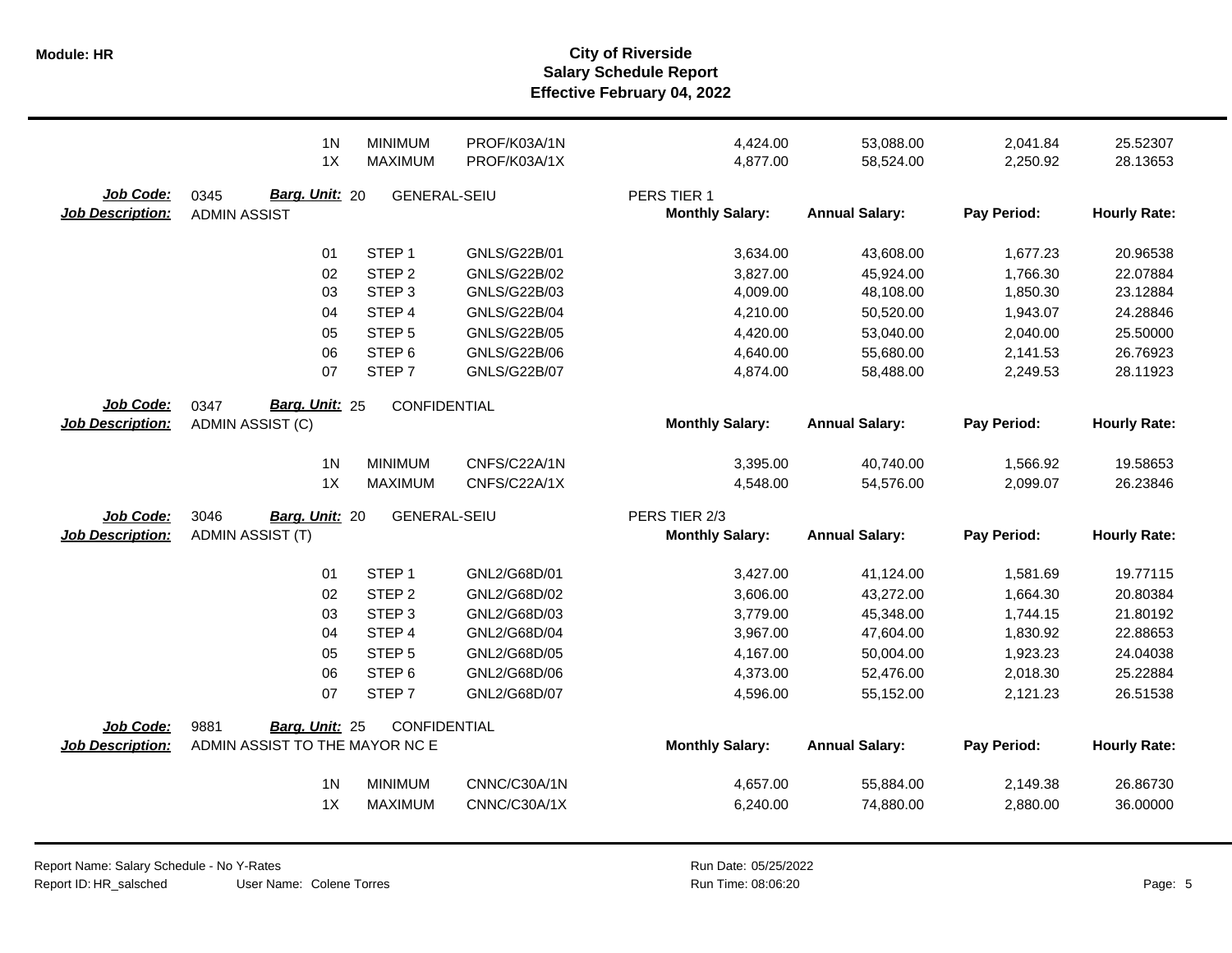|                                      | 1 <sub>N</sub><br>1X                                     | <b>MINIMUM</b><br><b>MAXIMUM</b> | PROF/K03A/1N<br>PROF/K03A/1X | 4,424.00<br>4,877.00                  | 53,088.00<br>58,524.00 | 2,041.84<br>2,250.92 | 25.52307<br>28.13653 |
|--------------------------------------|----------------------------------------------------------|----------------------------------|------------------------------|---------------------------------------|------------------------|----------------------|----------------------|
| Job Code:<br><b>Job Description:</b> | Barg. Unit: 20<br>0345<br><b>ADMIN ASSIST</b>            | <b>GENERAL-SEIU</b>              |                              | PERS TIER 1<br><b>Monthly Salary:</b> | <b>Annual Salary:</b>  | Pay Period:          | <b>Hourly Rate:</b>  |
|                                      | 01                                                       | STEP <sub>1</sub>                | GNLS/G22B/01                 | 3,634.00                              | 43,608.00              | 1,677.23             | 20.96538             |
|                                      | 02                                                       | STEP <sub>2</sub>                | GNLS/G22B/02                 | 3,827.00                              | 45,924.00              | 1,766.30             | 22.07884             |
|                                      | 03                                                       | STEP <sub>3</sub>                | GNLS/G22B/03                 | 4,009.00                              | 48,108.00              | 1,850.30             | 23.12884             |
|                                      | 04                                                       | STEP <sub>4</sub>                | <b>GNLS/G22B/04</b>          | 4,210.00                              | 50,520.00              | 1,943.07             | 24.28846             |
|                                      | 05                                                       | STEP <sub>5</sub>                | <b>GNLS/G22B/05</b>          | 4,420.00                              | 53,040.00              | 2,040.00             | 25.50000             |
|                                      | 06                                                       | STEP <sub>6</sub>                | GNLS/G22B/06                 | 4,640.00                              | 55,680.00              | 2,141.53             | 26.76923             |
|                                      | 07                                                       | STEP <sub>7</sub>                | <b>GNLS/G22B/07</b>          | 4,874.00                              | 58,488.00              | 2,249.53             | 28.11923             |
| Job Code:                            | Barg. Unit: 25<br>0347                                   | CONFIDENTIAL                     |                              |                                       |                        |                      |                      |
| <b>Job Description:</b>              | ADMIN ASSIST (C)                                         |                                  |                              | <b>Monthly Salary:</b>                | <b>Annual Salary:</b>  | Pay Period:          | <b>Hourly Rate:</b>  |
|                                      | 1 <sub>N</sub>                                           | <b>MINIMUM</b>                   | CNFS/C22A/1N                 | 3,395.00                              | 40,740.00              | 1,566.92             | 19.58653             |
|                                      | 1X                                                       | <b>MAXIMUM</b>                   | CNFS/C22A/1X                 | 4,548.00                              | 54,576.00              | 2,099.07             | 26.23846             |
|                                      |                                                          |                                  |                              |                                       |                        |                      |                      |
|                                      |                                                          |                                  |                              |                                       |                        |                      |                      |
| Job Code:                            | 3046<br>Barg. Unit: 20                                   | <b>GENERAL-SEIU</b>              |                              | PERS TIER 2/3                         |                        |                      |                      |
| <b>Job Description:</b>              | <b>ADMIN ASSIST (T)</b>                                  |                                  |                              | <b>Monthly Salary:</b>                | <b>Annual Salary:</b>  | Pay Period:          | <b>Hourly Rate:</b>  |
|                                      | 01                                                       | STEP <sub>1</sub>                | GNL2/G68D/01                 | 3,427.00                              | 41,124.00              | 1,581.69             | 19.77115             |
|                                      | 02                                                       | STEP <sub>2</sub>                | GNL2/G68D/02                 | 3,606.00                              | 43,272.00              | 1,664.30             | 20.80384             |
|                                      | 03                                                       | STEP <sub>3</sub>                | GNL2/G68D/03                 | 3,779.00                              | 45,348.00              | 1,744.15             | 21.80192             |
|                                      | 04                                                       | STEP 4                           | GNL2/G68D/04                 | 3,967.00                              | 47,604.00              | 1,830.92             | 22.88653             |
|                                      | 05                                                       | STEP <sub>5</sub>                | GNL2/G68D/05                 | 4,167.00                              | 50,004.00              | 1,923.23             | 24.04038             |
|                                      | 06                                                       | STEP <sub>6</sub>                | GNL2/G68D/06                 | 4,373.00                              | 52,476.00              | 2,018.30             | 25.22884             |
|                                      | 07                                                       | STEP <sub>7</sub>                | GNL2/G68D/07                 | 4,596.00                              | 55,152.00              | 2,121.23             | 26.51538             |
|                                      |                                                          |                                  |                              |                                       |                        |                      |                      |
| Job Code:<br><b>Job Description:</b> | 9881<br>Barg. Unit: 25<br>ADMIN ASSIST TO THE MAYOR NC E | <b>CONFIDENTIAL</b>              |                              | <b>Monthly Salary:</b>                | <b>Annual Salary:</b>  | Pay Period:          | <b>Hourly Rate:</b>  |
|                                      | 1 <sub>N</sub>                                           | <b>MINIMUM</b>                   | CNNC/C30A/1N                 | 4,657.00                              | 55,884.00              | 2,149.38             | 26.86730             |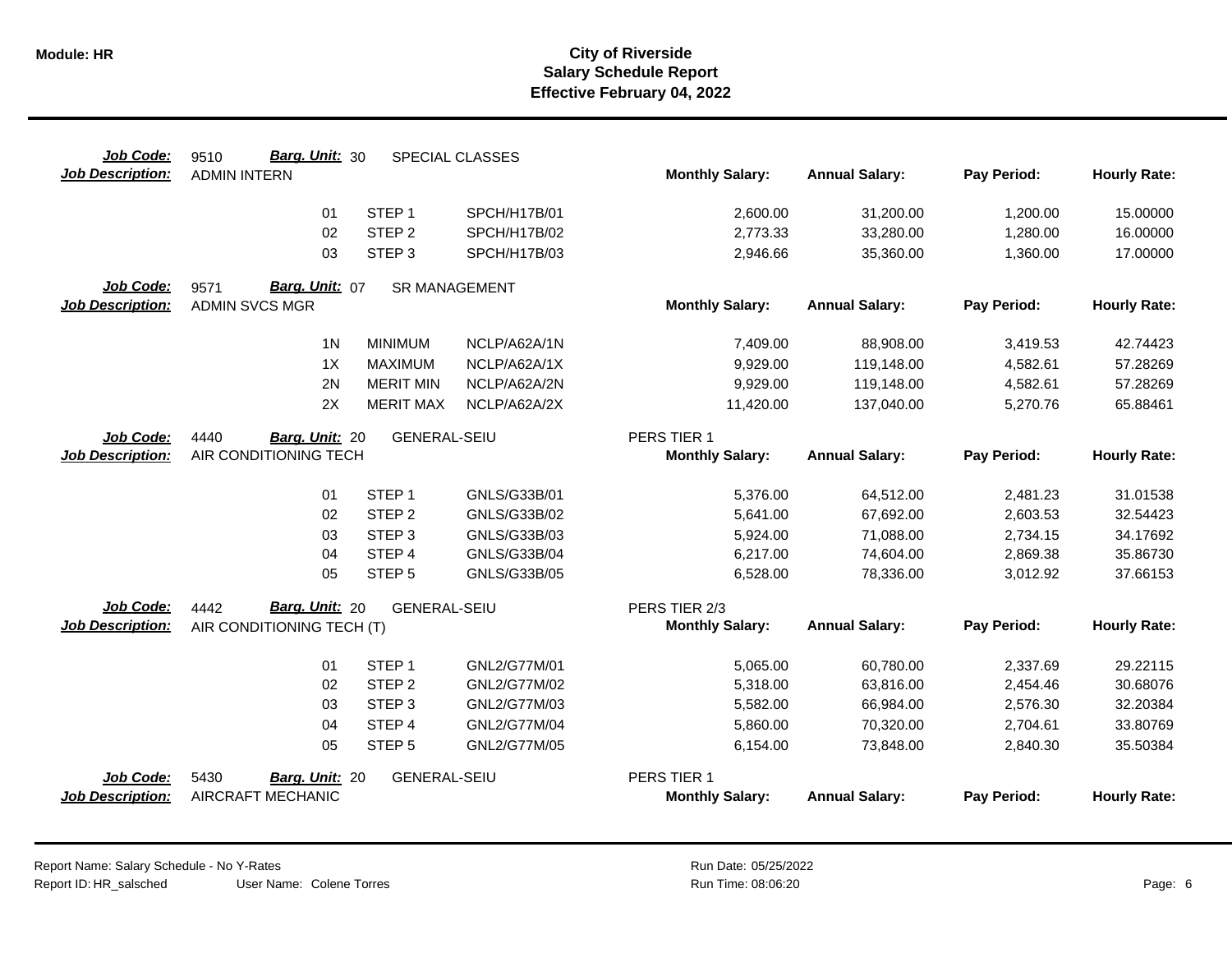| Job Code:               | Barg. Unit: 30<br>9510    |                      | SPECIAL CLASSES |                        |                       |             |                     |
|-------------------------|---------------------------|----------------------|-----------------|------------------------|-----------------------|-------------|---------------------|
| <b>Job Description:</b> | <b>ADMIN INTERN</b>       |                      |                 | <b>Monthly Salary:</b> | <b>Annual Salary:</b> | Pay Period: | <b>Hourly Rate:</b> |
|                         | 01                        | STEP <sub>1</sub>    | SPCH/H17B/01    | 2,600.00               | 31,200.00             | 1,200.00    | 15.00000            |
|                         | 02                        | STEP <sub>2</sub>    | SPCH/H17B/02    | 2,773.33               | 33,280.00             | 1,280.00    | 16.00000            |
|                         | 03                        | STEP <sub>3</sub>    | SPCH/H17B/03    | 2,946.66               | 35,360.00             | 1,360.00    | 17.00000            |
| Job Code:               | Barg. Unit: 07<br>9571    | <b>SR MANAGEMENT</b> |                 |                        |                       |             |                     |
| <b>Job Description:</b> | <b>ADMIN SVCS MGR</b>     |                      |                 | <b>Monthly Salary:</b> | <b>Annual Salary:</b> | Pay Period: | <b>Hourly Rate:</b> |
|                         | 1 <sub>N</sub>            | <b>MINIMUM</b>       | NCLP/A62A/1N    | 7,409.00               | 88,908.00             | 3,419.53    | 42.74423            |
|                         | 1X                        | <b>MAXIMUM</b>       | NCLP/A62A/1X    | 9,929.00               | 119,148.00            | 4,582.61    | 57.28269            |
|                         | 2N                        | <b>MERIT MIN</b>     | NCLP/A62A/2N    | 9,929.00               | 119,148.00            | 4,582.61    | 57.28269            |
|                         | 2X                        | <b>MERIT MAX</b>     | NCLP/A62A/2X    | 11,420.00              | 137,040.00            | 5,270.76    | 65.88461            |
| Job Code:               | 4440<br>Barg. Unit: 20    | <b>GENERAL-SEIU</b>  |                 | PERS TIER 1            |                       |             |                     |
| <b>Job Description:</b> | AIR CONDITIONING TECH     |                      |                 | <b>Monthly Salary:</b> | <b>Annual Salary:</b> | Pay Period: | <b>Hourly Rate:</b> |
|                         | 01                        | STEP <sub>1</sub>    | GNLS/G33B/01    | 5,376.00               | 64,512.00             | 2,481.23    | 31.01538            |
|                         | 02                        | STEP <sub>2</sub>    | GNLS/G33B/02    | 5,641.00               | 67,692.00             | 2,603.53    | 32.54423            |
|                         | 03                        | STEP <sub>3</sub>    | GNLS/G33B/03    | 5,924.00               | 71,088.00             | 2,734.15    | 34.17692            |
|                         | 04                        | STEP <sub>4</sub>    | GNLS/G33B/04    | 6,217.00               | 74,604.00             | 2,869.38    | 35.86730            |
|                         | 05                        | STEP <sub>5</sub>    | GNLS/G33B/05    | 6,528.00               | 78,336.00             | 3,012.92    | 37.66153            |
| <b>Job Code:</b>        | Barg. Unit: 20<br>4442    | <b>GENERAL-SEIU</b>  |                 | PERS TIER 2/3          |                       |             |                     |
| <b>Job Description:</b> | AIR CONDITIONING TECH (T) |                      |                 | <b>Monthly Salary:</b> | <b>Annual Salary:</b> | Pay Period: | <b>Hourly Rate:</b> |
|                         | 01                        | STEP <sub>1</sub>    | GNL2/G77M/01    | 5,065.00               | 60,780.00             | 2,337.69    | 29.22115            |
|                         | 02                        | STEP <sub>2</sub>    | GNL2/G77M/02    | 5,318.00               | 63,816.00             | 2,454.46    | 30.68076            |
|                         | 03                        | STEP <sub>3</sub>    | GNL2/G77M/03    | 5,582.00               | 66,984.00             | 2,576.30    | 32.20384            |
|                         | 04                        | STEP 4               | GNL2/G77M/04    | 5,860.00               | 70,320.00             | 2,704.61    | 33.80769            |
|                         | 05                        | STEP <sub>5</sub>    | GNL2/G77M/05    | 6,154.00               | 73,848.00             | 2,840.30    | 35.50384            |
| <b>Job Code:</b>        | 5430<br>Barg. Unit: 20    | <b>GENERAL-SEIU</b>  |                 | PERS TIER 1            |                       |             |                     |
| <b>Job Description:</b> | AIRCRAFT MECHANIC         |                      |                 | <b>Monthly Salary:</b> | <b>Annual Salary:</b> | Pay Period: | <b>Hourly Rate:</b> |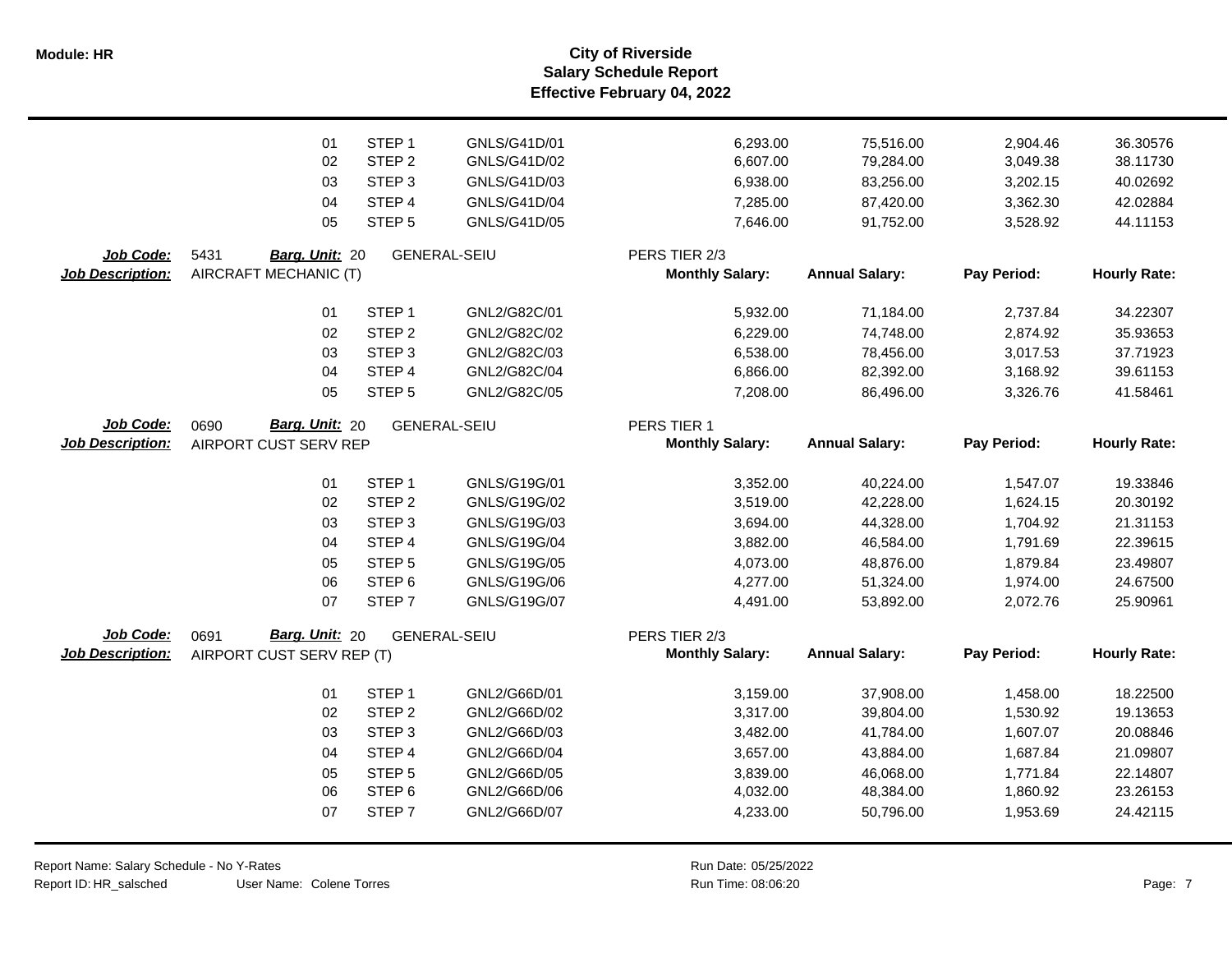**Salary Schedule Report Effective February 04, 2022 Module: HR City of Riverside**

|                         | 01                        | STEP <sub>1</sub> | GNLS/G41D/01        | 6,293.00               | 75,516.00             | 2,904.46    | 36.30576            |
|-------------------------|---------------------------|-------------------|---------------------|------------------------|-----------------------|-------------|---------------------|
|                         | 02                        | STEP <sub>2</sub> | GNLS/G41D/02        | 6,607.00               | 79,284.00             | 3,049.38    | 38.11730            |
|                         | 03                        | STEP <sub>3</sub> | GNLS/G41D/03        | 6,938.00               | 83,256.00             | 3,202.15    | 40.02692            |
|                         | 04                        | STEP 4            | GNLS/G41D/04        | 7,285.00               | 87,420.00             | 3,362.30    | 42.02884            |
|                         | 05                        | STEP <sub>5</sub> | GNLS/G41D/05        | 7,646.00               | 91,752.00             | 3,528.92    | 44.11153            |
| Job Code:               | 5431<br>Barg. Unit: 20    |                   | <b>GENERAL-SEIU</b> | PERS TIER 2/3          |                       |             |                     |
| <b>Job Description:</b> | AIRCRAFT MECHANIC (T)     |                   |                     | <b>Monthly Salary:</b> | <b>Annual Salary:</b> | Pay Period: | <b>Hourly Rate:</b> |
|                         | 01                        | STEP <sub>1</sub> | GNL2/G82C/01        | 5,932.00               | 71,184.00             | 2,737.84    | 34.22307            |
|                         | 02                        | STEP <sub>2</sub> | GNL2/G82C/02        | 6,229.00               | 74,748.00             | 2,874.92    | 35.93653            |
|                         | 03                        | STEP <sub>3</sub> | GNL2/G82C/03        | 6,538.00               | 78,456.00             | 3,017.53    | 37.71923            |
|                         | 04                        | STEP 4            | GNL2/G82C/04        | 6,866.00               | 82,392.00             | 3,168.92    | 39.61153            |
|                         | 05                        | STEP <sub>5</sub> | GNL2/G82C/05        | 7,208.00               | 86,496.00             | 3,326.76    | 41.58461            |
| Job Code:               | Barg. Unit: 20<br>0690    |                   | <b>GENERAL-SEIU</b> | PERS TIER 1            |                       |             |                     |
| <b>Job Description:</b> | AIRPORT CUST SERV REP     |                   |                     | <b>Monthly Salary:</b> | <b>Annual Salary:</b> | Pay Period: | <b>Hourly Rate:</b> |
|                         | 01                        | STEP <sub>1</sub> | GNLS/G19G/01        | 3,352.00               | 40,224.00             | 1,547.07    | 19.33846            |
|                         | 02                        | STEP <sub>2</sub> | GNLS/G19G/02        | 3,519.00               | 42,228.00             | 1,624.15    | 20.30192            |
|                         | 03                        | STEP <sub>3</sub> | GNLS/G19G/03        | 3,694.00               | 44,328.00             | 1,704.92    | 21.31153            |
|                         | 04                        | STEP 4            | GNLS/G19G/04        | 3,882.00               | 46,584.00             | 1,791.69    | 22.39615            |
|                         | 05                        | STEP <sub>5</sub> | GNLS/G19G/05        | 4,073.00               | 48,876.00             | 1,879.84    | 23.49807            |
|                         | 06                        | STEP <sub>6</sub> | GNLS/G19G/06        | 4,277.00               | 51,324.00             | 1,974.00    | 24.67500            |
|                         | 07                        | STEP <sub>7</sub> | GNLS/G19G/07        | 4,491.00               | 53,892.00             | 2,072.76    | 25.90961            |
| Job Code:               | Barg. Unit: 20<br>0691    |                   | <b>GENERAL-SEIU</b> | PERS TIER 2/3          |                       |             |                     |
| <b>Job Description:</b> | AIRPORT CUST SERV REP (T) |                   |                     | <b>Monthly Salary:</b> | <b>Annual Salary:</b> | Pay Period: | <b>Hourly Rate:</b> |
|                         | 01                        | STEP <sub>1</sub> | GNL2/G66D/01        | 3,159.00               | 37,908.00             | 1,458.00    | 18.22500            |
|                         | 02                        | STEP <sub>2</sub> | GNL2/G66D/02        | 3,317.00               | 39,804.00             | 1,530.92    | 19.13653            |
|                         | 03                        | STEP <sub>3</sub> | GNL2/G66D/03        | 3,482.00               | 41,784.00             | 1,607.07    | 20.08846            |
|                         | 04                        | STEP 4            | GNL2/G66D/04        | 3,657.00               | 43,884.00             | 1,687.84    | 21.09807            |
|                         | 05                        | STEP <sub>5</sub> | GNL2/G66D/05        | 3,839.00               | 46,068.00             | 1,771.84    | 22.14807            |
|                         | 06                        | STEP <sub>6</sub> | GNL2/G66D/06        | 4,032.00               | 48,384.00             | 1,860.92    | 23.26153            |
|                         | 07                        | STEP <sub>7</sub> | GNL2/G66D/07        | 4,233.00               | 50,796.00             | 1,953.69    | 24.42115            |
|                         |                           |                   |                     |                        |                       |             |                     |

Report Name: Salary Schedule - No Y-Rates Report ID: HR\_salsched

User Name: Colene Torres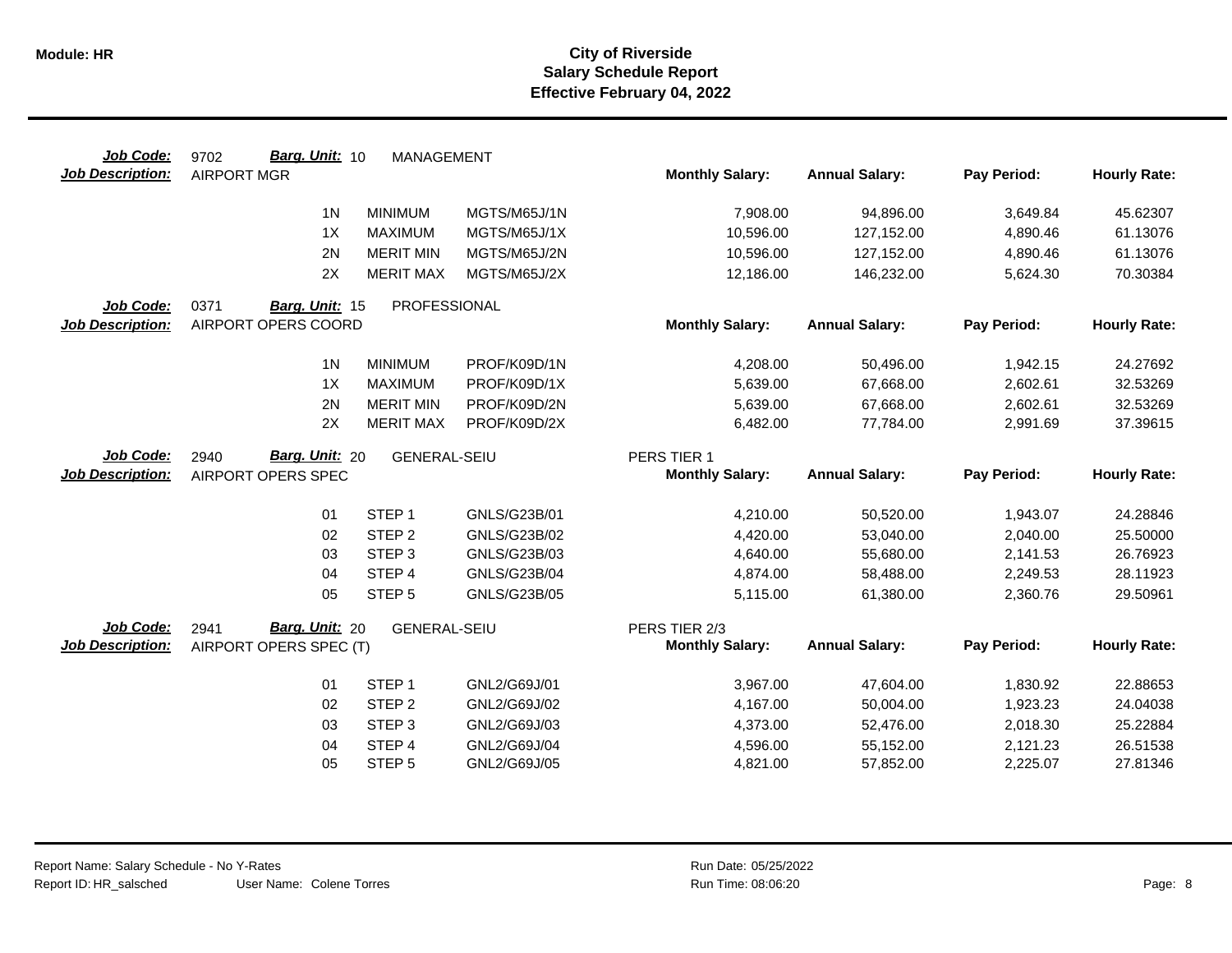| Job Code:               | Barg. Unit: 10<br>9702 | <b>MANAGEMENT</b>   |                              |                        |                        |                      |                      |
|-------------------------|------------------------|---------------------|------------------------------|------------------------|------------------------|----------------------|----------------------|
| <b>Job Description:</b> | <b>AIRPORT MGR</b>     |                     |                              | <b>Monthly Salary:</b> | <b>Annual Salary:</b>  | Pay Period:          | <b>Hourly Rate:</b>  |
|                         | 1 <sup>N</sup>         | <b>MINIMUM</b>      | MGTS/M65J/1N                 | 7,908.00               | 94,896.00              | 3,649.84             | 45.62307             |
|                         | 1X                     | <b>MAXIMUM</b>      | MGTS/M65J/1X                 | 10,596.00              | 127,152.00             | 4,890.46             | 61.13076             |
|                         | 2N                     | <b>MERIT MIN</b>    | MGTS/M65J/2N                 | 10,596.00              | 127,152.00             | 4,890.46             | 61.13076             |
|                         | 2X                     | <b>MERIT MAX</b>    | MGTS/M65J/2X                 | 12,186.00              | 146,232.00             | 5,624.30             | 70.30384             |
| Job Code:               | 0371<br>Barg. Unit: 15 | PROFESSIONAL        |                              |                        |                        |                      |                      |
| <b>Job Description:</b> | AIRPORT OPERS COORD    |                     |                              | <b>Monthly Salary:</b> | <b>Annual Salary:</b>  | Pay Period:          | <b>Hourly Rate:</b>  |
|                         | 1 <sub>N</sub>         | <b>MINIMUM</b>      | PROF/K09D/1N                 | 4,208.00               | 50,496.00              | 1,942.15             | 24.27692             |
|                         | 1X                     | <b>MAXIMUM</b>      | PROF/K09D/1X                 | 5,639.00               | 67,668.00              | 2,602.61             | 32.53269             |
|                         | 2N                     | <b>MERIT MIN</b>    | PROF/K09D/2N                 | 5,639.00               | 67,668.00              | 2,602.61             | 32.53269             |
|                         | 2X                     | <b>MERIT MAX</b>    | PROF/K09D/2X                 | 6,482.00               | 77,784.00              | 2,991.69             | 37.39615             |
| Job Code:               | Barg. Unit: 20<br>2940 | <b>GENERAL-SEIU</b> |                              | PERS TIER 1            |                        |                      |                      |
| Job Description:        | AIRPORT OPERS SPEC     |                     |                              | <b>Monthly Salary:</b> | <b>Annual Salary:</b>  | Pay Period:          | <b>Hourly Rate:</b>  |
|                         |                        |                     |                              |                        |                        |                      |                      |
|                         | 01                     | STEP <sub>1</sub>   | GNLS/G23B/01                 | 4,210.00               | 50,520.00              | 1,943.07             | 24.28846             |
|                         | 02                     | STEP <sub>2</sub>   | GNLS/G23B/02                 | 4,420.00               | 53,040.00              | 2,040.00             | 25.50000             |
|                         | 03                     | STEP <sub>3</sub>   | GNLS/G23B/03                 | 4,640.00               | 55,680.00              | 2,141.53             | 26.76923             |
|                         | 04                     | STEP <sub>4</sub>   | GNLS/G23B/04                 | 4,874.00               | 58,488.00              | 2,249.53             | 28.11923             |
|                         | 05                     | STEP <sub>5</sub>   | GNLS/G23B/05                 | 5,115.00               | 61,380.00              | 2,360.76             | 29.50961             |
| Job Code:               | Barg. Unit: 20<br>2941 | <b>GENERAL-SEIU</b> |                              | PERS TIER 2/3          |                        |                      |                      |
| <b>Job Description:</b> | AIRPORT OPERS SPEC (T) |                     |                              | <b>Monthly Salary:</b> | <b>Annual Salary:</b>  | Pay Period:          | <b>Hourly Rate:</b>  |
|                         | 01                     | STEP <sub>1</sub>   |                              |                        |                        |                      |                      |
|                         | 02                     | STEP <sub>2</sub>   | GNL2/G69J/01<br>GNL2/G69J/02 | 3,967.00<br>4,167.00   | 47,604.00<br>50,004.00 | 1,830.92<br>1,923.23 | 22.88653<br>24.04038 |
|                         | 03                     | STEP <sub>3</sub>   | GNL2/G69J/03                 | 4,373.00               | 52,476.00              | 2,018.30             | 25.22884             |
|                         | 04                     | STEP 4              | GNL2/G69J/04                 | 4,596.00               | 55,152.00              | 2,121.23             | 26.51538             |
|                         | 05                     | STEP <sub>5</sub>   | GNL2/G69J/05                 | 4,821.00               | 57,852.00              | 2,225.07             | 27.81346             |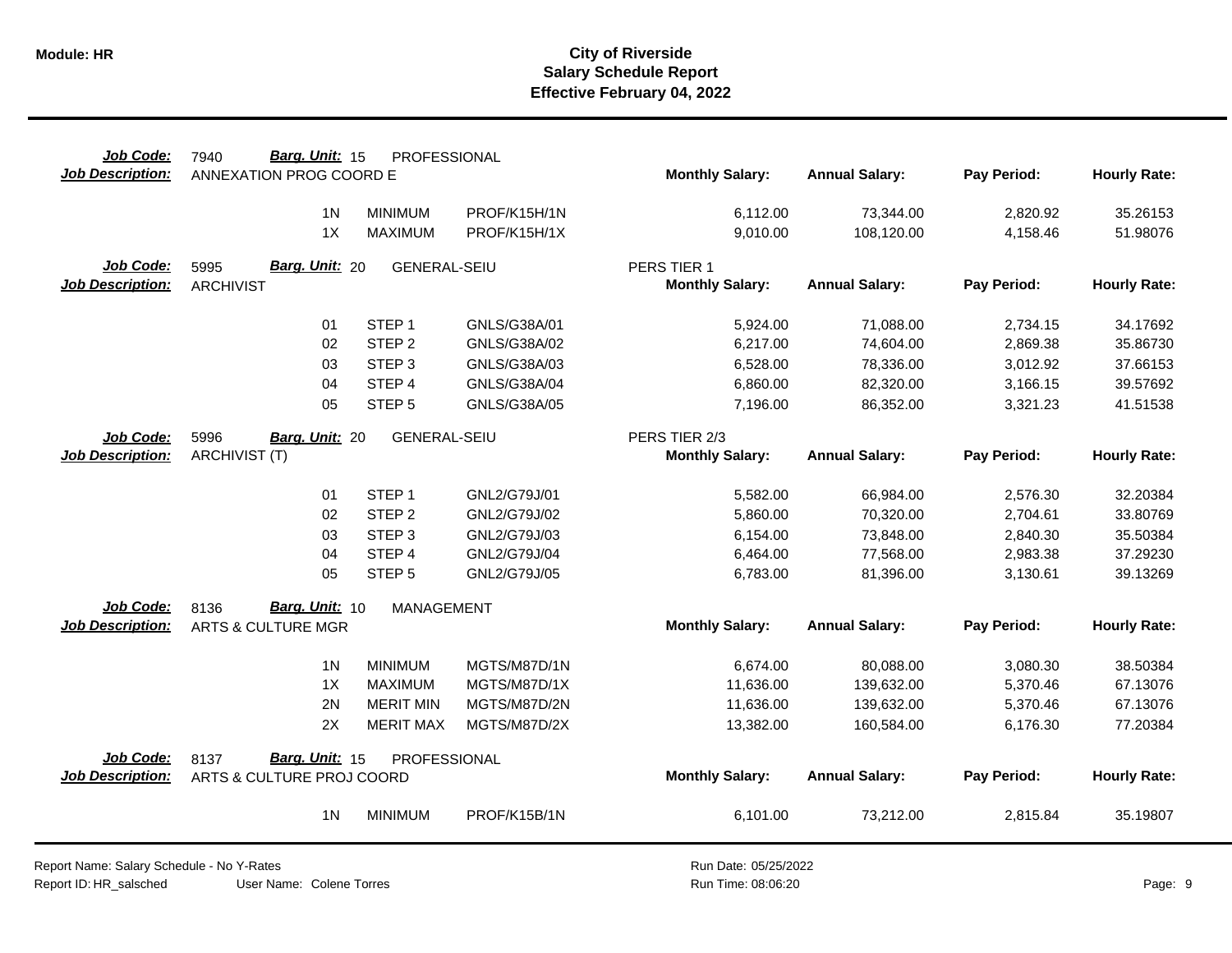| Job Code:               | Barg. Unit: 15<br>7940        | PROFESSIONAL        |              |                        |                       |             |                     |
|-------------------------|-------------------------------|---------------------|--------------|------------------------|-----------------------|-------------|---------------------|
| <b>Job Description:</b> | ANNEXATION PROG COORD E       |                     |              | <b>Monthly Salary:</b> | <b>Annual Salary:</b> | Pay Period: | <b>Hourly Rate:</b> |
|                         | 1 <sub>N</sub>                | <b>MINIMUM</b>      | PROF/K15H/1N | 6,112.00               | 73,344.00             | 2,820.92    | 35.26153            |
|                         | 1X                            | <b>MAXIMUM</b>      | PROF/K15H/1X | 9,010.00               | 108,120.00            | 4,158.46    | 51.98076            |
| <b>Job Code:</b>        | Barg. Unit: 20<br>5995        | <b>GENERAL-SEIU</b> |              | PERS TIER 1            |                       |             |                     |
| <b>Job Description:</b> | <b>ARCHIVIST</b>              |                     |              | <b>Monthly Salary:</b> | <b>Annual Salary:</b> | Pay Period: | <b>Hourly Rate:</b> |
|                         | 01                            | STEP <sub>1</sub>   | GNLS/G38A/01 | 5,924.00               | 71,088.00             | 2,734.15    | 34.17692            |
|                         | 02                            | STEP <sub>2</sub>   | GNLS/G38A/02 | 6,217.00               | 74,604.00             | 2,869.38    | 35.86730            |
|                         | 03                            | STEP <sub>3</sub>   | GNLS/G38A/03 | 6,528.00               | 78,336.00             | 3,012.92    | 37.66153            |
|                         | 04                            | STEP 4              | GNLS/G38A/04 | 6,860.00               | 82,320.00             | 3,166.15    | 39.57692            |
|                         | 05                            | STEP <sub>5</sub>   | GNLS/G38A/05 | 7,196.00               | 86,352.00             | 3,321.23    | 41.51538            |
| Job Code:               | 5996<br>Barg. Unit: 20        | <b>GENERAL-SEIU</b> |              | PERS TIER 2/3          |                       |             |                     |
| <b>Job Description:</b> | <b>ARCHIVIST (T)</b>          |                     |              | <b>Monthly Salary:</b> | <b>Annual Salary:</b> | Pay Period: | <b>Hourly Rate:</b> |
|                         | 01                            | STEP <sub>1</sub>   | GNL2/G79J/01 | 5,582.00               | 66,984.00             | 2,576.30    | 32.20384            |
|                         | 02                            | STEP <sub>2</sub>   | GNL2/G79J/02 | 5,860.00               | 70,320.00             | 2,704.61    | 33.80769            |
|                         | 03                            | STEP <sub>3</sub>   | GNL2/G79J/03 | 6,154.00               | 73,848.00             | 2,840.30    | 35.50384            |
|                         | 04                            | STEP 4              | GNL2/G79J/04 | 6,464.00               | 77,568.00             | 2,983.38    | 37.29230            |
|                         | 05                            | STEP <sub>5</sub>   | GNL2/G79J/05 | 6,783.00               | 81,396.00             | 3,130.61    | 39.13269            |
| <b>Job Code:</b>        | Barg. Unit: 10<br>8136        | <b>MANAGEMENT</b>   |              |                        |                       |             |                     |
| <b>Job Description:</b> | <b>ARTS &amp; CULTURE MGR</b> |                     |              | <b>Monthly Salary:</b> | <b>Annual Salary:</b> | Pay Period: | <b>Hourly Rate:</b> |
|                         | 1 <sub>N</sub>                | <b>MINIMUM</b>      | MGTS/M87D/1N | 6,674.00               | 80,088.00             | 3,080.30    | 38.50384            |
|                         | 1X                            | <b>MAXIMUM</b>      | MGTS/M87D/1X | 11,636.00              | 139,632.00            | 5,370.46    | 67.13076            |
|                         | 2N                            | <b>MERIT MIN</b>    | MGTS/M87D/2N | 11,636.00              | 139,632.00            | 5,370.46    | 67.13076            |
|                         | 2X                            | <b>MERIT MAX</b>    | MGTS/M87D/2X | 13,382.00              | 160,584.00            | 6,176.30    | 77.20384            |
| Job Code:               | Barg. Unit: 15<br>8137        | PROFESSIONAL        |              |                        |                       |             |                     |
| Job Description:        | ARTS & CULTURE PROJ COORD     |                     |              | <b>Monthly Salary:</b> | <b>Annual Salary:</b> | Pay Period: | <b>Hourly Rate:</b> |
|                         | 1 <sub>N</sub>                | <b>MINIMUM</b>      | PROF/K15B/1N | 6,101.00               | 73,212.00             | 2,815.84    | 35.19807            |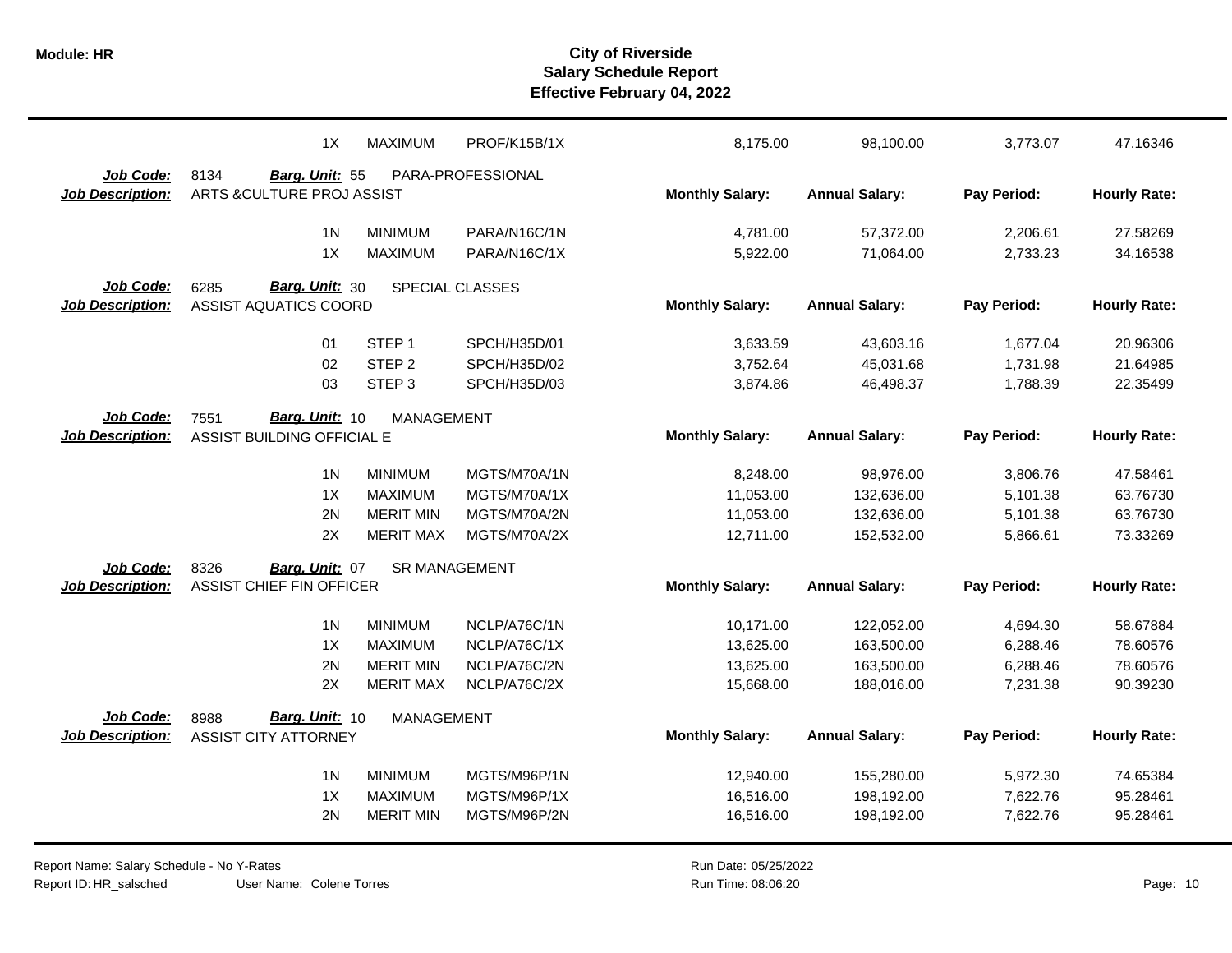|                         | 1X                                  | <b>MAXIMUM</b>       | PROF/K15B/1X      | 8,175.00               | 98,100.00             | 3,773.07    | 47.16346            |
|-------------------------|-------------------------------------|----------------------|-------------------|------------------------|-----------------------|-------------|---------------------|
| Job Code:               | 8134<br>Barg. Unit: 55              |                      | PARA-PROFESSIONAL |                        |                       |             |                     |
| <b>Job Description:</b> | ARTS & CULTURE PROJ ASSIST          |                      |                   | <b>Monthly Salary:</b> | <b>Annual Salary:</b> | Pay Period: | <b>Hourly Rate:</b> |
|                         |                                     |                      |                   |                        |                       |             |                     |
|                         | 1 <sub>N</sub>                      | <b>MINIMUM</b>       | PARA/N16C/1N      | 4,781.00               | 57,372.00             | 2,206.61    | 27.58269            |
|                         | 1X                                  | <b>MAXIMUM</b>       | PARA/N16C/1X      | 5,922.00               | 71,064.00             | 2,733.23    | 34.16538            |
| Job Code:               | Barg. Unit: 30<br>6285              |                      | SPECIAL CLASSES   |                        |                       |             |                     |
| <b>Job Description:</b> | <b>ASSIST AQUATICS COORD</b>        |                      |                   | <b>Monthly Salary:</b> | <b>Annual Salary:</b> | Pay Period: | <b>Hourly Rate:</b> |
|                         |                                     |                      |                   |                        |                       |             |                     |
|                         | 01                                  | STEP <sub>1</sub>    | SPCH/H35D/01      | 3,633.59               | 43,603.16             | 1,677.04    | 20.96306            |
|                         | 02                                  | STEP <sub>2</sub>    | SPCH/H35D/02      | 3,752.64               | 45,031.68             | 1,731.98    | 21.64985            |
|                         | 03                                  | STEP <sub>3</sub>    | SPCH/H35D/03      | 3,874.86               | 46,498.37             | 1,788.39    | 22.35499            |
| Job Code:               | Barg. Unit: 10<br>7551              | <b>MANAGEMENT</b>    |                   |                        |                       |             |                     |
| <b>Job Description:</b> | ASSIST BUILDING OFFICIAL E          |                      |                   | <b>Monthly Salary:</b> | <b>Annual Salary:</b> | Pay Period: | <b>Hourly Rate:</b> |
|                         |                                     |                      |                   |                        |                       |             |                     |
|                         | 1 <sub>N</sub>                      | <b>MINIMUM</b>       | MGTS/M70A/1N      | 8,248.00               | 98,976.00             | 3,806.76    | 47.58461            |
|                         | 1X                                  | <b>MAXIMUM</b>       | MGTS/M70A/1X      | 11,053.00              | 132,636.00            | 5,101.38    | 63.76730            |
|                         | 2N                                  | <b>MERIT MIN</b>     | MGTS/M70A/2N      | 11,053.00              | 132,636.00            | 5,101.38    | 63.76730            |
|                         | 2X                                  | <b>MERIT MAX</b>     | MGTS/M70A/2X      | 12,711.00              | 152,532.00            | 5,866.61    | 73.33269            |
| Job Code:               | 8326<br>Barg. Unit: 07              | <b>SR MANAGEMENT</b> |                   |                        |                       |             |                     |
| <b>Job Description:</b> | ASSIST CHIEF FIN OFFICER            |                      |                   | <b>Monthly Salary:</b> | <b>Annual Salary:</b> | Pay Period: | <b>Hourly Rate:</b> |
|                         |                                     |                      |                   |                        |                       |             |                     |
|                         | 1 <sub>N</sub>                      | <b>MINIMUM</b>       | NCLP/A76C/1N      | 10,171.00              | 122,052.00            | 4,694.30    | 58.67884            |
|                         | 1X                                  | <b>MAXIMUM</b>       | NCLP/A76C/1X      | 13,625.00              | 163,500.00            | 6,288.46    | 78.60576            |
|                         | 2N                                  | <b>MERIT MIN</b>     | NCLP/A76C/2N      | 13,625.00              | 163,500.00            | 6,288.46    | 78.60576            |
|                         | 2X                                  | <b>MERIT MAX</b>     | NCLP/A76C/2X      | 15,668.00              | 188,016.00            | 7,231.38    | 90.39230            |
| Job Code:               | Barg. Unit: 10                      |                      |                   |                        |                       |             |                     |
| <b>Job Description:</b> | 8988<br><b>ASSIST CITY ATTORNEY</b> | MANAGEMENT           |                   | <b>Monthly Salary:</b> | <b>Annual Salary:</b> | Pay Period: | <b>Hourly Rate:</b> |
|                         |                                     |                      |                   |                        |                       |             |                     |
|                         | 1 <sub>N</sub>                      | <b>MINIMUM</b>       | MGTS/M96P/1N      | 12,940.00              | 155,280.00            | 5,972.30    | 74.65384            |
|                         | 1X                                  | <b>MAXIMUM</b>       | MGTS/M96P/1X      | 16,516.00              | 198,192.00            | 7,622.76    | 95.28461            |
|                         | 2N                                  | <b>MERIT MIN</b>     | MGTS/M96P/2N      | 16,516.00              | 198,192.00            | 7,622.76    | 95.28461            |
|                         |                                     |                      |                   |                        |                       |             |                     |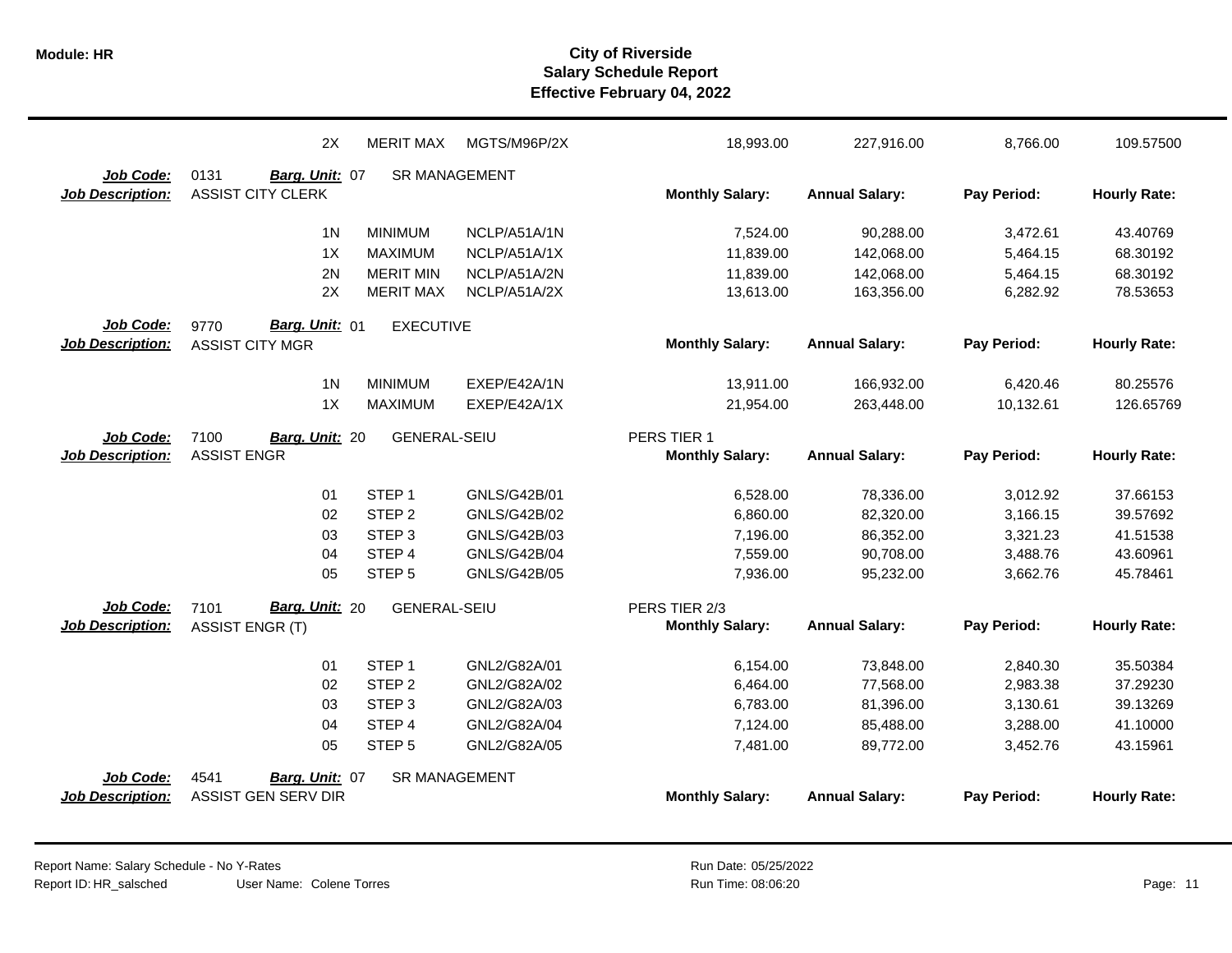|                         | 2X                       | <b>MERIT MAX</b>     | MGTS/M96P/2X        | 18,993.00              | 227,916.00            | 8,766.00    | 109.57500           |
|-------------------------|--------------------------|----------------------|---------------------|------------------------|-----------------------|-------------|---------------------|
| Job Code:               | 0131<br>Barg. Unit: 07   | <b>SR MANAGEMENT</b> |                     |                        |                       |             |                     |
| <b>Job Description:</b> | <b>ASSIST CITY CLERK</b> |                      |                     | <b>Monthly Salary:</b> | <b>Annual Salary:</b> | Pay Period: | <b>Hourly Rate:</b> |
|                         | 1 <sub>N</sub>           | <b>MINIMUM</b>       | NCLP/A51A/1N        | 7,524.00               | 90,288.00             | 3,472.61    | 43.40769            |
|                         | 1X                       | <b>MAXIMUM</b>       | NCLP/A51A/1X        | 11,839.00              | 142,068.00            | 5,464.15    | 68.30192            |
|                         | 2N                       | <b>MERIT MIN</b>     | NCLP/A51A/2N        | 11,839.00              | 142,068.00            | 5,464.15    | 68.30192            |
|                         | 2X                       | <b>MERIT MAX</b>     | NCLP/A51A/2X        | 13,613.00              | 163,356.00            | 6,282.92    | 78.53653            |
| Job Code:               | 9770<br>Barg. Unit: 01   | <b>EXECUTIVE</b>     |                     |                        |                       |             |                     |
| <b>Job Description:</b> | <b>ASSIST CITY MGR</b>   |                      |                     | <b>Monthly Salary:</b> | <b>Annual Salary:</b> | Pay Period: | <b>Hourly Rate:</b> |
|                         | 1 <sub>N</sub>           | <b>MINIMUM</b>       | EXEP/E42A/1N        | 13,911.00              | 166,932.00            | 6,420.46    | 80.25576            |
|                         | 1X                       | <b>MAXIMUM</b>       | EXEP/E42A/1X        | 21,954.00              | 263,448.00            | 10,132.61   | 126.65769           |
| Job Code:               | 7100<br>Barg. Unit: 20   | <b>GENERAL-SEIU</b>  |                     | PERS TIER 1            |                       |             |                     |
| <b>Job Description:</b> | <b>ASSIST ENGR</b>       |                      |                     | <b>Monthly Salary:</b> | <b>Annual Salary:</b> | Pay Period: | <b>Hourly Rate:</b> |
|                         | 01                       | STEP <sub>1</sub>    | GNLS/G42B/01        | 6,528.00               | 78,336.00             | 3,012.92    | 37.66153            |
|                         | 02                       | STEP <sub>2</sub>    | <b>GNLS/G42B/02</b> | 6,860.00               | 82,320.00             | 3,166.15    | 39.57692            |
|                         | 03                       | STEP <sub>3</sub>    | GNLS/G42B/03        | 7,196.00               | 86,352.00             | 3,321.23    | 41.51538            |
|                         | 04                       | STEP <sub>4</sub>    | <b>GNLS/G42B/04</b> | 7,559.00               | 90,708.00             | 3,488.76    | 43.60961            |
|                         | 05                       | STEP <sub>5</sub>    | <b>GNLS/G42B/05</b> | 7,936.00               | 95,232.00             | 3,662.76    | 45.78461            |
| Job Code:               | Barg. Unit: 20<br>7101   | <b>GENERAL-SEIU</b>  |                     | PERS TIER 2/3          |                       |             |                     |
| <b>Job Description:</b> | <b>ASSIST ENGR (T)</b>   |                      |                     | <b>Monthly Salary:</b> | <b>Annual Salary:</b> | Pay Period: | <b>Hourly Rate:</b> |
|                         | 01                       | STEP <sub>1</sub>    | GNL2/G82A/01        | 6,154.00               | 73,848.00             | 2,840.30    | 35.50384            |
|                         | 02                       | STEP <sub>2</sub>    | GNL2/G82A/02        | 6,464.00               | 77,568.00             | 2,983.38    | 37.29230            |
|                         | 03                       | STEP <sub>3</sub>    | GNL2/G82A/03        | 6,783.00               | 81,396.00             | 3,130.61    | 39.13269            |
|                         | 04                       | STEP <sub>4</sub>    | GNL2/G82A/04        | 7,124.00               | 85,488.00             | 3,288.00    | 41.10000            |
|                         | 05                       | STEP <sub>5</sub>    | GNL2/G82A/05        | 7,481.00               | 89,772.00             | 3,452.76    | 43.15961            |
| Job Code:               | 4541<br>Barg. Unit: 07   | <b>SR MANAGEMENT</b> |                     |                        |                       |             |                     |
| <b>Job Description:</b> | ASSIST GEN SERV DIR      |                      |                     | <b>Monthly Salary:</b> | <b>Annual Salary:</b> | Pay Period: | <b>Hourly Rate:</b> |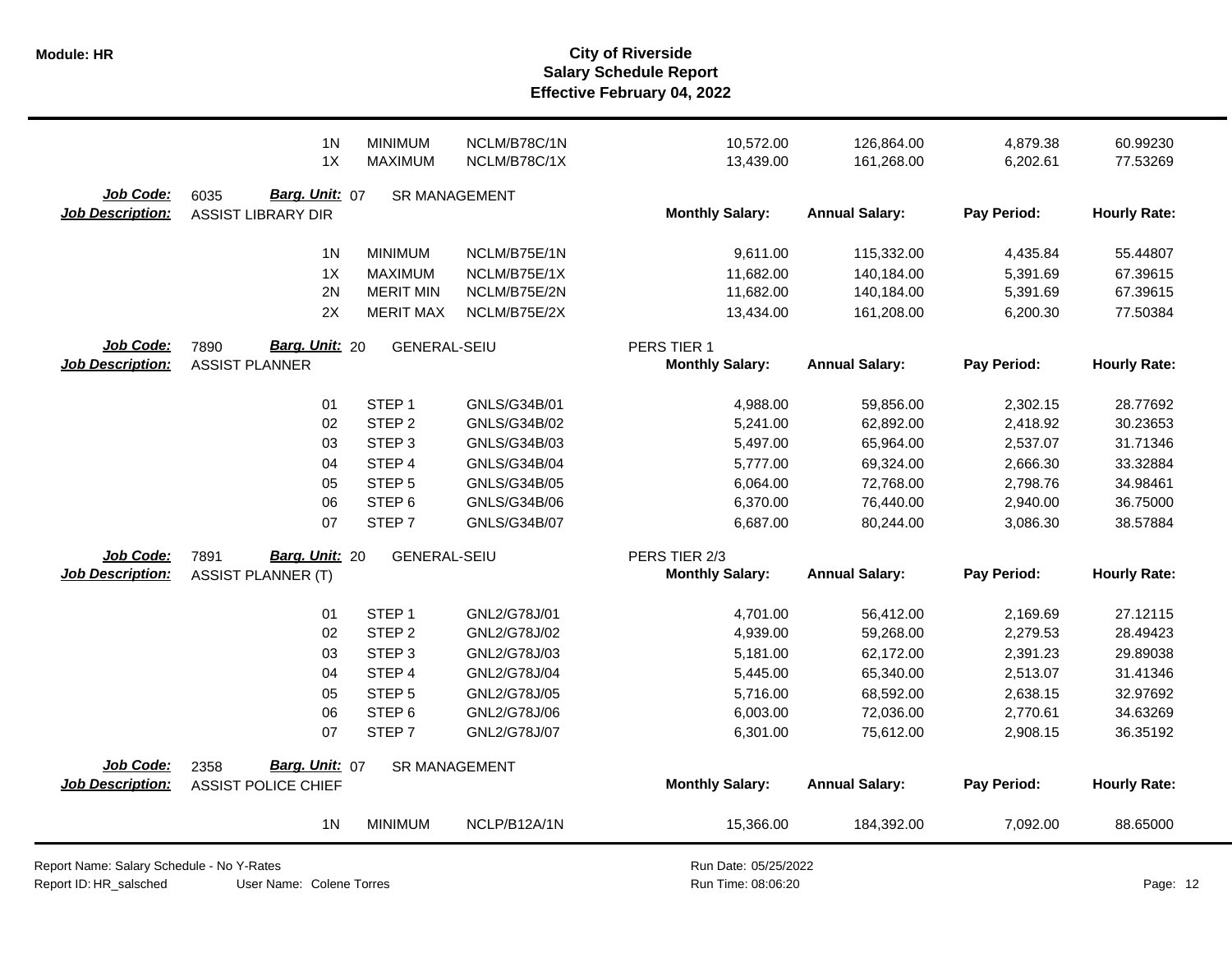| Job Code:<br>6035<br>Barg. Unit: 07<br><b>Job Description:</b><br><b>ASSIST LIBRARY DIR</b><br>1 <sub>N</sub><br><b>MINIMUM</b><br>1X<br><b>MAXIMUM</b><br>2N<br><b>MERIT MIN</b> | <b>SR MANAGEMENT</b><br>NCLM/B75E/1N<br>NCLM/B75E/1X<br>NCLM/B75E/2N<br>NCLM/B75E/2X | <b>Monthly Salary:</b><br>9,611.00<br>11,682.00<br>11,682.00<br>13,434.00 | <b>Annual Salary:</b><br>115,332.00<br>140,184.00<br>140,184.00<br>161,208.00 | Pay Period:<br>4,435.84<br>5,391.69<br>5,391.69 | <b>Hourly Rate:</b><br>55.44807<br>67.39615 |
|-----------------------------------------------------------------------------------------------------------------------------------------------------------------------------------|--------------------------------------------------------------------------------------|---------------------------------------------------------------------------|-------------------------------------------------------------------------------|-------------------------------------------------|---------------------------------------------|
|                                                                                                                                                                                   |                                                                                      |                                                                           |                                                                               |                                                 |                                             |
|                                                                                                                                                                                   |                                                                                      |                                                                           |                                                                               |                                                 |                                             |
|                                                                                                                                                                                   |                                                                                      |                                                                           |                                                                               |                                                 |                                             |
|                                                                                                                                                                                   |                                                                                      |                                                                           |                                                                               |                                                 | 67.39615                                    |
| 2X<br><b>MERIT MAX</b>                                                                                                                                                            |                                                                                      |                                                                           |                                                                               | 6,200.30                                        | 77.50384                                    |
| Job Code:<br>Barg. Unit: 20<br><b>GENERAL-SEIU</b><br>7890                                                                                                                        |                                                                                      | PERS TIER 1                                                               |                                                                               |                                                 |                                             |
| <b>Job Description:</b><br><b>ASSIST PLANNER</b>                                                                                                                                  |                                                                                      | <b>Monthly Salary:</b>                                                    | <b>Annual Salary:</b>                                                         | Pay Period:                                     | <b>Hourly Rate:</b>                         |
| STEP <sub>1</sub><br>01                                                                                                                                                           | GNLS/G34B/01                                                                         | 4,988.00                                                                  | 59,856.00                                                                     | 2,302.15                                        | 28.77692                                    |
| 02<br>STEP <sub>2</sub>                                                                                                                                                           | GNLS/G34B/02                                                                         | 5,241.00                                                                  | 62,892.00                                                                     | 2,418.92                                        | 30.23653                                    |
| STEP <sub>3</sub><br>03                                                                                                                                                           | GNLS/G34B/03                                                                         | 5,497.00                                                                  | 65,964.00                                                                     | 2,537.07                                        | 31.71346                                    |
| STEP 4<br>04                                                                                                                                                                      | GNLS/G34B/04                                                                         | 5,777.00                                                                  | 69,324.00                                                                     | 2,666.30                                        | 33.32884                                    |
| STEP <sub>5</sub><br>05                                                                                                                                                           | GNLS/G34B/05                                                                         | 6,064.00                                                                  | 72,768.00                                                                     | 2,798.76                                        | 34.98461                                    |
| STEP <sub>6</sub><br>06                                                                                                                                                           | GNLS/G34B/06                                                                         | 6,370.00                                                                  | 76,440.00                                                                     | 2,940.00                                        | 36.75000                                    |
| 07<br>STEP <sub>7</sub>                                                                                                                                                           | GNLS/G34B/07                                                                         | 6,687.00                                                                  | 80,244.00                                                                     | 3,086.30                                        | 38.57884                                    |
| Job Code:<br>Barg. Unit: 20<br>7891                                                                                                                                               | <b>GENERAL-SEIU</b>                                                                  | PERS TIER 2/3                                                             |                                                                               |                                                 |                                             |
| <b>Job Description:</b><br><b>ASSIST PLANNER (T)</b>                                                                                                                              |                                                                                      | <b>Monthly Salary:</b>                                                    | <b>Annual Salary:</b>                                                         | Pay Period:                                     | <b>Hourly Rate:</b>                         |
| STEP <sub>1</sub><br>01                                                                                                                                                           | GNL2/G78J/01                                                                         | 4,701.00                                                                  | 56,412.00                                                                     | 2,169.69                                        | 27.12115                                    |
| 02<br>STEP <sub>2</sub>                                                                                                                                                           | GNL2/G78J/02                                                                         | 4,939.00                                                                  | 59,268.00                                                                     | 2,279.53                                        | 28.49423                                    |
| STEP <sub>3</sub><br>03                                                                                                                                                           | GNL2/G78J/03                                                                         | 5,181.00                                                                  | 62,172.00                                                                     | 2,391.23                                        | 29.89038                                    |
| STEP 4<br>04                                                                                                                                                                      | GNL2/G78J/04                                                                         | 5,445.00                                                                  | 65,340.00                                                                     | 2,513.07                                        | 31.41346                                    |
| STEP <sub>5</sub><br>05                                                                                                                                                           | GNL2/G78J/05                                                                         | 5,716.00                                                                  | 68,592.00                                                                     | 2,638.15                                        | 32.97692                                    |
| STEP <sub>6</sub><br>06                                                                                                                                                           | GNL2/G78J/06                                                                         | 6,003.00                                                                  | 72,036.00                                                                     | 2,770.61                                        | 34.63269                                    |
| 07<br>STEP <sub>7</sub>                                                                                                                                                           | GNL2/G78J/07                                                                         | 6,301.00                                                                  | 75,612.00                                                                     | 2,908.15                                        | 36.35192                                    |
| Job Code:<br>Barg. Unit: 07<br>2358                                                                                                                                               | <b>SR MANAGEMENT</b>                                                                 |                                                                           |                                                                               |                                                 |                                             |
| <b>Job Description:</b><br><b>ASSIST POLICE CHIEF</b>                                                                                                                             |                                                                                      | <b>Monthly Salary:</b>                                                    | <b>Annual Salary:</b>                                                         | Pay Period:                                     | <b>Hourly Rate:</b>                         |
| 1 <sub>N</sub><br><b>MINIMUM</b>                                                                                                                                                  | NCLP/B12A/1N                                                                         | 15,366.00                                                                 | 184,392.00                                                                    | 7,092.00                                        | 88.65000                                    |

Report Name: Salary Schedule - No Y-Rates Report ID: HR\_salsched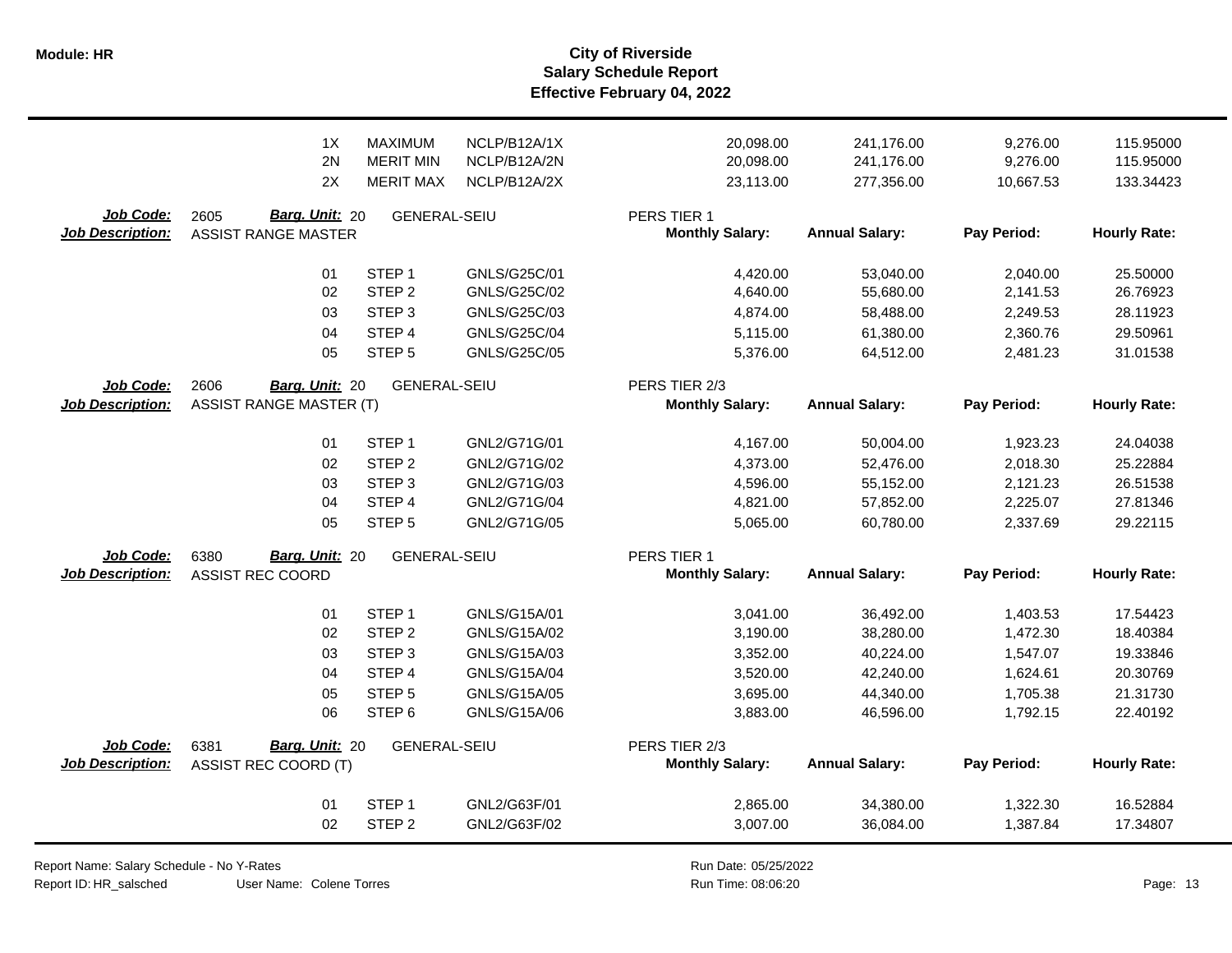|                                      | 1X                                                             | <b>MAXIMUM</b>                           | NCLP/B12A/1X        | 20,098.00                                           | 241,176.00                         | 9,276.00                | 115.95000                       |
|--------------------------------------|----------------------------------------------------------------|------------------------------------------|---------------------|-----------------------------------------------------|------------------------------------|-------------------------|---------------------------------|
|                                      | 2N                                                             | <b>MERIT MIN</b>                         | NCLP/B12A/2N        | 20,098.00                                           | 241,176.00                         | 9,276.00                | 115.95000                       |
|                                      | 2X                                                             | <b>MERIT MAX</b>                         | NCLP/B12A/2X        | 23,113.00                                           | 277,356.00                         | 10,667.53               | 133.34423                       |
| Job Code:<br>Job Description:        | Barg. Unit: 20<br>2605<br><b>ASSIST RANGE MASTER</b>           | <b>GENERAL-SEIU</b>                      |                     | PERS TIER 1<br><b>Monthly Salary:</b>               | <b>Annual Salary:</b>              | Pay Period:             | <b>Hourly Rate:</b>             |
|                                      | 01                                                             | STEP <sub>1</sub>                        | GNLS/G25C/01        | 4,420.00                                            | 53,040.00                          | 2,040.00                | 25.50000                        |
|                                      | 02                                                             | STEP <sub>2</sub>                        | <b>GNLS/G25C/02</b> | 4,640.00                                            | 55,680.00                          | 2,141.53                | 26.76923                        |
|                                      | 03                                                             | STEP <sub>3</sub>                        | GNLS/G25C/03        | 4,874.00                                            | 58,488.00                          | 2,249.53                | 28.11923                        |
|                                      | 04                                                             | STEP <sub>4</sub>                        | <b>GNLS/G25C/04</b> | 5,115.00                                            | 61,380.00                          | 2,360.76                | 29.50961                        |
| Job Code:<br><b>Job Description:</b> | 05<br>2606<br>Barg. Unit: 20<br><b>ASSIST RANGE MASTER (T)</b> | STEP <sub>5</sub><br><b>GENERAL-SEIU</b> | <b>GNLS/G25C/05</b> | 5,376.00<br>PERS TIER 2/3<br><b>Monthly Salary:</b> | 64,512.00<br><b>Annual Salary:</b> | 2,481.23<br>Pay Period: | 31.01538<br><b>Hourly Rate:</b> |
|                                      | 01                                                             | STEP <sub>1</sub>                        | GNL2/G71G/01        | 4,167.00                                            | 50,004.00                          | 1,923.23                | 24.04038                        |
|                                      | 02                                                             | STEP <sub>2</sub>                        | GNL2/G71G/02        | 4,373.00                                            | 52,476.00                          | 2,018.30                | 25.22884                        |
|                                      | 03                                                             | STEP <sub>3</sub>                        | GNL2/G71G/03        | 4,596.00                                            | 55,152.00                          | 2,121.23                | 26.51538                        |
|                                      | 04                                                             | STEP 4                                   | GNL2/G71G/04        | 4,821.00                                            | 57,852.00                          | 2,225.07                | 27.81346                        |
|                                      | 05                                                             | STEP <sub>5</sub>                        | GNL2/G71G/05        | 5,065.00                                            | 60,780.00                          | 2,337.69                | 29.22115                        |
| Job Code:<br><b>Job Description:</b> | Barg. Unit: 20<br>6380<br><b>ASSIST REC COORD</b>              | <b>GENERAL-SEIU</b>                      |                     | PERS TIER 1<br><b>Monthly Salary:</b>               | <b>Annual Salary:</b>              | Pay Period:             | <b>Hourly Rate:</b>             |
|                                      | 01                                                             | STEP <sub>1</sub>                        | GNLS/G15A/01        | 3,041.00                                            | 36,492.00                          | 1,403.53                | 17.54423                        |
|                                      | 02                                                             | STEP <sub>2</sub>                        | GNLS/G15A/02        | 3,190.00                                            | 38,280.00                          | 1,472.30                | 18.40384                        |
|                                      | 03                                                             | STEP <sub>3</sub>                        | GNLS/G15A/03        | 3,352.00                                            | 40,224.00                          | 1,547.07                | 19.33846                        |
|                                      | 04                                                             | STEP 4                                   | <b>GNLS/G15A/04</b> | 3,520.00                                            | 42,240.00                          | 1,624.61                | 20.30769                        |
|                                      | 05                                                             | STEP <sub>5</sub>                        | <b>GNLS/G15A/05</b> | 3,695.00                                            | 44,340.00                          | 1,705.38                | 21.31730                        |
|                                      | 06                                                             | STEP <sub>6</sub>                        | GNLS/G15A/06        | 3,883.00                                            | 46,596.00                          | 1,792.15                | 22.40192                        |
| Job Code:<br><b>Job Description:</b> | Barg. Unit: 20<br>6381<br><b>ASSIST REC COORD (T)</b>          | <b>GENERAL-SEIU</b>                      |                     | PERS TIER 2/3<br><b>Monthly Salary:</b>             | <b>Annual Salary:</b>              | Pay Period:             | <b>Hourly Rate:</b>             |
|                                      | 01                                                             | STEP <sub>1</sub>                        | GNL2/G63F/01        | 2,865.00                                            | 34,380.00                          | 1,322.30                | 16.52884                        |
|                                      | 02                                                             | STEP <sub>2</sub>                        | GNL2/G63F/02        | 3,007.00                                            | 36,084.00                          | 1,387.84                | 17.34807                        |

Report Name: Salary Schedule - No Y-Rates

Report ID: HR\_salsched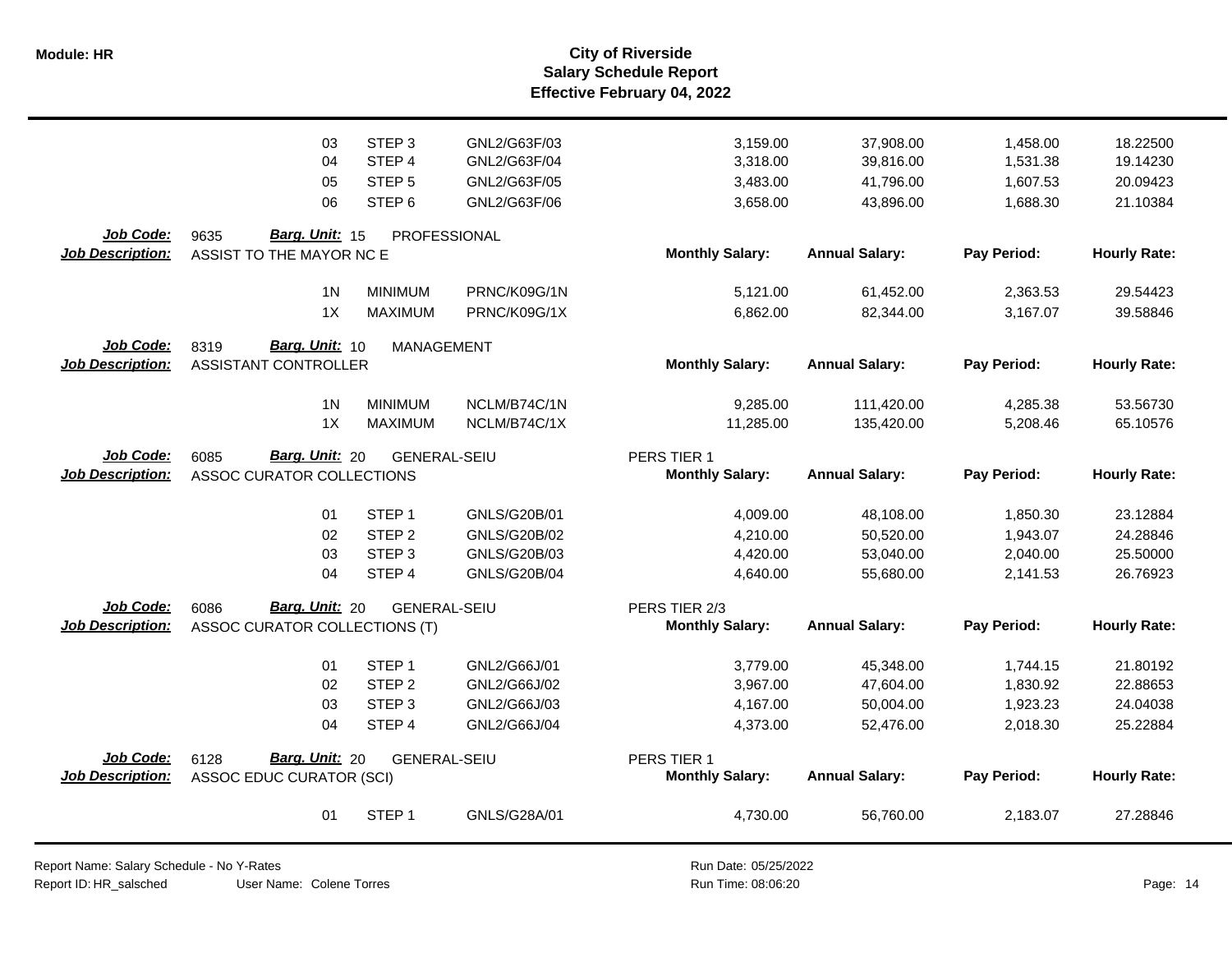|                         | 03                              | STEP <sub>3</sub>   | GNL2/G63F/03        | 3,159.00               | 37,908.00             | 1,458.00    | 18.22500            |
|-------------------------|---------------------------------|---------------------|---------------------|------------------------|-----------------------|-------------|---------------------|
|                         | 04                              | STEP <sub>4</sub>   | GNL2/G63F/04        | 3,318.00               | 39,816.00             | 1,531.38    | 19.14230            |
|                         | 05                              | STEP <sub>5</sub>   | GNL2/G63F/05        | 3,483.00               | 41,796.00             | 1,607.53    | 20.09423            |
|                         | 06                              | STEP <sub>6</sub>   | GNL2/G63F/06        | 3,658.00               | 43,896.00             | 1,688.30    | 21.10384            |
|                         |                                 |                     |                     |                        |                       |             |                     |
| Job Code:               | Barg. Unit: 15<br>9635          | PROFESSIONAL        |                     |                        |                       |             |                     |
| <b>Job Description:</b> | ASSIST TO THE MAYOR NC E        |                     |                     | <b>Monthly Salary:</b> | <b>Annual Salary:</b> | Pay Period: | <b>Hourly Rate:</b> |
|                         |                                 |                     |                     |                        |                       |             |                     |
|                         | 1 <sup>N</sup>                  | <b>MINIMUM</b>      | PRNC/K09G/1N        | 5,121.00               | 61,452.00             | 2,363.53    | 29.54423            |
|                         | 1X                              | <b>MAXIMUM</b>      | PRNC/K09G/1X        | 6,862.00               | 82,344.00             | 3,167.07    | 39.58846            |
| Job Code:               | 8319<br><b>Barg. Unit: 10</b>   | <b>MANAGEMENT</b>   |                     |                        |                       |             |                     |
| <b>Job Description:</b> | <b>ASSISTANT CONTROLLER</b>     |                     |                     | <b>Monthly Salary:</b> | <b>Annual Salary:</b> | Pay Period: | <b>Hourly Rate:</b> |
|                         |                                 |                     |                     |                        |                       |             |                     |
|                         | 1 <sub>N</sub>                  | <b>MINIMUM</b>      | NCLM/B74C/1N        | 9,285.00               | 111,420.00            | 4,285.38    | 53.56730            |
|                         | 1X                              | <b>MAXIMUM</b>      | NCLM/B74C/1X        | 11,285.00              | 135,420.00            | 5,208.46    | 65.10576            |
|                         |                                 |                     |                     |                        |                       |             |                     |
| Job Code:               | Barg. Unit: 20<br>6085          | <b>GENERAL-SEIU</b> |                     | PERS TIER 1            |                       |             |                     |
| <b>Job Description:</b> | ASSOC CURATOR COLLECTIONS       |                     |                     | <b>Monthly Salary:</b> | <b>Annual Salary:</b> | Pay Period: | <b>Hourly Rate:</b> |
|                         |                                 |                     |                     |                        |                       |             |                     |
|                         | 01                              | STEP <sub>1</sub>   | GNLS/G20B/01        | 4,009.00               | 48,108.00             | 1,850.30    | 23.12884            |
|                         | 02                              | STEP <sub>2</sub>   | GNLS/G20B/02        | 4,210.00               | 50,520.00             | 1,943.07    | 24.28846            |
|                         | 03                              | STEP <sub>3</sub>   | GNLS/G20B/03        | 4,420.00               | 53,040.00             | 2,040.00    | 25.50000            |
|                         | 04                              | STEP 4              | <b>GNLS/G20B/04</b> | 4,640.00               | 55,680.00             | 2,141.53    | 26.76923            |
| <b>Job Code:</b>        | Barg. Unit: 20<br>6086          | <b>GENERAL-SEIU</b> |                     | PERS TIER 2/3          |                       |             |                     |
| <b>Job Description:</b> | ASSOC CURATOR COLLECTIONS (T)   |                     |                     | <b>Monthly Salary:</b> | <b>Annual Salary:</b> | Pay Period: | <b>Hourly Rate:</b> |
|                         |                                 |                     |                     |                        |                       |             |                     |
|                         | 01                              | STEP <sub>1</sub>   | GNL2/G66J/01        | 3,779.00               | 45,348.00             | 1,744.15    | 21.80192            |
|                         | 02                              | STEP <sub>2</sub>   | GNL2/G66J/02        | 3,967.00               | 47,604.00             | 1,830.92    | 22.88653            |
|                         | 03                              | STEP <sub>3</sub>   | GNL2/G66J/03        | 4,167.00               | 50,004.00             | 1,923.23    | 24.04038            |
|                         | 04                              | STEP 4              | GNL2/G66J/04        | 4,373.00               | 52,476.00             | 2,018.30    | 25.22884            |
|                         |                                 |                     |                     |                        |                       |             |                     |
| Job Code:               | Barg. Unit: 20<br>6128          | <b>GENERAL-SEIU</b> |                     | PERS TIER 1            |                       |             |                     |
| <b>Job Description:</b> | <b>ASSOC EDUC CURATOR (SCI)</b> |                     |                     | <b>Monthly Salary:</b> | <b>Annual Salary:</b> | Pay Period: | <b>Hourly Rate:</b> |
|                         |                                 |                     |                     |                        |                       |             |                     |
|                         | 01                              | STEP <sub>1</sub>   | GNLS/G28A/01        | 4,730.00               | 56,760.00             | 2,183.07    | 27.28846            |
|                         |                                 |                     |                     |                        |                       |             |                     |

Report Name: Salary Schedule - No Y-Rates Report ID: HR\_salsched

User Name: Colene Torres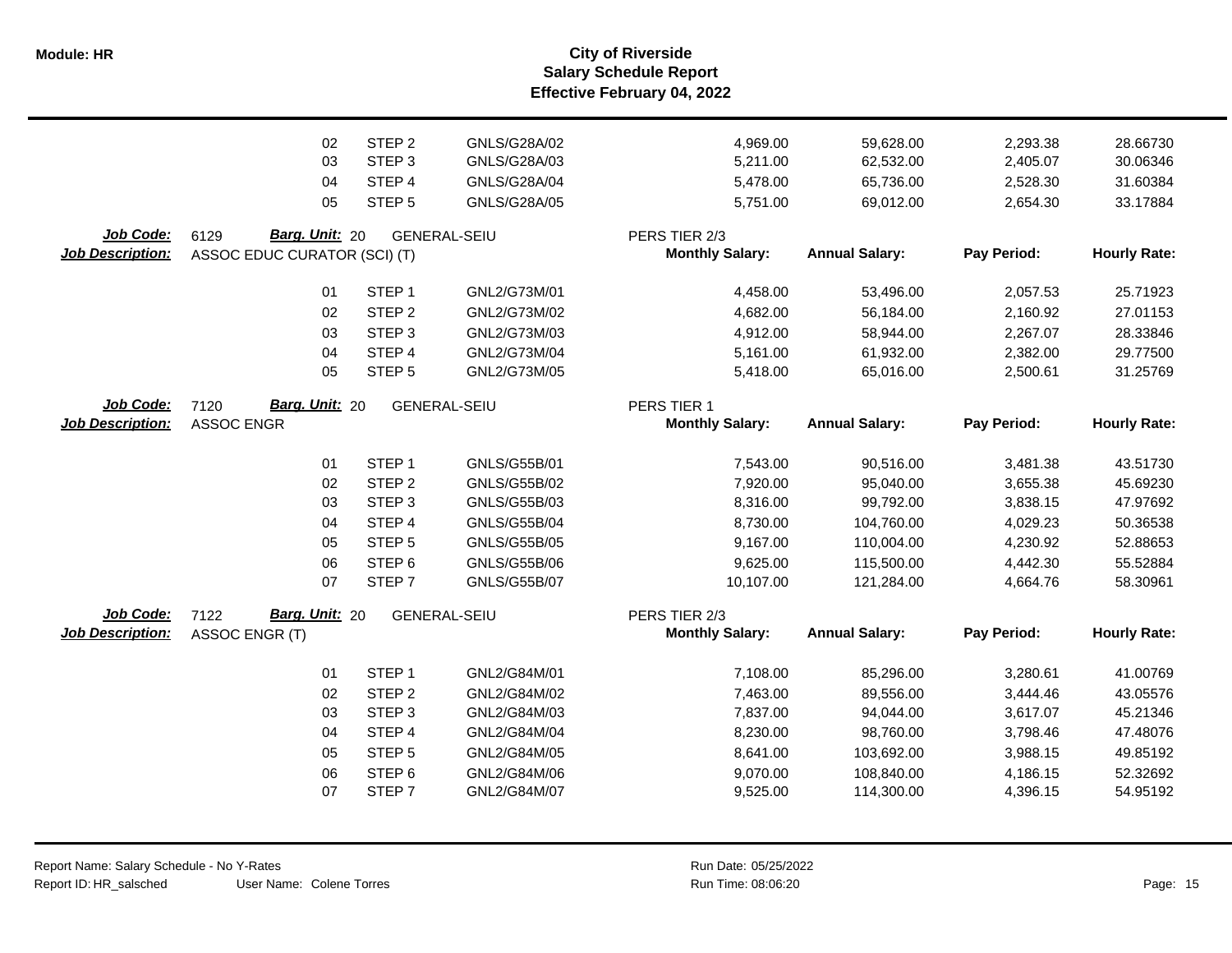**Salary Schedule Report Effective February 04, 2022 Module: HR City of Riverside**

|                         | 02                           | STEP <sub>2</sub> | GNLS/G28A/02        | 4,969.00               | 59,628.00             | 2,293.38    | 28.66730            |
|-------------------------|------------------------------|-------------------|---------------------|------------------------|-----------------------|-------------|---------------------|
|                         | 03                           | STEP <sub>3</sub> | GNLS/G28A/03        | 5,211.00               | 62,532.00             | 2,405.07    | 30.06346            |
|                         | 04                           | STEP 4            | GNLS/G28A/04        | 5,478.00               | 65,736.00             | 2,528.30    | 31.60384            |
|                         | 05                           | STEP <sub>5</sub> | GNLS/G28A/05        | 5,751.00               | 69,012.00             | 2,654.30    | 33.17884            |
| Job Code:               | Barg. Unit: 20<br>6129       |                   | <b>GENERAL-SEIU</b> | PERS TIER 2/3          |                       |             |                     |
| <b>Job Description:</b> | ASSOC EDUC CURATOR (SCI) (T) |                   |                     | <b>Monthly Salary:</b> | <b>Annual Salary:</b> | Pay Period: | <b>Hourly Rate:</b> |
|                         |                              |                   |                     |                        |                       |             |                     |
|                         | 01                           | STEP <sub>1</sub> | GNL2/G73M/01        | 4,458.00               | 53,496.00             | 2,057.53    | 25.71923            |
|                         | 02                           | STEP <sub>2</sub> | GNL2/G73M/02        | 4,682.00               | 56,184.00             | 2,160.92    | 27.01153            |
|                         | 03                           | STEP <sub>3</sub> | GNL2/G73M/03        | 4,912.00               | 58,944.00             | 2,267.07    | 28.33846            |
|                         | 04                           | STEP 4            | GNL2/G73M/04        | 5,161.00               | 61,932.00             | 2,382.00    | 29.77500            |
|                         | 05                           | STEP <sub>5</sub> | GNL2/G73M/05        | 5,418.00               | 65,016.00             | 2,500.61    | 31.25769            |
| Job Code:               | Barg. Unit: 20<br>7120       |                   | <b>GENERAL-SEIU</b> | PERS TIER 1            |                       |             |                     |
| <b>Job Description:</b> | <b>ASSOC ENGR</b>            |                   |                     | <b>Monthly Salary:</b> | <b>Annual Salary:</b> | Pay Period: | <b>Hourly Rate:</b> |
|                         |                              |                   |                     |                        |                       |             |                     |
|                         | 01                           | STEP <sub>1</sub> | GNLS/G55B/01        | 7,543.00               | 90,516.00             | 3,481.38    | 43.51730            |
|                         | 02                           | STEP <sub>2</sub> | GNLS/G55B/02        | 7,920.00               | 95,040.00             | 3,655.38    | 45.69230            |
|                         | 03                           | STEP <sub>3</sub> | GNLS/G55B/03        | 8,316.00               | 99,792.00             | 3,838.15    | 47.97692            |
|                         | 04                           | STEP <sub>4</sub> | <b>GNLS/G55B/04</b> | 8,730.00               | 104,760.00            | 4,029.23    | 50.36538            |
|                         | 05                           | STEP <sub>5</sub> | GNLS/G55B/05        | 9,167.00               | 110,004.00            | 4,230.92    | 52.88653            |
|                         | 06                           | STEP <sub>6</sub> | GNLS/G55B/06        | 9,625.00               | 115,500.00            | 4,442.30    | 55.52884            |
|                         | 07                           | STEP <sub>7</sub> | <b>GNLS/G55B/07</b> | 10,107.00              | 121,284.00            | 4,664.76    | 58.30961            |
| Job Code:               | Barg. Unit: 20<br>7122       |                   | <b>GENERAL-SEIU</b> | PERS TIER 2/3          |                       |             |                     |
| <b>Job Description:</b> | ASSOC ENGR (T)               |                   |                     | <b>Monthly Salary:</b> | <b>Annual Salary:</b> | Pay Period: | <b>Hourly Rate:</b> |
|                         | 01                           | STEP <sub>1</sub> | GNL2/G84M/01        | 7,108.00               | 85,296.00             | 3,280.61    | 41.00769            |
|                         | 02                           | STEP <sub>2</sub> | GNL2/G84M/02        | 7,463.00               | 89,556.00             | 3,444.46    | 43.05576            |
|                         | 03                           | STEP <sub>3</sub> | GNL2/G84M/03        | 7,837.00               | 94,044.00             | 3,617.07    | 45.21346            |
|                         | 04                           | STEP 4            | GNL2/G84M/04        | 8,230.00               | 98,760.00             | 3,798.46    | 47.48076            |
|                         | 05                           | STEP <sub>5</sub> | GNL2/G84M/05        | 8,641.00               | 103,692.00            | 3,988.15    | 49.85192            |
|                         | 06                           | STEP <sub>6</sub> | GNL2/G84M/06        | 9,070.00               | 108,840.00            | 4,186.15    | 52.32692            |
|                         | 07                           | STEP <sub>7</sub> | GNL2/G84M/07        | 9,525.00               | 114,300.00            | 4,396.15    | 54.95192            |
|                         |                              |                   |                     |                        |                       |             |                     |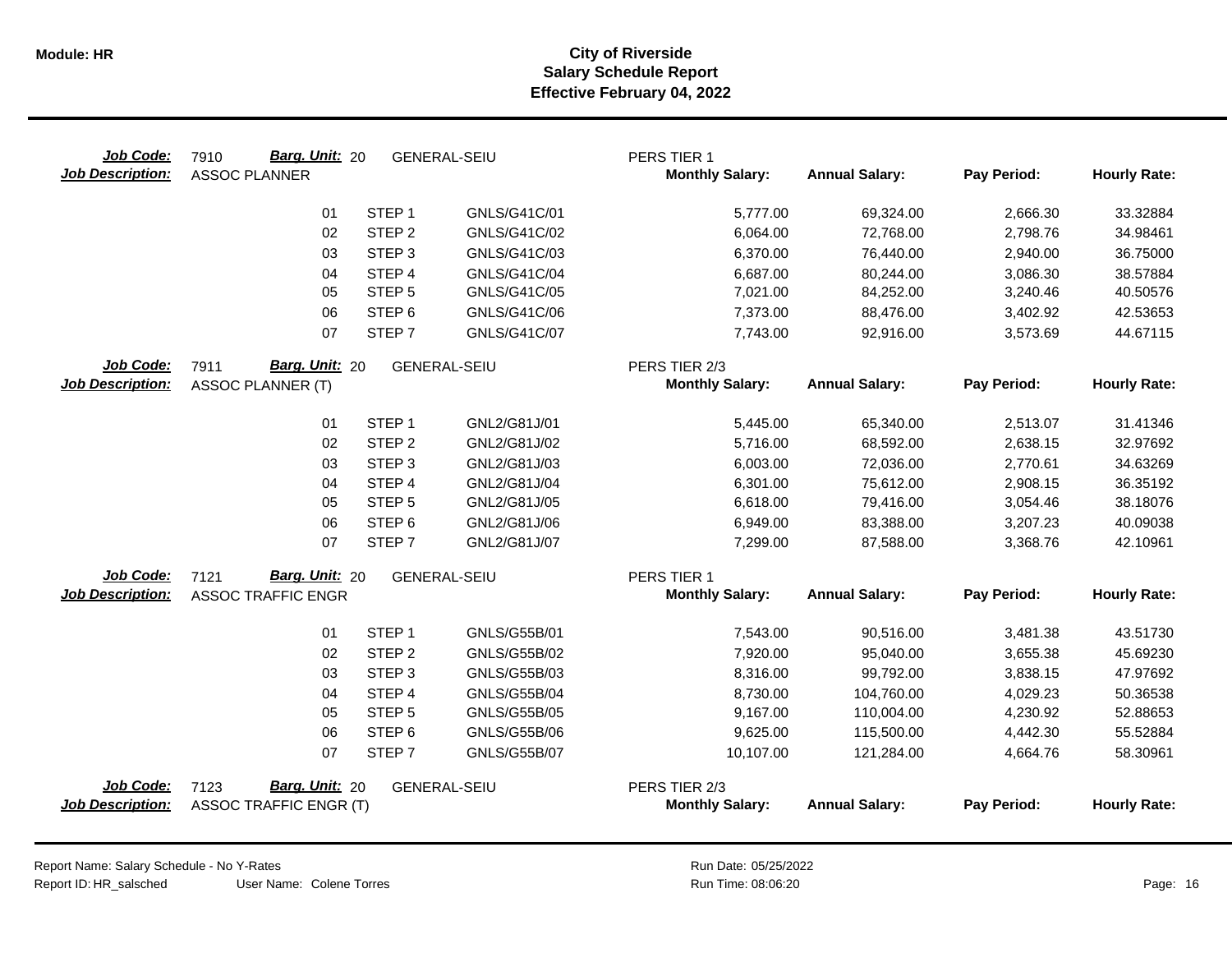| Job Code:<br><b>Job Description:</b> | Barg. Unit: 20<br>7910<br><b>ASSOC PLANNER</b>          | <b>GENERAL-SEIU</b> | PERS TIER 1<br><b>Monthly Salary:</b>   | <b>Annual Salary:</b> | Pay Period: | <b>Hourly Rate:</b> |
|--------------------------------------|---------------------------------------------------------|---------------------|-----------------------------------------|-----------------------|-------------|---------------------|
|                                      | STEP <sub>1</sub><br>01                                 | GNLS/G41C/01        | 5,777.00                                | 69,324.00             | 2,666.30    | 33.32884            |
|                                      | 02<br>STEP <sub>2</sub>                                 | GNLS/G41C/02        | 6,064.00                                | 72,768.00             | 2,798.76    | 34.98461            |
|                                      | STEP <sub>3</sub><br>03                                 | GNLS/G41C/03        | 6,370.00                                | 76,440.00             | 2,940.00    | 36.75000            |
|                                      | STEP 4<br>04                                            | GNLS/G41C/04        | 6,687.00                                | 80,244.00             | 3,086.30    | 38.57884            |
|                                      | 05<br>STEP <sub>5</sub>                                 | GNLS/G41C/05        | 7,021.00                                | 84,252.00             | 3,240.46    | 40.50576            |
|                                      | STEP <sub>6</sub><br>06                                 | GNLS/G41C/06        | 7,373.00                                | 88,476.00             | 3,402.92    | 42.53653            |
|                                      | STEP <sub>7</sub><br>07                                 | GNLS/G41C/07        | 7,743.00                                | 92,916.00             | 3,573.69    | 44.67115            |
| Job Code:                            | Barg. Unit: 20<br>7911                                  | <b>GENERAL-SEIU</b> | PERS TIER 2/3                           |                       |             |                     |
| <b>Job Description:</b>              | <b>ASSOC PLANNER (T)</b>                                |                     | <b>Monthly Salary:</b>                  | <b>Annual Salary:</b> | Pay Period: | <b>Hourly Rate:</b> |
|                                      | STEP <sub>1</sub><br>01                                 | GNL2/G81J/01        | 5,445.00                                | 65,340.00             | 2,513.07    | 31.41346            |
|                                      | STEP <sub>2</sub><br>02                                 | GNL2/G81J/02        | 5,716.00                                | 68,592.00             | 2,638.15    | 32.97692            |
|                                      | STEP <sub>3</sub><br>03                                 | GNL2/G81J/03        | 6,003.00                                | 72,036.00             | 2,770.61    | 34.63269            |
|                                      | 04<br>STEP <sub>4</sub>                                 | GNL2/G81J/04        | 6,301.00                                | 75,612.00             | 2,908.15    | 36.35192            |
|                                      | 05<br>STEP <sub>5</sub>                                 | GNL2/G81J/05        | 6,618.00                                | 79,416.00             | 3,054.46    | 38.18076            |
|                                      | 06<br>STEP <sub>6</sub>                                 | GNL2/G81J/06        | 6,949.00                                | 83,388.00             | 3,207.23    | 40.09038            |
|                                      | STEP <sub>7</sub><br>07                                 | GNL2/G81J/07        | 7,299.00                                | 87,588.00             | 3,368.76    | 42.10961            |
| Job Code:                            | Barg. Unit: 20<br>7121                                  | <b>GENERAL-SEIU</b> | PERS TIER 1                             |                       |             |                     |
| <b>Job Description:</b>              | <b>ASSOC TRAFFIC ENGR</b>                               |                     | <b>Monthly Salary:</b>                  | <b>Annual Salary:</b> | Pay Period: | <b>Hourly Rate:</b> |
|                                      | 01<br>STEP <sub>1</sub>                                 | GNLS/G55B/01        | 7,543.00                                | 90,516.00             | 3,481.38    | 43.51730            |
|                                      | STEP <sub>2</sub><br>02                                 | GNLS/G55B/02        | 7,920.00                                | 95,040.00             | 3,655.38    | 45.69230            |
|                                      | STEP <sub>3</sub><br>03                                 | GNLS/G55B/03        | 8,316.00                                | 99,792.00             | 3,838.15    | 47.97692            |
|                                      | STEP <sub>4</sub><br>04                                 | <b>GNLS/G55B/04</b> | 8,730.00                                | 104,760.00            | 4,029.23    | 50.36538            |
|                                      | STEP <sub>5</sub><br>05                                 | GNLS/G55B/05        | 9,167.00                                | 110,004.00            | 4,230.92    | 52.88653            |
|                                      | STEP <sub>6</sub><br>06                                 | GNLS/G55B/06        | 9,625.00                                | 115,500.00            | 4,442.30    | 55.52884            |
|                                      | 07<br>STEP <sub>7</sub>                                 | <b>GNLS/G55B/07</b> | 10,107.00                               | 121,284.00            | 4,664.76    | 58.30961            |
| Job Code:<br><b>Job Description:</b> | Barg. Unit: 20<br>7123<br><b>ASSOC TRAFFIC ENGR (T)</b> | GENERAL-SEIU        | PERS TIER 2/3<br><b>Monthly Salary:</b> | <b>Annual Salary:</b> | Pay Period: | <b>Hourly Rate:</b> |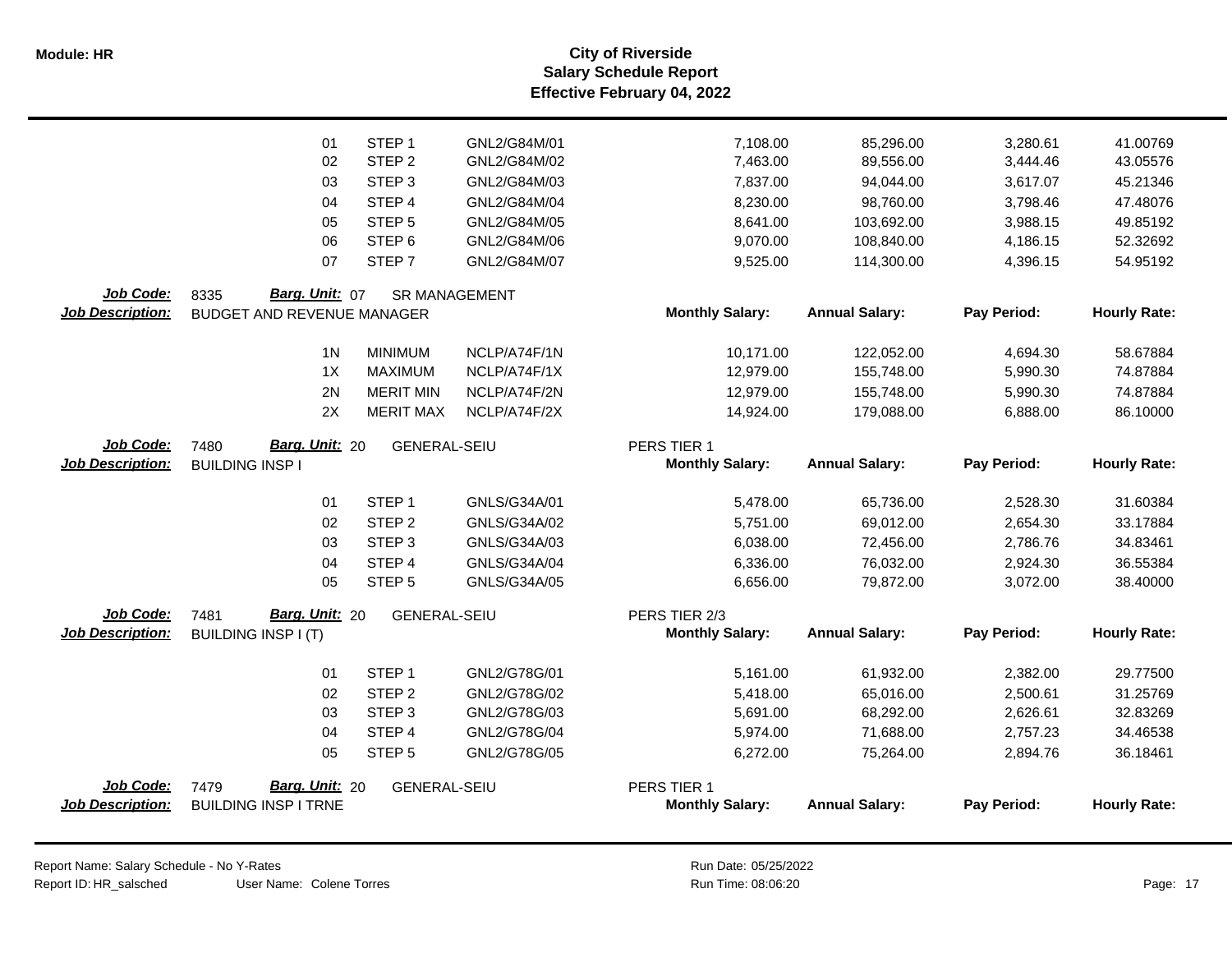|                         | 01                          | STEP <sub>1</sub>   | GNL2/G84M/01         | 7,108.00               | 85,296.00             | 3,280.61    | 41.00769            |
|-------------------------|-----------------------------|---------------------|----------------------|------------------------|-----------------------|-------------|---------------------|
|                         | 02                          | STEP <sub>2</sub>   | GNL2/G84M/02         | 7,463.00               | 89,556.00             | 3,444.46    | 43.05576            |
|                         | 03                          | STEP <sub>3</sub>   | GNL2/G84M/03         | 7,837.00               | 94,044.00             | 3,617.07    | 45.21346            |
|                         | 04                          | STEP 4              | GNL2/G84M/04         | 8,230.00               | 98,760.00             | 3,798.46    | 47.48076            |
|                         | 05                          | STEP <sub>5</sub>   | GNL2/G84M/05         | 8,641.00               | 103,692.00            | 3,988.15    | 49.85192            |
|                         | 06                          | STEP <sub>6</sub>   | GNL2/G84M/06         | 9,070.00               | 108,840.00            | 4,186.15    | 52.32692            |
|                         | 07                          | STEP <sub>7</sub>   | GNL2/G84M/07         | 9,525.00               | 114,300.00            | 4,396.15    | 54.95192            |
| Job Code:               | Barg. Unit: 07<br>8335      |                     | <b>SR MANAGEMENT</b> |                        |                       |             |                     |
| <b>Job Description:</b> | BUDGET AND REVENUE MANAGER  |                     |                      | <b>Monthly Salary:</b> | <b>Annual Salary:</b> | Pay Period: | <b>Hourly Rate:</b> |
|                         | 1 <sub>N</sub>              | <b>MINIMUM</b>      | NCLP/A74F/1N         | 10,171.00              | 122,052.00            | 4,694.30    | 58.67884            |
|                         | 1X                          | <b>MAXIMUM</b>      | NCLP/A74F/1X         | 12,979.00              | 155,748.00            | 5,990.30    | 74.87884            |
|                         | 2N                          | <b>MERIT MIN</b>    | NCLP/A74F/2N         | 12,979.00              | 155,748.00            | 5,990.30    | 74.87884            |
|                         | 2X                          | <b>MERIT MAX</b>    | NCLP/A74F/2X         | 14,924.00              | 179,088.00            | 6,888.00    | 86.10000            |
| Job Code:               | Barg. Unit: 20<br>7480      | <b>GENERAL-SEIU</b> |                      | PERS TIER 1            |                       |             |                     |
| <b>Job Description:</b> | <b>BUILDING INSP I</b>      |                     |                      | <b>Monthly Salary:</b> | <b>Annual Salary:</b> | Pay Period: | <b>Hourly Rate:</b> |
|                         | 01                          | STEP <sub>1</sub>   | GNLS/G34A/01         | 5,478.00               | 65,736.00             | 2,528.30    | 31.60384            |
|                         | 02                          | STEP <sub>2</sub>   | GNLS/G34A/02         | 5,751.00               | 69,012.00             | 2,654.30    | 33.17884            |
|                         | 03                          | STEP <sub>3</sub>   | GNLS/G34A/03         | 6,038.00               | 72,456.00             | 2,786.76    | 34.83461            |
|                         | 04                          | STEP 4              | GNLS/G34A/04         | 6,336.00               | 76,032.00             | 2,924.30    | 36.55384            |
|                         | 05                          | STEP <sub>5</sub>   | GNLS/G34A/05         | 6,656.00               | 79,872.00             | 3,072.00    | 38.40000            |
| Job Code:               | Barg. Unit: 20<br>7481      | <b>GENERAL-SEIU</b> |                      | PERS TIER 2/3          |                       |             |                     |
| <b>Job Description:</b> | <b>BUILDING INSP I (T)</b>  |                     |                      | <b>Monthly Salary:</b> | <b>Annual Salary:</b> | Pay Period: | <b>Hourly Rate:</b> |
|                         | 01                          | STEP <sub>1</sub>   | GNL2/G78G/01         | 5,161.00               | 61,932.00             | 2,382.00    | 29.77500            |
|                         | 02                          | STEP <sub>2</sub>   | GNL2/G78G/02         | 5,418.00               | 65,016.00             | 2,500.61    | 31.25769            |
|                         | 03                          | STEP <sub>3</sub>   | GNL2/G78G/03         | 5,691.00               | 68,292.00             | 2,626.61    | 32.83269            |
|                         | 04                          | STEP 4              | GNL2/G78G/04         | 5,974.00               | 71,688.00             | 2,757.23    | 34.46538            |
|                         | 05                          | STEP <sub>5</sub>   | GNL2/G78G/05         | 6,272.00               | 75,264.00             | 2,894.76    | 36.18461            |
| Job Code:               | Barg. Unit: 20<br>7479      | <b>GENERAL-SEIU</b> |                      | PERS TIER 1            |                       |             |                     |
| <b>Job Description:</b> | <b>BUILDING INSP I TRNE</b> |                     |                      | <b>Monthly Salary:</b> | <b>Annual Salary:</b> | Pay Period: | <b>Hourly Rate:</b> |
|                         |                             |                     |                      |                        |                       |             |                     |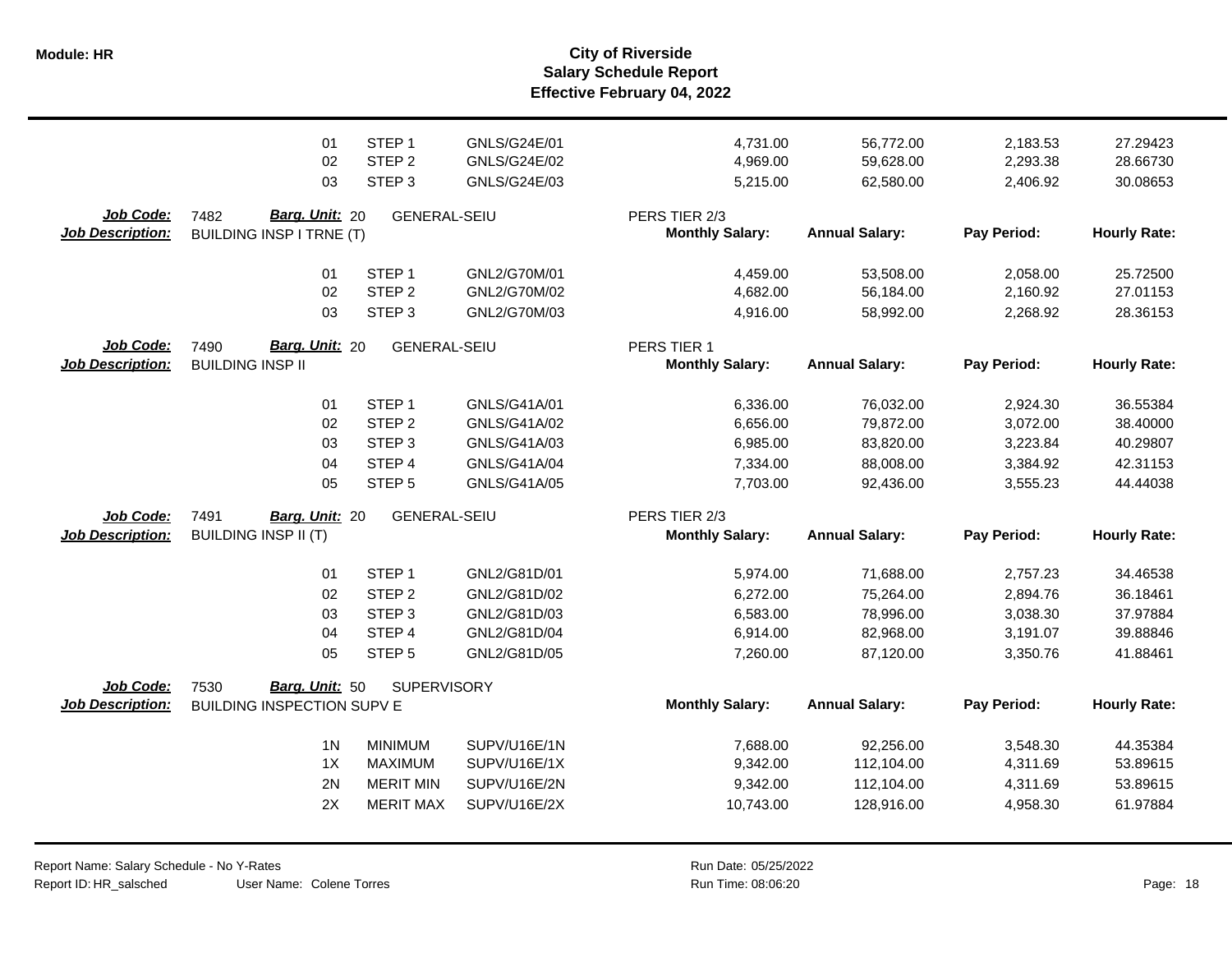**Salary Schedule Report Effective February 04, 2022 Module: HR City of Riverside**

|                                             | 01                                                          | STEP <sub>1</sub>   | GNLS/G24E/01 | 4,731.00                                | 56,772.00             | 2,183.53    | 27.29423            |
|---------------------------------------------|-------------------------------------------------------------|---------------------|--------------|-----------------------------------------|-----------------------|-------------|---------------------|
|                                             | 02                                                          | STEP <sub>2</sub>   | GNLS/G24E/02 | 4,969.00                                | 59,628.00             | 2,293.38    | 28.66730            |
|                                             | 03                                                          | STEP <sub>3</sub>   | GNLS/G24E/03 | 5,215.00                                | 62,580.00             | 2,406.92    | 30.08653            |
| <b>Job Code:</b><br><b>Job Description:</b> | Barg. Unit: 20<br>7482<br><b>BUILDING INSP I TRNE (T)</b>   | <b>GENERAL-SEIU</b> |              | PERS TIER 2/3<br><b>Monthly Salary:</b> | <b>Annual Salary:</b> | Pay Period: | <b>Hourly Rate:</b> |
|                                             | 01                                                          | STEP <sub>1</sub>   | GNL2/G70M/01 | 4,459.00                                | 53,508.00             | 2,058.00    | 25.72500            |
|                                             | 02                                                          | STEP <sub>2</sub>   | GNL2/G70M/02 | 4,682.00                                | 56,184.00             | 2,160.92    | 27.01153            |
|                                             | 03                                                          | STEP <sub>3</sub>   | GNL2/G70M/03 | 4,916.00                                | 58,992.00             | 2,268.92    | 28.36153            |
| <b>Job Code:</b><br><b>Job Description:</b> | Barg. Unit: 20<br>7490<br><b>BUILDING INSP II</b>           | <b>GENERAL-SEIU</b> |              | PERS TIER 1<br><b>Monthly Salary:</b>   | <b>Annual Salary:</b> | Pay Period: | <b>Hourly Rate:</b> |
|                                             | 01                                                          | STEP <sub>1</sub>   | GNLS/G41A/01 | 6,336.00                                | 76,032.00             | 2,924.30    | 36.55384            |
|                                             | 02                                                          | STEP <sub>2</sub>   | GNLS/G41A/02 | 6,656.00                                | 79,872.00             | 3,072.00    | 38.40000            |
|                                             | 03                                                          | STEP <sub>3</sub>   | GNLS/G41A/03 | 6,985.00                                | 83,820.00             | 3,223.84    | 40.29807            |
|                                             | 04                                                          | STEP 4              | GNLS/G41A/04 | 7,334.00                                | 88,008.00             | 3,384.92    | 42.31153            |
|                                             | 05                                                          | STEP <sub>5</sub>   | GNLS/G41A/05 | 7,703.00                                | 92,436.00             | 3,555.23    | 44.44038            |
| Job Code:<br><b>Job Description:</b>        | 7491<br>Barg. Unit: 20<br><b>BUILDING INSP II (T)</b>       | <b>GENERAL-SEIU</b> |              | PERS TIER 2/3<br><b>Monthly Salary:</b> | <b>Annual Salary:</b> | Pay Period: | <b>Hourly Rate:</b> |
|                                             | 01                                                          | STEP <sub>1</sub>   | GNL2/G81D/01 | 5,974.00                                | 71,688.00             | 2,757.23    | 34.46538            |
|                                             | 02                                                          | STEP <sub>2</sub>   | GNL2/G81D/02 | 6,272.00                                | 75,264.00             | 2,894.76    | 36.18461            |
|                                             | 03                                                          | STEP <sub>3</sub>   | GNL2/G81D/03 | 6,583.00                                | 78,996.00             | 3,038.30    | 37.97884            |
|                                             | 04                                                          | STEP 4              | GNL2/G81D/04 | 6,914.00                                | 82,968.00             | 3,191.07    | 39.88846            |
|                                             | 05                                                          | STEP <sub>5</sub>   | GNL2/G81D/05 | 7,260.00                                | 87,120.00             | 3,350.76    | 41.88461            |
| Job Code:<br><b>Job Description:</b>        | Barg. Unit: 50<br>7530<br><b>BUILDING INSPECTION SUPV E</b> | <b>SUPERVISORY</b>  |              | <b>Monthly Salary:</b>                  | <b>Annual Salary:</b> | Pay Period: | <b>Hourly Rate:</b> |
|                                             | 1 <sub>N</sub>                                              | <b>MINIMUM</b>      | SUPV/U16E/1N | 7,688.00                                | 92,256.00             | 3,548.30    | 44.35384            |
|                                             | 1X                                                          | <b>MAXIMUM</b>      | SUPV/U16E/1X | 9,342.00                                | 112,104.00            | 4,311.69    | 53.89615            |
|                                             | 2N                                                          | <b>MERIT MIN</b>    | SUPV/U16E/2N | 9,342.00                                | 112,104.00            | 4,311.69    | 53.89615            |
|                                             | 2X                                                          | <b>MERIT MAX</b>    | SUPV/U16E/2X | 10,743.00                               | 128,916.00            | 4,958.30    | 61.97884            |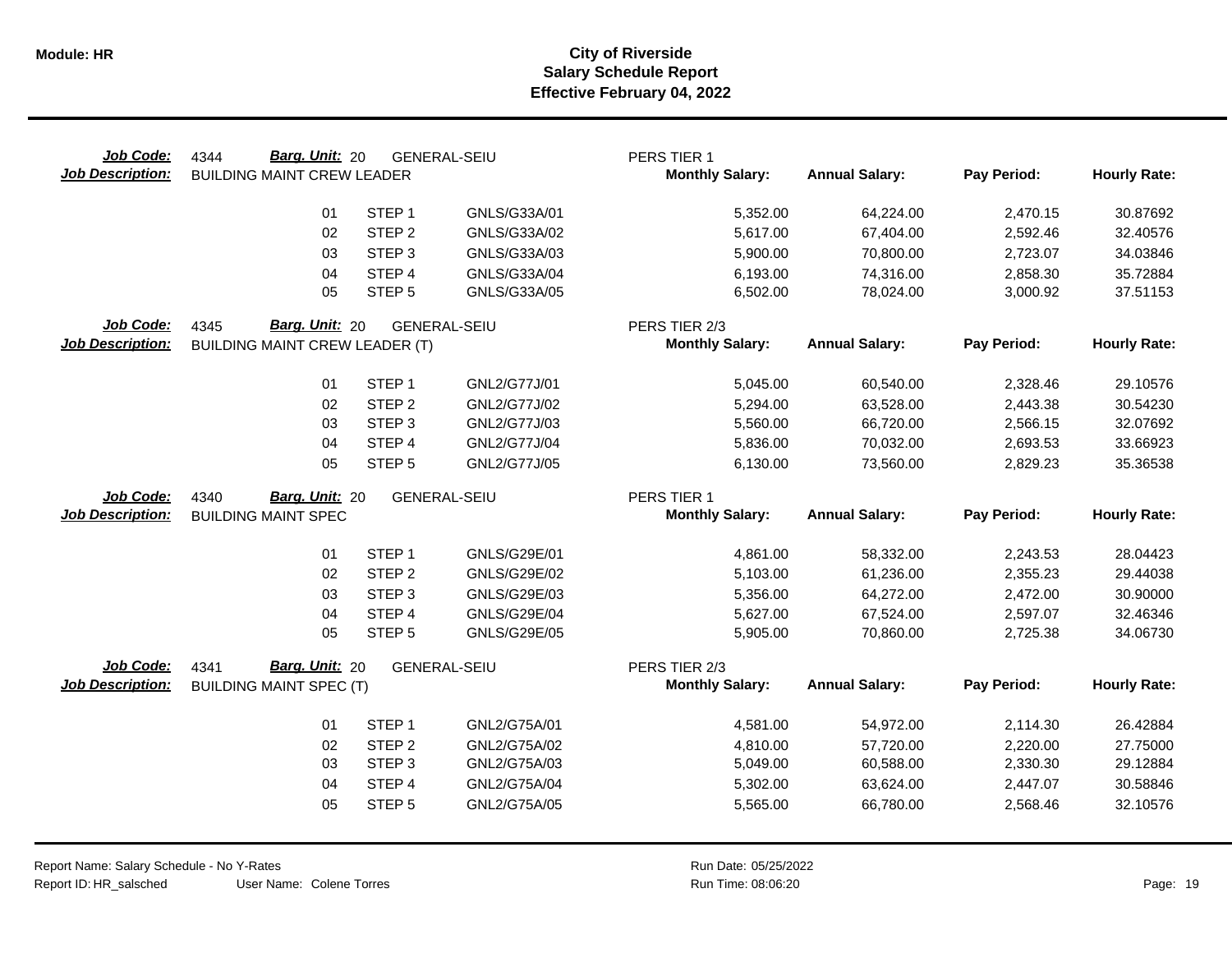| Job Code:<br><b>Job Description:</b> | Barg. Unit: 20<br>4344<br><b>BUILDING MAINT CREW LEADER</b> |                   | <b>GENERAL-SEIU</b> | PERS TIER 1<br><b>Monthly Salary:</b> | <b>Annual Salary:</b> | Pay Period: | <b>Hourly Rate:</b> |
|--------------------------------------|-------------------------------------------------------------|-------------------|---------------------|---------------------------------------|-----------------------|-------------|---------------------|
|                                      | 01                                                          | STEP <sub>1</sub> | GNLS/G33A/01        | 5,352.00                              | 64,224.00             | 2,470.15    | 30.87692            |
|                                      | 02                                                          | STEP <sub>2</sub> | GNLS/G33A/02        | 5,617.00                              | 67,404.00             | 2,592.46    | 32.40576            |
|                                      | 03                                                          | STEP <sub>3</sub> | GNLS/G33A/03        | 5,900.00                              | 70,800.00             | 2,723.07    | 34.03846            |
|                                      | 04                                                          | STEP 4            | GNLS/G33A/04        | 6,193.00                              | 74,316.00             | 2,858.30    | 35.72884            |
|                                      | 05                                                          | STEP <sub>5</sub> | GNLS/G33A/05        | 6,502.00                              | 78,024.00             | 3,000.92    | 37.51153            |
| Job Code:                            | Barg. Unit: 20<br>4345                                      |                   | <b>GENERAL-SEIU</b> | PERS TIER 2/3                         |                       |             |                     |
| <b>Job Description:</b>              | <b>BUILDING MAINT CREW LEADER (T)</b>                       |                   |                     | <b>Monthly Salary:</b>                | <b>Annual Salary:</b> | Pay Period: | <b>Hourly Rate:</b> |
|                                      | 01                                                          | STEP <sub>1</sub> | GNL2/G77J/01        | 5,045.00                              | 60,540.00             | 2,328.46    | 29.10576            |
|                                      | 02                                                          | STEP <sub>2</sub> | GNL2/G77J/02        | 5,294.00                              | 63,528.00             | 2,443.38    | 30.54230            |
|                                      | 03                                                          | STEP <sub>3</sub> | GNL2/G77J/03        | 5,560.00                              | 66,720.00             | 2,566.15    | 32.07692            |
|                                      | 04                                                          | STEP 4            | GNL2/G77J/04        | 5,836.00                              | 70,032.00             | 2,693.53    | 33.66923            |
|                                      | 05                                                          | STEP <sub>5</sub> | GNL2/G77J/05        | 6,130.00                              | 73,560.00             | 2,829.23    | 35.36538            |
| Job Code:                            | Barg. Unit: 20<br>4340                                      |                   | <b>GENERAL-SEIU</b> | PERS TIER 1                           |                       |             |                     |
| <b>Job Description:</b>              | <b>BUILDING MAINT SPEC</b>                                  |                   |                     | <b>Monthly Salary:</b>                | <b>Annual Salary:</b> | Pay Period: | <b>Hourly Rate:</b> |
|                                      |                                                             |                   |                     |                                       |                       |             |                     |
|                                      | 01                                                          | STEP <sub>1</sub> | GNLS/G29E/01        | 4,861.00                              | 58,332.00             | 2,243.53    | 28.04423            |
|                                      | 02                                                          | STEP <sub>2</sub> | GNLS/G29E/02        | 5,103.00                              | 61,236.00             | 2,355.23    | 29.44038            |
|                                      | 03                                                          | STEP <sub>3</sub> | GNLS/G29E/03        | 5,356.00                              | 64,272.00             | 2,472.00    | 30.90000            |
|                                      | 04                                                          | STEP 4            | <b>GNLS/G29E/04</b> | 5,627.00                              | 67,524.00             | 2,597.07    | 32.46346            |
|                                      | 05                                                          | STEP <sub>5</sub> | GNLS/G29E/05        | 5,905.00                              | 70,860.00             | 2,725.38    | 34.06730            |
| Job Code:                            | Barg. Unit: 20<br>4341                                      |                   | <b>GENERAL-SEIU</b> | PERS TIER 2/3                         |                       |             |                     |
| <b>Job Description:</b>              | <b>BUILDING MAINT SPEC (T)</b>                              |                   |                     | <b>Monthly Salary:</b>                | <b>Annual Salary:</b> | Pay Period: | <b>Hourly Rate:</b> |
|                                      | 01                                                          | STEP <sub>1</sub> | GNL2/G75A/01        | 4,581.00                              | 54,972.00             | 2,114.30    | 26.42884            |
|                                      | 02                                                          | STEP <sub>2</sub> | GNL2/G75A/02        | 4,810.00                              | 57,720.00             | 2,220.00    | 27.75000            |
|                                      | 03                                                          | STEP <sub>3</sub> | GNL2/G75A/03        | 5,049.00                              | 60,588.00             | 2,330.30    | 29.12884            |
|                                      | 04                                                          | STEP 4            | GNL2/G75A/04        | 5,302.00                              | 63,624.00             | 2,447.07    | 30.58846            |
|                                      | 05                                                          | STEP <sub>5</sub> | GNL2/G75A/05        | 5,565.00                              | 66,780.00             | 2,568.46    | 32.10576            |
|                                      |                                                             |                   |                     |                                       |                       |             |                     |

 $\overline{\phantom{0}}$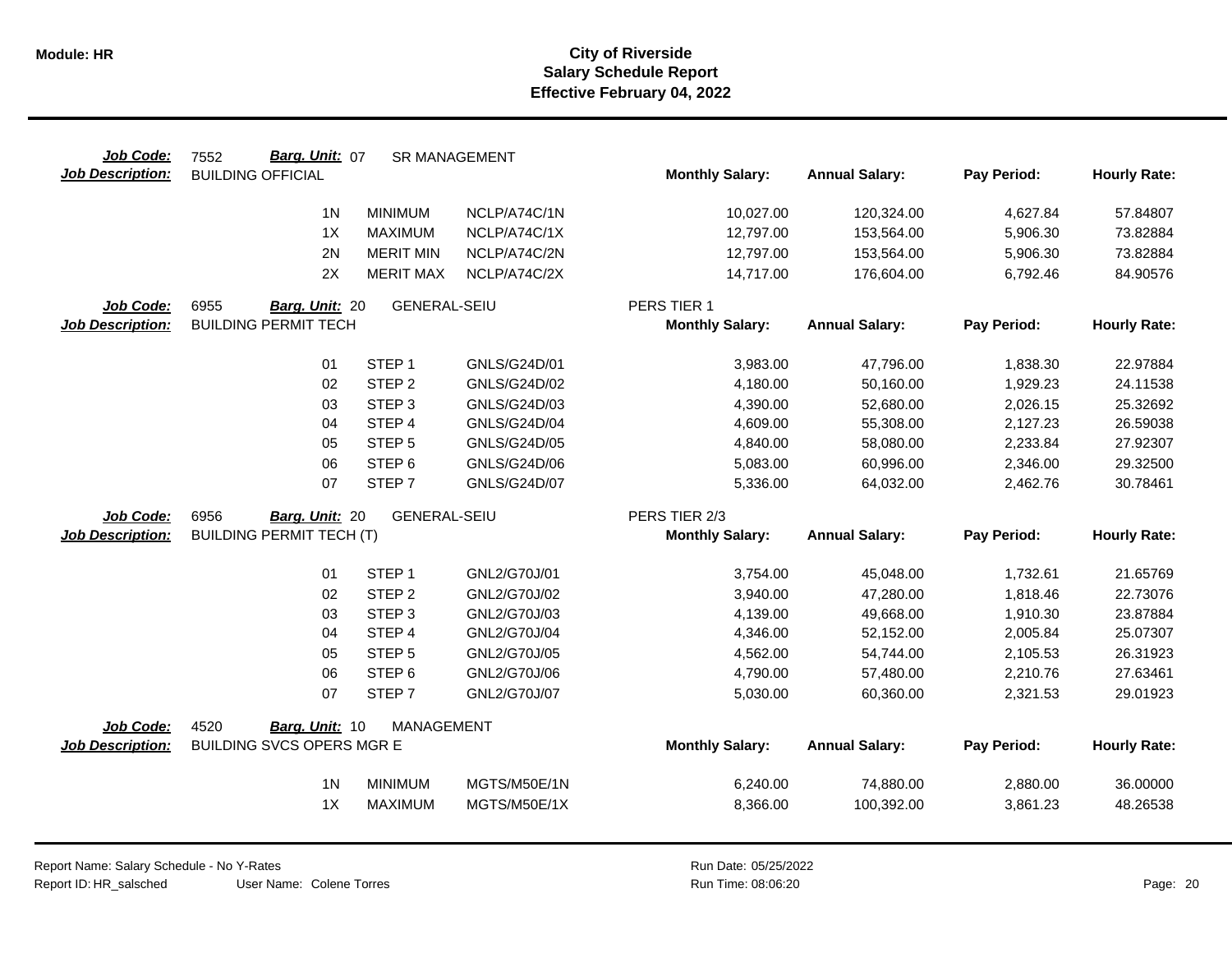| Job Code:               | Barg. Unit: 07<br>7552           |                     | <b>SR MANAGEMENT</b> |                        |                       |             |                     |
|-------------------------|----------------------------------|---------------------|----------------------|------------------------|-----------------------|-------------|---------------------|
| <b>Job Description:</b> | <b>BUILDING OFFICIAL</b>         |                     |                      | <b>Monthly Salary:</b> | <b>Annual Salary:</b> | Pay Period: | <b>Hourly Rate:</b> |
|                         | 1 <sub>N</sub>                   | <b>MINIMUM</b>      | NCLP/A74C/1N         | 10,027.00              | 120,324.00            | 4,627.84    | 57.84807            |
|                         | 1X                               | <b>MAXIMUM</b>      | NCLP/A74C/1X         | 12,797.00              | 153,564.00            | 5,906.30    | 73.82884            |
|                         | 2N                               | <b>MERIT MIN</b>    | NCLP/A74C/2N         | 12,797.00              | 153,564.00            | 5,906.30    | 73.82884            |
|                         | 2X                               | <b>MERIT MAX</b>    | NCLP/A74C/2X         | 14,717.00              | 176,604.00            | 6,792.46    | 84.90576            |
|                         |                                  |                     |                      |                        |                       |             |                     |
| Job Code:               | 6955<br>Barg. Unit: 20           | <b>GENERAL-SEIU</b> |                      | PERS TIER 1            |                       |             |                     |
| <b>Job Description:</b> | <b>BUILDING PERMIT TECH</b>      |                     |                      | <b>Monthly Salary:</b> | <b>Annual Salary:</b> | Pay Period: | <b>Hourly Rate:</b> |
|                         | 01                               | STEP <sub>1</sub>   | GNLS/G24D/01         | 3,983.00               | 47,796.00             | 1,838.30    | 22.97884            |
|                         | 02                               | STEP <sub>2</sub>   | GNLS/G24D/02         | 4,180.00               | 50,160.00             | 1,929.23    | 24.11538            |
|                         | 03                               | STEP <sub>3</sub>   | GNLS/G24D/03         | 4,390.00               | 52,680.00             | 2,026.15    | 25.32692            |
|                         | 04                               | STEP 4              | <b>GNLS/G24D/04</b>  | 4,609.00               | 55,308.00             | 2,127.23    | 26.59038            |
|                         | 05                               | STEP <sub>5</sub>   | GNLS/G24D/05         | 4,840.00               | 58,080.00             | 2,233.84    | 27.92307            |
|                         | 06                               | STEP <sub>6</sub>   | GNLS/G24D/06         | 5,083.00               | 60,996.00             | 2,346.00    | 29.32500            |
|                         | 07                               | STEP <sub>7</sub>   | <b>GNLS/G24D/07</b>  | 5,336.00               | 64,032.00             | 2,462.76    | 30.78461            |
| Job Code:               | 6956<br>Barg. Unit: 20           | <b>GENERAL-SEIU</b> |                      | PERS TIER 2/3          |                       |             |                     |
| <b>Job Description:</b> | <b>BUILDING PERMIT TECH (T)</b>  |                     |                      | <b>Monthly Salary:</b> | <b>Annual Salary:</b> | Pay Period: | <b>Hourly Rate:</b> |
|                         | 01                               | STEP <sub>1</sub>   | GNL2/G70J/01         | 3,754.00               | 45,048.00             | 1,732.61    | 21.65769            |
|                         | 02                               | STEP <sub>2</sub>   | GNL2/G70J/02         | 3,940.00               | 47,280.00             | 1,818.46    | 22.73076            |
|                         | 03                               | STEP <sub>3</sub>   | GNL2/G70J/03         | 4,139.00               | 49,668.00             | 1,910.30    | 23.87884            |
|                         | 04                               | STEP 4              | GNL2/G70J/04         | 4,346.00               | 52,152.00             | 2,005.84    | 25.07307            |
|                         | 05                               | STEP <sub>5</sub>   | GNL2/G70J/05         | 4,562.00               | 54,744.00             | 2,105.53    | 26.31923            |
|                         | 06                               | STEP 6              | GNL2/G70J/06         | 4,790.00               | 57,480.00             | 2,210.76    | 27.63461            |
|                         | 07                               | STEP <sub>7</sub>   | GNL2/G70J/07         | 5,030.00               | 60,360.00             | 2,321.53    | 29.01923            |
| Job Code:               | 4520<br><b>Barg. Unit: 10</b>    | <b>MANAGEMENT</b>   |                      |                        |                       |             |                     |
| <b>Job Description:</b> | <b>BUILDING SVCS OPERS MGR E</b> |                     |                      | <b>Monthly Salary:</b> | <b>Annual Salary:</b> | Pay Period: | <b>Hourly Rate:</b> |
|                         |                                  |                     |                      |                        |                       |             |                     |
|                         | 1 <sub>N</sub>                   | <b>MINIMUM</b>      | MGTS/M50E/1N         | 6,240.00               | 74,880.00             | 2,880.00    | 36.00000            |
|                         | 1X                               | MAXIMUM             | MGTS/M50E/1X         | 8,366.00               | 100,392.00            | 3,861.23    | 48.26538            |
|                         |                                  |                     |                      |                        |                       |             |                     |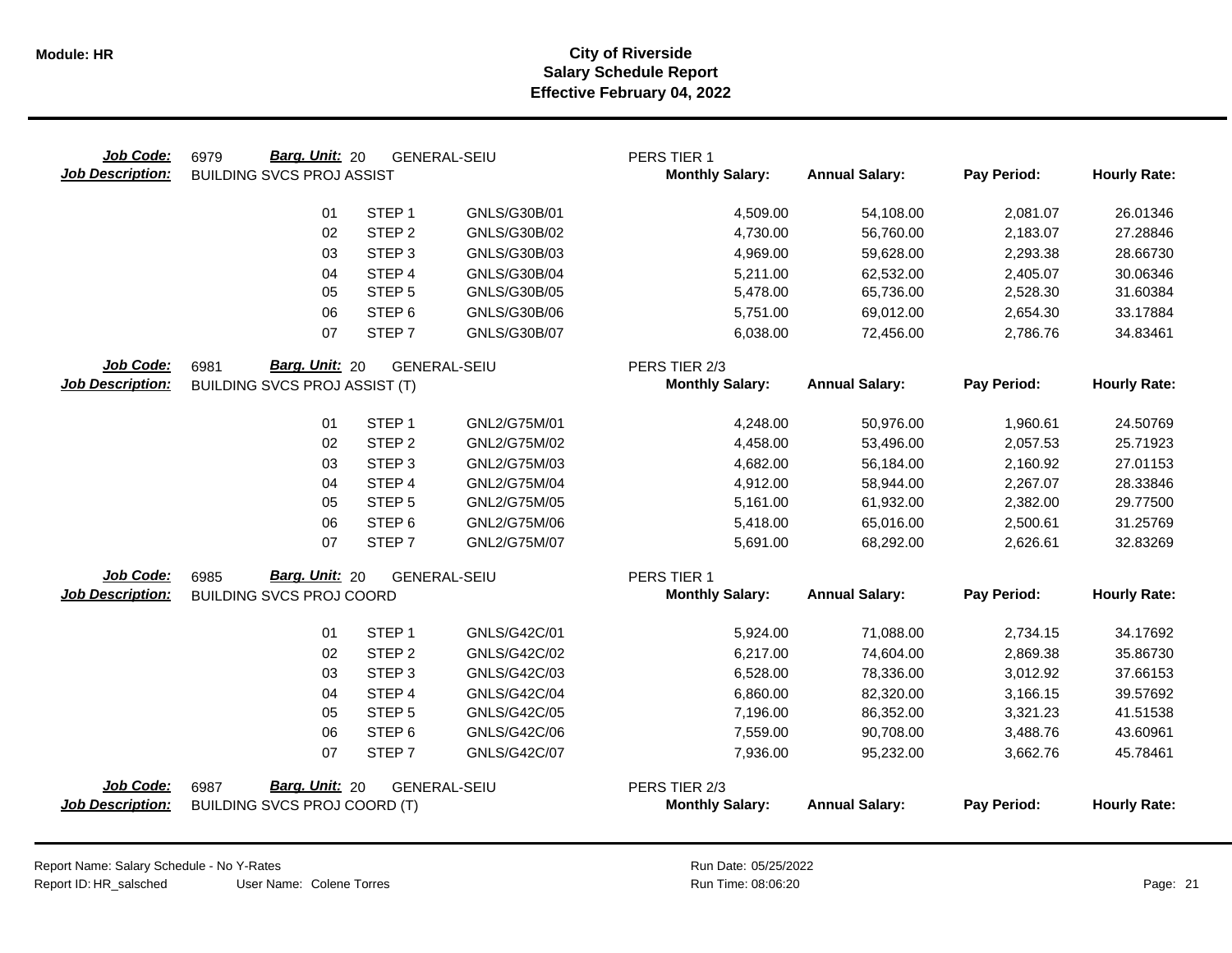| Job Code:<br><b>Job Description:</b> | Barg. Unit: 20<br>6979<br><b>BUILDING SVCS PROJ ASSIST</b> |                   | <b>GENERAL-SEIU</b> | PERS TIER 1<br><b>Monthly Salary:</b> | <b>Annual Salary:</b> | Pay Period: | <b>Hourly Rate:</b> |
|--------------------------------------|------------------------------------------------------------|-------------------|---------------------|---------------------------------------|-----------------------|-------------|---------------------|
|                                      | 01                                                         | STEP <sub>1</sub> | GNLS/G30B/01        | 4,509.00                              | 54,108.00             | 2,081.07    | 26.01346            |
|                                      | 02                                                         | STEP <sub>2</sub> | GNLS/G30B/02        | 4,730.00                              | 56,760.00             | 2,183.07    | 27.28846            |
|                                      | 03                                                         | STEP <sub>3</sub> | GNLS/G30B/03        | 4,969.00                              | 59,628.00             | 2,293.38    | 28.66730            |
|                                      | 04                                                         | STEP 4            | GNLS/G30B/04        | 5,211.00                              | 62,532.00             | 2,405.07    | 30.06346            |
|                                      | 05                                                         | STEP <sub>5</sub> | GNLS/G30B/05        | 5,478.00                              | 65,736.00             | 2,528.30    | 31.60384            |
|                                      | 06                                                         | STEP <sub>6</sub> | GNLS/G30B/06        | 5,751.00                              | 69,012.00             | 2,654.30    | 33.17884            |
|                                      | 07                                                         | STEP <sub>7</sub> | GNLS/G30B/07        | 6,038.00                              | 72,456.00             | 2,786.76    | 34.83461            |
| Job Code:                            | Barg. Unit: 20<br>6981                                     |                   | <b>GENERAL-SEIU</b> | PERS TIER 2/3                         |                       |             |                     |
| <b>Job Description:</b>              | <b>BUILDING SVCS PROJ ASSIST (T)</b>                       |                   |                     | <b>Monthly Salary:</b>                | <b>Annual Salary:</b> | Pay Period: | <b>Hourly Rate:</b> |
|                                      | 01                                                         | STEP <sub>1</sub> | GNL2/G75M/01        | 4,248.00                              | 50,976.00             | 1,960.61    | 24.50769            |
|                                      | 02                                                         | STEP <sub>2</sub> | GNL2/G75M/02        | 4,458.00                              | 53,496.00             | 2,057.53    | 25.71923            |
|                                      | 03                                                         | STEP <sub>3</sub> | GNL2/G75M/03        | 4,682.00                              | 56,184.00             | 2,160.92    | 27.01153            |
|                                      | 04                                                         | STEP 4            | GNL2/G75M/04        | 4,912.00                              | 58,944.00             | 2,267.07    | 28.33846            |
|                                      | 05                                                         | STEP <sub>5</sub> | GNL2/G75M/05        | 5,161.00                              | 61,932.00             | 2,382.00    | 29.77500            |
|                                      | 06                                                         | STEP <sub>6</sub> | GNL2/G75M/06        | 5,418.00                              | 65,016.00             | 2,500.61    | 31.25769            |
|                                      | 07                                                         | STEP <sub>7</sub> | GNL2/G75M/07        | 5,691.00                              | 68,292.00             | 2,626.61    | 32.83269            |
| Job Code:                            | Barg. Unit: 20<br>6985                                     |                   | <b>GENERAL-SEIU</b> | PERS TIER 1                           |                       |             |                     |
| <b>Job Description:</b>              | <b>BUILDING SVCS PROJ COORD</b>                            |                   |                     | <b>Monthly Salary:</b>                | <b>Annual Salary:</b> | Pay Period: | <b>Hourly Rate:</b> |
|                                      | 01                                                         | STEP <sub>1</sub> | GNLS/G42C/01        | 5,924.00                              | 71,088.00             | 2,734.15    | 34.17692            |
|                                      | 02                                                         | STEP <sub>2</sub> | GNLS/G42C/02        | 6,217.00                              | 74,604.00             | 2,869.38    | 35.86730            |
|                                      | 03                                                         | STEP <sub>3</sub> | GNLS/G42C/03        | 6,528.00                              | 78,336.00             | 3,012.92    | 37.66153            |
|                                      | 04                                                         | STEP 4            | GNLS/G42C/04        | 6,860.00                              | 82,320.00             | 3,166.15    | 39.57692            |
|                                      | 05                                                         | STEP <sub>5</sub> | GNLS/G42C/05        | 7,196.00                              | 86,352.00             | 3,321.23    | 41.51538            |
|                                      | 06                                                         | STEP <sub>6</sub> | GNLS/G42C/06        | 7,559.00                              | 90,708.00             | 3,488.76    | 43.60961            |
|                                      | 07                                                         | STEP <sub>7</sub> | GNLS/G42C/07        | 7,936.00                              | 95,232.00             | 3,662.76    | 45.78461            |
| Job Code:                            | Barg. Unit: 20<br>6987                                     |                   | <b>GENERAL-SEIU</b> | PERS TIER 2/3                         |                       |             |                     |
| <b>Job Description:</b>              | <b>BUILDING SVCS PROJ COORD (T)</b>                        |                   |                     | <b>Monthly Salary:</b>                | <b>Annual Salary:</b> | Pay Period: | <b>Hourly Rate:</b> |
|                                      |                                                            |                   |                     |                                       |                       |             |                     |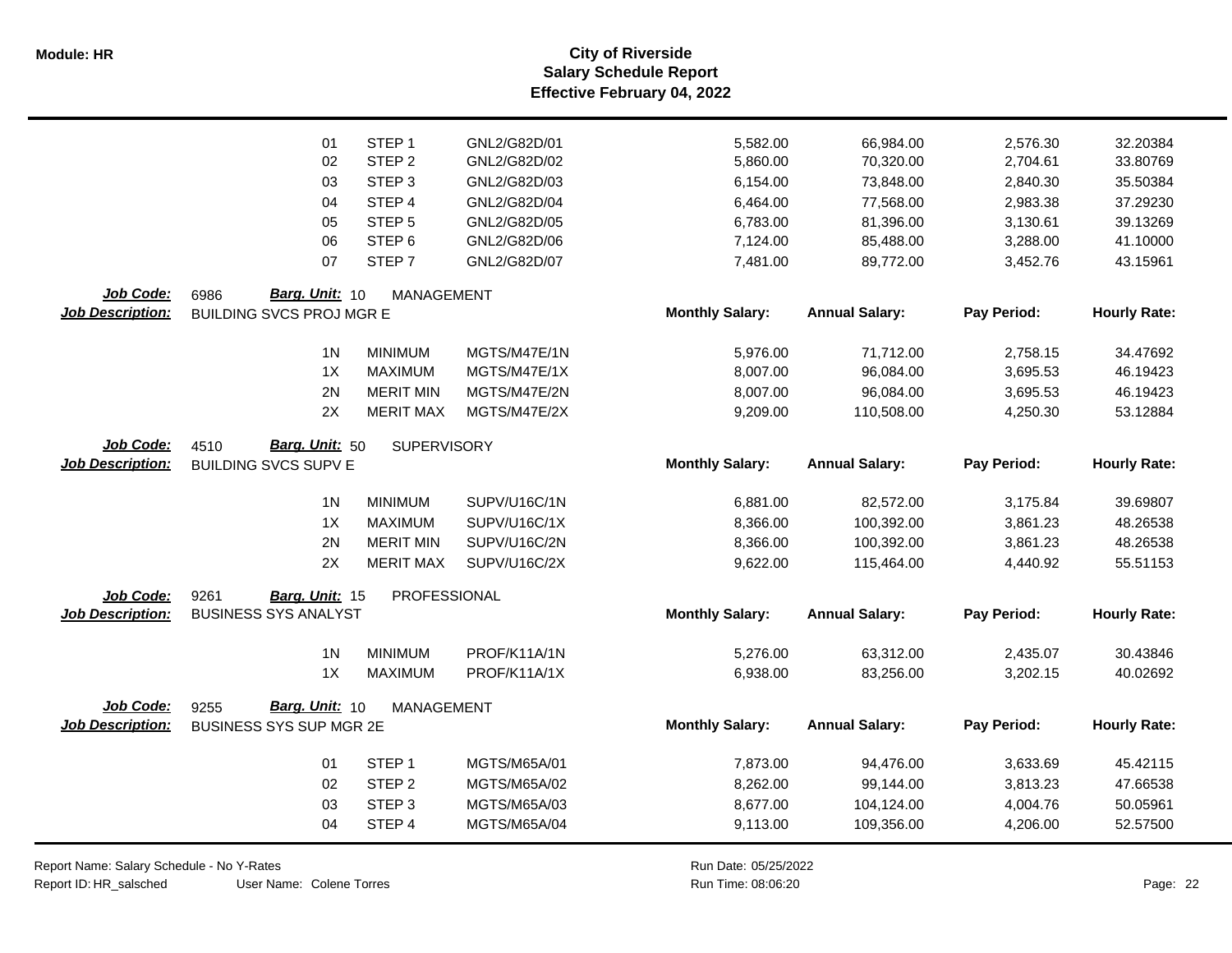|                         | 01                                                        | STEP <sub>1</sub>  | GNL2/G82D/01 | 5,582.00               | 66,984.00             | 2,576.30    | 32.20384            |
|-------------------------|-----------------------------------------------------------|--------------------|--------------|------------------------|-----------------------|-------------|---------------------|
|                         | 02                                                        | STEP <sub>2</sub>  | GNL2/G82D/02 | 5,860.00               | 70,320.00             | 2,704.61    | 33.80769            |
|                         | 03                                                        | STEP <sub>3</sub>  | GNL2/G82D/03 | 6,154.00               | 73,848.00             | 2,840.30    | 35.50384            |
|                         | 04                                                        | STEP 4             | GNL2/G82D/04 | 6,464.00               | 77,568.00             | 2,983.38    | 37.29230            |
|                         | 05                                                        | STEP <sub>5</sub>  | GNL2/G82D/05 | 6,783.00               | 81,396.00             | 3,130.61    | 39.13269            |
|                         | 06                                                        | STEP <sub>6</sub>  | GNL2/G82D/06 | 7,124.00               | 85,488.00             | 3,288.00    | 41.10000            |
|                         | 07                                                        | STEP <sub>7</sub>  | GNL2/G82D/07 | 7,481.00               | 89,772.00             | 3,452.76    | 43.15961            |
| Job Code:               |                                                           |                    |              |                        |                       |             |                     |
| <b>Job Description:</b> | Barg. Unit: 10<br>6986<br><b>BUILDING SVCS PROJ MGR E</b> | <b>MANAGEMENT</b>  |              | <b>Monthly Salary:</b> | <b>Annual Salary:</b> | Pay Period: | <b>Hourly Rate:</b> |
|                         |                                                           |                    |              |                        |                       |             |                     |
|                         | 1 <sub>N</sub>                                            | <b>MINIMUM</b>     | MGTS/M47E/1N | 5,976.00               | 71,712.00             | 2,758.15    | 34.47692            |
|                         | 1X                                                        | <b>MAXIMUM</b>     | MGTS/M47E/1X | 8,007.00               | 96,084.00             | 3,695.53    | 46.19423            |
|                         | 2N                                                        | <b>MERIT MIN</b>   | MGTS/M47E/2N | 8,007.00               | 96,084.00             | 3,695.53    | 46.19423            |
|                         | 2X                                                        | <b>MERIT MAX</b>   | MGTS/M47E/2X | 9,209.00               | 110,508.00            | 4,250.30    | 53.12884            |
| Job Code:               | Barg. Unit: 50<br>4510                                    | <b>SUPERVISORY</b> |              |                        |                       |             |                     |
| <b>Job Description:</b> | <b>BUILDING SVCS SUPV E</b>                               |                    |              | <b>Monthly Salary:</b> | <b>Annual Salary:</b> | Pay Period: | <b>Hourly Rate:</b> |
|                         |                                                           |                    |              |                        |                       |             |                     |
|                         | 1 <sub>N</sub>                                            | <b>MINIMUM</b>     | SUPV/U16C/1N | 6,881.00               | 82,572.00             | 3,175.84    | 39.69807            |
|                         | 1X                                                        | <b>MAXIMUM</b>     | SUPV/U16C/1X | 8,366.00               | 100,392.00            | 3,861.23    | 48.26538            |
|                         | 2N                                                        | <b>MERIT MIN</b>   | SUPV/U16C/2N | 8,366.00               | 100,392.00            | 3,861.23    | 48.26538            |
|                         | 2X                                                        | <b>MERIT MAX</b>   | SUPV/U16C/2X | 9,622.00               | 115,464.00            | 4,440.92    | 55.51153            |
| Job Code:               | 9261<br>Barg. Unit: 15                                    | PROFESSIONAL       |              |                        |                       |             |                     |
| <b>Job Description:</b> | <b>BUSINESS SYS ANALYST</b>                               |                    |              | <b>Monthly Salary:</b> | <b>Annual Salary:</b> | Pay Period: | <b>Hourly Rate:</b> |
|                         |                                                           |                    |              |                        |                       |             |                     |
|                         | 1 <sub>N</sub>                                            | <b>MINIMUM</b>     | PROF/K11A/1N | 5,276.00               | 63,312.00             | 2,435.07    | 30.43846            |
|                         | 1X                                                        | <b>MAXIMUM</b>     | PROF/K11A/1X | 6,938.00               | 83,256.00             | 3,202.15    | 40.02692            |
| Job Code:               | Barg. Unit: 10<br>9255                                    | <b>MANAGEMENT</b>  |              |                        |                       |             |                     |
| <b>Job Description:</b> | BUSINESS SYS SUP MGR 2E                                   |                    |              | <b>Monthly Salary:</b> | <b>Annual Salary:</b> | Pay Period: | <b>Hourly Rate:</b> |
|                         |                                                           |                    |              |                        |                       |             |                     |
|                         | 01                                                        | STEP <sub>1</sub>  | MGTS/M65A/01 | 7,873.00               | 94,476.00             | 3,633.69    | 45.42115            |
|                         | 02                                                        | STEP <sub>2</sub>  | MGTS/M65A/02 | 8,262.00               | 99,144.00             | 3,813.23    | 47.66538            |
|                         | 03                                                        | STEP <sub>3</sub>  | MGTS/M65A/03 | 8,677.00               | 104,124.00            | 4,004.76    | 50.05961            |
|                         | 04                                                        | STEP 4             | MGTS/M65A/04 | 9,113.00               | 109,356.00            | 4,206.00    | 52.57500            |
|                         |                                                           |                    |              |                        |                       |             |                     |

Report Name: Salary Schedule - No Y-Rates Report ID: HR\_salsched

 $\overline{\phantom{0}}$ 

User Name: Colene Torres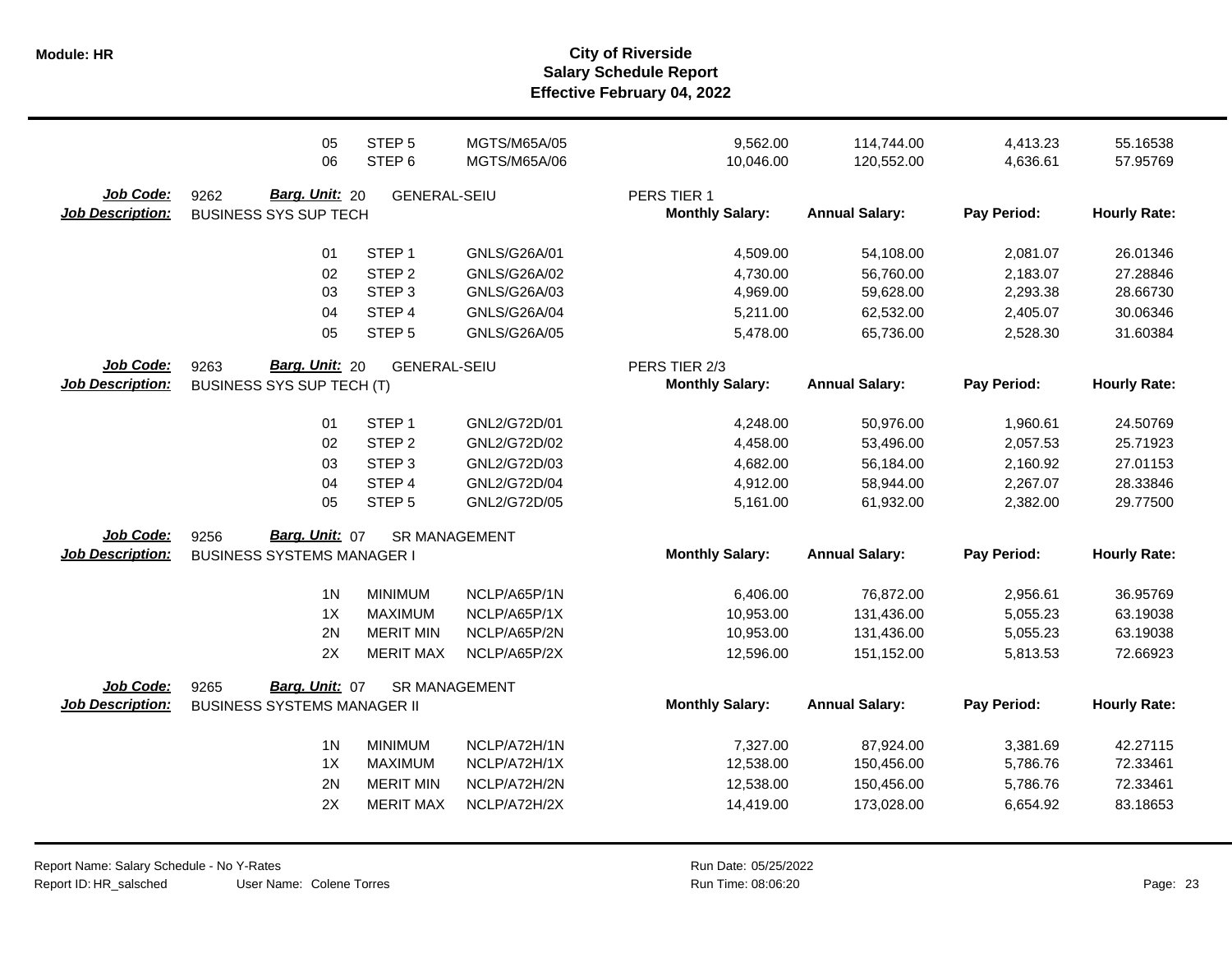**Salary Schedule Report Effective February 04, 2022 Module: HR City of Riverside**

|                         | 05<br>06                           | STEP <sub>5</sub><br>STEP <sub>6</sub> | MGTS/M65A/05<br>MGTS/M65A/06 | 9,562.00<br>10,046.00  | 114,744.00<br>120,552.00 | 4,413.23<br>4,636.61 | 55.16538<br>57.95769 |
|-------------------------|------------------------------------|----------------------------------------|------------------------------|------------------------|--------------------------|----------------------|----------------------|
| Job Code:               | Barg. Unit: 20<br>9262             | <b>GENERAL-SEIU</b>                    |                              | PERS TIER 1            |                          |                      |                      |
| <b>Job Description:</b> | <b>BUSINESS SYS SUP TECH</b>       |                                        |                              | <b>Monthly Salary:</b> | <b>Annual Salary:</b>    | Pay Period:          | <b>Hourly Rate:</b>  |
|                         | 01                                 | STEP <sub>1</sub>                      | GNLS/G26A/01                 | 4,509.00               | 54,108.00                | 2,081.07             | 26.01346             |
|                         | 02                                 | STEP <sub>2</sub>                      | GNLS/G26A/02                 | 4,730.00               | 56,760.00                | 2,183.07             | 27.28846             |
|                         | 03                                 | STEP <sub>3</sub>                      | GNLS/G26A/03                 | 4,969.00               | 59,628.00                | 2,293.38             | 28.66730             |
|                         | 04                                 | STEP 4                                 | GNLS/G26A/04                 | 5,211.00               | 62,532.00                | 2,405.07             | 30.06346             |
|                         | 05                                 | STEP <sub>5</sub>                      | GNLS/G26A/05                 | 5,478.00               | 65,736.00                | 2,528.30             | 31.60384             |
| Job Code:               | Barg. Unit: 20<br>9263             | <b>GENERAL-SEIU</b>                    |                              | PERS TIER 2/3          |                          |                      |                      |
| <b>Job Description:</b> | BUSINESS SYS SUP TECH (T)          |                                        |                              | <b>Monthly Salary:</b> | <b>Annual Salary:</b>    | Pay Period:          | <b>Hourly Rate:</b>  |
|                         | 01                                 | STEP <sub>1</sub>                      | GNL2/G72D/01                 | 4,248.00               | 50,976.00                | 1,960.61             | 24.50769             |
|                         | 02                                 | STEP <sub>2</sub>                      | GNL2/G72D/02                 | 4,458.00               | 53,496.00                | 2,057.53             | 25.71923             |
|                         | 03                                 | STEP <sub>3</sub>                      | GNL2/G72D/03                 | 4,682.00               | 56,184.00                | 2,160.92             | 27.01153             |
|                         | 04                                 | STEP 4                                 | GNL2/G72D/04                 | 4,912.00               | 58,944.00                | 2,267.07             | 28.33846             |
|                         | 05                                 | STEP <sub>5</sub>                      | GNL2/G72D/05                 | 5,161.00               | 61,932.00                | 2,382.00             | 29.77500             |
| Job Code:               | Barg. Unit: 07<br>9256             |                                        | <b>SR MANAGEMENT</b>         |                        |                          |                      |                      |
| <b>Job Description:</b> | <b>BUSINESS SYSTEMS MANAGER I</b>  |                                        |                              | <b>Monthly Salary:</b> | <b>Annual Salary:</b>    | Pay Period:          | <b>Hourly Rate:</b>  |
|                         | 1 <sub>N</sub>                     | <b>MINIMUM</b>                         | NCLP/A65P/1N                 | 6,406.00               | 76,872.00                | 2,956.61             | 36.95769             |
|                         | 1X                                 | <b>MAXIMUM</b>                         | NCLP/A65P/1X                 | 10,953.00              | 131,436.00               | 5,055.23             | 63.19038             |
|                         | 2N                                 | <b>MERIT MIN</b>                       | NCLP/A65P/2N                 | 10,953.00              | 131,436.00               | 5,055.23             | 63.19038             |
|                         | 2X                                 | <b>MERIT MAX</b>                       | NCLP/A65P/2X                 | 12,596.00              | 151,152.00               | 5,813.53             | 72.66923             |
| <b>Job Code:</b>        | Barg. Unit: 07<br>9265             |                                        | SR MANAGEMENT                |                        |                          |                      |                      |
| <b>Job Description:</b> | <b>BUSINESS SYSTEMS MANAGER II</b> |                                        |                              | <b>Monthly Salary:</b> | <b>Annual Salary:</b>    | Pay Period:          | <b>Hourly Rate:</b>  |
|                         | 1 <sub>N</sub>                     | <b>MINIMUM</b>                         | NCLP/A72H/1N                 | 7,327.00               | 87,924.00                | 3,381.69             | 42.27115             |
|                         | 1X                                 | <b>MAXIMUM</b>                         | NCLP/A72H/1X                 | 12,538.00              | 150,456.00               | 5,786.76             | 72.33461             |
|                         | 2N                                 | <b>MERIT MIN</b>                       | NCLP/A72H/2N                 | 12,538.00              | 150,456.00               | 5,786.76             | 72.33461             |
|                         | 2X                                 | <b>MERIT MAX</b>                       | NCLP/A72H/2X                 | 14,419.00              | 173,028.00               | 6,654.92             | 83.18653             |
|                         |                                    |                                        |                              |                        |                          |                      |                      |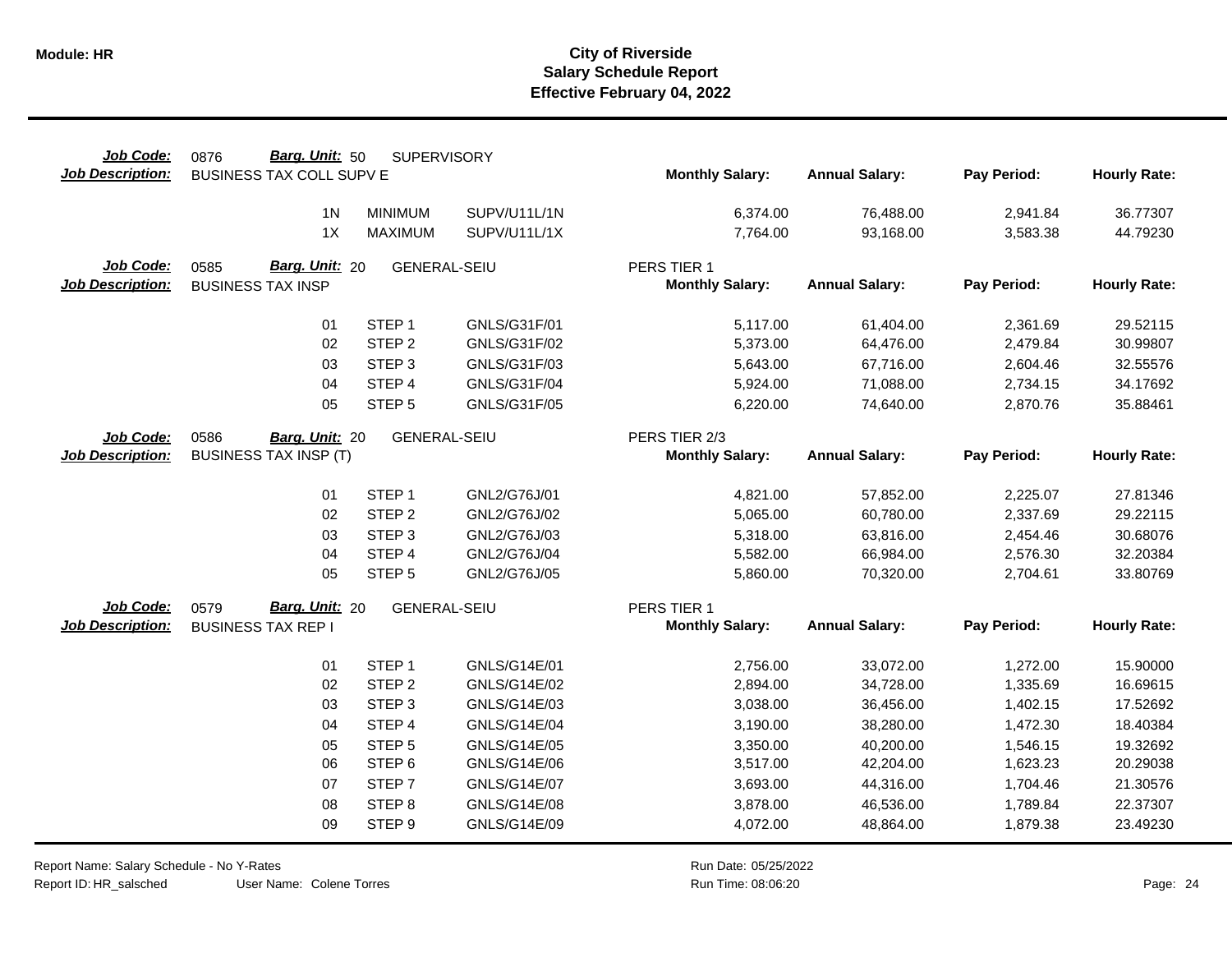| Job Code:                            | Barg. Unit: 50<br>0876                             | <b>SUPERVISORY</b>  |                     |                                       |                       |             |                     |
|--------------------------------------|----------------------------------------------------|---------------------|---------------------|---------------------------------------|-----------------------|-------------|---------------------|
| <b>Job Description:</b>              | BUSINESS TAX COLL SUPV E                           |                     |                     | <b>Monthly Salary:</b>                | <b>Annual Salary:</b> | Pay Period: | <b>Hourly Rate:</b> |
|                                      | 1 <sub>N</sub>                                     | <b>MINIMUM</b>      | SUPV/U11L/1N        | 6,374.00                              | 76,488.00             | 2,941.84    | 36.77307            |
|                                      | 1X                                                 | <b>MAXIMUM</b>      | SUPV/U11L/1X        | 7,764.00                              | 93,168.00             | 3,583.38    | 44.79230            |
|                                      |                                                    |                     |                     |                                       |                       |             |                     |
| Job Code:<br><b>Job Description:</b> | Barg. Unit: 20<br>0585<br><b>BUSINESS TAX INSP</b> | <b>GENERAL-SEIU</b> |                     | PERS TIER 1<br><b>Monthly Salary:</b> | <b>Annual Salary:</b> | Pay Period: | <b>Hourly Rate:</b> |
|                                      |                                                    |                     |                     |                                       |                       |             |                     |
|                                      | 01                                                 | STEP <sub>1</sub>   | GNLS/G31F/01        | 5,117.00                              | 61,404.00             | 2,361.69    | 29.52115            |
|                                      | 02                                                 | STEP <sub>2</sub>   | GNLS/G31F/02        | 5,373.00                              | 64,476.00             | 2,479.84    | 30.99807            |
|                                      | 03                                                 | STEP <sub>3</sub>   | GNLS/G31F/03        | 5,643.00                              | 67,716.00             | 2,604.46    | 32.55576            |
|                                      | 04                                                 | STEP 4              | GNLS/G31F/04        | 5,924.00                              | 71,088.00             | 2,734.15    | 34.17692            |
|                                      | 05                                                 | STEP <sub>5</sub>   | GNLS/G31F/05        | 6,220.00                              | 74,640.00             | 2,870.76    | 35.88461            |
| Job Code:                            | 0586<br>Barg. Unit: 20                             | <b>GENERAL-SEIU</b> |                     | PERS TIER 2/3                         |                       |             |                     |
| <b>Job Description:</b>              | <b>BUSINESS TAX INSP (T)</b>                       |                     |                     | <b>Monthly Salary:</b>                | <b>Annual Salary:</b> | Pay Period: | <b>Hourly Rate:</b> |
|                                      |                                                    |                     |                     |                                       |                       |             |                     |
|                                      | 01                                                 | STEP <sub>1</sub>   | GNL2/G76J/01        | 4,821.00                              | 57,852.00             | 2,225.07    | 27.81346            |
|                                      | 02                                                 | STEP <sub>2</sub>   | GNL2/G76J/02        | 5,065.00                              | 60,780.00             | 2,337.69    | 29.22115            |
|                                      | 03                                                 | STEP <sub>3</sub>   | GNL2/G76J/03        | 5,318.00                              | 63,816.00             | 2,454.46    | 30.68076            |
|                                      | 04                                                 | STEP 4              | GNL2/G76J/04        | 5,582.00                              | 66,984.00             | 2,576.30    | 32.20384            |
|                                      | 05                                                 | STEP <sub>5</sub>   | GNL2/G76J/05        | 5,860.00                              | 70,320.00             | 2,704.61    | 33.80769            |
| Job Code:                            | Barg. Unit: 20<br>0579                             | <b>GENERAL-SEIU</b> |                     | PERS TIER 1                           |                       |             |                     |
| <b>Job Description:</b>              | <b>BUSINESS TAX REP I</b>                          |                     |                     | <b>Monthly Salary:</b>                | <b>Annual Salary:</b> | Pay Period: | <b>Hourly Rate:</b> |
|                                      | 01                                                 | STEP <sub>1</sub>   | GNLS/G14E/01        | 2,756.00                              | 33,072.00             | 1,272.00    | 15.90000            |
|                                      | 02                                                 | STEP <sub>2</sub>   | GNLS/G14E/02        | 2,894.00                              | 34,728.00             | 1,335.69    | 16.69615            |
|                                      | 03                                                 | STEP <sub>3</sub>   | GNLS/G14E/03        | 3,038.00                              | 36,456.00             | 1,402.15    | 17.52692            |
|                                      | 04                                                 | STEP 4              | <b>GNLS/G14E/04</b> | 3,190.00                              | 38,280.00             | 1,472.30    | 18.40384            |
|                                      | 05                                                 | STEP <sub>5</sub>   | <b>GNLS/G14E/05</b> | 3,350.00                              | 40,200.00             | 1,546.15    | 19.32692            |
|                                      | 06                                                 | STEP <sub>6</sub>   | GNLS/G14E/06        | 3,517.00                              | 42,204.00             | 1,623.23    | 20.29038            |
|                                      | 07                                                 | STEP <sub>7</sub>   | <b>GNLS/G14E/07</b> | 3,693.00                              | 44,316.00             | 1,704.46    | 21.30576            |
|                                      | 08                                                 | STEP <sub>8</sub>   | <b>GNLS/G14E/08</b> | 3,878.00                              | 46,536.00             | 1,789.84    | 22.37307            |
|                                      | 09                                                 | STEP <sub>9</sub>   | GNLS/G14E/09        | 4,072.00                              | 48,864.00             | 1,879.38    | 23.49230            |

Report Name: Salary Schedule - No Y-Rates Report ID: HR\_salsched

 $\overline{\phantom{0}}$ 

User Name: Colene Torres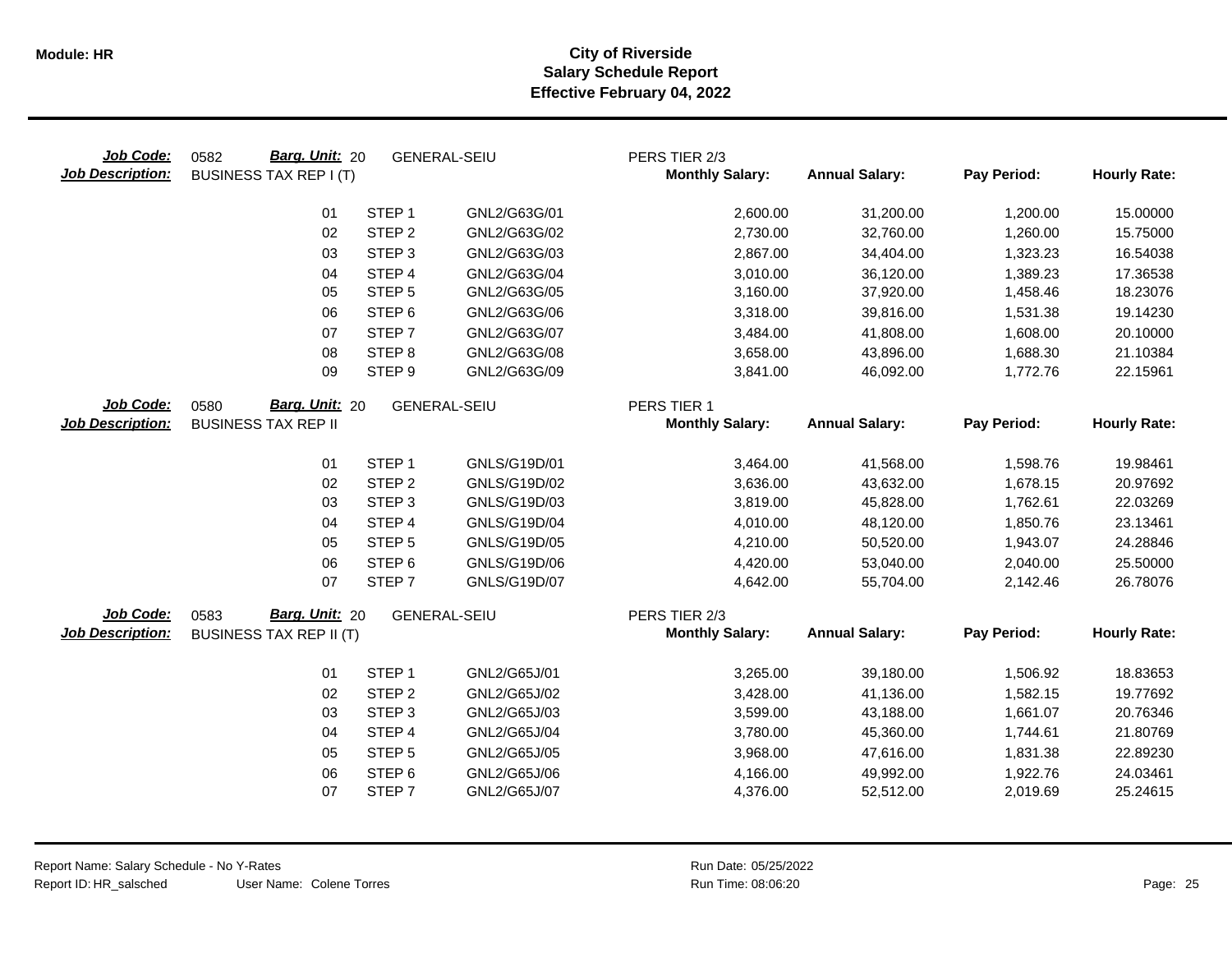| Job Code:<br><b>Job Description:</b> | Barg. Unit: 20<br>0582<br><b>BUSINESS TAX REP I (T)</b> |                   | <b>GENERAL-SEIU</b> | PERS TIER 2/3<br><b>Monthly Salary:</b> | <b>Annual Salary:</b> | Pay Period: | <b>Hourly Rate:</b> |
|--------------------------------------|---------------------------------------------------------|-------------------|---------------------|-----------------------------------------|-----------------------|-------------|---------------------|
|                                      | 01                                                      | STEP <sub>1</sub> | GNL2/G63G/01        | 2,600.00                                | 31,200.00             | 1,200.00    | 15.00000            |
|                                      | 02                                                      | STEP <sub>2</sub> | GNL2/G63G/02        | 2,730.00                                | 32,760.00             | 1,260.00    | 15.75000            |
|                                      | 03                                                      | STEP <sub>3</sub> | GNL2/G63G/03        | 2,867.00                                | 34,404.00             | 1,323.23    | 16.54038            |
|                                      | 04                                                      | STEP 4            | GNL2/G63G/04        | 3,010.00                                | 36,120.00             | 1,389.23    | 17.36538            |
|                                      | 05                                                      | STEP <sub>5</sub> | GNL2/G63G/05        | 3,160.00                                | 37,920.00             | 1,458.46    | 18.23076            |
|                                      | 06                                                      | STEP <sub>6</sub> | GNL2/G63G/06        | 3,318.00                                | 39,816.00             | 1,531.38    | 19.14230            |
|                                      | 07                                                      | STEP <sub>7</sub> | GNL2/G63G/07        | 3,484.00                                | 41,808.00             | 1,608.00    | 20.10000            |
|                                      | 08                                                      | STEP <sub>8</sub> | GNL2/G63G/08        | 3,658.00                                | 43,896.00             | 1,688.30    | 21.10384            |
|                                      | 09                                                      | STEP <sub>9</sub> | GNL2/G63G/09        | 3,841.00                                | 46,092.00             | 1,772.76    | 22.15961            |
| Job Code:                            | 0580<br>Barg. Unit: 20                                  |                   | <b>GENERAL-SEIU</b> | PERS TIER 1                             |                       |             |                     |
| <b>Job Description:</b>              | <b>BUSINESS TAX REP II</b>                              |                   |                     | <b>Monthly Salary:</b>                  | <b>Annual Salary:</b> | Pay Period: | <b>Hourly Rate:</b> |
|                                      | 01                                                      | STEP <sub>1</sub> | GNLS/G19D/01        | 3,464.00                                | 41,568.00             | 1,598.76    | 19.98461            |
|                                      | 02                                                      | STEP <sub>2</sub> | GNLS/G19D/02        | 3,636.00                                | 43,632.00             | 1,678.15    | 20.97692            |
|                                      | 03                                                      | STEP <sub>3</sub> | GNLS/G19D/03        | 3,819.00                                | 45,828.00             | 1,762.61    | 22.03269            |
|                                      | 04                                                      | STEP 4            | GNLS/G19D/04        | 4,010.00                                | 48,120.00             | 1,850.76    | 23.13461            |
|                                      | 05                                                      | STEP <sub>5</sub> | GNLS/G19D/05        | 4,210.00                                | 50,520.00             | 1,943.07    | 24.28846            |
|                                      | 06                                                      | STEP <sub>6</sub> | GNLS/G19D/06        | 4,420.00                                | 53,040.00             | 2,040.00    | 25.50000            |
|                                      | 07                                                      | STEP <sub>7</sub> | GNLS/G19D/07        | 4,642.00                                | 55,704.00             | 2,142.46    | 26.78076            |
| Job Code:                            | Barg. Unit: 20<br>0583                                  |                   | <b>GENERAL-SEIU</b> | PERS TIER 2/3                           |                       |             |                     |
| <b>Job Description:</b>              | <b>BUSINESS TAX REP II (T)</b>                          |                   |                     | <b>Monthly Salary:</b>                  | <b>Annual Salary:</b> | Pay Period: | <b>Hourly Rate:</b> |
|                                      | 01                                                      | STEP <sub>1</sub> | GNL2/G65J/01        | 3,265.00                                | 39,180.00             | 1,506.92    | 18.83653            |
|                                      | 02                                                      | STEP <sub>2</sub> | GNL2/G65J/02        | 3,428.00                                | 41,136.00             | 1,582.15    | 19.77692            |
|                                      | 03                                                      | STEP <sub>3</sub> | GNL2/G65J/03        | 3,599.00                                | 43,188.00             | 1,661.07    | 20.76346            |
|                                      | 04                                                      | STEP 4            | GNL2/G65J/04        | 3,780.00                                | 45,360.00             | 1,744.61    | 21.80769            |
|                                      | 05                                                      | STEP <sub>5</sub> | GNL2/G65J/05        | 3,968.00                                | 47,616.00             | 1,831.38    | 22.89230            |
|                                      | 06                                                      | STEP <sub>6</sub> | GNL2/G65J/06        | 4,166.00                                | 49,992.00             | 1,922.76    | 24.03461            |
|                                      | 07                                                      | STEP <sub>7</sub> | GNL2/G65J/07        | 4,376.00                                | 52,512.00             | 2,019.69    | 25.24615            |
|                                      |                                                         |                   |                     |                                         |                       |             |                     |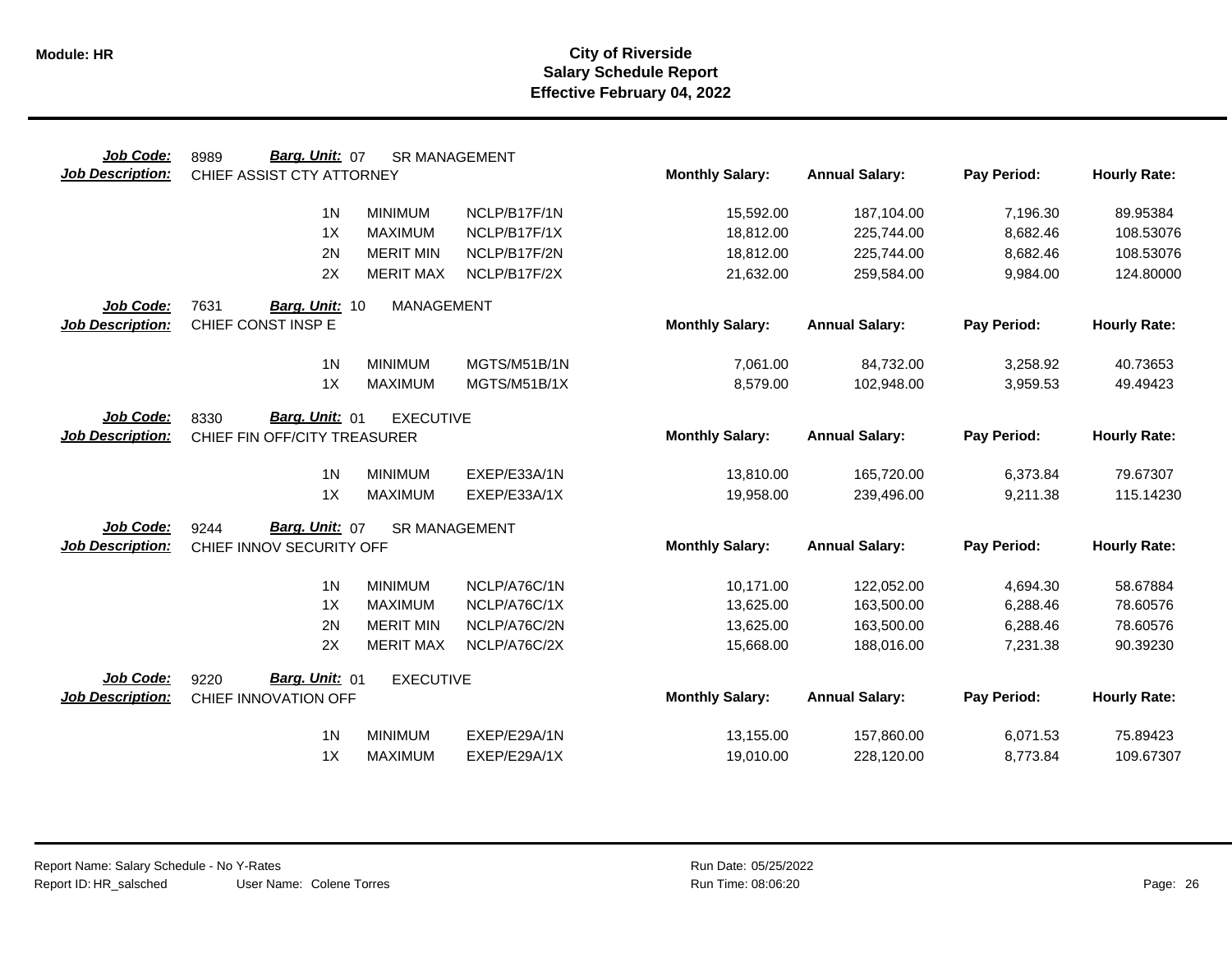| Job Code:               | Barg. Unit: 07<br>8989       |                   | <b>SR MANAGEMENT</b> |                        |                       |             |                     |
|-------------------------|------------------------------|-------------------|----------------------|------------------------|-----------------------|-------------|---------------------|
| <b>Job Description:</b> | CHIEF ASSIST CTY ATTORNEY    |                   |                      | <b>Monthly Salary:</b> | <b>Annual Salary:</b> | Pay Period: | <b>Hourly Rate:</b> |
|                         | 1 <sub>N</sub>               | <b>MINIMUM</b>    | NCLP/B17F/1N         | 15,592.00              | 187,104.00            | 7,196.30    | 89.95384            |
|                         | 1X                           | <b>MAXIMUM</b>    | NCLP/B17F/1X         | 18,812.00              | 225,744.00            | 8,682.46    | 108.53076           |
|                         | 2N                           | <b>MERIT MIN</b>  | NCLP/B17F/2N         | 18,812.00              | 225,744.00            | 8,682.46    | 108.53076           |
|                         | 2X                           | <b>MERIT MAX</b>  | NCLP/B17F/2X         | 21,632.00              | 259,584.00            | 9,984.00    | 124.80000           |
| Job Code:               | 7631<br>Barg. Unit: 10       | <b>MANAGEMENT</b> |                      |                        |                       |             |                     |
| <b>Job Description:</b> | CHIEF CONST INSP E           |                   |                      | <b>Monthly Salary:</b> | <b>Annual Salary:</b> | Pay Period: | <b>Hourly Rate:</b> |
|                         | 1 <sub>N</sub>               | <b>MINIMUM</b>    | MGTS/M51B/1N         | 7,061.00               | 84,732.00             | 3,258.92    | 40.73653            |
|                         | 1X                           | <b>MAXIMUM</b>    | MGTS/M51B/1X         | 8,579.00               | 102,948.00            | 3,959.53    | 49.49423            |
| Job Code:               | Barg. Unit: 01<br>8330       | <b>EXECUTIVE</b>  |                      |                        |                       |             |                     |
| <b>Job Description:</b> | CHIEF FIN OFF/CITY TREASURER |                   |                      | <b>Monthly Salary:</b> | <b>Annual Salary:</b> | Pay Period: | <b>Hourly Rate:</b> |
|                         | 1 <sub>N</sub>               | <b>MINIMUM</b>    | EXEP/E33A/1N         | 13,810.00              | 165,720.00            | 6,373.84    | 79.67307            |
|                         | 1X                           | <b>MAXIMUM</b>    | EXEP/E33A/1X         | 19,958.00              | 239,496.00            | 9,211.38    | 115.14230           |
| Job Code:               | Barg. Unit: 07<br>9244       |                   | <b>SR MANAGEMENT</b> |                        |                       |             |                     |
| <b>Job Description:</b> | CHIEF INNOV SECURITY OFF     |                   |                      | <b>Monthly Salary:</b> | <b>Annual Salary:</b> | Pay Period: | <b>Hourly Rate:</b> |
|                         | 1 <sub>N</sub>               | <b>MINIMUM</b>    | NCLP/A76C/1N         | 10,171.00              | 122,052.00            | 4,694.30    | 58.67884            |
|                         | 1X                           | <b>MAXIMUM</b>    | NCLP/A76C/1X         | 13,625.00              | 163,500.00            | 6,288.46    | 78.60576            |
|                         | 2N                           | <b>MERIT MIN</b>  | NCLP/A76C/2N         | 13,625.00              | 163,500.00            | 6,288.46    | 78.60576            |
|                         | 2X                           | <b>MERIT MAX</b>  | NCLP/A76C/2X         | 15,668.00              | 188,016.00            | 7,231.38    | 90.39230            |
| Job Code:               | Barg. Unit: 01<br>9220       | <b>EXECUTIVE</b>  |                      |                        |                       |             |                     |
| <b>Job Description:</b> | CHIEF INNOVATION OFF         |                   |                      | <b>Monthly Salary:</b> | <b>Annual Salary:</b> | Pay Period: | <b>Hourly Rate:</b> |
|                         | 1 <sub>N</sub>               | <b>MINIMUM</b>    | EXEP/E29A/1N         | 13,155.00              | 157,860.00            | 6,071.53    | 75.89423            |
|                         | 1X                           | <b>MAXIMUM</b>    | EXEP/E29A/1X         | 19,010.00              | 228,120.00            | 8,773.84    | 109.67307           |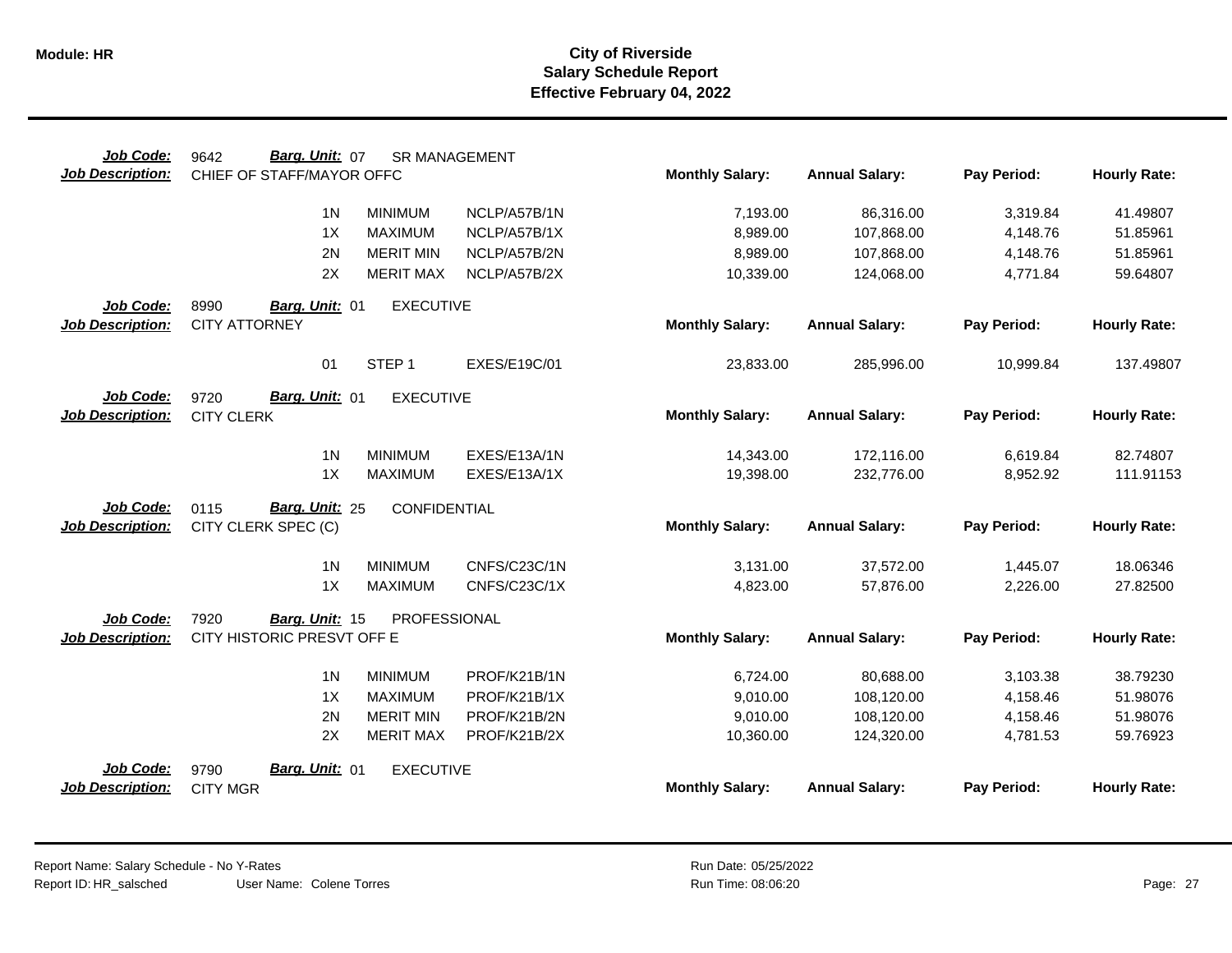| Job Code:                            | Barg. Unit: 07<br>9642                      | <b>SR MANAGEMENT</b> |              |                        |                       |             |                     |
|--------------------------------------|---------------------------------------------|----------------------|--------------|------------------------|-----------------------|-------------|---------------------|
| <b>Job Description:</b>              | CHIEF OF STAFF/MAYOR OFFC                   |                      |              | <b>Monthly Salary:</b> | <b>Annual Salary:</b> | Pay Period: | <b>Hourly Rate:</b> |
|                                      | 1 <sub>N</sub>                              | <b>MINIMUM</b>       | NCLP/A57B/1N | 7,193.00               | 86,316.00             | 3,319.84    | 41.49807            |
|                                      | 1X                                          | <b>MAXIMUM</b>       | NCLP/A57B/1X | 8,989.00               | 107,868.00            | 4,148.76    | 51.85961            |
|                                      | 2N                                          | <b>MERIT MIN</b>     | NCLP/A57B/2N | 8,989.00               | 107,868.00            | 4,148.76    | 51.85961            |
|                                      | 2X                                          | <b>MERIT MAX</b>     | NCLP/A57B/2X | 10,339.00              | 124,068.00            | 4,771.84    | 59.64807            |
| Job Code:                            | 8990<br>Barg. Unit: 01                      | <b>EXECUTIVE</b>     |              |                        |                       |             |                     |
| <b>Job Description:</b>              | <b>CITY ATTORNEY</b>                        |                      |              | <b>Monthly Salary:</b> | <b>Annual Salary:</b> | Pay Period: | <b>Hourly Rate:</b> |
|                                      | 01                                          | STEP <sub>1</sub>    | EXES/E19C/01 | 23,833.00              | 285,996.00            | 10,999.84   | 137.49807           |
| Job Code:<br><b>Job Description:</b> | Barg. Unit: 01<br>9720<br><b>CITY CLERK</b> | <b>EXECUTIVE</b>     |              | <b>Monthly Salary:</b> | <b>Annual Salary:</b> | Pay Period: | <b>Hourly Rate:</b> |
|                                      | 1 <sub>N</sub>                              | <b>MINIMUM</b>       | EXES/E13A/1N | 14,343.00              | 172.116.00            | 6,619.84    | 82.74807            |
|                                      | 1X                                          | <b>MAXIMUM</b>       | EXES/E13A/1X | 19,398.00              | 232,776.00            | 8,952.92    | 111.91153           |
| Job Code:                            | 0115<br>Barg. Unit: 25                      | CONFIDENTIAL         |              |                        |                       |             |                     |
| <b>Job Description:</b>              | CITY CLERK SPEC (C)                         |                      |              | <b>Monthly Salary:</b> | <b>Annual Salary:</b> | Pay Period: | <b>Hourly Rate:</b> |
|                                      | 1 <sub>N</sub>                              | <b>MINIMUM</b>       | CNFS/C23C/1N | 3,131.00               | 37,572.00             | 1,445.07    | 18.06346            |
|                                      | 1X                                          | <b>MAXIMUM</b>       | CNFS/C23C/1X | 4,823.00               | 57,876.00             | 2,226.00    | 27.82500            |
| Job Code:                            | 7920<br>Barg. Unit: 15                      | PROFESSIONAL         |              |                        |                       |             |                     |
| <b>Job Description:</b>              | CITY HISTORIC PRESVT OFF E                  |                      |              | <b>Monthly Salary:</b> | <b>Annual Salary:</b> | Pay Period: | <b>Hourly Rate:</b> |
|                                      | 1 <sup>N</sup>                              | <b>MINIMUM</b>       | PROF/K21B/1N | 6,724.00               | 80,688.00             | 3,103.38    | 38.79230            |
|                                      | 1X                                          | <b>MAXIMUM</b>       | PROF/K21B/1X | 9,010.00               | 108,120.00            | 4,158.46    | 51.98076            |
|                                      | 2N                                          | <b>MERIT MIN</b>     | PROF/K21B/2N | 9,010.00               | 108,120.00            | 4,158.46    | 51.98076            |
|                                      | 2X                                          | <b>MERIT MAX</b>     | PROF/K21B/2X | 10,360.00              | 124,320.00            | 4,781.53    | 59.76923            |
| Job Code:                            | Barg. Unit: 01<br>9790                      | <b>EXECUTIVE</b>     |              |                        |                       |             |                     |
| <b>Job Description:</b>              | <b>CITY MGR</b>                             |                      |              | <b>Monthly Salary:</b> | <b>Annual Salary:</b> | Pay Period: | <b>Hourly Rate:</b> |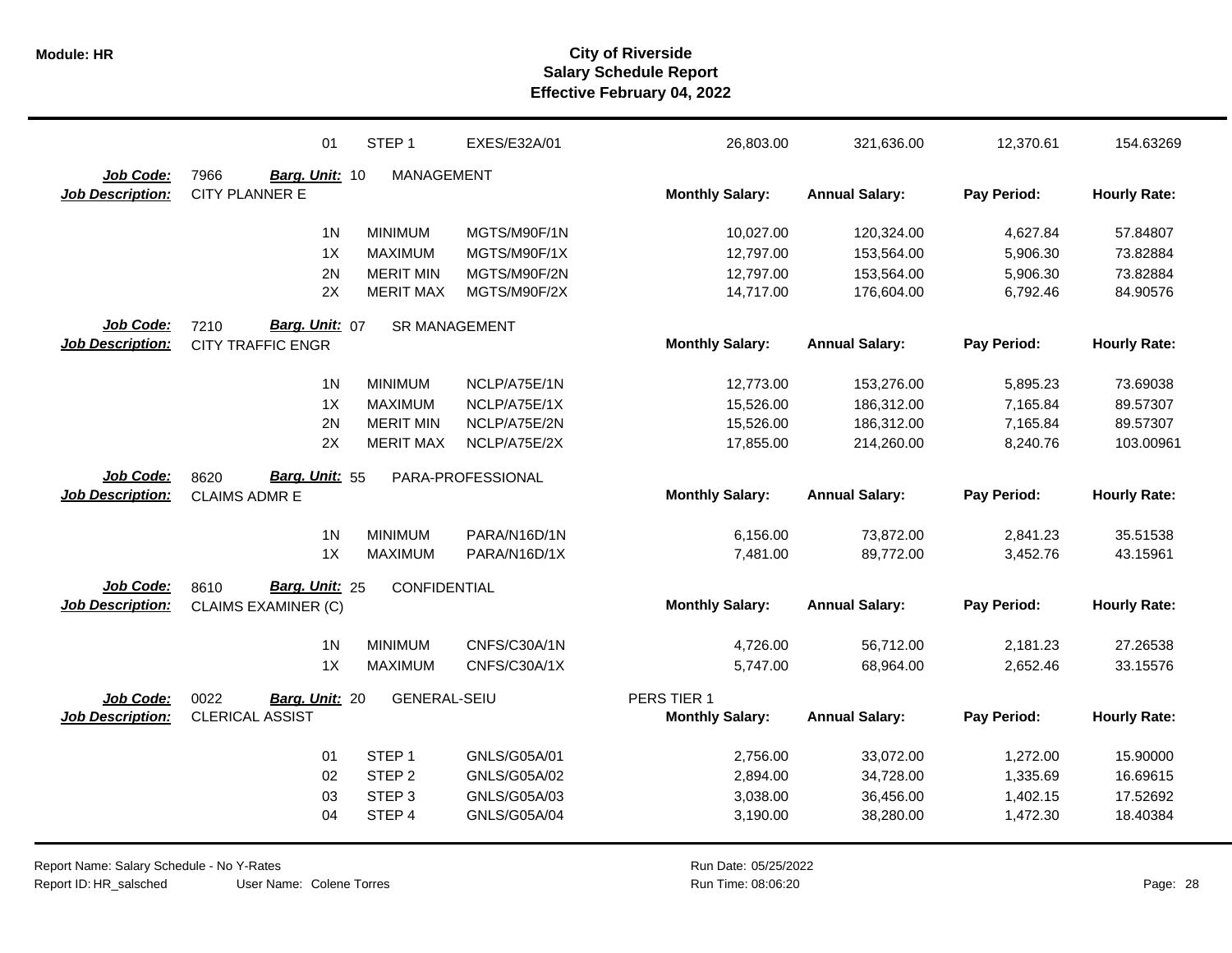|                         | 01                         | STEP <sub>1</sub>   | EXES/E32A/01      | 26,803.00              | 321,636.00            | 12,370.61   | 154.63269           |
|-------------------------|----------------------------|---------------------|-------------------|------------------------|-----------------------|-------------|---------------------|
| Job Code:               | 7966<br>Barg. Unit: 10     | MANAGEMENT          |                   |                        |                       |             |                     |
| <b>Job Description:</b> | <b>CITY PLANNER E</b>      |                     |                   | <b>Monthly Salary:</b> | <b>Annual Salary:</b> | Pay Period: | <b>Hourly Rate:</b> |
|                         | 1 <sub>N</sub>             | <b>MINIMUM</b>      | MGTS/M90F/1N      | 10,027.00              | 120,324.00            | 4,627.84    | 57.84807            |
|                         | 1X                         | <b>MAXIMUM</b>      | MGTS/M90F/1X      | 12,797.00              | 153,564.00            | 5,906.30    | 73.82884            |
|                         | 2N                         | <b>MERIT MIN</b>    | MGTS/M90F/2N      | 12,797.00              | 153,564.00            | 5,906.30    | 73.82884            |
|                         | 2X                         | <b>MERIT MAX</b>    | MGTS/M90F/2X      | 14,717.00              | 176,604.00            | 6,792.46    | 84.90576            |
| Job Code:               | 7210<br>Barg. Unit: 07     | SR MANAGEMENT       |                   |                        |                       |             |                     |
| <b>Job Description:</b> | <b>CITY TRAFFIC ENGR</b>   |                     |                   | <b>Monthly Salary:</b> | <b>Annual Salary:</b> | Pay Period: | <b>Hourly Rate:</b> |
|                         | 1 <sub>N</sub>             | <b>MINIMUM</b>      | NCLP/A75E/1N      | 12,773.00              | 153,276.00            | 5,895.23    | 73.69038            |
|                         | 1X                         | <b>MAXIMUM</b>      | NCLP/A75E/1X      | 15,526.00              | 186,312.00            | 7,165.84    | 89.57307            |
|                         | 2N                         | <b>MERIT MIN</b>    | NCLP/A75E/2N      | 15,526.00              | 186,312.00            | 7,165.84    | 89.57307            |
|                         | 2X                         | <b>MERIT MAX</b>    | NCLP/A75E/2X      | 17,855.00              | 214,260.00            | 8,240.76    | 103.00961           |
| Job Code:               | Barg. Unit: 55<br>8620     |                     | PARA-PROFESSIONAL |                        |                       |             |                     |
|                         |                            |                     |                   |                        |                       |             |                     |
| <b>Job Description:</b> | <b>CLAIMS ADMR E</b>       |                     |                   | <b>Monthly Salary:</b> | <b>Annual Salary:</b> | Pay Period: | <b>Hourly Rate:</b> |
|                         | 1 <sub>N</sub>             | <b>MINIMUM</b>      | PARA/N16D/1N      | 6,156.00               | 73,872.00             | 2,841.23    | 35.51538            |
|                         | 1X                         | <b>MAXIMUM</b>      | PARA/N16D/1X      | 7,481.00               | 89,772.00             | 3,452.76    | 43.15961            |
| Job Code:               | Barg. Unit: 25<br>8610     |                     |                   |                        |                       |             |                     |
| <b>Job Description:</b> | <b>CLAIMS EXAMINER (C)</b> | CONFIDENTIAL        |                   | <b>Monthly Salary:</b> | <b>Annual Salary:</b> | Pay Period: | <b>Hourly Rate:</b> |
|                         | 1 <sub>N</sub>             | <b>MINIMUM</b>      | CNFS/C30A/1N      | 4,726.00               | 56,712.00             | 2,181.23    | 27.26538            |
|                         | 1X                         | <b>MAXIMUM</b>      | CNFS/C30A/1X      | 5,747.00               | 68,964.00             | 2,652.46    | 33.15576            |
| Job Code:               | 0022<br>Barg. Unit: 20     | <b>GENERAL-SEIU</b> |                   | PERS TIER 1            |                       |             |                     |
| <b>Job Description:</b> | <b>CLERICAL ASSIST</b>     |                     |                   | <b>Monthly Salary:</b> | <b>Annual Salary:</b> | Pay Period: | <b>Hourly Rate:</b> |
|                         | 01                         | STEP <sub>1</sub>   | GNLS/G05A/01      | 2,756.00               | 33,072.00             | 1,272.00    | 15.90000            |
|                         | 02                         | STEP <sub>2</sub>   | GNLS/G05A/02      | 2,894.00               | 34,728.00             | 1,335.69    | 16.69615            |
|                         | 03                         | STEP <sub>3</sub>   | GNLS/G05A/03      | 3,038.00               | 36,456.00             | 1,402.15    | 17.52692            |
|                         | 04                         | STEP 4              | GNLS/G05A/04      | 3,190.00               | 38,280.00             | 1,472.30    | 18.40384            |

User Name: Colene Torres Report Name: Salary Schedule - No Y-Rates Report ID: HR\_salsched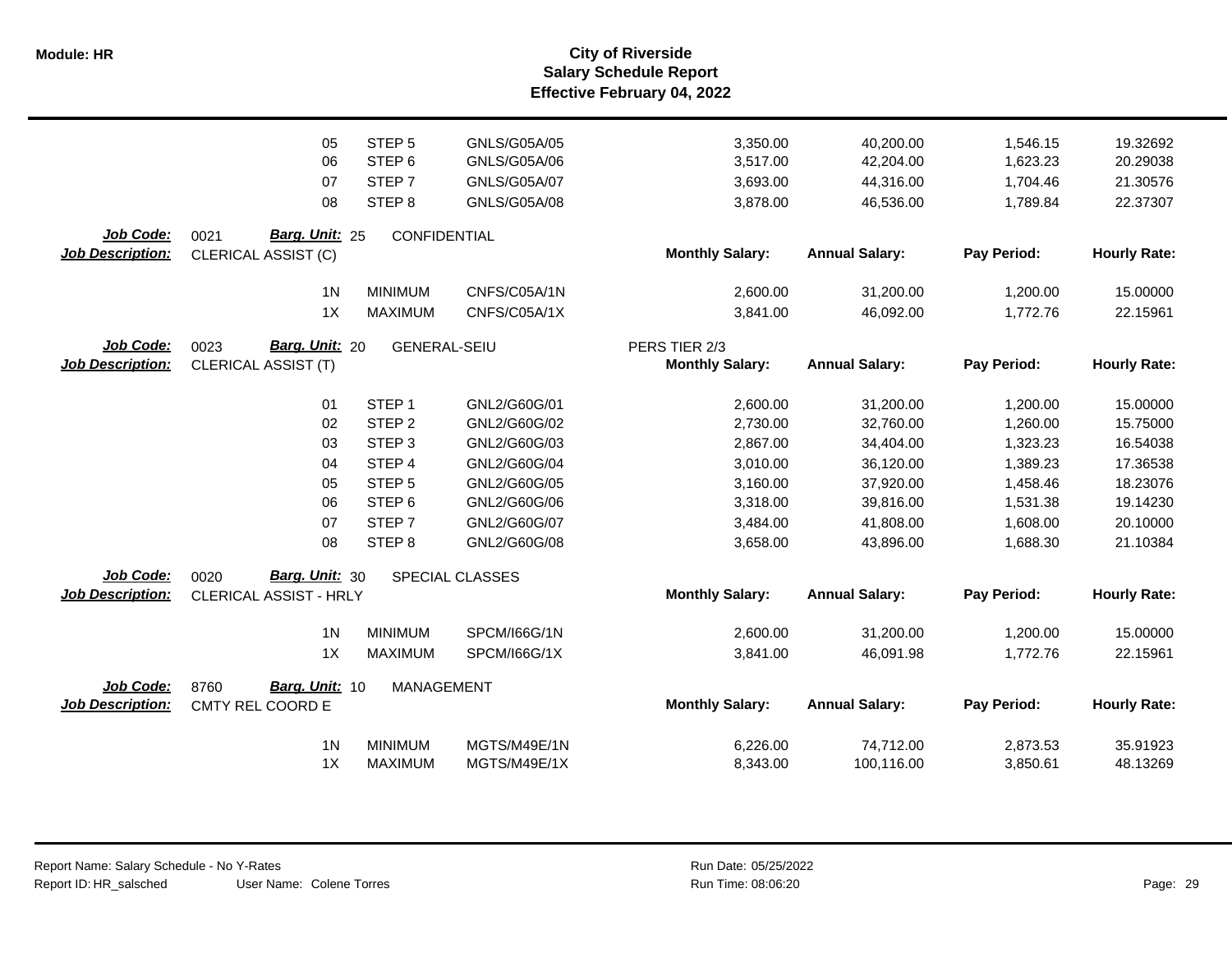| <b>Monthly Salary:</b><br><b>Annual Salary:</b><br><b>Job Description:</b><br>Pay Period:<br>CLERICAL ASSIST (C)                                                          | <b>Hourly Rate:</b>  |
|---------------------------------------------------------------------------------------------------------------------------------------------------------------------------|----------------------|
| 1 <sub>N</sub><br><b>MINIMUM</b><br>CNFS/C05A/1N<br>2,600.00<br>31,200.00<br>1,200.00                                                                                     | 15.00000             |
| 1X<br><b>MAXIMUM</b><br>CNFS/C05A/1X<br>3,841.00<br>1,772.76<br>46,092.00                                                                                                 | 22.15961             |
| <b>Job Code:</b><br>Barg. Unit: 20<br>0023<br><b>GENERAL-SEIU</b><br>PERS TIER 2/3                                                                                        |                      |
| <b>Monthly Salary:</b><br><b>Annual Salary:</b><br>Pay Period:<br><b>Job Description:</b><br><b>CLERICAL ASSIST (T)</b>                                                   | <b>Hourly Rate:</b>  |
|                                                                                                                                                                           |                      |
| STEP <sub>1</sub><br>GNL2/G60G/01<br>01<br>2,600.00<br>31,200.00<br>1,200.00<br>STEP <sub>2</sub><br>02<br>GNL2/G60G/02<br>2,730.00<br>32,760.00<br>1,260.00              | 15.00000<br>15.75000 |
| 03<br>STEP <sub>3</sub><br>GNL2/G60G/03<br>2,867.00<br>1,323.23<br>34,404.00                                                                                              | 16.54038             |
| STEP <sub>4</sub><br>GNL2/G60G/04<br>3,010.00<br>1,389.23<br>04                                                                                                           |                      |
| 36,120.00                                                                                                                                                                 | 17.36538             |
| STEP <sub>5</sub><br>GNL2/G60G/05<br>3,160.00<br>37,920.00<br>1,458.46<br>05                                                                                              | 18.23076             |
| 06<br>STEP <sub>6</sub><br>GNL2/G60G/06<br>3,318.00<br>39,816.00<br>1,531.38                                                                                              | 19.14230             |
| STEP <sub>7</sub><br>07<br>GNL2/G60G/07<br>3,484.00<br>41,808.00<br>1,608.00                                                                                              | 20.10000             |
| 08<br>STEP <sub>8</sub><br>GNL2/G60G/08<br>3,658.00<br>43,896.00<br>1,688.30                                                                                              | 21.10384             |
| Job Code:<br>Barg. Unit: 30<br>0020<br>SPECIAL CLASSES                                                                                                                    |                      |
| <b>Monthly Salary:</b><br><b>Annual Salary:</b><br>Pay Period:<br><b>Job Description:</b><br>CLERICAL ASSIST - HRLY                                                       | <b>Hourly Rate:</b>  |
| <b>MINIMUM</b><br>2,600.00<br>1,200.00<br>1 <sub>N</sub><br>SPCM/I66G/1N<br>31,200.00                                                                                     | 15.00000             |
| 1X<br><b>MAXIMUM</b><br>3,841.00<br>46,091.98<br>1,772.76<br>SPCM/I66G/1X                                                                                                 | 22.15961             |
|                                                                                                                                                                           |                      |
| Job Code:<br>Barg. Unit: 10<br>8760<br><b>MANAGEMENT</b><br><b>Monthly Salary:</b><br><b>Annual Salary:</b><br><b>Job Description:</b><br>Pay Period:<br>CMTY REL COORD E | <b>Hourly Rate:</b>  |
|                                                                                                                                                                           |                      |
| 1 <sub>N</sub><br><b>MINIMUM</b><br>MGTS/M49E/1N<br>6,226.00<br>74,712.00<br>2,873.53                                                                                     | 35.91923             |
|                                                                                                                                                                           |                      |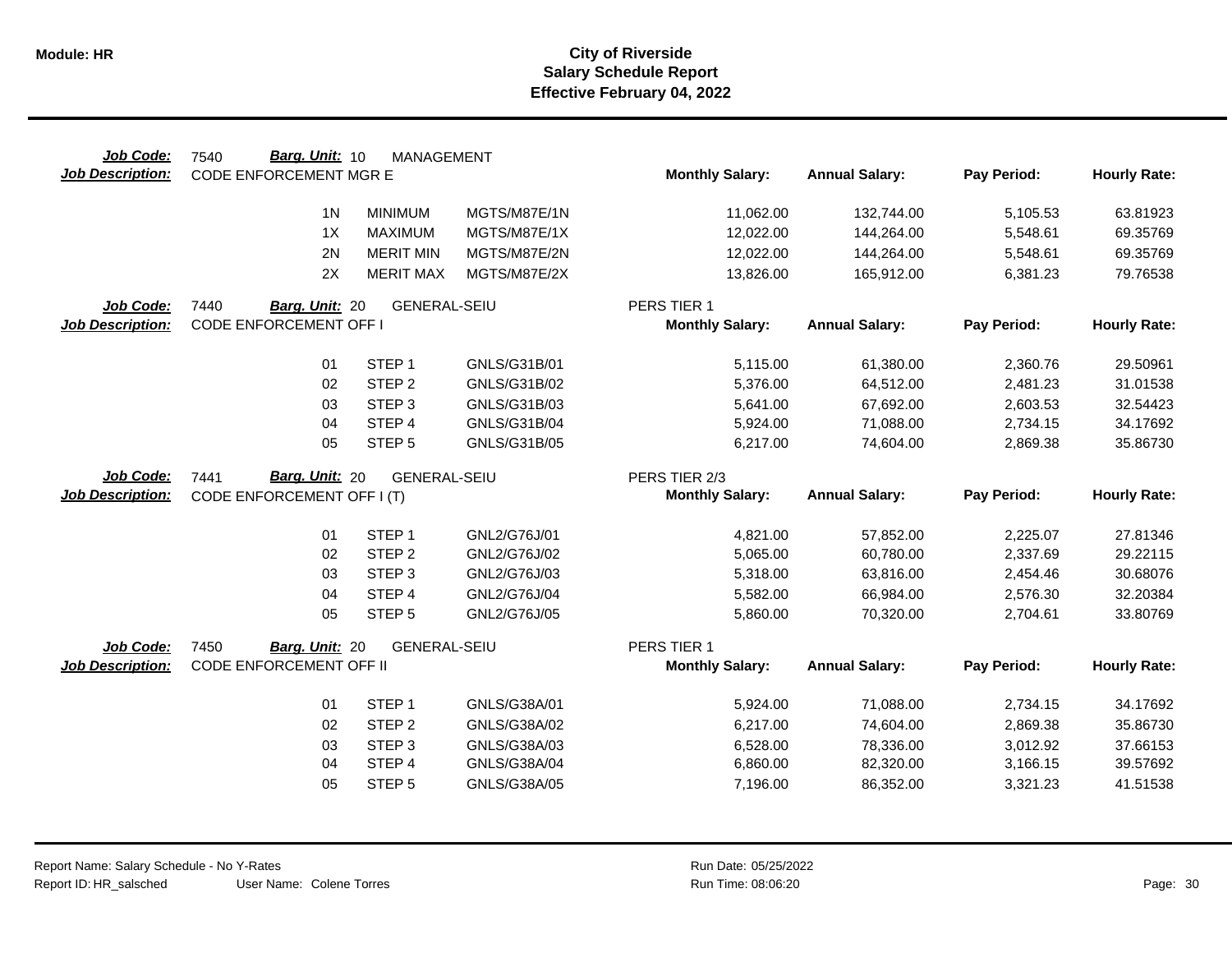| Job Code:                            | Barg. Unit: 10<br>7540                            | <b>MANAGEMENT</b>           |                              |                        |                        |                      |                      |
|--------------------------------------|---------------------------------------------------|-----------------------------|------------------------------|------------------------|------------------------|----------------------|----------------------|
| <b>Job Description:</b>              | <b>CODE ENFORCEMENT MGR E</b>                     |                             |                              | <b>Monthly Salary:</b> | <b>Annual Salary:</b>  | Pay Period:          | <b>Hourly Rate:</b>  |
|                                      | 1 <sub>N</sub>                                    | <b>MINIMUM</b>              | MGTS/M87E/1N                 | 11,062.00              |                        | 5,105.53             | 63.81923             |
|                                      |                                                   |                             |                              |                        | 132,744.00             |                      |                      |
|                                      | 1X                                                | <b>MAXIMUM</b>              | MGTS/M87E/1X                 | 12,022.00              | 144,264.00             | 5,548.61             | 69.35769             |
|                                      | 2N                                                | <b>MERIT MIN</b>            | MGTS/M87E/2N                 | 12,022.00              | 144,264.00             | 5,548.61             | 69.35769             |
|                                      | 2X                                                | <b>MERIT MAX</b>            | MGTS/M87E/2X                 | 13,826.00              | 165,912.00             | 6,381.23             | 79.76538             |
| Job Code:                            | 7440<br>Barg. Unit: 20                            | <b>GENERAL-SEIU</b>         |                              | PERS TIER 1            |                        |                      |                      |
| <b>Job Description:</b>              | <b>CODE ENFORCEMENT OFF I</b>                     |                             |                              | <b>Monthly Salary:</b> | <b>Annual Salary:</b>  | Pay Period:          | <b>Hourly Rate:</b>  |
|                                      | 01                                                | STEP <sub>1</sub>           | GNLS/G31B/01                 | 5,115.00               | 61,380.00              | 2,360.76             | 29.50961             |
|                                      | 02                                                | STEP <sub>2</sub>           | GNLS/G31B/02                 | 5,376.00               | 64,512.00              | 2,481.23             | 31.01538             |
|                                      | 03                                                | STEP <sub>3</sub>           | GNLS/G31B/03                 | 5,641.00               | 67,692.00              | 2,603.53             | 32.54423             |
|                                      | 04                                                | STEP 4                      | GNLS/G31B/04                 | 5,924.00               | 71,088.00              | 2,734.15             | 34.17692             |
|                                      | 05                                                | STEP <sub>5</sub>           | GNLS/G31B/05                 | 6,217.00               | 74,604.00              | 2,869.38             | 35.86730             |
|                                      |                                                   |                             |                              |                        |                        |                      |                      |
| <b>Job Code:</b>                     | Barg. Unit: 20<br>7441                            | <b>GENERAL-SEIU</b>         |                              | PERS TIER 2/3          |                        |                      |                      |
| <b>Job Description:</b>              | CODE ENFORCEMENT OFF I (T)                        |                             |                              | <b>Monthly Salary:</b> | <b>Annual Salary:</b>  | Pay Period:          | <b>Hourly Rate:</b>  |
|                                      |                                                   |                             |                              |                        |                        |                      |                      |
|                                      |                                                   |                             | GNL2/G76J/01                 | 4,821.00               | 57,852.00              |                      | 27.81346             |
|                                      | 01                                                | STEP <sub>1</sub>           |                              |                        |                        | 2,225.07             |                      |
|                                      | 02                                                | STEP <sub>2</sub>           | GNL2/G76J/02                 | 5,065.00               | 60,780.00              | 2,337.69             | 29.22115             |
|                                      | 03                                                | STEP <sub>3</sub>           | GNL2/G76J/03                 | 5,318.00               | 63,816.00              | 2,454.46             | 30.68076             |
|                                      | 04                                                | STEP 4                      | GNL2/G76J/04                 | 5,582.00               | 66,984.00              | 2,576.30             | 32.20384             |
|                                      | 05                                                | STEP <sub>5</sub>           | GNL2/G76J/05                 | 5,860.00               | 70,320.00              | 2,704.61             | 33.80769             |
|                                      |                                                   |                             |                              | PERS TIER 1            |                        |                      |                      |
| Job Code:<br><b>Job Description:</b> | 7450<br>Barg. Unit: 20<br>CODE ENFORCEMENT OFF II | <b>GENERAL-SEIU</b>         |                              | <b>Monthly Salary:</b> | <b>Annual Salary:</b>  | Pay Period:          | <b>Hourly Rate:</b>  |
|                                      |                                                   |                             |                              |                        |                        |                      |                      |
|                                      | 01                                                | STEP <sub>1</sub>           | GNLS/G38A/01                 | 5,924.00               | 71,088.00              | 2,734.15             | 34.17692             |
|                                      | 02                                                | STEP <sub>2</sub>           | GNLS/G38A/02                 | 6,217.00               | 74,604.00              | 2,869.38             | 35.86730             |
|                                      | 03                                                | STEP <sub>3</sub>           | GNLS/G38A/03                 | 6,528.00               | 78,336.00              | 3,012.92             | 37.66153             |
|                                      | 04<br>05                                          | STEP 4<br>STEP <sub>5</sub> | GNLS/G38A/04<br>GNLS/G38A/05 | 6,860.00<br>7,196.00   | 82,320.00<br>86,352.00 | 3,166.15<br>3,321.23 | 39.57692<br>41.51538 |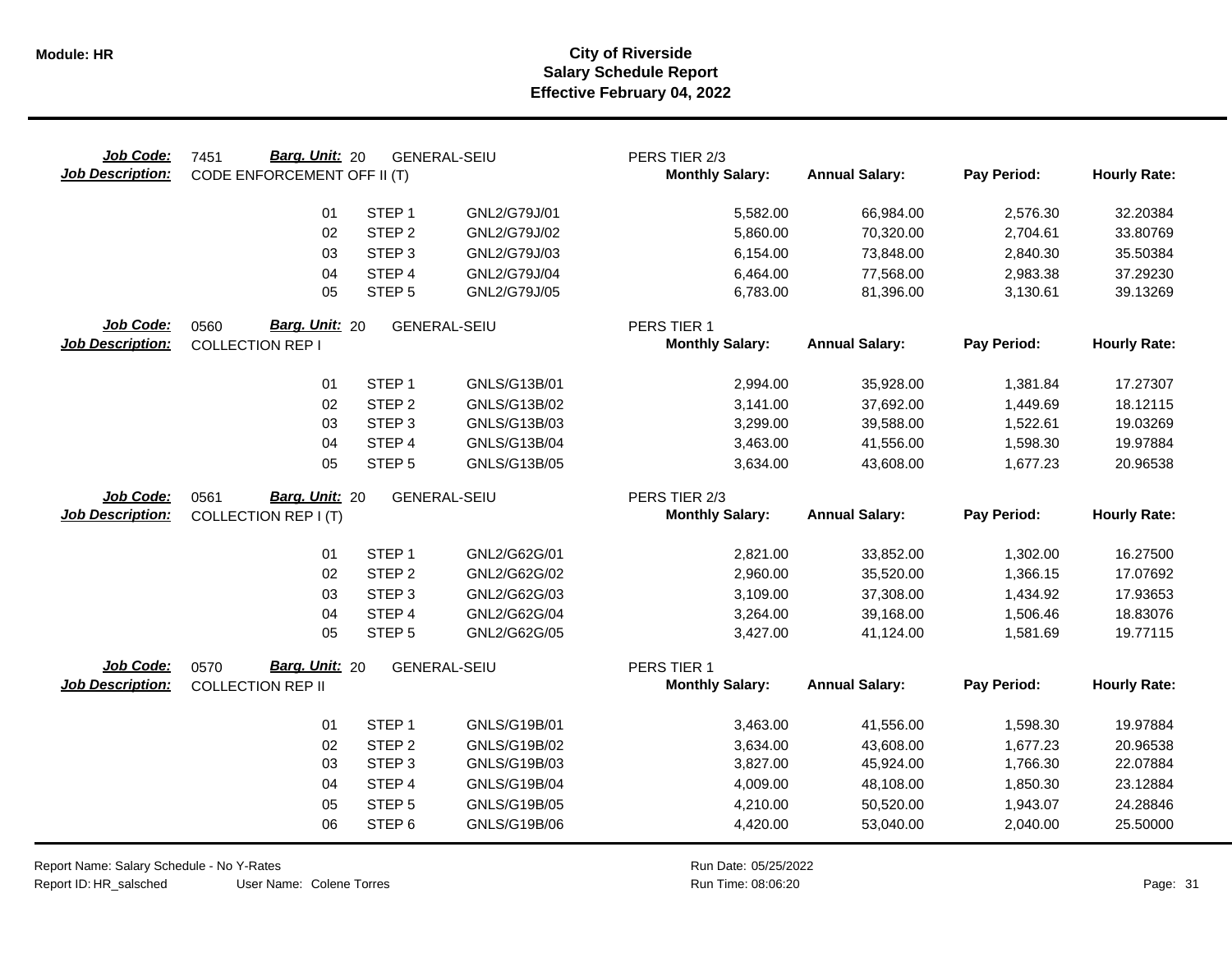| Job Code:<br><b>Job Description:</b> | Barg. Unit: 20<br>7451<br>CODE ENFORCEMENT OFF II (T) |                                        | <b>GENERAL-SEIU</b>          | PERS TIER 2/3<br><b>Monthly Salary:</b> | <b>Annual Salary:</b>  | Pay Period:          | <b>Hourly Rate:</b>  |
|--------------------------------------|-------------------------------------------------------|----------------------------------------|------------------------------|-----------------------------------------|------------------------|----------------------|----------------------|
|                                      | 01                                                    | STEP <sub>1</sub>                      | GNL2/G79J/01                 | 5,582.00                                | 66,984.00              | 2,576.30             | 32.20384             |
|                                      | 02                                                    | STEP <sub>2</sub>                      | GNL2/G79J/02                 | 5,860.00                                | 70,320.00              | 2,704.61             | 33.80769             |
|                                      | 03                                                    | STEP <sub>3</sub>                      | GNL2/G79J/03                 | 6,154.00                                | 73,848.00              | 2,840.30             | 35.50384             |
|                                      | 04                                                    | STEP 4                                 | GNL2/G79J/04                 | 6,464.00                                | 77,568.00              | 2,983.38             | 37.29230             |
|                                      | 05                                                    | STEP <sub>5</sub>                      | GNL2/G79J/05                 | 6,783.00                                | 81,396.00              | 3,130.61             | 39.13269             |
| Job Code:<br><b>Job Description:</b> | Barg. Unit: 20<br>0560<br><b>COLLECTION REP I</b>     |                                        | <b>GENERAL-SEIU</b>          | PERS TIER 1<br><b>Monthly Salary:</b>   | <b>Annual Salary:</b>  | Pay Period:          | <b>Hourly Rate:</b>  |
|                                      |                                                       |                                        |                              |                                         |                        |                      |                      |
|                                      | 01                                                    | STEP <sub>1</sub>                      | GNLS/G13B/01                 | 2,994.00                                | 35,928.00              | 1,381.84             | 17.27307             |
|                                      | 02                                                    | STEP <sub>2</sub>                      | GNLS/G13B/02                 | 3,141.00                                | 37,692.00              | 1,449.69             | 18.12115             |
|                                      | 03<br>04                                              | STEP <sub>3</sub><br>STEP 4            | GNLS/G13B/03<br>GNLS/G13B/04 | 3,299.00<br>3,463.00                    | 39,588.00              | 1,522.61             | 19.03269<br>19.97884 |
|                                      | 05                                                    | STEP <sub>5</sub>                      | GNLS/G13B/05                 | 3,634.00                                | 41,556.00<br>43,608.00 | 1,598.30<br>1,677.23 | 20.96538             |
|                                      |                                                       |                                        |                              |                                         |                        |                      |                      |
| Job Code:                            | Barg. Unit: 20<br>0561                                |                                        | <b>GENERAL-SEIU</b>          | PERS TIER 2/3                           |                        |                      |                      |
| <b>Job Description:</b>              | <b>COLLECTION REP I (T)</b>                           |                                        |                              | <b>Monthly Salary:</b>                  | <b>Annual Salary:</b>  | Pay Period:          | <b>Hourly Rate:</b>  |
|                                      | 01                                                    | STEP <sub>1</sub>                      | GNL2/G62G/01                 | 2,821.00                                | 33,852.00              | 1,302.00             | 16.27500             |
|                                      | 02                                                    | STEP <sub>2</sub>                      | GNL2/G62G/02                 | 2,960.00                                | 35,520.00              | 1,366.15             | 17.07692             |
|                                      | 03                                                    | STEP <sub>3</sub>                      | GNL2/G62G/03                 | 3,109.00                                | 37,308.00              | 1,434.92             | 17.93653             |
|                                      | 04                                                    | STEP 4                                 | GNL2/G62G/04                 | 3,264.00                                | 39,168.00              | 1,506.46             | 18.83076             |
|                                      | 05                                                    | STEP <sub>5</sub>                      | GNL2/G62G/05                 | 3,427.00                                | 41,124.00              | 1,581.69             | 19.77115             |
| Job Code:                            | Barg. Unit: 20<br>0570                                |                                        | <b>GENERAL-SEIU</b>          | PERS TIER 1                             |                        |                      |                      |
| <b>Job Description:</b>              | <b>COLLECTION REP II</b>                              |                                        |                              | <b>Monthly Salary:</b>                  | <b>Annual Salary:</b>  | Pay Period:          | <b>Hourly Rate:</b>  |
|                                      |                                                       |                                        |                              |                                         |                        |                      |                      |
|                                      | 01                                                    | STEP <sub>1</sub>                      | GNLS/G19B/01                 | 3,463.00                                | 41,556.00              | 1,598.30             | 19.97884             |
|                                      | 02<br>03                                              | STEP <sub>2</sub><br>STEP <sub>3</sub> | GNLS/G19B/02<br>GNLS/G19B/03 | 3,634.00<br>3,827.00                    | 43,608.00<br>45,924.00 | 1,677.23<br>1,766.30 | 20.96538<br>22.07884 |
|                                      | 04                                                    | STEP 4                                 | GNLS/G19B/04                 | 4,009.00                                | 48,108.00              | 1,850.30             | 23.12884             |
|                                      | 05                                                    | STEP <sub>5</sub>                      | GNLS/G19B/05                 | 4,210.00                                | 50,520.00              | 1,943.07             | 24.28846             |
|                                      | 06                                                    | STEP <sub>6</sub>                      | GNLS/G19B/06                 | 4,420.00                                | 53,040.00              | 2,040.00             | 25.50000             |
|                                      |                                                       |                                        |                              |                                         |                        |                      |                      |

Report Name: Salary Schedule - No Y-Rates

Report ID: HR\_salsched

User Name: Colene Torres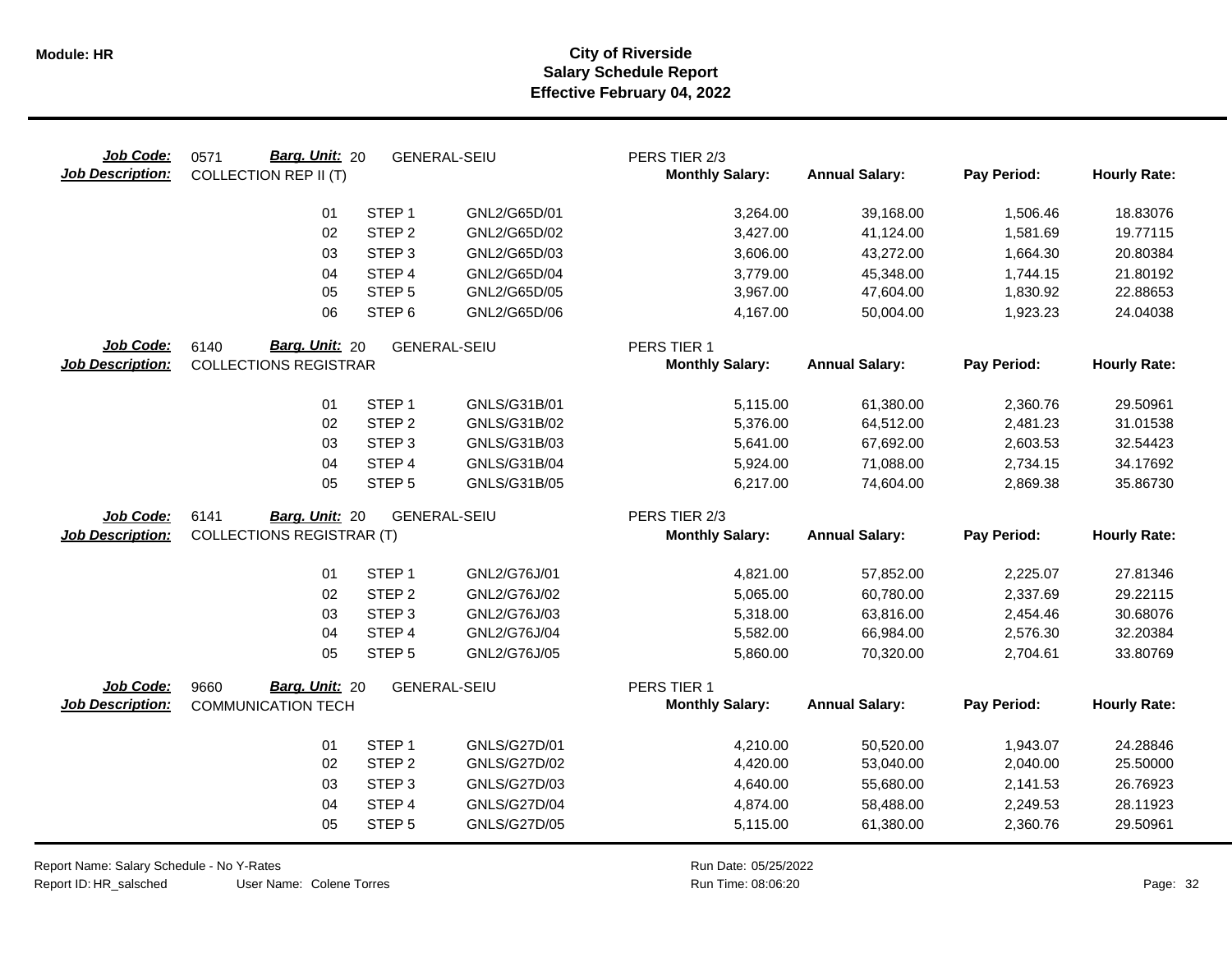| Job Code:<br><b>Job Description:</b> | Barg. Unit: 20<br>0571<br><b>COLLECTION REP II (T)</b> |                   | <b>GENERAL-SEIU</b> | PERS TIER 2/3<br><b>Monthly Salary:</b> | <b>Annual Salary:</b> | Pay Period: | <b>Hourly Rate:</b> |
|--------------------------------------|--------------------------------------------------------|-------------------|---------------------|-----------------------------------------|-----------------------|-------------|---------------------|
|                                      | 01                                                     | STEP <sub>1</sub> | GNL2/G65D/01        | 3,264.00                                | 39,168.00             | 1,506.46    | 18.83076            |
|                                      | 02                                                     | STEP <sub>2</sub> | GNL2/G65D/02        | 3,427.00                                | 41,124.00             | 1,581.69    | 19.77115            |
|                                      | 03                                                     | STEP <sub>3</sub> | GNL2/G65D/03        | 3,606.00                                | 43,272.00             | 1,664.30    | 20.80384            |
|                                      | 04                                                     | STEP 4            | GNL2/G65D/04        | 3,779.00                                | 45,348.00             | 1,744.15    | 21.80192            |
|                                      | 05                                                     | STEP <sub>5</sub> | GNL2/G65D/05        | 3,967.00                                | 47,604.00             | 1,830.92    | 22.88653            |
|                                      | 06                                                     | STEP <sub>6</sub> | GNL2/G65D/06        | 4,167.00                                | 50,004.00             | 1,923.23    | 24.04038            |
| Job Code:                            | Barg. Unit: 20<br>6140                                 |                   | <b>GENERAL-SEIU</b> | PERS TIER 1                             |                       |             |                     |
| <b>Job Description:</b>              | <b>COLLECTIONS REGISTRAR</b>                           |                   |                     | <b>Monthly Salary:</b>                  | <b>Annual Salary:</b> | Pay Period: | <b>Hourly Rate:</b> |
|                                      | 01                                                     | STEP <sub>1</sub> | GNLS/G31B/01        | 5,115.00                                | 61,380.00             | 2,360.76    | 29.50961            |
|                                      | 02                                                     | STEP <sub>2</sub> | GNLS/G31B/02        | 5,376.00                                | 64,512.00             | 2,481.23    | 31.01538            |
|                                      | 03                                                     | STEP <sub>3</sub> | GNLS/G31B/03        | 5,641.00                                | 67,692.00             | 2,603.53    | 32.54423            |
|                                      | 04                                                     | STEP 4            | GNLS/G31B/04        | 5,924.00                                | 71,088.00             | 2,734.15    | 34.17692            |
|                                      | 05                                                     | STEP <sub>5</sub> | GNLS/G31B/05        | 6,217.00                                | 74,604.00             | 2,869.38    | 35.86730            |
| Job Code:                            | 6141<br>Barg. Unit: 20                                 |                   | <b>GENERAL-SEIU</b> | PERS TIER 2/3                           |                       |             |                     |
| <b>Job Description:</b>              | <b>COLLECTIONS REGISTRAR (T)</b>                       |                   |                     | <b>Monthly Salary:</b>                  | <b>Annual Salary:</b> | Pay Period: | <b>Hourly Rate:</b> |
|                                      | 01                                                     | STEP <sub>1</sub> | GNL2/G76J/01        | 4,821.00                                | 57,852.00             | 2,225.07    | 27.81346            |
|                                      | 02                                                     | STEP <sub>2</sub> | GNL2/G76J/02        | 5,065.00                                | 60,780.00             | 2,337.69    | 29.22115            |
|                                      | 03                                                     | STEP <sub>3</sub> | GNL2/G76J/03        | 5,318.00                                | 63,816.00             | 2,454.46    | 30.68076            |
|                                      | 04                                                     | STEP 4            | GNL2/G76J/04        | 5,582.00                                | 66,984.00             | 2,576.30    | 32.20384            |
|                                      | 05                                                     | STEP <sub>5</sub> | GNL2/G76J/05        | 5,860.00                                | 70,320.00             | 2,704.61    | 33.80769            |
| Job Code:                            | Barg. Unit: 20<br>9660                                 |                   | <b>GENERAL-SEIU</b> | PERS TIER 1                             |                       |             |                     |
| <b>Job Description:</b>              | <b>COMMUNICATION TECH</b>                              |                   |                     | <b>Monthly Salary:</b>                  | <b>Annual Salary:</b> | Pay Period: | <b>Hourly Rate:</b> |
|                                      | 01                                                     | STEP <sub>1</sub> | GNLS/G27D/01        | 4,210.00                                | 50,520.00             | 1,943.07    | 24.28846            |
|                                      | 02                                                     | STEP <sub>2</sub> | <b>GNLS/G27D/02</b> | 4,420.00                                | 53,040.00             | 2,040.00    | 25.50000            |
|                                      | 03                                                     | STEP <sub>3</sub> | GNLS/G27D/03        | 4,640.00                                | 55,680.00             | 2,141.53    | 26.76923            |
|                                      | 04                                                     | STEP 4            | <b>GNLS/G27D/04</b> | 4,874.00                                | 58,488.00             | 2,249.53    | 28.11923            |
|                                      | 05                                                     | STEP <sub>5</sub> | <b>GNLS/G27D/05</b> | 5,115.00                                | 61,380.00             | 2,360.76    | 29.50961            |

Report Name: Salary Schedule - No Y-Rates Report ID: HR\_salsched

 $\overline{\phantom{0}}$ 

User Name: Colene Torres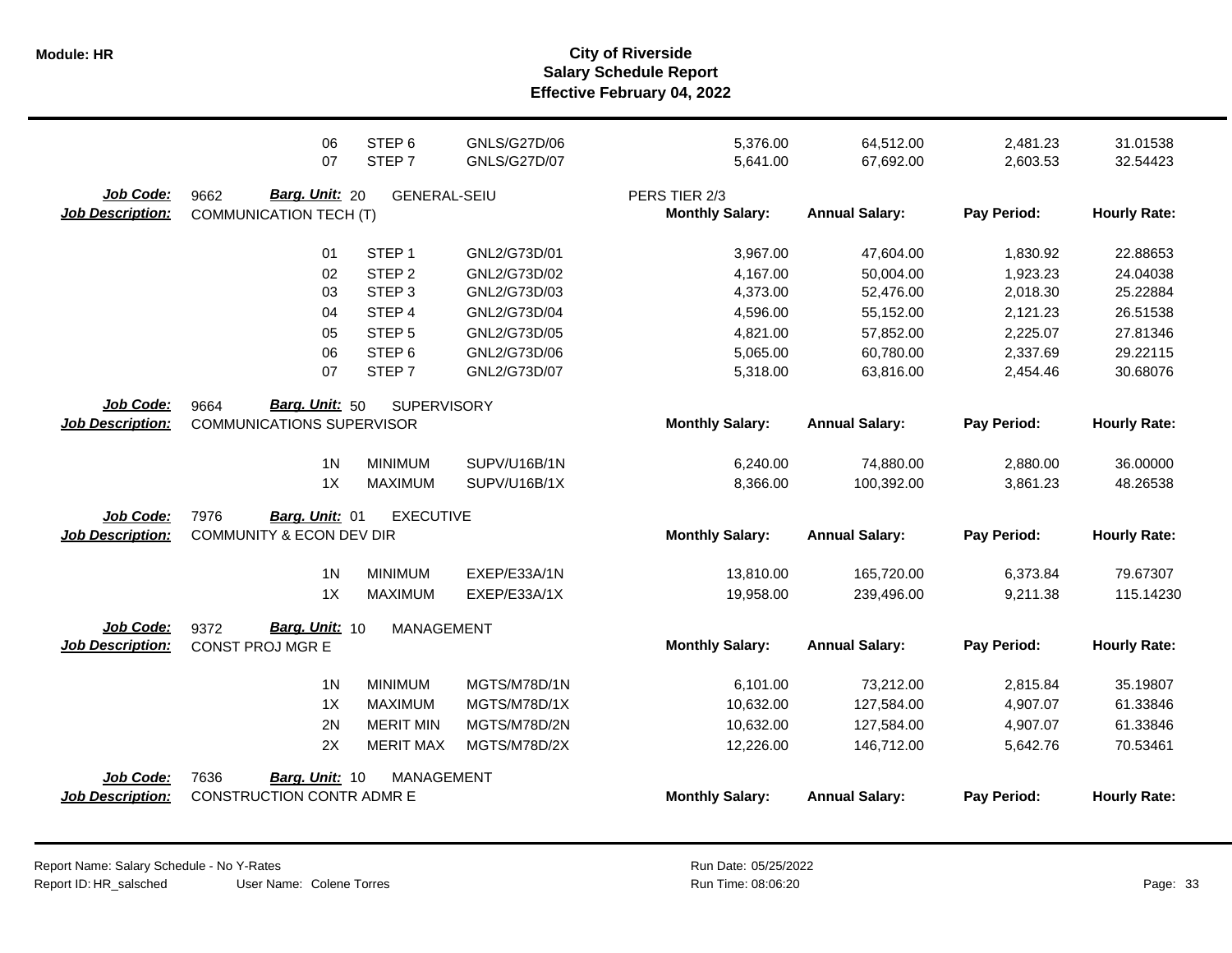**Salary Schedule Report Effective February 04, 2022 Module: HR City of Riverside**

|                         | 06<br>07                         | STEP <sub>6</sub><br>STEP <sub>7</sub> | <b>GNLS/G27D/06</b><br><b>GNLS/G27D/07</b> | 5,376.00               | 64,512.00             | 2,481.23    | 31.01538            |
|-------------------------|----------------------------------|----------------------------------------|--------------------------------------------|------------------------|-----------------------|-------------|---------------------|
|                         |                                  |                                        |                                            | 5,641.00               | 67,692.00             | 2,603.53    | 32.54423            |
| Job Code:               | Barg. Unit: 20<br>9662           | <b>GENERAL-SEIU</b>                    |                                            | PERS TIER 2/3          |                       |             |                     |
| <b>Job Description:</b> | <b>COMMUNICATION TECH (T)</b>    |                                        |                                            | <b>Monthly Salary:</b> | <b>Annual Salary:</b> | Pay Period: | <b>Hourly Rate:</b> |
|                         | 01                               | STEP <sub>1</sub>                      | GNL2/G73D/01                               | 3,967.00               | 47,604.00             | 1,830.92    | 22.88653            |
|                         | 02                               | STEP <sub>2</sub>                      | GNL2/G73D/02                               | 4,167.00               | 50,004.00             | 1,923.23    | 24.04038            |
|                         | 03                               | STEP <sub>3</sub>                      | GNL2/G73D/03                               | 4,373.00               | 52,476.00             | 2,018.30    | 25.22884            |
|                         | 04                               | STEP 4                                 | GNL2/G73D/04                               | 4,596.00               | 55,152.00             | 2,121.23    | 26.51538            |
|                         | 05                               | STEP <sub>5</sub>                      | GNL2/G73D/05                               | 4,821.00               | 57,852.00             | 2,225.07    | 27.81346            |
|                         | 06                               | STEP <sub>6</sub>                      | GNL2/G73D/06                               | 5,065.00               | 60,780.00             | 2,337.69    | 29.22115            |
|                         | 07                               | STEP <sub>7</sub>                      | GNL2/G73D/07                               | 5,318.00               | 63,816.00             | 2,454.46    | 30.68076            |
| Job Code:               | Barg. Unit: 50<br>9664           | <b>SUPERVISORY</b>                     |                                            |                        |                       |             |                     |
| <b>Job Description:</b> | <b>COMMUNICATIONS SUPERVISOR</b> |                                        |                                            | <b>Monthly Salary:</b> | <b>Annual Salary:</b> | Pay Period: | <b>Hourly Rate:</b> |
|                         | 1 <sub>N</sub>                   | <b>MINIMUM</b>                         | SUPV/U16B/1N                               | 6,240.00               | 74,880.00             | 2,880.00    | 36.00000            |
|                         | 1X                               | <b>MAXIMUM</b>                         | SUPV/U16B/1X                               | 8,366.00               | 100,392.00            | 3,861.23    | 48.26538            |
| Job Code:               | 7976<br>Barg. Unit: 01           | <b>EXECUTIVE</b>                       |                                            |                        |                       |             |                     |
| <b>Job Description:</b> | COMMUNITY & ECON DEV DIR         |                                        |                                            | <b>Monthly Salary:</b> | <b>Annual Salary:</b> | Pay Period: | <b>Hourly Rate:</b> |
|                         | 1 <sub>N</sub>                   | <b>MINIMUM</b>                         | EXEP/E33A/1N                               | 13,810.00              | 165,720.00            | 6,373.84    | 79.67307            |
|                         | 1X                               | <b>MAXIMUM</b>                         | EXEP/E33A/1X                               | 19,958.00              | 239,496.00            | 9,211.38    | 115.14230           |
| Job Code:               | Barg. Unit: 10<br>9372           | <b>MANAGEMENT</b>                      |                                            |                        |                       |             |                     |
| <b>Job Description:</b> | CONST PROJ MGR E                 |                                        |                                            | <b>Monthly Salary:</b> | <b>Annual Salary:</b> | Pay Period: | <b>Hourly Rate:</b> |
|                         | 1 <sub>N</sub>                   | <b>MINIMUM</b>                         | MGTS/M78D/1N                               | 6,101.00               | 73,212.00             | 2,815.84    | 35.19807            |
|                         | 1X                               | <b>MAXIMUM</b>                         | MGTS/M78D/1X                               | 10,632.00              | 127,584.00            | 4,907.07    | 61.33846            |
|                         | 2N                               | <b>MERIT MIN</b>                       | MGTS/M78D/2N                               | 10,632.00              | 127,584.00            | 4,907.07    | 61.33846            |
|                         | 2X                               | <b>MERIT MAX</b>                       | MGTS/M78D/2X                               | 12,226.00              | 146,712.00            | 5,642.76    | 70.53461            |
| Job Code:               | 7636<br>Barg. Unit: 10           | <b>MANAGEMENT</b>                      |                                            |                        |                       |             |                     |
| <b>Job Description:</b> | CONSTRUCTION CONTR ADMR E        |                                        |                                            | <b>Monthly Salary:</b> | <b>Annual Salary:</b> | Pay Period: | <b>Hourly Rate:</b> |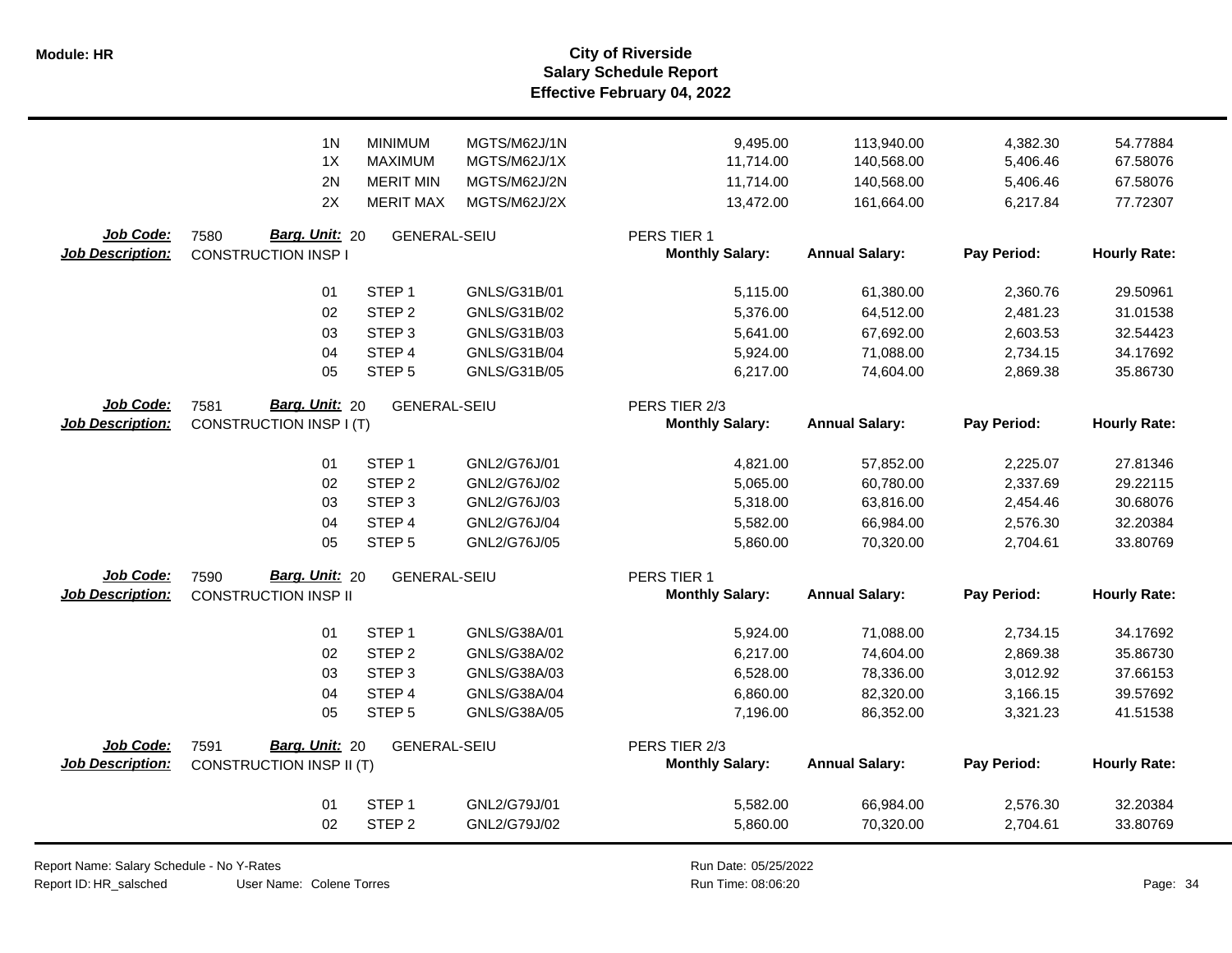**Salary Schedule Report Effective February 04, 2022 Module: HR City of Riverside**

|                         | 1 <sub>N</sub>                  | <b>MINIMUM</b>                     | MGTS/M62J/1N | 9,495.00               | 113,940.00            | 4,382.30    | 54.77884            |
|-------------------------|---------------------------------|------------------------------------|--------------|------------------------|-----------------------|-------------|---------------------|
|                         | 1X<br>2N                        | <b>MAXIMUM</b><br><b>MERIT MIN</b> | MGTS/M62J/1X | 11,714.00              | 140,568.00            | 5,406.46    | 67.58076            |
|                         |                                 |                                    | MGTS/M62J/2N | 11,714.00              | 140,568.00            | 5,406.46    | 67.58076            |
|                         | 2X                              | <b>MERIT MAX</b>                   | MGTS/M62J/2X | 13,472.00              | 161,664.00            | 6,217.84    | 77.72307            |
| Job Code:               | Barg. Unit: 20<br>7580          | <b>GENERAL-SEIU</b>                |              | PERS TIER 1            |                       |             |                     |
| <b>Job Description:</b> | <b>CONSTRUCTION INSP I</b>      |                                    |              | <b>Monthly Salary:</b> | <b>Annual Salary:</b> | Pay Period: | <b>Hourly Rate:</b> |
|                         | 01                              | STEP <sub>1</sub>                  | GNLS/G31B/01 | 5,115.00               | 61,380.00             | 2,360.76    | 29.50961            |
|                         | 02                              | STEP <sub>2</sub>                  | GNLS/G31B/02 | 5,376.00               | 64,512.00             | 2,481.23    | 31.01538            |
|                         | 03                              | STEP <sub>3</sub>                  | GNLS/G31B/03 | 5,641.00               | 67,692.00             | 2,603.53    | 32.54423            |
|                         | 04                              | STEP 4                             | GNLS/G31B/04 | 5,924.00               | 71,088.00             | 2,734.15    | 34.17692            |
|                         | 05                              | STEP <sub>5</sub>                  | GNLS/G31B/05 | 6,217.00               | 74,604.00             | 2,869.38    | 35.86730            |
| Job Code:               | Barg. Unit: 20<br>7581          | <b>GENERAL-SEIU</b>                |              | PERS TIER 2/3          |                       |             |                     |
| <b>Job Description:</b> | CONSTRUCTION INSP I (T)         |                                    |              | <b>Monthly Salary:</b> | <b>Annual Salary:</b> | Pay Period: | <b>Hourly Rate:</b> |
|                         | 01                              | STEP <sub>1</sub>                  | GNL2/G76J/01 | 4,821.00               | 57,852.00             | 2,225.07    | 27.81346            |
|                         | 02                              | STEP <sub>2</sub>                  | GNL2/G76J/02 | 5,065.00               | 60,780.00             | 2,337.69    | 29.22115            |
|                         | 03                              | STEP <sub>3</sub>                  | GNL2/G76J/03 | 5,318.00               | 63,816.00             | 2,454.46    | 30.68076            |
|                         | 04                              | STEP 4                             | GNL2/G76J/04 | 5,582.00               | 66,984.00             | 2,576.30    | 32.20384            |
|                         | 05                              | STEP <sub>5</sub>                  | GNL2/G76J/05 | 5,860.00               | 70,320.00             | 2,704.61    | 33.80769            |
| Job Code:               | Barg. Unit: 20<br>7590          | <b>GENERAL-SEIU</b>                |              | PERS TIER 1            |                       |             |                     |
| <b>Job Description:</b> | <b>CONSTRUCTION INSP II</b>     |                                    |              | <b>Monthly Salary:</b> | <b>Annual Salary:</b> | Pay Period: | <b>Hourly Rate:</b> |
|                         | 01                              | STEP <sub>1</sub>                  | GNLS/G38A/01 | 5,924.00               | 71,088.00             | 2,734.15    | 34.17692            |
|                         | 02                              | STEP <sub>2</sub>                  | GNLS/G38A/02 | 6,217.00               | 74,604.00             | 2,869.38    | 35.86730            |
|                         | 03                              | STEP <sub>3</sub>                  | GNLS/G38A/03 | 6,528.00               | 78,336.00             | 3,012.92    | 37.66153            |
|                         | 04                              | STEP 4                             | GNLS/G38A/04 | 6,860.00               | 82,320.00             | 3,166.15    | 39.57692            |
|                         | 05                              | STEP <sub>5</sub>                  | GNLS/G38A/05 | 7,196.00               | 86,352.00             | 3,321.23    | 41.51538            |
| Job Code:               | Barg. Unit: 20<br>7591          | <b>GENERAL-SEIU</b>                |              | PERS TIER 2/3          |                       |             |                     |
| <b>Job Description:</b> | <b>CONSTRUCTION INSP II (T)</b> |                                    |              | <b>Monthly Salary:</b> | <b>Annual Salary:</b> | Pay Period: | <b>Hourly Rate:</b> |
|                         | 01                              | STEP <sub>1</sub>                  | GNL2/G79J/01 | 5,582.00               | 66,984.00             | 2,576.30    | 32.20384            |
|                         | 02                              | STEP <sub>2</sub>                  | GNL2/G79J/02 | 5,860.00               | 70,320.00             | 2,704.61    | 33.80769            |
|                         |                                 |                                    |              |                        |                       |             |                     |

Report Name: Salary Schedule - No Y-Rates

Report ID: HR\_salsched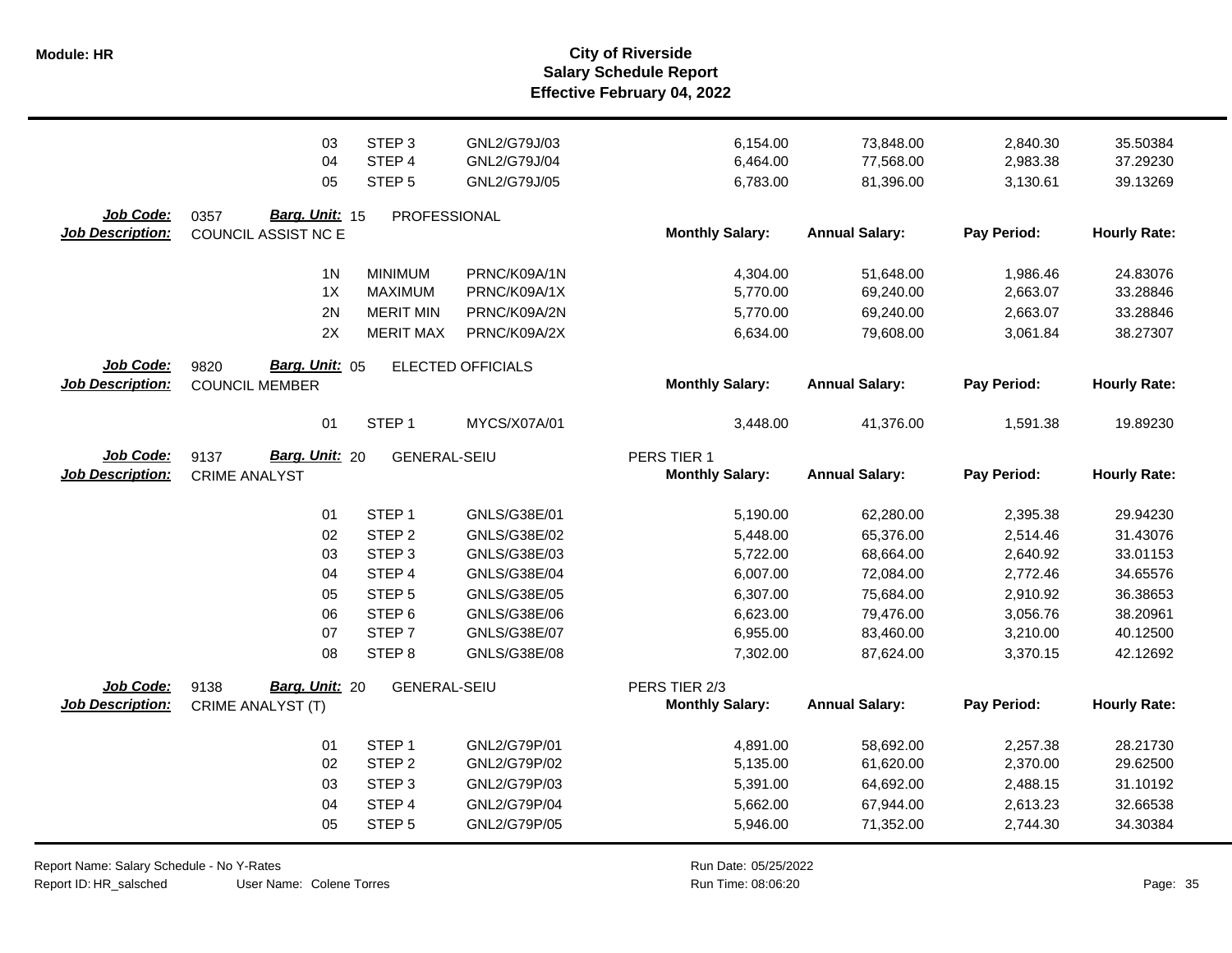|                                      | 03<br>04<br>05                                  | STEP <sub>3</sub><br>STEP 4<br>STEP <sub>5</sub>                         | GNL2/G79J/03<br>GNL2/G79J/04<br>GNL2/G79J/05                 | 6,154.00<br>6,464.00<br>6,783.00             | 73,848.00<br>77,568.00<br>81,396.00              | 2,840.30<br>2,983.38<br>3,130.61             | 35.50384<br>37.29230<br>39.13269             |
|--------------------------------------|-------------------------------------------------|--------------------------------------------------------------------------|--------------------------------------------------------------|----------------------------------------------|--------------------------------------------------|----------------------------------------------|----------------------------------------------|
| Job Code:<br><b>Job Description:</b> | Barg. Unit: 15<br>0357<br>COUNCIL ASSIST NC E   | PROFESSIONAL                                                             |                                                              | <b>Monthly Salary:</b>                       | <b>Annual Salary:</b>                            | Pay Period:                                  | <b>Hourly Rate:</b>                          |
|                                      | 1 <sub>N</sub><br>1X<br>2N<br>2X                | <b>MINIMUM</b><br><b>MAXIMUM</b><br><b>MERIT MIN</b><br><b>MERIT MAX</b> | PRNC/K09A/1N<br>PRNC/K09A/1X<br>PRNC/K09A/2N<br>PRNC/K09A/2X | 4,304.00<br>5,770.00<br>5,770.00<br>6,634.00 | 51,648.00<br>69,240.00<br>69,240.00<br>79,608.00 | 1,986.46<br>2,663.07<br>2,663.07<br>3,061.84 | 24.83076<br>33.28846<br>33.28846<br>38.27307 |
| Job Code:<br><b>Job Description:</b> | Barg. Unit: 05<br>9820<br><b>COUNCIL MEMBER</b> |                                                                          | ELECTED OFFICIALS                                            | <b>Monthly Salary:</b>                       | <b>Annual Salary:</b>                            | Pay Period:                                  | <b>Hourly Rate:</b>                          |
|                                      | 01                                              | STEP <sub>1</sub>                                                        | MYCS/X07A/01                                                 | 3,448.00                                     | 41,376.00                                        | 1,591.38                                     | 19.89230                                     |
| Job Code:<br><b>Job Description:</b> | Barg. Unit: 20<br>9137<br><b>CRIME ANALYST</b>  | <b>GENERAL-SEIU</b>                                                      |                                                              | PERS TIER 1<br><b>Monthly Salary:</b>        | <b>Annual Salary:</b>                            | Pay Period:                                  | <b>Hourly Rate:</b>                          |
|                                      | 01                                              | STEP <sub>1</sub>                                                        | GNLS/G38E/01                                                 | 5,190.00                                     | 62,280.00                                        | 2,395.38                                     | 29.94230                                     |
|                                      | 02                                              | STEP <sub>2</sub>                                                        | GNLS/G38E/02                                                 | 5,448.00                                     | 65,376.00                                        | 2,514.46                                     | 31.43076                                     |
|                                      | 03                                              | STEP <sub>3</sub>                                                        | GNLS/G38E/03                                                 | 5,722.00                                     | 68,664.00                                        | 2,640.92                                     | 33.01153                                     |
|                                      | 04                                              | STEP 4                                                                   | GNLS/G38E/04                                                 | 6,007.00                                     | 72,084.00                                        | 2,772.46                                     | 34.65576                                     |
|                                      | 05                                              | STEP <sub>5</sub>                                                        | GNLS/G38E/05                                                 | 6,307.00                                     | 75,684.00                                        | 2,910.92                                     | 36.38653                                     |
|                                      | 06                                              | STEP <sub>6</sub>                                                        | GNLS/G38E/06                                                 | 6,623.00                                     | 79,476.00                                        | 3,056.76                                     | 38.20961                                     |
|                                      | 07                                              | STEP <sub>7</sub>                                                        | GNLS/G38E/07                                                 | 6,955.00                                     | 83,460.00                                        | 3,210.00                                     | 40.12500                                     |
|                                      | 08                                              | STEP <sub>8</sub>                                                        | GNLS/G38E/08                                                 | 7,302.00                                     | 87,624.00                                        | 3,370.15                                     | 42.12692                                     |
| <b>Job Code:</b>                     | Barg. Unit: 20<br>9138                          | <b>GENERAL-SEIU</b>                                                      |                                                              | PERS TIER 2/3                                |                                                  |                                              |                                              |
| <b>Job Description:</b>              | CRIME ANALYST (T)                               |                                                                          |                                                              | <b>Monthly Salary:</b>                       | <b>Annual Salary:</b>                            | Pay Period:                                  | <b>Hourly Rate:</b>                          |
|                                      |                                                 |                                                                          |                                                              |                                              |                                                  |                                              |                                              |
|                                      | 01                                              | STEP <sub>1</sub>                                                        | GNL2/G79P/01                                                 | 4,891.00                                     | 58,692.00                                        | 2,257.38                                     | 28.21730                                     |
|                                      | 02                                              | STEP <sub>2</sub>                                                        | GNL2/G79P/02                                                 | 5,135.00                                     | 61,620.00                                        | 2,370.00                                     | 29.62500                                     |
|                                      | 03                                              | STEP <sub>3</sub>                                                        | GNL2/G79P/03                                                 | 5,391.00                                     | 64,692.00                                        | 2,488.15                                     | 31.10192                                     |
|                                      | 04                                              | STEP 4                                                                   | GNL2/G79P/04                                                 | 5,662.00                                     | 67,944.00                                        | 2,613.23                                     | 32.66538                                     |
|                                      | 05                                              | STEP <sub>5</sub>                                                        | GNL2/G79P/05                                                 | 5,946.00                                     | 71,352.00                                        | 2,744.30                                     | 34.30384                                     |

Report Name: Salary Schedule - No Y-Rates

Report ID: HR\_salsched

User Name: Colene Torres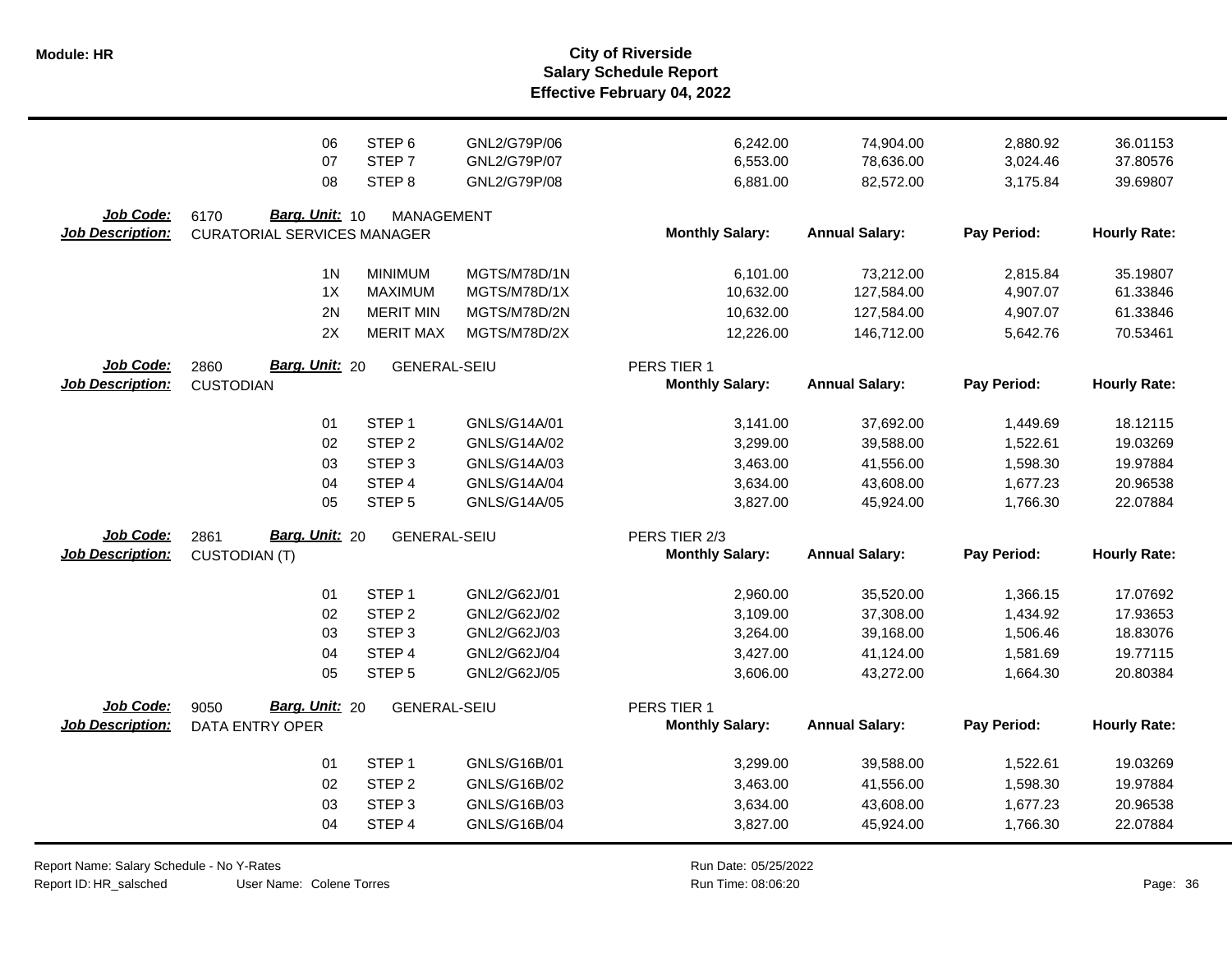|                                             | 06                                                           | STEP <sub>6</sub>   | GNL2/G79P/06 | 6,242.00                                | 74,904.00             | 2,880.92    | 36.01153            |
|---------------------------------------------|--------------------------------------------------------------|---------------------|--------------|-----------------------------------------|-----------------------|-------------|---------------------|
|                                             | 07                                                           | STEP <sub>7</sub>   | GNL2/G79P/07 | 6,553.00                                | 78,636.00             | 3,024.46    | 37.80576            |
|                                             | 08                                                           | STEP <sub>8</sub>   | GNL2/G79P/08 | 6,881.00                                | 82,572.00             | 3,175.84    | 39.69807            |
| <b>Job Code:</b><br><b>Job Description:</b> | Barg. Unit: 10<br>6170<br><b>CURATORIAL SERVICES MANAGER</b> | <b>MANAGEMENT</b>   |              | <b>Monthly Salary:</b>                  | <b>Annual Salary:</b> | Pay Period: | <b>Hourly Rate:</b> |
|                                             | 1 <sup>N</sup>                                               | <b>MINIMUM</b>      | MGTS/M78D/1N | 6,101.00                                | 73,212.00             | 2,815.84    | 35.19807            |
|                                             | 1X                                                           | <b>MAXIMUM</b>      | MGTS/M78D/1X | 10,632.00                               | 127,584.00            | 4,907.07    | 61.33846            |
|                                             | 2N                                                           | <b>MERIT MIN</b>    | MGTS/M78D/2N | 10,632.00                               | 127,584.00            | 4,907.07    | 61.33846            |
|                                             | 2X                                                           | <b>MERIT MAX</b>    | MGTS/M78D/2X | 12,226.00                               | 146,712.00            | 5,642.76    | 70.53461            |
| Job Code:<br><b>Job Description:</b>        | Barg. Unit: 20<br>2860<br><b>CUSTODIAN</b>                   | <b>GENERAL-SEIU</b> |              | PERS TIER 1<br><b>Monthly Salary:</b>   | <b>Annual Salary:</b> | Pay Period: | <b>Hourly Rate:</b> |
|                                             | 01                                                           | STEP <sub>1</sub>   | GNLS/G14A/01 | 3,141.00                                | 37,692.00             | 1,449.69    | 18.12115            |
|                                             | 02                                                           | STEP <sub>2</sub>   | GNLS/G14A/02 | 3,299.00                                | 39,588.00             | 1,522.61    | 19.03269            |
|                                             | 03                                                           | STEP <sub>3</sub>   | GNLS/G14A/03 | 3,463.00                                | 41,556.00             | 1,598.30    | 19.97884            |
|                                             | 04                                                           | STEP 4              | GNLS/G14A/04 | 3,634.00                                | 43,608.00             | 1,677.23    | 20.96538            |
|                                             | 05                                                           | STEP <sub>5</sub>   | GNLS/G14A/05 | 3,827.00                                | 45,924.00             | 1,766.30    | 22.07884            |
| Job Code:<br><b>Job Description:</b>        | 2861<br>Barg. Unit: 20<br><b>CUSTODIAN (T)</b>               | <b>GENERAL-SEIU</b> |              | PERS TIER 2/3<br><b>Monthly Salary:</b> | <b>Annual Salary:</b> | Pay Period: | <b>Hourly Rate:</b> |
|                                             | 01                                                           | STEP <sub>1</sub>   | GNL2/G62J/01 | 2,960.00                                | 35,520.00             | 1,366.15    | 17.07692            |
|                                             | 02                                                           | STEP <sub>2</sub>   | GNL2/G62J/02 | 3,109.00                                | 37,308.00             | 1,434.92    | 17.93653            |
|                                             | 03                                                           | STEP <sub>3</sub>   | GNL2/G62J/03 | 3,264.00                                | 39,168.00             | 1,506.46    | 18.83076            |
|                                             | 04                                                           | STEP 4              | GNL2/G62J/04 | 3,427.00                                | 41,124.00             | 1,581.69    | 19.77115            |
|                                             | 05                                                           | STEP <sub>5</sub>   | GNL2/G62J/05 | 3,606.00                                | 43,272.00             | 1,664.30    | 20.80384            |
| Job Code:<br><b>Job Description:</b>        | Barg. Unit: 20<br>9050<br><b>DATA ENTRY OPER</b>             | <b>GENERAL-SEIU</b> |              | PERS TIER 1<br><b>Monthly Salary:</b>   | <b>Annual Salary:</b> | Pay Period: | <b>Hourly Rate:</b> |
|                                             | 01                                                           | STEP <sub>1</sub>   | GNLS/G16B/01 | 3,299.00                                | 39,588.00             | 1,522.61    | 19.03269            |
|                                             | 02                                                           | STEP <sub>2</sub>   | GNLS/G16B/02 | 3,463.00                                | 41,556.00             | 1,598.30    | 19.97884            |
|                                             | 03                                                           | STEP <sub>3</sub>   | GNLS/G16B/03 | 3,634.00                                | 43,608.00             | 1,677.23    | 20.96538            |
|                                             | 04                                                           | STEP 4              | GNLS/G16B/04 | 3,827.00                                | 45,924.00             | 1,766.30    | 22.07884            |

Report Name: Salary Schedule - No Y-Rates Report ID: HR\_salsched

User Name: Colene Torres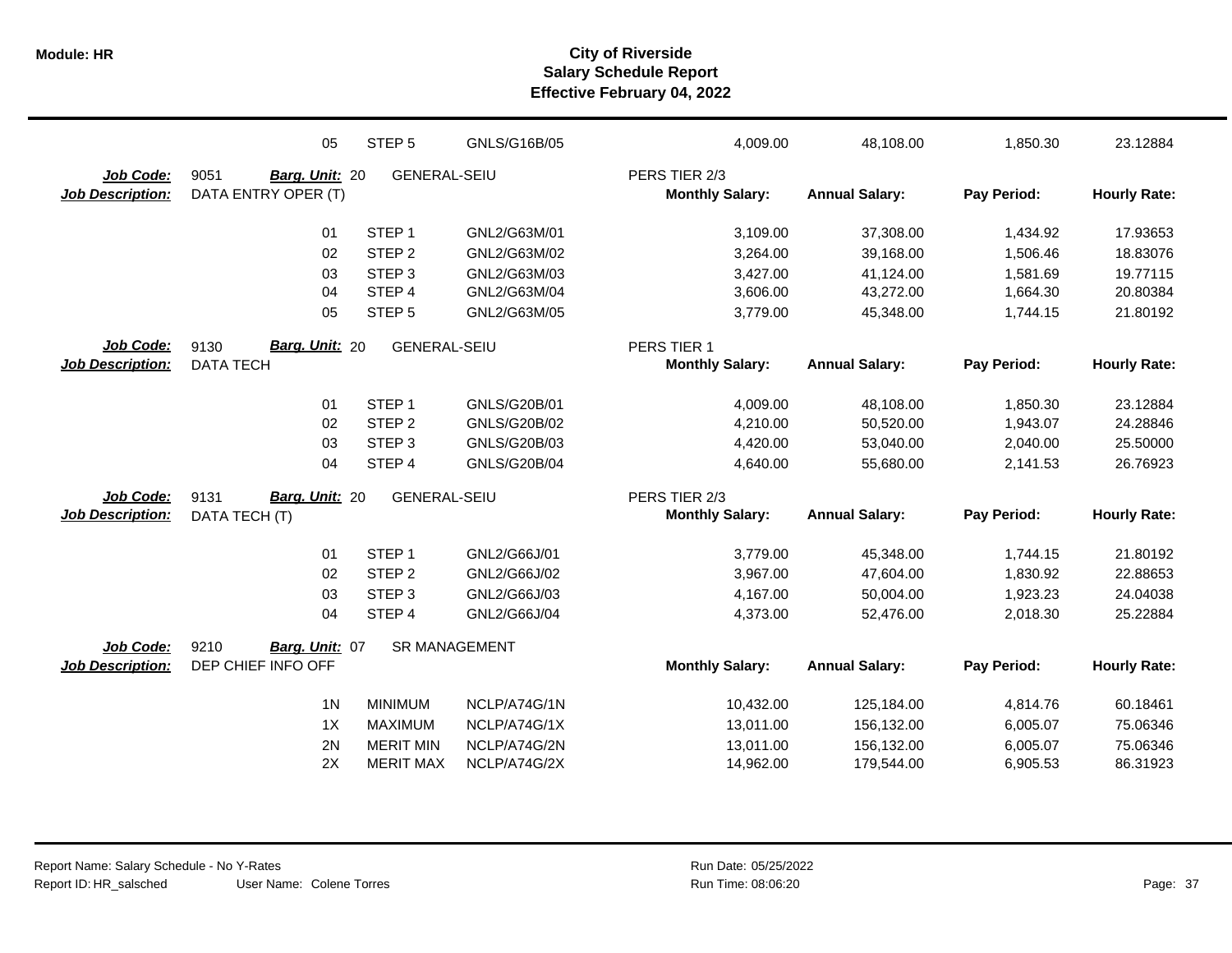|                         | 05                     | STEP <sub>5</sub>    | GNLS/G16B/05        | 4,009.00               | 48,108.00             | 1,850.30    | 23.12884            |
|-------------------------|------------------------|----------------------|---------------------|------------------------|-----------------------|-------------|---------------------|
| Job Code:               | 9051<br>Barg. Unit: 20 | <b>GENERAL-SEIU</b>  |                     | PERS TIER 2/3          |                       |             |                     |
| <b>Job Description:</b> | DATA ENTRY OPER (T)    |                      |                     | <b>Monthly Salary:</b> | <b>Annual Salary:</b> | Pay Period: | <b>Hourly Rate:</b> |
|                         | 01                     | STEP <sub>1</sub>    | GNL2/G63M/01        | 3,109.00               | 37,308.00             | 1,434.92    | 17.93653            |
|                         | 02                     | STEP <sub>2</sub>    | GNL2/G63M/02        | 3,264.00               | 39,168.00             | 1.506.46    | 18.83076            |
|                         | 03                     | STEP <sub>3</sub>    | GNL2/G63M/03        | 3,427.00               | 41,124.00             | 1,581.69    | 19.77115            |
|                         | 04                     | STEP <sub>4</sub>    | GNL2/G63M/04        | 3,606.00               | 43,272.00             | 1,664.30    | 20.80384            |
|                         | 05                     | STEP <sub>5</sub>    | GNL2/G63M/05        | 3,779.00               | 45,348.00             | 1,744.15    | 21.80192            |
| Job Code:               | Barg. Unit: 20<br>9130 | <b>GENERAL-SEIU</b>  |                     | PERS TIER 1            |                       |             |                     |
| <b>Job Description:</b> | <b>DATA TECH</b>       |                      |                     | <b>Monthly Salary:</b> | <b>Annual Salary:</b> | Pay Period: | <b>Hourly Rate:</b> |
|                         | 01                     | STEP <sub>1</sub>    | GNLS/G20B/01        | 4,009.00               | 48,108.00             | 1,850.30    | 23.12884            |
|                         | 02                     | STEP <sub>2</sub>    | GNLS/G20B/02        | 4,210.00               | 50,520.00             | 1,943.07    | 24.28846            |
|                         | 03                     | STEP <sub>3</sub>    | GNLS/G20B/03        | 4,420.00               | 53,040.00             | 2,040.00    | 25.50000            |
|                         | 04                     | STEP 4               | <b>GNLS/G20B/04</b> | 4,640.00               | 55,680.00             | 2,141.53    | 26.76923            |
| Job Code:               | Barg. Unit: 20<br>9131 | <b>GENERAL-SEIU</b>  |                     | PERS TIER 2/3          |                       |             |                     |
| <b>Job Description:</b> | DATA TECH (T)          |                      |                     | <b>Monthly Salary:</b> | <b>Annual Salary:</b> | Pay Period: | <b>Hourly Rate:</b> |
|                         | 01                     | STEP <sub>1</sub>    | GNL2/G66J/01        | 3,779.00               | 45,348.00             | 1,744.15    | 21.80192            |
|                         | 02                     | STEP <sub>2</sub>    | GNL2/G66J/02        | 3,967.00               | 47,604.00             | 1,830.92    | 22.88653            |
|                         | 03                     | STEP <sub>3</sub>    | GNL2/G66J/03        | 4,167.00               | 50,004.00             | 1,923.23    | 24.04038            |
|                         | 04                     | STEP 4               | GNL2/G66J/04        | 4,373.00               | 52,476.00             | 2,018.30    | 25.22884            |
| Job Code:               | 9210<br>Barg. Unit: 07 | <b>SR MANAGEMENT</b> |                     |                        |                       |             |                     |
| <b>Job Description:</b> | DEP CHIEF INFO OFF     |                      |                     | <b>Monthly Salary:</b> | <b>Annual Salary:</b> | Pay Period: | <b>Hourly Rate:</b> |
|                         | 1 <sub>N</sub>         | <b>MINIMUM</b>       | NCLP/A74G/1N        | 10,432.00              | 125,184.00            | 4,814.76    | 60.18461            |
|                         | 1X                     | <b>MAXIMUM</b>       | NCLP/A74G/1X        | 13,011.00              | 156,132.00            | 6,005.07    | 75.06346            |
|                         | 2N                     | <b>MERIT MIN</b>     | NCLP/A74G/2N        | 13,011.00              | 156,132.00            | 6,005.07    | 75.06346            |
|                         | 2X                     | <b>MERIT MAX</b>     | NCLP/A74G/2X        | 14,962.00              | 179,544.00            | 6,905.53    | 86.31923            |
|                         |                        |                      |                     |                        |                       |             |                     |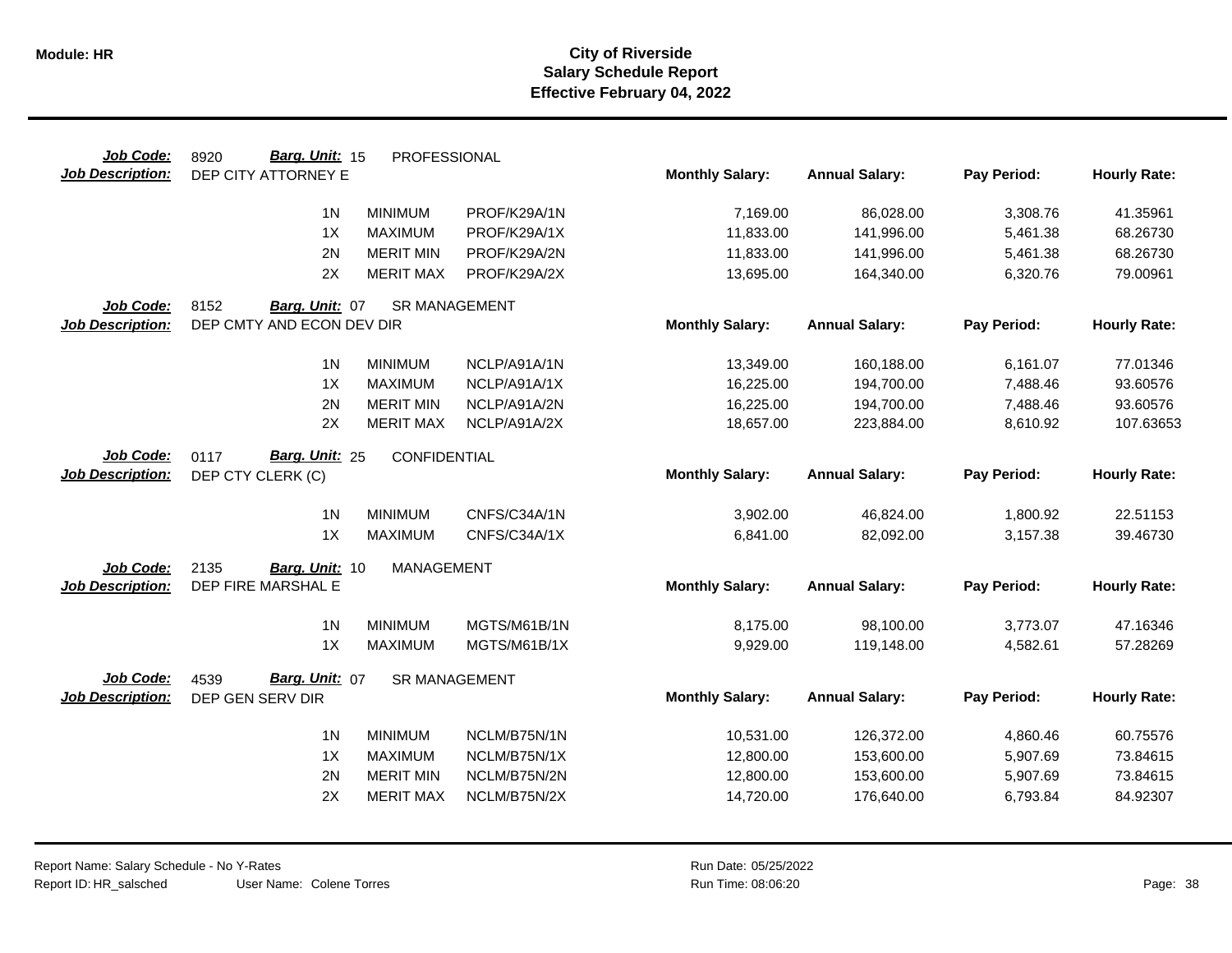| Job Code:               | Barg. Unit: 15<br>8920    | PROFESSIONAL         |              |                        |                       |             |                     |
|-------------------------|---------------------------|----------------------|--------------|------------------------|-----------------------|-------------|---------------------|
| <b>Job Description:</b> | DEP CITY ATTORNEY E       |                      |              | <b>Monthly Salary:</b> | <b>Annual Salary:</b> | Pay Period: | <b>Hourly Rate:</b> |
|                         | 1 <sub>N</sub>            | <b>MINIMUM</b>       | PROF/K29A/1N | 7,169.00               | 86,028.00             | 3,308.76    | 41.35961            |
|                         | 1X                        | <b>MAXIMUM</b>       | PROF/K29A/1X | 11,833.00              | 141,996.00            | 5,461.38    | 68.26730            |
|                         | 2N                        |                      |              |                        |                       |             |                     |
|                         |                           | <b>MERIT MIN</b>     | PROF/K29A/2N | 11,833.00              | 141,996.00            | 5,461.38    | 68.26730            |
|                         | 2X                        | <b>MERIT MAX</b>     | PROF/K29A/2X | 13,695.00              | 164,340.00            | 6,320.76    | 79.00961            |
| Job Code:               | 8152<br>Barg. Unit: 07    | <b>SR MANAGEMENT</b> |              |                        |                       |             |                     |
| <b>Job Description:</b> | DEP CMTY AND ECON DEV DIR |                      |              | <b>Monthly Salary:</b> | <b>Annual Salary:</b> | Pay Period: | <b>Hourly Rate:</b> |
|                         | 1 <sup>N</sup>            | <b>MINIMUM</b>       | NCLP/A91A/1N | 13,349.00              | 160,188.00            | 6,161.07    | 77.01346            |
|                         | 1X                        | <b>MAXIMUM</b>       | NCLP/A91A/1X | 16,225.00              | 194,700.00            | 7,488.46    | 93.60576            |
|                         | 2N                        | <b>MERIT MIN</b>     | NCLP/A91A/2N | 16,225.00              | 194,700.00            | 7,488.46    | 93.60576            |
|                         | 2X                        | <b>MERIT MAX</b>     | NCLP/A91A/2X | 18,657.00              | 223,884.00            | 8,610.92    | 107.63653           |
|                         |                           |                      |              |                        |                       |             |                     |
| Job Code:               | 0117<br>Barg. Unit: 25    | CONFIDENTIAL         |              |                        |                       |             |                     |
| <b>Job Description:</b> | DEP CTY CLERK (C)         |                      |              | <b>Monthly Salary:</b> | <b>Annual Salary:</b> | Pay Period: | <b>Hourly Rate:</b> |
|                         | 1 <sub>N</sub>            | <b>MINIMUM</b>       | CNFS/C34A/1N | 3,902.00               | 46,824.00             | 1,800.92    | 22.51153            |
|                         | 1X                        | <b>MAXIMUM</b>       | CNFS/C34A/1X | 6,841.00               | 82,092.00             | 3,157.38    | 39.46730            |
| Job Code:               | 2135<br>Barg. Unit: 10    | <b>MANAGEMENT</b>    |              |                        |                       |             |                     |
| <b>Job Description:</b> | DEP FIRE MARSHAL E        |                      |              | <b>Monthly Salary:</b> | <b>Annual Salary:</b> | Pay Period: | <b>Hourly Rate:</b> |
|                         | 1 <sub>N</sub>            | <b>MINIMUM</b>       | MGTS/M61B/1N | 8,175.00               | 98,100.00             | 3,773.07    | 47.16346            |
|                         | 1X                        | <b>MAXIMUM</b>       | MGTS/M61B/1X | 9,929.00               | 119,148.00            | 4,582.61    | 57.28269            |
| Job Code:               | Barg. Unit: 07<br>4539    | <b>SR MANAGEMENT</b> |              |                        |                       |             |                     |
| <b>Job Description:</b> | DEP GEN SERV DIR          |                      |              | <b>Monthly Salary:</b> | <b>Annual Salary:</b> | Pay Period: | <b>Hourly Rate:</b> |
|                         |                           |                      |              |                        |                       |             |                     |
|                         | 1 <sub>N</sub>            | <b>MINIMUM</b>       | NCLM/B75N/1N | 10,531.00              | 126,372.00            | 4,860.46    | 60.75576            |
|                         | 1X                        | <b>MAXIMUM</b>       | NCLM/B75N/1X | 12,800.00              | 153,600.00            | 5,907.69    | 73.84615            |
|                         | 2N                        | <b>MERIT MIN</b>     | NCLM/B75N/2N | 12,800.00              | 153,600.00            | 5,907.69    | 73.84615            |
|                         | 2X                        | <b>MERIT MAX</b>     | NCLM/B75N/2X | 14,720.00              | 176,640.00            | 6,793.84    | 84.92307            |
|                         |                           |                      |              |                        |                       |             |                     |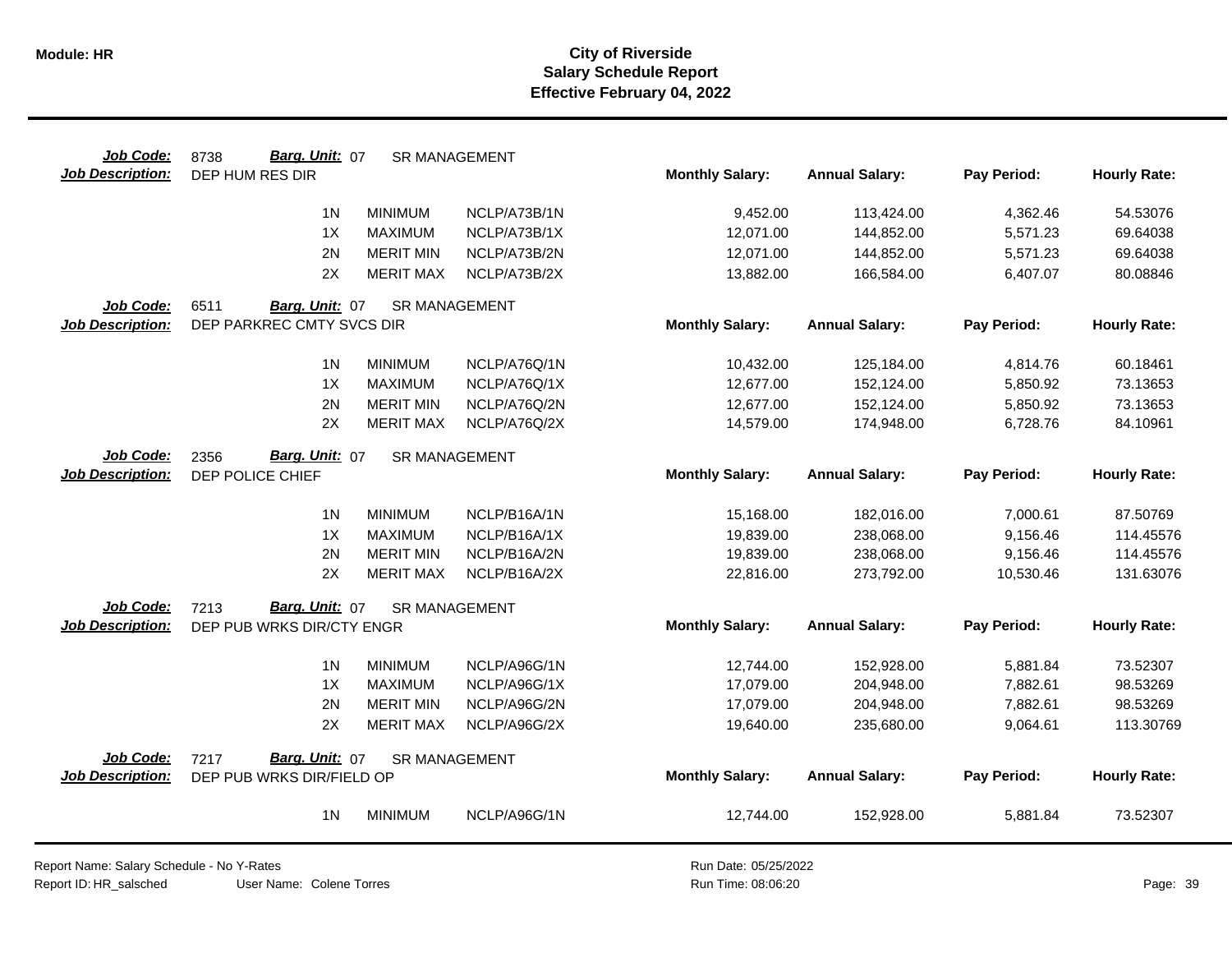| Job Code:               | Barg. Unit: 07<br>8738    | <b>SR MANAGEMENT</b> |              |                        |                       |             |                     |
|-------------------------|---------------------------|----------------------|--------------|------------------------|-----------------------|-------------|---------------------|
| <b>Job Description:</b> | DEP HUM RES DIR           |                      |              | <b>Monthly Salary:</b> | <b>Annual Salary:</b> | Pay Period: | <b>Hourly Rate:</b> |
|                         | 1 <sup>N</sup>            | <b>MINIMUM</b>       | NCLP/A73B/1N | 9,452.00               | 113,424.00            | 4,362.46    | 54.53076            |
|                         | 1X                        | <b>MAXIMUM</b>       | NCLP/A73B/1X | 12,071.00              | 144,852.00            | 5,571.23    | 69.64038            |
|                         | 2N                        | <b>MERIT MIN</b>     | NCLP/A73B/2N | 12,071.00              | 144,852.00            | 5,571.23    | 69.64038            |
|                         | 2X                        | <b>MERIT MAX</b>     | NCLP/A73B/2X | 13,882.00              | 166,584.00            | 6,407.07    | 80.08846            |
| Job Code:               | 6511<br>Barg. Unit: 07    | <b>SR MANAGEMENT</b> |              |                        |                       |             |                     |
| <b>Job Description:</b> | DEP PARKREC CMTY SVCS DIR |                      |              | <b>Monthly Salary:</b> | <b>Annual Salary:</b> | Pay Period: | <b>Hourly Rate:</b> |
|                         | 1 <sup>N</sup>            | <b>MINIMUM</b>       | NCLP/A76Q/1N | 10,432.00              | 125,184.00            | 4,814.76    | 60.18461            |
|                         | 1X                        | <b>MAXIMUM</b>       | NCLP/A76Q/1X | 12,677.00              | 152,124.00            | 5,850.92    | 73.13653            |
|                         | 2N                        | <b>MERIT MIN</b>     | NCLP/A76Q/2N | 12,677.00              | 152,124.00            | 5,850.92    | 73.13653            |
|                         | 2X                        | <b>MERIT MAX</b>     | NCLP/A76Q/2X | 14,579.00              | 174,948.00            | 6,728.76    | 84.10961            |
| Job Code:               | 2356<br>Barg. Unit: 07    | <b>SR MANAGEMENT</b> |              |                        |                       |             |                     |
| <b>Job Description:</b> | DEP POLICE CHIEF          |                      |              | <b>Monthly Salary:</b> | <b>Annual Salary:</b> | Pay Period: | <b>Hourly Rate:</b> |
|                         | 1 <sub>N</sub>            | <b>MINIMUM</b>       | NCLP/B16A/1N | 15,168.00              | 182,016.00            | 7,000.61    | 87.50769            |
|                         | 1X                        | <b>MAXIMUM</b>       | NCLP/B16A/1X | 19,839.00              | 238,068.00            | 9,156.46    | 114.45576           |
|                         | 2N                        | <b>MERIT MIN</b>     | NCLP/B16A/2N | 19,839.00              | 238,068.00            | 9,156.46    | 114.45576           |
|                         | 2X                        | <b>MERIT MAX</b>     | NCLP/B16A/2X | 22,816.00              | 273,792.00            | 10,530.46   | 131.63076           |
| Job Code:               | Barg. Unit: 07<br>7213    | <b>SR MANAGEMENT</b> |              |                        |                       |             |                     |
| <b>Job Description:</b> | DEP PUB WRKS DIR/CTY ENGR |                      |              | <b>Monthly Salary:</b> | <b>Annual Salary:</b> | Pay Period: | <b>Hourly Rate:</b> |
|                         | 1 <sub>N</sub>            | <b>MINIMUM</b>       | NCLP/A96G/1N | 12,744.00              | 152,928.00            | 5,881.84    | 73.52307            |
|                         | 1X                        | <b>MAXIMUM</b>       | NCLP/A96G/1X | 17,079.00              | 204,948.00            | 7,882.61    | 98.53269            |
|                         | 2N                        | <b>MERIT MIN</b>     | NCLP/A96G/2N | 17,079.00              | 204,948.00            | 7,882.61    | 98.53269            |
|                         | 2X                        | <b>MERIT MAX</b>     | NCLP/A96G/2X | 19,640.00              | 235,680.00            | 9,064.61    | 113.30769           |
| Job Code:               | Barg. Unit: 07<br>7217    | <b>SR MANAGEMENT</b> |              |                        |                       |             |                     |
| Job Description:        | DEP PUB WRKS DIR/FIELD OP |                      |              | <b>Monthly Salary:</b> | <b>Annual Salary:</b> | Pay Period: | <b>Hourly Rate:</b> |
|                         | 1 <sub>N</sub>            | <b>MINIMUM</b>       | NCLP/A96G/1N | 12,744.00              | 152,928.00            | 5,881.84    | 73.52307            |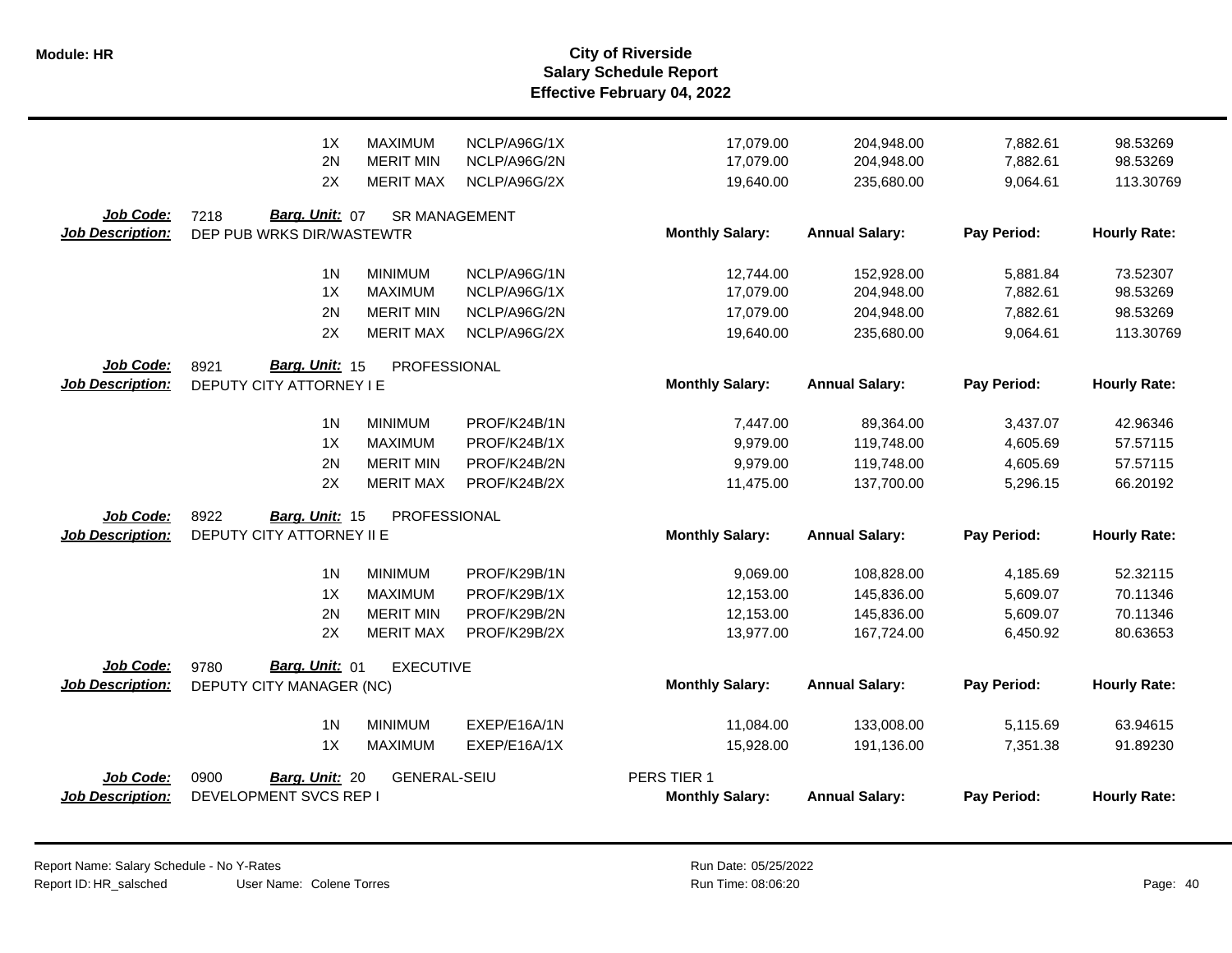|                                      | 1X<br><b>MAXIMUM</b><br>2N<br><b>MERIT MIN</b>      | NCLP/A96G/1X<br>NCLP/A96G/2N | 17,079.00<br>17,079.00 | 204,948.00<br>204,948.00 | 7,882.61<br>7,882.61 | 98.53269<br>98.53269 |
|--------------------------------------|-----------------------------------------------------|------------------------------|------------------------|--------------------------|----------------------|----------------------|
|                                      | 2X<br><b>MERIT MAX</b>                              | NCLP/A96G/2X                 | 19,640.00              | 235,680.00               | 9,064.61             | 113.30769            |
| Job Code:<br><b>Job Description:</b> | Barg. Unit: 07<br>7218<br>DEP PUB WRKS DIR/WASTEWTR | <b>SR MANAGEMENT</b>         | <b>Monthly Salary:</b> | <b>Annual Salary:</b>    | Pay Period:          | <b>Hourly Rate:</b>  |
|                                      |                                                     |                              |                        |                          |                      |                      |
|                                      | 1 <sup>N</sup><br><b>MINIMUM</b>                    | NCLP/A96G/1N                 | 12,744.00              | 152,928.00               | 5,881.84             | 73.52307             |
|                                      | 1X<br><b>MAXIMUM</b>                                | NCLP/A96G/1X                 | 17,079.00              | 204,948.00               | 7,882.61             | 98.53269             |
|                                      | 2N<br><b>MERIT MIN</b>                              | NCLP/A96G/2N                 | 17,079.00              | 204,948.00               | 7,882.61             | 98.53269             |
|                                      | 2X<br><b>MERIT MAX</b>                              | NCLP/A96G/2X                 | 19,640.00              | 235,680.00               | 9,064.61             | 113.30769            |
| Job Code:                            | Barg. Unit: 15<br>8921<br>PROFESSIONAL              |                              |                        |                          |                      |                      |
| <b>Job Description:</b>              | DEPUTY CITY ATTORNEY I E                            |                              | <b>Monthly Salary:</b> | <b>Annual Salary:</b>    | Pay Period:          | <b>Hourly Rate:</b>  |
|                                      | 1 <sub>N</sub><br><b>MINIMUM</b>                    | PROF/K24B/1N                 | 7,447.00               | 89,364.00                | 3,437.07             | 42.96346             |
|                                      | 1X<br><b>MAXIMUM</b>                                | PROF/K24B/1X                 | 9,979.00               | 119,748.00               | 4,605.69             | 57.57115             |
|                                      | <b>MERIT MIN</b><br>2N                              | PROF/K24B/2N                 | 9,979.00               | 119,748.00               | 4,605.69             | 57.57115             |
|                                      | 2X<br><b>MERIT MAX</b>                              | PROF/K24B/2X                 | 11,475.00              | 137,700.00               | 5,296.15             | 66.20192             |
| Job Code:                            | 8922<br>PROFESSIONAL<br>Barg. Unit: 15              |                              |                        |                          |                      |                      |
| <b>Job Description:</b>              | DEPUTY CITY ATTORNEY II E                           |                              | <b>Monthly Salary:</b> | <b>Annual Salary:</b>    | Pay Period:          | <b>Hourly Rate:</b>  |
|                                      | 1 <sub>N</sub><br><b>MINIMUM</b>                    | PROF/K29B/1N                 | 9,069.00               | 108,828.00               | 4,185.69             | 52.32115             |
|                                      | 1X<br><b>MAXIMUM</b>                                | PROF/K29B/1X                 | 12,153.00              | 145,836.00               | 5,609.07             | 70.11346             |
|                                      | 2N<br><b>MERIT MIN</b>                              | PROF/K29B/2N                 | 12,153.00              | 145,836.00               | 5,609.07             | 70.11346             |
|                                      | 2X<br><b>MERIT MAX</b>                              | PROF/K29B/2X                 | 13,977.00              | 167,724.00               | 6,450.92             | 80.63653             |
| Job Code:                            | 9780<br>Barg. Unit: 01<br><b>EXECUTIVE</b>          |                              |                        |                          |                      |                      |
| <b>Job Description:</b>              | DEPUTY CITY MANAGER (NC)                            |                              | <b>Monthly Salary:</b> | <b>Annual Salary:</b>    | Pay Period:          | <b>Hourly Rate:</b>  |
|                                      | 1 <sub>N</sub><br><b>MINIMUM</b>                    | EXEP/E16A/1N                 | 11,084.00              | 133,008.00               | 5,115.69             | 63.94615             |
|                                      | 1X<br><b>MAXIMUM</b>                                | EXEP/E16A/1X                 | 15,928.00              | 191,136.00               | 7,351.38             | 91.89230             |
| Job Code:                            | 0900<br><b>GENERAL-SEIU</b><br>Barg. Unit: 20       |                              | PERS TIER 1            |                          |                      |                      |
| Job Description:                     | DEVELOPMENT SVCS REP I                              |                              | <b>Monthly Salary:</b> | <b>Annual Salary:</b>    | Pay Period:          | <b>Hourly Rate:</b>  |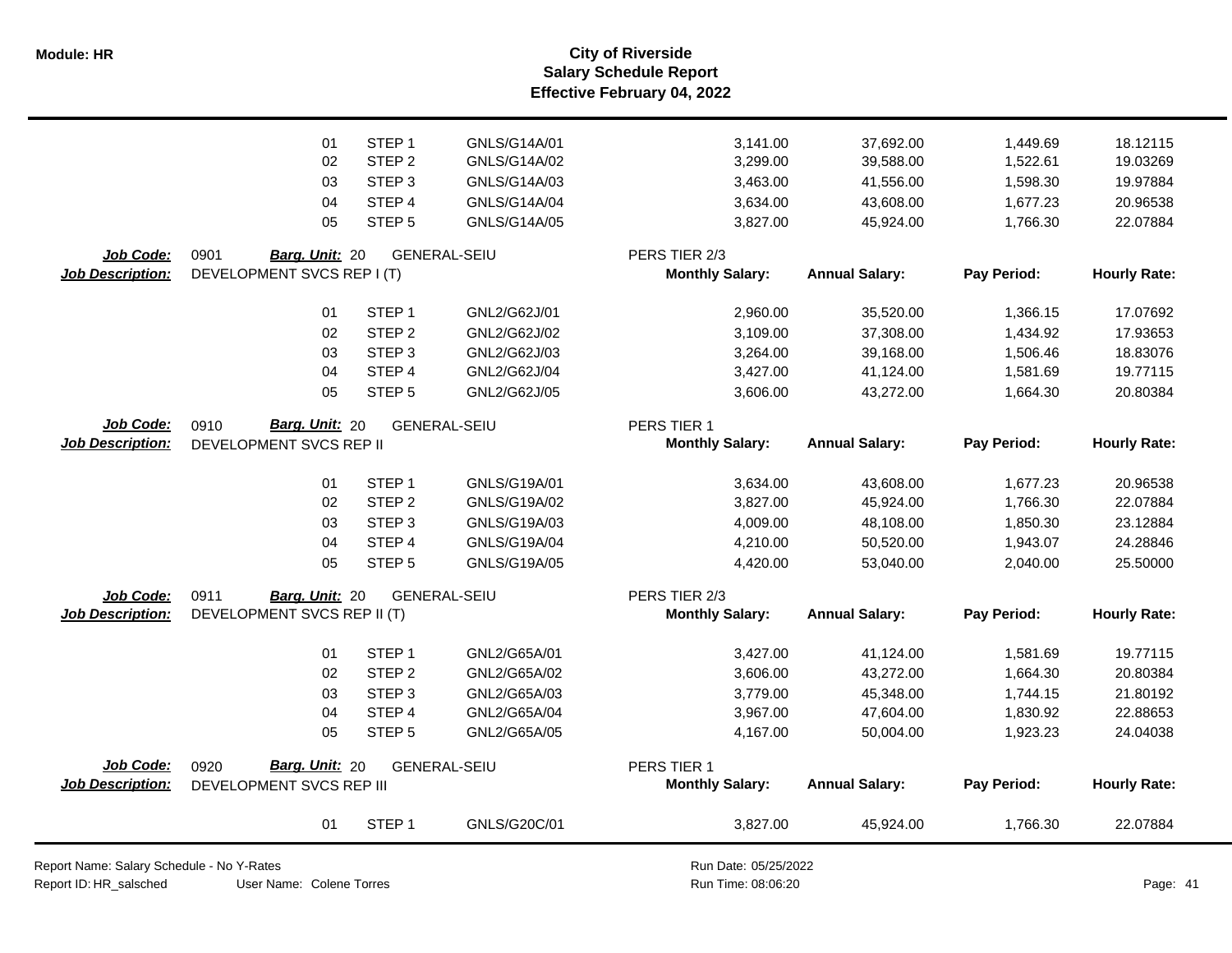**Salary Schedule Report Effective February 04, 2022 Module: HR City of Riverside**

|                         | 01                            | STEP <sub>1</sub> | GNLS/G14A/01        | 3,141.00               | 37,692.00             | 1,449.69    | 18.12115            |
|-------------------------|-------------------------------|-------------------|---------------------|------------------------|-----------------------|-------------|---------------------|
|                         | 02                            | STEP <sub>2</sub> | GNLS/G14A/02        | 3,299.00               | 39,588.00             | 1,522.61    | 19.03269            |
|                         | 03                            | STEP <sub>3</sub> | GNLS/G14A/03        | 3,463.00               | 41,556.00             | 1,598.30    | 19.97884            |
|                         | 04                            | STEP <sub>4</sub> | GNLS/G14A/04        | 3,634.00               | 43,608.00             | 1,677.23    | 20.96538            |
|                         | 05                            | STEP <sub>5</sub> | GNLS/G14A/05        | 3,827.00               | 45,924.00             | 1,766.30    | 22.07884            |
| Job Code:               | 0901<br>Barg. Unit: 20        |                   | <b>GENERAL-SEIU</b> | PERS TIER 2/3          |                       |             |                     |
| Job Description:        | DEVELOPMENT SVCS REP I (T)    |                   |                     | <b>Monthly Salary:</b> | <b>Annual Salary:</b> | Pay Period: | <b>Hourly Rate:</b> |
|                         | 01                            | STEP <sub>1</sub> | GNL2/G62J/01        | 2,960.00               | 35,520.00             | 1,366.15    | 17.07692            |
|                         | 02                            | STEP <sub>2</sub> | GNL2/G62J/02        | 3,109.00               | 37,308.00             | 1,434.92    | 17.93653            |
|                         | 03                            | STEP <sub>3</sub> | GNL2/G62J/03        | 3,264.00               | 39,168.00             | 1,506.46    | 18.83076            |
|                         | 04                            | STEP <sub>4</sub> | GNL2/G62J/04        | 3,427.00               | 41,124.00             | 1,581.69    | 19.77115            |
|                         | 05                            | STEP <sub>5</sub> | GNL2/G62J/05        | 3,606.00               | 43,272.00             | 1,664.30    | 20.80384            |
| Job Code:               | Barg. Unit: 20<br>0910        |                   | <b>GENERAL-SEIU</b> | PERS TIER 1            |                       |             |                     |
| <b>Job Description:</b> | DEVELOPMENT SVCS REP II       |                   |                     | <b>Monthly Salary:</b> | <b>Annual Salary:</b> | Pay Period: | <b>Hourly Rate:</b> |
|                         | 01                            | STEP <sub>1</sub> | GNLS/G19A/01        | 3,634.00               | 43,608.00             | 1,677.23    | 20.96538            |
|                         | 02                            | STEP <sub>2</sub> | GNLS/G19A/02        | 3,827.00               | 45,924.00             | 1,766.30    | 22.07884            |
|                         | 03                            | STEP <sub>3</sub> | GNLS/G19A/03        | 4,009.00               | 48,108.00             | 1,850.30    | 23.12884            |
|                         | 04                            | STEP 4            | GNLS/G19A/04        | 4,210.00               | 50,520.00             | 1,943.07    | 24.28846            |
|                         | 05                            | STEP <sub>5</sub> | GNLS/G19A/05        | 4,420.00               | 53,040.00             | 2,040.00    | 25.50000            |
| Job Code:               | 0911<br><b>Barg. Unit: 20</b> |                   | <b>GENERAL-SEIU</b> | PERS TIER 2/3          |                       |             |                     |
| <b>Job Description:</b> | DEVELOPMENT SVCS REP II (T)   |                   |                     | <b>Monthly Salary:</b> | <b>Annual Salary:</b> | Pay Period: | <b>Hourly Rate:</b> |
|                         | 01                            | STEP <sub>1</sub> | GNL2/G65A/01        | 3,427.00               | 41,124.00             | 1,581.69    | 19.77115            |
|                         | 02                            | STEP <sub>2</sub> | GNL2/G65A/02        | 3,606.00               | 43,272.00             | 1,664.30    | 20.80384            |
|                         | 03                            | STEP <sub>3</sub> | GNL2/G65A/03        | 3,779.00               | 45,348.00             | 1,744.15    | 21.80192            |
|                         | 04                            | STEP <sub>4</sub> | GNL2/G65A/04        | 3,967.00               | 47,604.00             | 1,830.92    | 22.88653            |
|                         | 05                            | STEP <sub>5</sub> | GNL2/G65A/05        | 4,167.00               | 50,004.00             | 1,923.23    | 24.04038            |
| Job Code:               | Barg. Unit: 20<br>0920        |                   | <b>GENERAL-SEIU</b> | PERS TIER 1            |                       |             |                     |
| <b>Job Description:</b> | DEVELOPMENT SVCS REP III      |                   |                     | <b>Monthly Salary:</b> | <b>Annual Salary:</b> | Pay Period: | <b>Hourly Rate:</b> |
|                         | 01                            | STEP <sub>1</sub> | GNLS/G20C/01        | 3,827.00               | 45,924.00             | 1,766.30    | 22.07884            |

Report Name: Salary Schedule - No Y-Rates

Report ID: HR\_salsched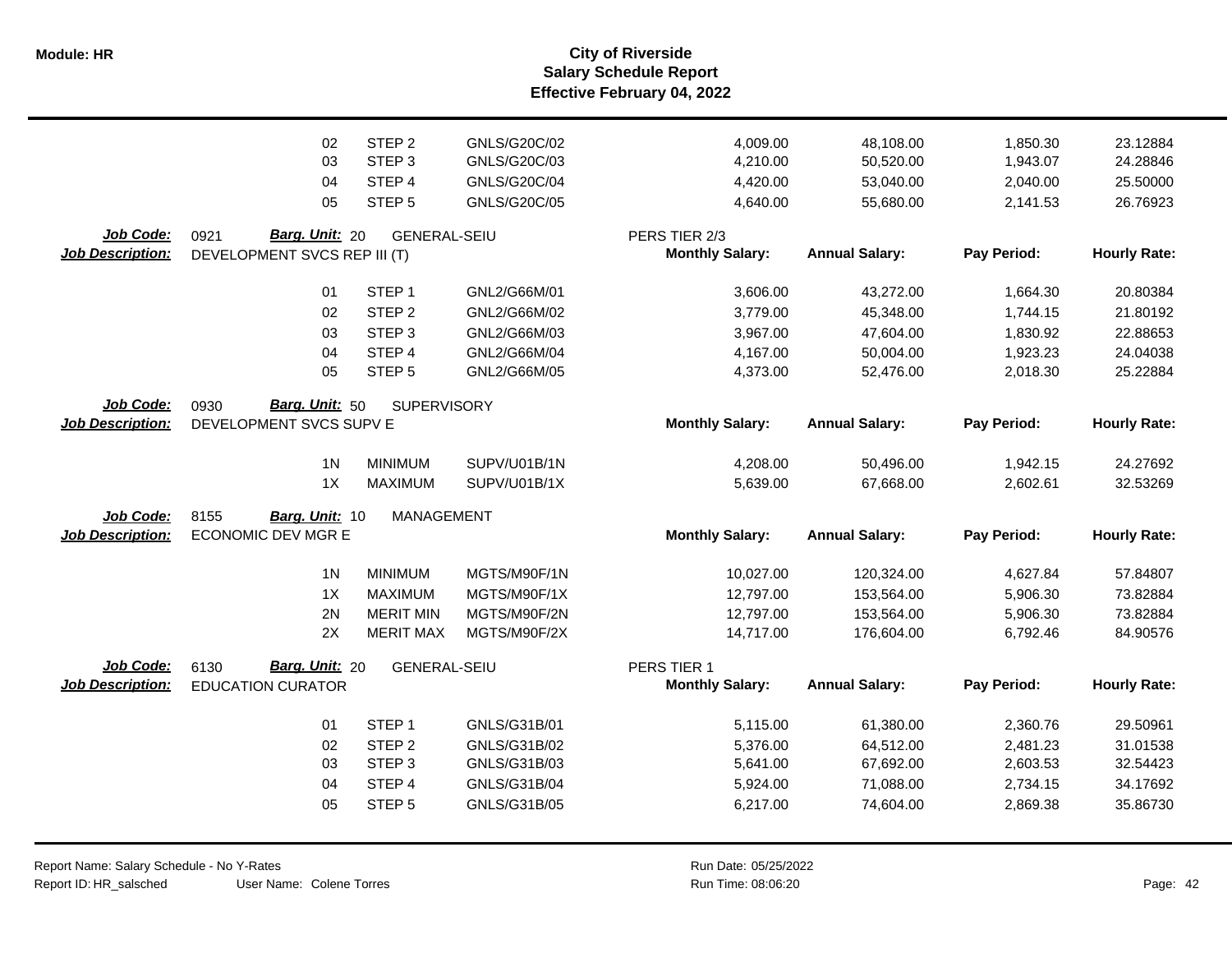**Salary Schedule Report Effective February 04, 2022 Module: HR City of Riverside**

|                         | 02<br>03<br>04               | STEP <sub>2</sub><br>STEP <sub>3</sub><br>STEP 4 | GNLS/G20C/02<br>GNLS/G20C/03<br>GNLS/G20C/04 | 4,009.00<br>4,210.00<br>4,420.00 | 48,108.00<br>50,520.00<br>53,040.00 | 1,850.30<br>1,943.07<br>2,040.00 | 23.12884<br>24.28846<br>25.50000 |
|-------------------------|------------------------------|--------------------------------------------------|----------------------------------------------|----------------------------------|-------------------------------------|----------------------------------|----------------------------------|
|                         | 05                           | STEP <sub>5</sub>                                | GNLS/G20C/05                                 | 4,640.00                         | 55,680.00                           | 2,141.53                         | 26.76923                         |
|                         |                              |                                                  |                                              |                                  |                                     |                                  |                                  |
| Job Code:               | Barg. Unit: 20<br>0921       | <b>GENERAL-SEIU</b>                              |                                              | PERS TIER 2/3                    |                                     |                                  |                                  |
| <b>Job Description:</b> | DEVELOPMENT SVCS REP III (T) |                                                  |                                              | <b>Monthly Salary:</b>           | <b>Annual Salary:</b>               | Pay Period:                      | <b>Hourly Rate:</b>              |
|                         | 01                           | STEP <sub>1</sub>                                | GNL2/G66M/01                                 | 3,606.00                         | 43,272.00                           | 1,664.30                         | 20.80384                         |
|                         | 02                           | STEP <sub>2</sub>                                | GNL2/G66M/02                                 | 3,779.00                         | 45,348.00                           | 1,744.15                         | 21.80192                         |
|                         | 03                           | STEP <sub>3</sub>                                | GNL2/G66M/03                                 | 3,967.00                         | 47,604.00                           | 1,830.92                         | 22.88653                         |
|                         | 04                           | STEP 4                                           | GNL2/G66M/04                                 | 4,167.00                         | 50,004.00                           | 1,923.23                         | 24.04038                         |
|                         | 05                           | STEP <sub>5</sub>                                | GNL2/G66M/05                                 | 4,373.00                         | 52,476.00                           | 2,018.30                         | 25.22884                         |
| Job Code:               | Barg. Unit: 50<br>0930       | <b>SUPERVISORY</b>                               |                                              |                                  |                                     |                                  |                                  |
| <b>Job Description:</b> | DEVELOPMENT SVCS SUPV E      |                                                  |                                              | <b>Monthly Salary:</b>           | <b>Annual Salary:</b>               | Pay Period:                      | <b>Hourly Rate:</b>              |
|                         |                              |                                                  |                                              |                                  |                                     |                                  |                                  |
|                         | 1 <sub>N</sub>               | <b>MINIMUM</b>                                   | SUPV/U01B/1N                                 | 4,208.00                         | 50,496.00                           | 1,942.15                         | 24.27692                         |
|                         | 1X                           | <b>MAXIMUM</b>                                   | SUPV/U01B/1X                                 | 5,639.00                         | 67,668.00                           | 2,602.61                         | 32.53269                         |
| Job Code:               | 8155<br>Barg. Unit: 10       | <b>MANAGEMENT</b>                                |                                              |                                  |                                     |                                  |                                  |
| <b>Job Description:</b> | <b>ECONOMIC DEV MGR E</b>    |                                                  |                                              | <b>Monthly Salary:</b>           | <b>Annual Salary:</b>               | Pay Period:                      | <b>Hourly Rate:</b>              |
|                         |                              |                                                  |                                              |                                  |                                     |                                  |                                  |
|                         | 1 <sub>N</sub>               | <b>MINIMUM</b>                                   | MGTS/M90F/1N                                 | 10,027.00                        | 120,324.00                          | 4,627.84                         | 57.84807                         |
|                         | 1X                           | <b>MAXIMUM</b>                                   | MGTS/M90F/1X                                 | 12,797.00                        | 153,564.00                          | 5,906.30                         | 73.82884                         |
|                         | 2N                           | <b>MERIT MIN</b>                                 | MGTS/M90F/2N                                 | 12,797.00                        | 153,564.00                          | 5,906.30                         | 73.82884                         |
|                         | 2X                           | <b>MERIT MAX</b>                                 | MGTS/M90F/2X                                 | 14,717.00                        | 176,604.00                          | 6,792.46                         | 84.90576                         |
| Job Code:               | Barg. Unit: 20<br>6130       | <b>GENERAL-SEIU</b>                              |                                              | PERS TIER 1                      |                                     |                                  |                                  |
| <b>Job Description:</b> | <b>EDUCATION CURATOR</b>     |                                                  |                                              | <b>Monthly Salary:</b>           | <b>Annual Salary:</b>               | Pay Period:                      | <b>Hourly Rate:</b>              |
|                         |                              |                                                  |                                              |                                  |                                     |                                  |                                  |
|                         | 01                           | STEP <sub>1</sub>                                | GNLS/G31B/01                                 | 5,115.00                         | 61,380.00                           | 2,360.76                         | 29.50961                         |
|                         | 02                           | STEP <sub>2</sub>                                | GNLS/G31B/02                                 | 5,376.00                         | 64,512.00                           | 2,481.23                         | 31.01538                         |
|                         | 03                           | STEP <sub>3</sub>                                | GNLS/G31B/03                                 | 5,641.00                         | 67,692.00                           | 2,603.53                         | 32.54423                         |
|                         | 04                           | STEP 4                                           | GNLS/G31B/04                                 | 5,924.00                         | 71,088.00                           | 2,734.15                         | 34.17692                         |
|                         | 05                           | STEP <sub>5</sub>                                | GNLS/G31B/05                                 | 6,217.00                         | 74,604.00                           | 2,869.38                         | 35.86730                         |
|                         |                              |                                                  |                                              |                                  |                                     |                                  |                                  |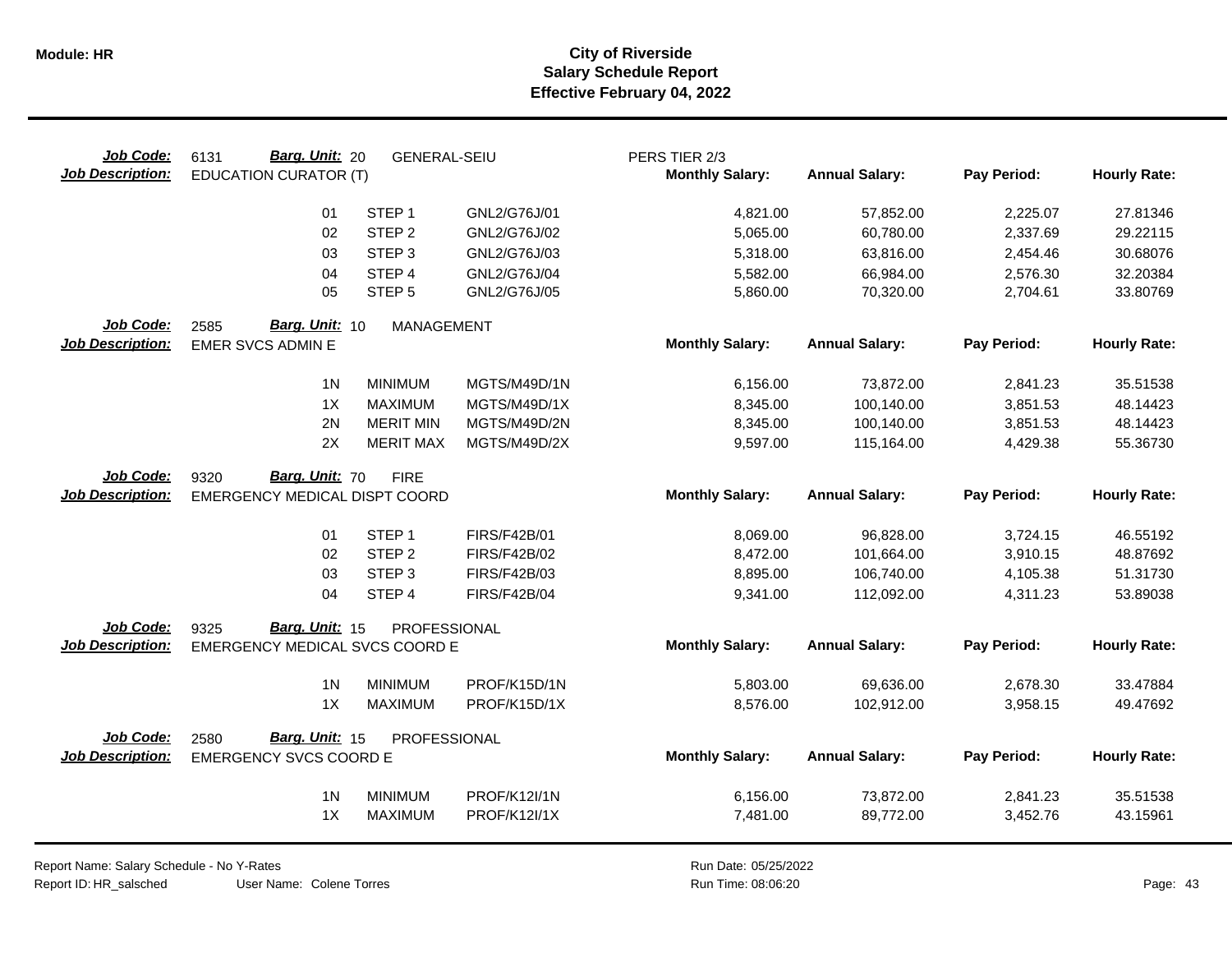| Job Code:<br><b>Job Description:</b>        | Barg. Unit: 20<br>6131<br><b>EDUCATION CURATOR (T)</b>  | <b>GENERAL-SEIU</b> |                     | PERS TIER 2/3<br><b>Monthly Salary:</b> | <b>Annual Salary:</b> | Pay Period: | <b>Hourly Rate:</b> |
|---------------------------------------------|---------------------------------------------------------|---------------------|---------------------|-----------------------------------------|-----------------------|-------------|---------------------|
|                                             | 01                                                      | STEP <sub>1</sub>   | GNL2/G76J/01        | 4,821.00                                | 57,852.00             | 2,225.07    | 27.81346            |
|                                             | 02                                                      | STEP <sub>2</sub>   | GNL2/G76J/02        | 5,065.00                                | 60,780.00             | 2,337.69    | 29.22115            |
|                                             | 03                                                      | STEP <sub>3</sub>   | GNL2/G76J/03        | 5,318.00                                | 63,816.00             | 2,454.46    | 30.68076            |
|                                             | 04                                                      | STEP 4              | GNL2/G76J/04        | 5,582.00                                | 66,984.00             | 2,576.30    | 32.20384            |
|                                             | 05                                                      | STEP <sub>5</sub>   | GNL2/G76J/05        | 5,860.00                                | 70,320.00             | 2,704.61    | 33.80769            |
| Job Code:<br><b>Job Description:</b>        | Barg. Unit: 10<br>2585<br><b>EMER SVCS ADMIN E</b>      | <b>MANAGEMENT</b>   |                     | <b>Monthly Salary:</b>                  | <b>Annual Salary:</b> | Pay Period: | <b>Hourly Rate:</b> |
|                                             | 1 <sub>N</sub>                                          | <b>MINIMUM</b>      | MGTS/M49D/1N        | 6,156.00                                | 73,872.00             | 2,841.23    | 35.51538            |
|                                             | 1X                                                      | <b>MAXIMUM</b>      | MGTS/M49D/1X        | 8,345.00                                | 100,140.00            | 3,851.53    | 48.14423            |
|                                             | 2N                                                      | <b>MERIT MIN</b>    | MGTS/M49D/2N        | 8,345.00                                | 100,140.00            | 3,851.53    | 48.14423            |
|                                             | 2X                                                      | <b>MERIT MAX</b>    | MGTS/M49D/2X        | 9,597.00                                | 115,164.00            | 4,429.38    | 55.36730            |
| Job Code:<br><b>Job Description:</b>        | Barg. Unit: 70<br>9320<br>EMERGENCY MEDICAL DISPT COORD | <b>FIRE</b>         |                     | <b>Monthly Salary:</b>                  | <b>Annual Salary:</b> | Pay Period: | <b>Hourly Rate:</b> |
|                                             | 01                                                      | STEP <sub>1</sub>   | <b>FIRS/F42B/01</b> | 8,069.00                                | 96,828.00             | 3,724.15    | 46.55192            |
|                                             | 02                                                      | STEP <sub>2</sub>   | <b>FIRS/F42B/02</b> | 8,472.00                                | 101,664.00            | 3,910.15    | 48.87692            |
|                                             | 03                                                      | STEP <sub>3</sub>   | FIRS/F42B/03        | 8,895.00                                | 106,740.00            | 4,105.38    | 51.31730            |
|                                             | 04                                                      | STEP 4              | <b>FIRS/F42B/04</b> | 9,341.00                                | 112,092.00            | 4,311.23    | 53.89038            |
| Job Code:                                   | Barg. Unit: 15<br>9325                                  | PROFESSIONAL        |                     |                                         |                       |             |                     |
| <b>Job Description:</b>                     | EMERGENCY MEDICAL SVCS COORD E                          |                     |                     | <b>Monthly Salary:</b>                  | <b>Annual Salary:</b> | Pay Period: | <b>Hourly Rate:</b> |
|                                             | 1 <sub>N</sub>                                          | <b>MINIMUM</b>      | PROF/K15D/1N        | 5,803.00                                | 69,636.00             | 2,678.30    | 33.47884            |
|                                             | 1X                                                      | <b>MAXIMUM</b>      | PROF/K15D/1X        | 8,576.00                                | 102,912.00            | 3,958.15    | 49.47692            |
| <b>Job Code:</b><br><b>Job Description:</b> | Barg. Unit: 15<br>2580<br><b>EMERGENCY SVCS COORD E</b> | PROFESSIONAL        |                     | <b>Monthly Salary:</b>                  | <b>Annual Salary:</b> | Pay Period: | <b>Hourly Rate:</b> |
|                                             |                                                         |                     |                     |                                         |                       |             |                     |
|                                             | 1 <sub>N</sub>                                          | <b>MINIMUM</b>      | PROF/K12I/1N        | 6,156.00                                | 73,872.00             | 2,841.23    | 35.51538            |
|                                             | 1X                                                      | <b>MAXIMUM</b>      | <b>PROF/K12I/1X</b> | 7,481.00                                | 89,772.00             | 3,452.76    | 43.15961            |

User Name: Colene Torres Report Name: Salary Schedule - No Y-Rates Report ID: HR\_salsched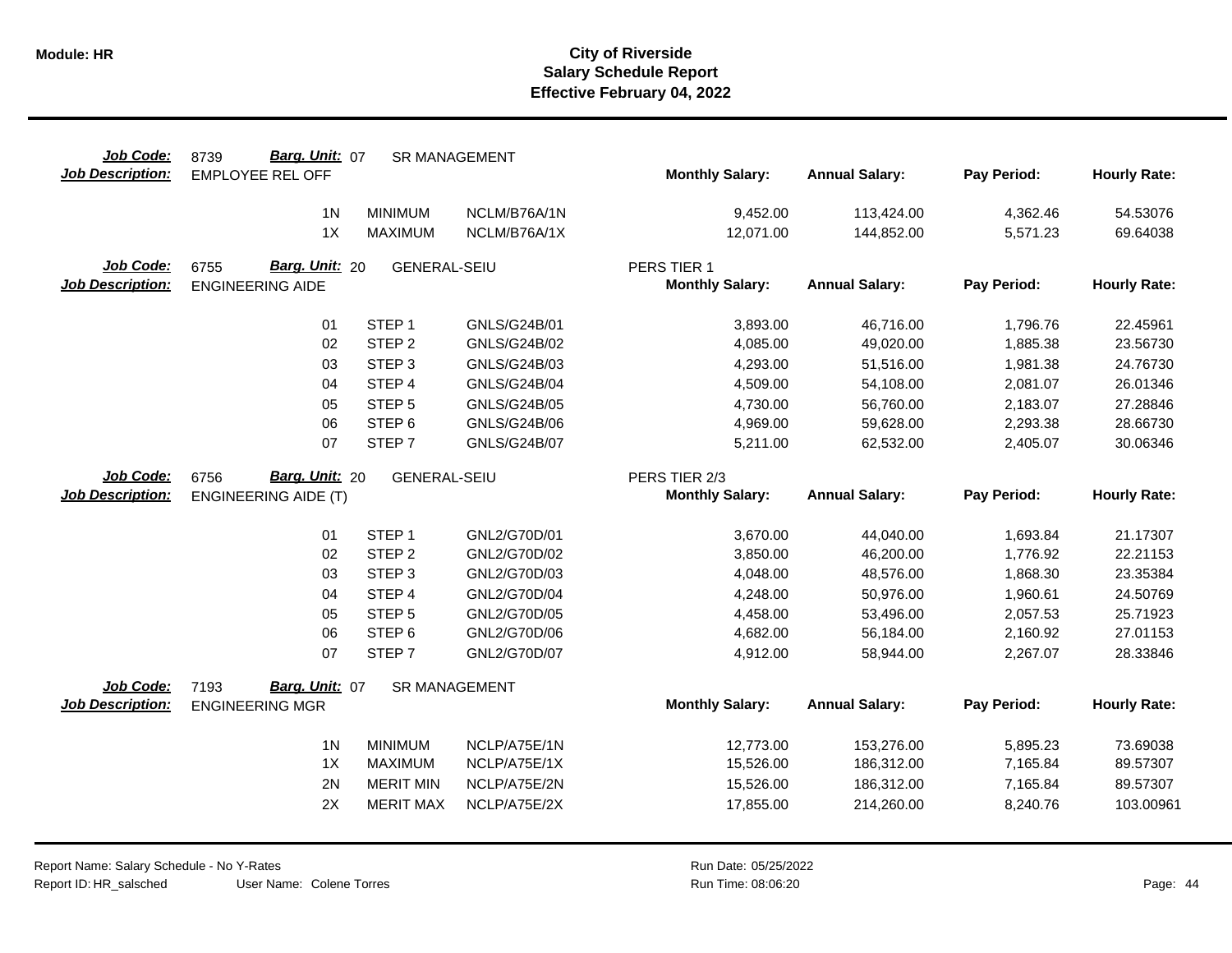| Job Code:<br><b>Job Description:</b> | 8739<br>Barg. Unit: 07<br><b>EMPLOYEE REL OFF</b> |                                        | <b>SR MANAGEMENT</b>         | <b>Monthly Salary:</b> | <b>Annual Salary:</b>    | Pay Period:          | <b>Hourly Rate:</b>   |
|--------------------------------------|---------------------------------------------------|----------------------------------------|------------------------------|------------------------|--------------------------|----------------------|-----------------------|
|                                      | 1 <sub>N</sub>                                    | <b>MINIMUM</b>                         | NCLM/B76A/1N                 | 9,452.00               | 113,424.00               | 4,362.46             | 54.53076              |
|                                      | 1X                                                | <b>MAXIMUM</b>                         | NCLM/B76A/1X                 | 12,071.00              | 144,852.00               | 5,571.23             | 69.64038              |
| Job Code:                            | Barg. Unit: 20<br>6755                            | <b>GENERAL-SEIU</b>                    |                              | PERS TIER 1            |                          |                      |                       |
| <b>Job Description:</b>              | <b>ENGINEERING AIDE</b>                           |                                        |                              | <b>Monthly Salary:</b> | <b>Annual Salary:</b>    | Pay Period:          | <b>Hourly Rate:</b>   |
|                                      | 01                                                | STEP <sub>1</sub>                      | GNLS/G24B/01                 | 3,893.00               | 46,716.00                | 1,796.76             | 22.45961              |
|                                      | 02                                                | STEP <sub>2</sub>                      | GNLS/G24B/02                 | 4,085.00               | 49,020.00                | 1,885.38             | 23.56730              |
|                                      | 03                                                | STEP <sub>3</sub>                      | GNLS/G24B/03                 | 4,293.00               | 51,516.00                | 1,981.38             | 24.76730              |
|                                      | 04                                                | STEP 4                                 | GNLS/G24B/04                 | 4,509.00               | 54,108.00                | 2,081.07             | 26.01346              |
|                                      | 05                                                | STEP <sub>5</sub>                      | GNLS/G24B/05                 | 4,730.00               | 56,760.00                | 2,183.07             | 27.28846              |
|                                      | 06                                                | STEP <sub>6</sub>                      | GNLS/G24B/06                 | 4,969.00               | 59,628.00                | 2,293.38             | 28.66730              |
|                                      | 07                                                | STEP <sub>7</sub>                      | <b>GNLS/G24B/07</b>          | 5,211.00               | 62,532.00                | 2,405.07             | 30.06346              |
| Job Code:                            | Barg. Unit: 20<br>6756                            | <b>GENERAL-SEIU</b>                    |                              | PERS TIER 2/3          |                          |                      |                       |
|                                      |                                                   |                                        |                              |                        |                          |                      |                       |
| <b>Job Description:</b>              | <b>ENGINEERING AIDE (T)</b>                       |                                        |                              | <b>Monthly Salary:</b> | <b>Annual Salary:</b>    | Pay Period:          | <b>Hourly Rate:</b>   |
|                                      |                                                   |                                        |                              |                        |                          |                      |                       |
|                                      | 01                                                | STEP <sub>1</sub>                      | GNL2/G70D/01                 | 3,670.00               | 44,040.00                | 1,693.84             | 21.17307              |
|                                      | 02                                                | STEP <sub>2</sub>                      | GNL2/G70D/02                 | 3,850.00               | 46,200.00                | 1,776.92             | 22.21153              |
|                                      | 03                                                | STEP <sub>3</sub>                      | GNL2/G70D/03                 | 4,048.00               | 48,576.00                | 1,868.30             | 23.35384              |
|                                      | 04                                                | STEP 4                                 | GNL2/G70D/04                 | 4,248.00               | 50,976.00                | 1,960.61             | 24.50769              |
|                                      | 05                                                | STEP <sub>5</sub>                      | GNL2/G70D/05                 | 4,458.00               | 53,496.00                | 2,057.53             | 25.71923              |
|                                      | 06<br>07                                          | STEP <sub>6</sub><br>STEP <sub>7</sub> | GNL2/G70D/06<br>GNL2/G70D/07 | 4,682.00<br>4,912.00   | 56,184.00<br>58,944.00   | 2,160.92<br>2,267.07 | 27.01153<br>28.33846  |
| Job Code:                            | Barg. Unit: 07                                    |                                        |                              |                        |                          |                      |                       |
| <b>Job Description:</b>              | 7193<br><b>ENGINEERING MGR</b>                    |                                        | <b>SR MANAGEMENT</b>         | <b>Monthly Salary:</b> | <b>Annual Salary:</b>    | Pay Period:          | <b>Hourly Rate:</b>   |
|                                      |                                                   |                                        |                              |                        |                          |                      |                       |
|                                      | 1 <sub>N</sub>                                    | <b>MINIMUM</b>                         | NCLP/A75E/1N                 | 12,773.00              | 153,276.00               | 5,895.23             | 73.69038              |
|                                      | 1X                                                | <b>MAXIMUM</b>                         | NCLP/A75E/1X                 | 15,526.00              | 186,312.00               | 7,165.84             | 89.57307              |
|                                      | 2N<br>2X                                          | <b>MERIT MIN</b><br><b>MERIT MAX</b>   | NCLP/A75E/2N<br>NCLP/A75E/2X | 15,526.00<br>17,855.00 | 186,312.00<br>214,260.00 | 7,165.84<br>8,240.76 | 89.57307<br>103.00961 |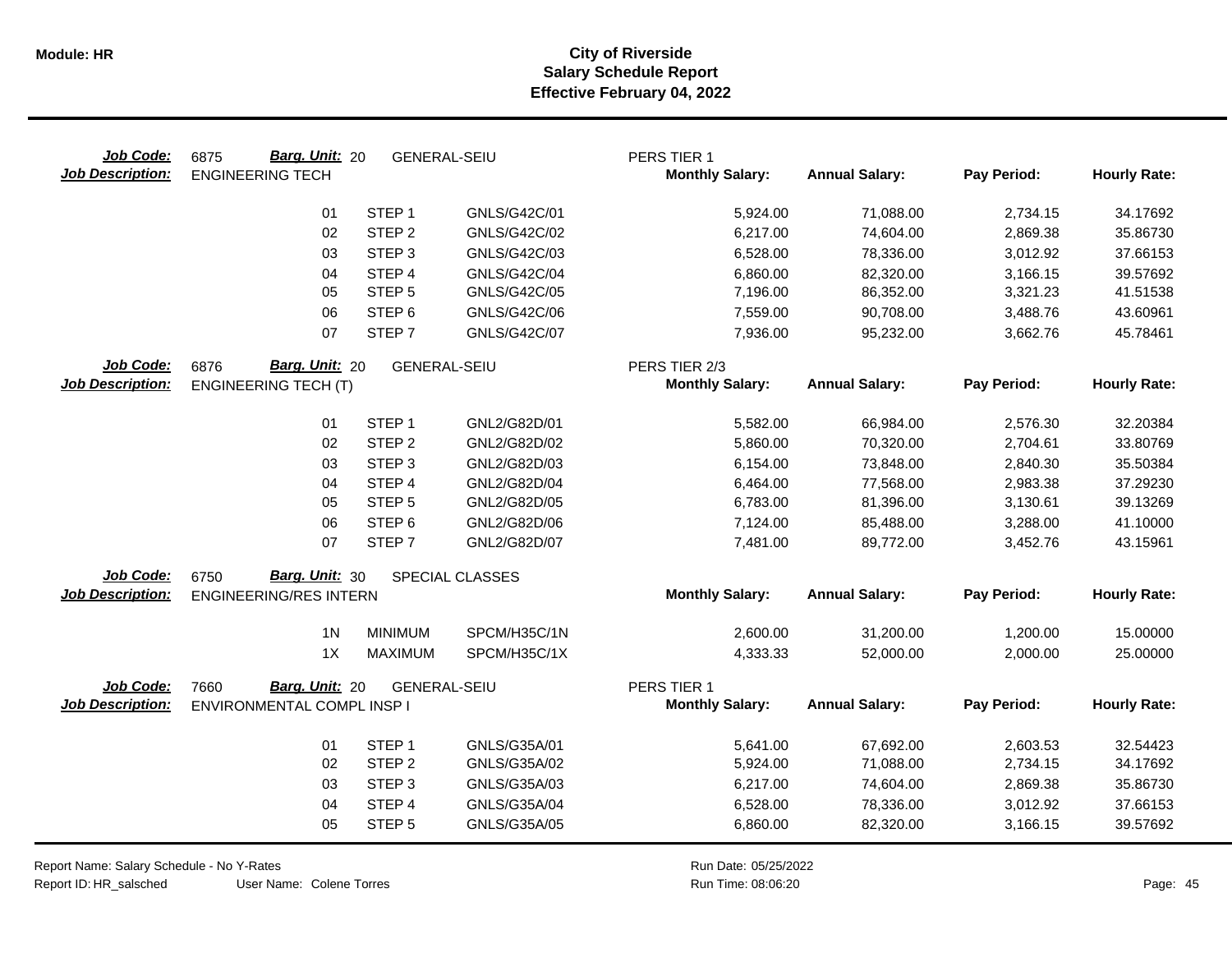| Job Code:<br><b>Job Description:</b> | Barg. Unit: 20<br>6875<br><b>ENGINEERING TECH</b> | <b>GENERAL-SEIU</b> |                        | PERS TIER 1<br><b>Monthly Salary:</b> | <b>Annual Salary:</b> | Pay Period: | <b>Hourly Rate:</b> |
|--------------------------------------|---------------------------------------------------|---------------------|------------------------|---------------------------------------|-----------------------|-------------|---------------------|
|                                      | 01                                                | STEP <sub>1</sub>   | GNLS/G42C/01           | 5,924.00                              | 71,088.00             | 2,734.15    | 34.17692            |
|                                      | 02                                                | STEP <sub>2</sub>   | GNLS/G42C/02           | 6,217.00                              | 74,604.00             | 2,869.38    | 35.86730            |
|                                      | 03                                                | STEP <sub>3</sub>   | GNLS/G42C/03           | 6,528.00                              | 78,336.00             | 3,012.92    | 37.66153            |
|                                      | 04                                                | STEP 4              | GNLS/G42C/04           | 6,860.00                              | 82,320.00             | 3,166.15    | 39.57692            |
|                                      | 05                                                | STEP <sub>5</sub>   | GNLS/G42C/05           | 7,196.00                              | 86,352.00             | 3,321.23    | 41.51538            |
|                                      | 06                                                | STEP <sub>6</sub>   | GNLS/G42C/06           | 7,559.00                              | 90,708.00             | 3,488.76    | 43.60961            |
|                                      | 07                                                | STEP <sub>7</sub>   | GNLS/G42C/07           | 7,936.00                              | 95,232.00             | 3,662.76    | 45.78461            |
| Job Code:                            | Barg. Unit: 20<br>6876                            | <b>GENERAL-SEIU</b> |                        | PERS TIER 2/3                         |                       |             |                     |
| <b>Job Description:</b>              | <b>ENGINEERING TECH (T)</b>                       |                     |                        | <b>Monthly Salary:</b>                | <b>Annual Salary:</b> | Pay Period: | <b>Hourly Rate:</b> |
|                                      | 01                                                | STEP <sub>1</sub>   | GNL2/G82D/01           | 5,582.00                              | 66,984.00             | 2,576.30    | 32.20384            |
|                                      | 02                                                | STEP <sub>2</sub>   | GNL2/G82D/02           | 5,860.00                              | 70,320.00             | 2,704.61    | 33.80769            |
|                                      | 03                                                | STEP <sub>3</sub>   | GNL2/G82D/03           | 6,154.00                              | 73,848.00             | 2,840.30    | 35.50384            |
|                                      | 04                                                | STEP <sub>4</sub>   | GNL2/G82D/04           | 6,464.00                              | 77,568.00             | 2,983.38    | 37.29230            |
|                                      | 05                                                | STEP <sub>5</sub>   | GNL2/G82D/05           | 6,783.00                              | 81,396.00             | 3,130.61    | 39.13269            |
|                                      | 06                                                | STEP <sub>6</sub>   | GNL2/G82D/06           | 7,124.00                              | 85,488.00             | 3,288.00    | 41.10000            |
|                                      | 07                                                | STEP <sub>7</sub>   | GNL2/G82D/07           | 7,481.00                              | 89,772.00             | 3,452.76    | 43.15961            |
| Job Code:                            | Barg. Unit: 30<br>6750                            |                     | <b>SPECIAL CLASSES</b> |                                       |                       |             |                     |
| <b>Job Description:</b>              | <b>ENGINEERING/RES INTERN</b>                     |                     |                        | <b>Monthly Salary:</b>                | <b>Annual Salary:</b> | Pay Period: | <b>Hourly Rate:</b> |
|                                      | 1 <sub>N</sub>                                    | <b>MINIMUM</b>      | SPCM/H35C/1N           | 2,600.00                              | 31,200.00             | 1,200.00    | 15.00000            |
|                                      | 1X                                                | <b>MAXIMUM</b>      | SPCM/H35C/1X           | 4,333.33                              | 52,000.00             | 2,000.00    | 25.00000            |
| Job Code:                            | Barg. Unit: 20<br>7660                            | <b>GENERAL-SEIU</b> |                        | PERS TIER 1                           |                       |             |                     |
| <b>Job Description:</b>              | ENVIRONMENTAL COMPL INSP I                        |                     |                        | <b>Monthly Salary:</b>                | <b>Annual Salary:</b> | Pay Period: | <b>Hourly Rate:</b> |
|                                      | 01                                                | STEP <sub>1</sub>   | GNLS/G35A/01           | 5,641.00                              | 67,692.00             | 2,603.53    | 32.54423            |
|                                      | 02                                                | STEP <sub>2</sub>   | GNLS/G35A/02           | 5,924.00                              | 71,088.00             | 2,734.15    | 34.17692            |
|                                      | 03                                                | STEP <sub>3</sub>   | GNLS/G35A/03           | 6,217.00                              | 74,604.00             | 2,869.38    | 35.86730            |
|                                      | 04                                                | STEP 4              | GNLS/G35A/04           | 6,528.00                              | 78,336.00             | 3,012.92    | 37.66153            |
|                                      | 05                                                | STEP <sub>5</sub>   | GNLS/G35A/05           | 6,860.00                              | 82,320.00             | 3,166.15    | 39.57692            |

Report Name: Salary Schedule - No Y-Rates

Report ID: HR\_salsched

User Name: Colene Torres

Run Date: 05/25/2022 08:06:20 Colene Torres Run Time: Page: 45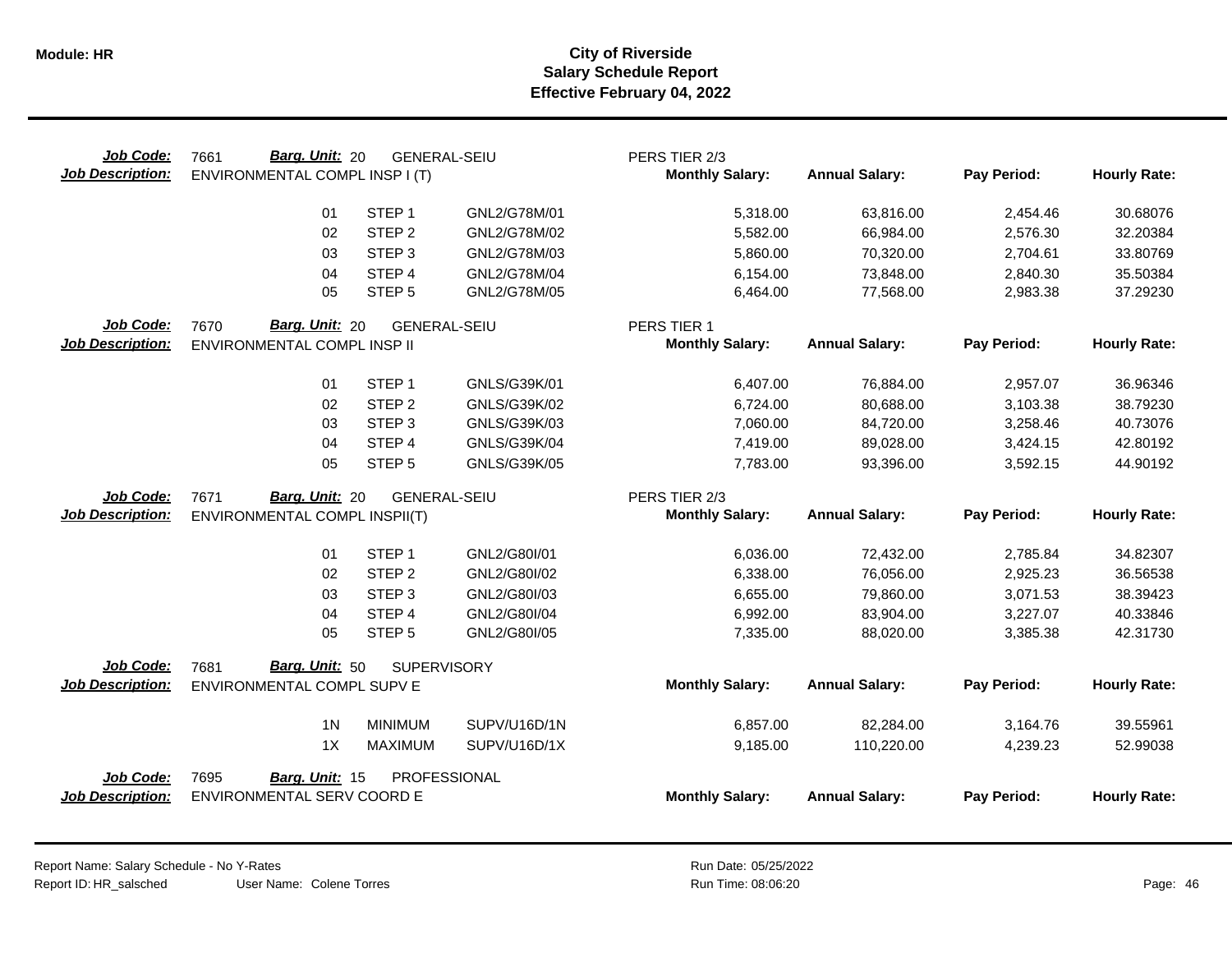| Job Code:<br><b>Job Description:</b> | Barg. Unit: 20<br>7661<br>ENVIRONMENTAL COMPL INSP I (T) | <b>GENERAL-SEIU</b> |              | PERS TIER 2/3<br><b>Monthly Salary:</b> | <b>Annual Salary:</b> | Pay Period: | <b>Hourly Rate:</b> |
|--------------------------------------|----------------------------------------------------------|---------------------|--------------|-----------------------------------------|-----------------------|-------------|---------------------|
|                                      | 01                                                       | STEP <sub>1</sub>   | GNL2/G78M/01 | 5,318.00                                | 63,816.00             | 2,454.46    | 30.68076            |
|                                      | 02                                                       | STEP <sub>2</sub>   | GNL2/G78M/02 | 5,582.00                                | 66,984.00             | 2,576.30    | 32.20384            |
|                                      | 03                                                       | STEP <sub>3</sub>   | GNL2/G78M/03 | 5,860.00                                | 70,320.00             | 2,704.61    | 33.80769            |
|                                      | 04                                                       | STEP <sub>4</sub>   | GNL2/G78M/04 | 6,154.00                                | 73,848.00             | 2,840.30    | 35.50384            |
|                                      | 05                                                       | STEP <sub>5</sub>   | GNL2/G78M/05 | 6,464.00                                | 77,568.00             | 2,983.38    | 37.29230            |
| Job Code:                            | Barg. Unit: 20<br>7670                                   | <b>GENERAL-SEIU</b> |              | PERS TIER 1                             |                       |             |                     |
| <b>Job Description:</b>              | ENVIRONMENTAL COMPL INSP II                              |                     |              | <b>Monthly Salary:</b>                  | <b>Annual Salary:</b> | Pay Period: | <b>Hourly Rate:</b> |
|                                      | 01                                                       | STEP <sub>1</sub>   | GNLS/G39K/01 | 6,407.00                                | 76,884.00             | 2,957.07    | 36.96346            |
|                                      | 02                                                       | STEP <sub>2</sub>   | GNLS/G39K/02 | 6,724.00                                | 80,688.00             | 3,103.38    | 38.79230            |
|                                      | 03                                                       | STEP <sub>3</sub>   | GNLS/G39K/03 | 7,060.00                                | 84,720.00             | 3,258.46    | 40.73076            |
|                                      | 04                                                       | STEP 4              | GNLS/G39K/04 | 7,419.00                                | 89,028.00             | 3,424.15    | 42.80192            |
|                                      | 05                                                       | STEP <sub>5</sub>   | GNLS/G39K/05 | 7,783.00                                | 93,396.00             | 3,592.15    | 44.90192            |
| Job Code:                            | Barg. Unit: 20<br>7671                                   | <b>GENERAL-SEIU</b> |              | PERS TIER 2/3                           |                       |             |                     |
| <b>Job Description:</b>              | ENVIRONMENTAL COMPL INSPII(T)                            |                     |              | <b>Monthly Salary:</b>                  | <b>Annual Salary:</b> | Pay Period: | <b>Hourly Rate:</b> |
|                                      | 01                                                       | STEP <sub>1</sub>   | GNL2/G80I/01 | 6,036.00                                | 72,432.00             | 2,785.84    | 34.82307            |
|                                      | 02                                                       | STEP <sub>2</sub>   | GNL2/G80I/02 | 6,338.00                                | 76,056.00             | 2,925.23    | 36.56538            |
|                                      | 03                                                       | STEP <sub>3</sub>   | GNL2/G80I/03 | 6,655.00                                | 79,860.00             | 3,071.53    | 38.39423            |
|                                      | 04                                                       | STEP 4              | GNL2/G80I/04 | 6,992.00                                | 83,904.00             | 3,227.07    | 40.33846            |
|                                      | 05                                                       | STEP <sub>5</sub>   | GNL2/G80I/05 | 7,335.00                                | 88,020.00             | 3,385.38    | 42.31730            |
| Job Code:                            | Barg. Unit: 50<br>7681                                   | <b>SUPERVISORY</b>  |              |                                         |                       |             |                     |
| <b>Job Description:</b>              | ENVIRONMENTAL COMPL SUPV E                               |                     |              | <b>Monthly Salary:</b>                  | <b>Annual Salary:</b> | Pay Period: | <b>Hourly Rate:</b> |
|                                      | 1 <sub>N</sub>                                           | <b>MINIMUM</b>      | SUPV/U16D/1N | 6,857.00                                | 82,284.00             | 3,164.76    | 39.55961            |
|                                      | 1X                                                       | <b>MAXIMUM</b>      | SUPV/U16D/1X | 9,185.00                                | 110,220.00            | 4,239.23    | 52.99038            |
| Job Code:<br><b>Job Description:</b> | 7695<br>Barg. Unit: 15<br>ENVIRONMENTAL SERV COORD E     | PROFESSIONAL        |              | <b>Monthly Salary:</b>                  | <b>Annual Salary:</b> | Pay Period: | <b>Hourly Rate:</b> |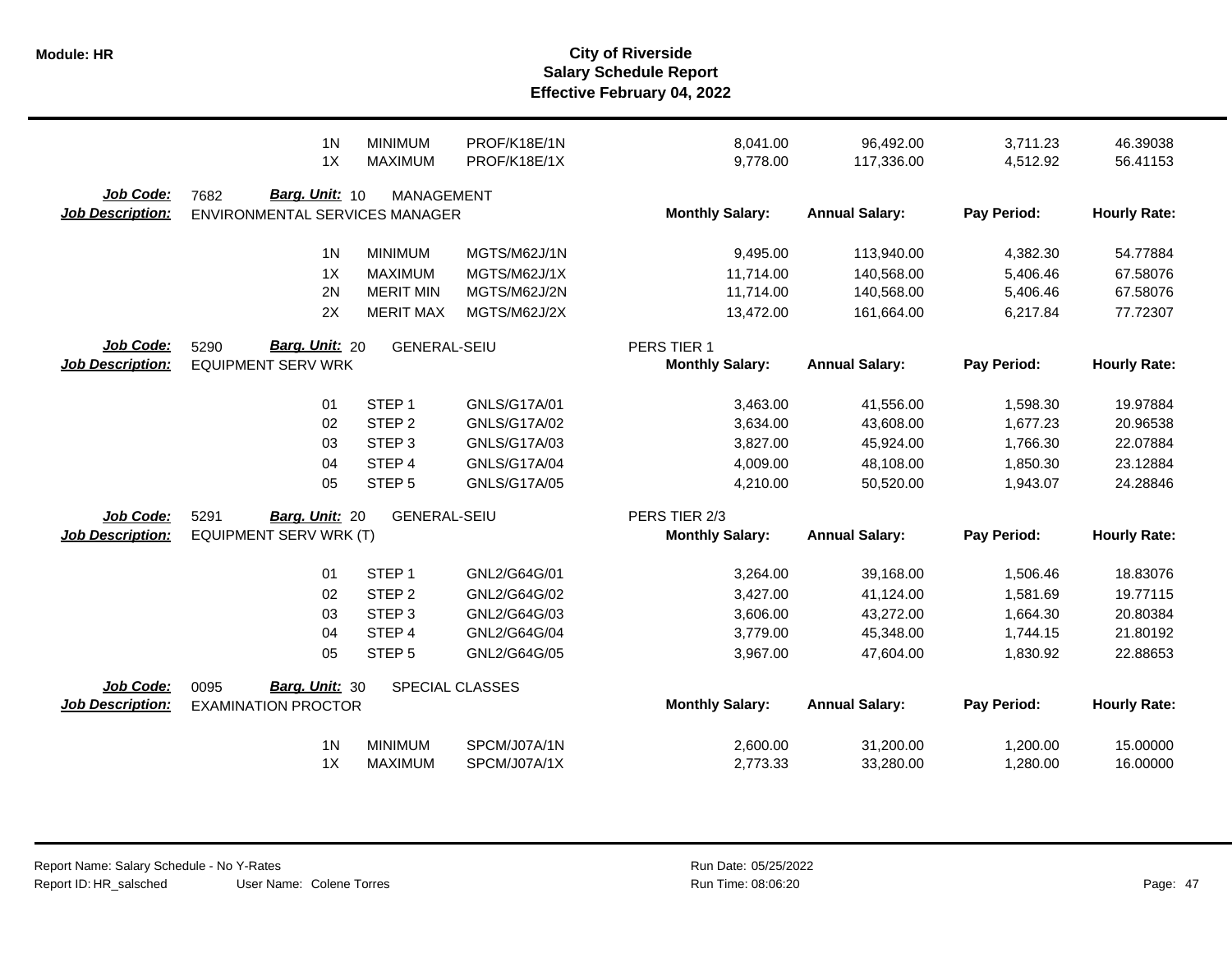|                                      | 1 <sub>N</sub>                                             | <b>MINIMUM</b>      | PROF/K18E/1N        | 8,041.00                                | 96,492.00             | 3,711.23    | 46.39038            |
|--------------------------------------|------------------------------------------------------------|---------------------|---------------------|-----------------------------------------|-----------------------|-------------|---------------------|
|                                      | 1X                                                         | <b>MAXIMUM</b>      | PROF/K18E/1X        | 9,778.00                                | 117,336.00            | 4,512.92    | 56.41153            |
| Job Code:<br><b>Job Description:</b> | Barg. Unit: 10<br>7682<br>ENVIRONMENTAL SERVICES MANAGER   | <b>MANAGEMENT</b>   |                     | <b>Monthly Salary:</b>                  | <b>Annual Salary:</b> | Pay Period: | <b>Hourly Rate:</b> |
|                                      | 1 <sub>N</sub>                                             | <b>MINIMUM</b>      | MGTS/M62J/1N        | 9,495.00                                | 113,940.00            | 4,382.30    | 54.77884            |
|                                      | 1X                                                         | <b>MAXIMUM</b>      | MGTS/M62J/1X        | 11,714.00                               | 140,568.00            | 5,406.46    | 67.58076            |
|                                      | 2N                                                         | <b>MERIT MIN</b>    | MGTS/M62J/2N        | 11,714.00                               | 140,568.00            | 5,406.46    | 67.58076            |
|                                      | 2X                                                         | <b>MERIT MAX</b>    | MGTS/M62J/2X        | 13,472.00                               | 161,664.00            | 6,217.84    | 77.72307            |
| Job Code:<br><b>Job Description:</b> | <b>Barg. Unit: 20</b><br>5290<br><b>EQUIPMENT SERV WRK</b> | <b>GENERAL-SEIU</b> |                     | PERS TIER 1<br><b>Monthly Salary:</b>   | <b>Annual Salary:</b> | Pay Period: | <b>Hourly Rate:</b> |
|                                      | 01                                                         | STEP <sub>1</sub>   | GNLS/G17A/01        | 3,463.00                                | 41,556.00             | 1,598.30    | 19.97884            |
|                                      | 02                                                         | STEP <sub>2</sub>   | <b>GNLS/G17A/02</b> | 3,634.00                                | 43,608.00             | 1,677.23    | 20.96538            |
|                                      | 03                                                         | STEP <sub>3</sub>   | GNLS/G17A/03        | 3,827.00                                | 45,924.00             | 1,766.30    | 22.07884            |
|                                      | 04                                                         | STEP 4              | <b>GNLS/G17A/04</b> | 4,009.00                                | 48,108.00             | 1,850.30    | 23.12884            |
|                                      | 05                                                         | STEP <sub>5</sub>   | <b>GNLS/G17A/05</b> | 4,210.00                                | 50,520.00             | 1,943.07    | 24.28846            |
| Job Code:<br><b>Job Description:</b> | 5291<br>Barg. Unit: 20<br>EQUIPMENT SERV WRK (T)           | <b>GENERAL-SEIU</b> |                     | PERS TIER 2/3<br><b>Monthly Salary:</b> | <b>Annual Salary:</b> | Pay Period: | <b>Hourly Rate:</b> |
|                                      | 01                                                         | STEP <sub>1</sub>   | GNL2/G64G/01        | 3,264.00                                | 39,168.00             | 1,506.46    | 18.83076            |
|                                      | 02                                                         | STEP <sub>2</sub>   | GNL2/G64G/02        | 3,427.00                                | 41,124.00             | 1,581.69    | 19.77115            |
|                                      | 03                                                         | STEP <sub>3</sub>   | GNL2/G64G/03        | 3,606.00                                | 43,272.00             | 1,664.30    | 20.80384            |
|                                      | 04                                                         | STEP 4              | GNL2/G64G/04        | 3,779.00                                | 45,348.00             | 1,744.15    | 21.80192            |
|                                      | 05                                                         | STEP <sub>5</sub>   | GNL2/G64G/05        | 3,967.00                                | 47,604.00             | 1,830.92    | 22.88653            |
| Job Code:<br><b>Job Description:</b> | Barg. Unit: 30<br>0095<br><b>EXAMINATION PROCTOR</b>       |                     | SPECIAL CLASSES     | <b>Monthly Salary:</b>                  | <b>Annual Salary:</b> | Pay Period: | <b>Hourly Rate:</b> |
|                                      | 1 <sub>N</sub>                                             | <b>MINIMUM</b>      | SPCM/J07A/1N        | 2,600.00                                | 31,200.00             | 1,200.00    | 15.00000            |
|                                      | 1X                                                         | <b>MAXIMUM</b>      | SPCM/J07A/1X        | 2,773.33                                | 33,280.00             | 1,280.00    | 16.00000            |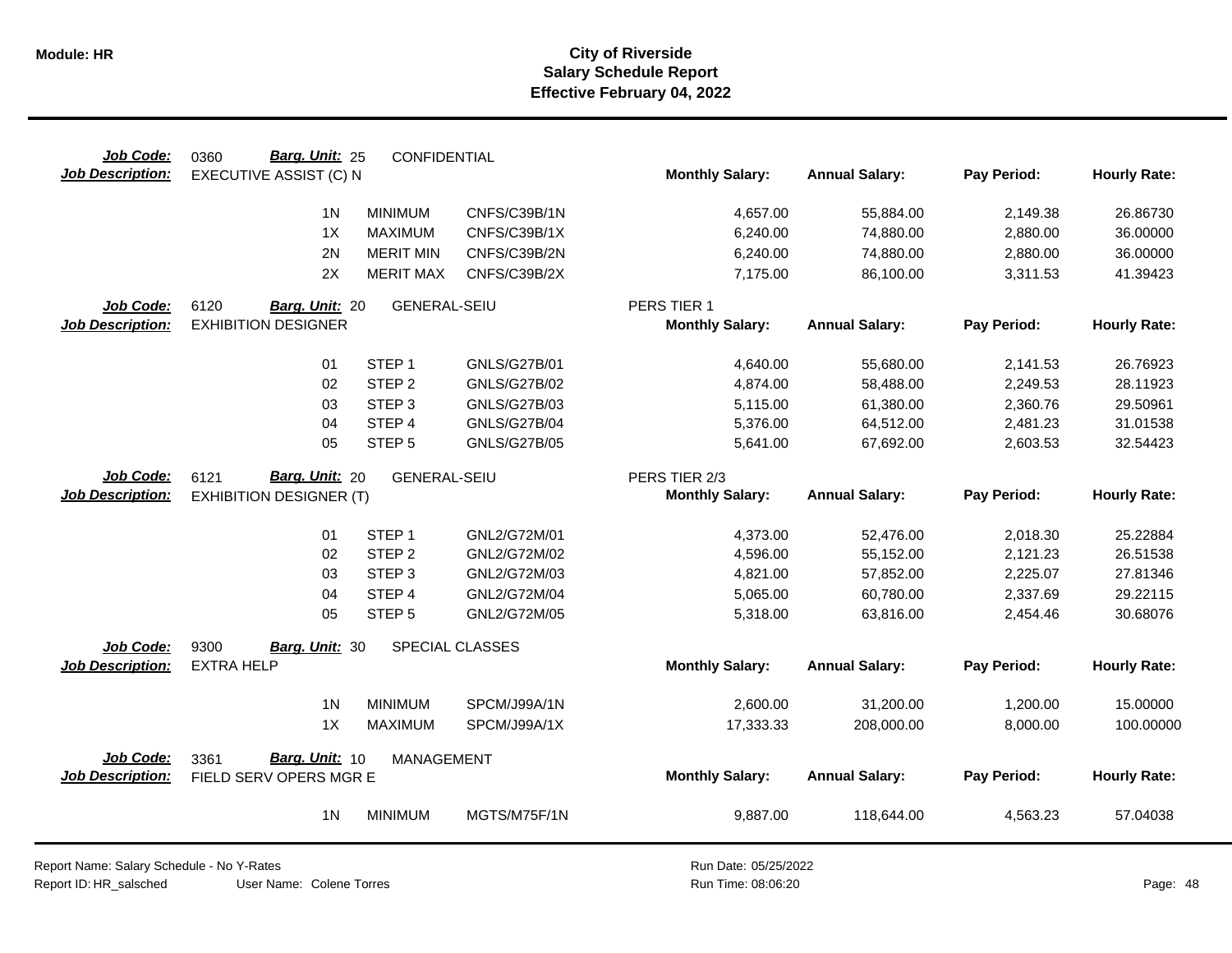| Job Code:                            | Barg. Unit: 25<br>0360                           | CONFIDENTIAL        |                     |                        |                       |             |                     |
|--------------------------------------|--------------------------------------------------|---------------------|---------------------|------------------------|-----------------------|-------------|---------------------|
| <b>Job Description:</b>              | EXECUTIVE ASSIST (C) N                           |                     |                     | <b>Monthly Salary:</b> | <b>Annual Salary:</b> | Pay Period: | <b>Hourly Rate:</b> |
|                                      | 1 <sub>N</sub>                                   | <b>MINIMUM</b>      | CNFS/C39B/1N        | 4,657.00               | 55,884.00             | 2,149.38    | 26.86730            |
|                                      | 1X                                               | <b>MAXIMUM</b>      | CNFS/C39B/1X        | 6,240.00               | 74,880.00             | 2,880.00    | 36.00000            |
|                                      | 2N                                               | <b>MERIT MIN</b>    | CNFS/C39B/2N        | 6,240.00               | 74,880.00             | 2,880.00    | 36.00000            |
|                                      | 2X                                               | <b>MERIT MAX</b>    | CNFS/C39B/2X        | 7,175.00               | 86,100.00             | 3,311.53    | 41.39423            |
| Job Code:                            | 6120<br>Barg. Unit: 20                           | <b>GENERAL-SEIU</b> |                     | PERS TIER 1            |                       |             |                     |
| <b>Job Description:</b>              | <b>EXHIBITION DESIGNER</b>                       |                     |                     | <b>Monthly Salary:</b> | <b>Annual Salary:</b> | Pay Period: | <b>Hourly Rate:</b> |
|                                      | 01                                               | STEP <sub>1</sub>   | <b>GNLS/G27B/01</b> | 4,640.00               | 55,680.00             | 2,141.53    | 26.76923            |
|                                      | 02                                               | STEP <sub>2</sub>   | <b>GNLS/G27B/02</b> | 4,874.00               | 58,488.00             | 2,249.53    | 28.11923            |
|                                      | 03                                               | STEP <sub>3</sub>   | <b>GNLS/G27B/03</b> | 5,115.00               | 61,380.00             | 2,360.76    | 29.50961            |
|                                      | 04                                               | STEP 4              | <b>GNLS/G27B/04</b> | 5,376.00               | 64,512.00             | 2,481.23    | 31.01538            |
|                                      | 05                                               | STEP <sub>5</sub>   | <b>GNLS/G27B/05</b> | 5,641.00               | 67,692.00             | 2,603.53    | 32.54423            |
| Job Code:                            | Barg. Unit: 20<br>6121                           | <b>GENERAL-SEIU</b> |                     | PERS TIER 2/3          |                       |             |                     |
| <b>Job Description:</b>              | <b>EXHIBITION DESIGNER (T)</b>                   |                     |                     | <b>Monthly Salary:</b> | <b>Annual Salary:</b> | Pay Period: | <b>Hourly Rate:</b> |
|                                      | 01                                               | STEP <sub>1</sub>   | GNL2/G72M/01        | 4,373.00               | 52,476.00             | 2,018.30    | 25.22884            |
|                                      | 02                                               | STEP <sub>2</sub>   | GNL2/G72M/02        | 4,596.00               | 55,152.00             | 2,121.23    | 26.51538            |
|                                      | 03                                               | STEP <sub>3</sub>   | GNL2/G72M/03        | 4,821.00               | 57,852.00             | 2,225.07    | 27.81346            |
|                                      | 04                                               | STEP 4              | GNL2/G72M/04        | 5,065.00               | 60,780.00             | 2,337.69    | 29.22115            |
|                                      | 05                                               | STEP <sub>5</sub>   | GNL2/G72M/05        | 5,318.00               | 63,816.00             | 2,454.46    | 30.68076            |
| Job Code:                            | 9300<br>Barg. Unit: 30                           |                     | SPECIAL CLASSES     |                        |                       |             |                     |
| Job Description:                     | <b>EXTRA HELP</b>                                |                     |                     | <b>Monthly Salary:</b> | <b>Annual Salary:</b> | Pay Period: | <b>Hourly Rate:</b> |
|                                      | 1 <sub>N</sub>                                   | <b>MINIMUM</b>      | SPCM/J99A/1N        | 2,600.00               | 31,200.00             | 1,200.00    | 15.00000            |
|                                      | 1X                                               | <b>MAXIMUM</b>      | SPCM/J99A/1X        | 17,333.33              | 208,000.00            | 8,000.00    | 100.00000           |
|                                      |                                                  |                     |                     |                        |                       |             |                     |
| Job Code:<br><b>Job Description:</b> | Barg. Unit: 10<br>3361<br>FIELD SERV OPERS MGR E | <b>MANAGEMENT</b>   |                     | <b>Monthly Salary:</b> | <b>Annual Salary:</b> | Pay Period: | <b>Hourly Rate:</b> |
|                                      | 1 <sub>N</sub>                                   | <b>MINIMUM</b>      | MGTS/M75F/1N        | 9,887.00               | 118,644.00            | 4,563.23    | 57.04038            |
|                                      |                                                  |                     |                     |                        |                       |             |                     |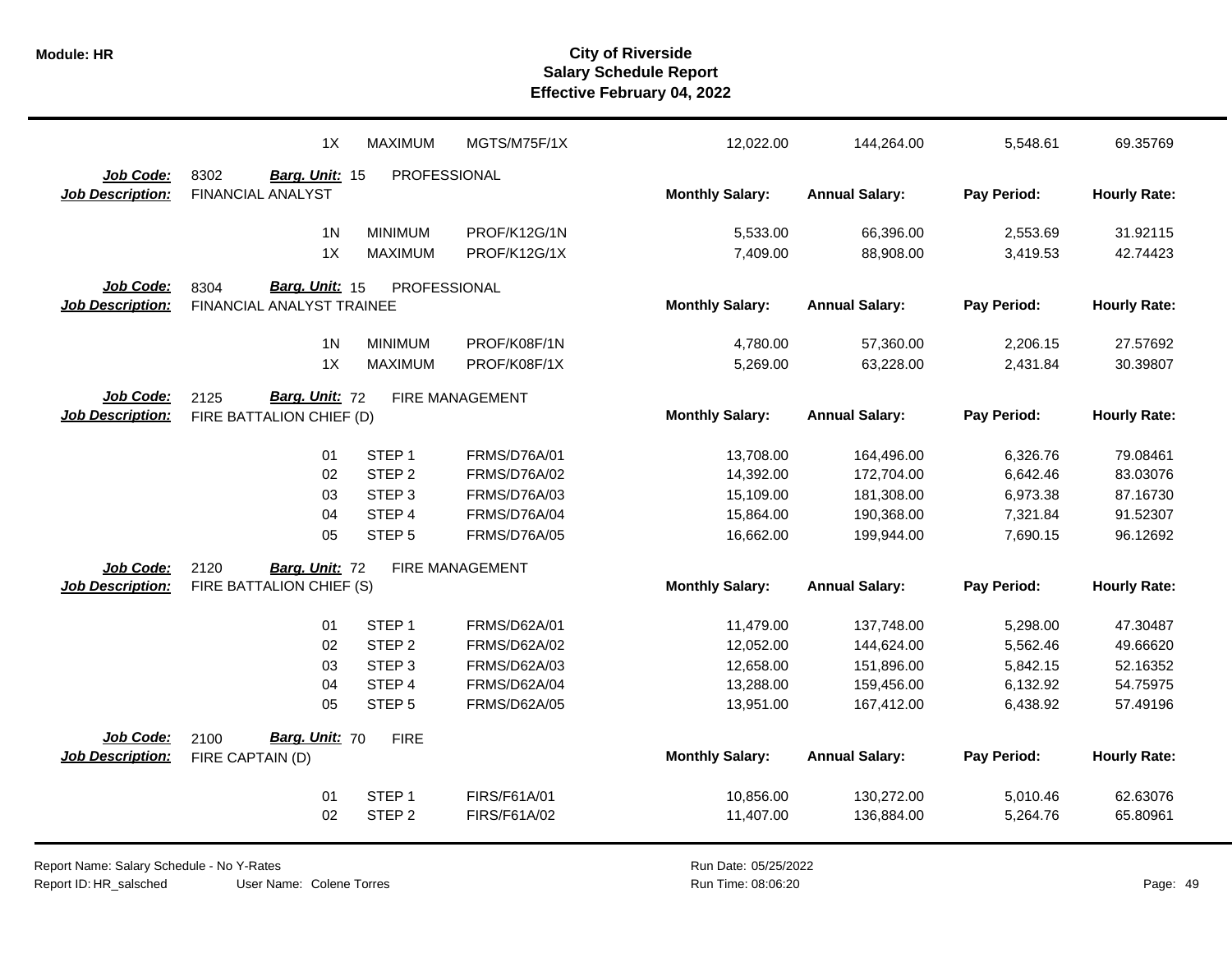|                         | 1X                        | <b>MAXIMUM</b>      | MGTS/M75F/1X        | 12,022.00              | 144,264.00            | 5,548.61    | 69.35769            |
|-------------------------|---------------------------|---------------------|---------------------|------------------------|-----------------------|-------------|---------------------|
| Job Code:               | 8302<br>Barg. Unit: 15    | PROFESSIONAL        |                     |                        |                       |             |                     |
| <b>Job Description:</b> | <b>FINANCIAL ANALYST</b>  |                     |                     | <b>Monthly Salary:</b> | <b>Annual Salary:</b> | Pay Period: | <b>Hourly Rate:</b> |
|                         | 1 <sub>N</sub>            | <b>MINIMUM</b>      | PROF/K12G/1N        | 5,533.00               | 66,396.00             | 2,553.69    | 31.92115            |
|                         | 1X                        | <b>MAXIMUM</b>      | PROF/K12G/1X        | 7,409.00               | 88,908.00             | 3,419.53    | 42.74423            |
| Job Code:               | Barg. Unit: 15<br>8304    | <b>PROFESSIONAL</b> |                     |                        |                       |             |                     |
| <b>Job Description:</b> | FINANCIAL ANALYST TRAINEE |                     |                     | <b>Monthly Salary:</b> | <b>Annual Salary:</b> | Pay Period: | <b>Hourly Rate:</b> |
|                         |                           |                     |                     |                        |                       |             |                     |
|                         | 1 <sub>N</sub>            | <b>MINIMUM</b>      | PROF/K08F/1N        | 4,780.00               | 57,360.00             | 2,206.15    | 27.57692            |
|                         | 1X                        | <b>MAXIMUM</b>      | PROF/K08F/1X        | 5,269.00               | 63,228.00             | 2,431.84    | 30.39807            |
| Job Code:               | Barg. Unit: 72<br>2125    |                     | FIRE MANAGEMENT     |                        |                       |             |                     |
| <b>Job Description:</b> | FIRE BATTALION CHIEF (D)  |                     |                     | <b>Monthly Salary:</b> | <b>Annual Salary:</b> | Pay Period: | <b>Hourly Rate:</b> |
|                         | 01                        | STEP <sub>1</sub>   | <b>FRMS/D76A/01</b> | 13,708.00              | 164,496.00            | 6,326.76    | 79.08461            |
|                         | 02                        | STEP <sub>2</sub>   | FRMS/D76A/02        | 14,392.00              | 172,704.00            | 6,642.46    | 83.03076            |
|                         | 03                        | STEP <sub>3</sub>   | <b>FRMS/D76A/03</b> | 15,109.00              | 181,308.00            | 6,973.38    | 87.16730            |
|                         | 04                        | STEP 4              | FRMS/D76A/04        | 15,864.00              | 190,368.00            | 7,321.84    | 91.52307            |
|                         | 05                        | STEP <sub>5</sub>   | <b>FRMS/D76A/05</b> | 16,662.00              | 199,944.00            | 7,690.15    | 96.12692            |
| Job Code:               | 2120<br>Barg. Unit: 72    |                     | FIRE MANAGEMENT     |                        |                       |             |                     |
| <b>Job Description:</b> | FIRE BATTALION CHIEF (S)  |                     |                     | <b>Monthly Salary:</b> | <b>Annual Salary:</b> | Pay Period: | <b>Hourly Rate:</b> |
|                         |                           |                     |                     |                        |                       |             |                     |
|                         | 01                        | STEP <sub>1</sub>   | <b>FRMS/D62A/01</b> | 11,479.00              | 137,748.00            | 5,298.00    | 47.30487            |
|                         | 02                        | STEP <sub>2</sub>   | FRMS/D62A/02        | 12,052.00              | 144,624.00            | 5,562.46    | 49.66620            |
|                         | 03                        | STEP <sub>3</sub>   | FRMS/D62A/03        | 12,658.00              | 151,896.00            | 5,842.15    | 52.16352            |
|                         | 04                        | STEP 4              | <b>FRMS/D62A/04</b> | 13,288.00              | 159,456.00            | 6,132.92    | 54.75975            |
|                         | 05                        | STEP <sub>5</sub>   | <b>FRMS/D62A/05</b> | 13,951.00              | 167,412.00            | 6,438.92    | 57.49196            |
| Job Code:               | Barg. Unit: 70<br>2100    | <b>FIRE</b>         |                     |                        |                       |             |                     |
| <b>Job Description:</b> | FIRE CAPTAIN (D)          |                     |                     | <b>Monthly Salary:</b> | <b>Annual Salary:</b> | Pay Period: | <b>Hourly Rate:</b> |
|                         | 01                        | STEP <sub>1</sub>   | FIRS/F61A/01        | 10,856.00              | 130,272.00            | 5,010.46    | 62.63076            |
|                         | 02                        | STEP <sub>2</sub>   | FIRS/F61A/02        | 11,407.00              | 136,884.00            | 5,264.76    | 65.80961            |
|                         |                           |                     |                     |                        |                       |             |                     |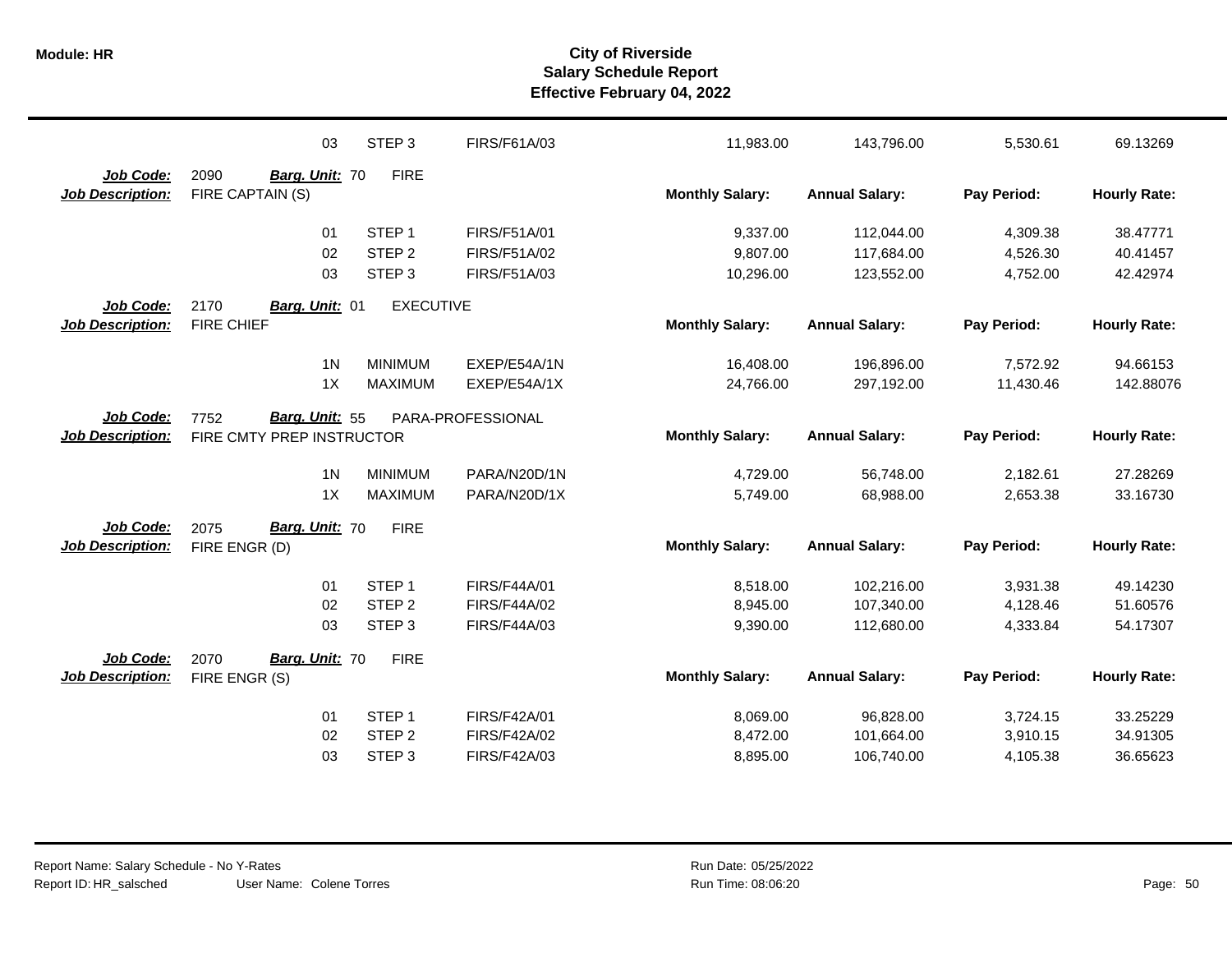|                                      | 03                                                  | STEP <sub>3</sub> | FIRS/F61A/03        | 11,983.00              | 143,796.00            | 5,530.61    | 69.13269            |
|--------------------------------------|-----------------------------------------------------|-------------------|---------------------|------------------------|-----------------------|-------------|---------------------|
| Job Code:<br><b>Job Description:</b> | 2090<br>Barg. Unit: 70<br>FIRE CAPTAIN (S)          | <b>FIRE</b>       |                     | <b>Monthly Salary:</b> | <b>Annual Salary:</b> | Pay Period: | <b>Hourly Rate:</b> |
|                                      | 01                                                  | STEP <sub>1</sub> | FIRS/F51A/01        | 9,337.00               | 112,044.00            | 4,309.38    | 38.47771            |
|                                      | 02                                                  | STEP <sub>2</sub> | FIRS/F51A/02        | 9,807.00               | 117,684.00            | 4,526.30    | 40.41457            |
|                                      | 03                                                  | STEP <sub>3</sub> | FIRS/F51A/03        | 10,296.00              | 123,552.00            | 4,752.00    | 42.42974            |
| Job Code:                            | 2170<br>Barg. Unit: 01                              | <b>EXECUTIVE</b>  |                     |                        |                       |             |                     |
| <b>Job Description:</b>              | <b>FIRE CHIEF</b>                                   |                   |                     | <b>Monthly Salary:</b> | <b>Annual Salary:</b> | Pay Period: | <b>Hourly Rate:</b> |
|                                      | 1 <sub>N</sub>                                      | <b>MINIMUM</b>    | EXEP/E54A/1N        | 16,408.00              | 196,896.00            | 7,572.92    | 94.66153            |
|                                      | 1X                                                  | <b>MAXIMUM</b>    | EXEP/E54A/1X        | 24,766.00              | 297,192.00            | 11,430.46   | 142.88076           |
| Job Code:<br><b>Job Description:</b> | Barg. Unit: 55<br>7752<br>FIRE CMTY PREP INSTRUCTOR |                   | PARA-PROFESSIONAL   | <b>Monthly Salary:</b> | <b>Annual Salary:</b> | Pay Period: | <b>Hourly Rate:</b> |
|                                      | 1 <sub>N</sub>                                      | <b>MINIMUM</b>    | PARA/N20D/1N        | 4,729.00               | 56,748.00             | 2,182.61    | 27.28269            |
|                                      | 1X                                                  | <b>MAXIMUM</b>    | PARA/N20D/1X        | 5,749.00               | 68,988.00             | 2,653.38    | 33.16730            |
| Job Code:<br><b>Job Description:</b> | Barg. Unit: 70<br>2075<br>FIRE ENGR (D)             | <b>FIRE</b>       |                     | <b>Monthly Salary:</b> | <b>Annual Salary:</b> | Pay Period: | <b>Hourly Rate:</b> |
|                                      | 01                                                  | STEP <sub>1</sub> | <b>FIRS/F44A/01</b> | 8,518.00               | 102,216.00            | 3,931.38    | 49.14230            |
|                                      | 02                                                  | STEP <sub>2</sub> | <b>FIRS/F44A/02</b> | 8,945.00               | 107,340.00            | 4,128.46    | 51.60576            |
|                                      | 03                                                  | STEP <sub>3</sub> | <b>FIRS/F44A/03</b> | 9,390.00               | 112,680.00            | 4,333.84    | 54.17307            |
| Job Code:                            | Barg. Unit: 70<br>2070                              | <b>FIRE</b>       |                     |                        |                       |             |                     |
| <b>Job Description:</b>              | FIRE ENGR (S)                                       |                   |                     | <b>Monthly Salary:</b> | <b>Annual Salary:</b> | Pay Period: | <b>Hourly Rate:</b> |
|                                      | 01                                                  | STEP <sub>1</sub> | <b>FIRS/F42A/01</b> | 8,069.00               | 96,828.00             | 3,724.15    | 33.25229            |
|                                      | 02                                                  | STEP <sub>2</sub> | <b>FIRS/F42A/02</b> | 8,472.00               | 101,664.00            | 3,910.15    | 34.91305            |
|                                      | 03                                                  | STEP <sub>3</sub> | FIRS/F42A/03        | 8,895.00               | 106,740.00            | 4,105.38    | 36.65623            |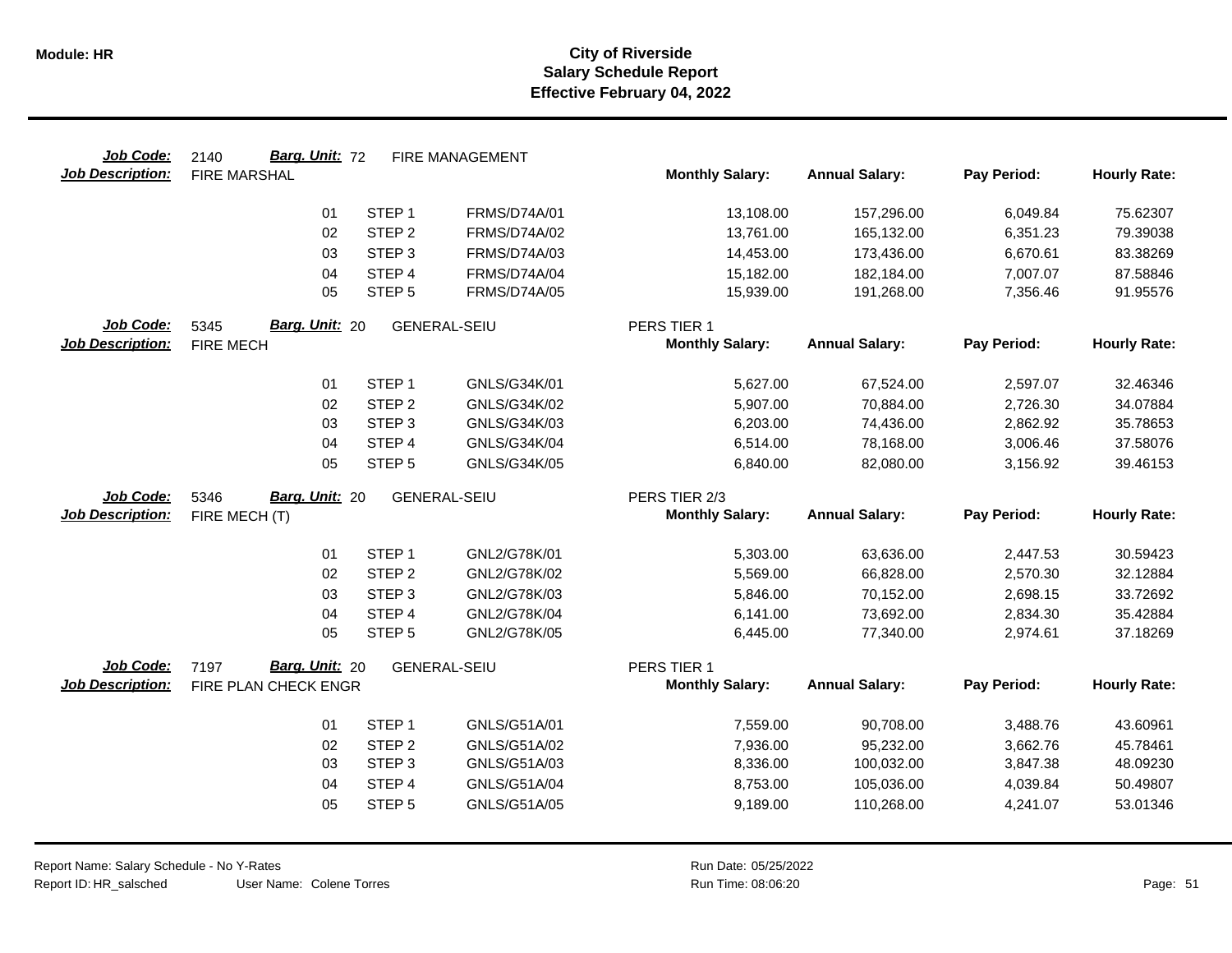| Job Code:               | Barg. Unit: 72<br>2140        |                   | <b>FIRE MANAGEMENT</b> |                        |                       |             |                     |
|-------------------------|-------------------------------|-------------------|------------------------|------------------------|-----------------------|-------------|---------------------|
| <b>Job Description:</b> | <b>FIRE MARSHAL</b>           |                   |                        | <b>Monthly Salary:</b> | <b>Annual Salary:</b> | Pay Period: | <b>Hourly Rate:</b> |
|                         | 01                            | STEP <sub>1</sub> | <b>FRMS/D74A/01</b>    | 13,108.00              | 157,296.00            | 6,049.84    | 75.62307            |
|                         | 02                            | STEP <sub>2</sub> | FRMS/D74A/02           | 13,761.00              | 165,132.00            | 6,351.23    | 79.39038            |
|                         | 03                            | STEP <sub>3</sub> | <b>FRMS/D74A/03</b>    | 14,453.00              | 173,436.00            | 6,670.61    | 83.38269            |
|                         | 04                            | STEP 4            | FRMS/D74A/04           | 15,182.00              | 182,184.00            | 7,007.07    | 87.58846            |
|                         | 05                            | STEP <sub>5</sub> | <b>FRMS/D74A/05</b>    | 15,939.00              | 191,268.00            | 7,356.46    | 91.95576            |
| Job Code:               | Barg. Unit: 20<br>5345        |                   | <b>GENERAL-SEIU</b>    | PERS TIER 1            |                       |             |                     |
| <b>Job Description:</b> | <b>FIRE MECH</b>              |                   |                        | <b>Monthly Salary:</b> | <b>Annual Salary:</b> | Pay Period: | <b>Hourly Rate:</b> |
|                         | 01                            | STEP <sub>1</sub> | GNLS/G34K/01           | 5,627.00               | 67,524.00             | 2,597.07    | 32.46346            |
|                         | 02                            | STEP <sub>2</sub> | GNLS/G34K/02           | 5,907.00               | 70,884.00             | 2,726.30    | 34.07884            |
|                         | 03                            | STEP <sub>3</sub> | GNLS/G34K/03           | 6,203.00               | 74,436.00             | 2,862.92    | 35.78653            |
|                         | 04                            | STEP 4            | GNLS/G34K/04           | 6,514.00               | 78,168.00             | 3,006.46    | 37.58076            |
|                         | 05                            | STEP <sub>5</sub> | GNLS/G34K/05           | 6,840.00               | 82,080.00             | 3,156.92    | 39.46153            |
| Job Code:               | <b>Barg. Unit: 20</b><br>5346 |                   | <b>GENERAL-SEIU</b>    | PERS TIER 2/3          |                       |             |                     |
| <b>Job Description:</b> | FIRE MECH (T)                 |                   |                        | <b>Monthly Salary:</b> | <b>Annual Salary:</b> | Pay Period: | <b>Hourly Rate:</b> |
|                         | 01                            | STEP <sub>1</sub> | GNL2/G78K/01           | 5,303.00               | 63,636.00             | 2,447.53    | 30.59423            |
|                         | 02                            | STEP <sub>2</sub> | GNL2/G78K/02           | 5,569.00               | 66,828.00             | 2,570.30    | 32.12884            |
|                         | 03                            | STEP <sub>3</sub> | GNL2/G78K/03           | 5,846.00               | 70,152.00             | 2,698.15    | 33.72692            |
|                         | 04                            | STEP <sub>4</sub> | GNL2/G78K/04           | 6,141.00               | 73,692.00             | 2,834.30    | 35.42884            |
|                         | 05                            | STEP <sub>5</sub> | GNL2/G78K/05           | 6,445.00               | 77,340.00             | 2,974.61    | 37.18269            |
| Job Code:               | Barg. Unit: 20<br>7197        |                   | <b>GENERAL-SEIU</b>    | PERS TIER 1            |                       |             |                     |
| <b>Job Description:</b> | FIRE PLAN CHECK ENGR          |                   |                        | <b>Monthly Salary:</b> | <b>Annual Salary:</b> | Pay Period: | <b>Hourly Rate:</b> |
|                         | 01                            | STEP <sub>1</sub> | GNLS/G51A/01           | 7,559.00               | 90,708.00             | 3,488.76    | 43.60961            |
|                         | 02                            | STEP <sub>2</sub> | GNLS/G51A/02           | 7,936.00               | 95,232.00             | 3,662.76    | 45.78461            |
|                         | 03                            | STEP <sub>3</sub> | GNLS/G51A/03           | 8,336.00               | 100,032.00            | 3,847.38    | 48.09230            |
|                         |                               | STEP 4            | GNLS/G51A/04           | 8,753.00               | 105,036.00            | 4,039.84    | 50.49807            |
|                         | 04                            |                   |                        |                        |                       |             |                     |
|                         | 05                            | STEP <sub>5</sub> | GNLS/G51A/05           | 9,189.00               | 110,268.00            | 4,241.07    | 53.01346            |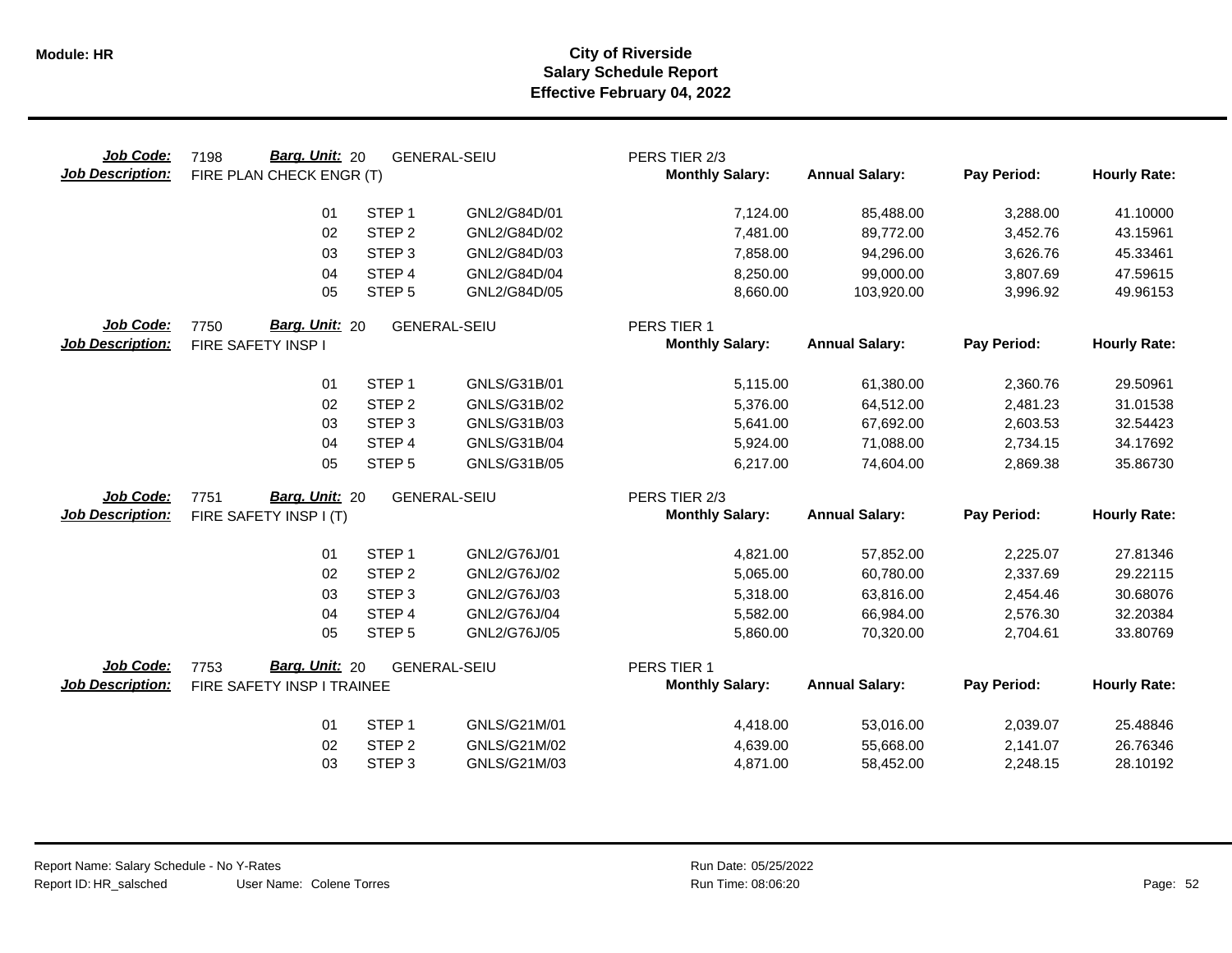| Job Code:<br><b>Job Description:</b> | <b>Barg. Unit: 20</b><br>7198<br>FIRE PLAN CHECK ENGR (T) |                   | <b>GENERAL-SEIU</b> | PERS TIER 2/3<br><b>Monthly Salary:</b> | <b>Annual Salary:</b> | Pay Period: | <b>Hourly Rate:</b> |
|--------------------------------------|-----------------------------------------------------------|-------------------|---------------------|-----------------------------------------|-----------------------|-------------|---------------------|
|                                      | 01                                                        | STEP <sub>1</sub> | GNL2/G84D/01        | 7,124.00                                | 85,488.00             | 3,288.00    | 41.10000            |
|                                      | 02                                                        | STEP <sub>2</sub> | GNL2/G84D/02        | 7,481.00                                | 89,772.00             | 3,452.76    | 43.15961            |
|                                      | 03                                                        | STEP <sub>3</sub> | GNL2/G84D/03        | 7,858.00                                | 94,296.00             | 3,626.76    | 45.33461            |
|                                      | 04                                                        | STEP 4            | GNL2/G84D/04        | 8,250.00                                | 99,000.00             | 3,807.69    | 47.59615            |
|                                      | 05                                                        | STEP <sub>5</sub> | GNL2/G84D/05        | 8,660.00                                | 103,920.00            | 3,996.92    | 49.96153            |
| Job Code:                            | Barg. Unit: 20<br>7750                                    |                   | <b>GENERAL-SEIU</b> | PERS TIER 1                             |                       |             |                     |
| <b>Job Description:</b>              | FIRE SAFETY INSP I                                        |                   |                     | <b>Monthly Salary:</b>                  | <b>Annual Salary:</b> | Pay Period: | <b>Hourly Rate:</b> |
|                                      | 01                                                        | STEP <sub>1</sub> | GNLS/G31B/01        | 5,115.00                                | 61,380.00             | 2,360.76    | 29.50961            |
|                                      | 02                                                        | STEP <sub>2</sub> | GNLS/G31B/02        | 5,376.00                                | 64,512.00             | 2,481.23    | 31.01538            |
|                                      | 03                                                        | STEP <sub>3</sub> | GNLS/G31B/03        | 5,641.00                                | 67,692.00             | 2,603.53    | 32.54423            |
|                                      | 04                                                        | STEP <sub>4</sub> | GNLS/G31B/04        | 5,924.00                                | 71,088.00             | 2,734.15    | 34.17692            |
|                                      | 05                                                        | STEP <sub>5</sub> | GNLS/G31B/05        | 6,217.00                                | 74,604.00             | 2,869.38    | 35.86730            |
| Job Code:                            | Barg. Unit: 20<br>7751                                    |                   | <b>GENERAL-SEIU</b> | PERS TIER 2/3                           |                       |             |                     |
| <b>Job Description:</b>              | FIRE SAFETY INSP I (T)                                    |                   |                     | <b>Monthly Salary:</b>                  | <b>Annual Salary:</b> | Pay Period: | <b>Hourly Rate:</b> |
|                                      | 01                                                        | STEP <sub>1</sub> | GNL2/G76J/01        | 4,821.00                                | 57,852.00             | 2,225.07    | 27.81346            |
|                                      | 02                                                        | STEP <sub>2</sub> | GNL2/G76J/02        | 5,065.00                                | 60,780.00             | 2,337.69    | 29.22115            |
|                                      | 03                                                        | STEP <sub>3</sub> | GNL2/G76J/03        | 5,318.00                                | 63,816.00             | 2,454.46    | 30.68076            |
|                                      | 04                                                        | STEP <sub>4</sub> | GNL2/G76J/04        | 5,582.00                                | 66,984.00             | 2,576.30    | 32.20384            |
|                                      | 05                                                        | STEP <sub>5</sub> | GNL2/G76J/05        | 5,860.00                                | 70,320.00             | 2,704.61    | 33.80769            |
| Job Code:                            | Barg. Unit: 20<br>7753                                    |                   | <b>GENERAL-SEIU</b> | PERS TIER 1                             |                       |             |                     |
| <b>Job Description:</b>              | FIRE SAFETY INSP I TRAINEE                                |                   |                     | <b>Monthly Salary:</b>                  | <b>Annual Salary:</b> | Pay Period: | <b>Hourly Rate:</b> |
|                                      | 01                                                        | STEP <sub>1</sub> | GNLS/G21M/01        | 4,418.00                                | 53,016.00             | 2,039.07    | 25.48846            |
|                                      | 02                                                        | STEP <sub>2</sub> | GNLS/G21M/02        | 4,639.00                                | 55,668.00             | 2,141.07    | 26.76346            |
|                                      | 03                                                        | STEP <sub>3</sub> | GNLS/G21M/03        | 4,871.00                                | 58,452.00             | 2,248.15    | 28.10192            |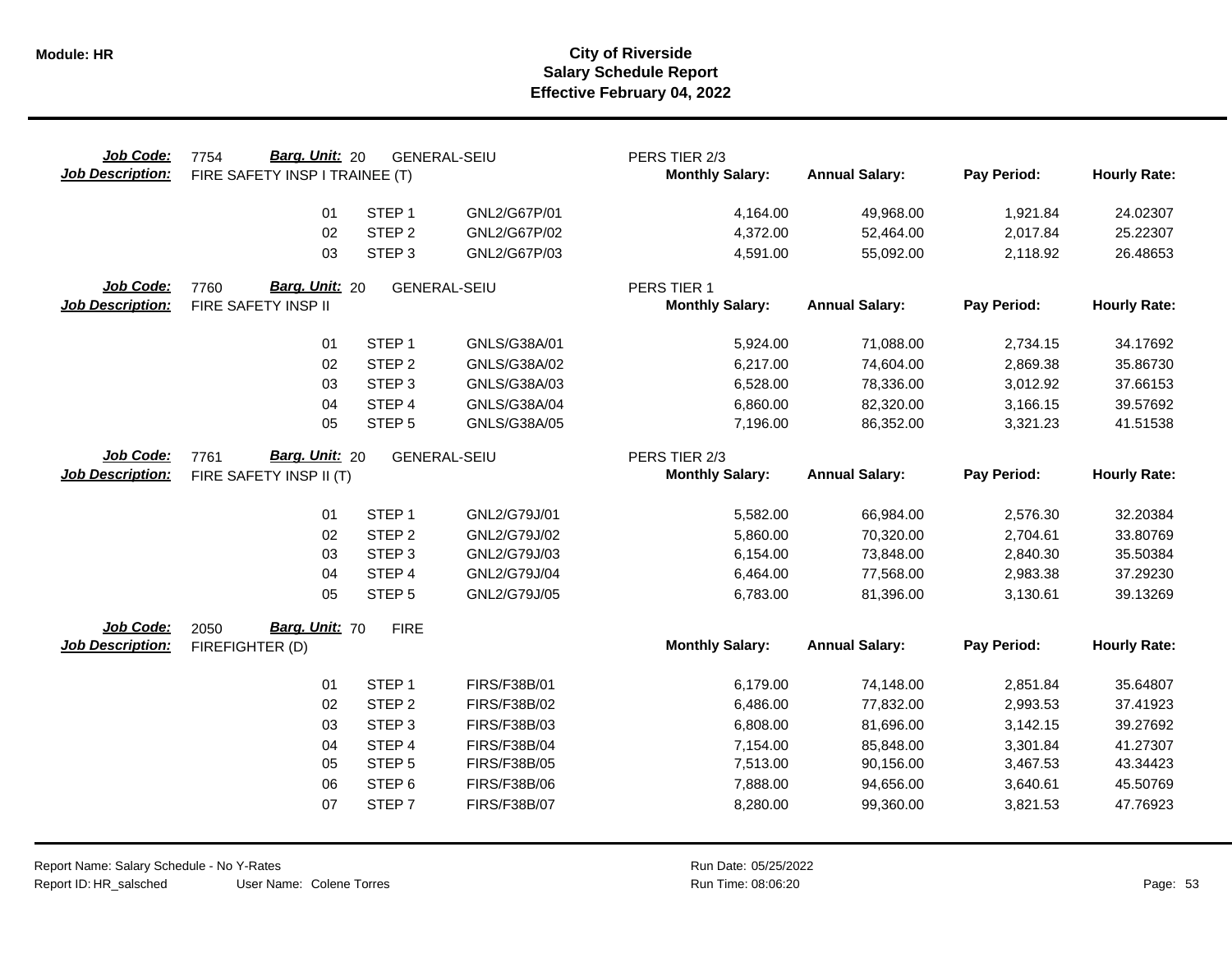| Job Code:<br><b>Job Description:</b> | Barg. Unit: 20<br>7754<br>FIRE SAFETY INSP I TRAINEE (T) |                   | <b>GENERAL-SEIU</b> | PERS TIER 2/3<br><b>Monthly Salary:</b> | <b>Annual Salary:</b> | Pay Period: | <b>Hourly Rate:</b> |
|--------------------------------------|----------------------------------------------------------|-------------------|---------------------|-----------------------------------------|-----------------------|-------------|---------------------|
|                                      | 01                                                       | STEP <sub>1</sub> | GNL2/G67P/01        | 4,164.00                                | 49,968.00             | 1,921.84    | 24.02307            |
|                                      | 02                                                       | STEP <sub>2</sub> | GNL2/G67P/02        | 4,372.00                                | 52,464.00             | 2,017.84    | 25.22307            |
|                                      | 03                                                       | STEP <sub>3</sub> | GNL2/G67P/03        | 4,591.00                                | 55,092.00             | 2,118.92    | 26.48653            |
| Job Code:                            | Barg. Unit: 20                                           |                   |                     |                                         |                       |             |                     |
| <b>Job Description:</b>              | 7760<br>FIRE SAFETY INSP II                              |                   | <b>GENERAL-SEIU</b> | PERS TIER 1<br><b>Monthly Salary:</b>   | <b>Annual Salary:</b> | Pay Period: | <b>Hourly Rate:</b> |
|                                      |                                                          |                   |                     |                                         |                       |             |                     |
|                                      | 01                                                       | STEP <sub>1</sub> | GNLS/G38A/01        | 5,924.00                                | 71,088.00             | 2,734.15    | 34.17692            |
|                                      | 02                                                       | STEP <sub>2</sub> | GNLS/G38A/02        | 6,217.00                                | 74,604.00             | 2,869.38    | 35.86730            |
|                                      | 03                                                       | STEP <sub>3</sub> | GNLS/G38A/03        | 6,528.00                                | 78,336.00             | 3,012.92    | 37.66153            |
|                                      | 04                                                       | STEP 4            | GNLS/G38A/04        | 6,860.00                                | 82,320.00             | 3,166.15    | 39.57692            |
|                                      | 05                                                       | STEP <sub>5</sub> | GNLS/G38A/05        | 7,196.00                                | 86,352.00             | 3,321.23    | 41.51538            |
| Job Code:                            | Barg. Unit: 20<br>7761                                   |                   | <b>GENERAL-SEIU</b> | PERS TIER 2/3                           |                       |             |                     |
| <b>Job Description:</b>              | FIRE SAFETY INSP II (T)                                  |                   |                     | <b>Monthly Salary:</b>                  | <b>Annual Salary:</b> | Pay Period: | <b>Hourly Rate:</b> |
|                                      |                                                          |                   |                     |                                         |                       |             |                     |
|                                      | 01                                                       | STEP <sub>1</sub> | GNL2/G79J/01        | 5,582.00                                | 66,984.00             | 2,576.30    | 32.20384            |
|                                      | 02                                                       | STEP <sub>2</sub> | GNL2/G79J/02        | 5,860.00                                | 70,320.00             | 2,704.61    | 33.80769            |
|                                      | 03                                                       | STEP <sub>3</sub> | GNL2/G79J/03        | 6,154.00                                | 73,848.00             | 2,840.30    | 35.50384            |
|                                      | 04                                                       | STEP 4            | GNL2/G79J/04        | 6,464.00                                | 77,568.00             | 2,983.38    | 37.29230            |
|                                      | 05                                                       | STEP <sub>5</sub> | GNL2/G79J/05        | 6,783.00                                | 81,396.00             | 3,130.61    | 39.13269            |
| Job Code:                            | Barg. Unit: 70<br>2050                                   | <b>FIRE</b>       |                     |                                         |                       |             |                     |
| <b>Job Description:</b>              | FIREFIGHTER (D)                                          |                   |                     | <b>Monthly Salary:</b>                  | <b>Annual Salary:</b> | Pay Period: | <b>Hourly Rate:</b> |
|                                      | 01                                                       | STEP <sub>1</sub> | FIRS/F38B/01        | 6,179.00                                | 74,148.00             | 2,851.84    | 35.64807            |
|                                      | 02                                                       | STEP <sub>2</sub> | FIRS/F38B/02        | 6,486.00                                | 77,832.00             | 2,993.53    | 37.41923            |
|                                      | 03                                                       | STEP <sub>3</sub> | FIRS/F38B/03        | 6,808.00                                | 81,696.00             | 3,142.15    | 39.27692            |
|                                      | 04                                                       | STEP 4            | <b>FIRS/F38B/04</b> | 7,154.00                                | 85,848.00             | 3,301.84    | 41.27307            |
|                                      | 05                                                       | STEP <sub>5</sub> | <b>FIRS/F38B/05</b> | 7,513.00                                | 90,156.00             | 3,467.53    | 43.34423            |
|                                      | 06                                                       | STEP <sub>6</sub> | <b>FIRS/F38B/06</b> | 7,888.00                                | 94,656.00             | 3,640.61    | 45.50769            |
|                                      | 07                                                       | STEP <sub>7</sub> | <b>FIRS/F38B/07</b> | 8,280.00                                | 99,360.00             | 3,821.53    | 47.76923            |
|                                      |                                                          |                   |                     |                                         |                       |             |                     |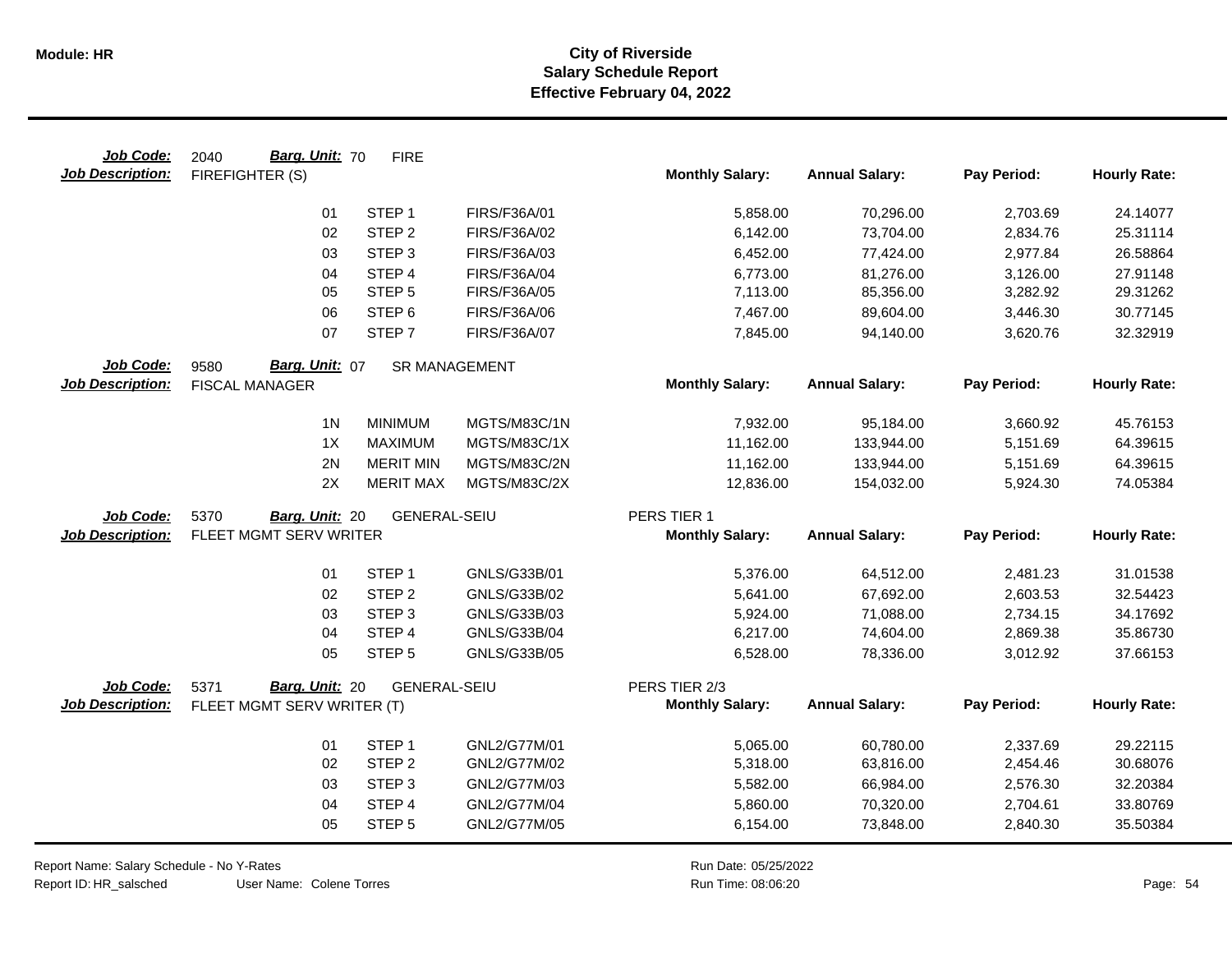| Job Code:               | Barg. Unit: 70<br>2040     | <b>FIRE</b>          |                     |                        |                       |             |                     |
|-------------------------|----------------------------|----------------------|---------------------|------------------------|-----------------------|-------------|---------------------|
| <b>Job Description:</b> | FIREFIGHTER (S)            |                      |                     | <b>Monthly Salary:</b> | <b>Annual Salary:</b> | Pay Period: | <b>Hourly Rate:</b> |
|                         | 01                         | STEP <sub>1</sub>    | FIRS/F36A/01        | 5,858.00               | 70,296.00             | 2,703.69    | 24.14077            |
|                         | 02                         | STEP <sub>2</sub>    | FIRS/F36A/02        | 6,142.00               | 73,704.00             | 2,834.76    | 25.31114            |
|                         | 03                         | STEP <sub>3</sub>    | FIRS/F36A/03        | 6,452.00               | 77,424.00             | 2,977.84    | 26.58864            |
|                         | 04                         | STEP <sub>4</sub>    | FIRS/F36A/04        | 6,773.00               | 81,276.00             | 3,126.00    | 27.91148            |
|                         | 05                         | STEP <sub>5</sub>    | <b>FIRS/F36A/05</b> | 7,113.00               | 85,356.00             | 3,282.92    | 29.31262            |
|                         | 06                         | STEP <sub>6</sub>    | <b>FIRS/F36A/06</b> | 7,467.00               | 89,604.00             | 3,446.30    | 30.77145            |
|                         | 07                         | STEP <sub>7</sub>    | FIRS/F36A/07        | 7,845.00               | 94,140.00             | 3,620.76    | 32.32919            |
| Job Code:               | Barg. Unit: 07<br>9580     | <b>SR MANAGEMENT</b> |                     |                        |                       |             |                     |
| <b>Job Description:</b> | <b>FISCAL MANAGER</b>      |                      |                     | <b>Monthly Salary:</b> | <b>Annual Salary:</b> | Pay Period: | <b>Hourly Rate:</b> |
|                         | 1 <sub>N</sub>             | <b>MINIMUM</b>       | MGTS/M83C/1N        | 7,932.00               | 95,184.00             | 3,660.92    | 45.76153            |
|                         | 1X                         | <b>MAXIMUM</b>       | MGTS/M83C/1X        | 11,162.00              | 133,944.00            | 5,151.69    | 64.39615            |
|                         | 2N                         | <b>MERIT MIN</b>     | MGTS/M83C/2N        | 11,162.00              | 133,944.00            | 5,151.69    | 64.39615            |
|                         | 2X                         | <b>MERIT MAX</b>     | MGTS/M83C/2X        | 12,836.00              | 154,032.00            | 5,924.30    | 74.05384            |
| Job Code:               | Barg. Unit: 20<br>5370     | <b>GENERAL-SEIU</b>  |                     | PERS TIER 1            |                       |             |                     |
| <b>Job Description:</b> | FLEET MGMT SERV WRITER     |                      |                     | <b>Monthly Salary:</b> | <b>Annual Salary:</b> | Pay Period: | <b>Hourly Rate:</b> |
|                         | 01                         | STEP <sub>1</sub>    | GNLS/G33B/01        | 5,376.00               | 64,512.00             | 2,481.23    | 31.01538            |
|                         | 02                         | STEP <sub>2</sub>    | GNLS/G33B/02        | 5,641.00               | 67,692.00             | 2,603.53    | 32.54423            |
|                         | 03                         | STEP <sub>3</sub>    | GNLS/G33B/03        | 5,924.00               | 71,088.00             | 2,734.15    | 34.17692            |
|                         | 04                         | STEP 4               | GNLS/G33B/04        | 6,217.00               | 74,604.00             | 2,869.38    | 35.86730            |
|                         | 05                         | STEP <sub>5</sub>    | GNLS/G33B/05        | 6,528.00               | 78,336.00             | 3,012.92    | 37.66153            |
| Job Code:               | Barg. Unit: 20<br>5371     | <b>GENERAL-SEIU</b>  |                     | PERS TIER 2/3          |                       |             |                     |
| <b>Job Description:</b> | FLEET MGMT SERV WRITER (T) |                      |                     | <b>Monthly Salary:</b> | <b>Annual Salary:</b> | Pay Period: | <b>Hourly Rate:</b> |
|                         | 01                         | STEP <sub>1</sub>    | GNL2/G77M/01        | 5,065.00               | 60,780.00             | 2,337.69    | 29.22115            |
|                         | 02                         | STEP <sub>2</sub>    | GNL2/G77M/02        | 5,318.00               | 63,816.00             | 2,454.46    | 30.68076            |
|                         | 03                         | STEP <sub>3</sub>    | GNL2/G77M/03        | 5,582.00               | 66,984.00             | 2,576.30    | 32.20384            |
|                         | 04                         | STEP 4               | GNL2/G77M/04        | 5,860.00               | 70,320.00             | 2,704.61    | 33.80769            |
|                         | 05                         | STEP <sub>5</sub>    | GNL2/G77M/05        | 6,154.00               | 73,848.00             | 2,840.30    | 35.50384            |
|                         |                            |                      |                     |                        |                       |             |                     |

Report Name: Salary Schedule - No Y-Rates Report ID: HR\_salsched

User Name: Colene Torres

Run Date: 05/25/2022 08:06:20 Colene Torres Run Time: Page: 54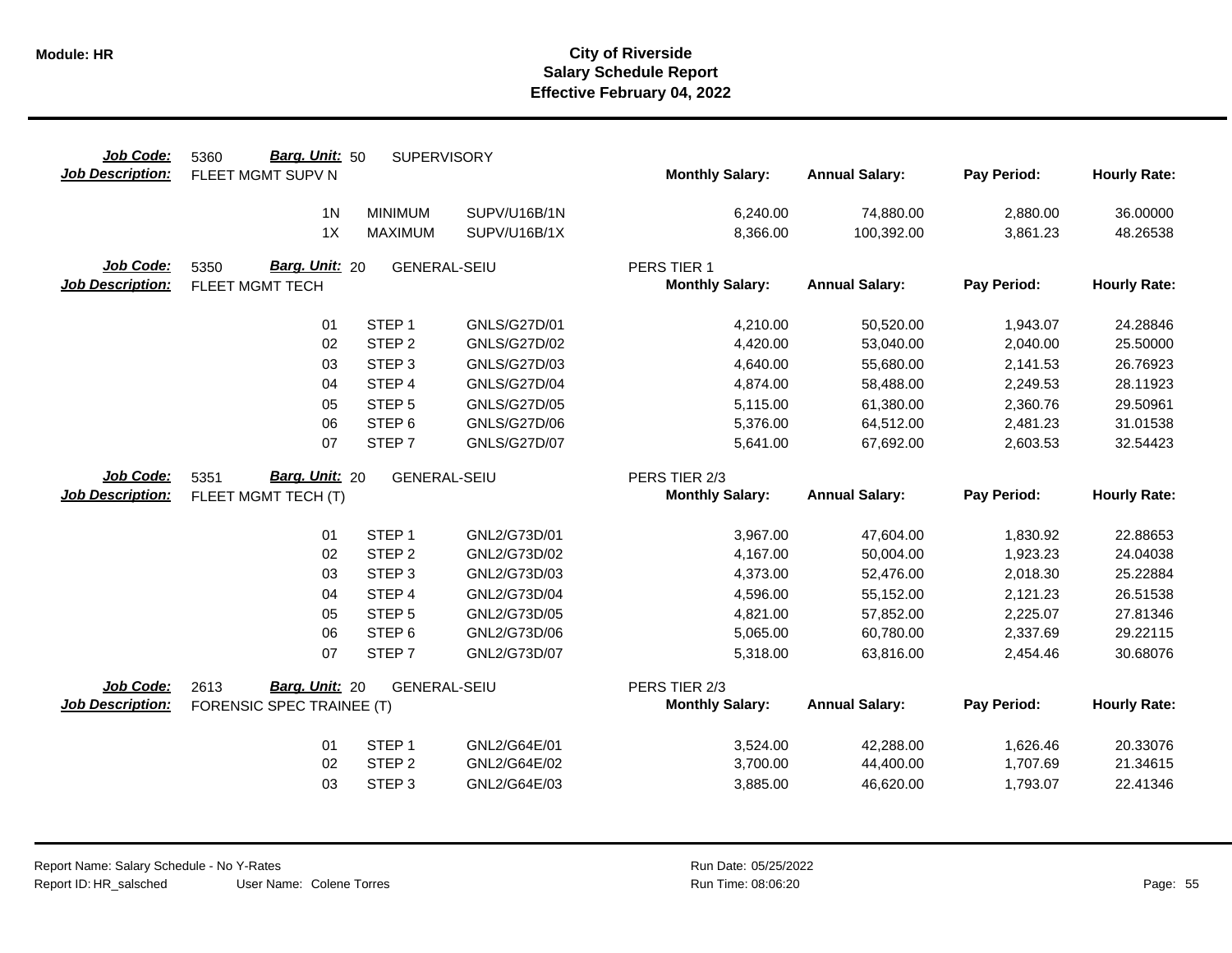| Job Code:<br><b>Job Description:</b> | Barg. Unit: 50<br>5360<br>FLEET MGMT SUPV N | <b>SUPERVISORY</b>  |                     | <b>Monthly Salary:</b> | <b>Annual Salary:</b> | Pay Period: | <b>Hourly Rate:</b> |
|--------------------------------------|---------------------------------------------|---------------------|---------------------|------------------------|-----------------------|-------------|---------------------|
|                                      |                                             |                     |                     |                        |                       |             |                     |
|                                      | 1 <sub>N</sub>                              | <b>MINIMUM</b>      | SUPV/U16B/1N        | 6,240.00               | 74,880.00             | 2,880.00    | 36.00000            |
|                                      | 1X                                          | <b>MAXIMUM</b>      | SUPV/U16B/1X        | 8,366.00               | 100,392.00            | 3,861.23    | 48.26538            |
| Job Code:                            | Barg. Unit: 20<br>5350                      | <b>GENERAL-SEIU</b> |                     | PERS TIER 1            |                       |             |                     |
| <b>Job Description:</b>              | FLEET MGMT TECH                             |                     |                     | <b>Monthly Salary:</b> | <b>Annual Salary:</b> | Pay Period: | <b>Hourly Rate:</b> |
|                                      |                                             |                     |                     |                        |                       |             |                     |
|                                      | 01                                          | STEP <sub>1</sub>   | GNLS/G27D/01        | 4,210.00               | 50,520.00             | 1,943.07    | 24.28846            |
|                                      | 02                                          | STEP <sub>2</sub>   | <b>GNLS/G27D/02</b> | 4,420.00               | 53,040.00             | 2,040.00    | 25.50000            |
|                                      | 03                                          | STEP <sub>3</sub>   | GNLS/G27D/03        | 4,640.00               | 55,680.00             | 2,141.53    | 26.76923            |
|                                      | 04                                          | STEP 4              | <b>GNLS/G27D/04</b> | 4,874.00               | 58,488.00             | 2,249.53    | 28.11923            |
|                                      | 05                                          | STEP <sub>5</sub>   | <b>GNLS/G27D/05</b> | 5,115.00               | 61,380.00             | 2,360.76    | 29.50961            |
|                                      | 06                                          | STEP <sub>6</sub>   | <b>GNLS/G27D/06</b> | 5,376.00               | 64,512.00             | 2,481.23    | 31.01538            |
|                                      | 07                                          | STEP <sub>7</sub>   | <b>GNLS/G27D/07</b> | 5,641.00               | 67,692.00             | 2,603.53    | 32.54423            |
| Job Code:                            | Barg. Unit: 20<br>5351                      | <b>GENERAL-SEIU</b> |                     | PERS TIER 2/3          |                       |             |                     |
| <b>Job Description:</b>              | FLEET MGMT TECH (T)                         |                     |                     | <b>Monthly Salary:</b> | <b>Annual Salary:</b> | Pay Period: | <b>Hourly Rate:</b> |
|                                      |                                             |                     |                     |                        |                       |             |                     |
|                                      | 01                                          | STEP <sub>1</sub>   | GNL2/G73D/01        | 3,967.00               | 47,604.00             | 1,830.92    | 22.88653            |
|                                      | 02                                          | STEP <sub>2</sub>   | GNL2/G73D/02        | 4,167.00               | 50,004.00             | 1,923.23    | 24.04038            |
|                                      | 03                                          | STEP <sub>3</sub>   | GNL2/G73D/03        | 4,373.00               | 52,476.00             | 2,018.30    | 25.22884            |
|                                      | 04                                          | STEP 4              | GNL2/G73D/04        | 4,596.00               | 55,152.00             | 2,121.23    | 26.51538            |
|                                      | 05                                          | STEP <sub>5</sub>   | GNL2/G73D/05        | 4,821.00               | 57,852.00             | 2,225.07    | 27.81346            |
|                                      | 06                                          | STEP <sub>6</sub>   | GNL2/G73D/06        | 5,065.00               | 60,780.00             | 2,337.69    | 29.22115            |
|                                      | 07                                          | STEP <sub>7</sub>   | GNL2/G73D/07        | 5,318.00               | 63,816.00             | 2,454.46    | 30.68076            |
| Job Code:                            | Barg. Unit: 20<br>2613                      | <b>GENERAL-SEIU</b> |                     | PERS TIER 2/3          |                       |             |                     |
| <b>Job Description:</b>              | FORENSIC SPEC TRAINEE (T)                   |                     |                     | <b>Monthly Salary:</b> | <b>Annual Salary:</b> | Pay Period: | <b>Hourly Rate:</b> |
|                                      |                                             |                     |                     |                        |                       |             |                     |
|                                      | 01                                          | STEP <sub>1</sub>   | GNL2/G64E/01        | 3,524.00               | 42,288.00             | 1,626.46    | 20.33076            |
|                                      | 02                                          | STEP <sub>2</sub>   | GNL2/G64E/02        | 3,700.00               | 44,400.00             | 1,707.69    | 21.34615            |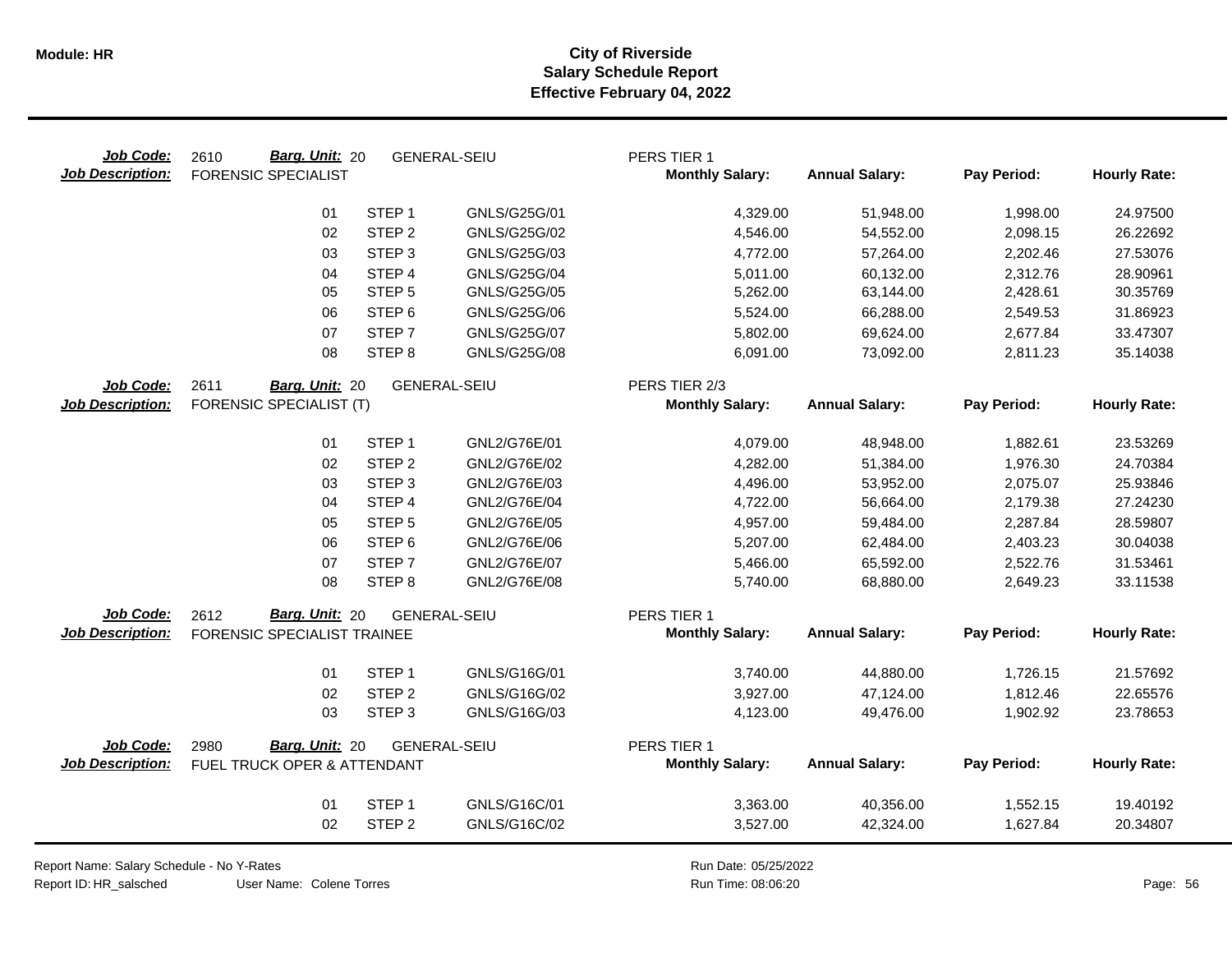| Job Code:<br><b>Job Description:</b> | Barg. Unit: 20<br>2610<br><b>FORENSIC SPECIALIST</b> |                   | <b>GENERAL-SEIU</b> | PERS TIER 1<br><b>Monthly Salary:</b> | <b>Annual Salary:</b> | Pay Period: | <b>Hourly Rate:</b> |
|--------------------------------------|------------------------------------------------------|-------------------|---------------------|---------------------------------------|-----------------------|-------------|---------------------|
|                                      | 01                                                   | STEP <sub>1</sub> | GNLS/G25G/01        | 4,329.00                              | 51,948.00             | 1,998.00    | 24.97500            |
|                                      | 02                                                   | STEP <sub>2</sub> | GNLS/G25G/02        | 4,546.00                              | 54,552.00             | 2,098.15    | 26.22692            |
|                                      | 03                                                   | STEP <sub>3</sub> | GNLS/G25G/03        | 4,772.00                              | 57,264.00             | 2,202.46    | 27.53076            |
|                                      | 04                                                   | STEP <sub>4</sub> | <b>GNLS/G25G/04</b> | 5,011.00                              | 60,132.00             | 2,312.76    | 28.90961            |
|                                      | 05                                                   | STEP <sub>5</sub> | GNLS/G25G/05        | 5,262.00                              | 63,144.00             | 2,428.61    | 30.35769            |
|                                      | 06                                                   | STEP <sub>6</sub> | GNLS/G25G/06        | 5,524.00                              | 66,288.00             | 2,549.53    | 31.86923            |
|                                      | 07                                                   | STEP <sub>7</sub> | <b>GNLS/G25G/07</b> | 5,802.00                              | 69,624.00             | 2,677.84    | 33.47307            |
|                                      | 08                                                   | STEP <sub>8</sub> | <b>GNLS/G25G/08</b> | 6,091.00                              | 73,092.00             | 2,811.23    | 35.14038            |
| Job Code:                            | 2611<br>Barg. Unit: 20                               |                   | <b>GENERAL-SEIU</b> | PERS TIER 2/3                         |                       |             |                     |
| <b>Job Description:</b>              | <b>FORENSIC SPECIALIST (T)</b>                       |                   |                     | <b>Monthly Salary:</b>                | <b>Annual Salary:</b> | Pay Period: | <b>Hourly Rate:</b> |
|                                      | 01                                                   | STEP <sub>1</sub> | GNL2/G76E/01        | 4,079.00                              | 48,948.00             | 1,882.61    | 23.53269            |
|                                      | 02                                                   | STEP <sub>2</sub> | GNL2/G76E/02        | 4,282.00                              | 51,384.00             | 1,976.30    | 24.70384            |
|                                      | 03                                                   | STEP <sub>3</sub> | GNL2/G76E/03        | 4,496.00                              | 53,952.00             | 2,075.07    | 25.93846            |
|                                      | 04                                                   | STEP 4            | GNL2/G76E/04        | 4,722.00                              | 56,664.00             | 2,179.38    | 27.24230            |
|                                      | 05                                                   | STEP <sub>5</sub> | GNL2/G76E/05        | 4,957.00                              | 59,484.00             | 2,287.84    | 28.59807            |
|                                      | 06                                                   | STEP <sub>6</sub> | GNL2/G76E/06        | 5,207.00                              | 62,484.00             | 2,403.23    | 30.04038            |
|                                      | 07                                                   | STEP <sub>7</sub> | GNL2/G76E/07        | 5,466.00                              | 65,592.00             | 2,522.76    | 31.53461            |
|                                      | 08                                                   | STEP <sub>8</sub> | GNL2/G76E/08        | 5,740.00                              | 68,880.00             | 2,649.23    | 33.11538            |
| Job Code:                            | 2612<br>Barg. Unit: 20                               |                   | GENERAL-SEIU        | PERS TIER 1                           |                       |             |                     |
| <b>Job Description:</b>              | FORENSIC SPECIALIST TRAINEE                          |                   |                     | <b>Monthly Salary:</b>                | <b>Annual Salary:</b> | Pay Period: | <b>Hourly Rate:</b> |
|                                      | 01                                                   | STEP <sub>1</sub> | GNLS/G16G/01        | 3,740.00                              | 44,880.00             | 1,726.15    | 21.57692            |
|                                      | 02                                                   | STEP <sub>2</sub> | GNLS/G16G/02        | 3,927.00                              | 47,124.00             | 1,812.46    | 22.65576            |
|                                      | 03                                                   | STEP <sub>3</sub> | GNLS/G16G/03        | 4,123.00                              | 49,476.00             | 1,902.92    | 23.78653            |
| Job Code:                            | Barg. Unit: 20<br>2980                               |                   | <b>GENERAL-SEIU</b> | PERS TIER 1                           |                       |             |                     |
| <b>Job Description:</b>              | FUEL TRUCK OPER & ATTENDANT                          |                   |                     | <b>Monthly Salary:</b>                | <b>Annual Salary:</b> | Pay Period: | <b>Hourly Rate:</b> |
|                                      | 01                                                   | STEP <sub>1</sub> | GNLS/G16C/01        | 3,363.00                              | 40,356.00             | 1,552.15    | 19.40192            |
|                                      | 02                                                   | STEP <sub>2</sub> | GNLS/G16C/02        | 3,527.00                              | 42,324.00             | 1,627.84    | 20.34807            |
|                                      |                                                      |                   |                     |                                       |                       |             |                     |

Report Name: Salary Schedule - No Y-Rates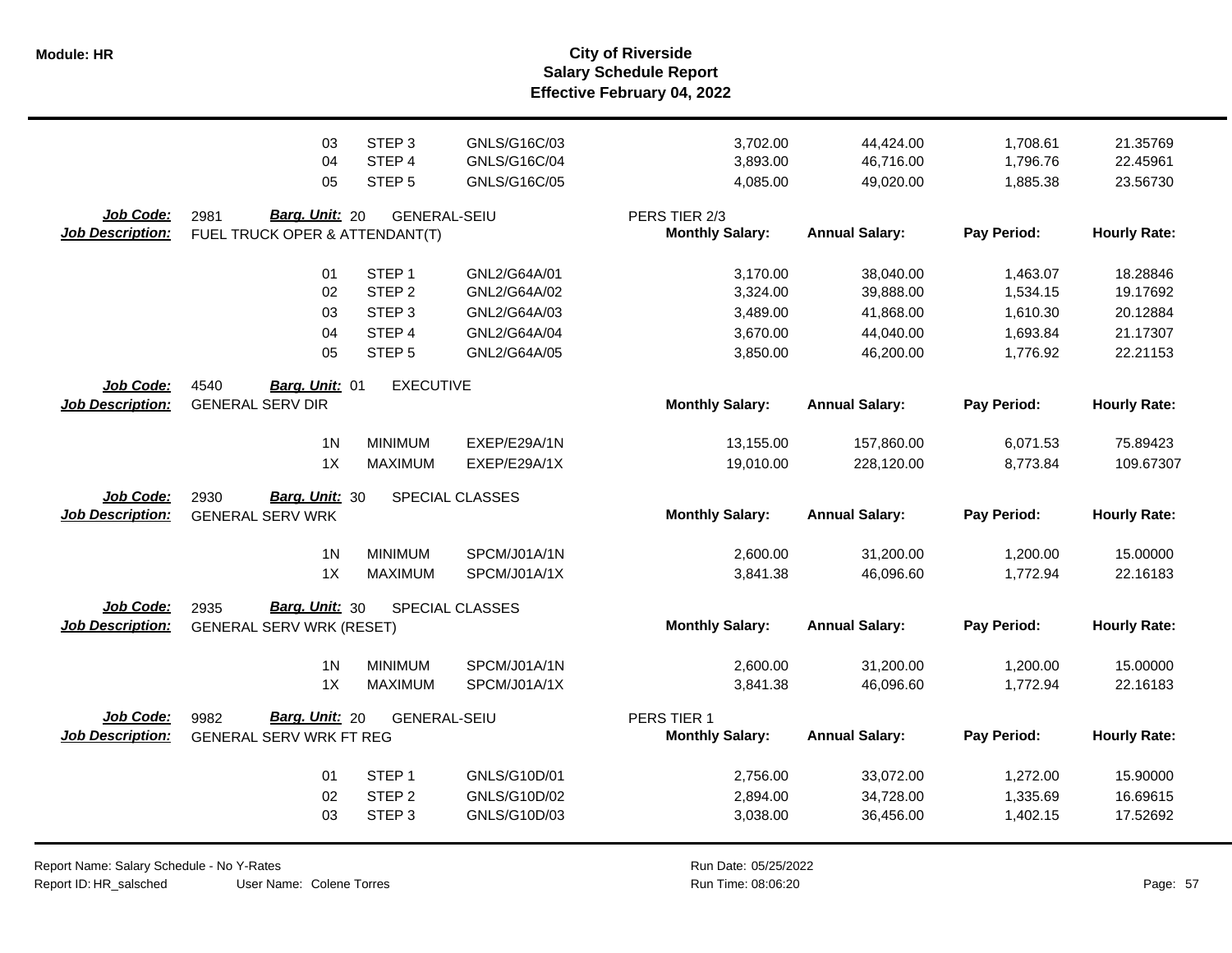**Salary Schedule Report Effective February 04, 2022 Module: HR City of Riverside**

|                                      | 03                                                              | STEP <sub>3</sub>                     | GNLS/G16C/03    | 3,702.00                                | 44,424.00                          | 1,708.61                | 21.35769                        |
|--------------------------------------|-----------------------------------------------------------------|---------------------------------------|-----------------|-----------------------------------------|------------------------------------|-------------------------|---------------------------------|
|                                      | 04                                                              | STEP 4                                | GNLS/G16C/04    | 3,893.00                                | 46,716.00                          | 1,796.76                | 22.45961                        |
|                                      | 05                                                              | STEP <sub>5</sub>                     | GNLS/G16C/05    | 4,085.00                                | 49,020.00                          | 1,885.38                | 23.56730                        |
| Job Code:<br><b>Job Description:</b> | 2981<br><b>Barg. Unit: 20</b><br>FUEL TRUCK OPER & ATTENDANT(T) | <b>GENERAL-SEIU</b>                   |                 | PERS TIER 2/3<br><b>Monthly Salary:</b> | <b>Annual Salary:</b>              | Pay Period:             | <b>Hourly Rate:</b>             |
|                                      | 01                                                              | STEP <sub>1</sub>                     | GNL2/G64A/01    | 3,170.00                                | 38,040.00                          | 1,463.07                | 18.28846                        |
|                                      | 02                                                              | STEP <sub>2</sub>                     | GNL2/G64A/02    | 3,324.00                                | 39,888.00                          | 1,534.15                | 19.17692                        |
|                                      | 03                                                              | STEP <sub>3</sub>                     | GNL2/G64A/03    | 3,489.00                                | 41,868.00                          | 1,610.30                | 20.12884                        |
|                                      | 04                                                              | STEP 4                                | GNL2/G64A/04    | 3,670.00                                | 44,040.00                          | 1,693.84                | 21.17307                        |
| Job Code:<br><b>Job Description:</b> | 05<br>4540<br>Barg. Unit: 01<br><b>GENERAL SERV DIR</b>         | STEP <sub>5</sub><br><b>EXECUTIVE</b> | GNL2/G64A/05    | 3,850.00<br><b>Monthly Salary:</b>      | 46,200.00<br><b>Annual Salary:</b> | 1,776.92<br>Pay Period: | 22.21153<br><b>Hourly Rate:</b> |
|                                      | 1 <sub>N</sub>                                                  | <b>MINIMUM</b>                        | EXEP/E29A/1N    | 13,155.00                               | 157,860.00                         | 6,071.53                | 75.89423                        |
|                                      | 1X                                                              | <b>MAXIMUM</b>                        | EXEP/E29A/1X    | 19,010.00                               | 228,120.00                         | 8,773.84                | 109.67307                       |
| Job Code:<br><b>Job Description:</b> | Barg. Unit: 30<br>2930<br><b>GENERAL SERV WRK</b>               |                                       | SPECIAL CLASSES | <b>Monthly Salary:</b>                  | <b>Annual Salary:</b>              | Pay Period:             | <b>Hourly Rate:</b>             |
|                                      | 1 <sub>N</sub>                                                  | <b>MINIMUM</b>                        | SPCM/J01A/1N    | 2,600.00                                | 31,200.00                          | 1,200.00                | 15.00000                        |
|                                      | 1X                                                              | <b>MAXIMUM</b>                        | SPCM/J01A/1X    | 3,841.38                                | 46,096.60                          | 1,772.94                | 22.16183                        |
| Job Code:<br><b>Job Description:</b> | Barg. Unit: 30<br>2935<br><b>GENERAL SERV WRK (RESET)</b>       |                                       | SPECIAL CLASSES | <b>Monthly Salary:</b>                  | <b>Annual Salary:</b>              | Pay Period:             | <b>Hourly Rate:</b>             |
|                                      | 1 <sup>N</sup>                                                  | <b>MINIMUM</b>                        | SPCM/J01A/1N    | 2,600.00                                | 31,200.00                          | 1,200.00                | 15.00000                        |
|                                      | 1X                                                              | <b>MAXIMUM</b>                        | SPCM/J01A/1X    | 3,841.38                                | 46,096.60                          | 1,772.94                | 22.16183                        |
| Job Code:<br><b>Job Description:</b> | Barg. Unit: 20<br>9982<br><b>GENERAL SERV WRK FT REG</b>        | <b>GENERAL-SEIU</b>                   |                 | PERS TIER 1<br><b>Monthly Salary:</b>   | <b>Annual Salary:</b>              | Pay Period:             | <b>Hourly Rate:</b>             |
|                                      | 01                                                              | STEP <sub>1</sub>                     | GNLS/G10D/01    | 2,756.00                                | 33,072.00                          | 1,272.00                | 15.90000                        |
|                                      | 02                                                              | STEP <sub>2</sub>                     | GNLS/G10D/02    | 2,894.00                                | 34,728.00                          | 1,335.69                | 16.69615                        |
|                                      | 03                                                              | STEP <sub>3</sub>                     | GNLS/G10D/03    | 3,038.00                                | 36,456.00                          | 1,402.15                | 17.52692                        |

Report Name: Salary Schedule - No Y-Rates Report ID: HR\_salsched

User Name: Colene Torres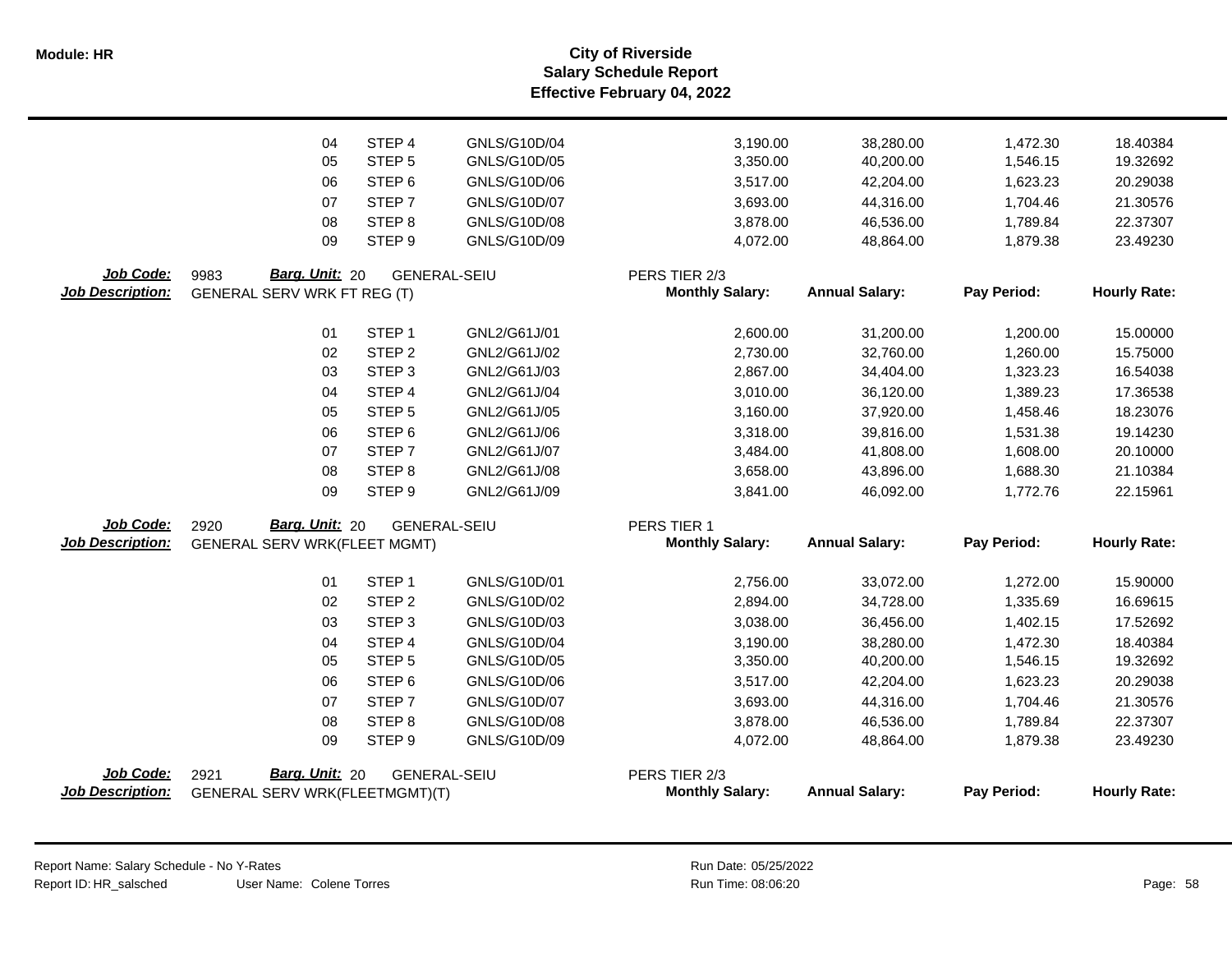**Salary Schedule Report Effective February 04, 2022 Module: HR City of Riverside**

|                                      | 04                                  | STEP 4            | GNLS/G10D/04        | 3,190.00                                | 38,280.00             | 1,472.30    | 18.40384            |
|--------------------------------------|-------------------------------------|-------------------|---------------------|-----------------------------------------|-----------------------|-------------|---------------------|
|                                      | 05                                  | STEP <sub>5</sub> | GNLS/G10D/05        | 3,350.00                                | 40,200.00             | 1,546.15    | 19.32692            |
|                                      | 06                                  | STEP <sub>6</sub> | GNLS/G10D/06        | 3,517.00                                | 42,204.00             | 1,623.23    | 20.29038            |
|                                      | 07                                  | STEP <sub>7</sub> | GNLS/G10D/07        | 3,693.00                                | 44,316.00             | 1,704.46    | 21.30576            |
|                                      | 08                                  | STEP <sub>8</sub> | GNLS/G10D/08        | 3,878.00                                | 46,536.00             | 1,789.84    | 22.37307            |
|                                      | 09                                  | STEP <sub>9</sub> | GNLS/G10D/09        | 4,072.00                                | 48,864.00             | 1,879.38    | 23.49230            |
| Job Code:                            | Barg. Unit: 20<br>9983              |                   | <b>GENERAL-SEIU</b> | PERS TIER 2/3                           |                       |             |                     |
| <b>Job Description:</b>              | <b>GENERAL SERV WRK FT REG (T)</b>  |                   |                     | <b>Monthly Salary:</b>                  | <b>Annual Salary:</b> | Pay Period: | <b>Hourly Rate:</b> |
|                                      |                                     |                   |                     |                                         |                       |             |                     |
|                                      | 01                                  | STEP <sub>1</sub> | GNL2/G61J/01        | 2,600.00                                | 31,200.00             | 1,200.00    | 15.00000            |
|                                      | 02                                  | STEP <sub>2</sub> | GNL2/G61J/02        | 2,730.00                                | 32,760.00             | 1,260.00    | 15.75000            |
|                                      | 03                                  | STEP <sub>3</sub> | GNL2/G61J/03        | 2,867.00                                | 34,404.00             | 1,323.23    | 16.54038            |
|                                      | 04                                  | STEP 4            | GNL2/G61J/04        | 3,010.00                                | 36,120.00             | 1,389.23    | 17.36538            |
|                                      | 05                                  | STEP <sub>5</sub> | GNL2/G61J/05        | 3,160.00                                | 37,920.00             | 1,458.46    | 18.23076            |
|                                      | 06                                  | STEP <sub>6</sub> | GNL2/G61J/06        | 3,318.00                                | 39,816.00             | 1,531.38    | 19.14230            |
|                                      | 07                                  | STEP <sub>7</sub> | GNL2/G61J/07        | 3,484.00                                | 41,808.00             | 1,608.00    | 20.10000            |
|                                      | 08                                  | STEP <sub>8</sub> | GNL2/G61J/08        | 3,658.00                                | 43,896.00             | 1,688.30    | 21.10384            |
|                                      | 09                                  | STEP <sub>9</sub> | GNL2/G61J/09        | 3,841.00                                | 46,092.00             | 1,772.76    | 22.15961            |
| Job Code:                            | Barg. Unit: 20<br>2920              |                   | <b>GENERAL-SEIU</b> | PERS TIER 1                             |                       |             |                     |
| <b>Job Description:</b>              | <b>GENERAL SERV WRK(FLEET MGMT)</b> |                   |                     | <b>Monthly Salary:</b>                  | <b>Annual Salary:</b> | Pay Period: | <b>Hourly Rate:</b> |
|                                      | 01                                  | STEP <sub>1</sub> | GNLS/G10D/01        | 2,756.00                                | 33,072.00             | 1,272.00    | 15.90000            |
|                                      | 02                                  | STEP <sub>2</sub> | GNLS/G10D/02        | 2,894.00                                | 34,728.00             | 1,335.69    | 16.69615            |
|                                      | 03                                  | STEP <sub>3</sub> | GNLS/G10D/03        | 3,038.00                                | 36,456.00             | 1,402.15    | 17.52692            |
|                                      | 04                                  | STEP 4            | GNLS/G10D/04        | 3,190.00                                | 38,280.00             | 1,472.30    | 18.40384            |
|                                      | 05                                  | STEP <sub>5</sub> | GNLS/G10D/05        | 3,350.00                                | 40,200.00             | 1,546.15    | 19.32692            |
|                                      | 06                                  | STEP <sub>6</sub> | GNLS/G10D/06        | 3,517.00                                | 42,204.00             | 1,623.23    | 20.29038            |
|                                      | 07                                  | STEP <sub>7</sub> | GNLS/G10D/07        | 3,693.00                                | 44,316.00             | 1,704.46    | 21.30576            |
|                                      | 08                                  | STEP <sub>8</sub> | GNLS/G10D/08        | 3,878.00                                | 46,536.00             | 1,789.84    | 22.37307            |
|                                      | 09                                  | STEP 9            | GNLS/G10D/09        | 4,072.00                                | 48,864.00             | 1,879.38    | 23.49230            |
|                                      |                                     |                   |                     |                                         |                       |             |                     |
| Job Code:<br><b>Job Description:</b> | Barg. Unit: 20<br>2921              |                   | <b>GENERAL-SEIU</b> | PERS TIER 2/3<br><b>Monthly Salary:</b> | <b>Annual Salary:</b> | Pay Period: | <b>Hourly Rate:</b> |
|                                      | GENERAL SERV WRK(FLEETMGMT)(T)      |                   |                     |                                         |                       |             |                     |
|                                      |                                     |                   |                     |                                         |                       |             |                     |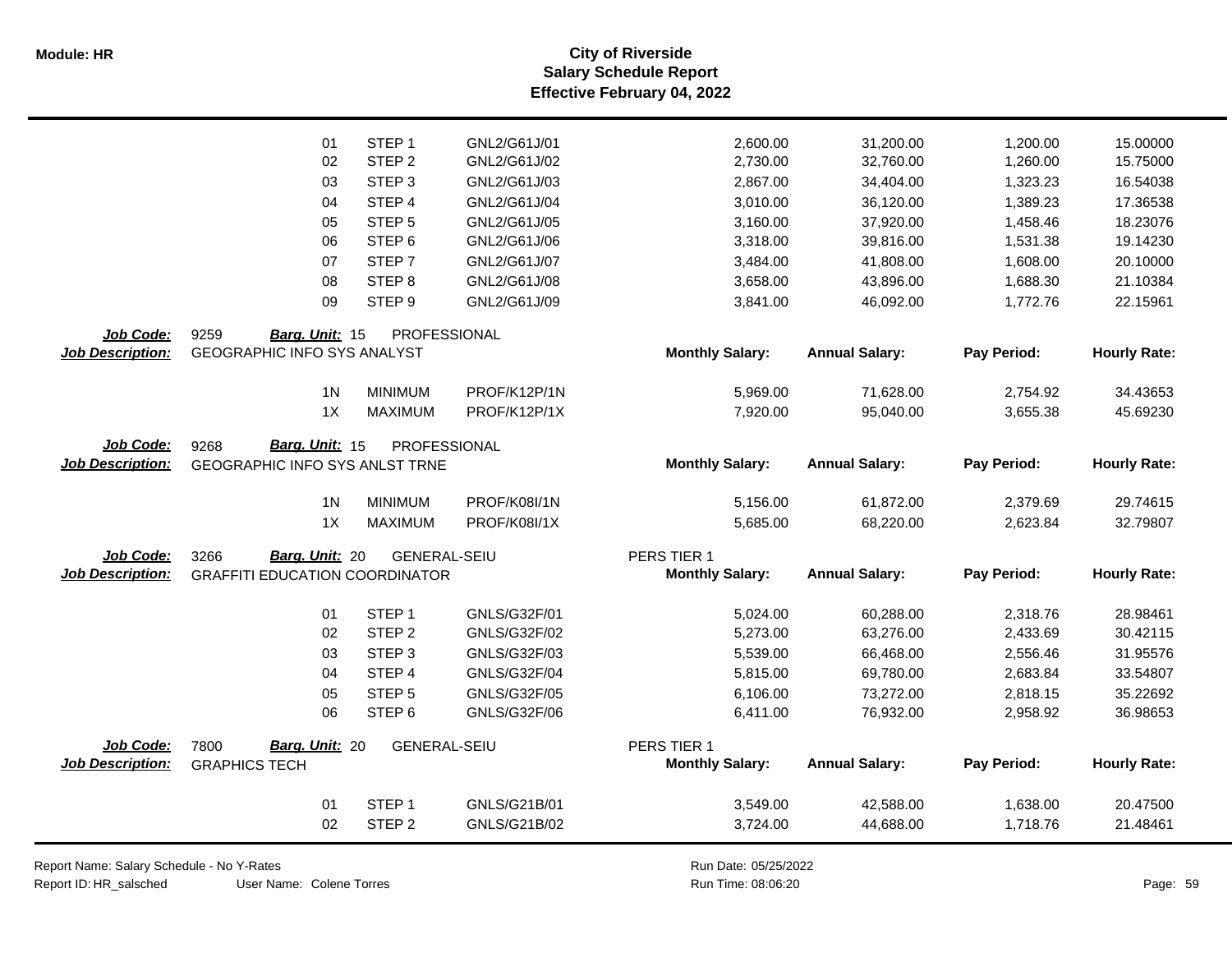**Salary Schedule Report Effective February 04, 2022 Module: HR City of Riverside**

|                         | 01                                    | STEP <sub>1</sub>   | GNL2/G61J/01        | 2,600.00               | 31,200.00             | 1,200.00    | 15.00000            |
|-------------------------|---------------------------------------|---------------------|---------------------|------------------------|-----------------------|-------------|---------------------|
|                         | 02                                    | STEP <sub>2</sub>   | GNL2/G61J/02        | 2,730.00               | 32,760.00             | 1,260.00    | 15.75000            |
|                         | 03                                    | STEP <sub>3</sub>   | GNL2/G61J/03        | 2,867.00               | 34,404.00             | 1,323.23    | 16.54038            |
|                         | 04                                    | STEP 4              | GNL2/G61J/04        | 3,010.00               | 36,120.00             | 1,389.23    | 17.36538            |
|                         | 05                                    | STEP <sub>5</sub>   | GNL2/G61J/05        | 3,160.00               | 37,920.00             | 1,458.46    | 18.23076            |
|                         | 06                                    | STEP <sub>6</sub>   | GNL2/G61J/06        | 3,318.00               | 39,816.00             | 1,531.38    | 19.14230            |
|                         | 07                                    | STEP <sub>7</sub>   | GNL2/G61J/07        | 3,484.00               | 41,808.00             | 1,608.00    | 20.10000            |
|                         | 08                                    | STEP <sub>8</sub>   | GNL2/G61J/08        | 3,658.00               | 43,896.00             | 1,688.30    | 21.10384            |
|                         | 09                                    | STEP <sub>9</sub>   | GNL2/G61J/09        | 3,841.00               | 46,092.00             | 1,772.76    | 22.15961            |
| Job Code:               | 9259<br>Barg. Unit: 15                | PROFESSIONAL        |                     |                        |                       |             |                     |
| <b>Job Description:</b> | <b>GEOGRAPHIC INFO SYS ANALYST</b>    |                     |                     | <b>Monthly Salary:</b> | <b>Annual Salary:</b> | Pay Period: | <b>Hourly Rate:</b> |
|                         | 1 <sub>N</sub>                        | <b>MINIMUM</b>      | PROF/K12P/1N        | 5,969.00               | 71,628.00             | 2,754.92    | 34.43653            |
|                         | 1X                                    | <b>MAXIMUM</b>      | PROF/K12P/1X        | 7,920.00               | 95,040.00             | 3,655.38    | 45.69230            |
| Job Code:               | Barg. Unit: 15<br>9268                | PROFESSIONAL        |                     |                        |                       |             |                     |
| <b>Job Description:</b> | GEOGRAPHIC INFO SYS ANLST TRNE        |                     |                     | <b>Monthly Salary:</b> | <b>Annual Salary:</b> | Pay Period: | <b>Hourly Rate:</b> |
|                         | 1 <sub>N</sub>                        | <b>MINIMUM</b>      | <b>PROF/K08I/1N</b> | 5,156.00               | 61,872.00             | 2,379.69    | 29.74615            |
|                         | 1X                                    | <b>MAXIMUM</b>      | <b>PROF/K08I/1X</b> | 5,685.00               | 68,220.00             | 2,623.84    | 32.79807            |
| Job Code:               | Barg. Unit: 20<br>3266                | <b>GENERAL-SEIU</b> |                     | PERS TIER 1            |                       |             |                     |
| <b>Job Description:</b> | <b>GRAFFITI EDUCATION COORDINATOR</b> |                     |                     | <b>Monthly Salary:</b> | <b>Annual Salary:</b> | Pay Period: | <b>Hourly Rate:</b> |
|                         | 01                                    | STEP <sub>1</sub>   | GNLS/G32F/01        | 5,024.00               | 60,288.00             | 2,318.76    | 28.98461            |
|                         | 02                                    | STEP <sub>2</sub>   | GNLS/G32F/02        | 5,273.00               | 63,276.00             | 2,433.69    | 30.42115            |
|                         | 03                                    | STEP <sub>3</sub>   | GNLS/G32F/03        | 5,539.00               | 66,468.00             | 2,556.46    | 31.95576            |
|                         | 04                                    | STEP <sub>4</sub>   | GNLS/G32F/04        | 5,815.00               | 69,780.00             | 2,683.84    | 33.54807            |
|                         | 05                                    | STEP <sub>5</sub>   | GNLS/G32F/05        | 6,106.00               | 73,272.00             | 2,818.15    | 35.22692            |
|                         | 06                                    | STEP <sub>6</sub>   | GNLS/G32F/06        | 6,411.00               | 76,932.00             | 2,958.92    | 36.98653            |
| Job Code:               | 7800<br>Barg. Unit: 20                | <b>GENERAL-SEIU</b> |                     | PERS TIER 1            |                       |             |                     |
| <b>Job Description:</b> | <b>GRAPHICS TECH</b>                  |                     |                     | <b>Monthly Salary:</b> | <b>Annual Salary:</b> | Pay Period: | <b>Hourly Rate:</b> |
|                         | 01                                    | STEP <sub>1</sub>   | GNLS/G21B/01        | 3,549.00               | 42,588.00             | 1,638.00    | 20.47500            |
|                         | 02                                    | STEP <sub>2</sub>   | GNLS/G21B/02        | 3,724.00               | 44,688.00             | 1,718.76    | 21.48461            |

User Name: Colene Torres Report Name: Salary Schedule - No Y-Rates Report ID: HR\_salsched

 $\overline{\phantom{0}}$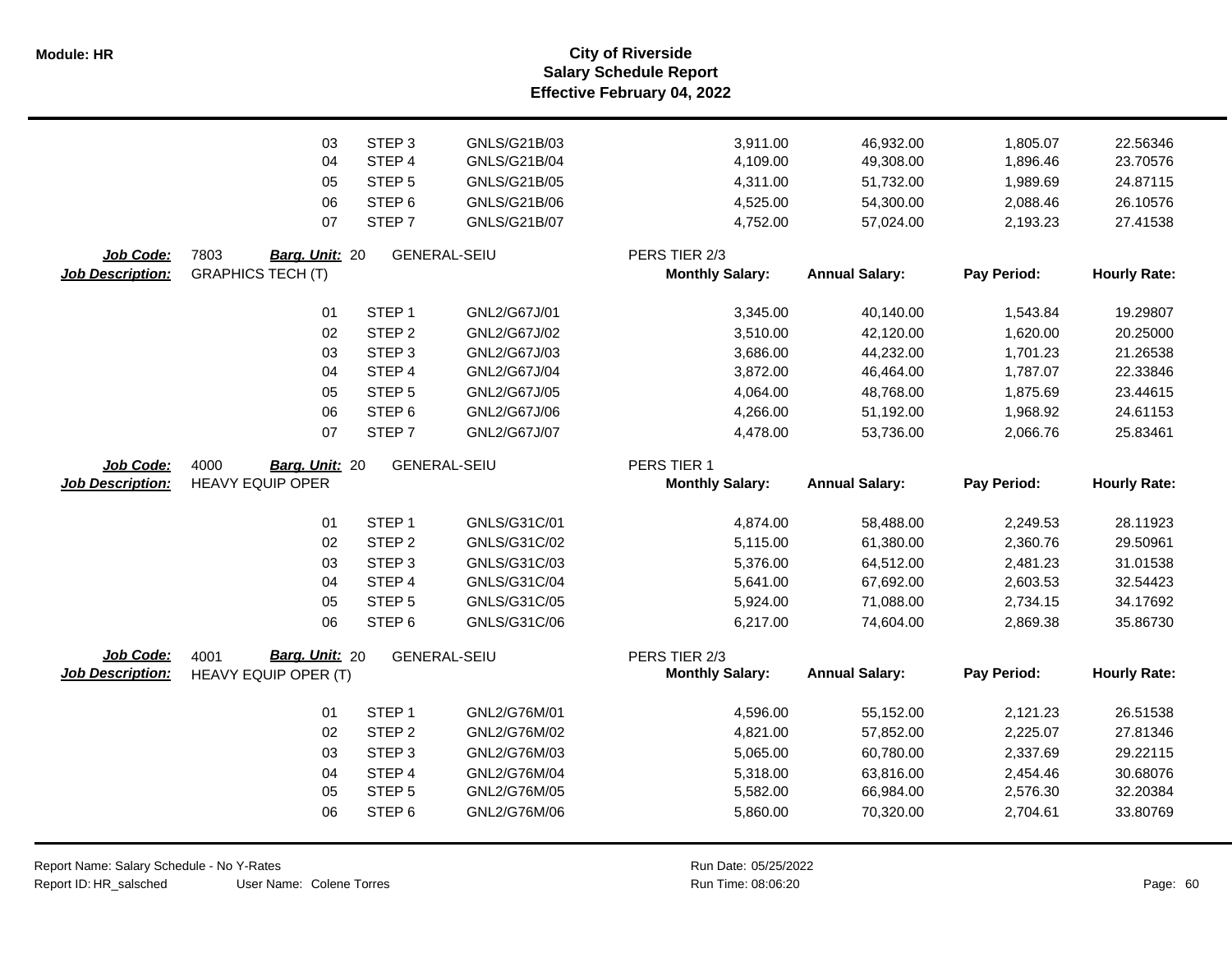**Salary Schedule Report Effective February 04, 2022 Module: HR City of Riverside**

|                                      | 03                                                 | STEP <sub>3</sub> | GNLS/G21B/03        | 3,911.00                                | 46,932.00             | 1,805.07    | 22.56346            |
|--------------------------------------|----------------------------------------------------|-------------------|---------------------|-----------------------------------------|-----------------------|-------------|---------------------|
|                                      | 04                                                 | STEP 4            | GNLS/G21B/04        | 4,109.00                                | 49,308.00             | 1,896.46    | 23.70576            |
|                                      | 05                                                 | STEP <sub>5</sub> | GNLS/G21B/05        | 4,311.00                                | 51,732.00             | 1,989.69    | 24.87115            |
|                                      | 06                                                 | STEP <sub>6</sub> | GNLS/G21B/06        | 4,525.00                                | 54,300.00             | 2,088.46    | 26.10576            |
|                                      | 07                                                 | STEP <sub>7</sub> | GNLS/G21B/07        | 4,752.00                                | 57,024.00             | 2,193.23    | 27.41538            |
|                                      |                                                    |                   |                     |                                         |                       |             |                     |
| Job Code:<br><b>Job Description:</b> | 7803<br>Barg. Unit: 20<br><b>GRAPHICS TECH (T)</b> |                   | <b>GENERAL-SEIU</b> | PERS TIER 2/3<br><b>Monthly Salary:</b> | <b>Annual Salary:</b> | Pay Period: | <b>Hourly Rate:</b> |
|                                      |                                                    |                   |                     |                                         |                       |             |                     |
|                                      | 01                                                 | STEP <sub>1</sub> | GNL2/G67J/01        | 3,345.00                                | 40,140.00             | 1,543.84    | 19.29807            |
|                                      | 02                                                 | STEP <sub>2</sub> | GNL2/G67J/02        | 3,510.00                                | 42,120.00             | 1,620.00    | 20.25000            |
|                                      | 03                                                 | STEP <sub>3</sub> | GNL2/G67J/03        | 3,686.00                                | 44,232.00             | 1,701.23    | 21.26538            |
|                                      | 04                                                 | STEP 4            | GNL2/G67J/04        | 3,872.00                                | 46,464.00             | 1,787.07    | 22.33846            |
|                                      | 05                                                 | STEP <sub>5</sub> | GNL2/G67J/05        | 4,064.00                                | 48,768.00             | 1,875.69    | 23.44615            |
|                                      | 06                                                 | STEP 6            | GNL2/G67J/06        | 4,266.00                                | 51,192.00             | 1,968.92    | 24.61153            |
|                                      | 07                                                 | STEP <sub>7</sub> | GNL2/G67J/07        | 4,478.00                                | 53,736.00             | 2,066.76    | 25.83461            |
| Job Code:                            | 4000<br>Barg. Unit: 20                             |                   | <b>GENERAL-SEIU</b> | PERS TIER 1                             |                       |             |                     |
| <b>Job Description:</b>              | <b>HEAVY EQUIP OPER</b>                            |                   |                     | <b>Monthly Salary:</b>                  | <b>Annual Salary:</b> | Pay Period: | <b>Hourly Rate:</b> |
|                                      |                                                    |                   |                     |                                         |                       |             |                     |
|                                      | 01                                                 | STEP <sub>1</sub> | GNLS/G31C/01        | 4,874.00                                | 58,488.00             | 2,249.53    | 28.11923            |
|                                      | 02                                                 | STEP <sub>2</sub> | GNLS/G31C/02        | 5,115.00                                | 61,380.00             | 2,360.76    | 29.50961            |
|                                      | 03                                                 | STEP <sub>3</sub> | GNLS/G31C/03        | 5,376.00                                | 64,512.00             | 2,481.23    | 31.01538            |
|                                      | 04                                                 | STEP 4            | GNLS/G31C/04        | 5,641.00                                | 67,692.00             | 2,603.53    | 32.54423            |
|                                      | 05                                                 | STEP <sub>5</sub> | GNLS/G31C/05        | 5,924.00                                | 71,088.00             | 2,734.15    | 34.17692            |
|                                      | 06                                                 | STEP <sub>6</sub> | GNLS/G31C/06        | 6,217.00                                | 74,604.00             | 2,869.38    | 35.86730            |
| Job Code:                            | Barg. Unit: 20<br>4001                             |                   | GENERAL-SEIU        | PERS TIER 2/3                           |                       |             |                     |
| <b>Job Description:</b>              | HEAVY EQUIP OPER (T)                               |                   |                     | <b>Monthly Salary:</b>                  | <b>Annual Salary:</b> | Pay Period: | <b>Hourly Rate:</b> |
|                                      |                                                    |                   |                     |                                         |                       |             |                     |
|                                      | 01                                                 | STEP <sub>1</sub> | GNL2/G76M/01        | 4,596.00                                | 55,152.00             | 2,121.23    | 26.51538            |
|                                      | 02                                                 | STEP <sub>2</sub> | GNL2/G76M/02        | 4,821.00                                | 57,852.00             | 2,225.07    | 27.81346            |
|                                      | 03                                                 | STEP <sub>3</sub> | GNL2/G76M/03        | 5,065.00                                | 60,780.00             | 2,337.69    | 29.22115            |
|                                      | 04                                                 | STEP 4            | GNL2/G76M/04        | 5,318.00                                | 63,816.00             | 2,454.46    | 30.68076            |
|                                      | 05                                                 | STEP <sub>5</sub> | GNL2/G76M/05        | 5,582.00                                | 66,984.00             | 2,576.30    | 32.20384            |
|                                      | 06                                                 | STEP <sub>6</sub> | GNL2/G76M/06        | 5,860.00                                | 70,320.00             | 2,704.61    | 33.80769            |
|                                      |                                                    |                   |                     |                                         |                       |             |                     |

User Name: Colene Torres Report Name: Salary Schedule - No Y-Rates Report ID: HR\_salsched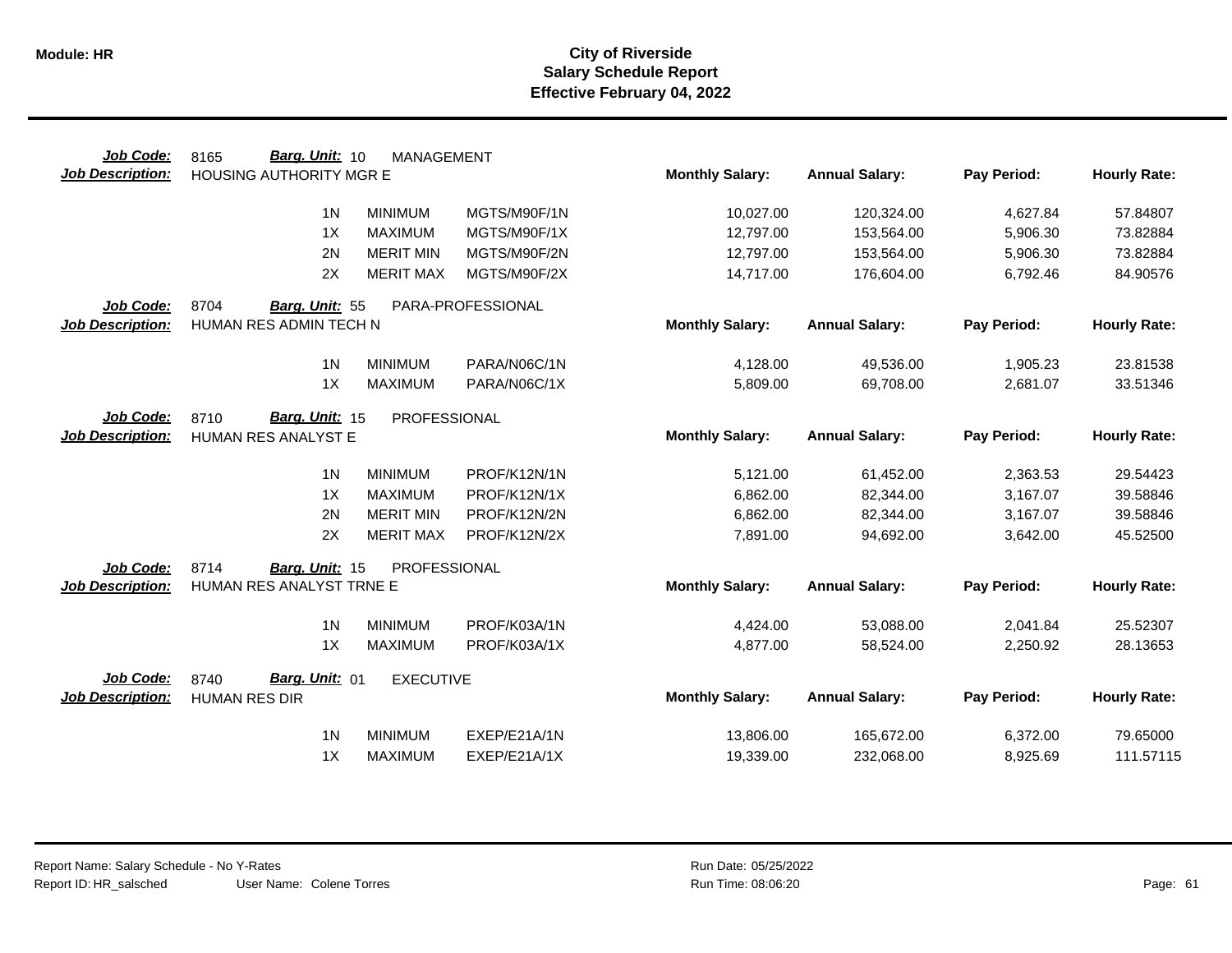| Job Code:               | Barg. Unit: 10<br>8165   | <b>MANAGEMENT</b> |                   |                        |                       |             |                     |
|-------------------------|--------------------------|-------------------|-------------------|------------------------|-----------------------|-------------|---------------------|
| Job Description:        | HOUSING AUTHORITY MGR E  |                   |                   | <b>Monthly Salary:</b> | <b>Annual Salary:</b> | Pay Period: | <b>Hourly Rate:</b> |
|                         | 1 <sub>N</sub>           | <b>MINIMUM</b>    | MGTS/M90F/1N      | 10,027.00              | 120,324.00            | 4,627.84    | 57.84807            |
|                         | 1X                       | <b>MAXIMUM</b>    | MGTS/M90F/1X      | 12,797.00              | 153,564.00            | 5,906.30    | 73.82884            |
|                         | 2N                       | <b>MERIT MIN</b>  | MGTS/M90F/2N      | 12,797.00              | 153,564.00            | 5,906.30    | 73.82884            |
|                         | 2X                       | <b>MERIT MAX</b>  | MGTS/M90F/2X      | 14,717.00              | 176,604.00            | 6,792.46    | 84.90576            |
| Job Code:               | 8704<br>Barg. Unit: 55   |                   | PARA-PROFESSIONAL |                        |                       |             |                     |
| <b>Job Description:</b> | HUMAN RES ADMIN TECH N   |                   |                   | <b>Monthly Salary:</b> | <b>Annual Salary:</b> | Pay Period: | <b>Hourly Rate:</b> |
|                         | 1 <sub>N</sub>           | <b>MINIMUM</b>    | PARA/N06C/1N      | 4,128.00               | 49,536.00             | 1,905.23    | 23.81538            |
|                         | 1X                       | <b>MAXIMUM</b>    | PARA/N06C/1X      | 5,809.00               | 69,708.00             | 2,681.07    | 33.51346            |
| Job Code:               | Barg. Unit: 15<br>8710   | PROFESSIONAL      |                   |                        |                       |             |                     |
| <b>Job Description:</b> | HUMAN RES ANALYST E      |                   |                   | <b>Monthly Salary:</b> | <b>Annual Salary:</b> | Pay Period: | <b>Hourly Rate:</b> |
|                         | 1 <sub>N</sub>           | <b>MINIMUM</b>    | PROF/K12N/1N      | 5,121.00               | 61,452.00             | 2,363.53    | 29.54423            |
|                         | 1X                       | <b>MAXIMUM</b>    | PROF/K12N/1X      | 6,862.00               | 82,344.00             | 3,167.07    | 39.58846            |
|                         | 2N                       | <b>MERIT MIN</b>  | PROF/K12N/2N      | 6,862.00               | 82,344.00             | 3,167.07    | 39.58846            |
|                         | 2X                       | <b>MERIT MAX</b>  | PROF/K12N/2X      | 7,891.00               | 94,692.00             | 3,642.00    | 45.52500            |
| Job Code:               | 8714<br>Barg. Unit: 15   | PROFESSIONAL      |                   |                        |                       |             |                     |
| <b>Job Description:</b> | HUMAN RES ANALYST TRNE E |                   |                   | <b>Monthly Salary:</b> | <b>Annual Salary:</b> | Pay Period: | <b>Hourly Rate:</b> |
|                         | 1 <sub>N</sub>           | <b>MINIMUM</b>    | PROF/K03A/1N      | 4,424.00               | 53,088.00             | 2,041.84    | 25.52307            |
|                         | 1X                       | <b>MAXIMUM</b>    | PROF/K03A/1X      | 4,877.00               | 58,524.00             | 2,250.92    | 28.13653            |
| Job Code:               | Barg. Unit: 01<br>8740   | <b>EXECUTIVE</b>  |                   |                        |                       |             |                     |
| <b>Job Description:</b> | <b>HUMAN RES DIR</b>     |                   |                   | <b>Monthly Salary:</b> | <b>Annual Salary:</b> | Pay Period: | <b>Hourly Rate:</b> |
|                         | 1 <sub>N</sub>           | <b>MINIMUM</b>    | EXEP/E21A/1N      | 13,806.00              | 165,672.00            | 6,372.00    | 79.65000            |
|                         | 1X                       | <b>MAXIMUM</b>    | EXEP/E21A/1X      | 19,339.00              | 232,068.00            | 8,925.69    | 111.57115           |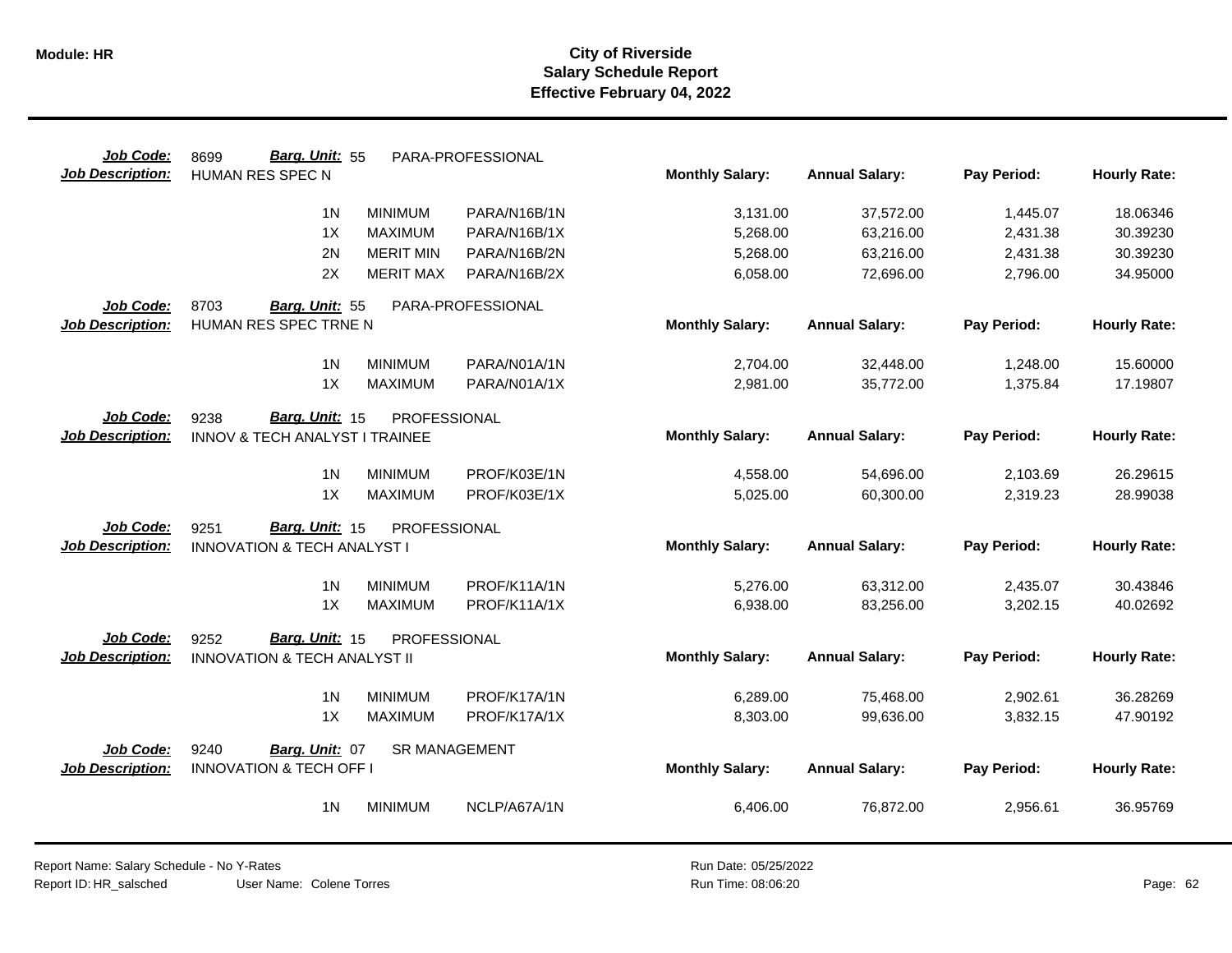| Job Code:               | Barg. Unit: 55<br>8699                  |                  | PARA-PROFESSIONAL    |                        |                       |             |                     |
|-------------------------|-----------------------------------------|------------------|----------------------|------------------------|-----------------------|-------------|---------------------|
| <b>Job Description:</b> | HUMAN RES SPEC N                        |                  |                      | <b>Monthly Salary:</b> | <b>Annual Salary:</b> | Pay Period: | <b>Hourly Rate:</b> |
|                         | 1 <sub>N</sub>                          | <b>MINIMUM</b>   | PARA/N16B/1N         | 3,131.00               | 37,572.00             | 1,445.07    | 18.06346            |
|                         | 1X                                      | <b>MAXIMUM</b>   | PARA/N16B/1X         | 5,268.00               | 63,216.00             | 2,431.38    | 30.39230            |
|                         | 2N                                      | <b>MERIT MIN</b> | PARA/N16B/2N         | 5,268.00               | 63,216.00             | 2,431.38    | 30.39230            |
|                         | 2X                                      | <b>MERIT MAX</b> | PARA/N16B/2X         | 6,058.00               | 72,696.00             | 2,796.00    | 34.95000            |
| Job Code:               | 8703<br>Barg. Unit: 55                  |                  | PARA-PROFESSIONAL    |                        |                       |             |                     |
| <b>Job Description:</b> | HUMAN RES SPEC TRNE N                   |                  |                      | <b>Monthly Salary:</b> | <b>Annual Salary:</b> | Pay Period: | <b>Hourly Rate:</b> |
|                         | 1 <sub>N</sub>                          | <b>MINIMUM</b>   | PARA/N01A/1N         | 2,704.00               | 32,448.00             | 1,248.00    | 15.60000            |
|                         | 1X                                      | <b>MAXIMUM</b>   | PARA/N01A/1X         | 2,981.00               | 35,772.00             | 1,375.84    | 17.19807            |
| Job Code:               | Barg. Unit: 15<br>9238                  | PROFESSIONAL     |                      |                        |                       |             |                     |
| <b>Job Description:</b> | INNOV & TECH ANALYST I TRAINEE          |                  |                      | <b>Monthly Salary:</b> | <b>Annual Salary:</b> | Pay Period: | <b>Hourly Rate:</b> |
|                         | 1 <sub>N</sub>                          | <b>MINIMUM</b>   | PROF/K03E/1N         | 4,558.00               | 54,696.00             | 2,103.69    | 26.29615            |
|                         | 1X                                      | <b>MAXIMUM</b>   | PROF/K03E/1X         | 5,025.00               | 60,300.00             | 2,319.23    | 28.99038            |
| <b>Job Code:</b>        | Barg. Unit: 15<br>9251                  | PROFESSIONAL     |                      |                        |                       |             |                     |
| <b>Job Description:</b> | <b>INNOVATION &amp; TECH ANALYST I</b>  |                  |                      | <b>Monthly Salary:</b> | <b>Annual Salary:</b> | Pay Period: | <b>Hourly Rate:</b> |
|                         | 1 <sub>N</sub>                          | <b>MINIMUM</b>   | PROF/K11A/1N         | 5,276.00               | 63,312.00             | 2,435.07    | 30.43846            |
|                         | 1X                                      | <b>MAXIMUM</b>   | PROF/K11A/1X         | 6,938.00               | 83,256.00             | 3,202.15    | 40.02692            |
| Job Code:               | Barg. Unit: 15<br>9252                  | PROFESSIONAL     |                      |                        |                       |             |                     |
| <b>Job Description:</b> | <b>INNOVATION &amp; TECH ANALYST II</b> |                  |                      | <b>Monthly Salary:</b> | <b>Annual Salary:</b> | Pay Period: | <b>Hourly Rate:</b> |
|                         | 1 <sub>N</sub>                          | <b>MINIMUM</b>   | PROF/K17A/1N         | 6,289.00               | 75,468.00             | 2,902.61    | 36.28269            |
|                         | 1X                                      | <b>MAXIMUM</b>   | PROF/K17A/1X         | 8,303.00               | 99,636.00             | 3,832.15    | 47.90192            |
| Job Code:               | 9240<br>Barg. Unit: 07                  |                  | <b>SR MANAGEMENT</b> |                        |                       |             |                     |
| Job Description:        | <b>INNOVATION &amp; TECH OFF I</b>      |                  |                      | <b>Monthly Salary:</b> | <b>Annual Salary:</b> | Pay Period: | <b>Hourly Rate:</b> |
|                         | 1 <sub>N</sub>                          | <b>MINIMUM</b>   | NCLP/A67A/1N         | 6,406.00               | 76,872.00             | 2,956.61    | 36.95769            |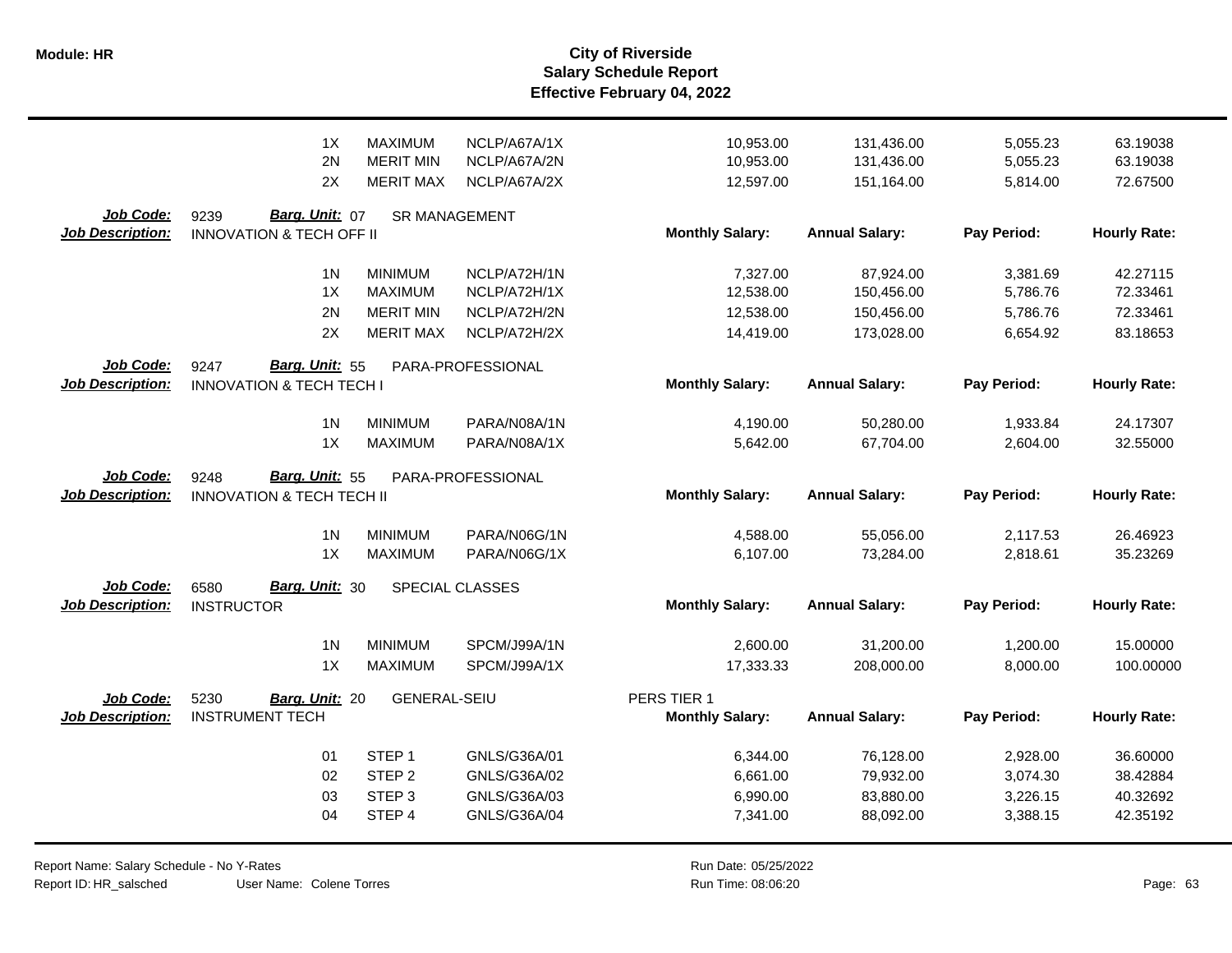|                         | 1X                                   | <b>MAXIMUM</b>                   | NCLP/A67A/1X                 | 10,953.00              | 131,436.00            | 5,055.23    | 63.19038             |
|-------------------------|--------------------------------------|----------------------------------|------------------------------|------------------------|-----------------------|-------------|----------------------|
|                         | 2N                                   | <b>MERIT MIN</b>                 | NCLP/A67A/2N                 | 10,953.00              | 131,436.00            | 5,055.23    | 63.19038             |
|                         | 2X                                   | <b>MERIT MAX</b>                 | NCLP/A67A/2X                 | 12,597.00              | 151,164.00            | 5,814.00    | 72.67500             |
|                         |                                      |                                  |                              |                        |                       |             |                      |
| Job Code:               | Barg. Unit: 07<br>9239               | <b>SR MANAGEMENT</b>             |                              |                        |                       |             |                      |
| <b>Job Description:</b> | <b>INNOVATION &amp; TECH OFF II</b>  |                                  |                              | <b>Monthly Salary:</b> | <b>Annual Salary:</b> | Pay Period: | <b>Hourly Rate:</b>  |
|                         |                                      |                                  |                              |                        |                       |             |                      |
|                         | 1 <sub>N</sub><br>1X                 | <b>MINIMUM</b><br><b>MAXIMUM</b> | NCLP/A72H/1N<br>NCLP/A72H/1X | 7,327.00<br>12,538.00  | 87,924.00             | 3,381.69    | 42.27115<br>72.33461 |
|                         |                                      |                                  |                              |                        | 150,456.00            | 5,786.76    |                      |
|                         | 2N                                   | <b>MERIT MIN</b>                 | NCLP/A72H/2N                 | 12,538.00              | 150,456.00            | 5,786.76    | 72.33461             |
|                         | 2X                                   | <b>MERIT MAX</b>                 | NCLP/A72H/2X                 | 14,419.00              | 173,028.00            | 6,654.92    | 83.18653             |
| Job Code:               | Barg. Unit: 55<br>9247               |                                  | PARA-PROFESSIONAL            |                        |                       |             |                      |
| Job Description:        | <b>INNOVATION &amp; TECH TECH I</b>  |                                  |                              | <b>Monthly Salary:</b> | <b>Annual Salary:</b> | Pay Period: | <b>Hourly Rate:</b>  |
|                         |                                      |                                  |                              |                        |                       |             |                      |
|                         | 1 <sub>N</sub>                       | <b>MINIMUM</b>                   | PARA/N08A/1N                 | 4,190.00               | 50,280.00             | 1,933.84    | 24.17307             |
|                         | 1X                                   | <b>MAXIMUM</b>                   | PARA/N08A/1X                 | 5,642.00               | 67,704.00             | 2,604.00    | 32.55000             |
|                         |                                      |                                  |                              |                        |                       |             |                      |
| <b>Job Code:</b>        | <b>Barg. Unit: 55</b><br>9248        |                                  | PARA-PROFESSIONAL            |                        |                       |             |                      |
|                         |                                      |                                  |                              |                        |                       |             |                      |
| <b>Job Description:</b> | <b>INNOVATION &amp; TECH TECH II</b> |                                  |                              | <b>Monthly Salary:</b> | <b>Annual Salary:</b> | Pay Period: | <b>Hourly Rate:</b>  |
|                         |                                      |                                  |                              |                        |                       |             |                      |
|                         | 1 <sub>N</sub>                       | <b>MINIMUM</b>                   | PARA/N06G/1N                 | 4,588.00               | 55,056.00             | 2,117.53    | 26.46923             |
|                         | 1X                                   | <b>MAXIMUM</b>                   | PARA/N06G/1X                 | 6,107.00               | 73,284.00             | 2,818.61    | 35.23269             |
| <b>Job Code:</b>        | Barg. Unit: 30<br>6580               |                                  | SPECIAL CLASSES              |                        |                       |             |                      |
| <b>Job Description:</b> | <b>INSTRUCTOR</b>                    |                                  |                              | <b>Monthly Salary:</b> | <b>Annual Salary:</b> | Pay Period: | <b>Hourly Rate:</b>  |
|                         |                                      |                                  |                              |                        |                       |             |                      |
|                         | 1 <sub>N</sub>                       | <b>MINIMUM</b>                   | SPCM/J99A/1N                 | 2,600.00               | 31,200.00             | 1,200.00    | 15.00000             |
|                         | 1X                                   | <b>MAXIMUM</b>                   | SPCM/J99A/1X                 | 17,333.33              | 208,000.00            | 8,000.00    | 100.00000            |
|                         |                                      |                                  |                              |                        |                       |             |                      |
| Job Code:               | 5230<br>Barg. Unit: 20               | <b>GENERAL-SEIU</b>              |                              | PERS TIER 1            |                       |             |                      |
| <b>Job Description:</b> | <b>INSTRUMENT TECH</b>               |                                  |                              | <b>Monthly Salary:</b> | <b>Annual Salary:</b> | Pay Period: | <b>Hourly Rate:</b>  |
|                         |                                      |                                  |                              |                        |                       |             |                      |
|                         | 01                                   | STEP <sub>1</sub>                | GNLS/G36A/01                 | 6,344.00               | 76,128.00             | 2,928.00    | 36.60000             |
|                         | 02                                   | STEP <sub>2</sub>                | GNLS/G36A/02                 | 6,661.00               | 79,932.00             | 3,074.30    | 38.42884             |
|                         | 03                                   | STEP <sub>3</sub>                | GNLS/G36A/03                 | 6,990.00               | 83,880.00             | 3,226.15    | 40.32692             |
|                         | 04                                   | STEP 4                           | GNLS/G36A/04                 | 7,341.00               | 88,092.00             | 3,388.15    | 42.35192             |

Report Name: Salary Schedule - No Y-Rates Report ID: HR\_salsched

User Name: Colene Torres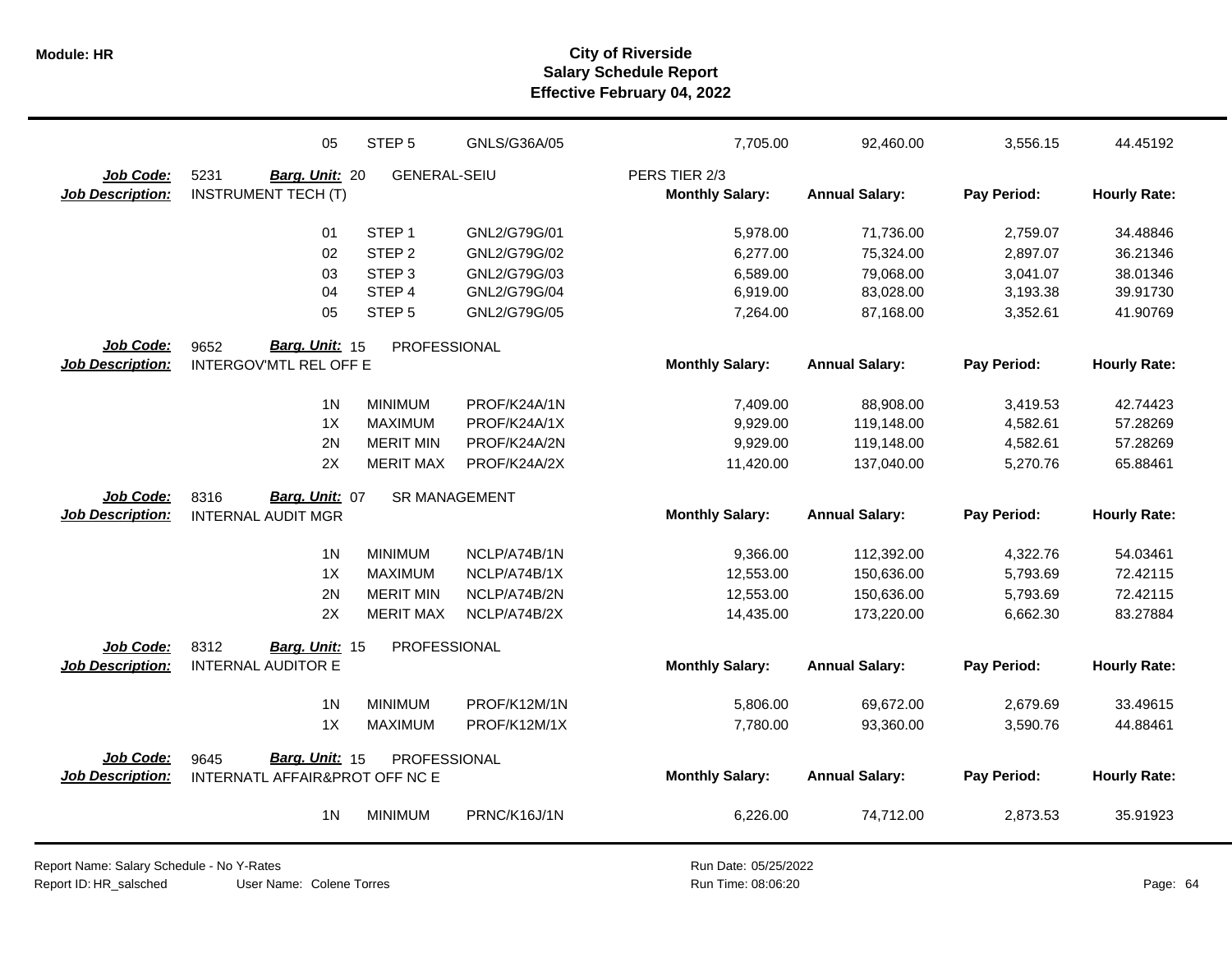|                         | 05                             | STEP <sub>5</sub>    | GNLS/G36A/05 | 7,705.00               | 92,460.00             | 3,556.15    | 44.45192            |
|-------------------------|--------------------------------|----------------------|--------------|------------------------|-----------------------|-------------|---------------------|
| Job Code:               | 5231<br>Barg. Unit: 20         | <b>GENERAL-SEIU</b>  |              | PERS TIER 2/3          |                       |             |                     |
| <b>Job Description:</b> | <b>INSTRUMENT TECH (T)</b>     |                      |              | <b>Monthly Salary:</b> | <b>Annual Salary:</b> | Pay Period: | <b>Hourly Rate:</b> |
|                         | 01                             | STEP <sub>1</sub>    | GNL2/G79G/01 | 5,978.00               | 71,736.00             | 2,759.07    | 34.48846            |
|                         | 02                             | STEP <sub>2</sub>    | GNL2/G79G/02 | 6,277.00               | 75,324.00             | 2,897.07    | 36.21346            |
|                         | 03                             | STEP <sub>3</sub>    | GNL2/G79G/03 | 6,589.00               | 79,068.00             | 3,041.07    | 38.01346            |
|                         | 04                             | STEP 4               | GNL2/G79G/04 | 6,919.00               | 83,028.00             | 3,193.38    | 39.91730            |
|                         | 05                             | STEP <sub>5</sub>    | GNL2/G79G/05 | 7,264.00               | 87,168.00             | 3,352.61    | 41.90769            |
| Job Code:               | Barg. Unit: 15<br>9652         | <b>PROFESSIONAL</b>  |              |                        |                       |             |                     |
| <b>Job Description:</b> | <b>INTERGOV'MTL REL OFF E</b>  |                      |              | <b>Monthly Salary:</b> | <b>Annual Salary:</b> | Pay Period: | <b>Hourly Rate:</b> |
|                         | 1 <sup>N</sup>                 | <b>MINIMUM</b>       | PROF/K24A/1N | 7,409.00               | 88,908.00             | 3,419.53    | 42.74423            |
|                         | 1X                             | <b>MAXIMUM</b>       | PROF/K24A/1X | 9,929.00               | 119,148.00            | 4,582.61    | 57.28269            |
|                         | 2N                             | <b>MERIT MIN</b>     | PROF/K24A/2N | 9,929.00               | 119,148.00            | 4,582.61    | 57.28269            |
|                         | 2X                             | <b>MERIT MAX</b>     | PROF/K24A/2X | 11,420.00              | 137,040.00            | 5,270.76    | 65.88461            |
| Job Code:               | Barg. Unit: 07<br>8316         | <b>SR MANAGEMENT</b> |              |                        |                       |             |                     |
| <b>Job Description:</b> | <b>INTERNAL AUDIT MGR</b>      |                      |              | <b>Monthly Salary:</b> | <b>Annual Salary:</b> | Pay Period: | <b>Hourly Rate:</b> |
|                         | 1 <sub>N</sub>                 | <b>MINIMUM</b>       | NCLP/A74B/1N | 9,366.00               | 112,392.00            | 4,322.76    | 54.03461            |
|                         | 1X                             | <b>MAXIMUM</b>       | NCLP/A74B/1X | 12,553.00              | 150,636.00            | 5,793.69    | 72.42115            |
|                         | 2N                             | <b>MERIT MIN</b>     | NCLP/A74B/2N | 12,553.00              | 150,636.00            | 5,793.69    | 72.42115            |
|                         | 2X                             | <b>MERIT MAX</b>     | NCLP/A74B/2X | 14,435.00              | 173,220.00            | 6,662.30    | 83.27884            |
| Job Code:               | 8312<br>Barg. Unit: 15         | PROFESSIONAL         |              |                        |                       |             |                     |
| <b>Job Description:</b> | <b>INTERNAL AUDITOR E</b>      |                      |              | <b>Monthly Salary:</b> | <b>Annual Salary:</b> | Pay Period: | <b>Hourly Rate:</b> |
|                         | 1 <sub>N</sub>                 | <b>MINIMUM</b>       | PROF/K12M/1N | 5,806.00               | 69,672.00             | 2,679.69    | 33.49615            |
|                         | 1X                             | <b>MAXIMUM</b>       | PROF/K12M/1X | 7,780.00               | 93,360.00             | 3,590.76    | 44.88461            |
| Job Code:               | Barg. Unit: 15<br>9645         | PROFESSIONAL         |              |                        |                       |             |                     |
| <b>Job Description:</b> | INTERNATL AFFAIR&PROT OFF NC E |                      |              | <b>Monthly Salary:</b> | <b>Annual Salary:</b> | Pay Period: | <b>Hourly Rate:</b> |
|                         | 1 <sub>N</sub>                 | <b>MINIMUM</b>       | PRNC/K16J/1N | 6,226.00               | 74,712.00             | 2,873.53    | 35.91923            |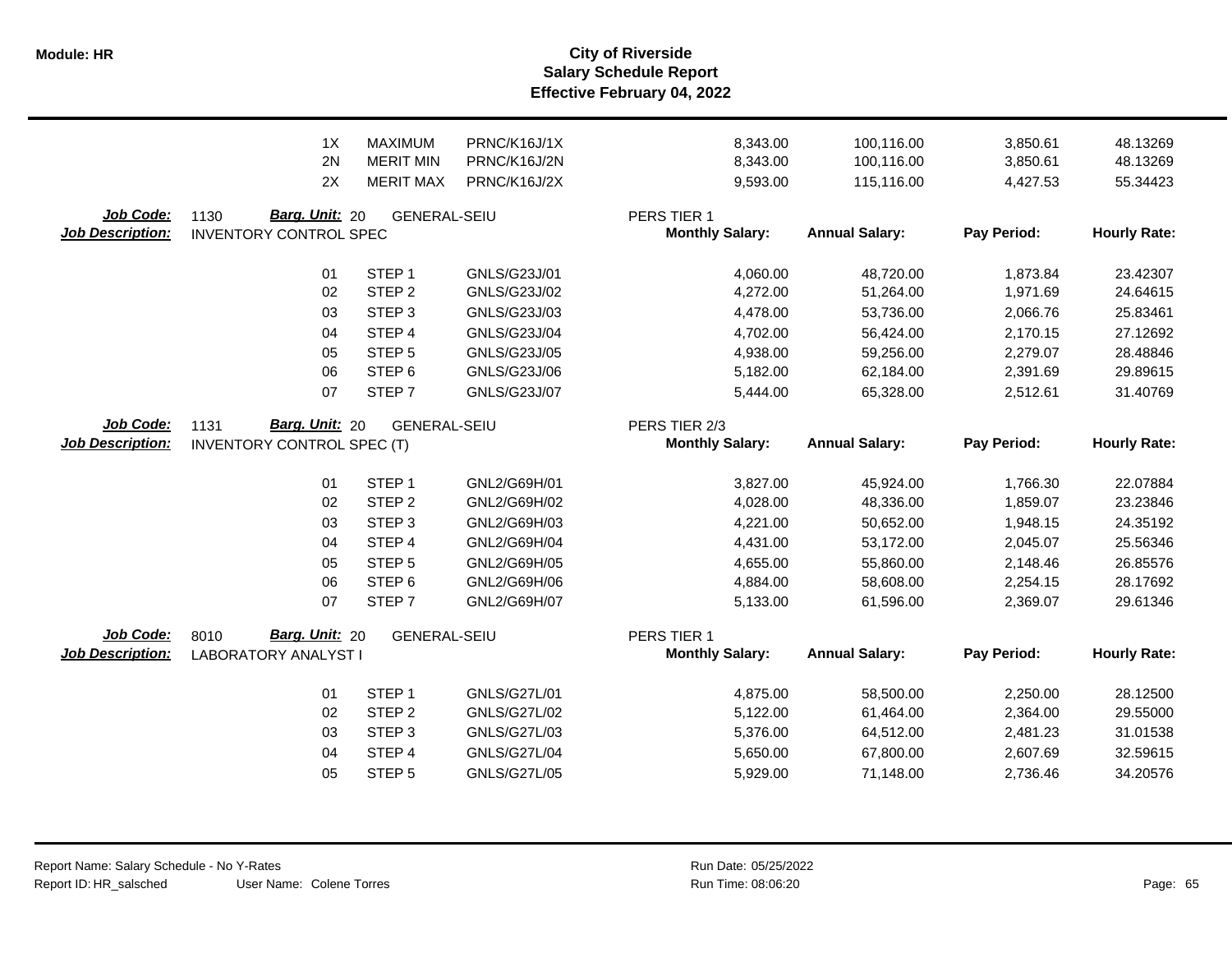**Salary Schedule Report Effective February 04, 2022 Module: HR City of Riverside**

|                                      | 1X<br>2N<br>2X                                          | <b>MAXIMUM</b><br><b>MERIT MIN</b><br><b>MERIT MAX</b> | PRNC/K16J/1X<br>PRNC/K16J/2N<br>PRNC/K16J/2X | 8,343.00<br>8,343.00<br>9,593.00      | 100,116.00<br>100,116.00<br>115,116.00 | 3,850.61<br>3,850.61<br>4,427.53 | 48.13269<br>48.13269<br>55.34423 |
|--------------------------------------|---------------------------------------------------------|--------------------------------------------------------|----------------------------------------------|---------------------------------------|----------------------------------------|----------------------------------|----------------------------------|
| Job Code:<br><b>Job Description:</b> | Barg. Unit: 20<br>1130<br><b>INVENTORY CONTROL SPEC</b> | GENERAL-SEIU                                           |                                              | PERS TIER 1<br><b>Monthly Salary:</b> | <b>Annual Salary:</b>                  | Pay Period:                      | <b>Hourly Rate:</b>              |
|                                      | 01                                                      | STEP <sub>1</sub>                                      | GNLS/G23J/01                                 | 4,060.00                              | 48,720.00                              | 1,873.84                         | 23.42307                         |
|                                      | 02                                                      | STEP <sub>2</sub>                                      | GNLS/G23J/02                                 | 4,272.00                              | 51,264.00                              | 1,971.69                         | 24.64615                         |
|                                      | 03                                                      | STEP <sub>3</sub>                                      | GNLS/G23J/03                                 | 4,478.00                              | 53,736.00                              | 2,066.76                         | 25.83461                         |
|                                      | 04                                                      | STEP 4<br>STEP <sub>5</sub>                            | GNLS/G23J/04                                 | 4,702.00                              | 56,424.00                              | 2,170.15                         | 27.12692                         |
|                                      | 05<br>06                                                | STEP <sub>6</sub>                                      | GNLS/G23J/05<br>GNLS/G23J/06                 | 4,938.00<br>5,182.00                  | 59,256.00<br>62,184.00                 | 2,279.07<br>2,391.69             | 28.48846<br>29.89615             |
|                                      | 07                                                      | STEP <sub>7</sub>                                      | GNLS/G23J/07                                 | 5,444.00                              | 65,328.00                              | 2,512.61                         | 31.40769                         |
|                                      |                                                         |                                                        |                                              |                                       |                                        |                                  |                                  |
| Job Code:                            | Barg. Unit: 20<br>1131                                  | <b>GENERAL-SEIU</b>                                    |                                              | PERS TIER 2/3                         |                                        |                                  |                                  |
| <b>Job Description:</b>              | <b>INVENTORY CONTROL SPEC (T)</b>                       |                                                        |                                              | <b>Monthly Salary:</b>                | <b>Annual Salary:</b>                  | Pay Period:                      | <b>Hourly Rate:</b>              |
|                                      |                                                         |                                                        |                                              |                                       |                                        |                                  |                                  |
|                                      | 01<br>02                                                | STEP <sub>1</sub><br>STEP <sub>2</sub>                 | GNL2/G69H/01<br>GNL2/G69H/02                 | 3,827.00<br>4,028.00                  | 45,924.00<br>48,336.00                 | 1,766.30<br>1,859.07             | 22.07884<br>23.23846             |
|                                      | 03                                                      | STEP <sub>3</sub>                                      | GNL2/G69H/03                                 | 4,221.00                              | 50,652.00                              | 1,948.15                         | 24.35192                         |
|                                      | 04                                                      | STEP 4                                                 | GNL2/G69H/04                                 | 4,431.00                              | 53,172.00                              | 2,045.07                         | 25.56346                         |
|                                      | 05                                                      | STEP <sub>5</sub>                                      | GNL2/G69H/05                                 | 4,655.00                              | 55,860.00                              | 2,148.46                         | 26.85576                         |
|                                      | 06                                                      | STEP <sub>6</sub>                                      | GNL2/G69H/06                                 | 4,884.00                              | 58,608.00                              | 2,254.15                         | 28.17692                         |
|                                      | 07                                                      | STEP <sub>7</sub>                                      | GNL2/G69H/07                                 | 5,133.00                              | 61,596.00                              | 2,369.07                         | 29.61346                         |
|                                      |                                                         |                                                        |                                              |                                       |                                        |                                  |                                  |
| Job Code:<br><b>Job Description:</b> | Barg. Unit: 20<br>8010<br><b>LABORATORY ANALYST I</b>   | <b>GENERAL-SEIU</b>                                    |                                              | PERS TIER 1<br><b>Monthly Salary:</b> | <b>Annual Salary:</b>                  | Pay Period:                      | <b>Hourly Rate:</b>              |
|                                      | 01                                                      | STEP <sub>1</sub>                                      | GNLS/G27L/01                                 | 4,875.00                              | 58,500.00                              | 2,250.00                         | 28.12500                         |
|                                      | 02                                                      | STEP <sub>2</sub>                                      | <b>GNLS/G27L/02</b>                          | 5,122.00                              | 61,464.00                              | 2,364.00                         | 29.55000                         |
|                                      | 03                                                      | STEP <sub>3</sub>                                      | <b>GNLS/G27L/03</b>                          | 5,376.00                              | 64,512.00                              | 2,481.23                         | 31.01538                         |
|                                      | 04                                                      | STEP 4                                                 | GNLS/G27L/04                                 | 5,650.00                              | 67,800.00                              | 2,607.69                         | 32.59615                         |
|                                      | 05                                                      | STEP <sub>5</sub>                                      | <b>GNLS/G27L/05</b>                          | 5,929.00                              | 71,148.00                              | 2,736.46                         | 34.20576                         |
|                                      |                                                         |                                                        |                                              |                                       |                                        |                                  |                                  |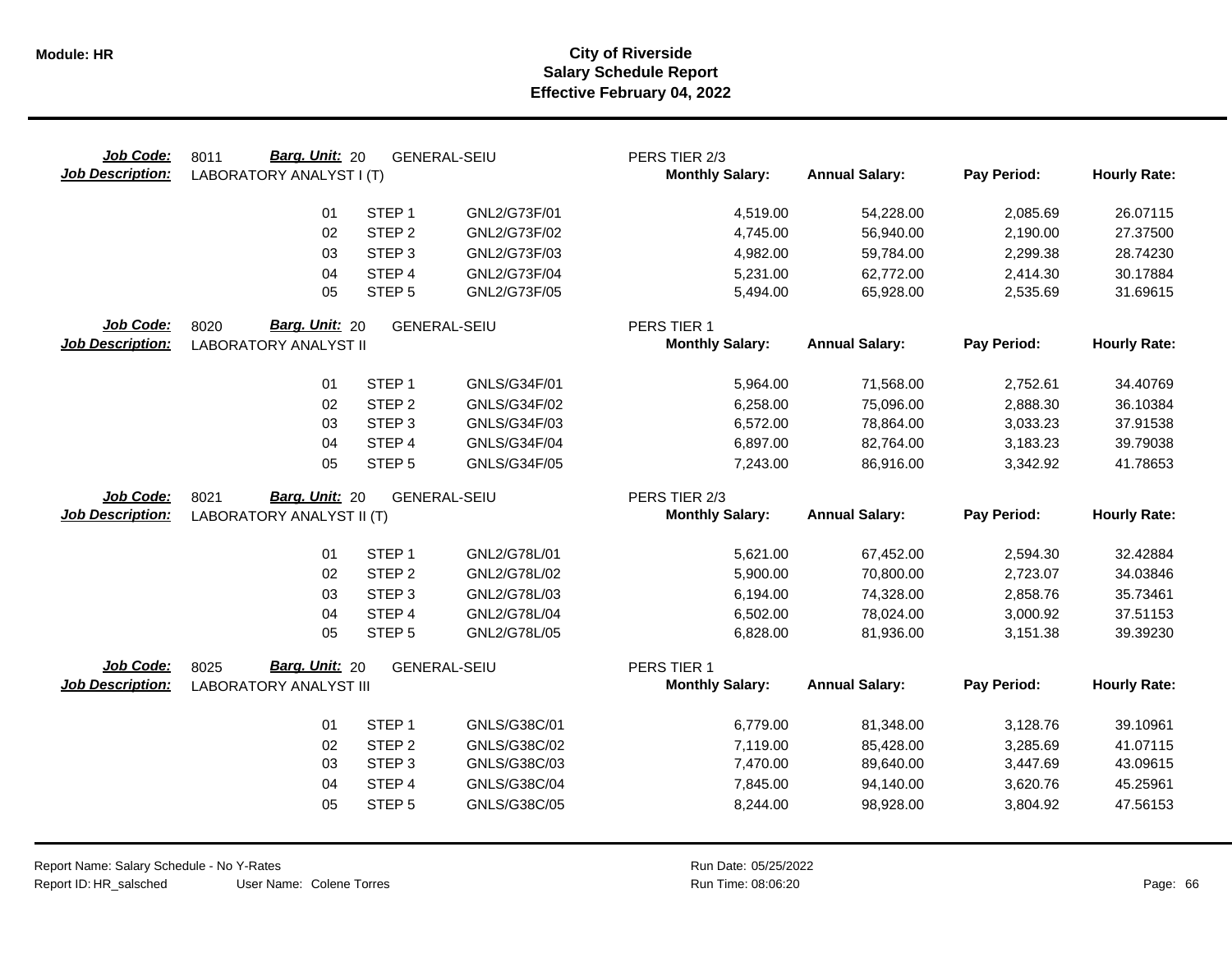| Job Code:<br><b>Job Description:</b> | <b>Barg. Unit: 20</b><br>8011<br>LABORATORY ANALYST I (T) |                   | <b>GENERAL-SEIU</b> | PERS TIER 2/3<br><b>Monthly Salary:</b> | <b>Annual Salary:</b> | Pay Period: | <b>Hourly Rate:</b> |
|--------------------------------------|-----------------------------------------------------------|-------------------|---------------------|-----------------------------------------|-----------------------|-------------|---------------------|
|                                      | 01                                                        | STEP <sub>1</sub> | GNL2/G73F/01        | 4,519.00                                | 54,228.00             | 2,085.69    | 26.07115            |
|                                      | 02                                                        | STEP <sub>2</sub> | GNL2/G73F/02        | 4,745.00                                | 56,940.00             | 2,190.00    | 27.37500            |
|                                      | 03                                                        | STEP <sub>3</sub> | GNL2/G73F/03        | 4,982.00                                | 59,784.00             | 2,299.38    | 28.74230            |
|                                      | 04                                                        | STEP 4            | GNL2/G73F/04        | 5,231.00                                | 62,772.00             | 2,414.30    | 30.17884            |
|                                      | 05                                                        | STEP <sub>5</sub> | GNL2/G73F/05        | 5,494.00                                | 65,928.00             | 2,535.69    | 31.69615            |
| Job Code:<br><b>Job Description:</b> | Barg. Unit: 20<br>8020<br><b>LABORATORY ANALYST II</b>    |                   | <b>GENERAL-SEIU</b> | PERS TIER 1<br><b>Monthly Salary:</b>   | <b>Annual Salary:</b> | Pay Period: | <b>Hourly Rate:</b> |
|                                      | 01                                                        | STEP <sub>1</sub> | GNLS/G34F/01        | 5,964.00                                | 71,568.00             | 2,752.61    | 34.40769            |
|                                      | 02                                                        | STEP <sub>2</sub> | GNLS/G34F/02        | 6,258.00                                | 75,096.00             | 2,888.30    | 36.10384            |
|                                      | 03                                                        | STEP <sub>3</sub> | GNLS/G34F/03        | 6,572.00                                | 78,864.00             | 3,033.23    | 37.91538            |
|                                      | 04                                                        | STEP 4            | <b>GNLS/G34F/04</b> | 6,897.00                                | 82,764.00             | 3,183.23    | 39.79038            |
|                                      | 05                                                        | STEP <sub>5</sub> | GNLS/G34F/05        | 7,243.00                                | 86,916.00             | 3,342.92    | 41.78653            |
| Job Code:                            | Barg. Unit: 20<br>8021                                    |                   | <b>GENERAL-SEIU</b> | PERS TIER 2/3                           |                       |             |                     |
| <b>Job Description:</b>              | LABORATORY ANALYST II (T)                                 |                   |                     | <b>Monthly Salary:</b>                  | <b>Annual Salary:</b> | Pay Period: | <b>Hourly Rate:</b> |
|                                      | 01                                                        | STEP <sub>1</sub> | GNL2/G78L/01        | 5,621.00                                | 67,452.00             | 2,594.30    | 32.42884            |
|                                      | 02                                                        | STEP <sub>2</sub> | GNL2/G78L/02        | 5,900.00                                | 70,800.00             | 2,723.07    | 34.03846            |
|                                      | 03                                                        | STEP <sub>3</sub> | GNL2/G78L/03        | 6,194.00                                | 74,328.00             | 2,858.76    | 35.73461            |
|                                      | 04                                                        | STEP <sub>4</sub> | GNL2/G78L/04        | 6,502.00                                | 78,024.00             | 3,000.92    | 37.51153            |
|                                      | 05                                                        | STEP <sub>5</sub> | GNL2/G78L/05        | 6,828.00                                | 81,936.00             | 3,151.38    | 39.39230            |
| Job Code:                            | Barg. Unit: 20<br>8025                                    |                   | <b>GENERAL-SEIU</b> | PERS TIER 1                             |                       |             |                     |
| <b>Job Description:</b>              | <b>LABORATORY ANALYST III</b>                             |                   |                     | <b>Monthly Salary:</b>                  | <b>Annual Salary:</b> | Pay Period: | <b>Hourly Rate:</b> |
|                                      | 01                                                        | STEP <sub>1</sub> | GNLS/G38C/01        | 6,779.00                                | 81,348.00             | 3,128.76    | 39.10961            |
|                                      | 02                                                        | STEP <sub>2</sub> | GNLS/G38C/02        | 7,119.00                                | 85,428.00             | 3,285.69    | 41.07115            |
|                                      | 03                                                        | STEP <sub>3</sub> | GNLS/G38C/03        | 7,470.00                                | 89,640.00             | 3,447.69    | 43.09615            |
|                                      | 04                                                        | STEP 4            | GNLS/G38C/04        | 7,845.00                                | 94,140.00             | 3,620.76    | 45.25961            |
|                                      | 05                                                        | STEP <sub>5</sub> | GNLS/G38C/05        | 8,244.00                                | 98,928.00             | 3,804.92    | 47.56153            |
|                                      |                                                           |                   |                     |                                         |                       |             |                     |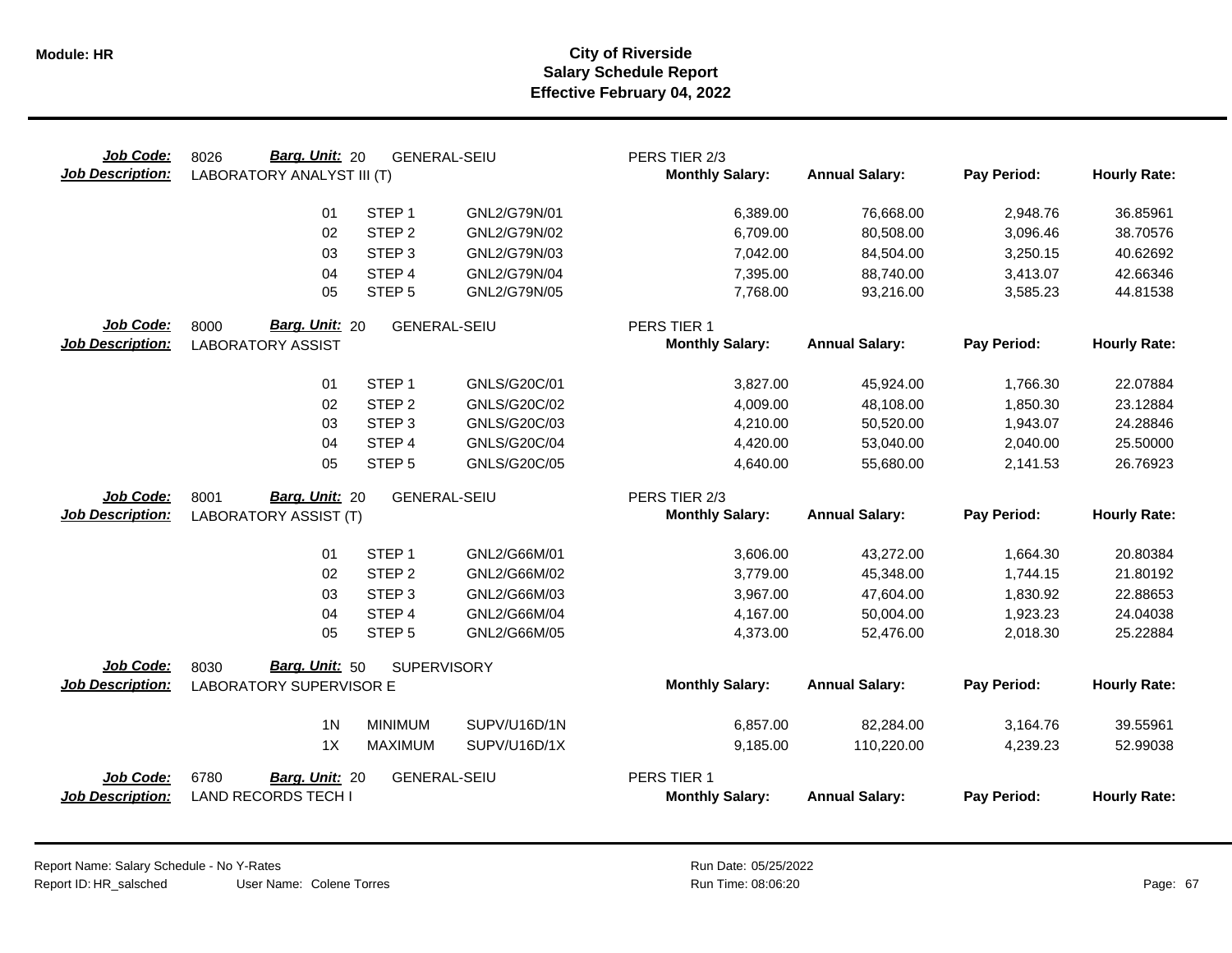| Job Code:<br><b>Job Description:</b> | <b>Barg. Unit: 20</b><br>8026<br>LABORATORY ANALYST III (T) | <b>GENERAL-SEIU</b>              |                              | PERS TIER 2/3<br><b>Monthly Salary:</b> | <b>Annual Salary:</b>   | Pay Period:          | <b>Hourly Rate:</b>  |
|--------------------------------------|-------------------------------------------------------------|----------------------------------|------------------------------|-----------------------------------------|-------------------------|----------------------|----------------------|
|                                      | 01                                                          | STEP <sub>1</sub>                | GNL2/G79N/01                 | 6,389.00                                | 76,668.00               | 2,948.76             | 36.85961             |
|                                      | 02                                                          | STEP <sub>2</sub>                | GNL2/G79N/02                 | 6,709.00                                | 80,508.00               | 3,096.46             | 38.70576             |
|                                      | 03                                                          | STEP <sub>3</sub>                | GNL2/G79N/03                 | 7,042.00                                | 84,504.00               | 3,250.15             | 40.62692             |
|                                      | 04                                                          | STEP 4                           | GNL2/G79N/04                 | 7,395.00                                | 88,740.00               | 3,413.07             | 42.66346             |
|                                      | 05                                                          | STEP <sub>5</sub>                | GNL2/G79N/05                 | 7,768.00                                | 93,216.00               | 3,585.23             | 44.81538             |
| Job Code:                            | Barg. Unit: 20<br>8000                                      | <b>GENERAL-SEIU</b>              |                              | PERS TIER 1                             |                         |                      |                      |
| <b>Job Description:</b>              | <b>LABORATORY ASSIST</b>                                    |                                  |                              | <b>Monthly Salary:</b>                  | <b>Annual Salary:</b>   | Pay Period:          | <b>Hourly Rate:</b>  |
|                                      | 01                                                          | STEP <sub>1</sub>                | GNLS/G20C/01                 | 3,827.00                                | 45,924.00               | 1,766.30             | 22.07884             |
|                                      | 02                                                          | STEP <sub>2</sub>                | GNLS/G20C/02                 | 4,009.00                                | 48,108.00               | 1,850.30             | 23.12884             |
|                                      | 03                                                          | STEP <sub>3</sub>                | GNLS/G20C/03                 | 4,210.00                                | 50,520.00               | 1,943.07             | 24.28846             |
|                                      | 04                                                          | STEP 4                           | GNLS/G20C/04                 | 4,420.00                                | 53,040.00               | 2,040.00             | 25.50000             |
|                                      | 05                                                          | STEP <sub>5</sub>                | GNLS/G20C/05                 | 4,640.00                                | 55,680.00               | 2,141.53             | 26.76923             |
| Job Code:                            | Barg. Unit: 20<br>8001                                      | <b>GENERAL-SEIU</b>              |                              | PERS TIER 2/3                           |                         |                      |                      |
| <b>Job Description:</b>              | <b>LABORATORY ASSIST (T)</b>                                |                                  |                              | <b>Monthly Salary:</b>                  | <b>Annual Salary:</b>   | Pay Period:          | <b>Hourly Rate:</b>  |
|                                      | 01                                                          | STEP <sub>1</sub>                | GNL2/G66M/01                 | 3,606.00                                | 43,272.00               | 1,664.30             | 20.80384             |
|                                      | 02                                                          | STEP <sub>2</sub>                | GNL2/G66M/02                 | 3,779.00                                | 45,348.00               | 1,744.15             | 21.80192             |
|                                      | 03                                                          | STEP <sub>3</sub>                | GNL2/G66M/03                 | 3,967.00                                | 47,604.00               | 1,830.92             | 22.88653             |
|                                      | 04                                                          | STEP <sub>4</sub>                | GNL2/G66M/04                 | 4,167.00                                | 50,004.00               | 1,923.23             | 24.04038             |
|                                      | 05                                                          | STEP <sub>5</sub>                | GNL2/G66M/05                 | 4,373.00                                | 52,476.00               | 2,018.30             | 25.22884             |
| Job Code:                            | Barg. Unit: 50<br>8030                                      | <b>SUPERVISORY</b>               |                              |                                         |                         |                      |                      |
|                                      |                                                             |                                  |                              |                                         |                         |                      |                      |
| <b>Job Description:</b>              | LABORATORY SUPERVISOR E                                     |                                  |                              | <b>Monthly Salary:</b>                  | <b>Annual Salary:</b>   | Pay Period:          | <b>Hourly Rate:</b>  |
|                                      |                                                             |                                  |                              |                                         |                         |                      |                      |
|                                      | 1 <sub>N</sub><br>1X                                        | <b>MINIMUM</b><br><b>MAXIMUM</b> | SUPV/U16D/1N<br>SUPV/U16D/1X | 6,857.00<br>9,185.00                    | 82,284.00<br>110,220.00 | 3,164.76<br>4,239.23 | 39.55961<br>52.99038 |
| Job Code:<br><b>Job Description:</b> | 6780<br>Barg. Unit: 20<br><b>LAND RECORDS TECH I</b>        | <b>GENERAL-SEIU</b>              |                              | PERS TIER 1<br><b>Monthly Salary:</b>   | <b>Annual Salary:</b>   | Pay Period:          | <b>Hourly Rate:</b>  |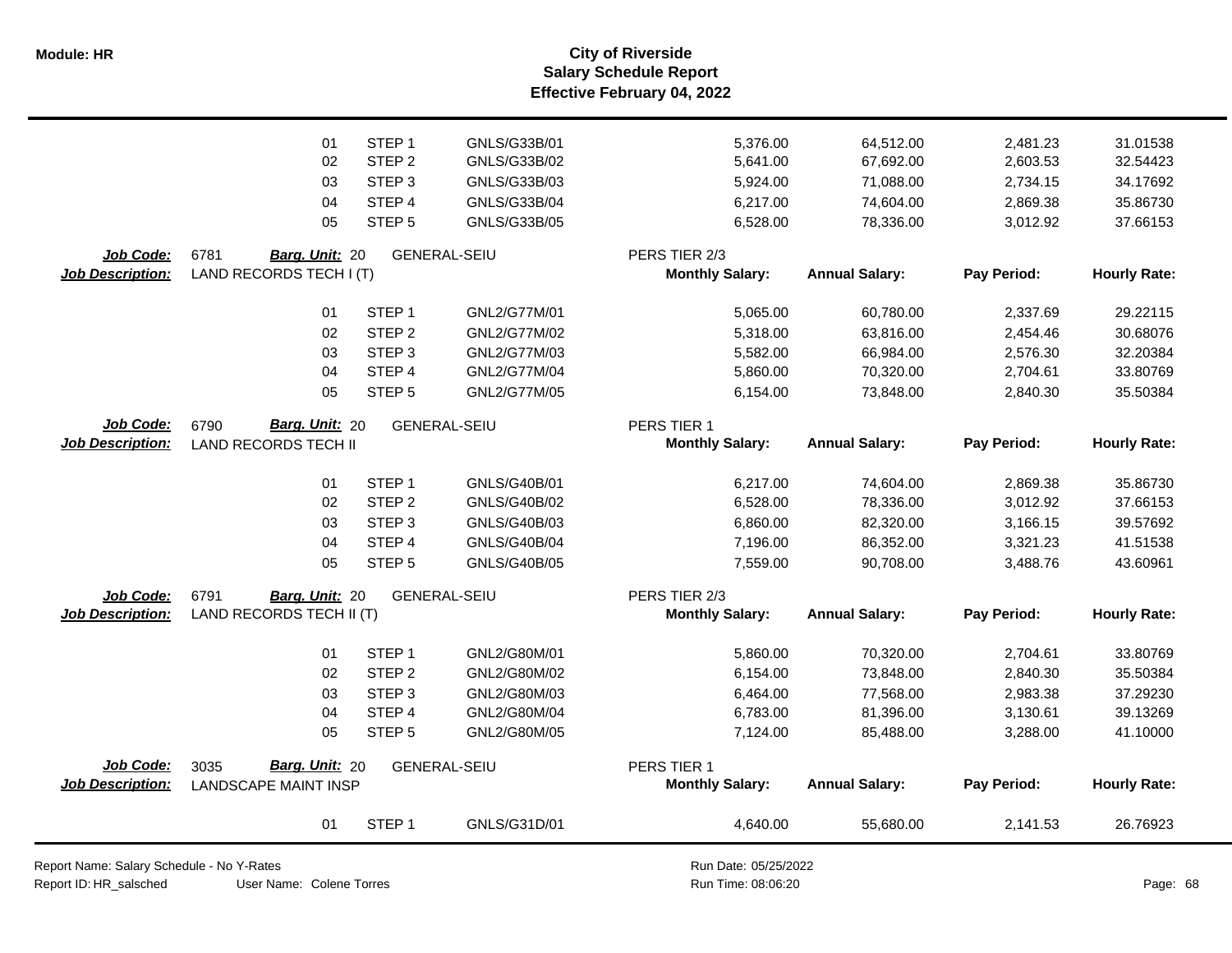**Salary Schedule Report Effective February 04, 2022 Module: HR City of Riverside**

|                         | 01<br>02                    | STEP <sub>1</sub><br>STEP <sub>2</sub> | GNLS/G33B/01<br>GNLS/G33B/02 | 5,376.00               | 64,512.00<br>67,692.00 | 2,481.23    | 31.01538            |
|-------------------------|-----------------------------|----------------------------------------|------------------------------|------------------------|------------------------|-------------|---------------------|
|                         |                             |                                        |                              |                        |                        |             |                     |
|                         |                             |                                        |                              | 5,641.00               |                        | 2,603.53    | 32.54423            |
|                         | 03                          | STEP <sub>3</sub>                      | GNLS/G33B/03                 | 5,924.00               | 71,088.00              | 2,734.15    | 34.17692            |
|                         | 04                          | STEP 4                                 | GNLS/G33B/04                 | 6,217.00               | 74,604.00              | 2,869.38    | 35.86730            |
|                         | 05                          | STEP <sub>5</sub>                      | GNLS/G33B/05                 | 6,528.00               | 78,336.00              | 3,012.92    | 37.66153            |
| Job Code:               | 6781<br>Barg. Unit: 20      |                                        | <b>GENERAL-SEIU</b>          | PERS TIER 2/3          |                        |             |                     |
| Job Description:        | LAND RECORDS TECH I (T)     |                                        |                              | <b>Monthly Salary:</b> | <b>Annual Salary:</b>  | Pay Period: | <b>Hourly Rate:</b> |
|                         | 01                          | STEP <sub>1</sub>                      | GNL2/G77M/01                 | 5,065.00               | 60,780.00              | 2,337.69    | 29.22115            |
|                         | 02                          | STEP <sub>2</sub>                      | GNL2/G77M/02                 | 5,318.00               | 63,816.00              | 2,454.46    | 30.68076            |
|                         | 03                          | STEP <sub>3</sub>                      | GNL2/G77M/03                 | 5,582.00               | 66,984.00              | 2,576.30    | 32.20384            |
|                         | 04                          | STEP 4                                 | GNL2/G77M/04                 | 5,860.00               | 70,320.00              | 2,704.61    | 33.80769            |
|                         | 05                          | STEP <sub>5</sub>                      | GNL2/G77M/05                 | 6,154.00               | 73,848.00              | 2,840.30    | 35.50384            |
| Job Code:               | Barg. Unit: 20<br>6790      |                                        | <b>GENERAL-SEIU</b>          | PERS TIER 1            |                        |             |                     |
| <b>Job Description:</b> | <b>LAND RECORDS TECH II</b> |                                        |                              | <b>Monthly Salary:</b> | <b>Annual Salary:</b>  | Pay Period: | <b>Hourly Rate:</b> |
|                         | 01                          | STEP <sub>1</sub>                      | GNLS/G40B/01                 | 6,217.00               | 74,604.00              | 2,869.38    | 35.86730            |
|                         | 02                          | STEP <sub>2</sub>                      | GNLS/G40B/02                 | 6,528.00               | 78,336.00              | 3,012.92    | 37.66153            |
|                         | 03                          | STEP <sub>3</sub>                      | GNLS/G40B/03                 | 6,860.00               | 82,320.00              | 3,166.15    | 39.57692            |
|                         | 04                          | STEP 4                                 | GNLS/G40B/04                 | 7,196.00               | 86,352.00              | 3,321.23    | 41.51538            |
|                         | 05                          | STEP <sub>5</sub>                      | <b>GNLS/G40B/05</b>          | 7,559.00               | 90,708.00              | 3,488.76    | 43.60961            |
| Job Code:               | 6791<br>Barg. Unit: 20      |                                        | <b>GENERAL-SEIU</b>          | PERS TIER 2/3          |                        |             |                     |
| <b>Job Description:</b> | LAND RECORDS TECH II (T)    |                                        |                              | <b>Monthly Salary:</b> | <b>Annual Salary:</b>  | Pay Period: | <b>Hourly Rate:</b> |
|                         | 01                          | STEP <sub>1</sub>                      | GNL2/G80M/01                 | 5,860.00               | 70,320.00              | 2,704.61    | 33.80769            |
|                         | 02                          | STEP <sub>2</sub>                      | GNL2/G80M/02                 | 6,154.00               | 73,848.00              | 2,840.30    | 35.50384            |
|                         | 03                          | STEP <sub>3</sub>                      | GNL2/G80M/03                 | 6,464.00               | 77,568.00              | 2,983.38    | 37.29230            |
|                         | 04                          | STEP 4                                 | GNL2/G80M/04                 | 6,783.00               | 81,396.00              | 3,130.61    | 39.13269            |
|                         | 05                          | STEP <sub>5</sub>                      | GNL2/G80M/05                 | 7,124.00               | 85,488.00              | 3,288.00    | 41.10000            |
| Job Code:               | Barg. Unit: 20<br>3035      |                                        | <b>GENERAL-SEIU</b>          | PERS TIER 1            |                        |             |                     |
| <b>Job Description:</b> | <b>LANDSCAPE MAINT INSP</b> |                                        |                              | <b>Monthly Salary:</b> | <b>Annual Salary:</b>  | Pay Period: | <b>Hourly Rate:</b> |
|                         | 01                          | STEP <sub>1</sub>                      | GNLS/G31D/01                 | 4,640.00               | 55,680.00              | 2,141.53    | 26.76923            |

Report Name: Salary Schedule - No Y-Rates

Report ID: HR\_salsched

Run Date: 05/25/2022 08:06:20 Colene Torres Run Time: Page: 68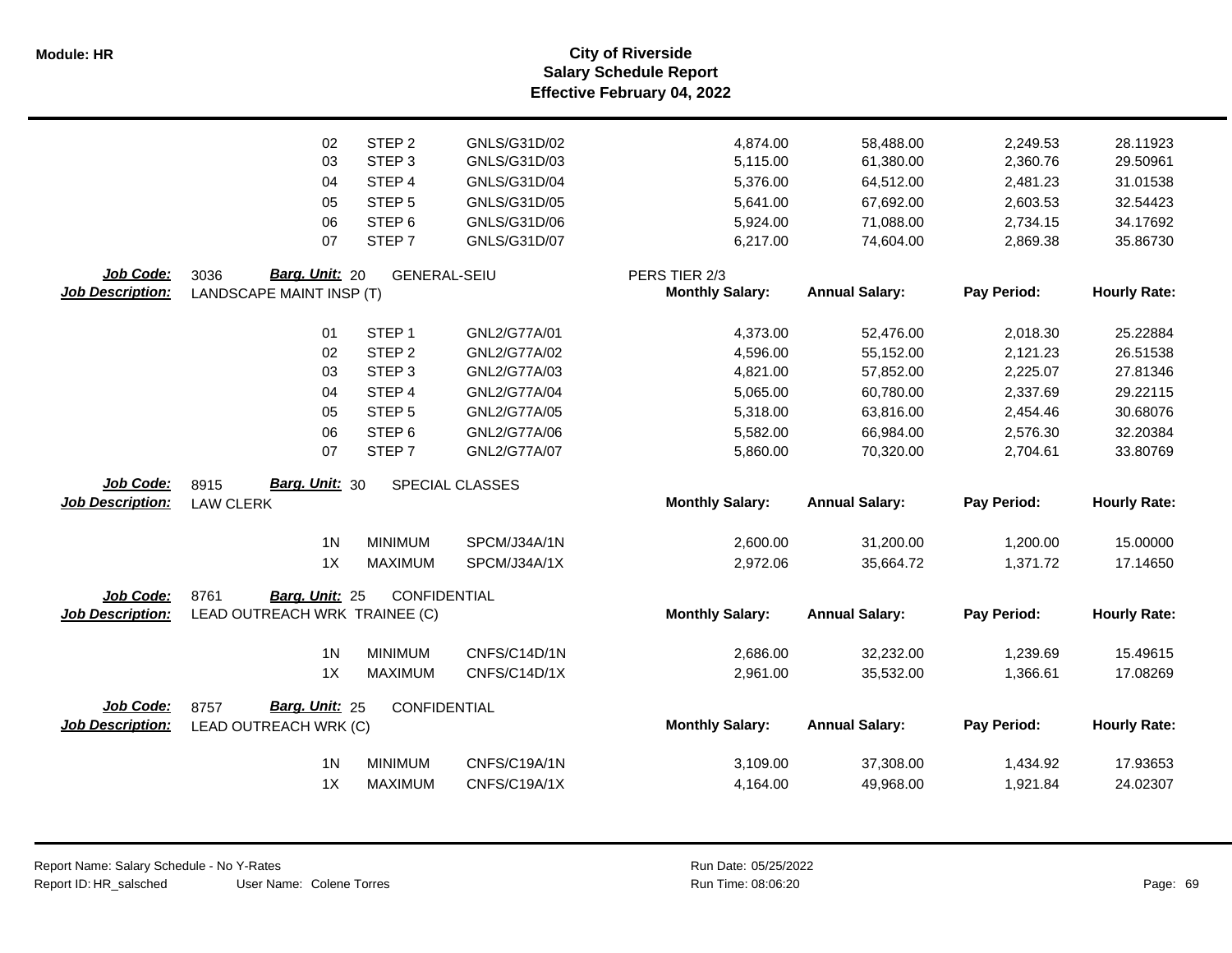**Salary Schedule Report Effective February 04, 2022 Module: HR City of Riverside**

|                         | 02                            | STEP <sub>2</sub>   | GNLS/G31D/02    | 4,874.00               | 58,488.00             | 2,249.53    | 28.11923            |
|-------------------------|-------------------------------|---------------------|-----------------|------------------------|-----------------------|-------------|---------------------|
|                         | 03                            | STEP <sub>3</sub>   | GNLS/G31D/03    | 5,115.00               | 61,380.00             | 2,360.76    | 29.50961            |
|                         | 04                            | STEP 4              | GNLS/G31D/04    | 5,376.00               | 64,512.00             | 2,481.23    | 31.01538            |
|                         | 05                            | STEP <sub>5</sub>   | GNLS/G31D/05    | 5,641.00               | 67,692.00             | 2,603.53    | 32.54423            |
|                         | 06                            | STEP <sub>6</sub>   | GNLS/G31D/06    | 5,924.00               | 71,088.00             | 2,734.15    | 34.17692            |
|                         | 07                            | STEP <sub>7</sub>   | GNLS/G31D/07    | 6,217.00               | 74,604.00             | 2,869.38    | 35.86730            |
|                         |                               |                     |                 |                        |                       |             |                     |
| Job Code:               | Barg. Unit: 20<br>3036        | <b>GENERAL-SEIU</b> |                 | PERS TIER 2/3          |                       |             |                     |
| <b>Job Description:</b> | LANDSCAPE MAINT INSP (T)      |                     |                 | <b>Monthly Salary:</b> | <b>Annual Salary:</b> | Pay Period: | <b>Hourly Rate:</b> |
|                         | 01                            | STEP <sub>1</sub>   | GNL2/G77A/01    | 4,373.00               | 52,476.00             | 2,018.30    | 25.22884            |
|                         | 02                            | STEP <sub>2</sub>   | GNL2/G77A/02    | 4,596.00               | 55,152.00             | 2,121.23    | 26.51538            |
|                         | 03                            | STEP <sub>3</sub>   | GNL2/G77A/03    | 4,821.00               | 57,852.00             | 2,225.07    | 27.81346            |
|                         | 04                            | STEP 4              | GNL2/G77A/04    | 5,065.00               | 60,780.00             | 2,337.69    | 29.22115            |
|                         | 05                            | STEP <sub>5</sub>   | GNL2/G77A/05    | 5,318.00               | 63,816.00             | 2,454.46    | 30.68076            |
|                         | 06                            | STEP <sub>6</sub>   | GNL2/G77A/06    | 5,582.00               | 66,984.00             | 2,576.30    | 32.20384            |
|                         | 07                            | STEP <sub>7</sub>   | GNL2/G77A/07    | 5,860.00               | 70,320.00             | 2,704.61    | 33.80769            |
|                         |                               |                     |                 |                        |                       |             |                     |
| Job Code:               | Barg. Unit: 30<br>8915        |                     | SPECIAL CLASSES |                        |                       |             |                     |
| <b>Job Description:</b> | <b>LAW CLERK</b>              |                     |                 | <b>Monthly Salary:</b> | <b>Annual Salary:</b> | Pay Period: | <b>Hourly Rate:</b> |
|                         | 1 <sub>N</sub>                | <b>MINIMUM</b>      | SPCM/J34A/1N    | 2,600.00               | 31,200.00             | 1,200.00    | 15.00000            |
|                         | 1X                            | <b>MAXIMUM</b>      | SPCM/J34A/1X    | 2,972.06               | 35,664.72             | 1,371.72    | 17.14650            |
| Job Code:               | 8761<br>Barg. Unit: 25        | CONFIDENTIAL        |                 |                        |                       |             |                     |
| <b>Job Description:</b> | LEAD OUTREACH WRK TRAINEE (C) |                     |                 | <b>Monthly Salary:</b> | <b>Annual Salary:</b> | Pay Period: | <b>Hourly Rate:</b> |
|                         |                               |                     |                 |                        |                       |             |                     |
|                         | 1 <sub>N</sub>                | <b>MINIMUM</b>      | CNFS/C14D/1N    | 2,686.00               | 32,232.00             | 1,239.69    | 15.49615            |
|                         | 1X                            | <b>MAXIMUM</b>      | CNFS/C14D/1X    | 2,961.00               | 35,532.00             | 1,366.61    | 17.08269            |
| Job Code:               | Barg. Unit: 25<br>8757        | CONFIDENTIAL        |                 |                        |                       |             |                     |
| <b>Job Description:</b> | LEAD OUTREACH WRK (C)         |                     |                 | <b>Monthly Salary:</b> | <b>Annual Salary:</b> | Pay Period: | <b>Hourly Rate:</b> |
|                         | 1 <sub>N</sub>                | <b>MINIMUM</b>      | CNFS/C19A/1N    | 3,109.00               | 37,308.00             | 1,434.92    | 17.93653            |
|                         | 1X                            | <b>MAXIMUM</b>      | CNFS/C19A/1X    | 4,164.00               | 49,968.00             | 1,921.84    | 24.02307            |
|                         |                               |                     |                 |                        |                       |             |                     |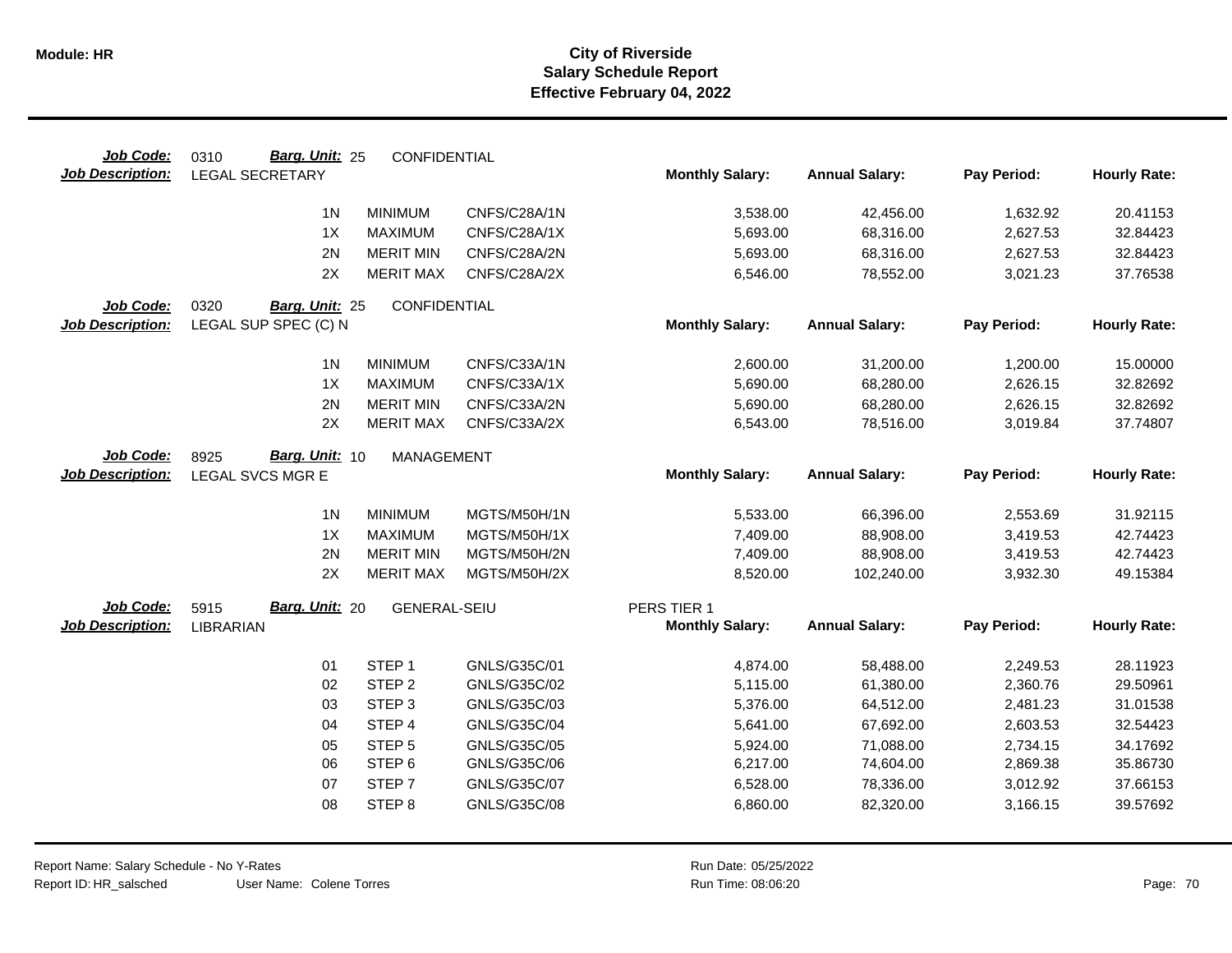| Job Code:               | Barg. Unit: 25<br>0310 | CONFIDENTIAL        |              |                        |                       |             |                     |
|-------------------------|------------------------|---------------------|--------------|------------------------|-----------------------|-------------|---------------------|
| <b>Job Description:</b> | <b>LEGAL SECRETARY</b> |                     |              | <b>Monthly Salary:</b> | <b>Annual Salary:</b> | Pay Period: | <b>Hourly Rate:</b> |
|                         | 1 <sub>N</sub>         | <b>MINIMUM</b>      | CNFS/C28A/1N | 3,538.00               | 42,456.00             | 1,632.92    | 20.41153            |
|                         | 1X                     | <b>MAXIMUM</b>      | CNFS/C28A/1X | 5,693.00               | 68,316.00             | 2,627.53    | 32.84423            |
|                         | 2N                     | <b>MERIT MIN</b>    | CNFS/C28A/2N | 5,693.00               | 68,316.00             | 2,627.53    | 32.84423            |
|                         | 2X                     | <b>MERIT MAX</b>    | CNFS/C28A/2X | 6,546.00               | 78,552.00             | 3,021.23    | 37.76538            |
|                         |                        |                     |              |                        |                       |             |                     |
| Job Code:               | 0320<br>Barg. Unit: 25 | CONFIDENTIAL        |              |                        |                       |             |                     |
| <b>Job Description:</b> | LEGAL SUP SPEC (C) N   |                     |              | <b>Monthly Salary:</b> | <b>Annual Salary:</b> | Pay Period: | <b>Hourly Rate:</b> |
|                         | 1 <sub>N</sub>         | <b>MINIMUM</b>      | CNFS/C33A/1N | 2,600.00               | 31,200.00             | 1,200.00    | 15.00000            |
|                         | 1X                     | <b>MAXIMUM</b>      | CNFS/C33A/1X | 5,690.00               | 68,280.00             | 2,626.15    | 32.82692            |
|                         | 2N                     | <b>MERIT MIN</b>    | CNFS/C33A/2N | 5,690.00               | 68,280.00             | 2,626.15    | 32.82692            |
|                         | 2X                     | <b>MERIT MAX</b>    | CNFS/C33A/2X | 6,543.00               | 78,516.00             | 3,019.84    | 37.74807            |
|                         |                        |                     |              |                        |                       |             |                     |
| Job Code:               | Barg. Unit: 10<br>8925 | <b>MANAGEMENT</b>   |              |                        |                       |             |                     |
| <b>Job Description:</b> | LEGAL SVCS MGR E       |                     |              | <b>Monthly Salary:</b> | <b>Annual Salary:</b> | Pay Period: | <b>Hourly Rate:</b> |
|                         | 1 <sup>N</sup>         | <b>MINIMUM</b>      | MGTS/M50H/1N | 5,533.00               | 66,396.00             | 2,553.69    | 31.92115            |
|                         | 1X                     | <b>MAXIMUM</b>      | MGTS/M50H/1X | 7,409.00               | 88,908.00             | 3,419.53    | 42.74423            |
|                         | 2N                     | <b>MERIT MIN</b>    | MGTS/M50H/2N | 7,409.00               | 88,908.00             | 3,419.53    | 42.74423            |
|                         | 2X                     | <b>MERIT MAX</b>    | MGTS/M50H/2X | 8,520.00               | 102,240.00            | 3,932.30    | 49.15384            |
| Job Code:               | Barg. Unit: 20<br>5915 | <b>GENERAL-SEIU</b> |              | PERS TIER 1            |                       |             |                     |
| <b>Job Description:</b> | <b>LIBRARIAN</b>       |                     |              | <b>Monthly Salary:</b> | <b>Annual Salary:</b> | Pay Period: | <b>Hourly Rate:</b> |
|                         |                        |                     |              |                        |                       |             |                     |
|                         | 01                     | STEP <sub>1</sub>   | GNLS/G35C/01 | 4,874.00               | 58,488.00             | 2,249.53    | 28.11923            |
|                         | 02                     | STEP <sub>2</sub>   | GNLS/G35C/02 | 5,115.00               | 61,380.00             | 2,360.76    | 29.50961            |
|                         | 03                     | STEP <sub>3</sub>   | GNLS/G35C/03 | 5,376.00               | 64,512.00             | 2,481.23    | 31.01538            |
|                         | 04                     | STEP 4              | GNLS/G35C/04 | 5,641.00               | 67,692.00             | 2,603.53    | 32.54423            |
|                         | 05                     | STEP <sub>5</sub>   | GNLS/G35C/05 | 5,924.00               | 71,088.00             | 2,734.15    | 34.17692            |
|                         | 06                     | STEP 6              | GNLS/G35C/06 | 6,217.00               | 74,604.00             | 2,869.38    | 35.86730            |
|                         | 07                     | STEP <sub>7</sub>   | GNLS/G35C/07 | 6,528.00               | 78,336.00             | 3,012.92    | 37.66153            |
|                         | 08                     | STEP <sub>8</sub>   | GNLS/G35C/08 | 6,860.00               | 82,320.00             | 3,166.15    | 39.57692            |
|                         |                        |                     |              |                        |                       |             |                     |

User Name: Colene Torres Report Name: Salary Schedule - No Y-Rates Report ID: HR\_salsched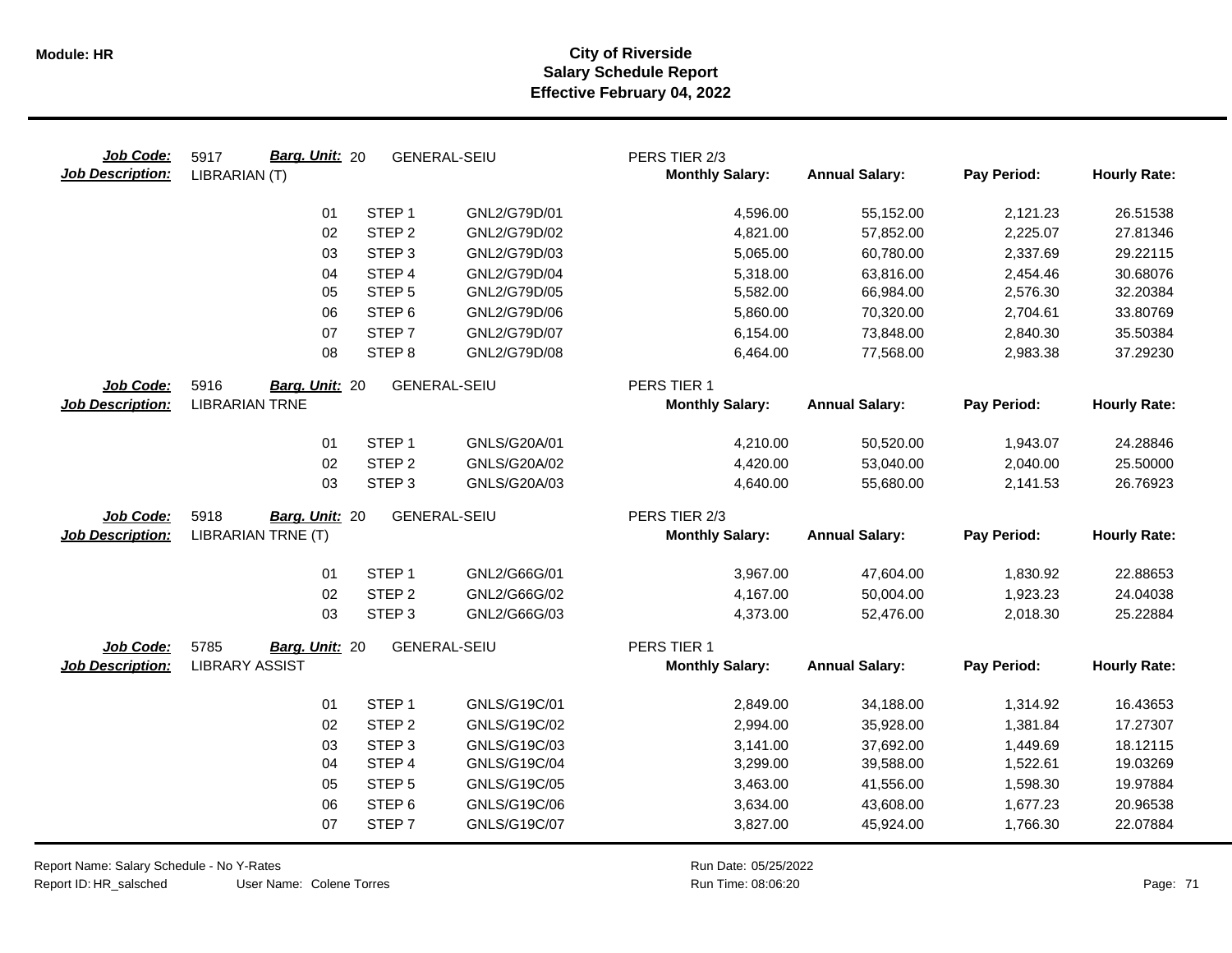| Job Code:<br><b>Job Description:</b> | Barg. Unit: 20<br>5917<br>LIBRARIAN (T)         |                   | <b>GENERAL-SEIU</b> | PERS TIER 2/3<br><b>Monthly Salary:</b> | <b>Annual Salary:</b> | Pay Period: | <b>Hourly Rate:</b> |
|--------------------------------------|-------------------------------------------------|-------------------|---------------------|-----------------------------------------|-----------------------|-------------|---------------------|
|                                      | 01                                              | STEP <sub>1</sub> | GNL2/G79D/01        | 4,596.00                                | 55,152.00             | 2,121.23    | 26.51538            |
|                                      | 02                                              | STEP <sub>2</sub> | GNL2/G79D/02        | 4,821.00                                | 57,852.00             | 2,225.07    | 27.81346            |
|                                      | 03                                              | STEP <sub>3</sub> | GNL2/G79D/03        | 5,065.00                                | 60,780.00             | 2,337.69    | 29.22115            |
|                                      | 04                                              | STEP 4            | GNL2/G79D/04        | 5,318.00                                | 63,816.00             | 2,454.46    | 30.68076            |
|                                      | 05                                              | STEP <sub>5</sub> | GNL2/G79D/05        | 5,582.00                                | 66,984.00             | 2,576.30    | 32.20384            |
|                                      | 06                                              | STEP <sub>6</sub> | GNL2/G79D/06        | 5,860.00                                | 70,320.00             | 2,704.61    | 33.80769            |
|                                      | 07                                              | STEP <sub>7</sub> | GNL2/G79D/07        | 6,154.00                                | 73,848.00             | 2,840.30    | 35.50384            |
|                                      | 08                                              | STEP <sub>8</sub> | GNL2/G79D/08        | 6,464.00                                | 77,568.00             | 2,983.38    | 37.29230            |
| Job Code:                            | 5916<br>Barg. Unit: 20                          |                   | <b>GENERAL-SEIU</b> | PERS TIER 1                             |                       |             |                     |
| <b>Job Description:</b>              | <b>LIBRARIAN TRNE</b>                           |                   |                     | <b>Monthly Salary:</b>                  | <b>Annual Salary:</b> | Pay Period: | <b>Hourly Rate:</b> |
|                                      | 01                                              | STEP <sub>1</sub> | GNLS/G20A/01        | 4,210.00                                | 50,520.00             | 1,943.07    | 24.28846            |
|                                      | 02                                              | STEP <sub>2</sub> | GNLS/G20A/02        | 4,420.00                                | 53,040.00             | 2,040.00    | 25.50000            |
|                                      | 03                                              | STEP <sub>3</sub> | GNLS/G20A/03        | 4,640.00                                | 55,680.00             | 2,141.53    | 26.76923            |
| Job Code:                            | 5918<br>Barg. Unit: 20                          |                   | <b>GENERAL-SEIU</b> | PERS TIER 2/3                           |                       |             |                     |
| <b>Job Description:</b>              | <b>LIBRARIAN TRNE (T)</b>                       |                   |                     | <b>Monthly Salary:</b>                  | <b>Annual Salary:</b> | Pay Period: | <b>Hourly Rate:</b> |
|                                      | 01                                              | STEP <sub>1</sub> | GNL2/G66G/01        | 3,967.00                                | 47,604.00             | 1,830.92    | 22.88653            |
|                                      | 02                                              | STEP <sub>2</sub> | GNL2/G66G/02        | 4,167.00                                | 50,004.00             | 1,923.23    | 24.04038            |
|                                      | 03                                              | STEP <sub>3</sub> | GNL2/G66G/03        | 4,373.00                                | 52,476.00             | 2,018.30    | 25.22884            |
| Job Code:<br><b>Job Description:</b> | 5785<br>Barg. Unit: 20<br><b>LIBRARY ASSIST</b> |                   | <b>GENERAL-SEIU</b> | PERS TIER 1<br><b>Monthly Salary:</b>   | <b>Annual Salary:</b> | Pay Period: | <b>Hourly Rate:</b> |
|                                      |                                                 |                   |                     |                                         |                       |             |                     |
|                                      | 01                                              | STEP <sub>1</sub> | GNLS/G19C/01        | 2,849.00                                | 34,188.00             | 1,314.92    | 16.43653            |
|                                      | 02                                              | STEP <sub>2</sub> | GNLS/G19C/02        | 2,994.00                                | 35,928.00             | 1,381.84    | 17.27307            |
|                                      | 03                                              | STEP <sub>3</sub> | GNLS/G19C/03        | 3,141.00                                | 37,692.00             | 1,449.69    | 18.12115            |
|                                      | 04                                              | STEP 4            | GNLS/G19C/04        | 3,299.00                                | 39,588.00             | 1,522.61    | 19.03269            |
|                                      | 05                                              | STEP <sub>5</sub> | GNLS/G19C/05        | 3,463.00                                | 41,556.00             | 1,598.30    | 19.97884            |
|                                      | 06                                              | STEP <sub>6</sub> | GNLS/G19C/06        | 3,634.00                                | 43,608.00             | 1,677.23    | 20.96538            |
|                                      | 07                                              | STEP <sub>7</sub> | GNLS/G19C/07        | 3,827.00                                | 45,924.00             | 1,766.30    | 22.07884            |

Report Name: Salary Schedule - No Y-Rates

Report ID: HR\_salsched

User Name: Colene Torres

Run Date: 05/25/2022 08:06:20 Colene Torres Run Time: Page: 71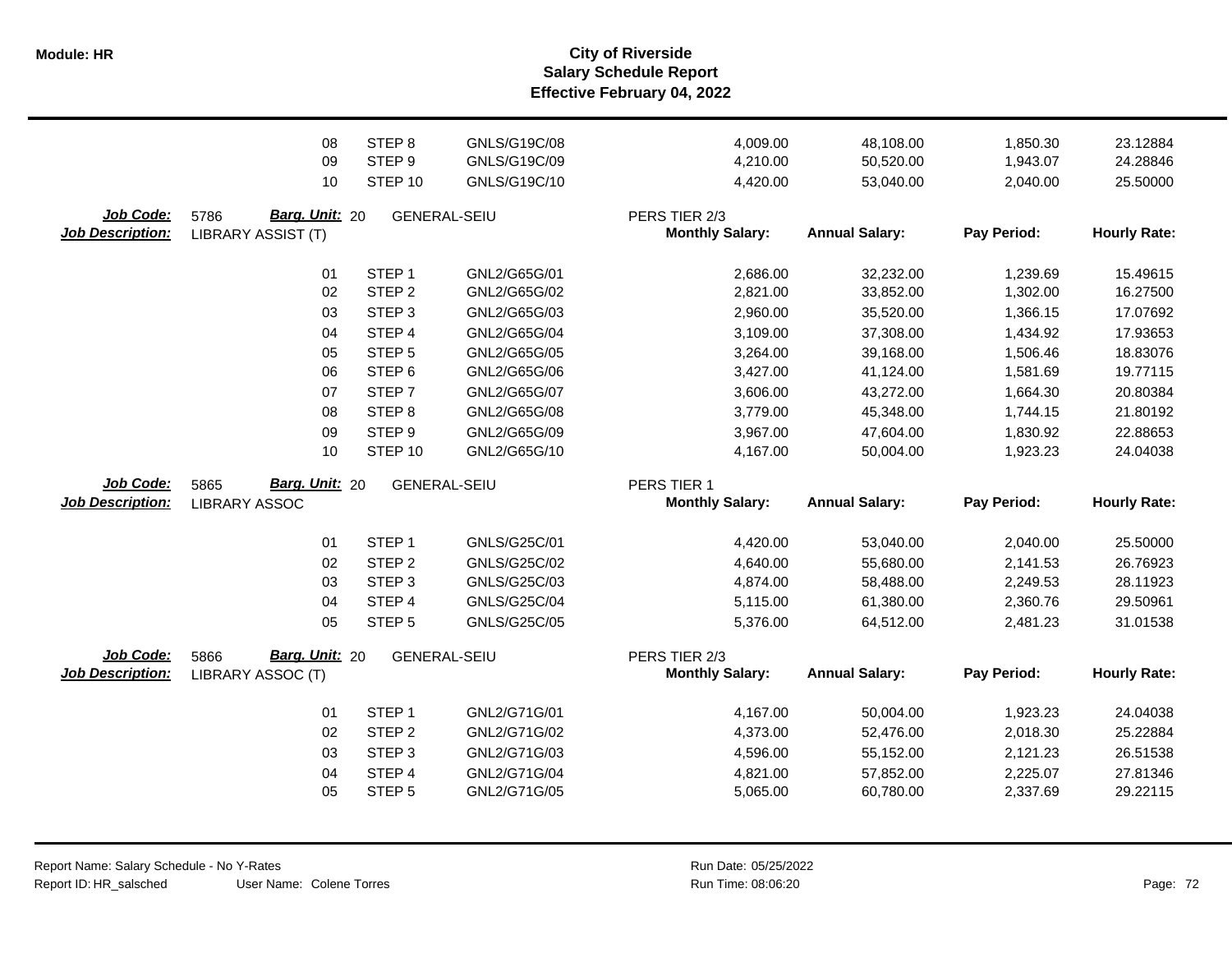**Salary Schedule Report Effective February 04, 2022 Module: HR City of Riverside**

|                                      | 08<br>09<br>10                                      | STEP <sub>8</sub><br>STEP <sub>9</sub><br>STEP 10           | GNLS/G19C/08<br>GNLS/G19C/09<br>GNLS/G19C/10 | 4,009.00<br>4,210.00<br>4,420.00        | 48,108.00<br>50,520.00<br>53,040.00 | 1,850.30<br>1,943.07<br>2,040.00 | 23.12884<br>24.28846<br>25.50000 |
|--------------------------------------|-----------------------------------------------------|-------------------------------------------------------------|----------------------------------------------|-----------------------------------------|-------------------------------------|----------------------------------|----------------------------------|
| Job Code:<br><b>Job Description:</b> | Barg. Unit: 20<br>5786<br><b>LIBRARY ASSIST (T)</b> |                                                             | <b>GENERAL-SEIU</b>                          | PERS TIER 2/3<br><b>Monthly Salary:</b> | <b>Annual Salary:</b>               | Pay Period:                      | <b>Hourly Rate:</b>              |
|                                      | 01<br>02                                            | STEP <sub>1</sub><br>STEP <sub>2</sub><br>STEP <sub>3</sub> | GNL2/G65G/01<br>GNL2/G65G/02<br>GNL2/G65G/03 | 2,686.00<br>2,821.00                    | 32,232.00<br>33,852.00              | 1,239.69<br>1,302.00             | 15.49615<br>16.27500<br>17.07692 |
|                                      | 03<br>04<br>05                                      | STEP <sub>4</sub><br>STEP <sub>5</sub>                      | GNL2/G65G/04<br>GNL2/G65G/05                 | 2,960.00<br>3,109.00<br>3,264.00        | 35,520.00<br>37,308.00<br>39,168.00 | 1,366.15<br>1,434.92<br>1,506.46 | 17.93653<br>18.83076             |
|                                      | 06<br>07                                            | STEP <sub>6</sub><br>STEP <sub>7</sub>                      | GNL2/G65G/06<br>GNL2/G65G/07                 | 3,427.00<br>3,606.00                    | 41,124.00<br>43,272.00              | 1,581.69<br>1,664.30             | 19.77115<br>20.80384             |
|                                      | 08<br>09<br>10                                      | STEP <sub>8</sub><br>STEP <sub>9</sub><br>STEP 10           | GNL2/G65G/08<br>GNL2/G65G/09<br>GNL2/G65G/10 | 3,779.00<br>3,967.00<br>4,167.00        | 45,348.00<br>47,604.00<br>50,004.00 | 1,744.15<br>1,830.92<br>1,923.23 | 21.80192<br>22.88653<br>24.04038 |
| Job Code:<br><b>Job Description:</b> | Barg. Unit: 20<br>5865<br><b>LIBRARY ASSOC</b>      |                                                             | <b>GENERAL-SEIU</b>                          | PERS TIER 1<br><b>Monthly Salary:</b>   | <b>Annual Salary:</b>               | Pay Period:                      | <b>Hourly Rate:</b>              |
|                                      | 01                                                  | STEP <sub>1</sub>                                           | GNLS/G25C/01                                 | 4,420.00                                | 53,040.00                           | 2,040.00                         | 25.50000                         |
|                                      | 02<br>03                                            | STEP <sub>2</sub><br>STEP <sub>3</sub>                      | GNLS/G25C/02<br>GNLS/G25C/03                 | 4,640.00<br>4,874.00                    | 55,680.00<br>58,488.00              | 2,141.53<br>2,249.53             | 26.76923<br>28.11923             |
|                                      | 04<br>05                                            | STEP 4<br>STEP <sub>5</sub>                                 | GNLS/G25C/04<br>GNLS/G25C/05                 | 5,115.00<br>5,376.00                    | 61,380.00<br>64,512.00              | 2,360.76<br>2,481.23             | 29.50961<br>31.01538             |
| Job Code:<br><b>Job Description:</b> | Barg. Unit: 20<br>5866<br>LIBRARY ASSOC (T)         |                                                             | <b>GENERAL-SEIU</b>                          | PERS TIER 2/3<br><b>Monthly Salary:</b> | <b>Annual Salary:</b>               | Pay Period:                      | <b>Hourly Rate:</b>              |
|                                      | 01                                                  | STEP <sub>1</sub>                                           | GNL2/G71G/01                                 | 4,167.00                                | 50,004.00                           | 1,923.23                         | 24.04038                         |
|                                      | 02                                                  | STEP <sub>2</sub>                                           | GNL2/G71G/02                                 | 4,373.00                                | 52,476.00                           | 2,018.30                         | 25.22884                         |
|                                      | 03                                                  | STEP <sub>3</sub>                                           | GNL2/G71G/03                                 | 4,596.00                                | 55,152.00                           | 2,121.23                         | 26.51538                         |
|                                      | 04                                                  | STEP 4                                                      | GNL2/G71G/04                                 | 4,821.00                                | 57,852.00                           | 2,225.07                         | 27.81346                         |
|                                      | 05                                                  | STEP <sub>5</sub>                                           | GNL2/G71G/05                                 | 5,065.00                                | 60,780.00                           | 2,337.69                         | 29.22115                         |
|                                      |                                                     |                                                             |                                              |                                         |                                     |                                  |                                  |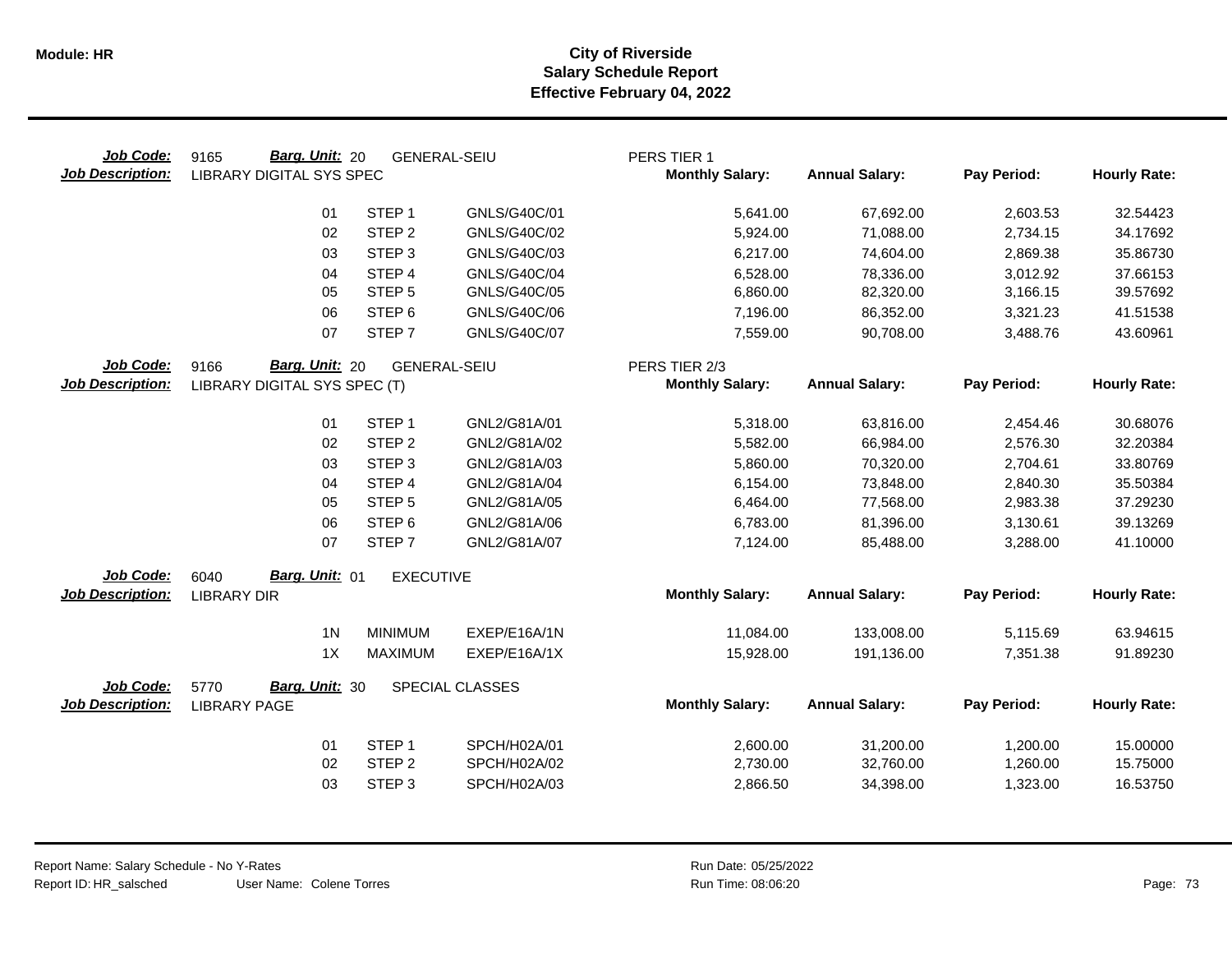| Job Code:<br><b>Job Description:</b> | Barg. Unit: 20<br>9165<br><b>LIBRARY DIGITAL SYS SPEC</b> | <b>GENERAL-SEIU</b> |                 | PERS TIER 1<br><b>Monthly Salary:</b>   | <b>Annual Salary:</b> | Pay Period: | <b>Hourly Rate:</b> |
|--------------------------------------|-----------------------------------------------------------|---------------------|-----------------|-----------------------------------------|-----------------------|-------------|---------------------|
|                                      | 01                                                        | STEP <sub>1</sub>   | GNLS/G40C/01    | 5,641.00                                | 67,692.00             | 2,603.53    | 32.54423            |
|                                      | 02                                                        | STEP <sub>2</sub>   | GNLS/G40C/02    | 5,924.00                                | 71,088.00             | 2,734.15    | 34.17692            |
|                                      | 03                                                        | STEP <sub>3</sub>   | GNLS/G40C/03    | 6,217.00                                | 74,604.00             | 2,869.38    | 35.86730            |
|                                      | 04                                                        | STEP <sub>4</sub>   | GNLS/G40C/04    | 6,528.00                                | 78,336.00             | 3,012.92    | 37.66153            |
|                                      | 05                                                        | STEP <sub>5</sub>   | GNLS/G40C/05    | 6,860.00                                | 82,320.00             | 3,166.15    | 39.57692            |
|                                      | 06                                                        | STEP <sub>6</sub>   | GNLS/G40C/06    | 7,196.00                                | 86,352.00             | 3,321.23    | 41.51538            |
|                                      | 07                                                        | STEP <sub>7</sub>   | GNLS/G40C/07    | 7,559.00                                | 90,708.00             | 3,488.76    | 43.60961            |
| Job Code:<br><b>Job Description:</b> | Barg. Unit: 20<br>9166<br>LIBRARY DIGITAL SYS SPEC (T)    | <b>GENERAL-SEIU</b> |                 | PERS TIER 2/3<br><b>Monthly Salary:</b> | <b>Annual Salary:</b> | Pay Period: | <b>Hourly Rate:</b> |
|                                      | 01                                                        | STEP <sub>1</sub>   | GNL2/G81A/01    | 5,318.00                                | 63,816.00             | 2,454.46    | 30.68076            |
|                                      | 02                                                        | STEP <sub>2</sub>   | GNL2/G81A/02    | 5,582.00                                | 66,984.00             | 2,576.30    | 32.20384            |
|                                      | 03                                                        | STEP <sub>3</sub>   | GNL2/G81A/03    | 5,860.00                                | 70,320.00             | 2,704.61    | 33.80769            |
|                                      | 04                                                        | STEP <sub>4</sub>   | GNL2/G81A/04    | 6,154.00                                | 73,848.00             | 2,840.30    | 35.50384            |
|                                      | 05                                                        | STEP <sub>5</sub>   | GNL2/G81A/05    | 6,464.00                                | 77,568.00             | 2,983.38    | 37.29230            |
|                                      | 06                                                        | STEP <sub>6</sub>   | GNL2/G81A/06    | 6,783.00                                | 81,396.00             | 3,130.61    | 39.13269            |
|                                      | 07                                                        | STEP <sub>7</sub>   | GNL2/G81A/07    | 7,124.00                                | 85,488.00             | 3,288.00    | 41.10000            |
| <b>Job Code:</b>                     | Barg. Unit: 01<br>6040                                    | <b>EXECUTIVE</b>    |                 |                                         |                       |             |                     |
| <b>Job Description:</b>              | <b>LIBRARY DIR</b>                                        |                     |                 | <b>Monthly Salary:</b>                  | <b>Annual Salary:</b> | Pay Period: | <b>Hourly Rate:</b> |
|                                      | 1 <sub>N</sub>                                            | <b>MINIMUM</b>      | EXEP/E16A/1N    | 11,084.00                               | 133,008.00            | 5,115.69    | 63.94615            |
|                                      | 1X                                                        | <b>MAXIMUM</b>      | EXEP/E16A/1X    | 15,928.00                               | 191,136.00            | 7,351.38    | 91.89230            |
| Job Code:                            | Barg. Unit: 30<br>5770                                    |                     | SPECIAL CLASSES |                                         |                       |             |                     |
| <b>Job Description:</b>              | <b>LIBRARY PAGE</b>                                       |                     |                 | <b>Monthly Salary:</b>                  | <b>Annual Salary:</b> | Pay Period: | <b>Hourly Rate:</b> |
|                                      | 01                                                        | STEP <sub>1</sub>   | SPCH/H02A/01    | 2,600.00                                | 31,200.00             | 1,200.00    | 15.00000            |
|                                      | 02                                                        | STEP <sub>2</sub>   | SPCH/H02A/02    | 2,730.00                                | 32,760.00             | 1,260.00    | 15.75000            |
|                                      | 03                                                        | STEP <sub>3</sub>   | SPCH/H02A/03    | 2,866.50                                | 34,398.00             | 1,323.00    | 16.53750            |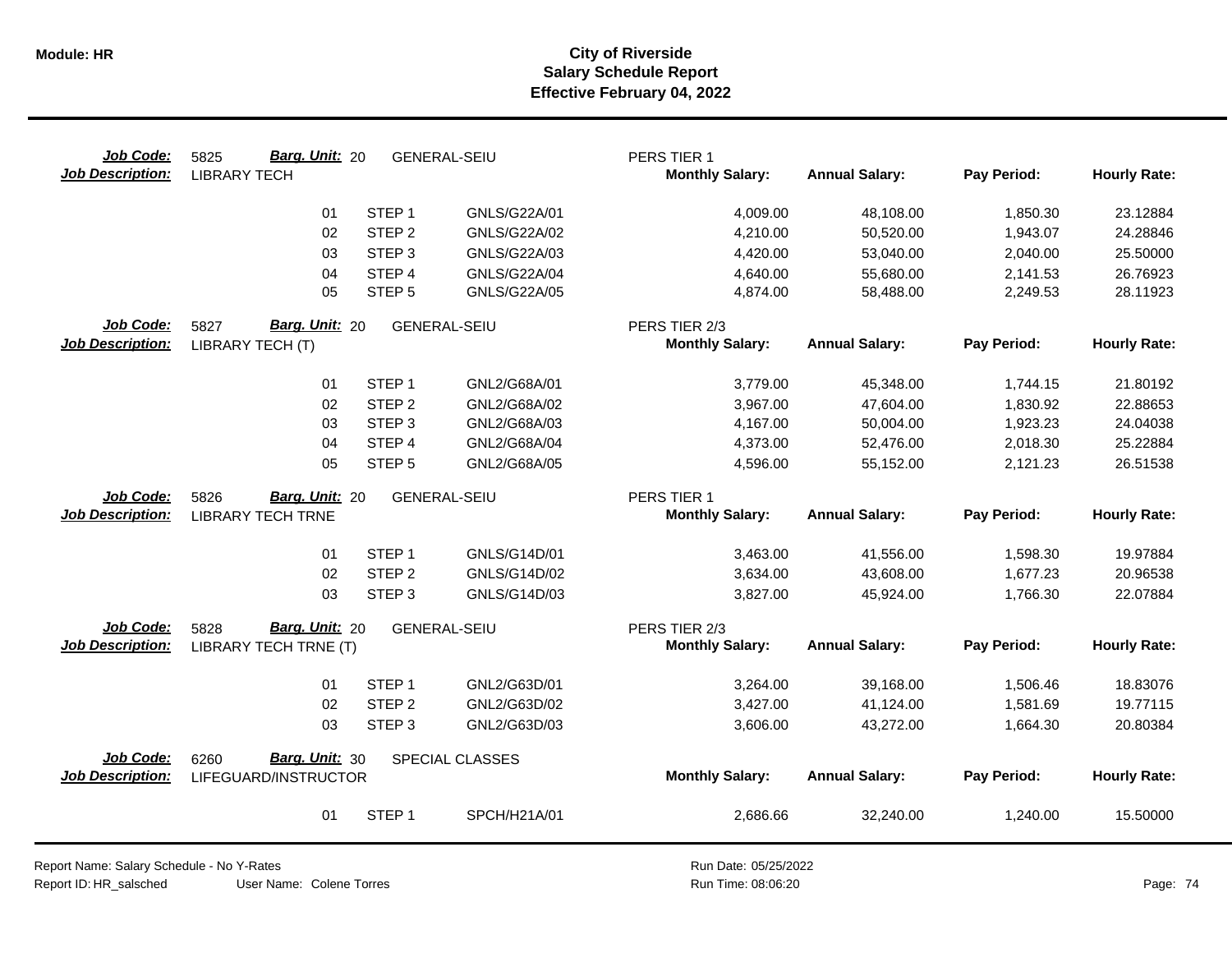| Job Code:<br><b>Job Description:</b> | Barg. Unit: 20<br>5825<br><b>LIBRARY TECH</b>      |                   | <b>GENERAL-SEIU</b> | PERS TIER 1<br><b>Monthly Salary:</b>   | <b>Annual Salary:</b> | Pay Period: | <b>Hourly Rate:</b> |
|--------------------------------------|----------------------------------------------------|-------------------|---------------------|-----------------------------------------|-----------------------|-------------|---------------------|
|                                      | 01                                                 | STEP <sub>1</sub> | GNLS/G22A/01        | 4,009.00                                | 48,108.00             | 1,850.30    | 23.12884            |
|                                      | 02                                                 | STEP <sub>2</sub> | GNLS/G22A/02        | 4,210.00                                | 50,520.00             | 1,943.07    | 24.28846            |
|                                      | 03                                                 | STEP <sub>3</sub> | GNLS/G22A/03        | 4,420.00                                | 53,040.00             | 2,040.00    | 25.50000            |
|                                      | 04                                                 | STEP 4            | GNLS/G22A/04        | 4,640.00                                | 55,680.00             | 2,141.53    | 26.76923            |
|                                      | 05                                                 | STEP <sub>5</sub> | GNLS/G22A/05        | 4,874.00                                | 58,488.00             | 2,249.53    | 28.11923            |
| Job Code:<br><b>Job Description:</b> | Barg. Unit: 20<br>5827<br>LIBRARY TECH (T)         |                   | <b>GENERAL-SEIU</b> | PERS TIER 2/3<br><b>Monthly Salary:</b> | <b>Annual Salary:</b> | Pay Period: | <b>Hourly Rate:</b> |
|                                      | 01                                                 | STEP <sub>1</sub> | GNL2/G68A/01        | 3,779.00                                | 45,348.00             | 1,744.15    | 21.80192            |
|                                      | 02                                                 | STEP <sub>2</sub> | GNL2/G68A/02        | 3,967.00                                | 47,604.00             | 1,830.92    | 22.88653            |
|                                      | 03                                                 | STEP <sub>3</sub> | GNL2/G68A/03        | 4,167.00                                | 50,004.00             | 1,923.23    | 24.04038            |
|                                      | 04                                                 | STEP 4            | GNL2/G68A/04        | 4,373.00                                | 52,476.00             | 2,018.30    | 25.22884            |
|                                      | 05                                                 | STEP <sub>5</sub> | GNL2/G68A/05        | 4,596.00                                | 55,152.00             | 2,121.23    | 26.51538            |
| Job Code:<br><b>Job Description:</b> | Barg. Unit: 20<br>5826<br><b>LIBRARY TECH TRNE</b> |                   | <b>GENERAL-SEIU</b> | PERS TIER 1<br><b>Monthly Salary:</b>   | <b>Annual Salary:</b> | Pay Period: | <b>Hourly Rate:</b> |
|                                      | 01                                                 | STEP <sub>1</sub> | GNLS/G14D/01        | 3,463.00                                | 41,556.00             | 1,598.30    | 19.97884            |
|                                      | 02                                                 | STEP <sub>2</sub> | GNLS/G14D/02        | 3,634.00                                | 43,608.00             | 1,677.23    | 20.96538            |
|                                      | 03                                                 | STEP <sub>3</sub> | GNLS/G14D/03        | 3,827.00                                | 45,924.00             | 1,766.30    | 22.07884            |
| Job Code:                            | Barg. Unit: 20<br>5828                             |                   | <b>GENERAL-SEIU</b> | PERS TIER 2/3                           |                       |             |                     |
| <b>Job Description:</b>              | LIBRARY TECH TRNE (T)                              |                   |                     | <b>Monthly Salary:</b>                  | <b>Annual Salary:</b> | Pay Period: | <b>Hourly Rate:</b> |
|                                      | 01                                                 | STEP <sub>1</sub> | GNL2/G63D/01        | 3,264.00                                | 39,168.00             | 1,506.46    | 18.83076            |
|                                      | 02                                                 | STEP <sub>2</sub> | GNL2/G63D/02        | 3,427.00                                | 41,124.00             | 1,581.69    | 19.77115            |
|                                      | 03                                                 | STEP <sub>3</sub> | GNL2/G63D/03        | 3,606.00                                | 43,272.00             | 1,664.30    | 20.80384            |
| Job Code:<br><b>Job Description:</b> | Barg. Unit: 30<br>6260<br>LIFEGUARD/INSTRUCTOR     |                   | SPECIAL CLASSES     | <b>Monthly Salary:</b>                  | <b>Annual Salary:</b> | Pay Period: | <b>Hourly Rate:</b> |
|                                      | 01                                                 | STEP <sub>1</sub> | SPCH/H21A/01        | 2,686.66                                | 32,240.00             | 1,240.00    | 15.50000            |

User Name: Colene Torres Report Name: Salary Schedule - No Y-Rates Report ID: HR\_salsched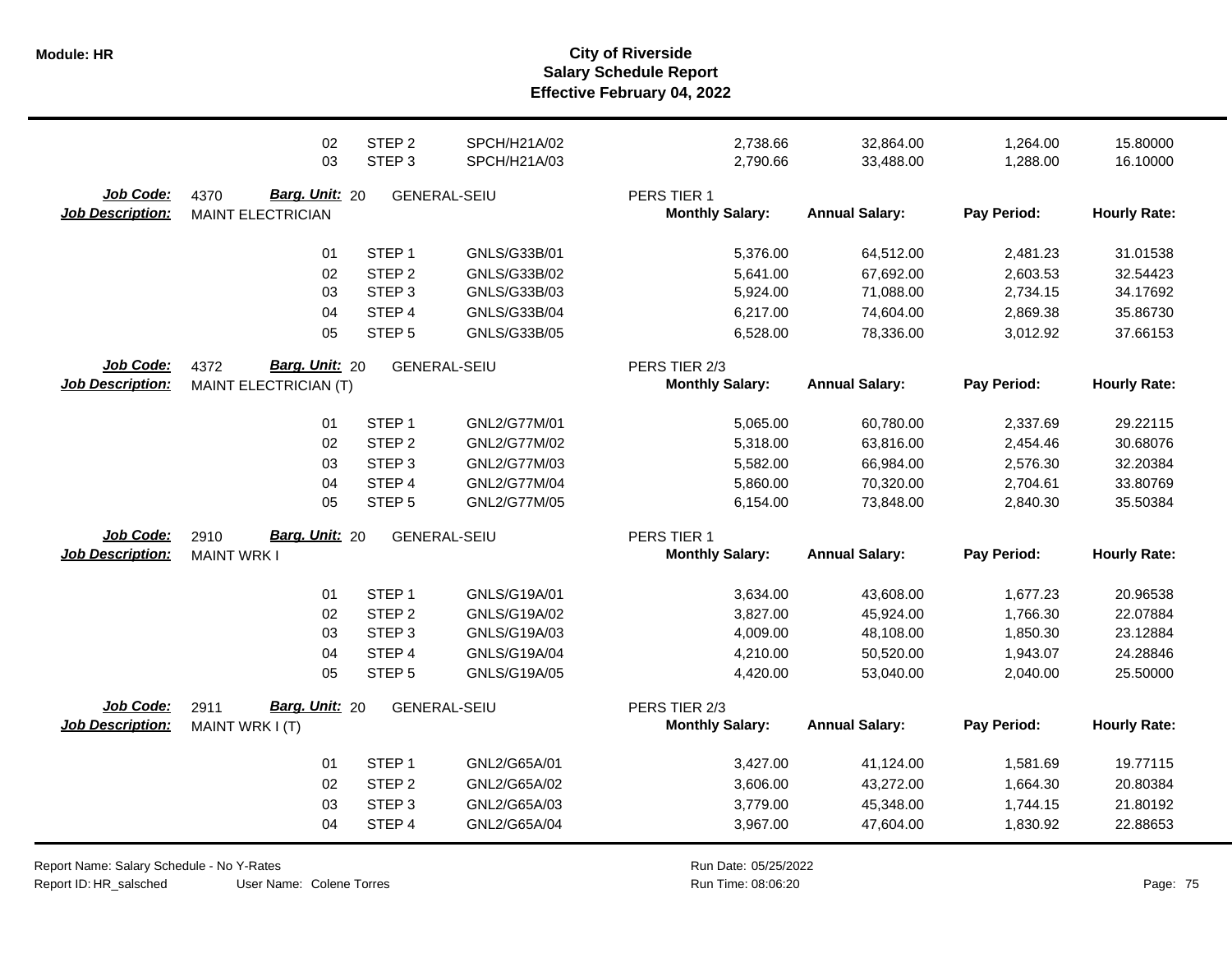|                                      | 02                                                            | STEP <sub>2</sub>   | SPCH/H21A/02 | 2,738.66                                | 32,864.00             | 1,264.00    | 15.80000            |
|--------------------------------------|---------------------------------------------------------------|---------------------|--------------|-----------------------------------------|-----------------------|-------------|---------------------|
|                                      | 03                                                            | STEP <sub>3</sub>   | SPCH/H21A/03 | 2,790.66                                | 33,488.00             | 1,288.00    | 16.10000            |
| Job Code:<br><b>Job Description:</b> | Barg. Unit: 20<br>4370<br><b>MAINT ELECTRICIAN</b>            | <b>GENERAL-SEIU</b> |              | PERS TIER 1<br><b>Monthly Salary:</b>   | <b>Annual Salary:</b> | Pay Period: | <b>Hourly Rate:</b> |
|                                      | 01                                                            | STEP <sub>1</sub>   | GNLS/G33B/01 | 5,376.00                                | 64,512.00             | 2,481.23    | 31.01538            |
|                                      | 02                                                            | STEP <sub>2</sub>   | GNLS/G33B/02 | 5,641.00                                | 67,692.00             | 2,603.53    | 32.54423            |
|                                      | 03                                                            | STEP <sub>3</sub>   | GNLS/G33B/03 | 5,924.00                                | 71,088.00             | 2,734.15    | 34.17692            |
|                                      | 04                                                            | STEP <sub>4</sub>   | GNLS/G33B/04 | 6,217.00                                | 74,604.00             | 2,869.38    | 35.86730            |
|                                      | 05                                                            | STEP <sub>5</sub>   | GNLS/G33B/05 | 6,528.00                                | 78,336.00             | 3,012.92    | 37.66153            |
| Job Code:<br><b>Job Description:</b> | <b>Barg. Unit: 20</b><br>4372<br><b>MAINT ELECTRICIAN (T)</b> | <b>GENERAL-SEIU</b> |              | PERS TIER 2/3<br><b>Monthly Salary:</b> | <b>Annual Salary:</b> | Pay Period: | <b>Hourly Rate:</b> |
|                                      | 01                                                            | STEP <sub>1</sub>   | GNL2/G77M/01 | 5,065.00                                | 60,780.00             | 2,337.69    | 29.22115            |
|                                      | 02                                                            | STEP <sub>2</sub>   | GNL2/G77M/02 | 5,318.00                                | 63,816.00             | 2,454.46    | 30.68076            |
|                                      | 03                                                            | STEP <sub>3</sub>   | GNL2/G77M/03 | 5,582.00                                | 66,984.00             | 2,576.30    | 32.20384            |
|                                      | 04                                                            | STEP <sub>4</sub>   | GNL2/G77M/04 | 5,860.00                                | 70,320.00             | 2,704.61    | 33.80769            |
|                                      | 05                                                            | STEP <sub>5</sub>   | GNL2/G77M/05 | 6,154.00                                | 73,848.00             | 2,840.30    | 35.50384            |
| Job Code:<br><b>Job Description:</b> | Barg. Unit: 20<br>2910<br><b>MAINT WRK I</b>                  | <b>GENERAL-SEIU</b> |              | PERS TIER 1<br><b>Monthly Salary:</b>   | <b>Annual Salary:</b> | Pay Period: | <b>Hourly Rate:</b> |
|                                      | 01                                                            | STEP <sub>1</sub>   | GNLS/G19A/01 | 3,634.00                                | 43,608.00             | 1,677.23    | 20.96538            |
|                                      | 02                                                            | STEP <sub>2</sub>   | GNLS/G19A/02 | 3,827.00                                | 45,924.00             | 1,766.30    | 22.07884            |
|                                      | 03                                                            | STEP <sub>3</sub>   | GNLS/G19A/03 | 4,009.00                                | 48,108.00             | 1,850.30    | 23.12884            |
|                                      | 04                                                            | STEP 4              | GNLS/G19A/04 | 4,210.00                                | 50,520.00             | 1,943.07    | 24.28846            |
|                                      | 05                                                            | STEP <sub>5</sub>   | GNLS/G19A/05 | 4,420.00                                | 53,040.00             | 2,040.00    | 25.50000            |
| Job Code:<br><b>Job Description:</b> | Barg. Unit: 20<br>2911<br>MAINT WRK I (T)                     | <b>GENERAL-SEIU</b> |              | PERS TIER 2/3<br><b>Monthly Salary:</b> | <b>Annual Salary:</b> | Pay Period: | <b>Hourly Rate:</b> |
|                                      | 01                                                            | STEP <sub>1</sub>   | GNL2/G65A/01 | 3,427.00                                | 41,124.00             | 1,581.69    | 19.77115            |
|                                      | 02                                                            | STEP <sub>2</sub>   | GNL2/G65A/02 | 3,606.00                                | 43,272.00             | 1,664.30    | 20.80384            |
|                                      | 03                                                            | STEP <sub>3</sub>   | GNL2/G65A/03 | 3,779.00                                | 45,348.00             | 1,744.15    | 21.80192            |
|                                      | 04                                                            | STEP 4              | GNL2/G65A/04 | 3,967.00                                | 47,604.00             | 1,830.92    | 22.88653            |

Report Name: Salary Schedule - No Y-Rates

Report ID: HR\_salsched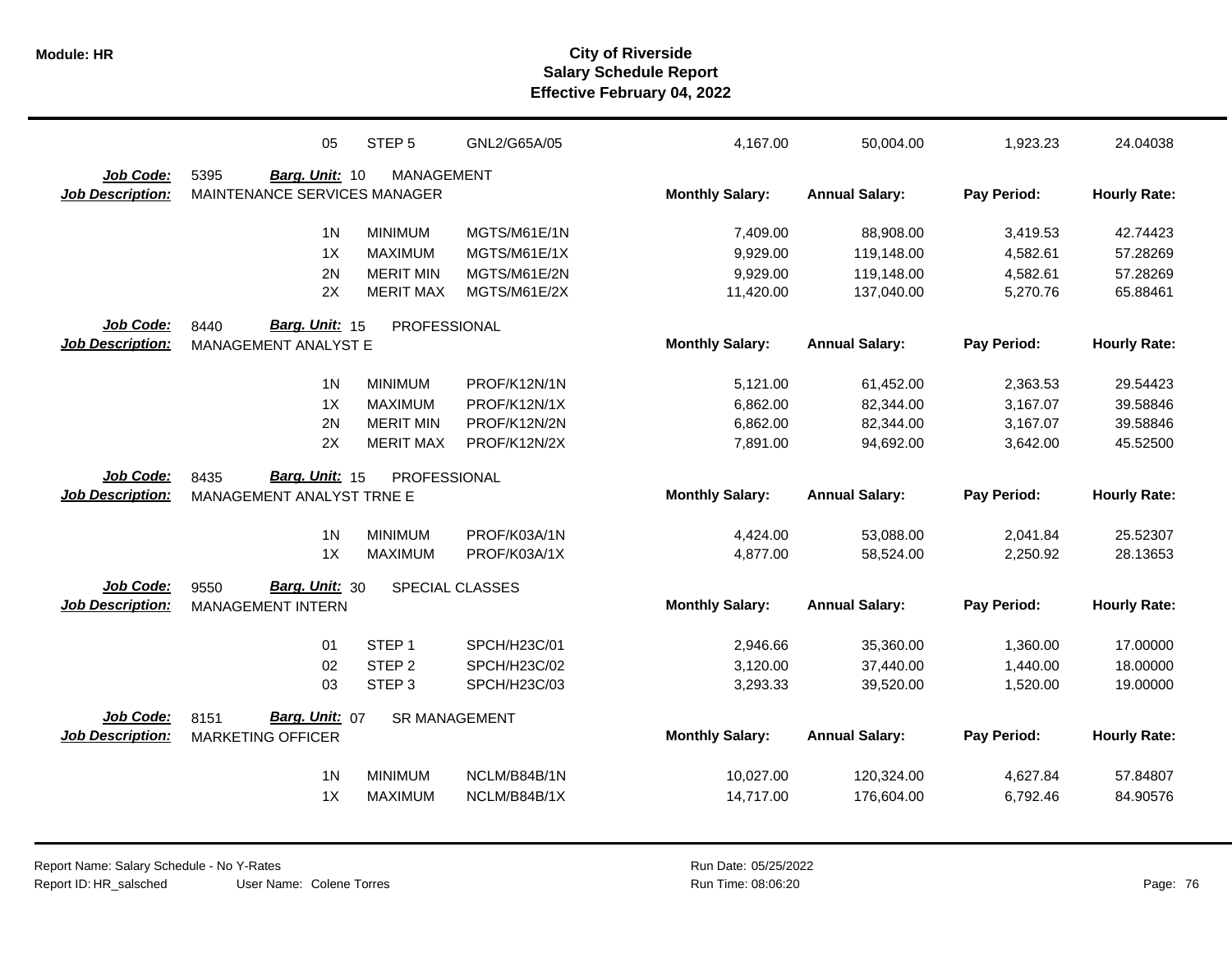|                         | 05                           | STEP <sub>5</sub>                | GNL2/G65A/05                 | 4,167.00               | 50,004.00                | 1,923.23             | 24.04038             |
|-------------------------|------------------------------|----------------------------------|------------------------------|------------------------|--------------------------|----------------------|----------------------|
| Job Code:               | 5395<br>Barg. Unit: 10       | <b>MANAGEMENT</b>                |                              |                        |                          |                      |                      |
| <b>Job Description:</b> | MAINTENANCE SERVICES MANAGER |                                  |                              | <b>Monthly Salary:</b> | <b>Annual Salary:</b>    | Pay Period:          | <b>Hourly Rate:</b>  |
|                         | 1 <sub>N</sub>               | <b>MINIMUM</b>                   | MGTS/M61E/1N                 | 7,409.00               | 88,908.00                | 3,419.53             | 42.74423             |
|                         | 1X                           | <b>MAXIMUM</b>                   | MGTS/M61E/1X                 | 9,929.00               | 119,148.00               | 4,582.61             | 57.28269             |
|                         | 2N                           | <b>MERIT MIN</b>                 | MGTS/M61E/2N                 | 9,929.00               | 119,148.00               | 4,582.61             | 57.28269             |
|                         | 2X                           | <b>MERIT MAX</b>                 | MGTS/M61E/2X                 | 11,420.00              | 137,040.00               | 5,270.76             | 65.88461             |
| Job Code:               | 8440<br>Barg. Unit: 15       | PROFESSIONAL                     |                              |                        |                          |                      |                      |
| <b>Job Description:</b> | MANAGEMENT ANALYST E         |                                  |                              | <b>Monthly Salary:</b> | <b>Annual Salary:</b>    | Pay Period:          | <b>Hourly Rate:</b>  |
|                         | 1 <sub>N</sub>               | <b>MINIMUM</b>                   | PROF/K12N/1N                 | 5,121.00               | 61,452.00                | 2,363.53             | 29.54423             |
|                         | 1X                           | <b>MAXIMUM</b>                   | PROF/K12N/1X                 | 6,862.00               | 82,344.00                | 3,167.07             | 39.58846             |
|                         | 2N                           | <b>MERIT MIN</b>                 | PROF/K12N/2N                 | 6,862.00               | 82,344.00                | 3,167.07             | 39.58846             |
|                         | 2X                           | <b>MERIT MAX</b>                 | PROF/K12N/2X                 | 7,891.00               | 94,692.00                | 3,642.00             | 45.52500             |
| <b>Job Code:</b>        | Barg. Unit: 15<br>8435       | PROFESSIONAL                     |                              |                        |                          |                      |                      |
| <b>Job Description:</b> | MANAGEMENT ANALYST TRNE E    |                                  |                              | <b>Monthly Salary:</b> | <b>Annual Salary:</b>    | Pay Period:          | <b>Hourly Rate:</b>  |
|                         | 1 <sub>N</sub>               | <b>MINIMUM</b>                   | PROF/K03A/1N                 | 4,424.00               | 53,088.00                | 2,041.84             | 25.52307             |
|                         | 1X                           | <b>MAXIMUM</b>                   | PROF/K03A/1X                 | 4,877.00               | 58,524.00                | 2,250.92             | 28.13653             |
| Job Code:               | Barg. Unit: 30<br>9550       |                                  | SPECIAL CLASSES              |                        |                          |                      |                      |
| <b>Job Description:</b> | <b>MANAGEMENT INTERN</b>     |                                  |                              | <b>Monthly Salary:</b> | <b>Annual Salary:</b>    | Pay Period:          | <b>Hourly Rate:</b>  |
|                         | 01                           | STEP <sub>1</sub>                | SPCH/H23C/01                 | 2,946.66               | 35,360.00                | 1,360.00             | 17.00000             |
|                         | 02                           | STEP <sub>2</sub>                | SPCH/H23C/02                 | 3,120.00               | 37,440.00                | 1,440.00             | 18.00000             |
|                         | 03                           | STEP <sub>3</sub>                | SPCH/H23C/03                 | 3,293.33               | 39,520.00                | 1,520.00             | 19.00000             |
| Job Code:               | Barg. Unit: 07<br>8151       | <b>SR MANAGEMENT</b>             |                              |                        |                          |                      |                      |
| <b>Job Description:</b> | <b>MARKETING OFFICER</b>     |                                  |                              | <b>Monthly Salary:</b> | <b>Annual Salary:</b>    | Pay Period:          | <b>Hourly Rate:</b>  |
|                         |                              |                                  |                              |                        |                          |                      |                      |
|                         |                              |                                  |                              |                        |                          |                      |                      |
|                         | 1 <sub>N</sub><br>1X         | <b>MINIMUM</b><br><b>MAXIMUM</b> | NCLM/B84B/1N<br>NCLM/B84B/1X | 10,027.00<br>14,717.00 | 120,324.00<br>176,604.00 | 4,627.84<br>6,792.46 | 57.84807<br>84.90576 |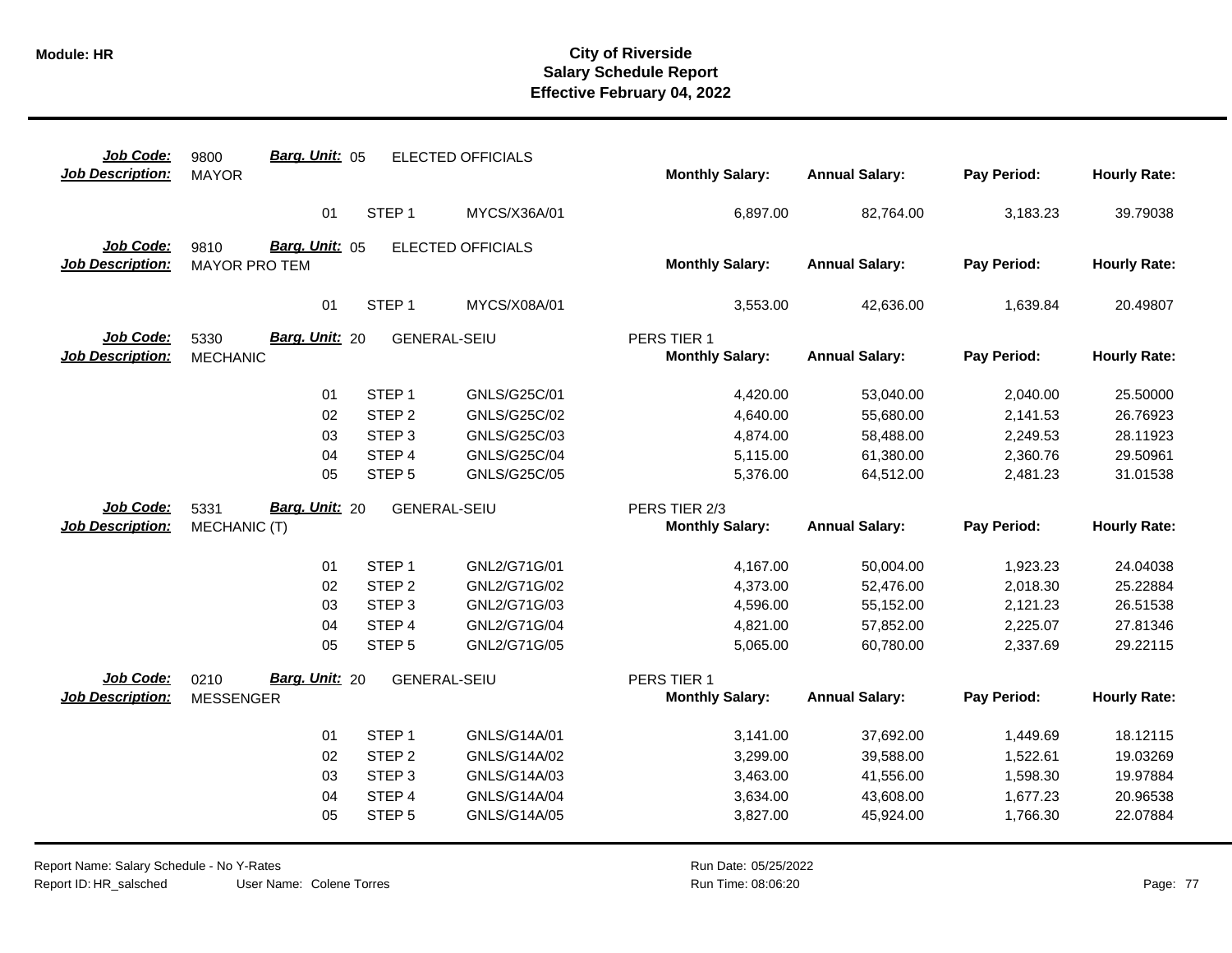| Job Code:<br><b>Job Description:</b> | Barg. Unit: 05<br>9800<br><b>MAYOR</b> |                             | <b>ELECTED OFFICIALS</b>     | <b>Monthly Salary:</b>                  | <b>Annual Salary:</b>  | Pay Period:          | <b>Hourly Rate:</b>  |
|--------------------------------------|----------------------------------------|-----------------------------|------------------------------|-----------------------------------------|------------------------|----------------------|----------------------|
|                                      |                                        |                             |                              |                                         |                        |                      |                      |
|                                      | 01                                     | STEP <sub>1</sub>           | MYCS/X36A/01                 | 6,897.00                                | 82,764.00              | 3,183.23             | 39.79038             |
| Job Code:                            | Barg. Unit: 05<br>9810                 |                             | <b>ELECTED OFFICIALS</b>     |                                         |                        |                      |                      |
| <b>Job Description:</b>              | <b>MAYOR PRO TEM</b>                   |                             |                              | <b>Monthly Salary:</b>                  | <b>Annual Salary:</b>  | Pay Period:          | <b>Hourly Rate:</b>  |
|                                      |                                        |                             |                              |                                         |                        |                      |                      |
|                                      | 01                                     | STEP <sub>1</sub>           | MYCS/X08A/01                 | 3,553.00                                | 42,636.00              | 1,639.84             | 20.49807             |
| Job Code:                            | Barg. Unit: 20<br>5330                 | <b>GENERAL-SEIU</b>         |                              | PERS TIER 1                             |                        |                      |                      |
| <b>Job Description:</b>              | <b>MECHANIC</b>                        |                             |                              | <b>Monthly Salary:</b>                  | <b>Annual Salary:</b>  | Pay Period:          | <b>Hourly Rate:</b>  |
|                                      | 01                                     | STEP <sub>1</sub>           | GNLS/G25C/01                 | 4,420.00                                | 53,040.00              | 2,040.00             | 25.50000             |
|                                      | 02                                     | STEP <sub>2</sub>           | GNLS/G25C/02                 | 4,640.00                                | 55,680.00              | 2,141.53             | 26.76923             |
|                                      | 03                                     | STEP <sub>3</sub>           | GNLS/G25C/03                 | 4,874.00                                | 58,488.00              | 2,249.53             | 28.11923             |
|                                      | 04                                     | STEP 4                      | <b>GNLS/G25C/04</b>          | 5,115.00                                | 61,380.00              | 2,360.76             | 29.50961             |
|                                      | 05                                     | STEP <sub>5</sub>           | GNLS/G25C/05                 | 5,376.00                                | 64,512.00              | 2,481.23             | 31.01538             |
|                                      |                                        |                             |                              |                                         |                        |                      |                      |
|                                      |                                        |                             |                              |                                         |                        |                      |                      |
| Job Code:<br><b>Job Description:</b> | Barg. Unit: 20<br>5331<br>MECHANIC (T) | <b>GENERAL-SEIU</b>         |                              | PERS TIER 2/3<br><b>Monthly Salary:</b> | <b>Annual Salary:</b>  | Pay Period:          | <b>Hourly Rate:</b>  |
|                                      |                                        |                             |                              |                                         |                        |                      |                      |
|                                      | 01                                     | STEP <sub>1</sub>           | GNL2/G71G/01                 | 4,167.00                                | 50,004.00              | 1,923.23             | 24.04038             |
|                                      | 02                                     | STEP <sub>2</sub>           | GNL2/G71G/02                 | 4,373.00                                | 52,476.00              | 2,018.30             | 25.22884             |
|                                      | 03                                     | STEP <sub>3</sub>           | GNL2/G71G/03                 | 4,596.00                                | 55,152.00              | 2,121.23             | 26.51538             |
|                                      | 04                                     | STEP <sub>4</sub>           | GNL2/G71G/04                 | 4,821.00                                | 57,852.00              | 2,225.07             | 27.81346             |
|                                      | 05                                     | STEP <sub>5</sub>           | GNL2/G71G/05                 | 5,065.00                                | 60,780.00              | 2,337.69             | 29.22115             |
| Job Code:                            | Barg. Unit: 20<br>0210                 | <b>GENERAL-SEIU</b>         |                              | PERS TIER 1                             |                        |                      |                      |
| <b>Job Description:</b>              | <b>MESSENGER</b>                       |                             |                              | <b>Monthly Salary:</b>                  | <b>Annual Salary:</b>  | Pay Period:          | <b>Hourly Rate:</b>  |
|                                      |                                        |                             |                              |                                         |                        |                      |                      |
|                                      | 01                                     | STEP <sub>1</sub>           | GNLS/G14A/01                 | 3,141.00                                | 37,692.00              | 1,449.69             | 18.12115             |
|                                      | 02                                     | STEP <sub>2</sub>           | GNLS/G14A/02                 | 3,299.00                                | 39,588.00              | 1,522.61             | 19.03269             |
|                                      | 03                                     | STEP <sub>3</sub>           | GNLS/G14A/03                 | 3,463.00                                | 41,556.00              | 1,598.30             | 19.97884             |
|                                      | 04<br>05                               | STEP 4<br>STEP <sub>5</sub> | GNLS/G14A/04<br>GNLS/G14A/05 | 3,634.00<br>3,827.00                    | 43,608.00<br>45,924.00 | 1,677.23<br>1,766.30 | 20.96538<br>22.07884 |

Report Name: Salary Schedule - No Y-Rates Report ID: HR\_salsched

User Name: Colene Torres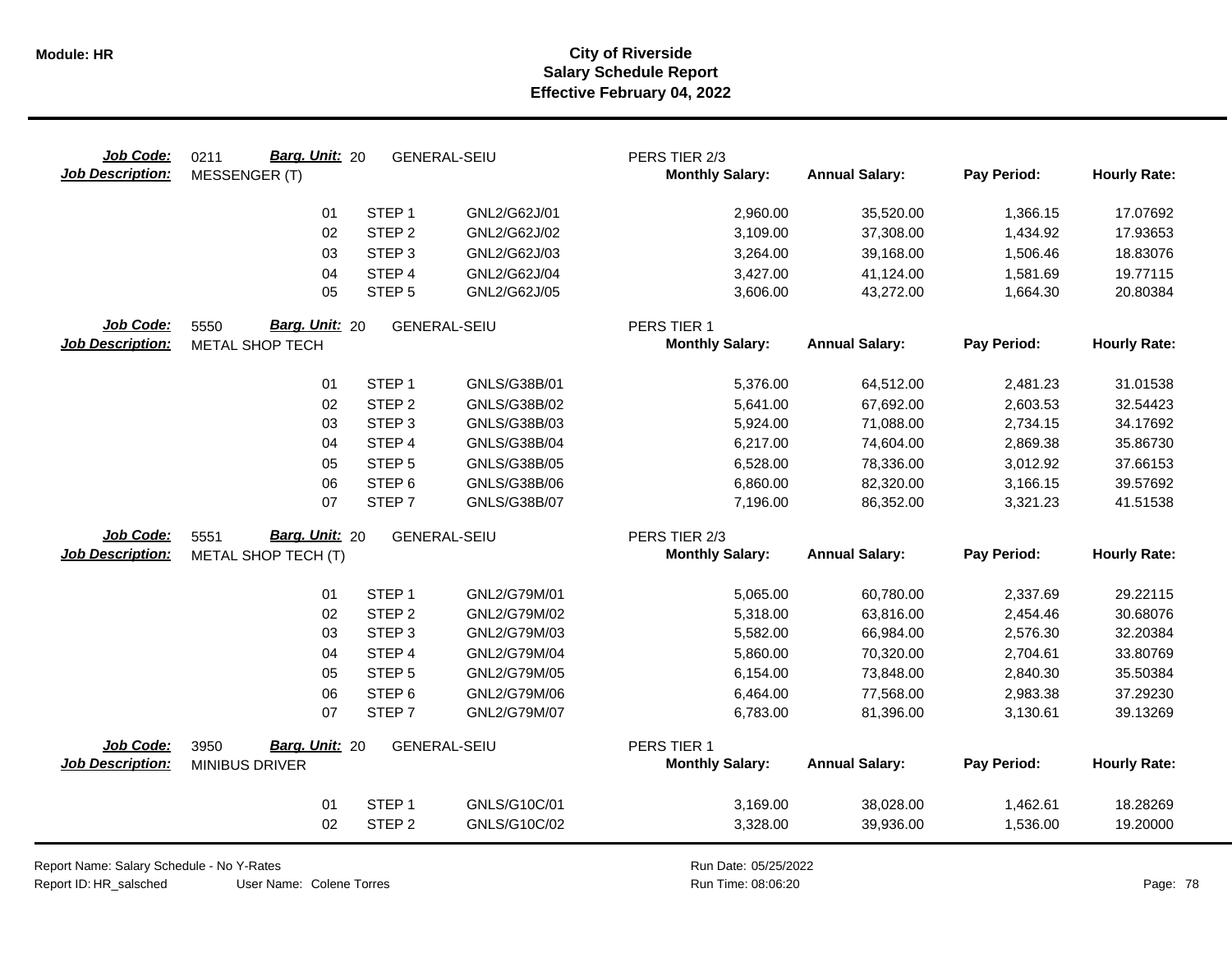| Job Code:<br><b>Job Description:</b> | Barg. Unit: 20<br>0211<br><b>MESSENGER (T)</b> |                   | <b>GENERAL-SEIU</b> | PERS TIER 2/3<br><b>Monthly Salary:</b> | <b>Annual Salary:</b> | Pay Period: | <b>Hourly Rate:</b> |
|--------------------------------------|------------------------------------------------|-------------------|---------------------|-----------------------------------------|-----------------------|-------------|---------------------|
|                                      | 01                                             | STEP <sub>1</sub> | GNL2/G62J/01        | 2,960.00                                | 35,520.00             | 1,366.15    | 17.07692            |
|                                      | 02                                             | STEP <sub>2</sub> | GNL2/G62J/02        | 3,109.00                                | 37,308.00             | 1,434.92    | 17.93653            |
|                                      | 03                                             | STEP <sub>3</sub> | GNL2/G62J/03        | 3,264.00                                | 39,168.00             | 1,506.46    | 18.83076            |
|                                      | 04                                             | STEP 4            | GNL2/G62J/04        | 3,427.00                                | 41,124.00             | 1,581.69    | 19.77115            |
|                                      | 05                                             | STEP <sub>5</sub> | GNL2/G62J/05        | 3,606.00                                | 43,272.00             | 1,664.30    | 20.80384            |
| Job Code:                            | Barg. Unit: 20<br>5550                         |                   | <b>GENERAL-SEIU</b> | PERS TIER 1                             |                       |             |                     |
| <b>Job Description:</b>              | METAL SHOP TECH                                |                   |                     | <b>Monthly Salary:</b>                  | <b>Annual Salary:</b> | Pay Period: | <b>Hourly Rate:</b> |
|                                      | 01                                             | STEP <sub>1</sub> | GNLS/G38B/01        | 5,376.00                                | 64,512.00             | 2,481.23    | 31.01538            |
|                                      | 02                                             | STEP <sub>2</sub> | GNLS/G38B/02        | 5,641.00                                | 67,692.00             | 2,603.53    | 32.54423            |
|                                      | 03                                             | STEP <sub>3</sub> | GNLS/G38B/03        | 5,924.00                                | 71,088.00             | 2,734.15    | 34.17692            |
|                                      | 04                                             | STEP 4            | GNLS/G38B/04        | 6,217.00                                | 74,604.00             | 2,869.38    | 35.86730            |
|                                      | 05                                             | STEP <sub>5</sub> | GNLS/G38B/05        | 6,528.00                                | 78,336.00             | 3,012.92    | 37.66153            |
|                                      | 06                                             | STEP <sub>6</sub> | GNLS/G38B/06        | 6,860.00                                | 82,320.00             | 3,166.15    | 39.57692            |
|                                      | 07                                             | STEP <sub>7</sub> | GNLS/G38B/07        | 7,196.00                                | 86,352.00             | 3,321.23    | 41.51538            |
| Job Code:                            | Barg. Unit: 20<br>5551                         |                   | <b>GENERAL-SEIU</b> | PERS TIER 2/3                           |                       |             |                     |
| <b>Job Description:</b>              | METAL SHOP TECH (T)                            |                   |                     | <b>Monthly Salary:</b>                  | <b>Annual Salary:</b> | Pay Period: | <b>Hourly Rate:</b> |
|                                      | 01                                             | STEP <sub>1</sub> | GNL2/G79M/01        | 5,065.00                                | 60,780.00             | 2,337.69    | 29.22115            |
|                                      | 02                                             | STEP <sub>2</sub> | GNL2/G79M/02        | 5,318.00                                | 63,816.00             | 2,454.46    | 30.68076            |
|                                      | 03                                             | STEP <sub>3</sub> | GNL2/G79M/03        | 5,582.00                                | 66,984.00             | 2,576.30    | 32.20384            |
|                                      | 04                                             | STEP 4            | GNL2/G79M/04        | 5,860.00                                | 70,320.00             | 2,704.61    | 33.80769            |
|                                      | 05                                             | STEP <sub>5</sub> | GNL2/G79M/05        | 6,154.00                                | 73,848.00             | 2,840.30    | 35.50384            |
|                                      | 06                                             | STEP <sub>6</sub> | GNL2/G79M/06        | 6,464.00                                | 77,568.00             | 2,983.38    | 37.29230            |
|                                      | 07                                             | STEP <sub>7</sub> | GNL2/G79M/07        | 6,783.00                                | 81,396.00             | 3,130.61    | 39.13269            |
| Job Code:                            | Barg. Unit: 20<br>3950                         |                   | <b>GENERAL-SEIU</b> | PERS TIER 1                             |                       |             |                     |
| <b>Job Description:</b>              | <b>MINIBUS DRIVER</b>                          |                   |                     | <b>Monthly Salary:</b>                  | <b>Annual Salary:</b> | Pay Period: | <b>Hourly Rate:</b> |
|                                      | 01                                             | STEP <sub>1</sub> | GNLS/G10C/01        | 3,169.00                                | 38,028.00             | 1,462.61    | 18.28269            |
|                                      | 02                                             | STEP <sub>2</sub> | GNLS/G10C/02        | 3,328.00                                | 39,936.00             | 1,536.00    | 19.20000            |

Report Name: Salary Schedule - No Y-Rates

Report ID: HR\_salsched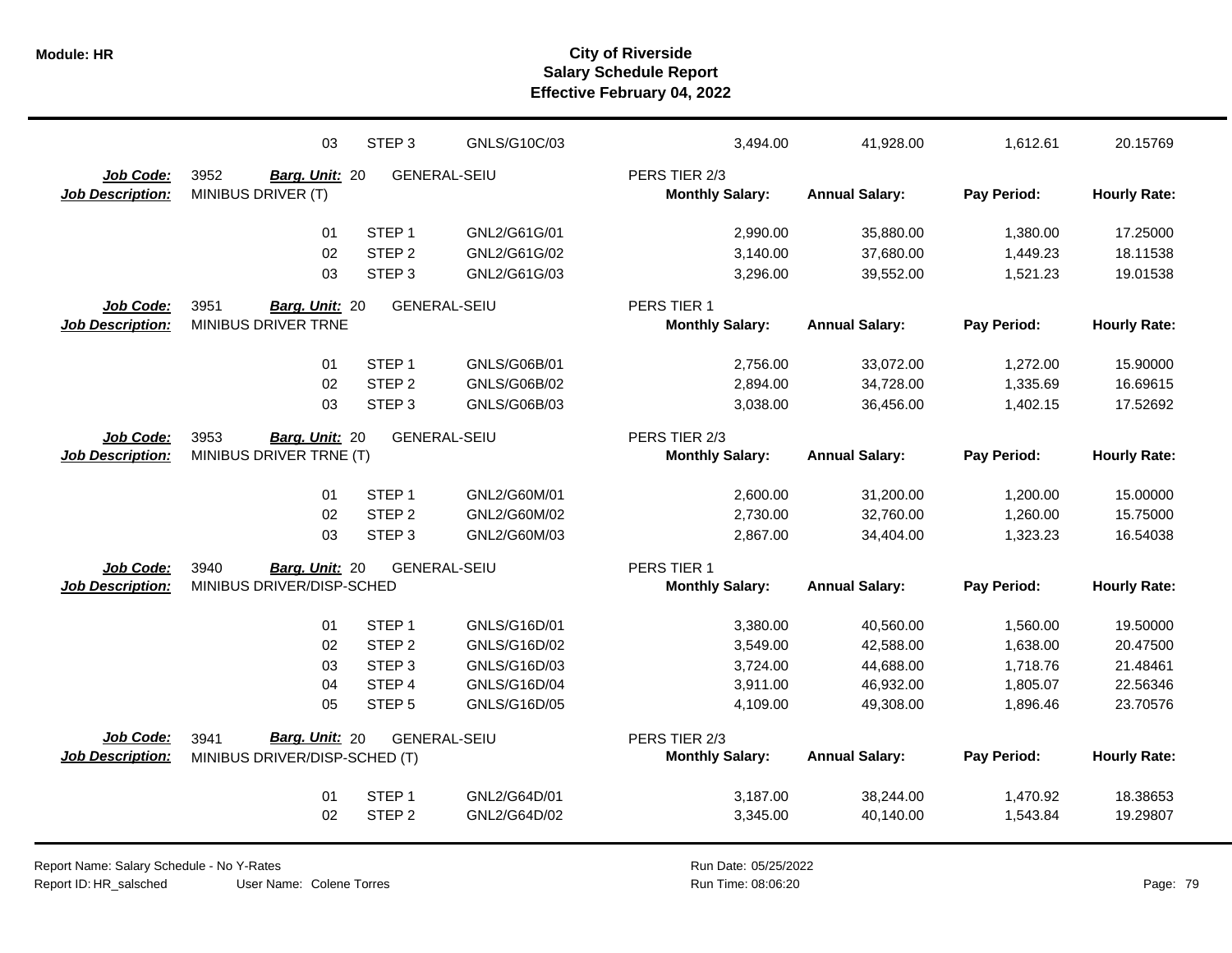|                         | 03                            | STEP <sub>3</sub>   | GNLS/G10C/03 | 3,494.00               | 41,928.00             | 1,612.61    | 20.15769            |
|-------------------------|-------------------------------|---------------------|--------------|------------------------|-----------------------|-------------|---------------------|
| Job Code:               | 3952<br>Barg. Unit: 20        | <b>GENERAL-SEIU</b> |              | PERS TIER 2/3          |                       |             |                     |
| <b>Job Description:</b> | MINIBUS DRIVER (T)            |                     |              | <b>Monthly Salary:</b> | <b>Annual Salary:</b> | Pay Period: | <b>Hourly Rate:</b> |
|                         | 01                            | STEP <sub>1</sub>   | GNL2/G61G/01 | 2,990.00               | 35,880.00             | 1,380.00    | 17.25000            |
|                         | 02                            | STEP <sub>2</sub>   | GNL2/G61G/02 | 3,140.00               | 37,680.00             | 1,449.23    | 18.11538            |
|                         | 03                            | STEP <sub>3</sub>   | GNL2/G61G/03 | 3,296.00               | 39,552.00             | 1,521.23    | 19.01538            |
| Job Code:               | 3951<br>Barg. Unit: 20        | <b>GENERAL-SEIU</b> |              | PERS TIER 1            |                       |             |                     |
| <b>Job Description:</b> | MINIBUS DRIVER TRNE           |                     |              | <b>Monthly Salary:</b> | <b>Annual Salary:</b> | Pay Period: | <b>Hourly Rate:</b> |
|                         | 01                            | STEP <sub>1</sub>   | GNLS/G06B/01 | 2,756.00               | 33,072.00             | 1,272.00    | 15.90000            |
|                         | 02                            | STEP <sub>2</sub>   | GNLS/G06B/02 | 2,894.00               | 34,728.00             | 1,335.69    | 16.69615            |
|                         | 03                            | STEP <sub>3</sub>   | GNLS/G06B/03 | 3,038.00               | 36,456.00             | 1,402.15    | 17.52692            |
| Job Code:               | 3953<br>Barg. Unit: 20        | <b>GENERAL-SEIU</b> |              | PERS TIER 2/3          |                       |             |                     |
| <b>Job Description:</b> | MINIBUS DRIVER TRNE (T)       |                     |              | <b>Monthly Salary:</b> | <b>Annual Salary:</b> | Pay Period: | <b>Hourly Rate:</b> |
|                         |                               |                     |              |                        |                       |             |                     |
|                         | 01                            | STEP <sub>1</sub>   | GNL2/G60M/01 | 2,600.00               | 31,200.00             | 1,200.00    | 15.00000            |
|                         | 02                            | STEP <sub>2</sub>   | GNL2/G60M/02 | 2,730.00               | 32,760.00             | 1,260.00    | 15.75000            |
|                         | 03                            | STEP <sub>3</sub>   | GNL2/G60M/03 | 2,867.00               | 34,404.00             | 1,323.23    | 16.54038            |
| Job Code:               | 3940<br>Barg. Unit: 20        | <b>GENERAL-SEIU</b> |              | PERS TIER 1            |                       |             |                     |
| <b>Job Description:</b> | MINIBUS DRIVER/DISP-SCHED     |                     |              | <b>Monthly Salary:</b> | <b>Annual Salary:</b> | Pay Period: | <b>Hourly Rate:</b> |
|                         | 01                            | STEP <sub>1</sub>   | GNLS/G16D/01 | 3,380.00               | 40,560.00             | 1,560.00    | 19.50000            |
|                         | 02                            | STEP <sub>2</sub>   | GNLS/G16D/02 | 3,549.00               | 42,588.00             | 1,638.00    | 20.47500            |
|                         | 03                            | STEP <sub>3</sub>   | GNLS/G16D/03 | 3,724.00               | 44,688.00             | 1,718.76    | 21.48461            |
|                         | 04                            | STEP <sub>4</sub>   | GNLS/G16D/04 | 3,911.00               | 46,932.00             | 1,805.07    | 22.56346            |
|                         | 05                            | STEP <sub>5</sub>   | GNLS/G16D/05 | 4,109.00               | 49,308.00             | 1,896.46    | 23.70576            |
| Job Code:               | Barg. Unit: 20<br>3941        | <b>GENERAL-SEIU</b> |              | PERS TIER 2/3          |                       |             |                     |
| <b>Job Description:</b> | MINIBUS DRIVER/DISP-SCHED (T) |                     |              | <b>Monthly Salary:</b> | <b>Annual Salary:</b> | Pay Period: | <b>Hourly Rate:</b> |
|                         |                               |                     |              |                        |                       |             |                     |
|                         | 01                            | STEP <sub>1</sub>   | GNL2/G64D/01 | 3,187.00               | 38,244.00             | 1,470.92    | 18.38653            |
|                         | 02                            | STEP <sub>2</sub>   | GNL2/G64D/02 | 3,345.00               | 40,140.00             | 1,543.84    | 19.29807            |
|                         |                               |                     |              |                        |                       |             |                     |

Report Name: Salary Schedule - No Y-Rates Report ID: HR\_salsched

User Name: Colene Torres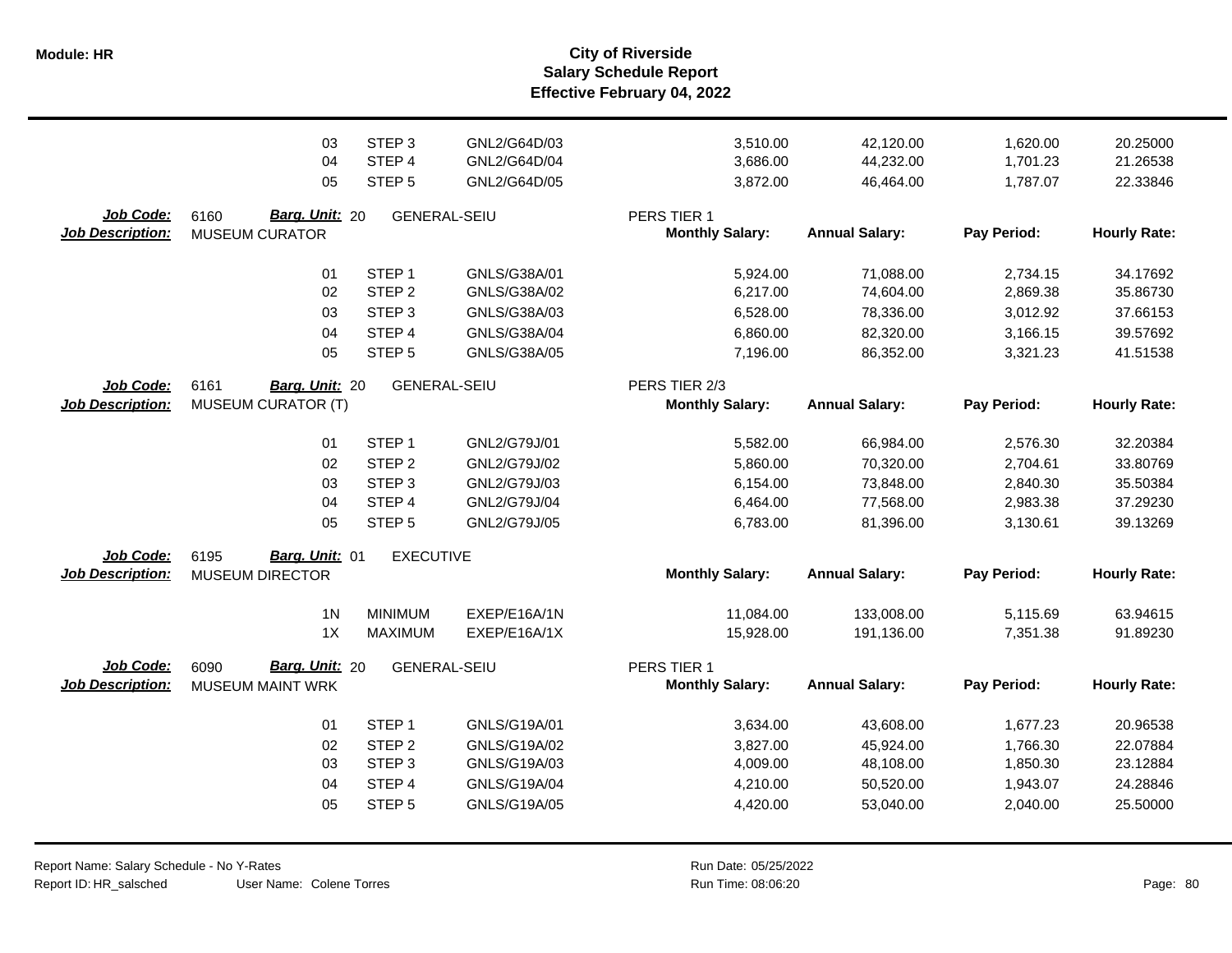**Salary Schedule Report Effective February 04, 2022 Module: HR City of Riverside**

|                                      | 03<br>04<br>05                                       | STEP <sub>3</sub><br>STEP 4<br>STEP <sub>5</sub>                                                               | GNL2/G64D/03<br>GNL2/G64D/04<br>GNL2/G64D/05                                 | 3,510.00<br>3,686.00<br>3,872.00                         | 42,120.00<br>44,232.00<br>46,464.00                           | 1,620.00<br>1,701.23<br>1,787.07                         | 20.25000<br>21.26538<br>22.33846                         |
|--------------------------------------|------------------------------------------------------|----------------------------------------------------------------------------------------------------------------|------------------------------------------------------------------------------|----------------------------------------------------------|---------------------------------------------------------------|----------------------------------------------------------|----------------------------------------------------------|
| Job Code:<br><b>Job Description:</b> | Barg. Unit: 20<br>6160<br><b>MUSEUM CURATOR</b>      | <b>GENERAL-SEIU</b>                                                                                            |                                                                              | PERS TIER 1<br><b>Monthly Salary:</b>                    | <b>Annual Salary:</b>                                         | Pay Period:                                              | <b>Hourly Rate:</b>                                      |
|                                      | 01<br>02<br>03                                       | STEP <sub>1</sub><br>STEP <sub>2</sub><br>STEP <sub>3</sub>                                                    | GNLS/G38A/01<br>GNLS/G38A/02<br>GNLS/G38A/03                                 | 5,924.00<br>6,217.00<br>6,528.00                         | 71,088.00<br>74,604.00<br>78,336.00                           | 2,734.15<br>2,869.38<br>3,012.92                         | 34.17692<br>35.86730<br>37.66153                         |
|                                      | 04<br>05                                             | STEP 4<br>STEP <sub>5</sub>                                                                                    | GNLS/G38A/04<br>GNLS/G38A/05                                                 | 6,860.00<br>7,196.00                                     | 82,320.00<br>86,352.00                                        | 3,166.15<br>3,321.23                                     | 39.57692<br>41.51538                                     |
| Job Code:                            | 6161<br>Barg. Unit: 20                               | <b>GENERAL-SEIU</b>                                                                                            |                                                                              | PERS TIER 2/3                                            |                                                               |                                                          |                                                          |
| <b>Job Description:</b>              | <b>MUSEUM CURATOR (T)</b>                            |                                                                                                                |                                                                              | <b>Monthly Salary:</b>                                   | <b>Annual Salary:</b>                                         | Pay Period:                                              | <b>Hourly Rate:</b>                                      |
| Job Code:                            | 01<br>02<br>03<br>04<br>05<br>Barg. Unit: 01<br>6195 | STEP <sub>1</sub><br>STEP <sub>2</sub><br>STEP <sub>3</sub><br>STEP 4<br>STEP <sub>5</sub><br><b>EXECUTIVE</b> | GNL2/G79J/01<br>GNL2/G79J/02<br>GNL2/G79J/03<br>GNL2/G79J/04<br>GNL2/G79J/05 | 5,582.00<br>5,860.00<br>6,154.00<br>6,464.00<br>6,783.00 | 66,984.00<br>70,320.00<br>73,848.00<br>77,568.00<br>81,396.00 | 2,576.30<br>2,704.61<br>2,840.30<br>2,983.38<br>3,130.61 | 32.20384<br>33.80769<br>35.50384<br>37.29230<br>39.13269 |
| <b>Job Description:</b>              | <b>MUSEUM DIRECTOR</b>                               |                                                                                                                |                                                                              | <b>Monthly Salary:</b>                                   | <b>Annual Salary:</b>                                         | Pay Period:                                              | <b>Hourly Rate:</b>                                      |
|                                      | 1 <sub>N</sub><br>1X                                 | <b>MINIMUM</b><br><b>MAXIMUM</b>                                                                               | EXEP/E16A/1N<br>EXEP/E16A/1X                                                 | 11,084.00<br>15,928.00                                   | 133,008.00<br>191,136.00                                      | 5,115.69<br>7,351.38                                     | 63.94615<br>91.89230                                     |
| Job Code:<br><b>Job Description:</b> | 6090<br>Barg. Unit: 20<br><b>MUSEUM MAINT WRK</b>    | <b>GENERAL-SEIU</b>                                                                                            |                                                                              | PERS TIER 1<br><b>Monthly Salary:</b>                    | <b>Annual Salary:</b>                                         | Pay Period:                                              | <b>Hourly Rate:</b>                                      |
|                                      | 01<br>02<br>03<br>04<br>05                           | STEP <sub>1</sub><br>STEP <sub>2</sub><br>STEP <sub>3</sub><br>STEP 4<br>STEP <sub>5</sub>                     | GNLS/G19A/01<br>GNLS/G19A/02<br>GNLS/G19A/03<br>GNLS/G19A/04<br>GNLS/G19A/05 | 3,634.00<br>3,827.00<br>4,009.00<br>4,210.00<br>4,420.00 | 43,608.00<br>45,924.00<br>48,108.00<br>50,520.00<br>53,040.00 | 1,677.23<br>1,766.30<br>1,850.30<br>1,943.07<br>2,040.00 | 20.96538<br>22.07884<br>23.12884<br>24.28846<br>25.50000 |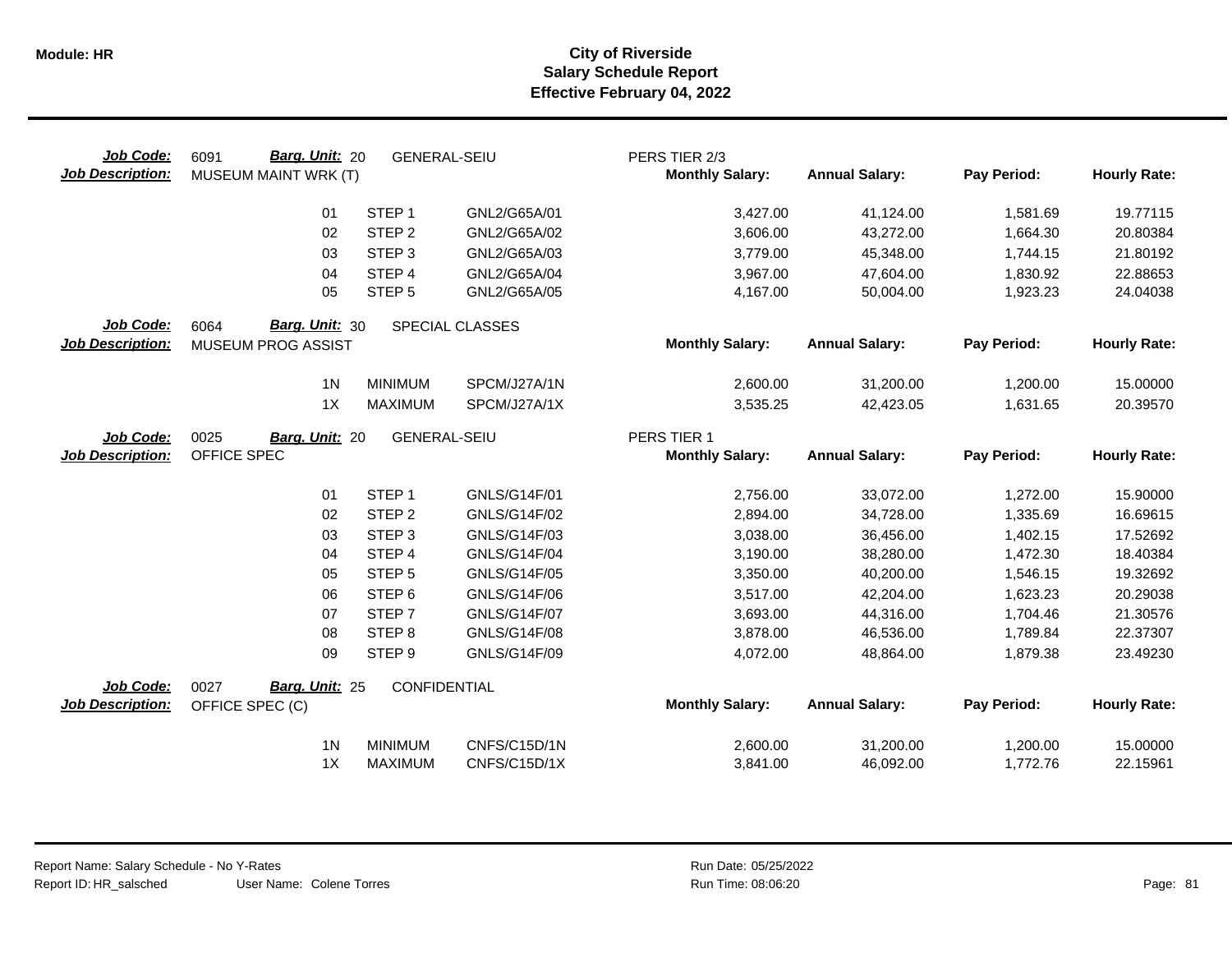| Job Code:<br><b>Job Description:</b> | <b>Barg. Unit: 20</b><br>6091<br>MUSEUM MAINT WRK (T) | <b>GENERAL-SEIU</b> |                     | PERS TIER 2/3<br><b>Monthly Salary:</b> | <b>Annual Salary:</b> | Pay Period: | <b>Hourly Rate:</b> |
|--------------------------------------|-------------------------------------------------------|---------------------|---------------------|-----------------------------------------|-----------------------|-------------|---------------------|
|                                      | 01                                                    | STEP <sub>1</sub>   | GNL2/G65A/01        | 3,427.00                                | 41,124.00             | 1,581.69    | 19.77115            |
|                                      | 02                                                    | STEP <sub>2</sub>   | GNL2/G65A/02        | 3,606.00                                | 43,272.00             | 1,664.30    | 20.80384            |
|                                      | 03                                                    | STEP <sub>3</sub>   | GNL2/G65A/03        | 3,779.00                                | 45,348.00             | 1,744.15    | 21.80192            |
|                                      | 04                                                    | STEP 4              | GNL2/G65A/04        | 3,967.00                                | 47,604.00             | 1,830.92    | 22.88653            |
|                                      | 05                                                    | STEP <sub>5</sub>   | GNL2/G65A/05        | 4,167.00                                | 50,004.00             | 1,923.23    | 24.04038            |
| Job Code:<br><b>Job Description:</b> | Barg. Unit: 30<br>6064<br>MUSEUM PROG ASSIST          |                     | SPECIAL CLASSES     | <b>Monthly Salary:</b>                  | <b>Annual Salary:</b> | Pay Period: | <b>Hourly Rate:</b> |
|                                      | 1 <sub>N</sub>                                        | <b>MINIMUM</b>      | SPCM/J27A/1N        | 2,600.00                                | 31,200.00             | 1,200.00    | 15.00000            |
|                                      | 1X                                                    | <b>MAXIMUM</b>      | SPCM/J27A/1X        | 3,535.25                                | 42,423.05             | 1,631.65    | 20.39570            |
| Job Code:<br><b>Job Description:</b> | 0025<br>Barg. Unit: 20<br>OFFICE SPEC                 | <b>GENERAL-SEIU</b> |                     | PERS TIER 1<br><b>Monthly Salary:</b>   | <b>Annual Salary:</b> | Pay Period: | <b>Hourly Rate:</b> |
|                                      | 01                                                    | STEP <sub>1</sub>   | GNLS/G14F/01        | 2,756.00                                | 33,072.00             | 1,272.00    | 15.90000            |
|                                      | 02                                                    | STEP <sub>2</sub>   | GNLS/G14F/02        | 2,894.00                                | 34,728.00             | 1,335.69    | 16.69615            |
|                                      | 03                                                    | STEP <sub>3</sub>   | GNLS/G14F/03        | 3,038.00                                | 36,456.00             | 1,402.15    | 17.52692            |
|                                      | 04                                                    | STEP 4              | GNLS/G14F/04        | 3,190.00                                | 38,280.00             | 1,472.30    | 18.40384            |
|                                      | 05                                                    | STEP <sub>5</sub>   | GNLS/G14F/05        | 3,350.00                                | 40,200.00             | 1,546.15    | 19.32692            |
|                                      | 06                                                    | STEP <sub>6</sub>   | GNLS/G14F/06        | 3,517.00                                | 42,204.00             | 1,623.23    | 20.29038            |
|                                      | 07                                                    | STEP <sub>7</sub>   | <b>GNLS/G14F/07</b> | 3,693.00                                | 44,316.00             | 1,704.46    | 21.30576            |
|                                      | 08                                                    | STEP <sub>8</sub>   | GNLS/G14F/08        | 3,878.00                                | 46,536.00             | 1,789.84    | 22.37307            |
|                                      | 09                                                    | STEP <sub>9</sub>   | GNLS/G14F/09        | 4,072.00                                | 48,864.00             | 1,879.38    | 23.49230            |
| Job Code:                            | Barg. Unit: 25<br>0027                                | <b>CONFIDENTIAL</b> |                     |                                         |                       |             |                     |
| <b>Job Description:</b>              | OFFICE SPEC (C)                                       |                     |                     | <b>Monthly Salary:</b>                  | <b>Annual Salary:</b> | Pay Period: | <b>Hourly Rate:</b> |
|                                      | 1 <sub>N</sub>                                        | <b>MINIMUM</b>      | CNFS/C15D/1N        | 2,600.00                                | 31,200.00             | 1,200.00    | 15.00000            |
|                                      | 1X                                                    | <b>MAXIMUM</b>      | CNFS/C15D/1X        | 3,841.00                                | 46,092.00             | 1,772.76    | 22.15961            |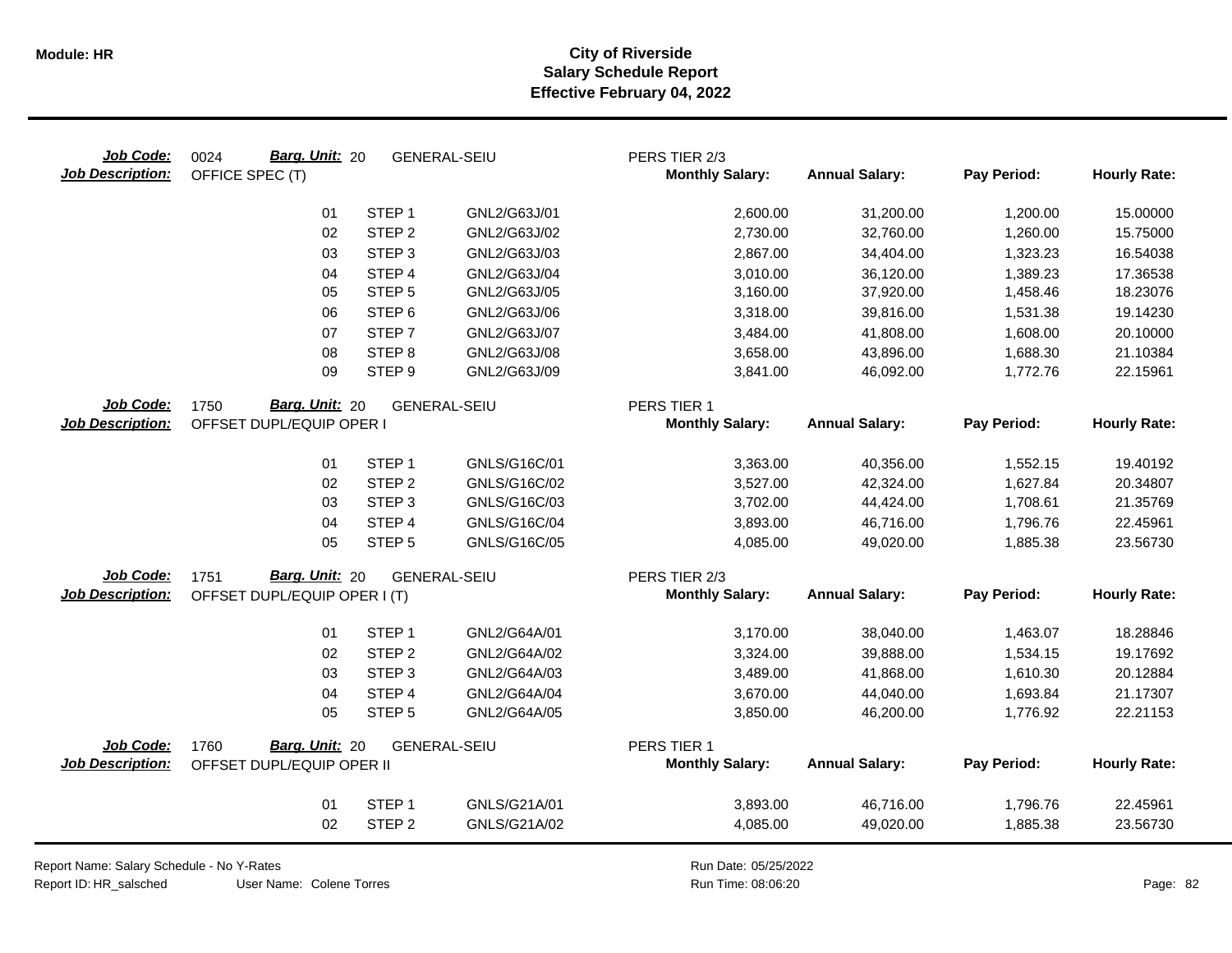| Job Code:<br><b>Job Description:</b> | Barg. Unit: 20<br>0024<br>OFFICE SPEC (T) |                   | <b>GENERAL-SEIU</b> | PERS TIER 2/3<br><b>Monthly Salary:</b> | <b>Annual Salary:</b> | Pay Period: | <b>Hourly Rate:</b> |
|--------------------------------------|-------------------------------------------|-------------------|---------------------|-----------------------------------------|-----------------------|-------------|---------------------|
|                                      | 01                                        | STEP <sub>1</sub> | GNL2/G63J/01        | 2,600.00                                | 31,200.00             | 1,200.00    | 15.00000            |
|                                      | 02                                        | STEP <sub>2</sub> | GNL2/G63J/02        | 2,730.00                                | 32,760.00             | 1,260.00    | 15.75000            |
|                                      | 03                                        | STEP <sub>3</sub> | GNL2/G63J/03        | 2,867.00                                | 34,404.00             | 1,323.23    | 16.54038            |
|                                      | 04                                        | STEP 4            | GNL2/G63J/04        | 3,010.00                                | 36,120.00             | 1,389.23    | 17.36538            |
|                                      | 05                                        | STEP <sub>5</sub> | GNL2/G63J/05        | 3,160.00                                | 37,920.00             | 1,458.46    | 18.23076            |
|                                      | 06                                        | STEP <sub>6</sub> | GNL2/G63J/06        | 3,318.00                                | 39,816.00             | 1,531.38    | 19.14230            |
|                                      | 07                                        | STEP <sub>7</sub> | GNL2/G63J/07        | 3,484.00                                | 41,808.00             | 1,608.00    | 20.10000            |
|                                      | 08                                        | STEP <sub>8</sub> | GNL2/G63J/08        | 3,658.00                                | 43,896.00             | 1,688.30    | 21.10384            |
|                                      | 09                                        | STEP <sub>9</sub> | GNL2/G63J/09        | 3,841.00                                | 46,092.00             | 1,772.76    | 22.15961            |
| Job Code:                            | Barg. Unit: 20<br>1750                    |                   | <b>GENERAL-SEIU</b> | PERS TIER 1                             |                       |             |                     |
| <b>Job Description:</b>              | OFFSET DUPL/EQUIP OPER I                  |                   |                     | <b>Monthly Salary:</b>                  | <b>Annual Salary:</b> | Pay Period: | <b>Hourly Rate:</b> |
|                                      | 01                                        | STEP <sub>1</sub> | GNLS/G16C/01        | 3,363.00                                | 40,356.00             | 1,552.15    | 19.40192            |
|                                      | 02                                        | STEP <sub>2</sub> | GNLS/G16C/02        | 3,527.00                                | 42,324.00             | 1,627.84    | 20.34807            |
|                                      | 03                                        | STEP <sub>3</sub> | GNLS/G16C/03        | 3,702.00                                | 44,424.00             | 1,708.61    | 21.35769            |
|                                      | 04                                        | STEP <sub>4</sub> | GNLS/G16C/04        | 3,893.00                                | 46,716.00             | 1,796.76    | 22.45961            |
|                                      | 05                                        | STEP <sub>5</sub> | GNLS/G16C/05        | 4,085.00                                | 49,020.00             | 1,885.38    | 23.56730            |
| Job Code:                            | Barg. Unit: 20<br>1751                    |                   | <b>GENERAL-SEIU</b> | PERS TIER 2/3                           |                       |             |                     |
| <b>Job Description:</b>              | OFFSET DUPL/EQUIP OPER I (T)              |                   |                     | <b>Monthly Salary:</b>                  | <b>Annual Salary:</b> | Pay Period: | <b>Hourly Rate:</b> |
|                                      | 01                                        | STEP <sub>1</sub> | GNL2/G64A/01        | 3,170.00                                | 38,040.00             | 1,463.07    | 18.28846            |
|                                      | 02                                        | STEP <sub>2</sub> | GNL2/G64A/02        | 3,324.00                                | 39,888.00             | 1,534.15    | 19.17692            |
|                                      | 03                                        | STEP <sub>3</sub> | GNL2/G64A/03        | 3,489.00                                | 41,868.00             | 1,610.30    | 20.12884            |
|                                      | 04                                        | STEP 4            | GNL2/G64A/04        | 3,670.00                                | 44,040.00             | 1,693.84    | 21.17307            |
|                                      | 05                                        | STEP <sub>5</sub> | GNL2/G64A/05        | 3,850.00                                | 46,200.00             | 1,776.92    | 22.21153            |
| Job Code:                            | Barg. Unit: 20<br>1760                    |                   | <b>GENERAL-SEIU</b> | PERS TIER 1                             |                       |             |                     |
| <b>Job Description:</b>              | OFFSET DUPL/EQUIP OPER II                 |                   |                     | <b>Monthly Salary:</b>                  | <b>Annual Salary:</b> | Pay Period: | <b>Hourly Rate:</b> |
|                                      | 01                                        | STEP <sub>1</sub> | GNLS/G21A/01        | 3,893.00                                | 46,716.00             | 1,796.76    | 22.45961            |
|                                      | 02                                        | STEP <sub>2</sub> | GNLS/G21A/02        | 4,085.00                                | 49,020.00             | 1,885.38    | 23.56730            |
|                                      |                                           |                   |                     |                                         |                       |             |                     |

Report Name: Salary Schedule - No Y-Rates

Report ID: HR\_salsched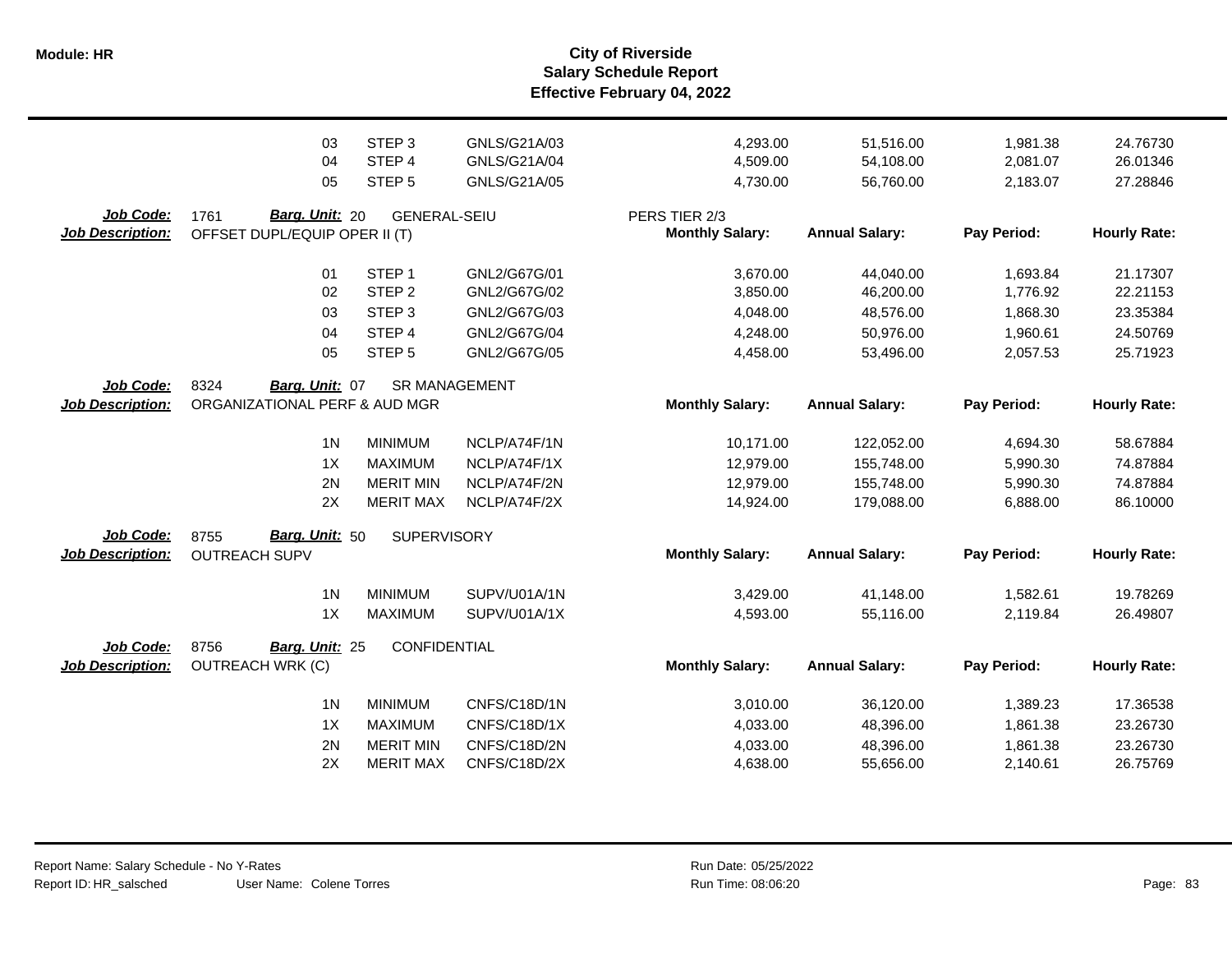**Salary Schedule Report Effective February 04, 2022 Module: HR City of Riverside**

|                                      | 03                                                      | STEP <sub>3</sub>    | GNLS/G21A/03 | 4,293.00                                | 51,516.00             | 1,981.38    | 24.76730            |
|--------------------------------------|---------------------------------------------------------|----------------------|--------------|-----------------------------------------|-----------------------|-------------|---------------------|
|                                      | 04                                                      | STEP <sub>4</sub>    | GNLS/G21A/04 | 4,509.00                                | 54,108.00             | 2,081.07    | 26.01346            |
|                                      | 05                                                      | STEP <sub>5</sub>    | GNLS/G21A/05 | 4,730.00                                | 56,760.00             | 2,183.07    | 27.28846            |
| Job Code:<br><b>Job Description:</b> | Barg. Unit: 20<br>1761<br>OFFSET DUPL/EQUIP OPER II (T) | <b>GENERAL-SEIU</b>  |              | PERS TIER 2/3<br><b>Monthly Salary:</b> | <b>Annual Salary:</b> | Pay Period: | <b>Hourly Rate:</b> |
|                                      | 01                                                      | STEP <sub>1</sub>    | GNL2/G67G/01 | 3,670.00                                | 44,040.00             | 1,693.84    | 21.17307            |
|                                      | 02                                                      | STEP <sub>2</sub>    | GNL2/G67G/02 | 3,850.00                                | 46,200.00             | 1,776.92    | 22.21153            |
|                                      | 03                                                      | STEP <sub>3</sub>    | GNL2/G67G/03 | 4,048.00                                | 48,576.00             | 1,868.30    | 23.35384            |
|                                      | 04                                                      | STEP 4               | GNL2/G67G/04 | 4,248.00                                | 50,976.00             | 1,960.61    | 24.50769            |
|                                      | 05                                                      | STEP <sub>5</sub>    | GNL2/G67G/05 | 4,458.00                                | 53,496.00             | 2,057.53    | 25.71923            |
| Job Code:<br><b>Job Description:</b> | 8324<br>Barg. Unit: 07<br>ORGANIZATIONAL PERF & AUD MGR | <b>SR MANAGEMENT</b> |              | <b>Monthly Salary:</b>                  | <b>Annual Salary:</b> | Pay Period: | <b>Hourly Rate:</b> |
|                                      | 1 <sub>N</sub>                                          | <b>MINIMUM</b>       | NCLP/A74F/1N | 10,171.00                               | 122,052.00            | 4,694.30    | 58.67884            |
|                                      | 1X                                                      | <b>MAXIMUM</b>       | NCLP/A74F/1X | 12,979.00                               | 155,748.00            | 5,990.30    | 74.87884            |
|                                      | 2N                                                      | <b>MERIT MIN</b>     | NCLP/A74F/2N | 12,979.00                               | 155,748.00            | 5,990.30    | 74.87884            |
|                                      | 2X                                                      | <b>MERIT MAX</b>     | NCLP/A74F/2X | 14,924.00                               | 179,088.00            | 6,888.00    | 86.10000            |
| Job Code:<br><b>Job Description:</b> | Barg. Unit: 50<br>8755<br><b>OUTREACH SUPV</b>          | SUPERVISORY          |              | <b>Monthly Salary:</b>                  | <b>Annual Salary:</b> | Pay Period: | <b>Hourly Rate:</b> |
|                                      | 1 <sub>N</sub>                                          | <b>MINIMUM</b>       | SUPV/U01A/1N | 3,429.00                                | 41,148.00             | 1,582.61    | 19.78269            |
|                                      | 1X                                                      | <b>MAXIMUM</b>       | SUPV/U01A/1X | 4,593.00                                | 55,116.00             | 2,119.84    | 26.49807            |
| Job Code:<br><b>Job Description:</b> | 8756<br>Barg. Unit: 25<br><b>OUTREACH WRK (C)</b>       | CONFIDENTIAL         |              | <b>Monthly Salary:</b>                  | <b>Annual Salary:</b> | Pay Period: | <b>Hourly Rate:</b> |
|                                      | 1 <sub>N</sub>                                          | <b>MINIMUM</b>       | CNFS/C18D/1N | 3,010.00                                | 36,120.00             | 1,389.23    | 17.36538            |
|                                      | 1X                                                      | <b>MAXIMUM</b>       | CNFS/C18D/1X | 4,033.00                                | 48,396.00             | 1,861.38    | 23.26730            |
|                                      | 2N                                                      | <b>MERIT MIN</b>     | CNFS/C18D/2N | 4,033.00                                | 48,396.00             | 1,861.38    | 23.26730            |
|                                      | 2X                                                      | <b>MERIT MAX</b>     | CNFS/C18D/2X | 4,638.00                                | 55,656.00             | 2,140.61    | 26.75769            |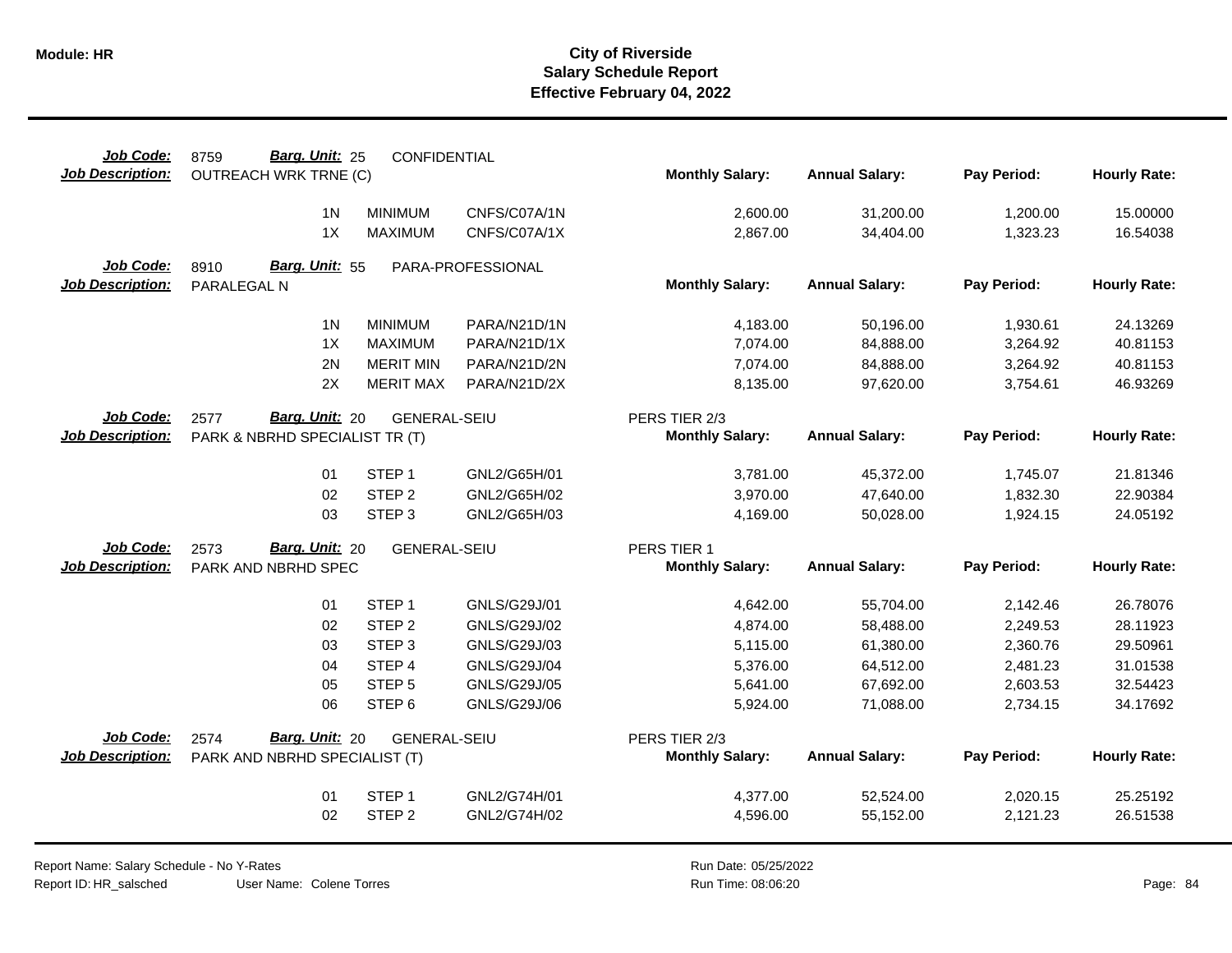| Job Code:               | Barg. Unit: 25<br>8759         | CONFIDENTIAL        |                   |                        |                       |             |                     |
|-------------------------|--------------------------------|---------------------|-------------------|------------------------|-----------------------|-------------|---------------------|
| <b>Job Description:</b> | <b>OUTREACH WRK TRNE (C)</b>   |                     |                   | <b>Monthly Salary:</b> | <b>Annual Salary:</b> | Pay Period: | <b>Hourly Rate:</b> |
|                         | 1 <sup>N</sup>                 | <b>MINIMUM</b>      | CNFS/C07A/1N      | 2,600.00               | 31,200.00             | 1,200.00    | 15.00000            |
|                         | 1X                             | <b>MAXIMUM</b>      | CNFS/C07A/1X      | 2,867.00               | 34,404.00             | 1,323.23    | 16.54038            |
| Job Code:               | Barg. Unit: 55<br>8910         |                     | PARA-PROFESSIONAL |                        |                       |             |                     |
| <b>Job Description:</b> | PARALEGAL N                    |                     |                   | <b>Monthly Salary:</b> | <b>Annual Salary:</b> | Pay Period: | <b>Hourly Rate:</b> |
|                         | 1 <sup>N</sup>                 | <b>MINIMUM</b>      | PARA/N21D/1N      | 4,183.00               | 50,196.00             | 1,930.61    | 24.13269            |
|                         | 1X                             | <b>MAXIMUM</b>      | PARA/N21D/1X      | 7,074.00               | 84,888.00             | 3,264.92    | 40.81153            |
|                         | 2N                             | <b>MERIT MIN</b>    | PARA/N21D/2N      | 7,074.00               | 84,888.00             | 3,264.92    | 40.81153            |
|                         | 2X                             | <b>MERIT MAX</b>    | PARA/N21D/2X      | 8,135.00               | 97,620.00             | 3,754.61    | 46.93269            |
| Job Code:               | <b>Barg. Unit: 20</b><br>2577  | <b>GENERAL-SEIU</b> |                   | PERS TIER 2/3          |                       |             |                     |
| <b>Job Description:</b> | PARK & NBRHD SPECIALIST TR (T) |                     |                   | <b>Monthly Salary:</b> | <b>Annual Salary:</b> | Pay Period: | <b>Hourly Rate:</b> |
|                         | 01                             | STEP <sub>1</sub>   | GNL2/G65H/01      | 3,781.00               | 45,372.00             | 1,745.07    | 21.81346            |
|                         | 02                             | STEP <sub>2</sub>   | GNL2/G65H/02      | 3,970.00               | 47,640.00             | 1,832.30    | 22.90384            |
|                         | 03                             | STEP <sub>3</sub>   | GNL2/G65H/03      | 4,169.00               | 50,028.00             | 1,924.15    | 24.05192            |
| Job Code:               | Barg. Unit: 20<br>2573         | <b>GENERAL-SEIU</b> |                   | PERS TIER 1            |                       |             |                     |
| <b>Job Description:</b> | PARK AND NBRHD SPEC            |                     |                   | <b>Monthly Salary:</b> | <b>Annual Salary:</b> | Pay Period: | <b>Hourly Rate:</b> |
|                         | 01                             | STEP <sub>1</sub>   | GNLS/G29J/01      | 4,642.00               | 55,704.00             | 2,142.46    | 26.78076            |
|                         | 02                             | STEP <sub>2</sub>   | GNLS/G29J/02      | 4,874.00               | 58,488.00             | 2,249.53    | 28.11923            |
|                         | 03                             | STEP <sub>3</sub>   | GNLS/G29J/03      | 5,115.00               | 61,380.00             | 2,360.76    | 29.50961            |
|                         | 04                             | STEP 4              | GNLS/G29J/04      | 5,376.00               | 64,512.00             | 2,481.23    | 31.01538            |
|                         | 05                             | STEP <sub>5</sub>   | GNLS/G29J/05      | 5,641.00               | 67,692.00             | 2,603.53    | 32.54423            |
|                         | 06                             | STEP <sub>6</sub>   | GNLS/G29J/06      | 5,924.00               | 71,088.00             | 2,734.15    | 34.17692            |
| Job Code:               | Barg. Unit: 20<br>2574         | <b>GENERAL-SEIU</b> |                   | PERS TIER 2/3          |                       |             |                     |
| <b>Job Description:</b> | PARK AND NBRHD SPECIALIST (T)  |                     |                   | <b>Monthly Salary:</b> | <b>Annual Salary:</b> | Pay Period: | <b>Hourly Rate:</b> |
|                         | 01                             | STEP <sub>1</sub>   | GNL2/G74H/01      | 4,377.00               | 52,524.00             | 2,020.15    | 25.25192            |
|                         | 02                             | STEP <sub>2</sub>   | GNL2/G74H/02      | 4,596.00               | 55,152.00             | 2,121.23    | 26.51538            |
|                         |                                |                     |                   |                        |                       |             |                     |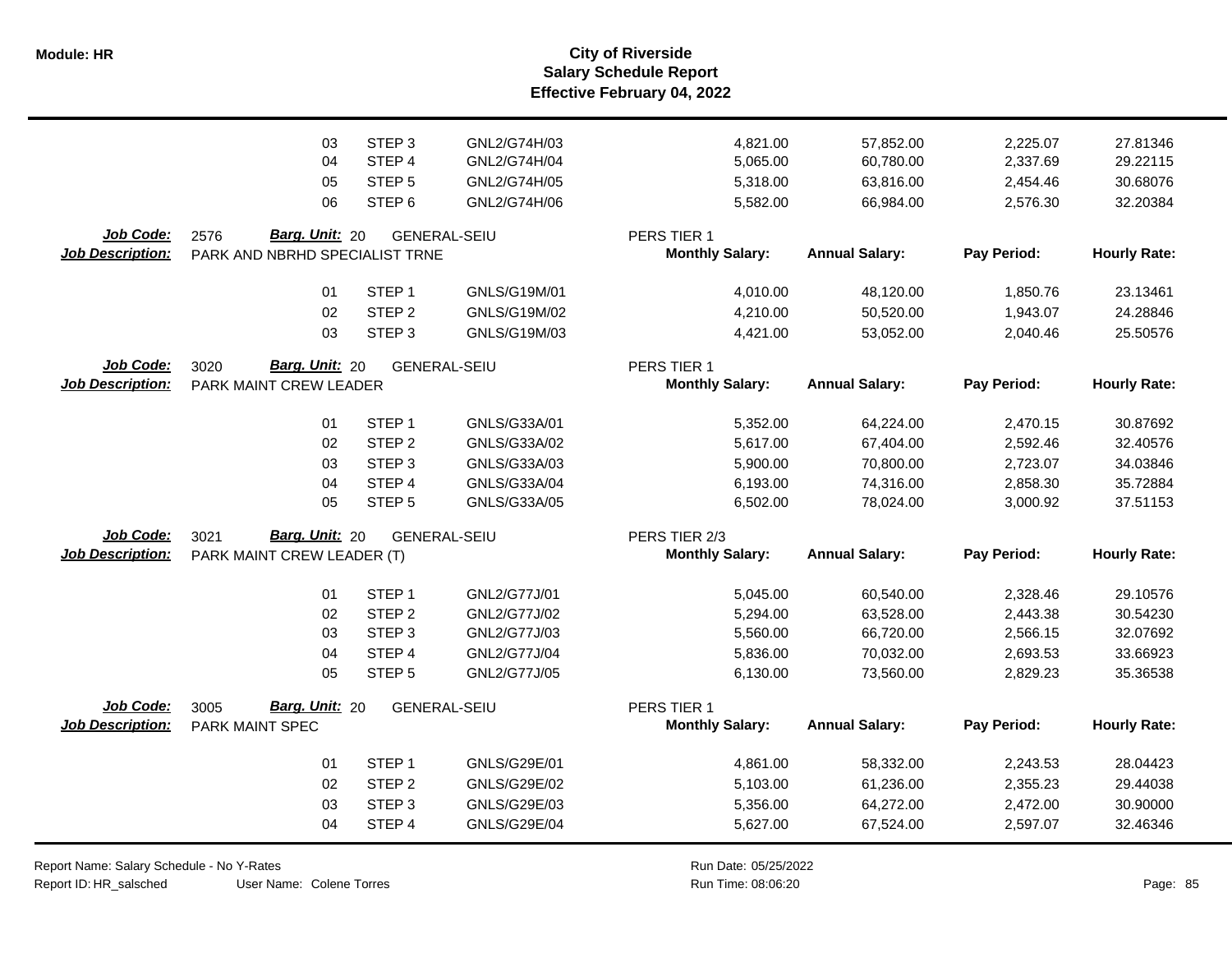**Salary Schedule Report Effective February 04, 2022 Module: HR City of Riverside**

|                                      | 03<br>04<br>05<br>06                                     | STEP <sub>3</sub><br>STEP <sub>4</sub><br>STEP <sub>5</sub><br>STEP <sub>6</sub> | GNL2/G74H/03<br>GNL2/G74H/04<br>GNL2/G74H/05<br>GNL2/G74H/06 | 4,821.00<br>5,065.00<br>5,318.00<br>5,582.00 | 57,852.00<br>60,780.00<br>63,816.00<br>66,984.00 | 2,225.07<br>2,337.69<br>2,454.46<br>2,576.30 | 27.81346<br>29.22115<br>30.68076<br>32.20384 |
|--------------------------------------|----------------------------------------------------------|----------------------------------------------------------------------------------|--------------------------------------------------------------|----------------------------------------------|--------------------------------------------------|----------------------------------------------|----------------------------------------------|
| Job Code:<br><b>Job Description:</b> | Barg. Unit: 20<br>2576<br>PARK AND NBRHD SPECIALIST TRNE |                                                                                  | <b>GENERAL-SEIU</b>                                          | PERS TIER 1<br><b>Monthly Salary:</b>        | <b>Annual Salary:</b>                            | Pay Period:                                  | <b>Hourly Rate:</b>                          |
|                                      |                                                          |                                                                                  |                                                              |                                              |                                                  |                                              |                                              |
|                                      | 01                                                       | STEP <sub>1</sub>                                                                | GNLS/G19M/01                                                 | 4,010.00                                     | 48,120.00                                        | 1,850.76                                     | 23.13461                                     |
|                                      | 02                                                       | STEP <sub>2</sub>                                                                | GNLS/G19M/02                                                 | 4,210.00                                     | 50,520.00                                        | 1,943.07                                     | 24.28846                                     |
|                                      | 03                                                       | STEP <sub>3</sub>                                                                | GNLS/G19M/03                                                 | 4,421.00                                     | 53,052.00                                        | 2,040.46                                     | 25.50576                                     |
| Job Code:                            | Barg. Unit: 20<br>3020<br><b>GENERAL-SEIU</b>            |                                                                                  |                                                              | PERS TIER 1                                  |                                                  |                                              |                                              |
| <b>Job Description:</b>              | PARK MAINT CREW LEADER                                   |                                                                                  |                                                              | <b>Monthly Salary:</b>                       | <b>Annual Salary:</b>                            | Pay Period:                                  | <b>Hourly Rate:</b>                          |
|                                      | 01                                                       | STEP <sub>1</sub>                                                                | GNLS/G33A/01                                                 | 5,352.00                                     | 64,224.00                                        | 2,470.15                                     | 30.87692                                     |
|                                      | 02                                                       | STEP <sub>2</sub>                                                                | GNLS/G33A/02                                                 | 5,617.00                                     | 67,404.00                                        | 2,592.46                                     | 32.40576                                     |
|                                      | 03                                                       | STEP <sub>3</sub>                                                                | GNLS/G33A/03                                                 | 5,900.00                                     | 70,800.00                                        | 2,723.07                                     | 34.03846                                     |
|                                      | 04                                                       | STEP <sub>4</sub>                                                                | GNLS/G33A/04                                                 | 6,193.00                                     | 74,316.00                                        | 2,858.30                                     | 35.72884                                     |
|                                      | 05                                                       | STEP <sub>5</sub>                                                                | GNLS/G33A/05                                                 | 6,502.00                                     | 78,024.00                                        | 3,000.92                                     | 37.51153                                     |
| Job Code:                            | 3021<br>Barg. Unit: 20                                   |                                                                                  | <b>GENERAL-SEIU</b>                                          | PERS TIER 2/3                                |                                                  |                                              |                                              |
| <b>Job Description:</b>              | PARK MAINT CREW LEADER (T)                               |                                                                                  |                                                              | <b>Monthly Salary:</b>                       | <b>Annual Salary:</b>                            | Pay Period:                                  | <b>Hourly Rate:</b>                          |
|                                      | 01                                                       | STEP <sub>1</sub>                                                                | GNL2/G77J/01                                                 | 5,045.00                                     | 60,540.00                                        | 2,328.46                                     | 29.10576                                     |
|                                      | 02                                                       | STEP <sub>2</sub>                                                                | GNL2/G77J/02                                                 | 5,294.00                                     | 63,528.00                                        | 2,443.38                                     | 30.54230                                     |
|                                      | 03                                                       | STEP <sub>3</sub>                                                                | GNL2/G77J/03                                                 | 5,560.00                                     | 66,720.00                                        | 2,566.15                                     | 32.07692                                     |
|                                      | 04                                                       | STEP 4                                                                           | GNL2/G77J/04                                                 | 5,836.00                                     | 70,032.00                                        | 2,693.53                                     | 33.66923                                     |
|                                      | 05                                                       | STEP <sub>5</sub>                                                                | GNL2/G77J/05                                                 | 6,130.00                                     | 73,560.00                                        | 2,829.23                                     | 35.36538                                     |
| Job Code:<br><b>Job Description:</b> | 3005<br><b>Barg. Unit: 20</b><br>PARK MAINT SPEC         |                                                                                  | <b>GENERAL-SEIU</b>                                          | PERS TIER 1<br><b>Monthly Salary:</b>        | <b>Annual Salary:</b>                            | Pay Period:                                  | <b>Hourly Rate:</b>                          |
|                                      |                                                          |                                                                                  |                                                              |                                              |                                                  |                                              |                                              |
|                                      | 01                                                       | STEP <sub>1</sub>                                                                | GNLS/G29E/01                                                 | 4,861.00                                     | 58,332.00                                        | 2,243.53                                     | 28.04423                                     |
|                                      | 02                                                       | STEP <sub>2</sub>                                                                | GNLS/G29E/02                                                 | 5,103.00                                     | 61,236.00                                        | 2,355.23                                     | 29.44038                                     |
|                                      | 03                                                       | STEP <sub>3</sub>                                                                | GNLS/G29E/03                                                 | 5,356.00                                     | 64,272.00                                        | 2,472.00                                     | 30.90000                                     |
|                                      | 04                                                       | STEP 4                                                                           | <b>GNLS/G29E/04</b>                                          | 5,627.00                                     | 67,524.00                                        | 2,597.07                                     | 32.46346                                     |

Report Name: Salary Schedule - No Y-Rates Report ID: HR\_salsched

User Name: Colene Torres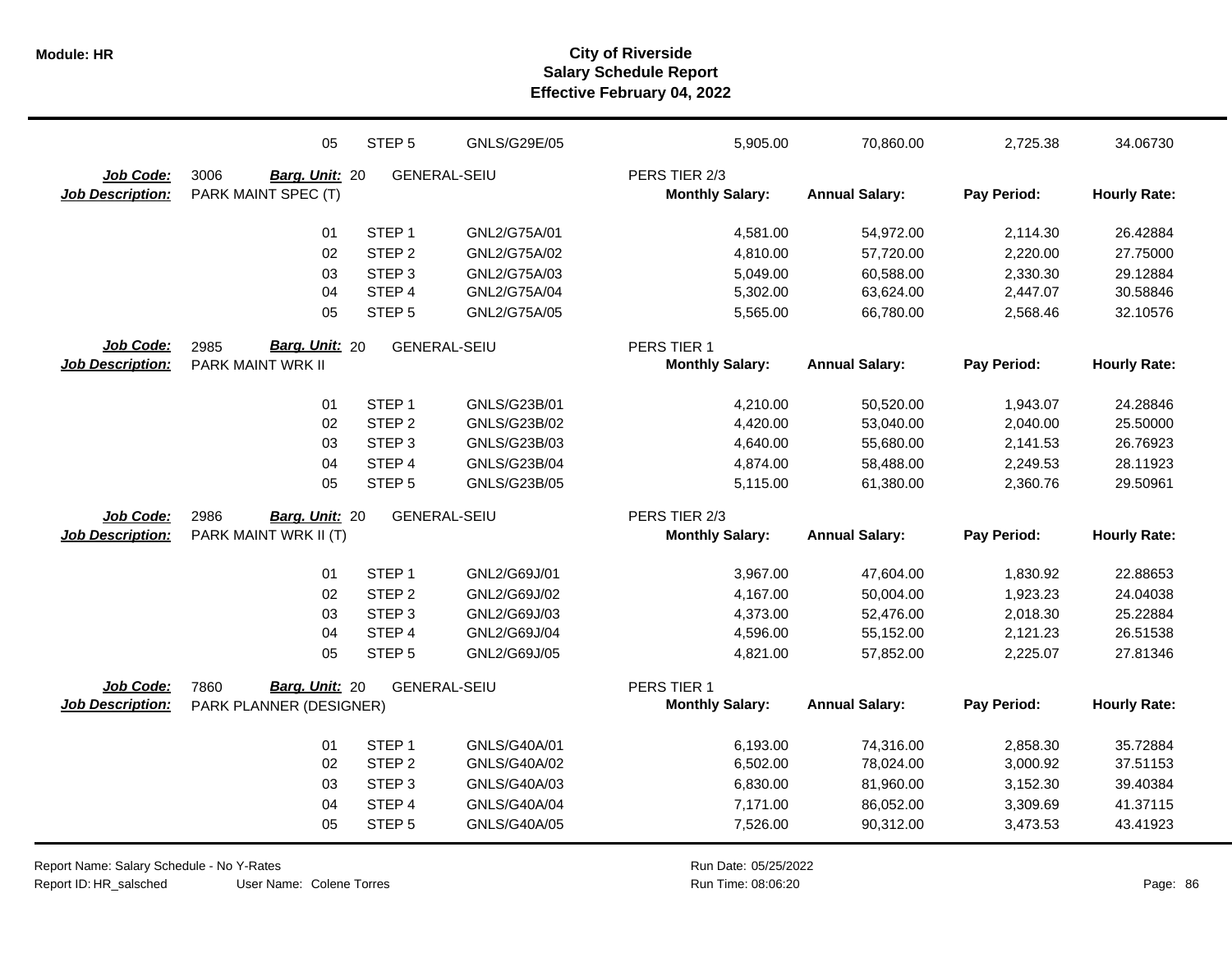|                         | 05                      | STEP <sub>5</sub> | <b>GNLS/G29E/05</b> | 5,905.00               | 70,860.00             | 2,725.38    | 34.06730            |
|-------------------------|-------------------------|-------------------|---------------------|------------------------|-----------------------|-------------|---------------------|
| Job Code:               | 3006<br>Barg. Unit: 20  |                   | <b>GENERAL-SEIU</b> | PERS TIER 2/3          |                       |             |                     |
| <b>Job Description:</b> | PARK MAINT SPEC (T)     |                   |                     | <b>Monthly Salary:</b> | <b>Annual Salary:</b> | Pay Period: | <b>Hourly Rate:</b> |
|                         | 01                      | STEP <sub>1</sub> | GNL2/G75A/01        | 4,581.00               | 54,972.00             | 2,114.30    | 26.42884            |
|                         | 02                      | STEP <sub>2</sub> | GNL2/G75A/02        | 4,810.00               | 57,720.00             | 2,220.00    | 27.75000            |
|                         | 03                      | STEP <sub>3</sub> | GNL2/G75A/03        | 5,049.00               | 60,588.00             | 2,330.30    | 29.12884            |
|                         | 04                      | STEP 4            | GNL2/G75A/04        | 5,302.00               | 63,624.00             | 2,447.07    | 30.58846            |
|                         | 05                      | STEP <sub>5</sub> | GNL2/G75A/05        | 5,565.00               | 66,780.00             | 2,568.46    | 32.10576            |
| Job Code:               | Barg. Unit: 20<br>2985  |                   | <b>GENERAL-SEIU</b> | PERS TIER 1            |                       |             |                     |
| <b>Job Description:</b> | PARK MAINT WRK II       |                   |                     | <b>Monthly Salary:</b> | <b>Annual Salary:</b> | Pay Period: | <b>Hourly Rate:</b> |
|                         | 01                      | STEP <sub>1</sub> | GNLS/G23B/01        | 4,210.00               | 50,520.00             | 1,943.07    | 24.28846            |
|                         | 02                      | STEP <sub>2</sub> | GNLS/G23B/02        | 4,420.00               | 53,040.00             | 2,040.00    | 25.50000            |
|                         | 03                      | STEP <sub>3</sub> | GNLS/G23B/03        | 4,640.00               | 55,680.00             | 2,141.53    | 26.76923            |
|                         | 04                      | STEP 4            | GNLS/G23B/04        | 4,874.00               | 58,488.00             | 2,249.53    | 28.11923            |
|                         | 05                      | STEP <sub>5</sub> | GNLS/G23B/05        | 5,115.00               | 61,380.00             | 2,360.76    | 29.50961            |
| Job Code:               | 2986<br>Barg. Unit: 20  |                   | <b>GENERAL-SEIU</b> | PERS TIER 2/3          |                       |             |                     |
| <b>Job Description:</b> | PARK MAINT WRK II (T)   |                   |                     | <b>Monthly Salary:</b> | <b>Annual Salary:</b> | Pay Period: | <b>Hourly Rate:</b> |
|                         | 01                      | STEP <sub>1</sub> | GNL2/G69J/01        | 3,967.00               | 47,604.00             | 1,830.92    | 22.88653            |
|                         | 02                      | STEP <sub>2</sub> | GNL2/G69J/02        | 4,167.00               | 50,004.00             | 1,923.23    | 24.04038            |
|                         | 03                      | STEP <sub>3</sub> | GNL2/G69J/03        | 4,373.00               | 52,476.00             | 2,018.30    | 25.22884            |
|                         | 04                      | STEP 4            | GNL2/G69J/04        | 4,596.00               | 55,152.00             | 2,121.23    | 26.51538            |
|                         | 05                      | STEP <sub>5</sub> | GNL2/G69J/05        | 4,821.00               | 57,852.00             | 2,225.07    | 27.81346            |
| Job Code:               | Barg. Unit: 20<br>7860  |                   | <b>GENERAL-SEIU</b> | PERS TIER 1            |                       |             |                     |
| Job Description:        | PARK PLANNER (DESIGNER) |                   |                     | <b>Monthly Salary:</b> | <b>Annual Salary:</b> | Pay Period: | <b>Hourly Rate:</b> |
|                         | 01                      | STEP <sub>1</sub> | GNLS/G40A/01        | 6,193.00               | 74,316.00             | 2,858.30    | 35.72884            |
|                         | 02                      | STEP <sub>2</sub> | GNLS/G40A/02        | 6,502.00               | 78,024.00             | 3,000.92    | 37.51153            |
|                         | 03                      | STEP <sub>3</sub> | GNLS/G40A/03        | 6,830.00               | 81,960.00             | 3,152.30    | 39.40384            |
|                         | 04                      | STEP 4            | GNLS/G40A/04        | 7,171.00               | 86,052.00             | 3,309.69    | 41.37115            |
|                         | 05                      | STEP <sub>5</sub> | GNLS/G40A/05        | 7,526.00               | 90,312.00             | 3,473.53    | 43.41923            |

Report Name: Salary Schedule - No Y-Rates

Report ID: HR\_salsched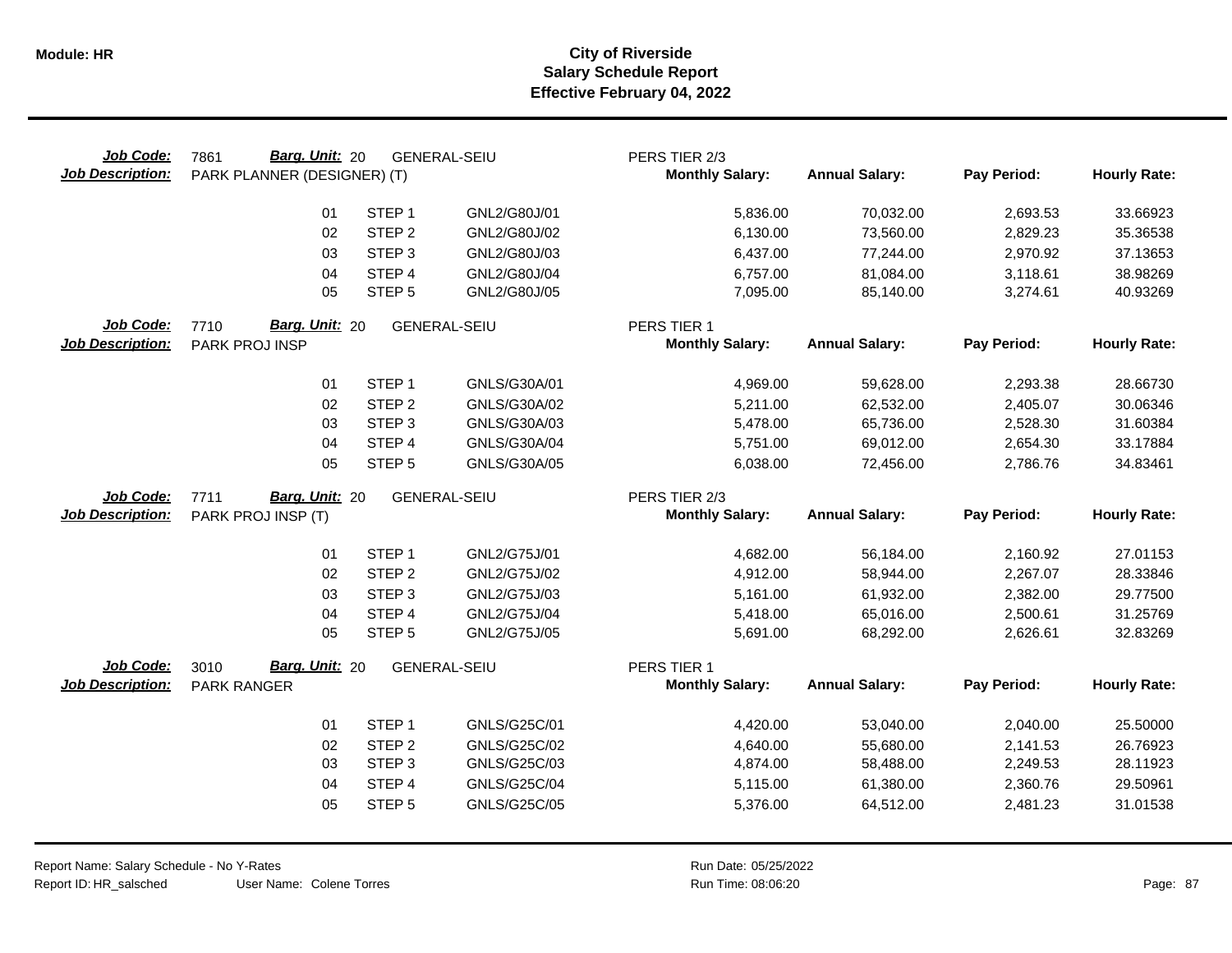| Job Code:<br><b>Job Description:</b> | Barg. Unit: 20<br>7861<br><b>GENERAL-SEIU</b><br>PARK PLANNER (DESIGNER) (T) |                             |                              | PERS TIER 2/3<br><b>Monthly Salary:</b> | <b>Annual Salary:</b> | Pay Period: | <b>Hourly Rate:</b>  |
|--------------------------------------|------------------------------------------------------------------------------|-----------------------------|------------------------------|-----------------------------------------|-----------------------|-------------|----------------------|
|                                      | 01                                                                           | STEP <sub>1</sub>           | GNL2/G80J/01                 | 5,836.00                                | 70,032.00             | 2,693.53    | 33.66923             |
|                                      | 02                                                                           | STEP <sub>2</sub>           | GNL2/G80J/02                 | 6,130.00                                | 73,560.00             | 2,829.23    | 35.36538             |
|                                      | 03                                                                           | STEP <sub>3</sub>           | GNL2/G80J/03                 | 6,437.00                                | 77,244.00             | 2,970.92    | 37.13653             |
|                                      | 04                                                                           | STEP 4                      | GNL2/G80J/04                 | 6,757.00                                | 81,084.00             | 3,118.61    | 38.98269             |
|                                      | 05                                                                           | STEP <sub>5</sub>           | GNL2/G80J/05                 | 7,095.00                                | 85,140.00             | 3,274.61    | 40.93269             |
| Job Code:<br><b>Job Description:</b> | Barg. Unit: 20<br>7710<br>PARK PROJ INSP                                     |                             | <b>GENERAL-SEIU</b>          | PERS TIER 1<br><b>Monthly Salary:</b>   | <b>Annual Salary:</b> | Pay Period: | <b>Hourly Rate:</b>  |
|                                      |                                                                              |                             |                              |                                         |                       |             |                      |
|                                      | 01                                                                           | STEP <sub>1</sub>           | GNLS/G30A/01                 | 4,969.00                                | 59,628.00             | 2,293.38    | 28.66730             |
|                                      | 02                                                                           | STEP <sub>2</sub>           | GNLS/G30A/02                 | 5,211.00                                | 62,532.00             | 2,405.07    | 30.06346             |
|                                      | 03                                                                           | STEP <sub>3</sub>           | GNLS/G30A/03                 | 5,478.00                                | 65,736.00             | 2,528.30    | 31.60384             |
|                                      | 04                                                                           | STEP 4                      | GNLS/G30A/04                 | 5,751.00                                | 69,012.00             | 2,654.30    | 33.17884             |
|                                      | 05                                                                           | STEP <sub>5</sub>           | GNLS/G30A/05                 | 6,038.00                                | 72,456.00             | 2,786.76    | 34.83461             |
| <b>Job Code:</b>                     | Barg. Unit: 20<br>7711                                                       |                             | <b>GENERAL-SEIU</b>          | PERS TIER 2/3                           |                       |             |                      |
| <b>Job Description:</b>              | PARK PROJ INSP (T)                                                           |                             |                              | <b>Monthly Salary:</b>                  | <b>Annual Salary:</b> | Pay Period: | <b>Hourly Rate:</b>  |
|                                      |                                                                              |                             |                              |                                         |                       |             |                      |
|                                      | 01                                                                           | STEP <sub>1</sub>           | GNL2/G75J/01                 | 4,682.00                                | 56,184.00             | 2,160.92    | 27.01153             |
|                                      | 02                                                                           | STEP <sub>2</sub>           | GNL2/G75J/02                 | 4,912.00                                | 58,944.00             | 2,267.07    | 28.33846             |
|                                      | 03                                                                           | STEP <sub>3</sub>           | GNL2/G75J/03                 | 5,161.00                                | 61,932.00             | 2,382.00    | 29.77500             |
|                                      | 04<br>05                                                                     | STEP 4<br>STEP <sub>5</sub> | GNL2/G75J/04<br>GNL2/G75J/05 | 5,418.00                                | 65,016.00             | 2,500.61    | 31.25769<br>32.83269 |
|                                      |                                                                              |                             |                              | 5,691.00                                | 68,292.00             | 2,626.61    |                      |
| Job Code:                            | Barg. Unit: 20<br>3010                                                       |                             | <b>GENERAL-SEIU</b>          | PERS TIER 1                             |                       |             |                      |
| <b>Job Description:</b>              | PARK RANGER                                                                  |                             |                              | <b>Monthly Salary:</b>                  | <b>Annual Salary:</b> | Pay Period: | <b>Hourly Rate:</b>  |
|                                      | 01                                                                           | STEP <sub>1</sub>           | GNLS/G25C/01                 | 4,420.00                                | 53,040.00             | 2,040.00    | 25.50000             |
|                                      | 02                                                                           | STEP <sub>2</sub>           | GNLS/G25C/02                 | 4,640.00                                | 55,680.00             | 2,141.53    | 26.76923             |
|                                      | 03                                                                           | STEP <sub>3</sub>           | GNLS/G25C/03                 | 4,874.00                                | 58,488.00             | 2,249.53    | 28.11923             |
|                                      | 04                                                                           | STEP 4                      | GNLS/G25C/04                 | 5,115.00                                | 61,380.00             | 2,360.76    | 29.50961             |
|                                      | 05                                                                           | STEP <sub>5</sub>           | GNLS/G25C/05                 | 5,376.00                                | 64,512.00             | 2,481.23    | 31.01538             |
|                                      |                                                                              |                             |                              |                                         |                       |             |                      |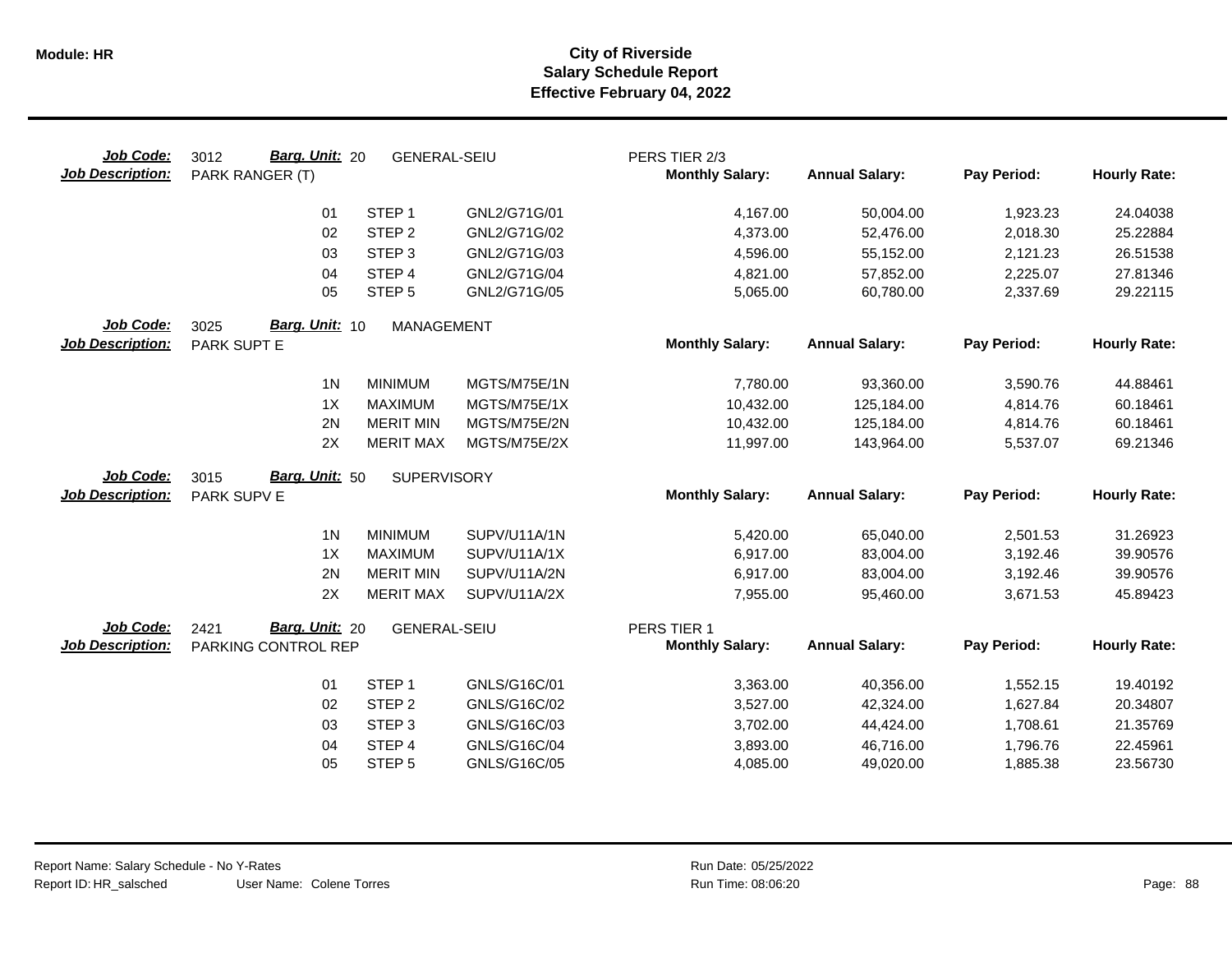| Job Code:<br><b>Job Description:</b> | Barg. Unit: 20<br>3012<br><b>GENERAL-SEIU</b><br>PARK RANGER (T) |                     |              | PERS TIER 2/3<br><b>Monthly Salary:</b> | <b>Annual Salary:</b> | Pay Period: | <b>Hourly Rate:</b> |
|--------------------------------------|------------------------------------------------------------------|---------------------|--------------|-----------------------------------------|-----------------------|-------------|---------------------|
|                                      | 01                                                               | STEP <sub>1</sub>   | GNL2/G71G/01 | 4,167.00                                | 50,004.00             | 1,923.23    | 24.04038            |
|                                      | 02                                                               | STEP <sub>2</sub>   | GNL2/G71G/02 | 4,373.00                                | 52,476.00             | 2,018.30    | 25.22884            |
|                                      | 03                                                               | STEP <sub>3</sub>   | GNL2/G71G/03 | 4,596.00                                | 55,152.00             | 2,121.23    | 26.51538            |
|                                      | 04                                                               | STEP 4              | GNL2/G71G/04 | 4,821.00                                | 57,852.00             | 2,225.07    | 27.81346            |
|                                      | 05                                                               | STEP <sub>5</sub>   | GNL2/G71G/05 | 5,065.00                                | 60,780.00             | 2,337.69    | 29.22115            |
| Job Code:                            | Barg. Unit: 10<br>3025<br><b>MANAGEMENT</b>                      |                     |              |                                         |                       |             |                     |
| <b>Job Description:</b>              | PARK SUPT E                                                      |                     |              | <b>Monthly Salary:</b>                  | <b>Annual Salary:</b> | Pay Period: | <b>Hourly Rate:</b> |
|                                      | 1 <sub>N</sub>                                                   | <b>MINIMUM</b>      | MGTS/M75E/1N | 7,780.00                                | 93,360.00             | 3,590.76    | 44.88461            |
|                                      | 1X                                                               | <b>MAXIMUM</b>      | MGTS/M75E/1X | 10,432.00                               | 125,184.00            | 4,814.76    | 60.18461            |
|                                      | 2N                                                               | <b>MERIT MIN</b>    | MGTS/M75E/2N | 10,432.00                               | 125,184.00            | 4,814.76    | 60.18461            |
|                                      | 2X                                                               | <b>MERIT MAX</b>    | MGTS/M75E/2X | 11,997.00                               | 143,964.00            | 5,537.07    | 69.21346            |
| Job Code:                            | Barg. Unit: 50<br>3015                                           | <b>SUPERVISORY</b>  |              |                                         |                       |             |                     |
| <b>Job Description:</b>              | PARK SUPV E                                                      |                     |              | <b>Monthly Salary:</b>                  | <b>Annual Salary:</b> | Pay Period: | <b>Hourly Rate:</b> |
|                                      | 1 <sub>N</sub>                                                   | <b>MINIMUM</b>      | SUPV/U11A/1N | 5,420.00                                | 65,040.00             | 2,501.53    | 31.26923            |
|                                      | 1X                                                               | <b>MAXIMUM</b>      | SUPV/U11A/1X | 6,917.00                                | 83,004.00             | 3,192.46    | 39.90576            |
|                                      | 2N                                                               | <b>MERIT MIN</b>    | SUPV/U11A/2N | 6,917.00                                | 83,004.00             | 3,192.46    | 39.90576            |
|                                      | 2X                                                               | <b>MERIT MAX</b>    | SUPV/U11A/2X | 7,955.00                                | 95,460.00             | 3,671.53    | 45.89423            |
| Job Code:<br><b>Job Description:</b> | Barg. Unit: 20<br>2421<br>PARKING CONTROL REP                    | <b>GENERAL-SEIU</b> |              | PERS TIER 1<br><b>Monthly Salary:</b>   | <b>Annual Salary:</b> | Pay Period: | <b>Hourly Rate:</b> |
|                                      |                                                                  |                     |              |                                         |                       |             |                     |
|                                      | 01                                                               | STEP <sub>1</sub>   | GNLS/G16C/01 | 3,363.00                                | 40,356.00             | 1,552.15    | 19.40192            |
|                                      | 02                                                               | STEP <sub>2</sub>   | GNLS/G16C/02 | 3,527.00                                | 42,324.00             | 1,627.84    | 20.34807            |
|                                      | 03                                                               | STEP <sub>3</sub>   | GNLS/G16C/03 | 3,702.00                                | 44,424.00             | 1,708.61    | 21.35769            |
|                                      | 04                                                               | STEP <sub>4</sub>   | GNLS/G16C/04 | 3,893.00                                | 46,716.00             | 1,796.76    | 22.45961            |
|                                      | 05                                                               | STEP <sub>5</sub>   | GNLS/G16C/05 | 4,085.00                                | 49,020.00             | 1,885.38    | 23.56730            |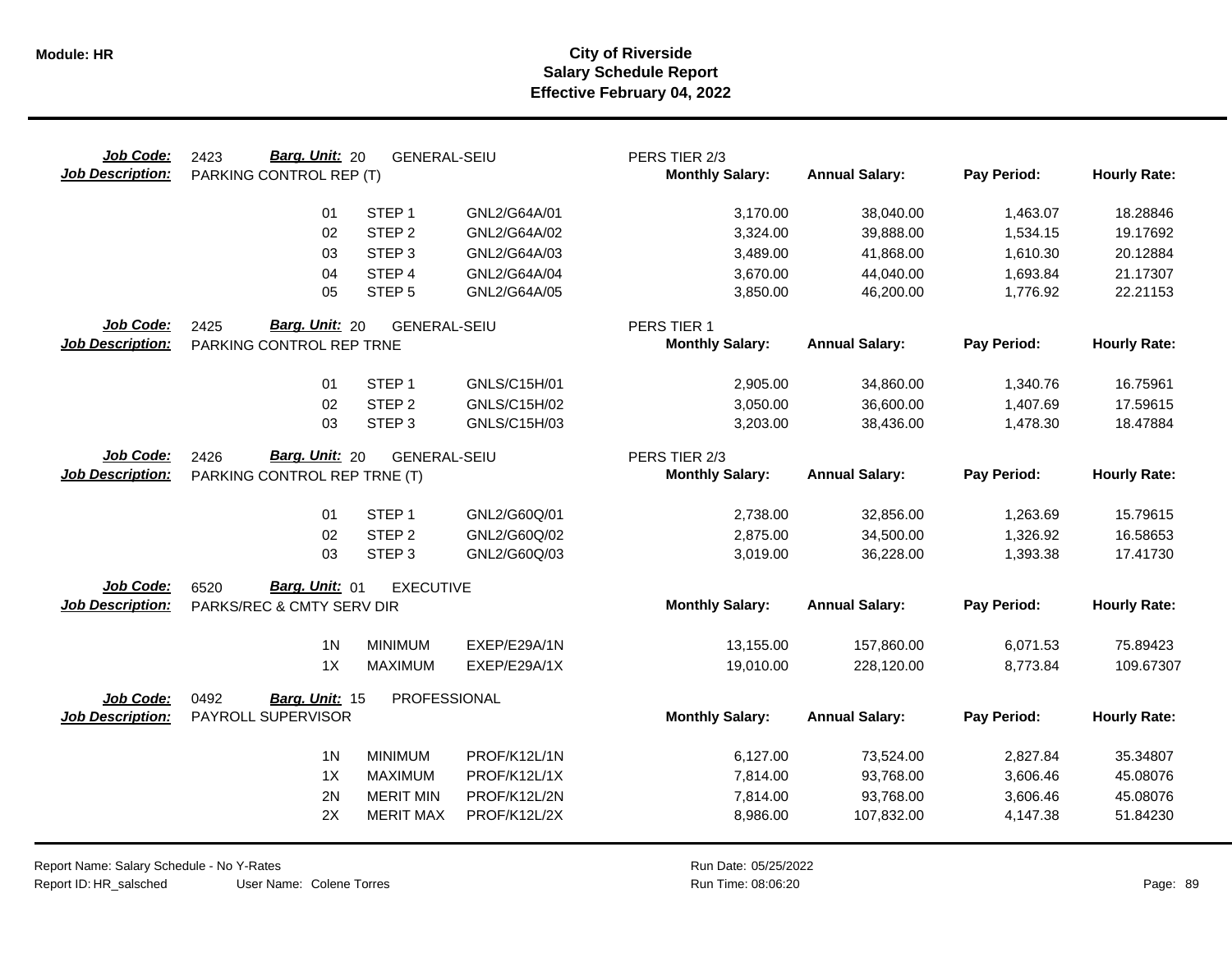| Job Code:<br>Barg. Unit: 20<br>PERS TIER 2/3<br>2423<br><b>GENERAL-SEIU</b><br><b>Monthly Salary:</b><br><b>Annual Salary:</b><br>Pay Period:<br><b>Job Description:</b><br>PARKING CONTROL REP (T) | <b>Hourly Rate:</b> |
|-----------------------------------------------------------------------------------------------------------------------------------------------------------------------------------------------------|---------------------|
| STEP <sub>1</sub><br>GNL2/G64A/01<br>3,170.00<br>1,463.07<br>01<br>38,040.00                                                                                                                        | 18.28846            |
| STEP <sub>2</sub><br>02<br>GNL2/G64A/02<br>3,324.00<br>39,888.00<br>1,534.15                                                                                                                        | 19.17692            |
| STEP <sub>3</sub><br>03<br>GNL2/G64A/03<br>3,489.00<br>41,868.00<br>1,610.30                                                                                                                        | 20.12884            |
| STEP <sub>4</sub><br>GNL2/G64A/04<br>3,670.00<br>04<br>44,040.00<br>1,693.84                                                                                                                        | 21.17307            |
| 05<br>STEP <sub>5</sub><br>GNL2/G64A/05<br>3,850.00<br>46,200.00<br>1,776.92                                                                                                                        | 22.21153            |
| Job Code:<br>2425<br>Barg. Unit: 20<br><b>GENERAL-SEIU</b><br>PERS TIER 1                                                                                                                           |                     |
| <b>Monthly Salary:</b><br><b>Annual Salary:</b><br>Pay Period:<br><b>Job Description:</b><br>PARKING CONTROL REP TRNE                                                                               | <b>Hourly Rate:</b> |
| 01<br>STEP <sub>1</sub><br>GNLS/C15H/01<br>2,905.00<br>34,860.00<br>1,340.76                                                                                                                        | 16.75961            |
| STEP <sub>2</sub><br>02<br>GNLS/C15H/02<br>3,050.00<br>36,600.00<br>1,407.69                                                                                                                        | 17.59615            |
| 03<br>STEP <sub>3</sub><br>GNLS/C15H/03<br>3,203.00<br>38,436.00<br>1,478.30                                                                                                                        | 18.47884            |
| Job Code:<br>2426<br>Barg. Unit: 20<br><b>GENERAL-SEIU</b><br>PERS TIER 2/3                                                                                                                         |                     |
| <b>Annual Salary:</b><br>Pay Period:<br><b>Job Description:</b><br><b>Monthly Salary:</b><br>PARKING CONTROL REP TRNE (T)                                                                           | <b>Hourly Rate:</b> |
| 01<br>STEP <sub>1</sub><br>GNL2/G60Q/01<br>2,738.00<br>32,856.00<br>1,263.69                                                                                                                        | 15.79615            |
| 02<br>STEP <sub>2</sub><br>GNL2/G60Q/02<br>2,875.00<br>34,500.00<br>1.326.92                                                                                                                        | 16.58653            |
| 03<br>STEP <sub>3</sub><br>GNL2/G60Q/03<br>3,019.00<br>36,228.00<br>1,393.38                                                                                                                        | 17.41730            |
| Job Code:<br>Barg. Unit: 01<br>6520<br><b>EXECUTIVE</b>                                                                                                                                             |                     |
| <b>Monthly Salary:</b><br><b>Annual Salary:</b><br>Pay Period:<br><b>Job Description:</b><br>PARKS/REC & CMTY SERV DIR                                                                              | <b>Hourly Rate:</b> |
| 1 <sub>N</sub><br><b>MINIMUM</b><br>EXEP/E29A/1N<br>13,155.00<br>6,071.53<br>157,860.00                                                                                                             | 75.89423            |
| 1X<br><b>MAXIMUM</b><br>EXEP/E29A/1X<br>19,010.00<br>228,120.00<br>8,773.84                                                                                                                         | 109.67307           |
| 0492<br>PROFESSIONAL<br>Job Code:<br>Barg. Unit: 15                                                                                                                                                 |                     |
| PAYROLL SUPERVISOR<br><b>Monthly Salary:</b><br><b>Job Description:</b><br><b>Annual Salary:</b><br>Pay Period:                                                                                     | <b>Hourly Rate:</b> |
| 1 <sub>N</sub><br><b>MINIMUM</b><br>PROF/K12L/1N<br>6,127.00<br>73,524.00<br>2,827.84                                                                                                               | 35.34807            |
| 1X<br><b>MAXIMUM</b><br>PROF/K12L/1X<br>3,606.46<br>7,814.00<br>93,768.00                                                                                                                           | 45.08076            |
| 2N<br><b>MERIT MIN</b><br>PROF/K12L/2N<br>7,814.00<br>93,768.00<br>3,606.46                                                                                                                         | 45.08076            |
| 2X<br><b>MERIT MAX</b><br>PROF/K12L/2X<br>8,986.00<br>107,832.00<br>4,147.38                                                                                                                        | 51.84230            |

User Name: Colene Torres Report Name: Salary Schedule - No Y-Rates Report ID: HR\_salsched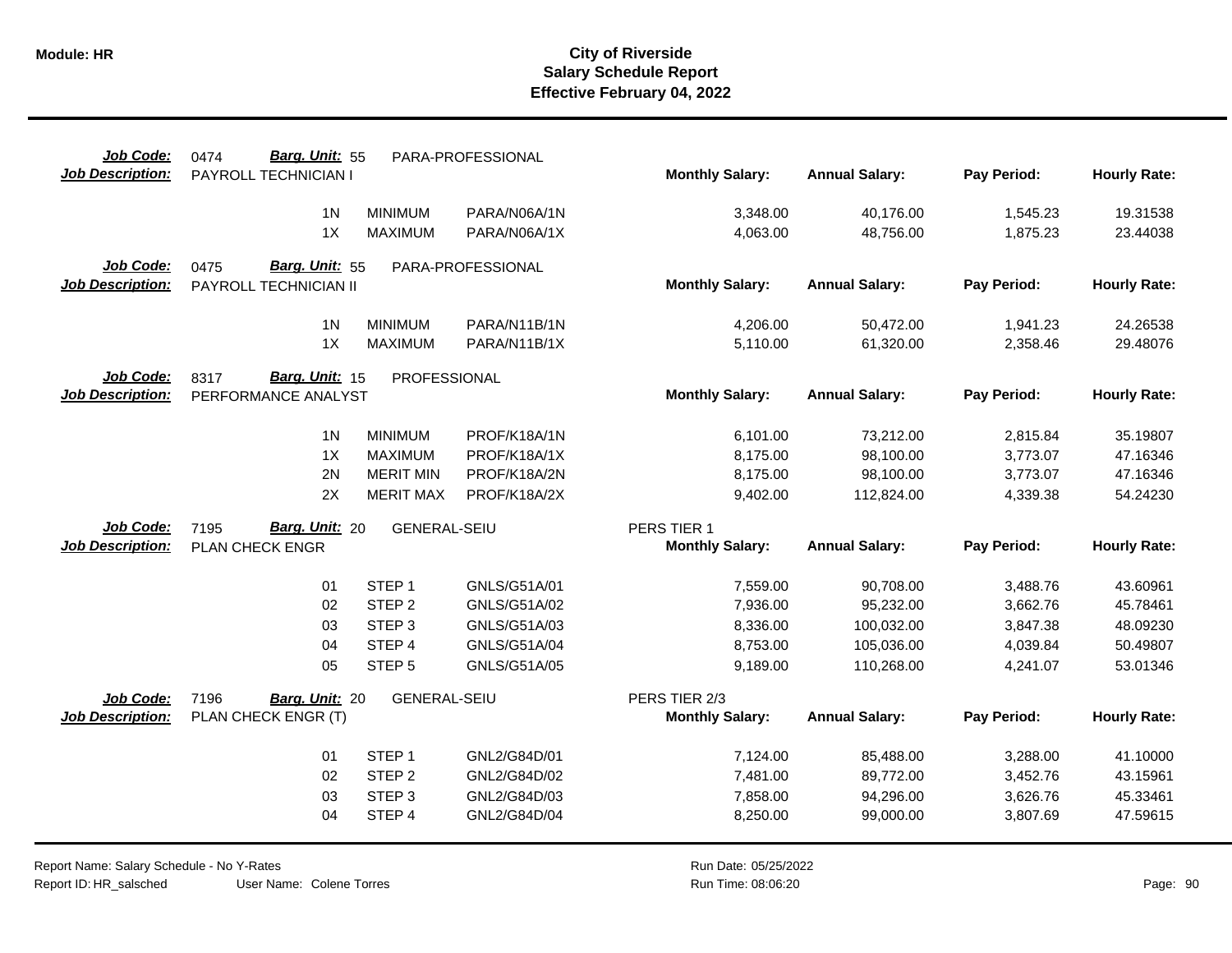| Job Code:               | Barg. Unit: 55<br>0474                 |                     | PARA-PROFESSIONAL |                        |                        |                      |                     |
|-------------------------|----------------------------------------|---------------------|-------------------|------------------------|------------------------|----------------------|---------------------|
| <b>Job Description:</b> | PAYROLL TECHNICIAN I                   |                     |                   | <b>Monthly Salary:</b> | <b>Annual Salary:</b>  | Pay Period:          | <b>Hourly Rate:</b> |
|                         | 1 <sub>N</sub>                         | <b>MINIMUM</b>      | PARA/N06A/1N      | 3,348.00               | 40,176.00              | 1,545.23             | 19.31538            |
|                         | 1X                                     | <b>MAXIMUM</b>      | PARA/N06A/1X      | 4,063.00               | 48,756.00              | 1,875.23             | 23.44038            |
| Job Code:               | Barg. Unit: 55<br>0475                 |                     | PARA-PROFESSIONAL |                        |                        |                      |                     |
| <b>Job Description:</b> | PAYROLL TECHNICIAN II                  |                     |                   | <b>Monthly Salary:</b> | <b>Annual Salary:</b>  | Pay Period:          | <b>Hourly Rate:</b> |
|                         |                                        |                     |                   |                        |                        |                      |                     |
|                         | 1 <sub>N</sub>                         | <b>MINIMUM</b>      | PARA/N11B/1N      | 4,206.00               | 50,472.00              | 1,941.23             | 24.26538            |
|                         | 1X                                     | <b>MAXIMUM</b>      | PARA/N11B/1X      | 5,110.00               | 61,320.00              | 2,358.46             | 29.48076            |
| Job Code:               | Barg. Unit: 15<br>8317<br>PROFESSIONAL |                     |                   |                        |                        |                      |                     |
| Job Description:        | PERFORMANCE ANALYST                    |                     |                   | <b>Monthly Salary:</b> | <b>Annual Salary:</b>  | Pay Period:          | <b>Hourly Rate:</b> |
|                         | 1 <sub>N</sub>                         | <b>MINIMUM</b>      | PROF/K18A/1N      | 6,101.00               |                        |                      | 35.19807            |
|                         | 1X                                     | <b>MAXIMUM</b>      | PROF/K18A/1X      | 8,175.00               | 73,212.00<br>98,100.00 | 2,815.84<br>3,773.07 | 47.16346            |
|                         | 2N                                     | <b>MERIT MIN</b>    | PROF/K18A/2N      | 8,175.00               | 98,100.00              | 3,773.07             | 47.16346            |
|                         | 2X                                     | <b>MERIT MAX</b>    | PROF/K18A/2X      | 9,402.00               | 112,824.00             | 4,339.38             | 54.24230            |
|                         |                                        |                     |                   |                        |                        |                      |                     |
| Job Code:               | Barg. Unit: 20<br>7195                 | <b>GENERAL-SEIU</b> |                   | PERS TIER 1            |                        |                      |                     |
| <b>Job Description:</b> | PLAN CHECK ENGR                        |                     |                   | <b>Monthly Salary:</b> | <b>Annual Salary:</b>  | Pay Period:          | <b>Hourly Rate:</b> |
|                         | 01                                     | STEP <sub>1</sub>   | GNLS/G51A/01      | 7,559.00               | 90,708.00              | 3,488.76             | 43.60961            |
|                         | 02                                     | STEP <sub>2</sub>   | GNLS/G51A/02      | 7,936.00               | 95,232.00              | 3,662.76             | 45.78461            |
|                         | 03                                     | STEP <sub>3</sub>   | GNLS/G51A/03      | 8,336.00               | 100,032.00             | 3,847.38             | 48.09230            |
|                         | 04                                     | STEP 4              | GNLS/G51A/04      | 8,753.00               | 105,036.00             | 4,039.84             | 50.49807            |
|                         | 05                                     | STEP <sub>5</sub>   | GNLS/G51A/05      | 9,189.00               | 110,268.00             | 4,241.07             | 53.01346            |
| Job Code:               | 7196<br>Barg. Unit: 20                 | <b>GENERAL-SEIU</b> |                   | PERS TIER 2/3          |                        |                      |                     |
| <b>Job Description:</b> | PLAN CHECK ENGR (T)                    |                     |                   | <b>Monthly Salary:</b> | <b>Annual Salary:</b>  | Pay Period:          | <b>Hourly Rate:</b> |
|                         |                                        |                     |                   |                        |                        |                      |                     |
|                         | 01                                     | STEP <sub>1</sub>   | GNL2/G84D/01      | 7,124.00               | 85,488.00              | 3,288.00             | 41.10000            |
|                         |                                        |                     |                   |                        |                        |                      |                     |
|                         | 02                                     | STEP <sub>2</sub>   | GNL2/G84D/02      | 7,481.00               | 89,772.00              | 3,452.76             | 43.15961            |
|                         | 03                                     | STEP <sub>3</sub>   | GNL2/G84D/03      | 7,858.00               | 94,296.00              | 3,626.76             | 45.33461            |
|                         | 04                                     | STEP 4              | GNL2/G84D/04      | 8,250.00               | 99,000.00              | 3,807.69             | 47.59615            |

User Name: Colene Torres Report Name: Salary Schedule - No Y-Rates Report ID: HR\_salsched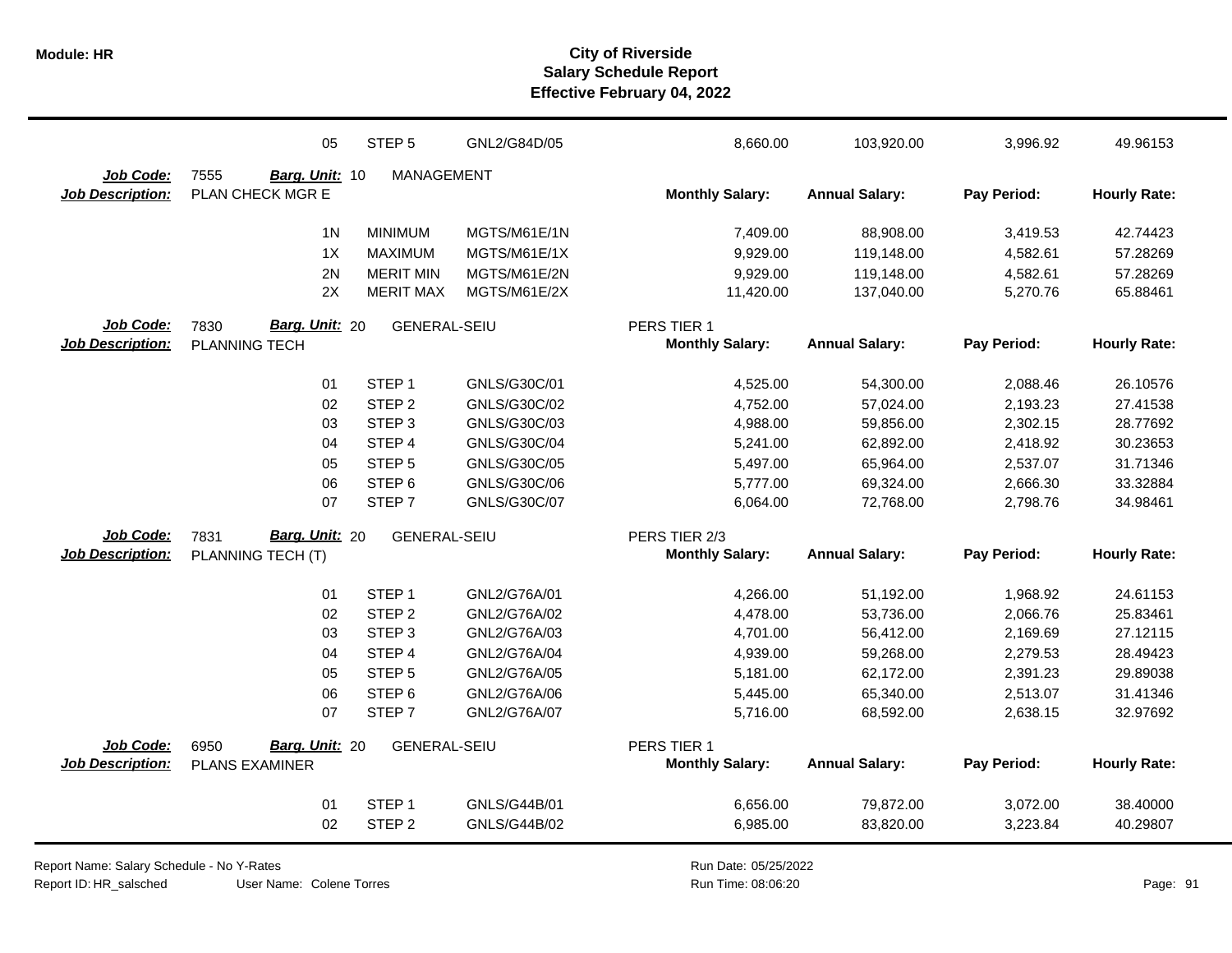|                         | 05                     | STEP <sub>5</sub>   | GNL2/G84D/05 | 8,660.00               | 103,920.00            | 3,996.92    | 49.96153            |
|-------------------------|------------------------|---------------------|--------------|------------------------|-----------------------|-------------|---------------------|
| Job Code:               | 7555<br>Barg. Unit: 10 | <b>MANAGEMENT</b>   |              |                        |                       |             |                     |
| <b>Job Description:</b> | PLAN CHECK MGR E       |                     |              | <b>Monthly Salary:</b> | <b>Annual Salary:</b> | Pay Period: | <b>Hourly Rate:</b> |
|                         | 1 <sub>N</sub>         | <b>MINIMUM</b>      | MGTS/M61E/1N | 7,409.00               | 88,908.00             | 3,419.53    | 42.74423            |
|                         | 1X                     | <b>MAXIMUM</b>      | MGTS/M61E/1X | 9,929.00               | 119,148.00            | 4,582.61    | 57.28269            |
|                         | 2N                     | <b>MERIT MIN</b>    | MGTS/M61E/2N | 9,929.00               | 119,148.00            | 4,582.61    | 57.28269            |
|                         | 2X                     | <b>MERIT MAX</b>    | MGTS/M61E/2X | 11,420.00              | 137,040.00            | 5,270.76    | 65.88461            |
| Job Code:               | Barg. Unit: 20<br>7830 | <b>GENERAL-SEIU</b> |              | PERS TIER 1            |                       |             |                     |
| <b>Job Description:</b> | PLANNING TECH          |                     |              | <b>Monthly Salary:</b> | <b>Annual Salary:</b> | Pay Period: | <b>Hourly Rate:</b> |
|                         | 01                     | STEP <sub>1</sub>   | GNLS/G30C/01 | 4,525.00               | 54,300.00             | 2,088.46    | 26.10576            |
|                         | 02                     | STEP <sub>2</sub>   | GNLS/G30C/02 | 4,752.00               | 57,024.00             | 2,193.23    | 27.41538            |
|                         | 03                     | STEP <sub>3</sub>   | GNLS/G30C/03 | 4,988.00               | 59,856.00             | 2,302.15    | 28.77692            |
|                         | 04                     | STEP 4              | GNLS/G30C/04 | 5,241.00               | 62,892.00             | 2,418.92    | 30.23653            |
|                         | 05                     | STEP <sub>5</sub>   | GNLS/G30C/05 | 5,497.00               | 65,964.00             | 2,537.07    | 31.71346            |
|                         | 06                     | STEP <sub>6</sub>   | GNLS/G30C/06 | 5,777.00               | 69,324.00             | 2,666.30    | 33.32884            |
|                         | 07                     | STEP <sub>7</sub>   | GNLS/G30C/07 | 6,064.00               | 72,768.00             | 2,798.76    | 34.98461            |
| Job Code:               | Barg. Unit: 20<br>7831 | <b>GENERAL-SEIU</b> |              | PERS TIER 2/3          |                       |             |                     |
| <b>Job Description:</b> | PLANNING TECH (T)      |                     |              | <b>Monthly Salary:</b> | <b>Annual Salary:</b> | Pay Period: | <b>Hourly Rate:</b> |
|                         | 01                     | STEP <sub>1</sub>   | GNL2/G76A/01 | 4,266.00               | 51,192.00             | 1,968.92    | 24.61153            |
|                         | 02                     | STEP <sub>2</sub>   | GNL2/G76A/02 | 4,478.00               | 53,736.00             | 2,066.76    | 25.83461            |
|                         | 03                     | STEP <sub>3</sub>   | GNL2/G76A/03 | 4,701.00               | 56,412.00             | 2,169.69    | 27.12115            |
|                         | 04                     | STEP 4              | GNL2/G76A/04 | 4,939.00               | 59,268.00             | 2,279.53    | 28.49423            |
|                         | 05                     | STEP <sub>5</sub>   | GNL2/G76A/05 | 5,181.00               | 62,172.00             | 2,391.23    | 29.89038            |
|                         | 06                     | STEP <sub>6</sub>   | GNL2/G76A/06 | 5,445.00               | 65,340.00             | 2,513.07    | 31.41346            |
|                         | 07                     | STEP <sub>7</sub>   | GNL2/G76A/07 | 5,716.00               | 68,592.00             | 2,638.15    | 32.97692            |
| Job Code:               | Barg. Unit: 20<br>6950 | <b>GENERAL-SEIU</b> |              | PERS TIER 1            |                       |             |                     |
| Job Description:        | <b>PLANS EXAMINER</b>  |                     |              | <b>Monthly Salary:</b> | <b>Annual Salary:</b> | Pay Period: | <b>Hourly Rate:</b> |
|                         | 01                     | STEP <sub>1</sub>   | GNLS/G44B/01 | 6,656.00               | 79,872.00             | 3,072.00    | 38.40000            |
|                         | 02                     | STEP <sub>2</sub>   | GNLS/G44B/02 | 6,985.00               | 83,820.00             | 3,223.84    | 40.29807            |

Report Name: Salary Schedule - No Y-Rates

Report ID: HR\_salsched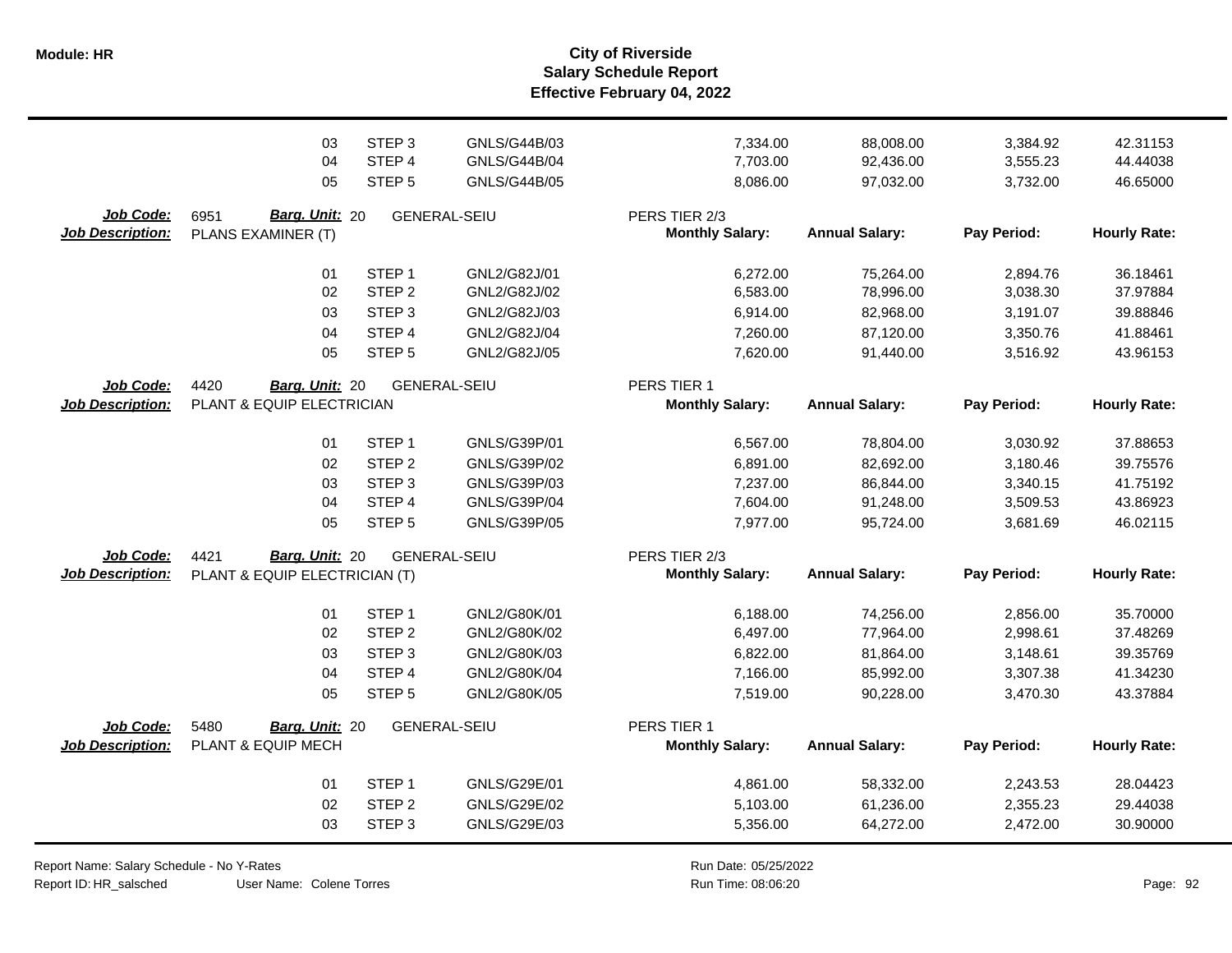**Salary Schedule Report Effective February 04, 2022 Module: HR City of Riverside**

|                                      | 03<br>04<br>05                               | STEP <sub>3</sub><br>STEP 4<br>STEP <sub>5</sub> | GNLS/G44B/03<br><b>GNLS/G44B/04</b><br><b>GNLS/G44B/05</b> | 7,334.00<br>7,703.00<br>8,086.00        | 88,008.00<br>92,436.00<br>97,032.00 | 3,384.92<br>3,555.23<br>3,732.00 | 42.31153<br>44.44038<br>46.65000 |
|--------------------------------------|----------------------------------------------|--------------------------------------------------|------------------------------------------------------------|-----------------------------------------|-------------------------------------|----------------------------------|----------------------------------|
| Job Code:<br><b>Job Description:</b> | 6951<br>Barg. Unit: 20<br>PLANS EXAMINER (T) |                                                  | <b>GENERAL-SEIU</b>                                        | PERS TIER 2/3<br><b>Monthly Salary:</b> | <b>Annual Salary:</b>               | Pay Period:                      | <b>Hourly Rate:</b>              |
|                                      | 01                                           | STEP <sub>1</sub>                                | GNL2/G82J/01                                               | 6,272.00                                | 75,264.00                           | 2,894.76                         | 36.18461                         |
|                                      | 02                                           | STEP <sub>2</sub>                                | GNL2/G82J/02                                               | 6,583.00                                | 78,996.00                           | 3,038.30                         | 37.97884                         |
|                                      | 03                                           | STEP <sub>3</sub>                                | GNL2/G82J/03                                               | 6,914.00                                | 82,968.00                           | 3,191.07                         | 39.88846                         |
|                                      | 04                                           | STEP <sub>4</sub>                                | GNL2/G82J/04                                               | 7,260.00                                | 87,120.00                           | 3,350.76                         | 41.88461                         |
|                                      | 05                                           | STEP <sub>5</sub>                                | GNL2/G82J/05                                               | 7,620.00                                | 91,440.00                           | 3,516.92                         | 43.96153                         |
| Job Code:                            | 4420<br>Barg. Unit: 20                       |                                                  | <b>GENERAL-SEIU</b>                                        | PERS TIER 1                             |                                     |                                  |                                  |
| <b>Job Description:</b>              | PLANT & EQUIP ELECTRICIAN                    |                                                  |                                                            | <b>Monthly Salary:</b>                  | <b>Annual Salary:</b>               | Pay Period:                      | <b>Hourly Rate:</b>              |
|                                      | 01                                           | STEP <sub>1</sub>                                | GNLS/G39P/01                                               | 6,567.00                                | 78,804.00                           | 3,030.92                         | 37.88653                         |
|                                      | 02                                           | STEP <sub>2</sub>                                | GNLS/G39P/02                                               | 6,891.00                                | 82,692.00                           | 3,180.46                         | 39.75576                         |
|                                      | 03                                           | STEP <sub>3</sub>                                | GNLS/G39P/03                                               | 7,237.00                                | 86,844.00                           | 3,340.15                         | 41.75192                         |
|                                      | 04                                           | STEP 4                                           | GNLS/G39P/04                                               | 7,604.00                                | 91,248.00                           | 3,509.53                         | 43.86923                         |
|                                      | 05                                           | STEP <sub>5</sub>                                | GNLS/G39P/05                                               | 7,977.00                                | 95,724.00                           | 3,681.69                         | 46.02115                         |
| Job Code:                            | Barg. Unit: 20<br>4421                       |                                                  | <b>GENERAL-SEIU</b>                                        | PERS TIER 2/3                           |                                     |                                  |                                  |
| <b>Job Description:</b>              | PLANT & EQUIP ELECTRICIAN (T)                |                                                  |                                                            | <b>Monthly Salary:</b>                  | <b>Annual Salary:</b>               | Pay Period:                      | <b>Hourly Rate:</b>              |
|                                      | 01                                           | STEP <sub>1</sub>                                | GNL2/G80K/01                                               | 6,188.00                                | 74,256.00                           | 2,856.00                         | 35.70000                         |
|                                      | 02                                           | STEP <sub>2</sub>                                | GNL2/G80K/02                                               | 6,497.00                                | 77,964.00                           | 2,998.61                         | 37.48269                         |
|                                      | 03                                           | STEP <sub>3</sub>                                | GNL2/G80K/03                                               | 6,822.00                                | 81,864.00                           | 3,148.61                         | 39.35769                         |
|                                      | 04                                           | STEP <sub>4</sub>                                | GNL2/G80K/04                                               | 7,166.00                                | 85,992.00                           | 3,307.38                         | 41.34230                         |
|                                      | 05                                           | STEP <sub>5</sub>                                | GNL2/G80K/05                                               | 7,519.00                                | 90,228.00                           | 3,470.30                         | 43.37884                         |
| Job Code:                            | 5480<br>Barg. Unit: 20                       |                                                  | <b>GENERAL-SEIU</b>                                        | PERS TIER 1                             |                                     |                                  |                                  |
| <b>Job Description:</b>              | PLANT & EQUIP MECH                           |                                                  |                                                            | <b>Monthly Salary:</b>                  | <b>Annual Salary:</b>               | Pay Period:                      | <b>Hourly Rate:</b>              |
|                                      | 01                                           | STEP <sub>1</sub>                                | GNLS/G29E/01                                               | 4,861.00                                | 58,332.00                           | 2,243.53                         | 28.04423                         |
|                                      | 02                                           | STEP <sub>2</sub>                                | GNLS/G29E/02                                               | 5,103.00                                | 61,236.00                           | 2,355.23                         | 29.44038                         |
|                                      | 03                                           | STEP <sub>3</sub>                                | GNLS/G29E/03                                               | 5,356.00                                | 64,272.00                           | 2,472.00                         | 30.90000                         |

Report Name: Salary Schedule - No Y-Rates Report ID: HR\_salsched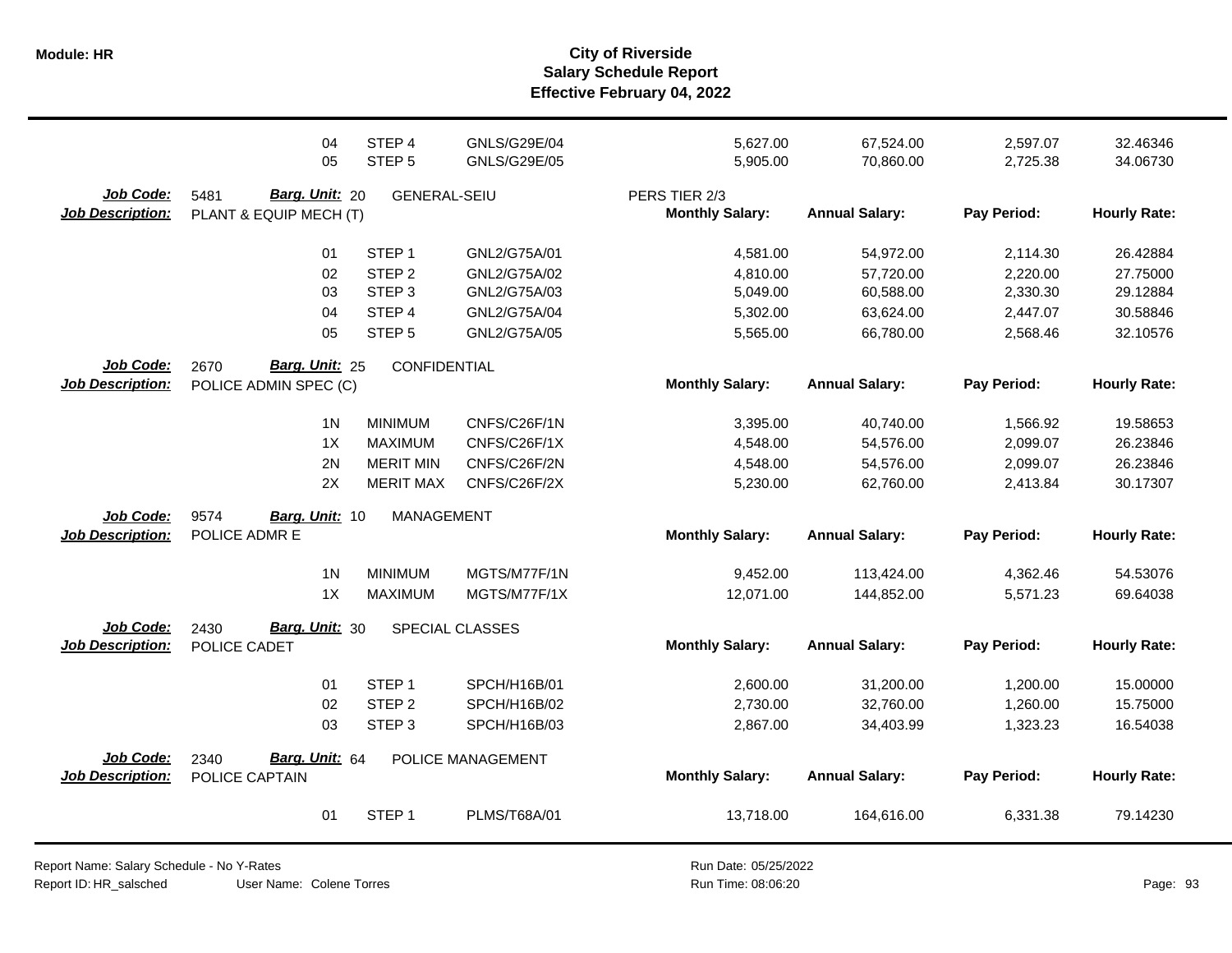|                                      | 04<br>05                                         | STEP <sub>4</sub><br>STEP <sub>5</sub>                                                     | GNLS/G29E/04<br>GNLS/G29E/05                                                 | 5,627.00<br>5,905.00                                     | 67,524.00<br>70,860.00                                        | 2,597.07<br>2,725.38                                     | 32.46346<br>34.06730                                     |
|--------------------------------------|--------------------------------------------------|--------------------------------------------------------------------------------------------|------------------------------------------------------------------------------|----------------------------------------------------------|---------------------------------------------------------------|----------------------------------------------------------|----------------------------------------------------------|
| Job Code:<br><b>Job Description:</b> | Barg. Unit: 20<br>5481<br>PLANT & EQUIP MECH (T) | <b>GENERAL-SEIU</b>                                                                        |                                                                              | PERS TIER 2/3<br><b>Monthly Salary:</b>                  | <b>Annual Salary:</b>                                         | Pay Period:                                              | <b>Hourly Rate:</b>                                      |
|                                      | 01<br>02<br>03<br>04<br>05                       | STEP <sub>1</sub><br>STEP <sub>2</sub><br>STEP <sub>3</sub><br>STEP 4<br>STEP <sub>5</sub> | GNL2/G75A/01<br>GNL2/G75A/02<br>GNL2/G75A/03<br>GNL2/G75A/04<br>GNL2/G75A/05 | 4,581.00<br>4,810.00<br>5,049.00<br>5,302.00<br>5,565.00 | 54,972.00<br>57,720.00<br>60,588.00<br>63,624.00<br>66,780.00 | 2,114.30<br>2,220.00<br>2,330.30<br>2,447.07<br>2,568.46 | 26.42884<br>27.75000<br>29.12884<br>30.58846<br>32.10576 |
| Job Code:<br><b>Job Description:</b> | Barg. Unit: 25<br>2670<br>POLICE ADMIN SPEC (C)  | <b>CONFIDENTIAL</b>                                                                        |                                                                              | <b>Monthly Salary:</b>                                   | <b>Annual Salary:</b>                                         | Pay Period:                                              | <b>Hourly Rate:</b>                                      |
|                                      | 1 <sup>N</sup><br>1X<br>2N<br>2X                 | <b>MINIMUM</b><br><b>MAXIMUM</b><br><b>MERIT MIN</b><br><b>MERIT MAX</b>                   | CNFS/C26F/1N<br>CNFS/C26F/1X<br>CNFS/C26F/2N<br>CNFS/C26F/2X                 | 3,395.00<br>4,548.00<br>4,548.00<br>5,230.00             | 40,740.00<br>54,576.00<br>54,576.00<br>62,760.00              | 1,566.92<br>2,099.07<br>2,099.07<br>2,413.84             | 19.58653<br>26.23846<br>26.23846<br>30.17307             |
| Job Code:<br><b>Job Description:</b> | 9574<br>Barg. Unit: 10<br>POLICE ADMR E          | MANAGEMENT                                                                                 |                                                                              | <b>Monthly Salary:</b>                                   | <b>Annual Salary:</b>                                         | Pay Period:                                              | <b>Hourly Rate:</b>                                      |
|                                      | 1 <sub>N</sub><br>1X                             | <b>MINIMUM</b><br><b>MAXIMUM</b>                                                           | MGTS/M77F/1N<br>MGTS/M77F/1X                                                 | 9,452.00<br>12,071.00                                    | 113,424.00<br>144,852.00                                      | 4,362.46<br>5,571.23                                     | 54.53076<br>69.64038                                     |
| Job Code:<br><b>Job Description:</b> | Barg. Unit: 30<br>2430<br>POLICE CADET           |                                                                                            | SPECIAL CLASSES                                                              | <b>Monthly Salary:</b>                                   | <b>Annual Salary:</b>                                         | Pay Period:                                              | <b>Hourly Rate:</b>                                      |
|                                      | 01<br>02<br>03                                   | STEP <sub>1</sub><br>STEP <sub>2</sub><br>STEP <sub>3</sub>                                | SPCH/H16B/01<br>SPCH/H16B/02<br>SPCH/H16B/03                                 | 2,600.00<br>2,730.00<br>2,867.00                         | 31,200.00<br>32,760.00<br>34,403.99                           | 1,200.00<br>1,260.00<br>1,323.23                         | 15.00000<br>15.75000<br>16.54038                         |
| Job Code:<br><b>Job Description:</b> | Barg. Unit: 64<br>2340<br>POLICE CAPTAIN         |                                                                                            | POLICE MANAGEMENT                                                            | <b>Monthly Salary:</b>                                   | <b>Annual Salary:</b>                                         | Pay Period:                                              | <b>Hourly Rate:</b>                                      |
|                                      | 01                                               | STEP <sub>1</sub>                                                                          | PLMS/T68A/01                                                                 | 13,718.00                                                | 164,616.00                                                    | 6,331.38                                                 | 79.14230                                                 |

User Name: Colene Torres Report Name: Salary Schedule - No Y-Rates Report ID: HR\_salsched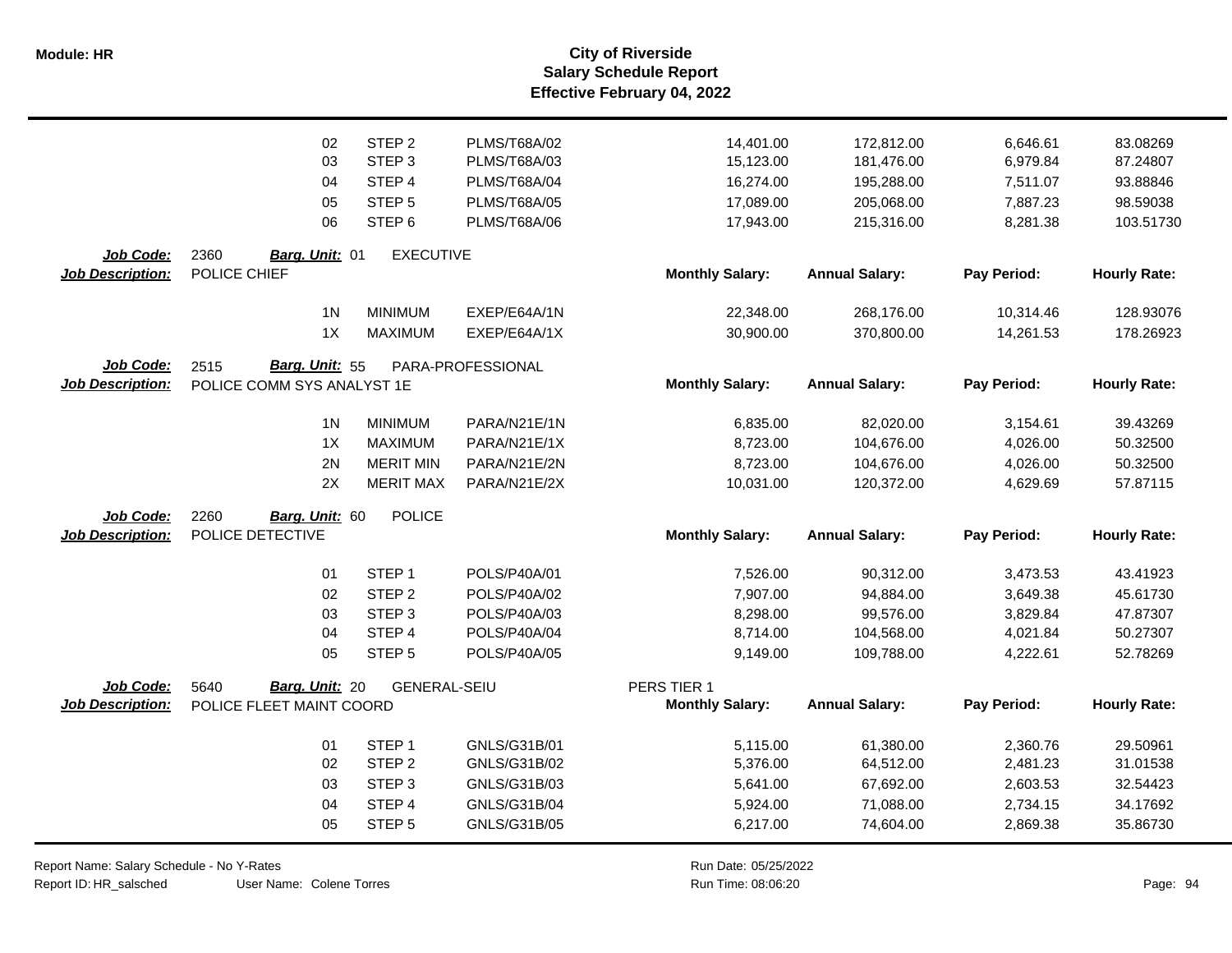|                         | 02                         | STEP <sub>2</sub>   | PLMS/T68A/02        | 14,401.00              | 172,812.00            | 6,646.61    | 83.08269            |
|-------------------------|----------------------------|---------------------|---------------------|------------------------|-----------------------|-------------|---------------------|
|                         | 03                         | STEP <sub>3</sub>   | PLMS/T68A/03        | 15,123.00              | 181,476.00            | 6,979.84    | 87.24807            |
|                         | 04                         | STEP 4              | PLMS/T68A/04        | 16,274.00              | 195,288.00            | 7,511.07    | 93.88846            |
|                         | 05                         | STEP <sub>5</sub>   | PLMS/T68A/05        | 17,089.00              | 205,068.00            | 7,887.23    | 98.59038            |
|                         | 06                         | STEP <sub>6</sub>   | <b>PLMS/T68A/06</b> | 17,943.00              | 215,316.00            | 8,281.38    | 103.51730           |
| Job Code:               | 2360<br>Barg. Unit: 01     | <b>EXECUTIVE</b>    |                     |                        |                       |             |                     |
| <b>Job Description:</b> | POLICE CHIEF               |                     |                     | <b>Monthly Salary:</b> | <b>Annual Salary:</b> | Pay Period: | <b>Hourly Rate:</b> |
|                         | 1 <sub>N</sub>             | <b>MINIMUM</b>      | EXEP/E64A/1N        | 22,348.00              | 268,176.00            | 10,314.46   | 128.93076           |
|                         | 1X                         | <b>MAXIMUM</b>      | EXEP/E64A/1X        | 30,900.00              | 370,800.00            | 14,261.53   | 178.26923           |
| Job Code:               | Barg. Unit: 55<br>2515     |                     | PARA-PROFESSIONAL   |                        |                       |             |                     |
| <b>Job Description:</b> | POLICE COMM SYS ANALYST 1E |                     |                     | <b>Monthly Salary:</b> | <b>Annual Salary:</b> | Pay Period: | <b>Hourly Rate:</b> |
|                         | 1 <sub>N</sub>             | <b>MINIMUM</b>      | PARA/N21E/1N        | 6,835.00               | 82,020.00             | 3,154.61    | 39.43269            |
|                         | 1X                         | <b>MAXIMUM</b>      | PARA/N21E/1X        | 8,723.00               | 104,676.00            | 4,026.00    | 50.32500            |
|                         | 2N                         | <b>MERIT MIN</b>    | PARA/N21E/2N        | 8,723.00               | 104,676.00            | 4,026.00    | 50.32500            |
|                         | 2X                         | <b>MERIT MAX</b>    | PARA/N21E/2X        | 10,031.00              | 120,372.00            | 4,629.69    | 57.87115            |
| Job Code:               | 2260<br>Barg. Unit: 60     | <b>POLICE</b>       |                     |                        |                       |             |                     |
| <b>Job Description:</b> | POLICE DETECTIVE           |                     |                     | <b>Monthly Salary:</b> | <b>Annual Salary:</b> | Pay Period: | <b>Hourly Rate:</b> |
|                         | 01                         | STEP <sub>1</sub>   | POLS/P40A/01        | 7,526.00               | 90,312.00             | 3,473.53    | 43.41923            |
|                         | 02                         | STEP <sub>2</sub>   | POLS/P40A/02        | 7,907.00               | 94,884.00             | 3,649.38    | 45.61730            |
|                         | 03                         | STEP <sub>3</sub>   | POLS/P40A/03        | 8,298.00               | 99,576.00             | 3,829.84    | 47.87307            |
|                         | 04                         | STEP <sub>4</sub>   | POLS/P40A/04        | 8,714.00               | 104,568.00            | 4,021.84    | 50.27307            |
|                         | 05                         | STEP <sub>5</sub>   | POLS/P40A/05        | 9,149.00               | 109,788.00            | 4,222.61    | 52.78269            |
| <b>Job Code:</b>        | Barg. Unit: 20<br>5640     | <b>GENERAL-SEIU</b> |                     | PERS TIER 1            |                       |             |                     |
| <b>Job Description:</b> | POLICE FLEET MAINT COORD   |                     |                     | <b>Monthly Salary:</b> | <b>Annual Salary:</b> | Pay Period: | <b>Hourly Rate:</b> |
|                         | 01                         | STEP <sub>1</sub>   | GNLS/G31B/01        | 5,115.00               | 61,380.00             | 2,360.76    | 29.50961            |
|                         | 02                         | STEP <sub>2</sub>   | GNLS/G31B/02        | 5,376.00               | 64,512.00             | 2,481.23    | 31.01538            |
|                         | 03                         | STEP <sub>3</sub>   | GNLS/G31B/03        | 5,641.00               | 67,692.00             | 2,603.53    | 32.54423            |
|                         | 04                         | STEP 4              | GNLS/G31B/04        | 5,924.00               | 71,088.00             | 2,734.15    | 34.17692            |
|                         | 05                         | STEP <sub>5</sub>   | GNLS/G31B/05        | 6,217.00               | 74,604.00             | 2,869.38    | 35.86730            |

Report Name: Salary Schedule - No Y-Rates

Report ID: HR\_salsched

User Name: Colene Torres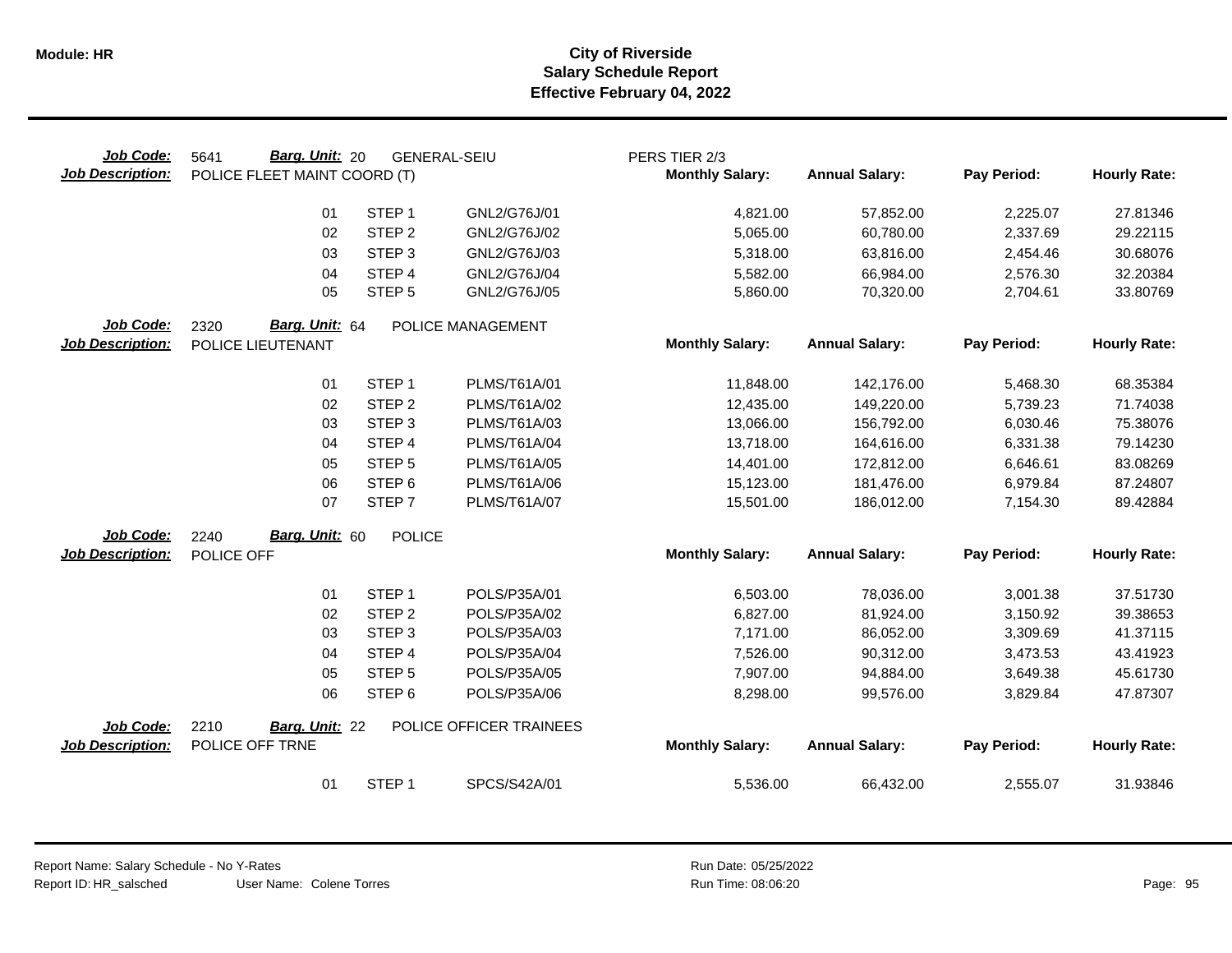| Job Code:<br><b>Job Description:</b> | <b>Barg. Unit: 20</b><br>5641<br>POLICE FLEET MAINT COORD (T) |                   | <b>GENERAL-SEIU</b>     | PERS TIER 2/3<br><b>Monthly Salary:</b> | <b>Annual Salary:</b> | Pay Period: | <b>Hourly Rate:</b> |
|--------------------------------------|---------------------------------------------------------------|-------------------|-------------------------|-----------------------------------------|-----------------------|-------------|---------------------|
|                                      | 01                                                            | STEP <sub>1</sub> | GNL2/G76J/01            | 4,821.00                                | 57,852.00             | 2,225.07    | 27.81346            |
|                                      | 02                                                            | STEP <sub>2</sub> | GNL2/G76J/02            | 5,065.00                                | 60,780.00             | 2,337.69    | 29.22115            |
|                                      | 03                                                            | STEP <sub>3</sub> | GNL2/G76J/03            | 5,318.00                                | 63,816.00             | 2,454.46    | 30.68076            |
|                                      | 04                                                            | STEP 4            | GNL2/G76J/04            | 5,582.00                                | 66,984.00             | 2,576.30    | 32.20384            |
|                                      | 05                                                            | STEP <sub>5</sub> | GNL2/G76J/05            | 5,860.00                                | 70,320.00             | 2,704.61    | 33.80769            |
| Job Code:                            | 2320<br>Barg. Unit: 64                                        |                   | POLICE MANAGEMENT       |                                         |                       |             |                     |
| <b>Job Description:</b>              | POLICE LIEUTENANT                                             |                   |                         | <b>Monthly Salary:</b>                  | <b>Annual Salary:</b> | Pay Period: | <b>Hourly Rate:</b> |
|                                      | 01                                                            | STEP <sub>1</sub> | PLMS/T61A/01            | 11,848.00                               | 142,176.00            | 5,468.30    | 68.35384            |
|                                      | 02                                                            | STEP <sub>2</sub> | PLMS/T61A/02            | 12,435.00                               | 149,220.00            | 5,739.23    | 71.74038            |
|                                      | 03                                                            | STEP <sub>3</sub> | PLMS/T61A/03            | 13,066.00                               | 156,792.00            | 6,030.46    | 75.38076            |
|                                      | 04                                                            | STEP 4            | PLMS/T61A/04            | 13,718.00                               | 164,616.00            | 6,331.38    | 79.14230            |
|                                      | 05                                                            | STEP <sub>5</sub> | PLMS/T61A/05            | 14,401.00                               | 172,812.00            | 6,646.61    | 83.08269            |
|                                      | 06                                                            | STEP <sub>6</sub> | PLMS/T61A/06            | 15,123.00                               | 181,476.00            | 6,979.84    | 87.24807            |
|                                      | 07                                                            | STEP <sub>7</sub> | PLMS/T61A/07            | 15,501.00                               | 186,012.00            | 7,154.30    | 89.42884            |
| Job Code:                            | Barg. Unit: 60<br>2240                                        | <b>POLICE</b>     |                         |                                         |                       |             |                     |
| <b>Job Description:</b>              | POLICE OFF                                                    |                   |                         | <b>Monthly Salary:</b>                  | <b>Annual Salary:</b> | Pay Period: | <b>Hourly Rate:</b> |
|                                      | 01                                                            | STEP <sub>1</sub> | POLS/P35A/01            | 6,503.00                                | 78,036.00             | 3,001.38    | 37.51730            |
|                                      | 02                                                            | STEP <sub>2</sub> | POLS/P35A/02            | 6,827.00                                | 81,924.00             | 3,150.92    | 39.38653            |
|                                      | 03                                                            | STEP <sub>3</sub> | POLS/P35A/03            | 7,171.00                                | 86,052.00             | 3,309.69    | 41.37115            |
|                                      | 04                                                            | STEP <sub>4</sub> | POLS/P35A/04            | 7,526.00                                | 90,312.00             | 3,473.53    | 43.41923            |
|                                      | 05                                                            | STEP <sub>5</sub> | POLS/P35A/05            | 7,907.00                                | 94,884.00             | 3,649.38    | 45.61730            |
|                                      | 06                                                            | STEP <sub>6</sub> | POLS/P35A/06            | 8,298.00                                | 99,576.00             | 3,829.84    | 47.87307            |
| Job Code:                            | 2210<br>Barg. Unit: 22                                        |                   | POLICE OFFICER TRAINEES |                                         |                       |             |                     |
| <b>Job Description:</b>              | POLICE OFF TRNE                                               |                   |                         | <b>Monthly Salary:</b>                  | <b>Annual Salary:</b> | Pay Period: | <b>Hourly Rate:</b> |
|                                      | 01                                                            | STEP <sub>1</sub> | SPCS/S42A/01            | 5,536.00                                | 66,432.00             | 2,555.07    | 31.93846            |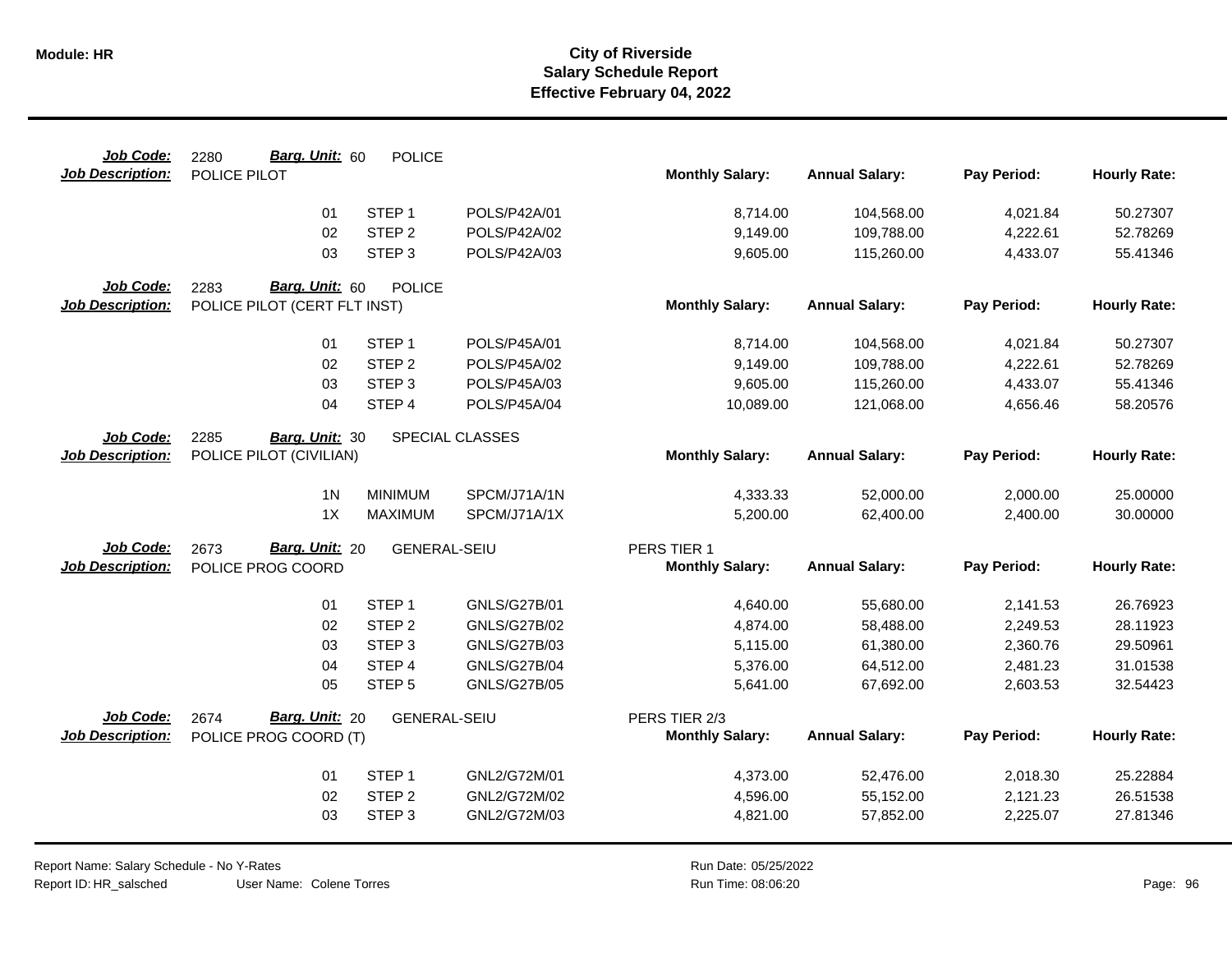| Job Code:                            | Barg. Unit: 60<br>2280       | <b>POLICE</b>       |                     |                                       |                          |                      |                      |
|--------------------------------------|------------------------------|---------------------|---------------------|---------------------------------------|--------------------------|----------------------|----------------------|
| <b>Job Description:</b>              | POLICE PILOT                 |                     |                     | <b>Monthly Salary:</b>                | <b>Annual Salary:</b>    | Pay Period:          | <b>Hourly Rate:</b>  |
|                                      | 01                           | STEP <sub>1</sub>   | POLS/P42A/01        | 8,714.00                              | 104,568.00               | 4,021.84             | 50.27307             |
|                                      | 02                           | STEP <sub>2</sub>   | POLS/P42A/02        | 9,149.00                              | 109,788.00               | 4,222.61             | 52.78269             |
|                                      | 03                           | STEP <sub>3</sub>   | POLS/P42A/03        | 9,605.00                              | 115,260.00               | 4,433.07             | 55.41346             |
| Job Code:                            | Barg. Unit: 60<br>2283       | <b>POLICE</b>       |                     |                                       |                          |                      |                      |
| <b>Job Description:</b>              | POLICE PILOT (CERT FLT INST) |                     |                     | <b>Monthly Salary:</b>                | <b>Annual Salary:</b>    | Pay Period:          | <b>Hourly Rate:</b>  |
|                                      |                              | STEP <sub>1</sub>   | POLS/P45A/01        |                                       |                          |                      |                      |
|                                      | 01<br>02                     | STEP <sub>2</sub>   | POLS/P45A/02        | 8,714.00<br>9,149.00                  | 104,568.00<br>109,788.00 | 4,021.84<br>4,222.61 | 50.27307<br>52.78269 |
|                                      | 03                           | STEP <sub>3</sub>   | POLS/P45A/03        | 9,605.00                              | 115,260.00               | 4,433.07             | 55.41346             |
|                                      | 04                           | STEP 4              | POLS/P45A/04        | 10,089.00                             | 121,068.00               | 4,656.46             | 58.20576             |
|                                      |                              |                     |                     |                                       |                          |                      |                      |
| Job Code:                            | 2285<br>Barg. Unit: 30       |                     | SPECIAL CLASSES     |                                       |                          |                      |                      |
| <b>Job Description:</b>              | POLICE PILOT (CIVILIAN)      |                     |                     | <b>Monthly Salary:</b>                | <b>Annual Salary:</b>    | Pay Period:          | <b>Hourly Rate:</b>  |
|                                      | 1 <sub>N</sub>               | <b>MINIMUM</b>      | SPCM/J71A/1N        | 4,333.33                              | 52,000.00                | 2,000.00             | 25.00000             |
|                                      | 1X                           | <b>MAXIMUM</b>      | SPCM/J71A/1X        | 5,200.00                              | 62,400.00                | 2,400.00             | 30.00000             |
|                                      |                              |                     |                     |                                       |                          |                      |                      |
| Job Code:<br><b>Job Description:</b> | Barg. Unit: 20<br>2673       | <b>GENERAL-SEIU</b> |                     | PERS TIER 1<br><b>Monthly Salary:</b> | <b>Annual Salary:</b>    | Pay Period:          | <b>Hourly Rate:</b>  |
|                                      | POLICE PROG COORD            |                     |                     |                                       |                          |                      |                      |
|                                      | 01                           | STEP <sub>1</sub>   | GNLS/G27B/01        | 4,640.00                              | 55,680.00                | 2,141.53             | 26.76923             |
|                                      | 02                           | STEP <sub>2</sub>   | <b>GNLS/G27B/02</b> | 4,874.00                              | 58,488.00                | 2,249.53             | 28.11923             |
|                                      | 03                           | STEP <sub>3</sub>   | <b>GNLS/G27B/03</b> | 5,115.00                              | 61,380.00                | 2,360.76             | 29.50961             |
|                                      | 04                           | STEP <sub>4</sub>   | <b>GNLS/G27B/04</b> | 5,376.00                              | 64,512.00                | 2,481.23             | 31.01538             |
|                                      | 05                           | STEP <sub>5</sub>   | <b>GNLS/G27B/05</b> | 5,641.00                              | 67,692.00                | 2,603.53             | 32.54423             |
| Job Code:                            | 2674<br>Barg. Unit: 20       | <b>GENERAL-SEIU</b> |                     | PERS TIER 2/3                         |                          |                      |                      |
| <b>Job Description:</b>              | POLICE PROG COORD (T)        |                     |                     | <b>Monthly Salary:</b>                | <b>Annual Salary:</b>    | Pay Period:          | <b>Hourly Rate:</b>  |
|                                      | 01                           | STEP <sub>1</sub>   | GNL2/G72M/01        | 4,373.00                              | 52,476.00                | 2,018.30             | 25.22884             |
|                                      | 02                           | STEP <sub>2</sub>   | GNL2/G72M/02        | 4,596.00                              | 55,152.00                | 2,121.23             | 26.51538             |
|                                      | 03                           | STEP <sub>3</sub>   | GNL2/G72M/03        | 4,821.00                              | 57,852.00                | 2,225.07             | 27.81346             |
|                                      |                              |                     |                     |                                       |                          |                      |                      |

User Name: Colene Torres Report Name: Salary Schedule - No Y-Rates Report ID: HR\_salsched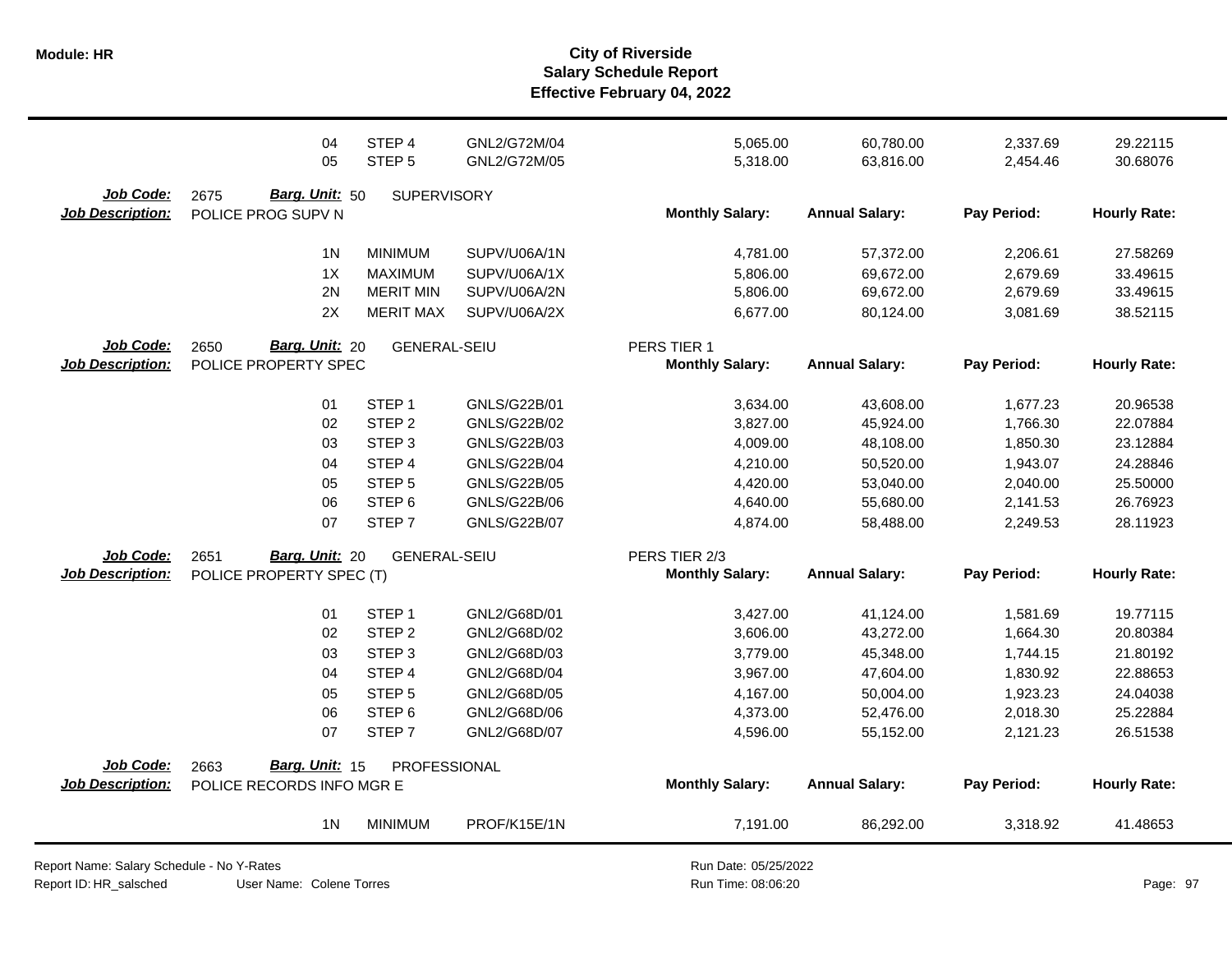|                                      | 04<br>05                                     | STEP 4<br>STEP <sub>5</sub> | GNL2/G72M/04<br>GNL2/G72M/05 | 5,065.00<br>5,318.00   | 60,780.00<br>63,816.00 | 2,337.69<br>2,454.46 | 29.22115<br>30.68076 |
|--------------------------------------|----------------------------------------------|-----------------------------|------------------------------|------------------------|------------------------|----------------------|----------------------|
| Job Code:<br><b>Job Description:</b> | Barg. Unit: 50<br>2675<br>POLICE PROG SUPV N | <b>SUPERVISORY</b>          |                              | <b>Monthly Salary:</b> | <b>Annual Salary:</b>  | Pay Period:          | <b>Hourly Rate:</b>  |
|                                      | 1 <sup>N</sup>                               | <b>MINIMUM</b>              | SUPV/U06A/1N                 | 4,781.00               | 57,372.00              | 2,206.61             | 27.58269             |
|                                      | 1X                                           | <b>MAXIMUM</b>              | SUPV/U06A/1X                 | 5,806.00               | 69,672.00              | 2,679.69             | 33.49615             |
|                                      | 2N                                           | <b>MERIT MIN</b>            | SUPV/U06A/2N                 | 5,806.00               | 69,672.00              | 2,679.69             | 33.49615             |
|                                      | 2X                                           | <b>MERIT MAX</b>            | SUPV/U06A/2X                 | 6,677.00               | 80,124.00              | 3,081.69             | 38.52115             |
| Job Code:                            | Barg. Unit: 20<br>2650                       | <b>GENERAL-SEIU</b>         |                              | PERS TIER 1            |                        |                      |                      |
| <b>Job Description:</b>              | POLICE PROPERTY SPEC                         |                             |                              | <b>Monthly Salary:</b> | <b>Annual Salary:</b>  | Pay Period:          | <b>Hourly Rate:</b>  |
|                                      | 01                                           | STEP <sub>1</sub>           | GNLS/G22B/01                 | 3,634.00               | 43,608.00              | 1,677.23             | 20.96538             |
|                                      | 02                                           | STEP <sub>2</sub>           | GNLS/G22B/02                 | 3,827.00               | 45,924.00              | 1,766.30             | 22.07884             |
|                                      | 03                                           | STEP <sub>3</sub>           | GNLS/G22B/03                 | 4,009.00               | 48,108.00              | 1,850.30             | 23.12884             |
|                                      | 04                                           | STEP 4                      | <b>GNLS/G22B/04</b>          | 4,210.00               | 50,520.00              | 1,943.07             | 24.28846             |
|                                      | 05                                           | STEP <sub>5</sub>           | GNLS/G22B/05                 | 4,420.00               | 53,040.00              | 2,040.00             | 25.50000             |
|                                      | 06                                           | STEP <sub>6</sub>           | <b>GNLS/G22B/06</b>          | 4,640.00               | 55,680.00              | 2,141.53             | 26.76923             |
|                                      | 07                                           | STEP <sub>7</sub>           | <b>GNLS/G22B/07</b>          | 4,874.00               | 58,488.00              | 2,249.53             | 28.11923             |
| <b>Job Code:</b>                     | Barg. Unit: 20<br>2651                       | <b>GENERAL-SEIU</b>         |                              | PERS TIER 2/3          |                        |                      |                      |
| <b>Job Description:</b>              | POLICE PROPERTY SPEC (T)                     |                             |                              | <b>Monthly Salary:</b> | <b>Annual Salary:</b>  | Pay Period:          | <b>Hourly Rate:</b>  |
|                                      | 01                                           | STEP <sub>1</sub>           | GNL2/G68D/01                 | 3,427.00               | 41,124.00              | 1,581.69             | 19.77115             |
|                                      | 02                                           | STEP <sub>2</sub>           | GNL2/G68D/02                 | 3,606.00               | 43,272.00              | 1,664.30             | 20.80384             |
|                                      | 03                                           | STEP <sub>3</sub>           | GNL2/G68D/03                 | 3,779.00               | 45,348.00              | 1,744.15             | 21.80192             |
|                                      | 04                                           | STEP 4                      | GNL2/G68D/04                 | 3,967.00               | 47,604.00              | 1,830.92             | 22.88653             |
|                                      | 05                                           | STEP <sub>5</sub>           | GNL2/G68D/05                 | 4,167.00               | 50,004.00              | 1,923.23             | 24.04038             |
|                                      | 06                                           | STEP <sub>6</sub>           | GNL2/G68D/06                 | 4,373.00               | 52,476.00              | 2,018.30             | 25.22884             |
|                                      | 07                                           | STEP <sub>7</sub>           | GNL2/G68D/07                 | 4,596.00               | 55,152.00              | 2,121.23             | 26.51538             |
| Job Code:                            | Barg. Unit: 15<br>2663                       | PROFESSIONAL                |                              |                        |                        |                      |                      |
| <b>Job Description:</b>              | POLICE RECORDS INFO MGR E                    |                             |                              | <b>Monthly Salary:</b> | <b>Annual Salary:</b>  | Pay Period:          | <b>Hourly Rate:</b>  |
|                                      | 1 <sup>N</sup>                               | <b>MINIMUM</b>              | PROF/K15E/1N                 | 7,191.00               | 86,292.00              | 3,318.92             | 41.48653             |

Report Name: Salary Schedule - No Y-Rates Report ID: HR\_salsched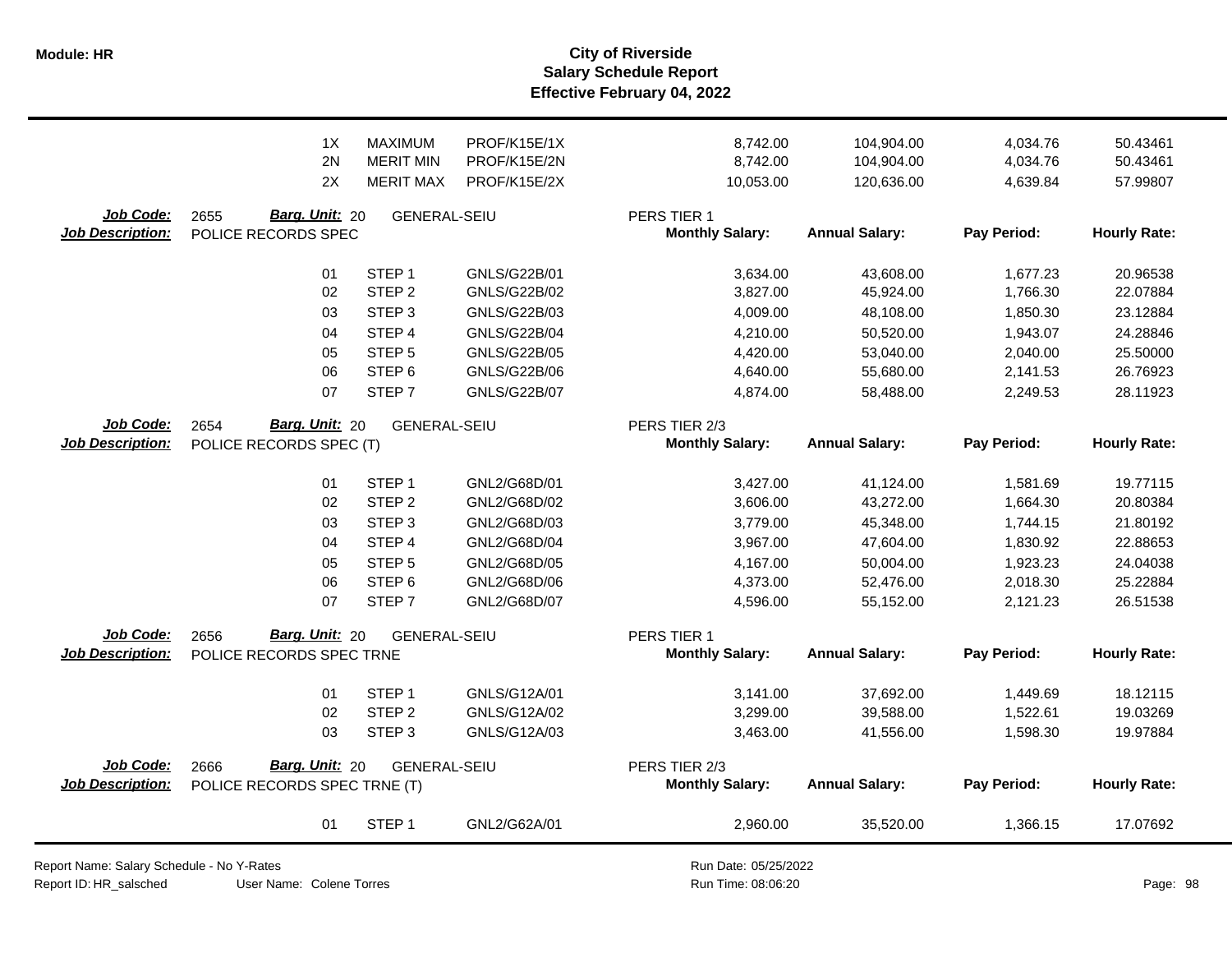**Salary Schedule Report Effective February 04, 2022 Module: HR City of Riverside**

|                                             | 1X<br>2N<br>2X                                | MAXIMUM<br><b>MERIT MIN</b><br><b>MERIT MAX</b> | PROF/K15E/1X<br>PROF/K15E/2N<br>PROF/K15E/2X | 8,742.00<br>8,742.00<br>10,053.00     | 104,904.00<br>104,904.00<br>120,636.00 | 4,034.76<br>4,034.76<br>4,639.84 | 50.43461<br>50.43461<br>57.99807 |
|---------------------------------------------|-----------------------------------------------|-------------------------------------------------|----------------------------------------------|---------------------------------------|----------------------------------------|----------------------------------|----------------------------------|
| <b>Job Code:</b><br><b>Job Description:</b> | Barg. Unit: 20<br>2655<br>POLICE RECORDS SPEC | <b>GENERAL-SEIU</b>                             |                                              | PERS TIER 1<br><b>Monthly Salary:</b> | <b>Annual Salary:</b>                  | Pay Period:                      | <b>Hourly Rate:</b>              |
|                                             | 01                                            | STEP <sub>1</sub>                               | GNLS/G22B/01                                 | 3,634.00                              | 43,608.00                              | 1,677.23                         | 20.96538                         |
|                                             | 02                                            | STEP <sub>2</sub>                               | <b>GNLS/G22B/02</b>                          | 3,827.00                              | 45,924.00                              | 1,766.30                         | 22.07884                         |
|                                             | 03                                            | STEP <sub>3</sub>                               | GNLS/G22B/03                                 | 4,009.00                              | 48,108.00                              | 1,850.30                         | 23.12884                         |
|                                             | 04                                            | STEP 4                                          | <b>GNLS/G22B/04</b>                          | 4,210.00                              | 50,520.00                              | 1,943.07                         | 24.28846                         |
|                                             | 05                                            | STEP <sub>5</sub>                               | <b>GNLS/G22B/05</b>                          | 4,420.00                              | 53,040.00                              | 2,040.00                         | 25.50000                         |
|                                             | 06                                            | STEP <sub>6</sub>                               | GNLS/G22B/06                                 | 4,640.00                              | 55,680.00                              | 2,141.53                         | 26.76923                         |
|                                             | 07                                            | STEP <sub>7</sub>                               | <b>GNLS/G22B/07</b>                          | 4,874.00                              | 58,488.00                              | 2,249.53                         | 28.11923                         |
| Job Code:                                   | Barg. Unit: 20<br>2654                        | <b>GENERAL-SEIU</b>                             |                                              | PERS TIER 2/3                         |                                        |                                  |                                  |
| <b>Job Description:</b>                     | POLICE RECORDS SPEC (T)                       |                                                 |                                              | <b>Monthly Salary:</b>                | <b>Annual Salary:</b>                  | Pay Period:                      | <b>Hourly Rate:</b>              |
|                                             | 01                                            | STEP <sub>1</sub>                               | GNL2/G68D/01                                 |                                       |                                        |                                  | 19.77115                         |
|                                             | 02                                            | STEP <sub>2</sub>                               | GNL2/G68D/02                                 | 3,427.00<br>3,606.00                  | 41,124.00<br>43,272.00                 | 1,581.69<br>1,664.30             | 20.80384                         |
|                                             | 03                                            | STEP <sub>3</sub>                               | GNL2/G68D/03                                 | 3,779.00                              | 45,348.00                              | 1,744.15                         | 21.80192                         |
|                                             | 04                                            | STEP 4                                          | GNL2/G68D/04                                 | 3,967.00                              | 47,604.00                              | 1,830.92                         | 22.88653                         |
|                                             | 05                                            | STEP <sub>5</sub>                               | GNL2/G68D/05                                 | 4,167.00                              | 50,004.00                              | 1,923.23                         | 24.04038                         |
|                                             | 06                                            | STEP <sub>6</sub>                               | GNL2/G68D/06                                 | 4,373.00                              | 52,476.00                              | 2,018.30                         | 25.22884                         |
|                                             | 07                                            | STEP <sub>7</sub>                               | GNL2/G68D/07                                 | 4,596.00                              | 55,152.00                              | 2,121.23                         | 26.51538                         |
| Job Code:                                   | Barg. Unit: 20<br>2656                        | <b>GENERAL-SEIU</b>                             |                                              | PERS TIER 1                           |                                        |                                  |                                  |
| <b>Job Description:</b>                     | POLICE RECORDS SPEC TRNE                      |                                                 |                                              | <b>Monthly Salary:</b>                | <b>Annual Salary:</b>                  | Pay Period:                      | <b>Hourly Rate:</b>              |
|                                             | 01                                            | STEP <sub>1</sub>                               | GNLS/G12A/01                                 | 3,141.00                              | 37,692.00                              | 1,449.69                         | 18.12115                         |
|                                             | 02                                            | STEP <sub>2</sub>                               | GNLS/G12A/02                                 | 3,299.00                              | 39,588.00                              | 1,522.61                         | 19.03269                         |
|                                             | 03                                            | STEP <sub>3</sub>                               | GNLS/G12A/03                                 | 3,463.00                              | 41,556.00                              | 1,598.30                         | 19.97884                         |
| Job Code:                                   | Barg. Unit: 20<br>2666                        | <b>GENERAL-SEIU</b>                             |                                              | PERS TIER 2/3                         |                                        |                                  |                                  |
| <b>Job Description:</b>                     | POLICE RECORDS SPEC TRNE (T)                  |                                                 |                                              | <b>Monthly Salary:</b>                | <b>Annual Salary:</b>                  | Pay Period:                      | <b>Hourly Rate:</b>              |
|                                             | 01                                            | STEP <sub>1</sub>                               | GNL2/G62A/01                                 | 2,960.00                              | 35,520.00                              | 1,366.15                         | 17.07692                         |

Report Name: Salary Schedule - No Y-Rates

Report ID: HR\_salsched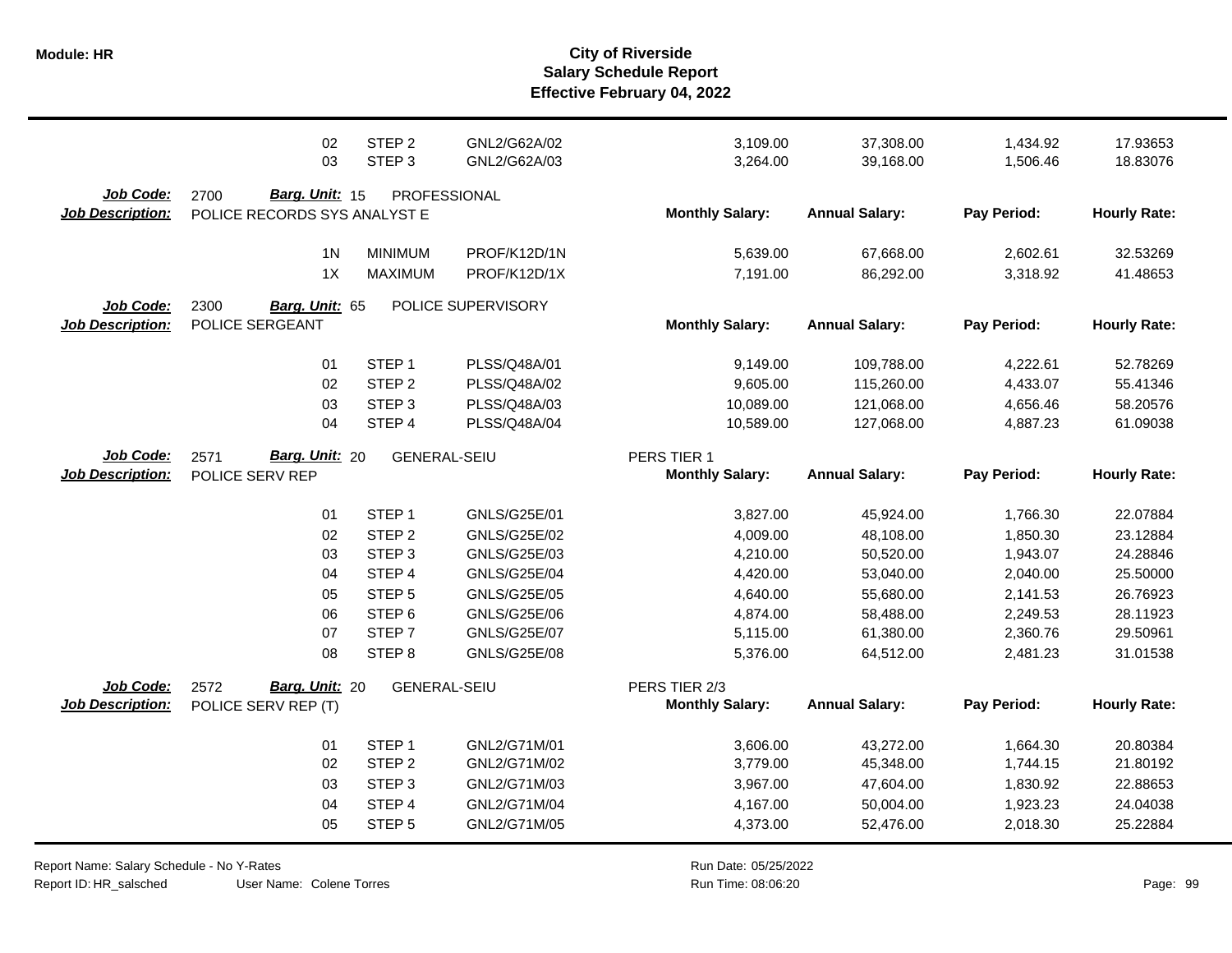|                                      | 02<br>03                                  | STEP <sub>2</sub><br>STEP <sub>3</sub> | GNL2/G62A/02<br>GNL2/G62A/03 | 3,109.00<br>3,264.00   | 37,308.00<br>39,168.00   | 1,434.92<br>1,506.46 | 17.93653<br>18.83076 |
|--------------------------------------|-------------------------------------------|----------------------------------------|------------------------------|------------------------|--------------------------|----------------------|----------------------|
| Job Code:                            | 2700<br>Barg. Unit: 15                    | PROFESSIONAL                           |                              |                        |                          |                      |                      |
| <b>Job Description:</b>              | POLICE RECORDS SYS ANALYST E              |                                        |                              | <b>Monthly Salary:</b> | <b>Annual Salary:</b>    | Pay Period:          | <b>Hourly Rate:</b>  |
|                                      | 1 <sup>N</sup>                            | <b>MINIMUM</b>                         | PROF/K12D/1N                 | 5,639.00               | 67,668.00                | 2,602.61             | 32.53269             |
|                                      | 1X                                        | <b>MAXIMUM</b>                         | PROF/K12D/1X                 | 7,191.00               | 86,292.00                | 3,318.92             | 41.48653             |
| Job Code:<br><b>Job Description:</b> | 2300<br>Barg. Unit: 65<br>POLICE SERGEANT |                                        | POLICE SUPERVISORY           | <b>Monthly Salary:</b> | <b>Annual Salary:</b>    | Pay Period:          | <b>Hourly Rate:</b>  |
|                                      |                                           | STEP <sub>1</sub>                      |                              |                        |                          |                      |                      |
|                                      | 01<br>02                                  | STEP <sub>2</sub>                      | PLSS/Q48A/01<br>PLSS/Q48A/02 | 9,149.00<br>9,605.00   | 109,788.00<br>115,260.00 | 4,222.61<br>4,433.07 | 52.78269<br>55.41346 |
|                                      | 03                                        | STEP <sub>3</sub>                      | PLSS/Q48A/03                 | 10,089.00              | 121,068.00               | 4,656.46             | 58.20576             |
|                                      | 04                                        | STEP 4                                 | PLSS/Q48A/04                 | 10,589.00              | 127,068.00               | 4,887.23             | 61.09038             |
| Job Code:                            | Barg. Unit: 20<br>2571                    | <b>GENERAL-SEIU</b>                    |                              | PERS TIER 1            |                          |                      |                      |
| <b>Job Description:</b>              | POLICE SERV REP                           |                                        |                              | <b>Monthly Salary:</b> | <b>Annual Salary:</b>    | Pay Period:          | <b>Hourly Rate:</b>  |
|                                      | 01                                        | STEP <sub>1</sub>                      | GNLS/G25E/01                 | 3,827.00               | 45,924.00                | 1,766.30             | 22.07884             |
|                                      | 02                                        | STEP <sub>2</sub>                      | GNLS/G25E/02                 | 4,009.00               | 48,108.00                | 1,850.30             | 23.12884             |
|                                      | 03                                        | STEP <sub>3</sub>                      | GNLS/G25E/03                 | 4,210.00               | 50,520.00                | 1,943.07             | 24.28846             |
|                                      | 04                                        | STEP 4                                 | <b>GNLS/G25E/04</b>          | 4,420.00               | 53,040.00                | 2,040.00             | 25.50000             |
|                                      | 05                                        | STEP <sub>5</sub>                      | GNLS/G25E/05                 | 4,640.00               | 55,680.00                | 2,141.53             | 26.76923             |
|                                      | 06                                        | STEP <sub>6</sub>                      | GNLS/G25E/06                 | 4,874.00               | 58,488.00                | 2,249.53             | 28.11923             |
|                                      | 07                                        | STEP <sub>7</sub>                      | <b>GNLS/G25E/07</b>          | 5,115.00               | 61,380.00                | 2,360.76             | 29.50961             |
|                                      | 08                                        | STEP <sub>8</sub>                      | GNLS/G25E/08                 | 5,376.00               | 64,512.00                | 2,481.23             | 31.01538             |
| <b>Job Code:</b>                     | Barg. Unit: 20<br>2572                    | <b>GENERAL-SEIU</b>                    |                              | PERS TIER 2/3          |                          |                      |                      |
| <b>Job Description:</b>              | POLICE SERV REP (T)                       |                                        |                              | <b>Monthly Salary:</b> | <b>Annual Salary:</b>    | Pay Period:          | <b>Hourly Rate:</b>  |
|                                      | 01                                        | STEP <sub>1</sub>                      | GNL2/G71M/01                 | 3,606.00               | 43,272.00                | 1,664.30             | 20.80384             |
|                                      | 02                                        | STEP <sub>2</sub>                      | GNL2/G71M/02                 | 3,779.00               | 45,348.00                | 1,744.15             | 21.80192             |
|                                      | 03                                        | STEP <sub>3</sub>                      | GNL2/G71M/03                 | 3,967.00               | 47,604.00                | 1,830.92             | 22.88653             |
|                                      | 04                                        | STEP 4                                 | GNL2/G71M/04                 | 4,167.00               | 50,004.00                | 1,923.23             | 24.04038             |
|                                      | 05                                        | STEP <sub>5</sub>                      | GNL2/G71M/05                 | 4,373.00               | 52,476.00                | 2,018.30             | 25.22884             |

User Name: Colene Torres Report Name: Salary Schedule - No Y-Rates Report ID: HR\_salsched

 $\overline{\phantom{0}}$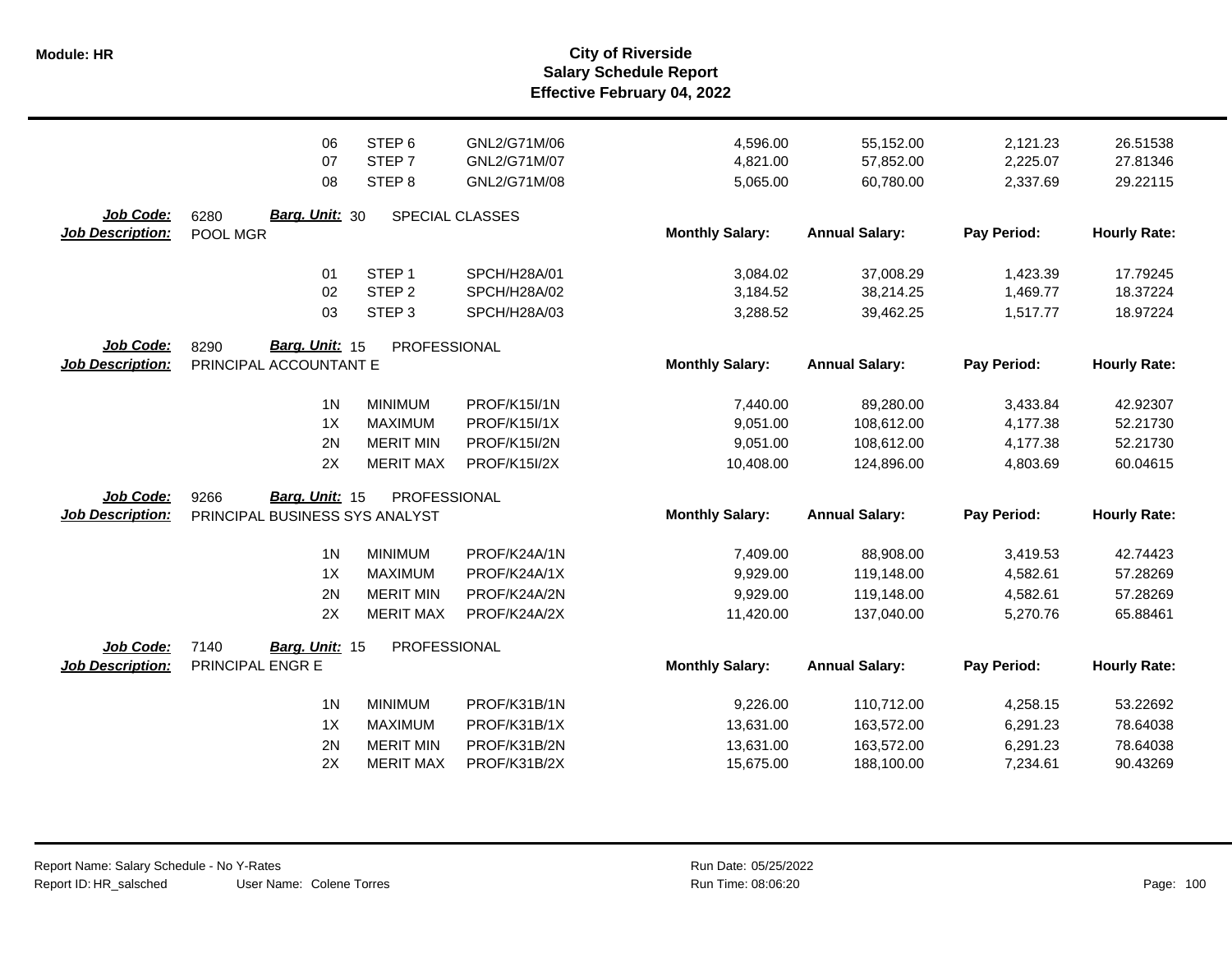|                         | 06                             | STEP <sub>6</sub> | GNL2/G71M/06        | 4,596.00               | 55,152.00             | 2,121.23    | 26.51538            |
|-------------------------|--------------------------------|-------------------|---------------------|------------------------|-----------------------|-------------|---------------------|
|                         | 07                             | STEP 7            | GNL2/G71M/07        | 4,821.00               | 57,852.00             | 2,225.07    | 27.81346            |
|                         | 08                             | STEP <sub>8</sub> | GNL2/G71M/08        | 5,065.00               | 60,780.00             | 2,337.69    | 29.22115            |
|                         |                                |                   |                     |                        |                       |             |                     |
| Job Code:               | <b>Barg. Unit: 30</b><br>6280  |                   | SPECIAL CLASSES     |                        |                       |             |                     |
| <b>Job Description:</b> | POOL MGR                       |                   |                     | <b>Monthly Salary:</b> | <b>Annual Salary:</b> | Pay Period: | <b>Hourly Rate:</b> |
|                         |                                |                   |                     |                        |                       |             |                     |
|                         | 01                             | STEP <sub>1</sub> | SPCH/H28A/01        | 3,084.02               | 37,008.29             | 1,423.39    | 17.79245            |
|                         | 02                             | STEP <sub>2</sub> | SPCH/H28A/02        | 3,184.52               | 38,214.25             | 1,469.77    | 18.37224            |
|                         | 03                             | STEP <sub>3</sub> | SPCH/H28A/03        | 3,288.52               | 39,462.25             | 1,517.77    | 18.97224            |
| Job Code:               | Barg. Unit: 15<br>8290         | PROFESSIONAL      |                     |                        |                       |             |                     |
| <b>Job Description:</b> | PRINCIPAL ACCOUNTANT E         |                   |                     | <b>Monthly Salary:</b> | <b>Annual Salary:</b> | Pay Period: | <b>Hourly Rate:</b> |
|                         |                                |                   |                     |                        |                       |             |                     |
|                         | 1 <sub>N</sub>                 | <b>MINIMUM</b>    | PROF/K15I/1N        | 7,440.00               | 89,280.00             | 3,433.84    | 42.92307            |
|                         | 1X                             | <b>MAXIMUM</b>    | <b>PROF/K15I/1X</b> | 9,051.00               | 108,612.00            | 4,177.38    | 52.21730            |
|                         | 2N                             | <b>MERIT MIN</b>  | <b>PROF/K15I/2N</b> | 9,051.00               | 108,612.00            | 4,177.38    | 52.21730            |
|                         | 2X                             | <b>MERIT MAX</b>  | <b>PROF/K15I/2X</b> | 10,408.00              | 124,896.00            | 4,803.69    | 60.04615            |
|                         |                                |                   |                     |                        |                       |             |                     |
| Job Code:               | Barg. Unit: 15<br>9266         | PROFESSIONAL      |                     |                        |                       |             |                     |
| <b>Job Description:</b> | PRINCIPAL BUSINESS SYS ANALYST |                   |                     | <b>Monthly Salary:</b> | <b>Annual Salary:</b> | Pay Period: | <b>Hourly Rate:</b> |
|                         | 1 <sub>N</sub>                 | <b>MINIMUM</b>    | PROF/K24A/1N        | 7,409.00               | 88,908.00             | 3,419.53    | 42.74423            |
|                         | 1X                             | <b>MAXIMUM</b>    | PROF/K24A/1X        | 9,929.00               | 119,148.00            | 4,582.61    | 57.28269            |
|                         | 2N                             | <b>MERIT MIN</b>  | PROF/K24A/2N        | 9,929.00               | 119,148.00            | 4,582.61    | 57.28269            |
|                         | 2X                             | <b>MERIT MAX</b>  | PROF/K24A/2X        |                        |                       |             |                     |
|                         |                                |                   |                     | 11,420.00              | 137,040.00            | 5,270.76    | 65.88461            |
| Job Code:               | 7140<br>Barg. Unit: 15         | PROFESSIONAL      |                     |                        |                       |             |                     |
| <b>Job Description:</b> | PRINCIPAL ENGR E               |                   |                     | <b>Monthly Salary:</b> | <b>Annual Salary:</b> | Pay Period: | <b>Hourly Rate:</b> |
|                         |                                |                   |                     |                        |                       |             |                     |
|                         | 1 <sub>N</sub>                 | <b>MINIMUM</b>    | PROF/K31B/1N        | 9,226.00               | 110,712.00            | 4,258.15    | 53.22692            |
|                         | 1X                             | <b>MAXIMUM</b>    | PROF/K31B/1X        | 13,631.00              | 163,572.00            | 6,291.23    | 78.64038            |
|                         | 2N                             | <b>MERIT MIN</b>  | PROF/K31B/2N        | 13,631.00              | 163,572.00            | 6,291.23    | 78.64038            |
|                         | 2X                             | <b>MERIT MAX</b>  | PROF/K31B/2X        | 15,675.00              | 188,100.00            | 7,234.61    | 90.43269            |
|                         |                                |                   |                     |                        |                       |             |                     |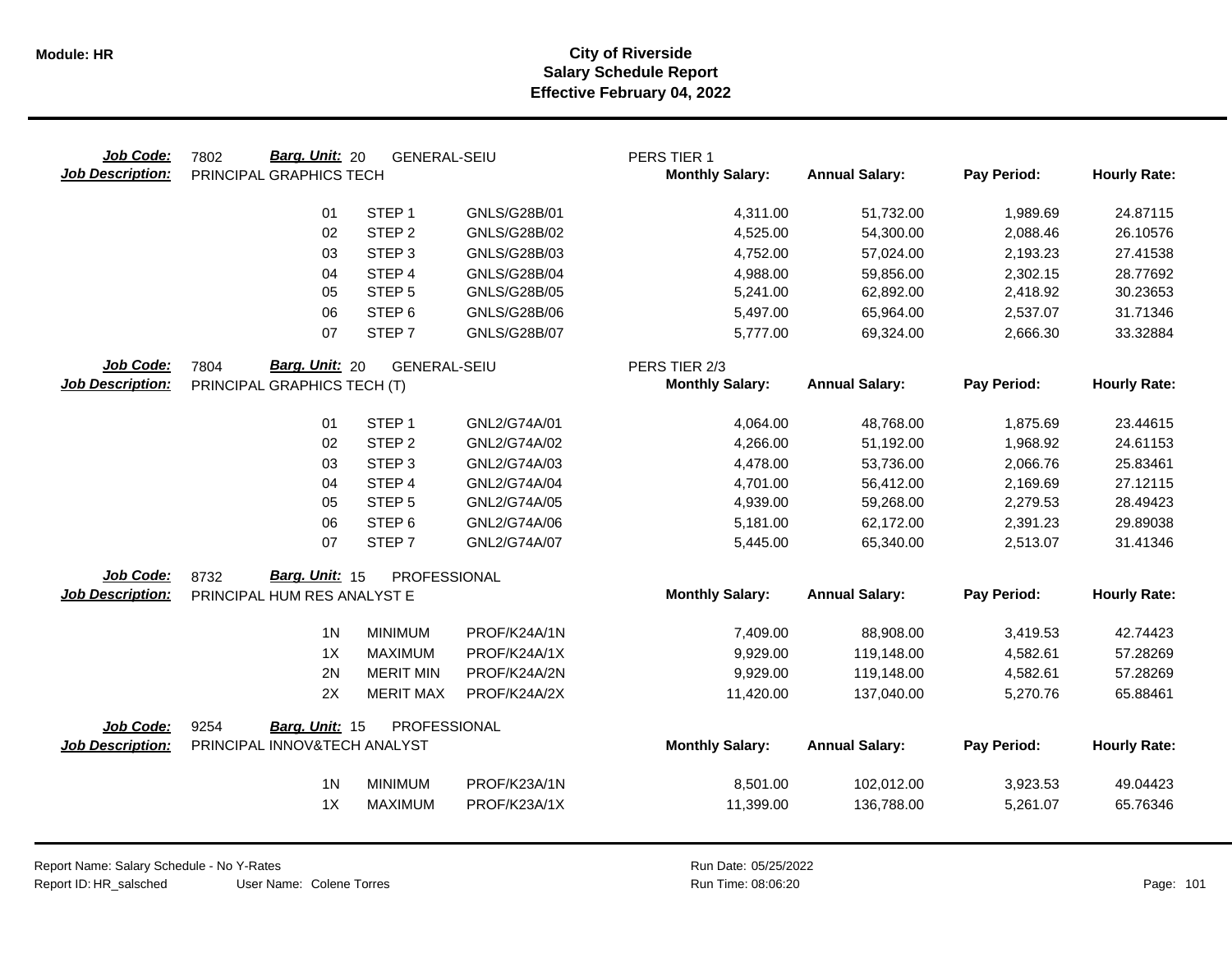| Job Code:<br><b>Job Description:</b> | Barg. Unit: 20<br>7802<br>PRINCIPAL GRAPHICS TECH | <b>GENERAL-SEIU</b> |                     | PERS TIER 1<br><b>Monthly Salary:</b> | <b>Annual Salary:</b> | Pay Period: | <b>Hourly Rate:</b> |
|--------------------------------------|---------------------------------------------------|---------------------|---------------------|---------------------------------------|-----------------------|-------------|---------------------|
|                                      | 01                                                | STEP <sub>1</sub>   | GNLS/G28B/01        | 4,311.00                              | 51,732.00             | 1,989.69    | 24.87115            |
|                                      | 02                                                | STEP <sub>2</sub>   | GNLS/G28B/02        | 4,525.00                              | 54,300.00             | 2,088.46    | 26.10576            |
|                                      | 03                                                | STEP <sub>3</sub>   | GNLS/G28B/03        | 4,752.00                              | 57,024.00             | 2,193.23    | 27.41538            |
|                                      | 04                                                | STEP <sub>4</sub>   | <b>GNLS/G28B/04</b> | 4,988.00                              | 59,856.00             | 2,302.15    | 28.77692            |
|                                      | 05                                                | STEP <sub>5</sub>   | GNLS/G28B/05        | 5,241.00                              | 62,892.00             | 2,418.92    | 30.23653            |
|                                      | 06                                                | STEP <sub>6</sub>   | GNLS/G28B/06        | 5,497.00                              | 65,964.00             | 2,537.07    | 31.71346            |
|                                      | 07                                                | STEP <sub>7</sub>   | <b>GNLS/G28B/07</b> | 5,777.00                              | 69,324.00             | 2,666.30    | 33.32884            |
| Job Code:                            | Barg. Unit: 20<br>7804                            | <b>GENERAL-SEIU</b> |                     | PERS TIER 2/3                         |                       |             |                     |
| <b>Job Description:</b>              | PRINCIPAL GRAPHICS TECH (T)                       |                     |                     | <b>Monthly Salary:</b>                | <b>Annual Salary:</b> | Pay Period: | <b>Hourly Rate:</b> |
|                                      | 01                                                | STEP <sub>1</sub>   | GNL2/G74A/01        | 4,064.00                              | 48,768.00             | 1,875.69    | 23.44615            |
|                                      | 02                                                | STEP <sub>2</sub>   | GNL2/G74A/02        | 4,266.00                              | 51,192.00             | 1,968.92    | 24.61153            |
|                                      | 03                                                | STEP <sub>3</sub>   | GNL2/G74A/03        | 4,478.00                              | 53,736.00             | 2,066.76    | 25.83461            |
|                                      | 04                                                | STEP <sub>4</sub>   | GNL2/G74A/04        | 4,701.00                              | 56,412.00             | 2,169.69    | 27.12115            |
|                                      | 05                                                | STEP <sub>5</sub>   | GNL2/G74A/05        | 4,939.00                              | 59,268.00             | 2,279.53    | 28.49423            |
|                                      | 06                                                | STEP <sub>6</sub>   | GNL2/G74A/06        | 5,181.00                              | 62,172.00             | 2,391.23    | 29.89038            |
|                                      | 07                                                | STEP <sub>7</sub>   | GNL2/G74A/07        | 5,445.00                              | 65,340.00             | 2,513.07    | 31.41346            |
| Job Code:                            | Barg. Unit: 15<br>8732                            | PROFESSIONAL        |                     |                                       |                       |             |                     |
| <b>Job Description:</b>              | PRINCIPAL HUM RES ANALYST E                       |                     |                     | <b>Monthly Salary:</b>                | <b>Annual Salary:</b> | Pay Period: | <b>Hourly Rate:</b> |
|                                      | 1 <sup>N</sup>                                    | <b>MINIMUM</b>      | PROF/K24A/1N        | 7,409.00                              | 88,908.00             | 3,419.53    | 42.74423            |
|                                      | 1X                                                | <b>MAXIMUM</b>      | PROF/K24A/1X        | 9,929.00                              | 119,148.00            | 4,582.61    | 57.28269            |
|                                      | 2N                                                | <b>MERIT MIN</b>    | PROF/K24A/2N        | 9,929.00                              | 119,148.00            | 4,582.61    | 57.28269            |
|                                      | 2X                                                | <b>MERIT MAX</b>    | PROF/K24A/2X        | 11,420.00                             | 137,040.00            | 5,270.76    | 65.88461            |
| Job Code:                            | 9254<br>Barg. Unit: 15                            | PROFESSIONAL        |                     |                                       |                       |             |                     |
| <b>Job Description:</b>              | PRINCIPAL INNOV&TECH ANALYST                      |                     |                     | <b>Monthly Salary:</b>                | <b>Annual Salary:</b> | Pay Period: | <b>Hourly Rate:</b> |
|                                      | 1 <sub>N</sub>                                    | <b>MINIMUM</b>      | PROF/K23A/1N        | 8,501.00                              | 102,012.00            | 3,923.53    | 49.04423            |
|                                      | 1X                                                | <b>MAXIMUM</b>      | PROF/K23A/1X        | 11,399.00                             | 136,788.00            | 5,261.07    | 65.76346            |
|                                      |                                                   |                     |                     |                                       |                       |             |                     |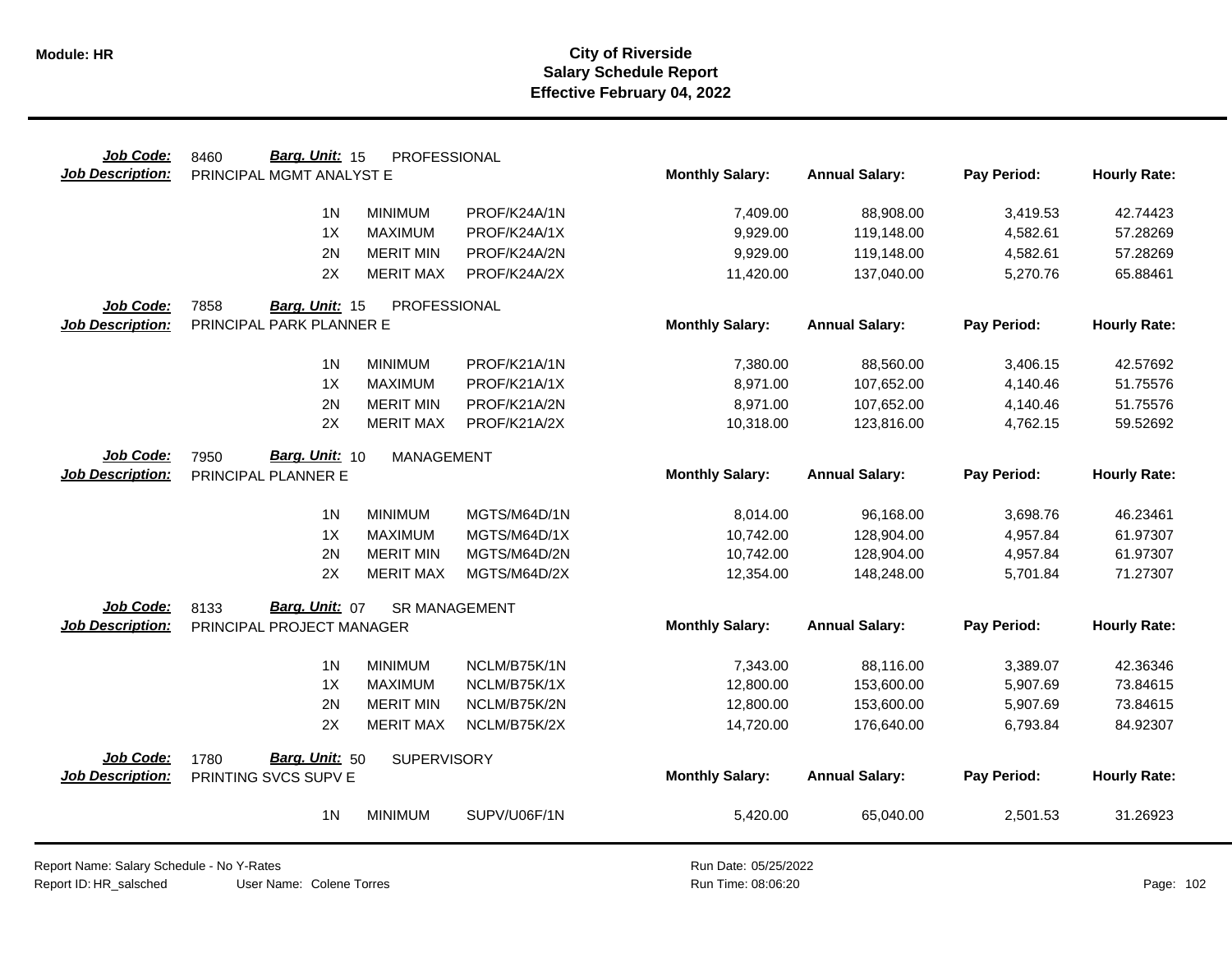| Job Code:               | Barg. Unit: 15<br>8460    | PROFESSIONAL         |              |                        |                       |             |                     |
|-------------------------|---------------------------|----------------------|--------------|------------------------|-----------------------|-------------|---------------------|
| <b>Job Description:</b> | PRINCIPAL MGMT ANALYST E  |                      |              | <b>Monthly Salary:</b> | <b>Annual Salary:</b> | Pay Period: | <b>Hourly Rate:</b> |
|                         |                           |                      |              |                        |                       |             |                     |
|                         | 1 <sub>N</sub>            | <b>MINIMUM</b>       | PROF/K24A/1N | 7,409.00               | 88,908.00             | 3,419.53    | 42.74423            |
|                         | 1X                        | <b>MAXIMUM</b>       | PROF/K24A/1X | 9,929.00               | 119,148.00            | 4,582.61    | 57.28269            |
|                         | 2N                        | <b>MERIT MIN</b>     | PROF/K24A/2N | 9,929.00               | 119,148.00            | 4,582.61    | 57.28269            |
|                         | 2X                        | <b>MERIT MAX</b>     | PROF/K24A/2X | 11,420.00              | 137,040.00            | 5,270.76    | 65.88461            |
| Job Code:               | 7858<br>Barg. Unit: 15    | PROFESSIONAL         |              |                        |                       |             |                     |
| <b>Job Description:</b> | PRINCIPAL PARK PLANNER E  |                      |              | <b>Monthly Salary:</b> | <b>Annual Salary:</b> | Pay Period: | <b>Hourly Rate:</b> |
|                         |                           |                      |              |                        |                       |             |                     |
|                         | 1 <sub>N</sub>            | <b>MINIMUM</b>       | PROF/K21A/1N | 7,380.00               | 88,560.00             | 3,406.15    | 42.57692            |
|                         | 1X                        | <b>MAXIMUM</b>       | PROF/K21A/1X | 8,971.00               | 107,652.00            | 4,140.46    | 51.75576            |
|                         | 2N                        | <b>MERIT MIN</b>     | PROF/K21A/2N | 8,971.00               | 107,652.00            | 4,140.46    | 51.75576            |
|                         | 2X                        | <b>MERIT MAX</b>     | PROF/K21A/2X | 10,318.00              | 123,816.00            | 4,762.15    | 59.52692            |
| Job Code:               | Barg. Unit: 10<br>7950    | <b>MANAGEMENT</b>    |              |                        |                       |             |                     |
| <b>Job Description:</b> | PRINCIPAL PLANNER E       |                      |              | <b>Monthly Salary:</b> | <b>Annual Salary:</b> | Pay Period: | <b>Hourly Rate:</b> |
|                         |                           |                      |              |                        |                       |             |                     |
|                         | 1 <sub>N</sub>            | <b>MINIMUM</b>       | MGTS/M64D/1N | 8,014.00               | 96,168.00             | 3,698.76    | 46.23461            |
|                         | 1X                        | <b>MAXIMUM</b>       | MGTS/M64D/1X | 10,742.00              | 128,904.00            | 4,957.84    | 61.97307            |
|                         | 2N                        | <b>MERIT MIN</b>     | MGTS/M64D/2N | 10,742.00              | 128,904.00            | 4,957.84    | 61.97307            |
|                         | 2X                        | <b>MERIT MAX</b>     | MGTS/M64D/2X | 12,354.00              | 148,248.00            | 5,701.84    | 71.27307            |
| Job Code:               | Barg. Unit: 07<br>8133    | <b>SR MANAGEMENT</b> |              |                        |                       |             |                     |
| <b>Job Description:</b> | PRINCIPAL PROJECT MANAGER |                      |              | <b>Monthly Salary:</b> | <b>Annual Salary:</b> | Pay Period: | <b>Hourly Rate:</b> |
|                         |                           |                      |              |                        |                       |             |                     |
|                         | 1 <sub>N</sub>            | <b>MINIMUM</b>       | NCLM/B75K/1N | 7,343.00               | 88,116.00             | 3,389.07    | 42.36346            |
|                         | 1X                        | <b>MAXIMUM</b>       | NCLM/B75K/1X | 12,800.00              | 153,600.00            | 5,907.69    | 73.84615            |
|                         | 2N                        | <b>MERIT MIN</b>     | NCLM/B75K/2N | 12,800.00              | 153,600.00            | 5,907.69    | 73.84615            |
|                         | 2X                        | <b>MERIT MAX</b>     | NCLM/B75K/2X | 14,720.00              | 176,640.00            | 6,793.84    | 84.92307            |
|                         |                           |                      |              |                        |                       |             |                     |
| Job Code:               | Barg. Unit: 50<br>1780    | SUPERVISORY          |              |                        |                       |             |                     |
| Job Description:        | PRINTING SVCS SUPV E      |                      |              | <b>Monthly Salary:</b> | <b>Annual Salary:</b> | Pay Period: | <b>Hourly Rate:</b> |
|                         | 1 <sub>N</sub>            | <b>MINIMUM</b>       | SUPV/U06F/1N | 5,420.00               | 65,040.00             | 2,501.53    | 31.26923            |
|                         |                           |                      |              |                        |                       |             |                     |

Report Name: Salary Schedule - No Y-Rates Report ID: HR\_salsched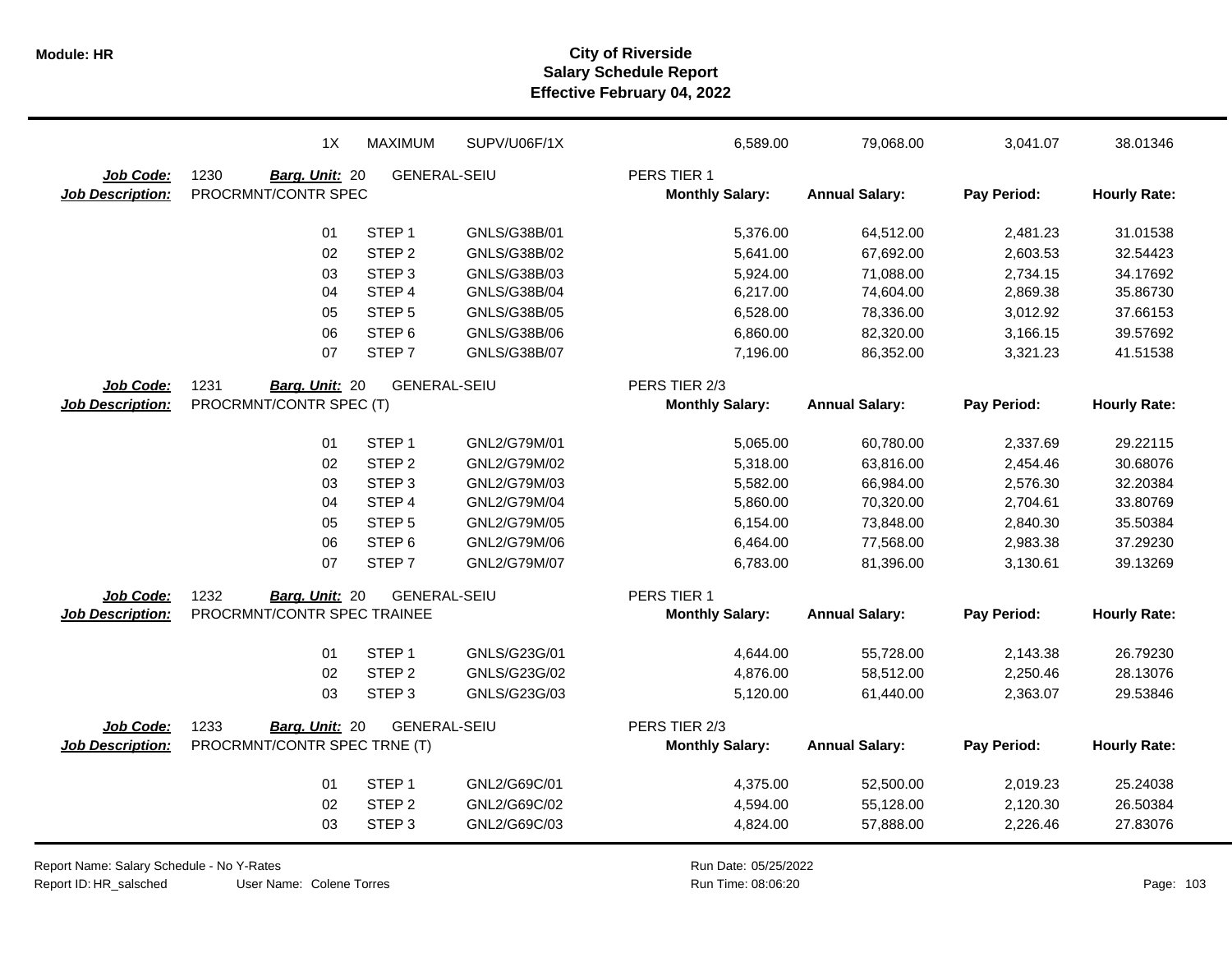|                         | 1X                           | <b>MAXIMUM</b>      | SUPV/U06F/1X | 6,589.00               | 79,068.00             | 3,041.07    | 38.01346            |
|-------------------------|------------------------------|---------------------|--------------|------------------------|-----------------------|-------------|---------------------|
| Job Code:               | 1230<br>Barg. Unit: 20       | <b>GENERAL-SEIU</b> |              | PERS TIER 1            |                       |             |                     |
| Job Description:        | PROCRMNT/CONTR SPEC          |                     |              | <b>Monthly Salary:</b> | <b>Annual Salary:</b> | Pay Period: | <b>Hourly Rate:</b> |
|                         | 01                           | STEP <sub>1</sub>   | GNLS/G38B/01 | 5,376.00               | 64,512.00             | 2,481.23    | 31.01538            |
|                         | 02                           | STEP <sub>2</sub>   | GNLS/G38B/02 | 5,641.00               | 67,692.00             | 2,603.53    | 32.54423            |
|                         | 03                           | STEP <sub>3</sub>   | GNLS/G38B/03 | 5,924.00               | 71,088.00             | 2,734.15    | 34.17692            |
|                         | 04                           | STEP 4              | GNLS/G38B/04 | 6,217.00               | 74,604.00             | 2,869.38    | 35.86730            |
|                         | 05                           | STEP <sub>5</sub>   | GNLS/G38B/05 | 6,528.00               | 78,336.00             | 3,012.92    | 37.66153            |
|                         | 06                           | STEP <sub>6</sub>   | GNLS/G38B/06 | 6,860.00               | 82,320.00             | 3,166.15    | 39.57692            |
|                         | 07                           | STEP <sub>7</sub>   | GNLS/G38B/07 | 7,196.00               | 86,352.00             | 3,321.23    | 41.51538            |
| Job Code:               | 1231<br>Barg. Unit: 20       | <b>GENERAL-SEIU</b> |              | PERS TIER 2/3          |                       |             |                     |
| <b>Job Description:</b> | PROCRMNT/CONTR SPEC (T)      |                     |              | <b>Monthly Salary:</b> | <b>Annual Salary:</b> | Pay Period: | <b>Hourly Rate:</b> |
|                         | 01                           | STEP <sub>1</sub>   | GNL2/G79M/01 | 5,065.00               | 60,780.00             | 2,337.69    | 29.22115            |
|                         | 02                           | STEP <sub>2</sub>   | GNL2/G79M/02 | 5,318.00               | 63,816.00             | 2,454.46    | 30.68076            |
|                         | 03                           | STEP <sub>3</sub>   | GNL2/G79M/03 | 5,582.00               | 66,984.00             | 2,576.30    | 32.20384            |
|                         | 04                           | STEP 4              | GNL2/G79M/04 | 5,860.00               | 70,320.00             | 2,704.61    | 33.80769            |
|                         | 05                           | STEP <sub>5</sub>   | GNL2/G79M/05 | 6,154.00               | 73,848.00             | 2,840.30    | 35.50384            |
|                         | 06                           | STEP <sub>6</sub>   | GNL2/G79M/06 | 6,464.00               | 77,568.00             | 2,983.38    | 37.29230            |
|                         | 07                           | STEP <sub>7</sub>   | GNL2/G79M/07 | 6,783.00               | 81,396.00             | 3,130.61    | 39.13269            |
| Job Code:               | 1232<br>Barg. Unit: 20       | <b>GENERAL-SEIU</b> |              | PERS TIER 1            |                       |             |                     |
| <b>Job Description:</b> | PROCRMNT/CONTR SPEC TRAINEE  |                     |              | <b>Monthly Salary:</b> | <b>Annual Salary:</b> | Pay Period: | <b>Hourly Rate:</b> |
|                         | 01                           | STEP <sub>1</sub>   | GNLS/G23G/01 | 4,644.00               | 55,728.00             | 2,143.38    | 26.79230            |
|                         | 02                           | STEP <sub>2</sub>   | GNLS/G23G/02 | 4,876.00               | 58,512.00             | 2,250.46    | 28.13076            |
|                         | 03                           | STEP <sub>3</sub>   | GNLS/G23G/03 | 5,120.00               | 61,440.00             | 2,363.07    | 29.53846            |
| Job Code:               | 1233<br>Barg. Unit: 20       | <b>GENERAL-SEIU</b> |              | PERS TIER 2/3          |                       |             |                     |
| <b>Job Description:</b> | PROCRMNT/CONTR SPEC TRNE (T) |                     |              | <b>Monthly Salary:</b> | <b>Annual Salary:</b> | Pay Period: | <b>Hourly Rate:</b> |
|                         | 01                           | STEP <sub>1</sub>   | GNL2/G69C/01 | 4,375.00               | 52,500.00             | 2,019.23    | 25.24038            |
|                         | 02                           | STEP <sub>2</sub>   | GNL2/G69C/02 | 4,594.00               | 55,128.00             | 2,120.30    | 26.50384            |
|                         | 03                           | STEP <sub>3</sub>   | GNL2/G69C/03 | 4,824.00               | 57,888.00             | 2,226.46    | 27.83076            |

Report Name: Salary Schedule - No Y-Rates

Report ID: HR\_salsched

Run Date: 05/25/2022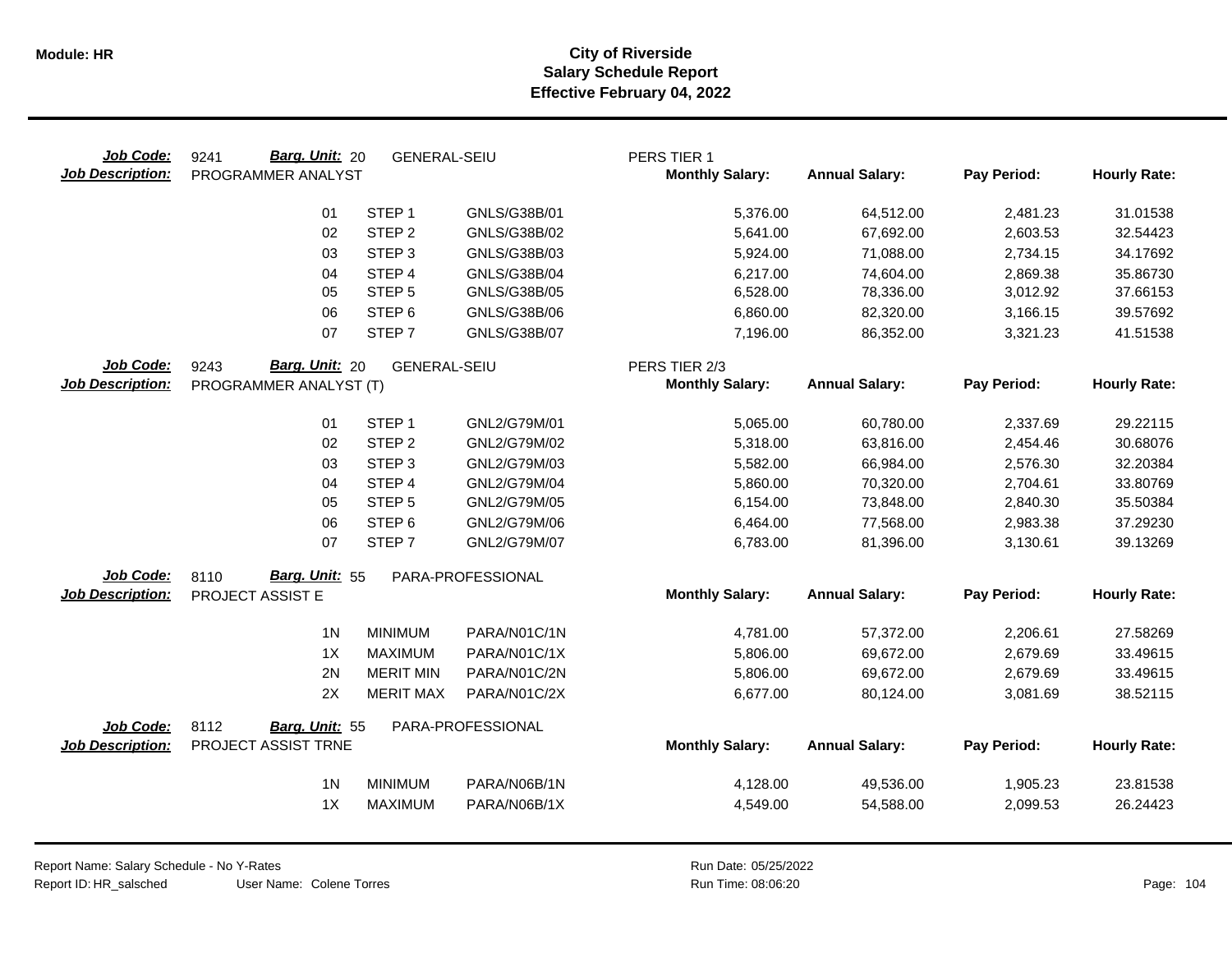| Job Code:<br><b>Job Description:</b> | Barg. Unit: 20<br>9241<br>PROGRAMMER ANALYST | <b>GENERAL-SEIU</b> |                   | PERS TIER 1<br><b>Monthly Salary:</b> | <b>Annual Salary:</b> | Pay Period: | <b>Hourly Rate:</b> |
|--------------------------------------|----------------------------------------------|---------------------|-------------------|---------------------------------------|-----------------------|-------------|---------------------|
|                                      | 01                                           | STEP <sub>1</sub>   | GNLS/G38B/01      | 5,376.00                              | 64,512.00             | 2,481.23    | 31.01538            |
|                                      | 02                                           | STEP <sub>2</sub>   | GNLS/G38B/02      | 5,641.00                              | 67,692.00             | 2,603.53    | 32.54423            |
|                                      | 03                                           | STEP <sub>3</sub>   | GNLS/G38B/03      | 5,924.00                              | 71,088.00             | 2,734.15    | 34.17692            |
|                                      | 04                                           | STEP 4              | GNLS/G38B/04      | 6,217.00                              | 74,604.00             | 2,869.38    | 35.86730            |
|                                      | 05                                           | STEP <sub>5</sub>   | GNLS/G38B/05      | 6,528.00                              | 78,336.00             | 3,012.92    | 37.66153            |
|                                      | 06                                           | STEP <sub>6</sub>   | GNLS/G38B/06      | 6,860.00                              | 82,320.00             | 3,166.15    | 39.57692            |
|                                      | 07                                           | STEP <sub>7</sub>   | GNLS/G38B/07      | 7,196.00                              | 86,352.00             | 3,321.23    | 41.51538            |
| Job Code:                            | Barg. Unit: 20<br>9243                       | <b>GENERAL-SEIU</b> |                   | PERS TIER 2/3                         |                       |             |                     |
| <b>Job Description:</b>              | PROGRAMMER ANALYST (T)                       |                     |                   | <b>Monthly Salary:</b>                | <b>Annual Salary:</b> | Pay Period: | <b>Hourly Rate:</b> |
|                                      | 01                                           | STEP <sub>1</sub>   | GNL2/G79M/01      | 5,065.00                              | 60,780.00             | 2,337.69    | 29.22115            |
|                                      | 02                                           | STEP <sub>2</sub>   | GNL2/G79M/02      | 5,318.00                              | 63,816.00             | 2,454.46    | 30.68076            |
|                                      | 03                                           | STEP <sub>3</sub>   | GNL2/G79M/03      | 5,582.00                              | 66,984.00             | 2,576.30    | 32.20384            |
|                                      | 04                                           | STEP 4              | GNL2/G79M/04      | 5,860.00                              | 70,320.00             | 2,704.61    | 33.80769            |
|                                      | 05                                           | STEP <sub>5</sub>   | GNL2/G79M/05      | 6,154.00                              | 73,848.00             | 2,840.30    | 35.50384            |
|                                      | 06                                           | STEP <sub>6</sub>   | GNL2/G79M/06      | 6,464.00                              | 77,568.00             | 2,983.38    | 37.29230            |
|                                      | 07                                           | STEP <sub>7</sub>   | GNL2/G79M/07      | 6,783.00                              | 81,396.00             | 3,130.61    | 39.13269            |
| Job Code:                            | Barg. Unit: 55<br>8110                       |                     | PARA-PROFESSIONAL |                                       |                       |             |                     |
| <b>Job Description:</b>              | PROJECT ASSIST E                             |                     |                   | <b>Monthly Salary:</b>                | <b>Annual Salary:</b> | Pay Period: | <b>Hourly Rate:</b> |
|                                      | 1 <sub>N</sub>                               | <b>MINIMUM</b>      | PARA/N01C/1N      | 4,781.00                              | 57,372.00             | 2,206.61    | 27.58269            |
|                                      | 1X                                           | <b>MAXIMUM</b>      | PARA/N01C/1X      | 5,806.00                              | 69,672.00             | 2,679.69    | 33.49615            |
|                                      | 2N                                           | <b>MERIT MIN</b>    | PARA/N01C/2N      | 5,806.00                              | 69,672.00             | 2,679.69    | 33.49615            |
|                                      | 2X                                           | <b>MERIT MAX</b>    | PARA/N01C/2X      | 6,677.00                              | 80,124.00             | 3,081.69    | 38.52115            |
| Job Code:                            | 8112<br>Barg. Unit: 55                       |                     | PARA-PROFESSIONAL |                                       |                       |             |                     |
| <b>Job Description:</b>              | PROJECT ASSIST TRNE                          |                     |                   | <b>Monthly Salary:</b>                | <b>Annual Salary:</b> | Pay Period: | <b>Hourly Rate:</b> |
|                                      | 1 <sub>N</sub>                               | <b>MINIMUM</b>      | PARA/N06B/1N      | 4,128.00                              | 49,536.00             | 1,905.23    | 23.81538            |
|                                      | 1X                                           | <b>MAXIMUM</b>      | PARA/N06B/1X      | 4,549.00                              | 54,588.00             | 2,099.53    | 26.24423            |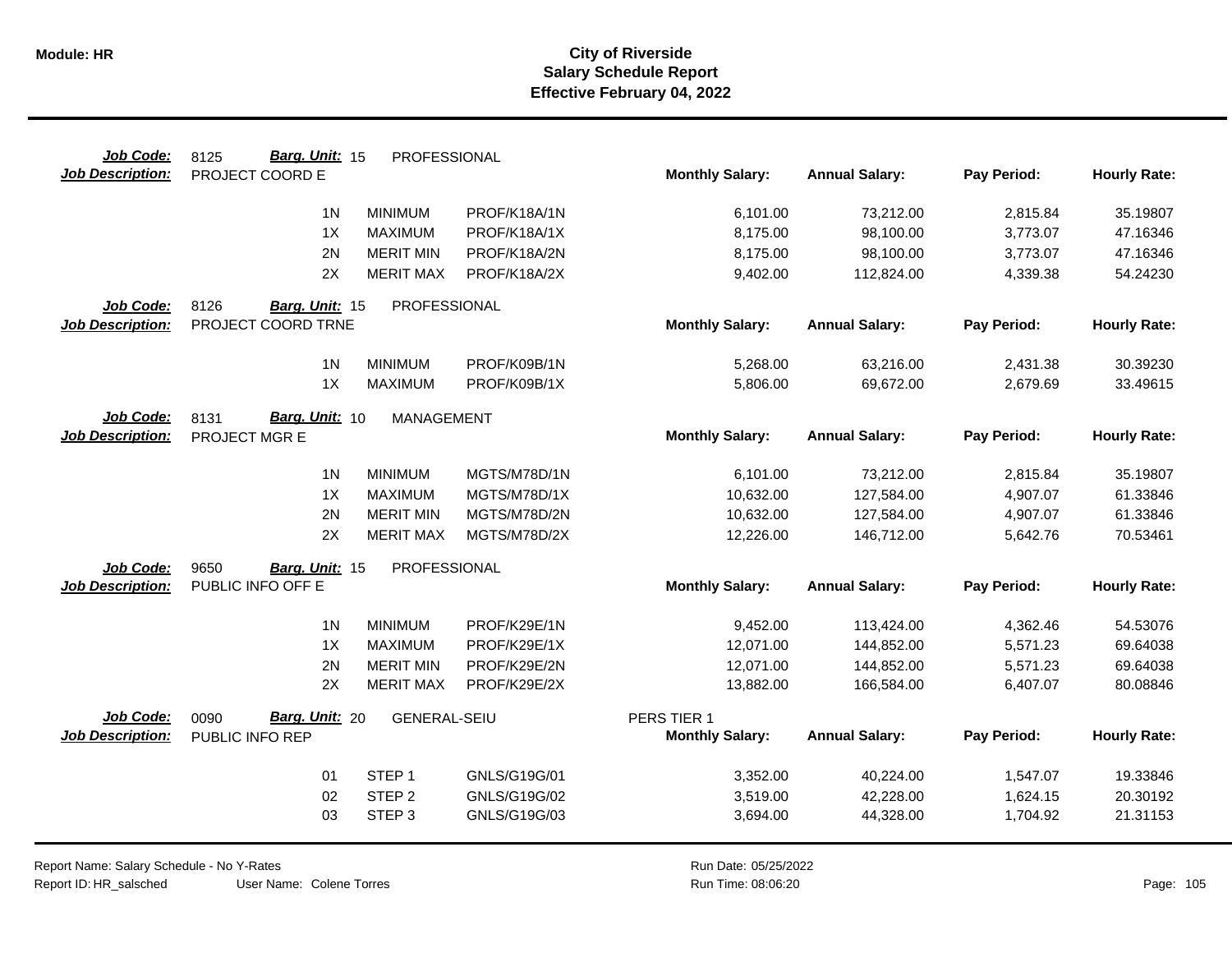| Job Code:               | Barg. Unit: 15<br>8125 | PROFESSIONAL        |              |                        |                       |             |                     |
|-------------------------|------------------------|---------------------|--------------|------------------------|-----------------------|-------------|---------------------|
| <b>Job Description:</b> | PROJECT COORD E        |                     |              | <b>Monthly Salary:</b> | <b>Annual Salary:</b> | Pay Period: | <b>Hourly Rate:</b> |
|                         | 1 <sub>N</sub>         | <b>MINIMUM</b>      | PROF/K18A/1N | 6,101.00               | 73,212.00             | 2,815.84    | 35.19807            |
|                         | 1X                     | <b>MAXIMUM</b>      | PROF/K18A/1X | 8,175.00               | 98,100.00             | 3,773.07    | 47.16346            |
|                         | 2N                     | <b>MERIT MIN</b>    | PROF/K18A/2N | 8,175.00               | 98,100.00             | 3,773.07    | 47.16346            |
|                         | 2X                     | <b>MERIT MAX</b>    | PROF/K18A/2X | 9,402.00               | 112,824.00            | 4,339.38    | 54.24230            |
| Job Code:               | 8126<br>Barg. Unit: 15 | PROFESSIONAL        |              |                        |                       |             |                     |
| <b>Job Description:</b> | PROJECT COORD TRNE     |                     |              | <b>Monthly Salary:</b> | <b>Annual Salary:</b> | Pay Period: | <b>Hourly Rate:</b> |
|                         | 1 <sub>N</sub>         | <b>MINIMUM</b>      | PROF/K09B/1N | 5,268.00               | 63,216.00             | 2,431.38    | 30.39230            |
|                         | 1X                     | <b>MAXIMUM</b>      | PROF/K09B/1X | 5,806.00               | 69,672.00             | 2,679.69    | 33.49615            |
| Job Code:               | Barg. Unit: 10<br>8131 | <b>MANAGEMENT</b>   |              |                        |                       |             |                     |
| <b>Job Description:</b> | PROJECT MGR E          |                     |              | <b>Monthly Salary:</b> | <b>Annual Salary:</b> | Pay Period: | <b>Hourly Rate:</b> |
|                         | 1 <sub>N</sub>         | <b>MINIMUM</b>      | MGTS/M78D/1N | 6,101.00               | 73,212.00             | 2,815.84    | 35.19807            |
|                         | 1X                     | <b>MAXIMUM</b>      | MGTS/M78D/1X | 10,632.00              | 127,584.00            | 4,907.07    | 61.33846            |
|                         | 2N                     | <b>MERIT MIN</b>    | MGTS/M78D/2N | 10,632.00              | 127,584.00            | 4,907.07    | 61.33846            |
|                         | 2X                     | <b>MERIT MAX</b>    | MGTS/M78D/2X | 12,226.00              | 146,712.00            | 5,642.76    | 70.53461            |
| Job Code:               | 9650<br>Barg. Unit: 15 | PROFESSIONAL        |              |                        |                       |             |                     |
| <b>Job Description:</b> | PUBLIC INFO OFF E      |                     |              | <b>Monthly Salary:</b> | <b>Annual Salary:</b> | Pay Period: | <b>Hourly Rate:</b> |
|                         | 1 <sub>N</sub>         | <b>MINIMUM</b>      | PROF/K29E/1N | 9,452.00               | 113,424.00            | 4,362.46    | 54.53076            |
|                         | 1X                     | <b>MAXIMUM</b>      | PROF/K29E/1X | 12,071.00              | 144,852.00            | 5,571.23    | 69.64038            |
|                         | 2N                     | <b>MERIT MIN</b>    | PROF/K29E/2N | 12,071.00              | 144,852.00            | 5,571.23    | 69.64038            |
|                         | 2X                     | <b>MERIT MAX</b>    | PROF/K29E/2X | 13,882.00              | 166,584.00            | 6,407.07    | 80.08846            |
| Job Code:               | Barg. Unit: 20<br>0090 | <b>GENERAL-SEIU</b> |              | PERS TIER 1            |                       |             |                     |
| <b>Job Description:</b> | PUBLIC INFO REP        |                     |              | <b>Monthly Salary:</b> | <b>Annual Salary:</b> | Pay Period: | <b>Hourly Rate:</b> |
|                         | 01                     | STEP <sub>1</sub>   | GNLS/G19G/01 | 3,352.00               | 40,224.00             | 1,547.07    | 19.33846            |
|                         | 02                     | STEP <sub>2</sub>   | GNLS/G19G/02 | 3,519.00               | 42,228.00             | 1,624.15    | 20.30192            |
|                         | 03                     | STEP <sub>3</sub>   | GNLS/G19G/03 | 3,694.00               | 44,328.00             | 1,704.92    | 21.31153            |
|                         |                        |                     |              |                        |                       |             |                     |

Report Name: Salary Schedule - No Y-Rates Report ID: HR\_salsched

User Name: Colene Torres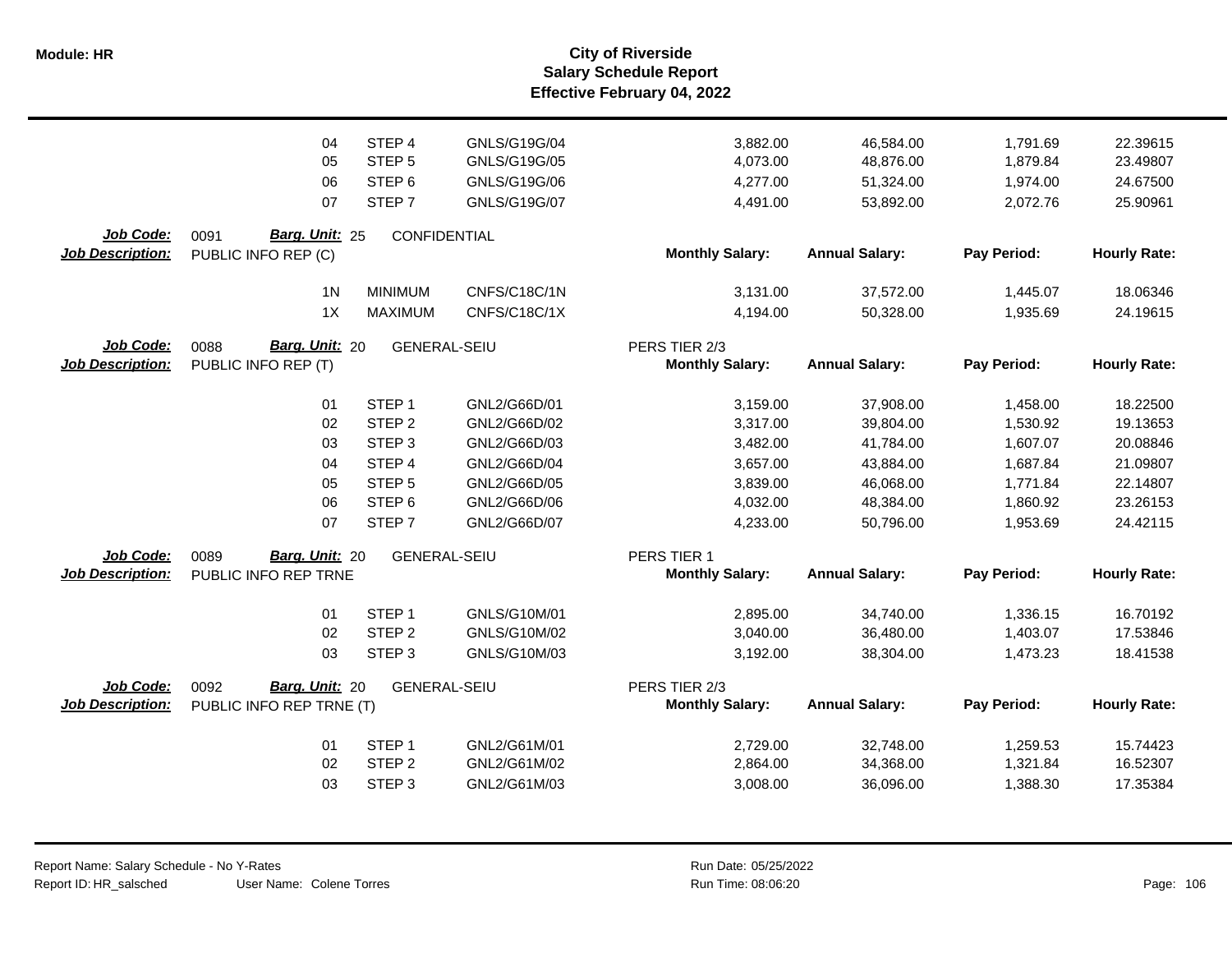|                         | 04                           | STEP <sub>4</sub>   | GNLS/G19G/04 | 3,882.00                                | 46,584.00             | 1,791.69    | 22.39615            |
|-------------------------|------------------------------|---------------------|--------------|-----------------------------------------|-----------------------|-------------|---------------------|
|                         | 05                           | STEP <sub>5</sub>   | GNLS/G19G/05 | 4,073.00                                | 48,876.00             | 1,879.84    | 23.49807            |
|                         | 06                           | STEP <sub>6</sub>   | GNLS/G19G/06 | 4,277.00                                | 51,324.00             | 1,974.00    | 24.67500            |
|                         | 07                           | STEP <sub>7</sub>   | GNLS/G19G/07 | 4,491.00                                | 53,892.00             | 2,072.76    | 25.90961            |
|                         |                              |                     |              |                                         |                       |             |                     |
| Job Code:               | Barg. Unit: 25<br>0091       | CONFIDENTIAL        |              |                                         |                       |             |                     |
| <b>Job Description:</b> | PUBLIC INFO REP (C)          |                     |              | <b>Monthly Salary:</b>                  | <b>Annual Salary:</b> | Pay Period: | <b>Hourly Rate:</b> |
|                         | 1 <sub>N</sub>               | <b>MINIMUM</b>      | CNFS/C18C/1N | 3,131.00                                | 37,572.00             | 1,445.07    | 18.06346            |
|                         | 1X                           | <b>MAXIMUM</b>      | CNFS/C18C/1X | 4,194.00                                | 50,328.00             | 1,935.69    | 24.19615            |
| Job Code:               | Barg. Unit: 20               |                     |              |                                         |                       |             |                     |
| <b>Job Description:</b> | 0088<br>PUBLIC INFO REP (T)  | <b>GENERAL-SEIU</b> |              | PERS TIER 2/3<br><b>Monthly Salary:</b> | <b>Annual Salary:</b> | Pay Period: | <b>Hourly Rate:</b> |
|                         |                              |                     |              |                                         |                       |             |                     |
|                         | 01                           | STEP <sub>1</sub>   | GNL2/G66D/01 | 3,159.00                                | 37,908.00             | 1,458.00    | 18.22500            |
|                         | 02                           | STEP <sub>2</sub>   | GNL2/G66D/02 | 3,317.00                                | 39,804.00             | 1,530.92    | 19.13653            |
|                         | 03                           | STEP <sub>3</sub>   | GNL2/G66D/03 | 3,482.00                                | 41,784.00             | 1,607.07    | 20.08846            |
|                         | 04                           | STEP <sub>4</sub>   | GNL2/G66D/04 | 3,657.00                                | 43,884.00             | 1,687.84    | 21.09807            |
|                         | 05                           | STEP <sub>5</sub>   | GNL2/G66D/05 | 3,839.00                                | 46,068.00             | 1,771.84    | 22.14807            |
|                         | 06                           | STEP <sub>6</sub>   | GNL2/G66D/06 | 4,032.00                                | 48,384.00             | 1,860.92    | 23.26153            |
|                         | 07                           | STEP <sub>7</sub>   | GNL2/G66D/07 | 4,233.00                                | 50,796.00             | 1,953.69    | 24.42115            |
| Job Code:               | Barg. Unit: 20               |                     |              |                                         |                       |             |                     |
| <b>Job Description:</b> | 0089<br>PUBLIC INFO REP TRNE | <b>GENERAL-SEIU</b> |              | PERS TIER 1<br><b>Monthly Salary:</b>   | <b>Annual Salary:</b> | Pay Period: | <b>Hourly Rate:</b> |
|                         |                              |                     |              |                                         |                       |             |                     |
|                         | 01                           | STEP <sub>1</sub>   | GNLS/G10M/01 | 2,895.00                                | 34,740.00             | 1,336.15    | 16.70192            |
|                         | 02                           | STEP <sub>2</sub>   | GNLS/G10M/02 | 3,040.00                                | 36,480.00             | 1,403.07    | 17.53846            |
|                         | 03                           | STEP <sub>3</sub>   | GNLS/G10M/03 | 3,192.00                                | 38,304.00             | 1,473.23    | 18.41538            |
| Job Code:               | Barg. Unit: 20<br>0092       | <b>GENERAL-SEIU</b> |              | PERS TIER 2/3                           |                       |             |                     |
| <b>Job Description:</b> | PUBLIC INFO REP TRNE (T)     |                     |              | <b>Monthly Salary:</b>                  | <b>Annual Salary:</b> | Pay Period: | <b>Hourly Rate:</b> |
|                         |                              |                     |              |                                         |                       |             |                     |
|                         | 01                           | STEP <sub>1</sub>   | GNL2/G61M/01 | 2,729.00                                | 32,748.00             | 1,259.53    | 15.74423            |
|                         | 02                           | STEP <sub>2</sub>   | GNL2/G61M/02 | 2,864.00                                | 34,368.00             | 1,321.84    | 16.52307            |
|                         | 03                           | STEP <sub>3</sub>   | GNL2/G61M/03 | 3,008.00                                | 36,096.00             | 1,388.30    | 17.35384            |
|                         |                              |                     |              |                                         |                       |             |                     |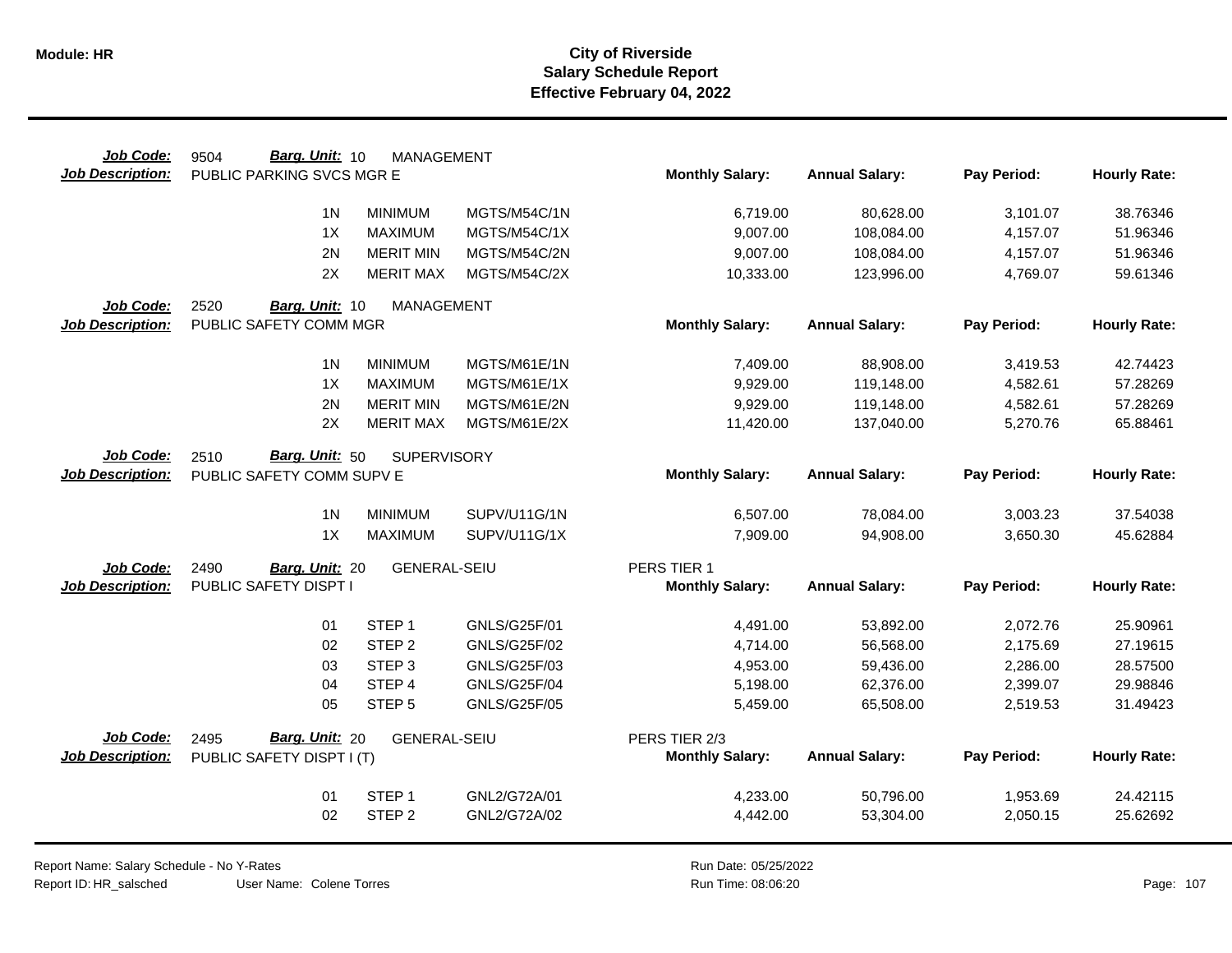| Job Code:               | Barg. Unit: 10<br>9504    | <b>MANAGEMENT</b>   |                     |                        |                       |             |                     |
|-------------------------|---------------------------|---------------------|---------------------|------------------------|-----------------------|-------------|---------------------|
| <b>Job Description:</b> | PUBLIC PARKING SVCS MGR E |                     |                     | <b>Monthly Salary:</b> | <b>Annual Salary:</b> | Pay Period: | <b>Hourly Rate:</b> |
|                         | 1 <sup>N</sup>            | <b>MINIMUM</b>      | MGTS/M54C/1N        |                        |                       |             | 38.76346            |
|                         | 1X                        | <b>MAXIMUM</b>      | MGTS/M54C/1X        | 6,719.00               | 80,628.00             | 3,101.07    | 51.96346            |
|                         |                           |                     |                     | 9,007.00               | 108,084.00            | 4,157.07    |                     |
|                         | 2N<br>2X                  | <b>MERIT MIN</b>    | MGTS/M54C/2N        | 9,007.00               | 108,084.00            | 4,157.07    | 51.96346            |
|                         |                           | <b>MERIT MAX</b>    | MGTS/M54C/2X        | 10,333.00              | 123,996.00            | 4,769.07    | 59.61346            |
| Job Code:               | 2520<br>Barg. Unit: 10    | <b>MANAGEMENT</b>   |                     |                        |                       |             |                     |
| <b>Job Description:</b> | PUBLIC SAFETY COMM MGR    |                     |                     | <b>Monthly Salary:</b> | <b>Annual Salary:</b> | Pay Period: | <b>Hourly Rate:</b> |
|                         | 1 <sup>N</sup>            | <b>MINIMUM</b>      | MGTS/M61E/1N        | 7,409.00               | 88,908.00             | 3,419.53    | 42.74423            |
|                         | 1X                        | <b>MAXIMUM</b>      | MGTS/M61E/1X        | 9,929.00               | 119,148.00            | 4,582.61    | 57.28269            |
|                         | 2N                        | <b>MERIT MIN</b>    | MGTS/M61E/2N        | 9,929.00               | 119,148.00            | 4,582.61    | 57.28269            |
|                         | 2X                        | <b>MERIT MAX</b>    | MGTS/M61E/2X        | 11,420.00              | 137,040.00            | 5,270.76    | 65.88461            |
|                         |                           |                     |                     |                        |                       |             |                     |
| Job Code:               | 2510<br>Barg. Unit: 50    | <b>SUPERVISORY</b>  |                     |                        |                       |             |                     |
| <b>Job Description:</b> | PUBLIC SAFETY COMM SUPV E |                     |                     | <b>Monthly Salary:</b> | <b>Annual Salary:</b> | Pay Period: | <b>Hourly Rate:</b> |
|                         | 1 <sub>N</sub>            | <b>MINIMUM</b>      | SUPV/U11G/1N        | 6,507.00               | 78,084.00             | 3,003.23    | 37.54038            |
|                         | 1X                        | <b>MAXIMUM</b>      | SUPV/U11G/1X        | 7,909.00               | 94,908.00             | 3,650.30    | 45.62884            |
|                         |                           |                     |                     |                        |                       |             |                     |
| Job Code:               | 2490<br>Barg. Unit: 20    | <b>GENERAL-SEIU</b> |                     | PERS TIER 1            |                       |             |                     |
| <b>Job Description:</b> | PUBLIC SAFETY DISPT I     |                     |                     | <b>Monthly Salary:</b> | <b>Annual Salary:</b> | Pay Period: | <b>Hourly Rate:</b> |
|                         | 01                        | STEP <sub>1</sub>   | GNLS/G25F/01        | 4,491.00               | 53,892.00             | 2,072.76    | 25.90961            |
|                         | 02                        | STEP <sub>2</sub>   | GNLS/G25F/02        | 4,714.00               | 56,568.00             | 2,175.69    | 27.19615            |
|                         | 03                        | STEP <sub>3</sub>   | GNLS/G25F/03        | 4,953.00               | 59,436.00             | 2,286.00    | 28.57500            |
|                         | 04                        | STEP 4              | <b>GNLS/G25F/04</b> | 5,198.00               | 62,376.00             | 2,399.07    | 29.98846            |
|                         | 05                        | STEP <sub>5</sub>   | <b>GNLS/G25F/05</b> | 5,459.00               | 65,508.00             | 2,519.53    | 31.49423            |
| <b>Job Code:</b>        | Barg. Unit: 20<br>2495    | <b>GENERAL-SEIU</b> |                     | PERS TIER 2/3          |                       |             |                     |
| <b>Job Description:</b> | PUBLIC SAFETY DISPT I (T) |                     |                     | <b>Monthly Salary:</b> | <b>Annual Salary:</b> | Pay Period: | <b>Hourly Rate:</b> |
|                         |                           |                     |                     |                        |                       |             |                     |
|                         | 01                        | STEP <sub>1</sub>   | GNL2/G72A/01        | 4,233.00               | 50,796.00             | 1,953.69    | 24.42115            |
|                         | 02                        | STEP <sub>2</sub>   | GNL2/G72A/02        | 4,442.00               | 53,304.00             | 2,050.15    | 25.62692            |
|                         |                           |                     |                     |                        |                       |             |                     |

Report Name: Salary Schedule - No Y-Rates Report ID: HR\_salsched

User Name: Colene Torres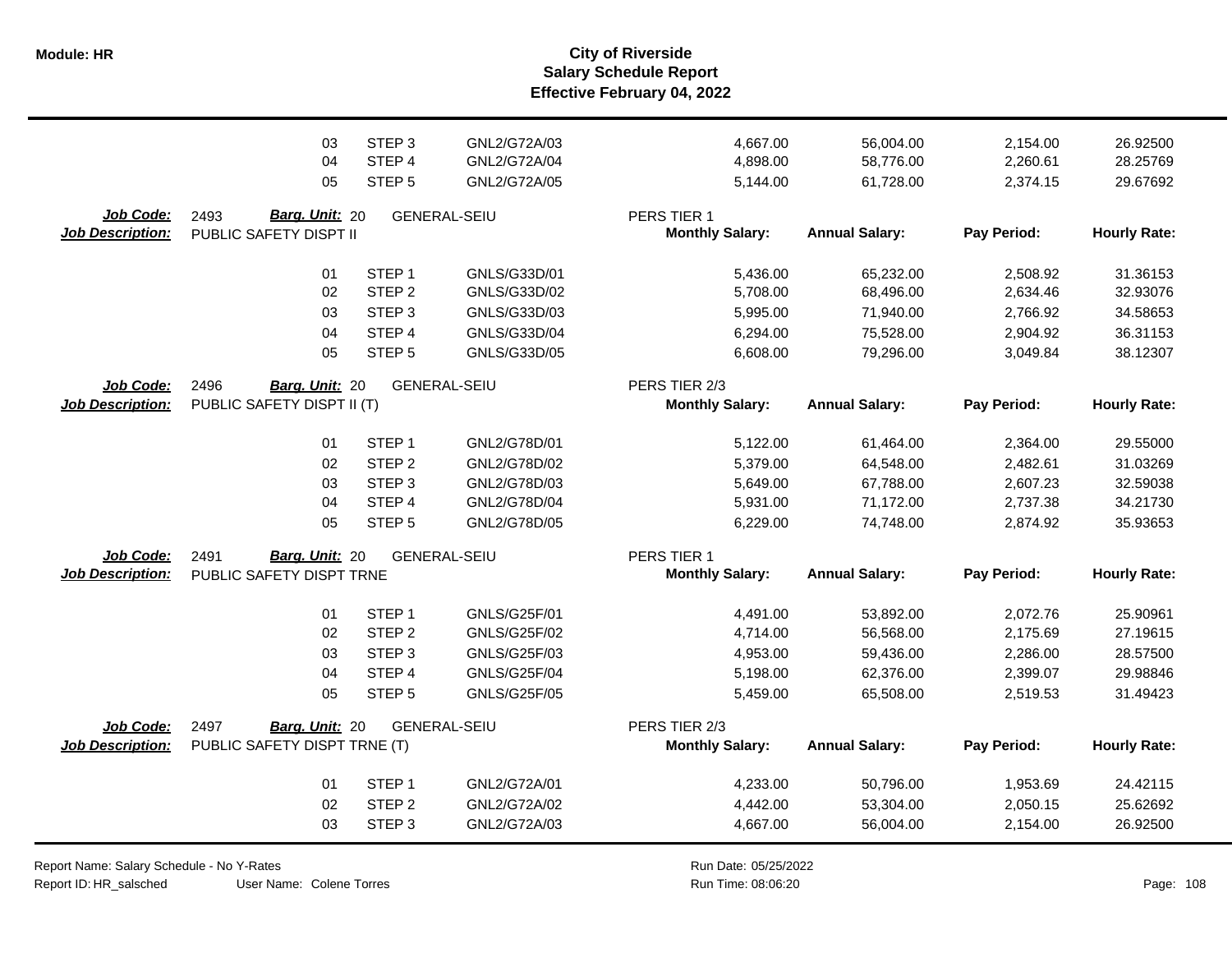**Salary Schedule Report Effective February 04, 2022 Module: HR City of Riverside**

|                                             | 03                                                      | STEP <sub>3</sub> | GNL2/G72A/03        | 4,667.00                                | 56,004.00             | 2,154.00    | 26.92500            |
|---------------------------------------------|---------------------------------------------------------|-------------------|---------------------|-----------------------------------------|-----------------------|-------------|---------------------|
|                                             | 04                                                      | STEP 4            | GNL2/G72A/04        | 4,898.00                                | 58,776.00             | 2,260.61    | 28.25769            |
|                                             | 05                                                      | STEP <sub>5</sub> | GNL2/G72A/05        | 5,144.00                                | 61,728.00             | 2,374.15    | 29.67692            |
| Job Code:<br><b>Job Description:</b>        | <b>Barg. Unit: 20</b><br>2493<br>PUBLIC SAFETY DISPT II |                   | <b>GENERAL-SEIU</b> | PERS TIER 1<br><b>Monthly Salary:</b>   | <b>Annual Salary:</b> | Pay Period: | <b>Hourly Rate:</b> |
|                                             | 01                                                      | STEP <sub>1</sub> | GNLS/G33D/01        | 5,436.00                                | 65,232.00             | 2,508.92    | 31.36153            |
|                                             | 02                                                      | STEP <sub>2</sub> | GNLS/G33D/02        | 5,708.00                                | 68,496.00             | 2,634.46    | 32.93076            |
|                                             | 03                                                      | STEP <sub>3</sub> | GNLS/G33D/03        | 5,995.00                                | 71,940.00             | 2,766.92    | 34.58653            |
|                                             | 04                                                      | STEP 4            | GNLS/G33D/04        | 6,294.00                                | 75,528.00             | 2,904.92    | 36.31153            |
|                                             | 05                                                      | STEP <sub>5</sub> | GNLS/G33D/05        | 6,608.00                                | 79,296.00             | 3,049.84    | 38.12307            |
| Job Code:<br><b>Job Description:</b>        | 2496<br>Barg. Unit: 20<br>PUBLIC SAFETY DISPT II (T)    |                   | <b>GENERAL-SEIU</b> | PERS TIER 2/3<br><b>Monthly Salary:</b> | <b>Annual Salary:</b> | Pay Period: | <b>Hourly Rate:</b> |
|                                             | 01                                                      | STEP <sub>1</sub> | GNL2/G78D/01        | 5,122.00                                | 61,464.00             | 2,364.00    | 29.55000            |
|                                             | 02                                                      | STEP <sub>2</sub> | GNL2/G78D/02        | 5,379.00                                | 64,548.00             | 2,482.61    | 31.03269            |
|                                             | 03                                                      | STEP <sub>3</sub> | GNL2/G78D/03        | 5,649.00                                | 67,788.00             | 2,607.23    | 32.59038            |
|                                             | 04                                                      | STEP 4            | GNL2/G78D/04        | 5,931.00                                | 71,172.00             | 2,737.38    | 34.21730            |
|                                             | 05                                                      | STEP <sub>5</sub> | GNL2/G78D/05        | 6,229.00                                | 74,748.00             | 2,874.92    | 35.93653            |
| <b>Job Code:</b><br><b>Job Description:</b> | Barg. Unit: 20<br>2491<br>PUBLIC SAFETY DISPT TRNE      |                   | <b>GENERAL-SEIU</b> | PERS TIER 1<br><b>Monthly Salary:</b>   | <b>Annual Salary:</b> | Pay Period: | <b>Hourly Rate:</b> |
|                                             | 01                                                      | STEP <sub>1</sub> | <b>GNLS/G25F/01</b> | 4,491.00                                | 53,892.00             | 2,072.76    | 25.90961            |
|                                             | 02                                                      | STEP <sub>2</sub> | <b>GNLS/G25F/02</b> | 4,714.00                                | 56,568.00             | 2,175.69    | 27.19615            |
|                                             | 03                                                      | STEP <sub>3</sub> | GNLS/G25F/03        | 4,953.00                                | 59,436.00             | 2,286.00    | 28.57500            |
|                                             | 04                                                      | STEP 4            | <b>GNLS/G25F/04</b> | 5,198.00                                | 62,376.00             | 2,399.07    | 29.98846            |
|                                             | 05                                                      | STEP <sub>5</sub> | <b>GNLS/G25F/05</b> | 5,459.00                                | 65,508.00             | 2,519.53    | 31.49423            |
| Job Code:<br><b>Job Description:</b>        | 2497<br>Barg. Unit: 20<br>PUBLIC SAFETY DISPT TRNE (T)  |                   | <b>GENERAL-SEIU</b> | PERS TIER 2/3<br><b>Monthly Salary:</b> | <b>Annual Salary:</b> | Pay Period: | <b>Hourly Rate:</b> |
|                                             | 01                                                      | STEP <sub>1</sub> | GNL2/G72A/01        | 4,233.00                                | 50,796.00             | 1,953.69    | 24.42115            |
|                                             | 02                                                      | STEP <sub>2</sub> | GNL2/G72A/02        | 4,442.00                                | 53,304.00             | 2,050.15    | 25.62692            |
|                                             | 03                                                      | STEP <sub>3</sub> | GNL2/G72A/03        | 4,667.00                                | 56,004.00             | 2,154.00    | 26.92500            |

Report Name: Salary Schedule - No Y-Rates Report ID: HR\_salsched

User Name: Colene Torres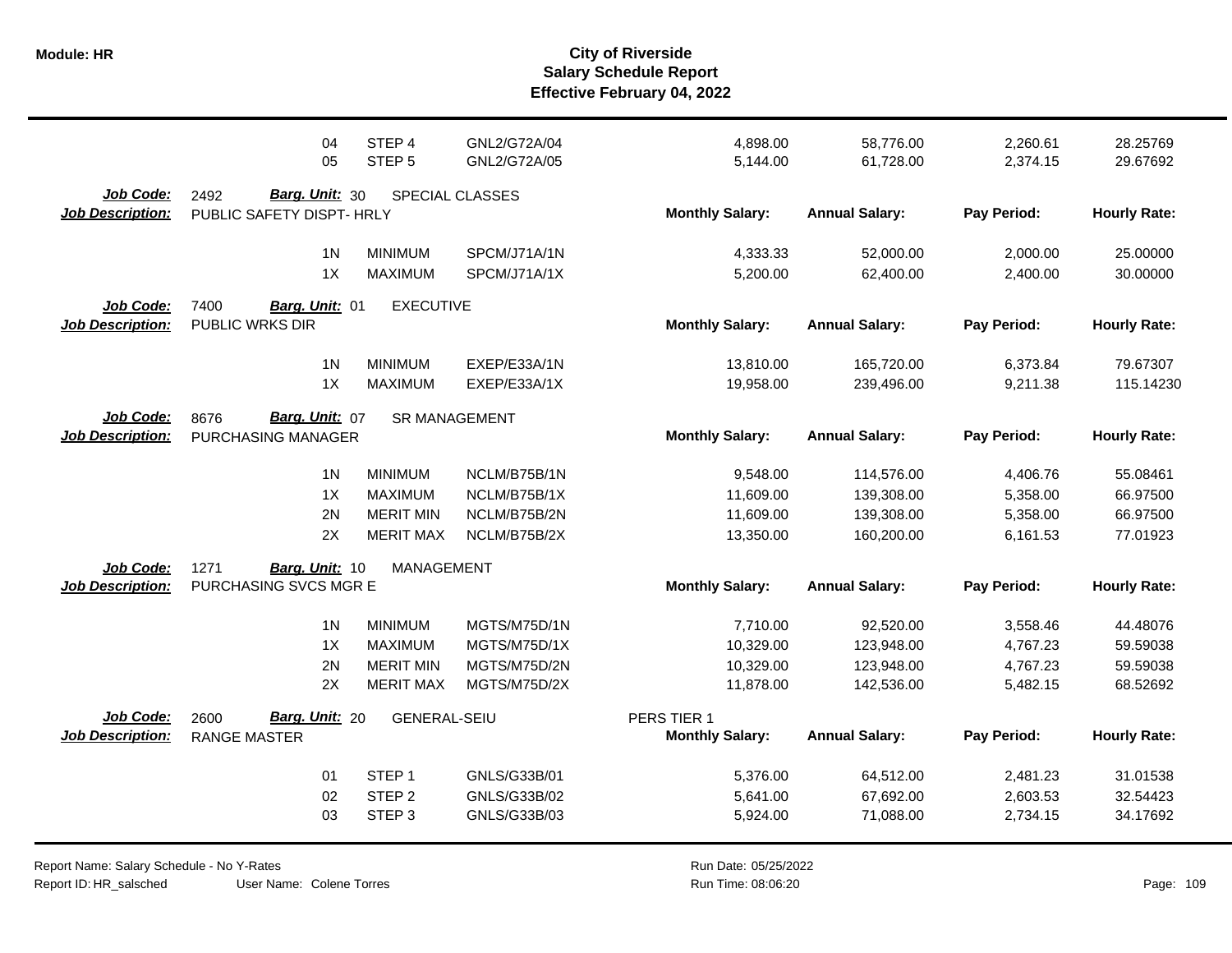|                                      | 04                                                  | STEP <sub>4</sub>   | GNL2/G72A/04         | 4,898.00                              | 58,776.00             | 2,260.61    | 28.25769            |
|--------------------------------------|-----------------------------------------------------|---------------------|----------------------|---------------------------------------|-----------------------|-------------|---------------------|
|                                      | 05                                                  | STEP <sub>5</sub>   | GNL2/G72A/05         | 5,144.00                              | 61,728.00             | 2,374.15    | 29.67692            |
| Job Code:<br><b>Job Description:</b> | Barg. Unit: 30<br>2492<br>PUBLIC SAFETY DISPT- HRLY |                     | SPECIAL CLASSES      | <b>Monthly Salary:</b>                | <b>Annual Salary:</b> | Pay Period: | <b>Hourly Rate:</b> |
|                                      | 1 <sub>N</sub>                                      | <b>MINIMUM</b>      | SPCM/J71A/1N         | 4,333.33                              | 52,000.00             | 2,000.00    | 25.00000            |
|                                      | 1X                                                  | <b>MAXIMUM</b>      | SPCM/J71A/1X         | 5,200.00                              | 62,400.00             | 2,400.00    | 30.00000            |
| Job Code:<br><b>Job Description:</b> | 7400<br>Barg. Unit: 01<br>PUBLIC WRKS DIR           | <b>EXECUTIVE</b>    |                      | <b>Monthly Salary:</b>                | <b>Annual Salary:</b> | Pay Period: | <b>Hourly Rate:</b> |
|                                      | 1 <sub>N</sub>                                      | <b>MINIMUM</b>      | EXEP/E33A/1N         | 13,810.00                             | 165,720.00            | 6,373.84    | 79.67307            |
|                                      | 1X                                                  | <b>MAXIMUM</b>      | EXEP/E33A/1X         | 19,958.00                             | 239,496.00            | 9,211.38    | 115.14230           |
| Job Code:<br><b>Job Description:</b> | Barg. Unit: 07<br>8676<br>PURCHASING MANAGER        |                     | <b>SR MANAGEMENT</b> | <b>Monthly Salary:</b>                | <b>Annual Salary:</b> | Pay Period: | <b>Hourly Rate:</b> |
|                                      | 1 <sub>N</sub>                                      | <b>MINIMUM</b>      | NCLM/B75B/1N         | 9,548.00                              | 114,576.00            | 4,406.76    | 55.08461            |
|                                      | 1X                                                  | <b>MAXIMUM</b>      | NCLM/B75B/1X         | 11,609.00                             | 139,308.00            | 5,358.00    | 66.97500            |
|                                      | 2N                                                  | <b>MERIT MIN</b>    | NCLM/B75B/2N         | 11,609.00                             | 139,308.00            | 5,358.00    | 66.97500            |
|                                      | 2X                                                  | <b>MERIT MAX</b>    | NCLM/B75B/2X         | 13,350.00                             | 160,200.00            | 6,161.53    | 77.01923            |
| Job Code:<br><b>Job Description:</b> | 1271<br>Barg. Unit: 10<br>PURCHASING SVCS MGR E     | <b>MANAGEMENT</b>   |                      | <b>Monthly Salary:</b>                | <b>Annual Salary:</b> | Pay Period: | <b>Hourly Rate:</b> |
|                                      | 1 <sup>N</sup>                                      | <b>MINIMUM</b>      | MGTS/M75D/1N         | 7,710.00                              | 92,520.00             | 3,558.46    | 44.48076            |
|                                      | 1X                                                  | <b>MAXIMUM</b>      | MGTS/M75D/1X         | 10,329.00                             | 123,948.00            | 4,767.23    | 59.59038            |
|                                      | 2N                                                  | <b>MERIT MIN</b>    | MGTS/M75D/2N         | 10,329.00                             | 123,948.00            | 4,767.23    | 59.59038            |
|                                      | 2X                                                  | <b>MERIT MAX</b>    | MGTS/M75D/2X         | 11,878.00                             | 142,536.00            | 5,482.15    | 68.52692            |
| Job Code:<br><b>Job Description:</b> | Barg. Unit: 20<br>2600<br><b>RANGE MASTER</b>       | <b>GENERAL-SEIU</b> |                      | PERS TIER 1<br><b>Monthly Salary:</b> | <b>Annual Salary:</b> | Pay Period: | <b>Hourly Rate:</b> |
|                                      | 01                                                  | STEP <sub>1</sub>   | GNLS/G33B/01         | 5,376.00                              | 64,512.00             | 2,481.23    | 31.01538            |
|                                      | 02                                                  | STEP <sub>2</sub>   | GNLS/G33B/02         | 5,641.00                              | 67,692.00             | 2,603.53    | 32.54423            |
|                                      | 03                                                  | STEP <sub>3</sub>   | GNLS/G33B/03         | 5,924.00                              | 71,088.00             | 2,734.15    | 34.17692            |

Report Name: Salary Schedule - No Y-Rates Report ID: HR\_salsched

User Name: Colene Torres

Run Date: 05/25/2022 08:06:20 Colene Torres Run Time: Page: 109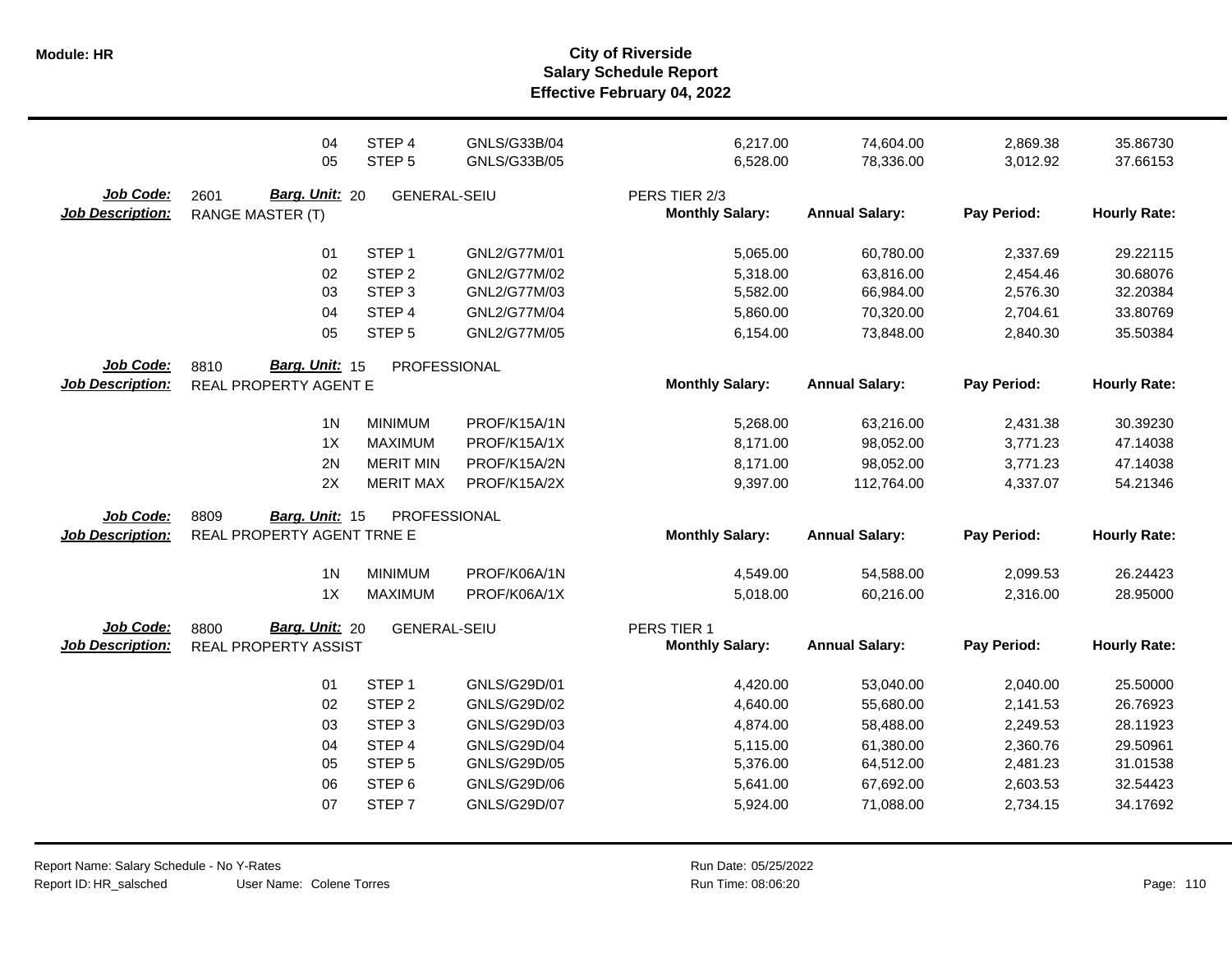|                                      | 04<br>05                                                                                 | STEP 4<br>STEP <sub>5</sub>                                                                                                                     | GNLS/G33B/04<br>GNLS/G33B/05                                                                                 | 6,217.00<br>6,528.00                                                             | 74,604.00<br>78,336.00                                                                  | 2,869.38<br>3,012.92                                                             | 35.86730<br>37.66153                                                             |
|--------------------------------------|------------------------------------------------------------------------------------------|-------------------------------------------------------------------------------------------------------------------------------------------------|--------------------------------------------------------------------------------------------------------------|----------------------------------------------------------------------------------|-----------------------------------------------------------------------------------------|----------------------------------------------------------------------------------|----------------------------------------------------------------------------------|
| Job Code:<br><b>Job Description:</b> | Barg. Unit: 20<br>2601<br><b>RANGE MASTER (T)</b>                                        | <b>GENERAL-SEIU</b>                                                                                                                             |                                                                                                              | PERS TIER 2/3<br><b>Monthly Salary:</b>                                          | <b>Annual Salary:</b>                                                                   | Pay Period:                                                                      | <b>Hourly Rate:</b>                                                              |
|                                      | 01<br>02<br>03<br>04<br>05                                                               | STEP <sub>1</sub><br>STEP <sub>2</sub><br>STEP <sub>3</sub><br>STEP 4<br>STEP <sub>5</sub>                                                      | GNL2/G77M/01<br>GNL2/G77M/02<br>GNL2/G77M/03<br>GNL2/G77M/04<br>GNL2/G77M/05                                 | 5,065.00<br>5,318.00<br>5,582.00<br>5,860.00<br>6,154.00                         | 60,780.00<br>63,816.00<br>66,984.00<br>70,320.00<br>73,848.00                           | 2,337.69<br>2,454.46<br>2,576.30<br>2,704.61<br>2,840.30                         | 29.22115<br>30.68076<br>32.20384<br>33.80769<br>35.50384                         |
| Job Code:<br><b>Job Description:</b> | Barg. Unit: 15<br>8810<br>REAL PROPERTY AGENT E                                          | PROFESSIONAL                                                                                                                                    |                                                                                                              | <b>Monthly Salary:</b>                                                           | <b>Annual Salary:</b>                                                                   | Pay Period:                                                                      | <b>Hourly Rate:</b>                                                              |
| Job Code:<br><b>Job Description:</b> | 1 <sub>N</sub><br>1X<br>2N<br>2X<br>8809<br>Barg. Unit: 15<br>REAL PROPERTY AGENT TRNE E | <b>MINIMUM</b><br><b>MAXIMUM</b><br><b>MERIT MIN</b><br><b>MERIT MAX</b><br>PROFESSIONAL                                                        | PROF/K15A/1N<br>PROF/K15A/1X<br>PROF/K15A/2N<br>PROF/K15A/2X                                                 | 5,268.00<br>8,171.00<br>8,171.00<br>9,397.00<br><b>Monthly Salary:</b>           | 63,216.00<br>98,052.00<br>98,052.00<br>112,764.00<br><b>Annual Salary:</b>              | 2,431.38<br>3,771.23<br>3,771.23<br>4,337.07<br>Pay Period:                      | 30.39230<br>47.14038<br>47.14038<br>54.21346<br><b>Hourly Rate:</b>              |
|                                      | 1 <sub>N</sub>                                                                           | <b>MINIMUM</b>                                                                                                                                  | PROF/K06A/1N                                                                                                 | 4,549.00                                                                         | 54,588.00                                                                               | 2,099.53                                                                         | 26.24423                                                                         |
| Job Code:<br><b>Job Description:</b> | 1X<br>Barg. Unit: 20<br>8800<br><b>REAL PROPERTY ASSIST</b>                              | <b>MAXIMUM</b><br><b>GENERAL-SEIU</b>                                                                                                           | PROF/K06A/1X                                                                                                 | 5,018.00<br>PERS TIER 1<br><b>Monthly Salary:</b>                                | 60,216.00<br><b>Annual Salary:</b>                                                      | 2,316.00<br>Pay Period:                                                          | 28.95000<br><b>Hourly Rate:</b>                                                  |
|                                      | 01<br>02<br>03<br>04<br>05<br>06<br>07                                                   | STEP <sub>1</sub><br>STEP <sub>2</sub><br>STEP <sub>3</sub><br>STEP <sub>4</sub><br>STEP <sub>5</sub><br>STEP <sub>6</sub><br>STEP <sub>7</sub> | GNLS/G29D/01<br>GNLS/G29D/02<br>GNLS/G29D/03<br>GNLS/G29D/04<br>GNLS/G29D/05<br>GNLS/G29D/06<br>GNLS/G29D/07 | 4,420.00<br>4,640.00<br>4,874.00<br>5,115.00<br>5,376.00<br>5,641.00<br>5,924.00 | 53,040.00<br>55,680.00<br>58,488.00<br>61,380.00<br>64,512.00<br>67,692.00<br>71,088.00 | 2,040.00<br>2,141.53<br>2,249.53<br>2,360.76<br>2,481.23<br>2,603.53<br>2,734.15 | 25.50000<br>26.76923<br>28.11923<br>29.50961<br>31.01538<br>32.54423<br>34.17692 |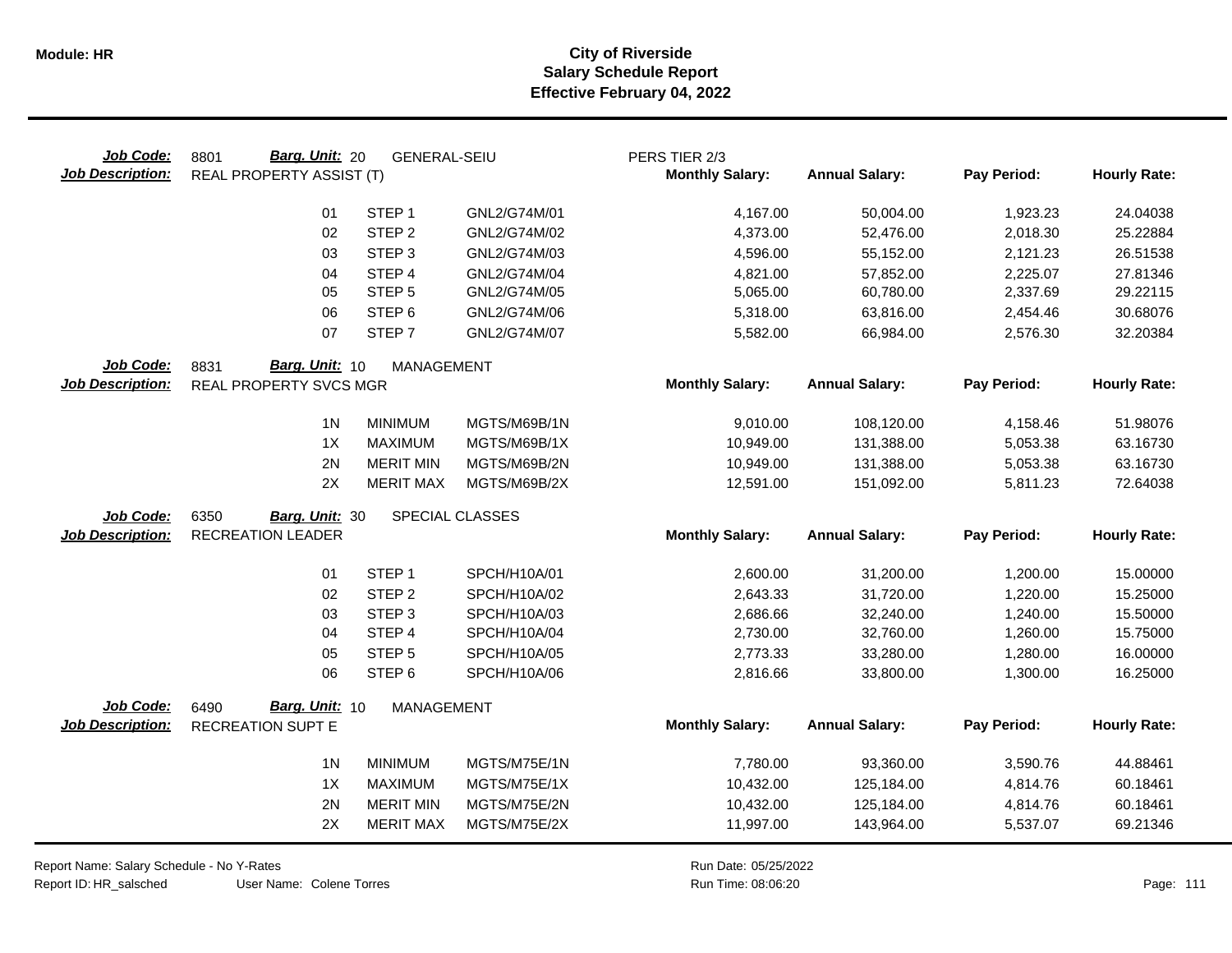| Job Code:<br><b>Job Description:</b> | Barg. Unit: 20<br>8801<br><b>REAL PROPERTY ASSIST (T)</b> | <b>GENERAL-SEIU</b> |                 | PERS TIER 2/3<br><b>Monthly Salary:</b> | <b>Annual Salary:</b> | Pay Period: | <b>Hourly Rate:</b> |
|--------------------------------------|-----------------------------------------------------------|---------------------|-----------------|-----------------------------------------|-----------------------|-------------|---------------------|
|                                      | 01                                                        | STEP <sub>1</sub>   | GNL2/G74M/01    | 4,167.00                                | 50,004.00             | 1,923.23    | 24.04038            |
|                                      | 02                                                        | STEP <sub>2</sub>   | GNL2/G74M/02    | 4,373.00                                | 52,476.00             | 2,018.30    | 25.22884            |
|                                      | 03                                                        | STEP <sub>3</sub>   | GNL2/G74M/03    | 4,596.00                                | 55,152.00             | 2,121.23    | 26.51538            |
|                                      | 04                                                        | STEP 4              | GNL2/G74M/04    | 4,821.00                                | 57,852.00             | 2,225.07    | 27.81346            |
|                                      | 05                                                        | STEP <sub>5</sub>   | GNL2/G74M/05    | 5,065.00                                | 60,780.00             | 2,337.69    | 29.22115            |
|                                      | 06                                                        | STEP <sub>6</sub>   | GNL2/G74M/06    | 5,318.00                                | 63,816.00             | 2,454.46    | 30.68076            |
|                                      | 07                                                        | STEP <sub>7</sub>   | GNL2/G74M/07    | 5,582.00                                | 66,984.00             | 2,576.30    | 32.20384            |
| Job Code:                            | Barg. Unit: 10<br>8831                                    | <b>MANAGEMENT</b>   |                 |                                         |                       |             |                     |
| <b>Job Description:</b>              | REAL PROPERTY SVCS MGR                                    |                     |                 | <b>Monthly Salary:</b>                  | <b>Annual Salary:</b> | Pay Period: | <b>Hourly Rate:</b> |
|                                      | 1 <sub>N</sub>                                            | <b>MINIMUM</b>      | MGTS/M69B/1N    | 9,010.00                                | 108,120.00            | 4,158.46    | 51.98076            |
|                                      | 1X                                                        | <b>MAXIMUM</b>      | MGTS/M69B/1X    | 10,949.00                               | 131,388.00            | 5,053.38    | 63.16730            |
|                                      | 2N                                                        | <b>MERIT MIN</b>    | MGTS/M69B/2N    | 10,949.00                               | 131,388.00            | 5,053.38    | 63.16730            |
|                                      | 2X                                                        | <b>MERIT MAX</b>    | MGTS/M69B/2X    | 12,591.00                               | 151,092.00            | 5,811.23    | 72.64038            |
| Job Code:                            | 6350<br>Barg. Unit: 30                                    |                     | SPECIAL CLASSES |                                         |                       |             |                     |
| <b>Job Description:</b>              | <b>RECREATION LEADER</b>                                  |                     |                 | <b>Monthly Salary:</b>                  | <b>Annual Salary:</b> | Pay Period: | <b>Hourly Rate:</b> |
|                                      | 01                                                        | STEP <sub>1</sub>   | SPCH/H10A/01    | 2,600.00                                | 31,200.00             | 1,200.00    | 15.00000            |
|                                      | 02                                                        | STEP <sub>2</sub>   | SPCH/H10A/02    | 2,643.33                                | 31,720.00             | 1,220.00    | 15.25000            |
|                                      | 03                                                        | STEP <sub>3</sub>   | SPCH/H10A/03    | 2,686.66                                | 32,240.00             | 1,240.00    | 15.50000            |
|                                      | 04                                                        | STEP 4              | SPCH/H10A/04    | 2,730.00                                | 32,760.00             | 1,260.00    | 15.75000            |
|                                      | 05                                                        | STEP <sub>5</sub>   | SPCH/H10A/05    | 2,773.33                                | 33,280.00             | 1,280.00    | 16.00000            |
|                                      | 06                                                        | STEP <sub>6</sub>   | SPCH/H10A/06    | 2,816.66                                | 33,800.00             | 1,300.00    | 16.25000            |
| Job Code:                            | Barg. Unit: 10<br>6490                                    | <b>MANAGEMENT</b>   |                 |                                         |                       |             |                     |
| <b>Job Description:</b>              | <b>RECREATION SUPT E</b>                                  |                     |                 | <b>Monthly Salary:</b>                  | <b>Annual Salary:</b> | Pay Period: | <b>Hourly Rate:</b> |
|                                      | 1 <sub>N</sub>                                            | <b>MINIMUM</b>      | MGTS/M75E/1N    | 7,780.00                                | 93,360.00             | 3,590.76    | 44.88461            |
|                                      | 1X                                                        | <b>MAXIMUM</b>      | MGTS/M75E/1X    | 10,432.00                               | 125,184.00            | 4,814.76    | 60.18461            |
|                                      | 2N                                                        | <b>MERIT MIN</b>    | MGTS/M75E/2N    | 10,432.00                               | 125,184.00            | 4,814.76    | 60.18461            |
|                                      | 2X                                                        | <b>MERIT MAX</b>    | MGTS/M75E/2X    | 11,997.00                               | 143,964.00            | 5,537.07    | 69.21346            |
|                                      |                                                           |                     |                 |                                         |                       |             |                     |

Report Name: Salary Schedule - No Y-Rates Report ID: HR\_salsched

Run Date: 05/25/2022 08:06:20 Colene Torres Run Time: Page: 111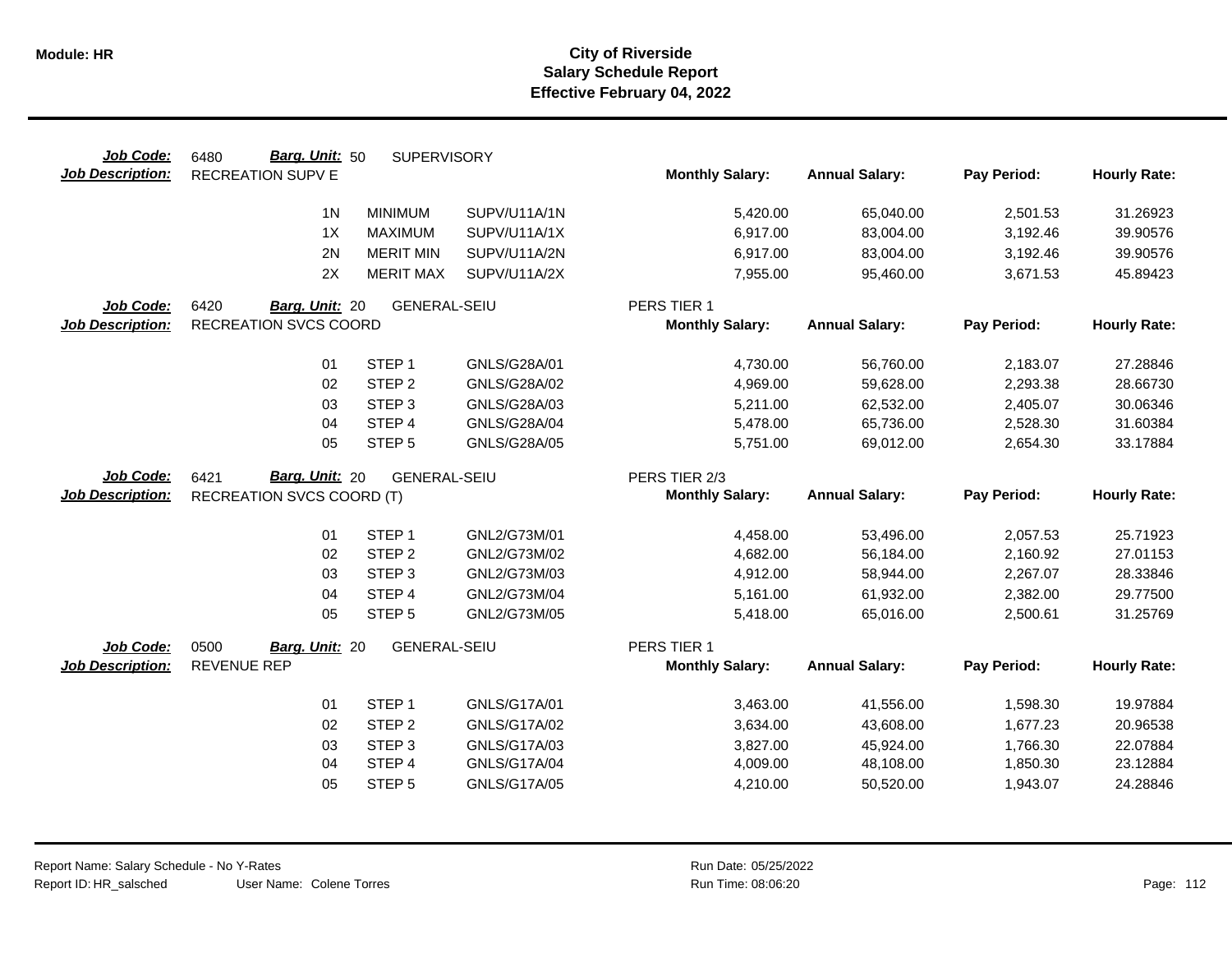| Job Code:               | Barg. Unit: 50<br>6480           | <b>SUPERVISORY</b>  |                     |                        |                       |             |                     |
|-------------------------|----------------------------------|---------------------|---------------------|------------------------|-----------------------|-------------|---------------------|
| <b>Job Description:</b> | <b>RECREATION SUPV E</b>         |                     |                     | <b>Monthly Salary:</b> | <b>Annual Salary:</b> | Pay Period: | <b>Hourly Rate:</b> |
|                         | 1 <sub>N</sub>                   | <b>MINIMUM</b>      | SUPV/U11A/1N        | 5,420.00               | 65,040.00             | 2,501.53    | 31.26923            |
|                         | 1X                               | <b>MAXIMUM</b>      | SUPV/U11A/1X        | 6,917.00               | 83,004.00             | 3,192.46    | 39.90576            |
|                         | 2N                               | <b>MERIT MIN</b>    | SUPV/U11A/2N        | 6,917.00               | 83,004.00             | 3,192.46    | 39.90576            |
|                         | 2X                               | <b>MERIT MAX</b>    | SUPV/U11A/2X        | 7,955.00               | 95,460.00             | 3,671.53    | 45.89423            |
| Job Code:               | 6420<br>Barg. Unit: 20           | <b>GENERAL-SEIU</b> |                     | PERS TIER 1            |                       |             |                     |
| <b>Job Description:</b> | <b>RECREATION SVCS COORD</b>     |                     |                     | <b>Monthly Salary:</b> | <b>Annual Salary:</b> | Pay Period: | <b>Hourly Rate:</b> |
|                         | 01                               | STEP <sub>1</sub>   | GNLS/G28A/01        | 4,730.00               | 56,760.00             | 2,183.07    | 27.28846            |
|                         | 02                               | STEP <sub>2</sub>   | GNLS/G28A/02        | 4,969.00               | 59,628.00             | 2,293.38    | 28.66730            |
|                         | 03                               | STEP <sub>3</sub>   | GNLS/G28A/03        | 5,211.00               | 62,532.00             | 2,405.07    | 30.06346            |
|                         | 04                               | STEP 4              | GNLS/G28A/04        | 5,478.00               | 65,736.00             | 2,528.30    | 31.60384            |
|                         | 05                               | STEP <sub>5</sub>   | GNLS/G28A/05        | 5,751.00               | 69,012.00             | 2,654.30    | 33.17884            |
|                         |                                  |                     |                     |                        |                       |             |                     |
| Job Code:               | Barg. Unit: 20<br>6421           | <b>GENERAL-SEIU</b> |                     | PERS TIER 2/3          |                       |             |                     |
| <b>Job Description:</b> | <b>RECREATION SVCS COORD (T)</b> |                     |                     | <b>Monthly Salary:</b> | <b>Annual Salary:</b> | Pay Period: | <b>Hourly Rate:</b> |
|                         | 01                               | STEP <sub>1</sub>   | GNL2/G73M/01        | 4,458.00               | 53,496.00             | 2,057.53    | 25.71923            |
|                         | 02                               | STEP <sub>2</sub>   | GNL2/G73M/02        | 4,682.00               | 56,184.00             | 2,160.92    | 27.01153            |
|                         | 03                               | STEP <sub>3</sub>   | GNL2/G73M/03        | 4,912.00               | 58,944.00             | 2,267.07    | 28.33846            |
|                         | 04                               | STEP 4              | GNL2/G73M/04        | 5,161.00               | 61,932.00             | 2,382.00    | 29.77500            |
|                         | 05                               | STEP <sub>5</sub>   | GNL2/G73M/05        | 5,418.00               | 65,016.00             | 2,500.61    | 31.25769            |
| Job Code:               | 0500<br>Barg. Unit: 20           | <b>GENERAL-SEIU</b> |                     | PERS TIER 1            |                       |             |                     |
| <b>Job Description:</b> | <b>REVENUE REP</b>               |                     |                     | <b>Monthly Salary:</b> | <b>Annual Salary:</b> | Pay Period: | <b>Hourly Rate:</b> |
|                         | 01                               | STEP <sub>1</sub>   | GNLS/G17A/01        | 3,463.00               | 41,556.00             | 1,598.30    | 19.97884            |
|                         | 02                               | STEP <sub>2</sub>   | GNLS/G17A/02        | 3,634.00               | 43,608.00             | 1,677.23    | 20.96538            |
|                         | 03                               | STEP <sub>3</sub>   | GNLS/G17A/03        | 3,827.00               | 45,924.00             | 1,766.30    | 22.07884            |
|                         | 04                               | STEP 4              | <b>GNLS/G17A/04</b> | 4,009.00               | 48,108.00             | 1,850.30    | 23.12884            |
|                         | 05                               | STEP <sub>5</sub>   | GNLS/G17A/05        | 4,210.00               | 50,520.00             | 1,943.07    | 24.28846            |
|                         |                                  |                     |                     |                        |                       |             |                     |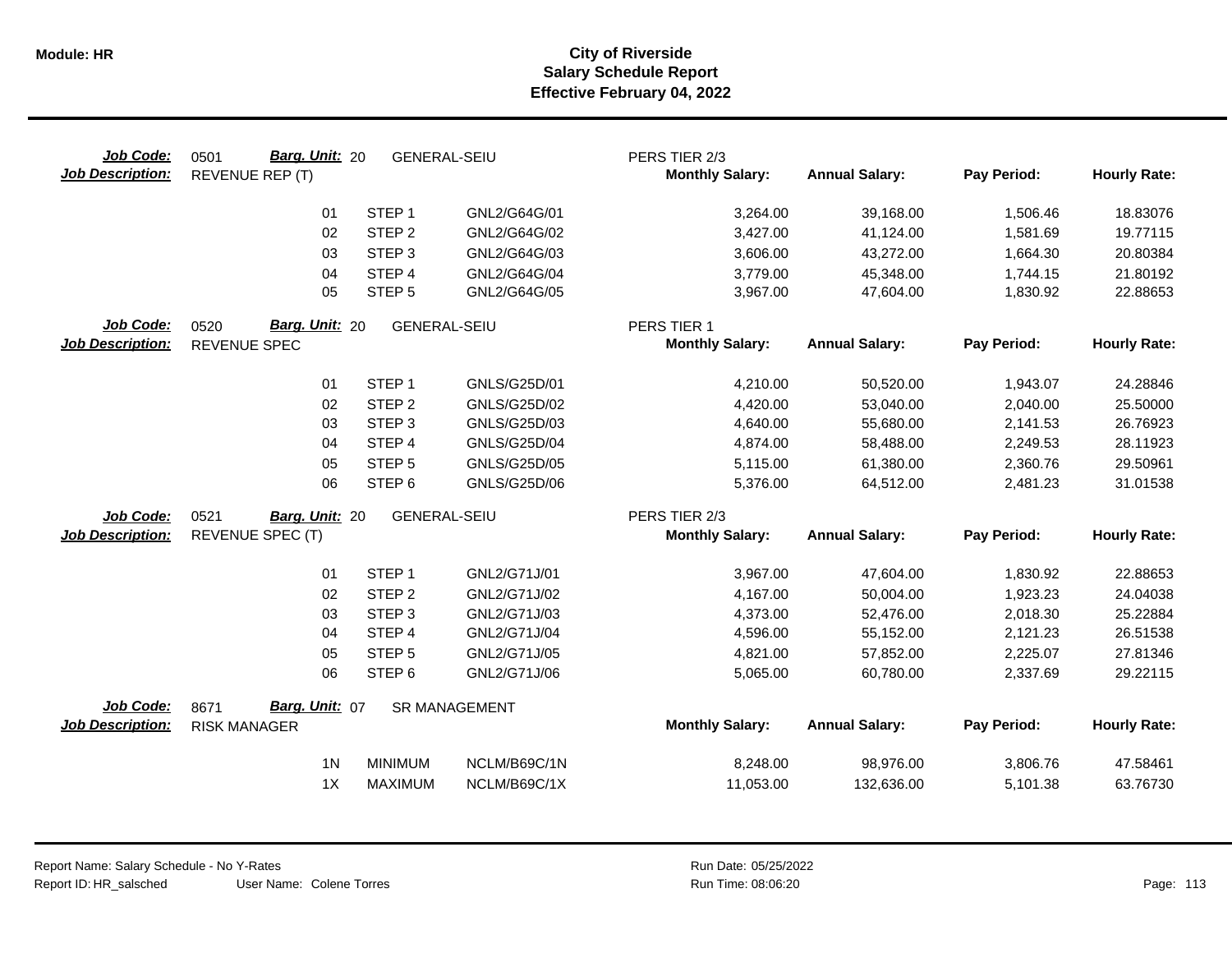| Job Code:<br><b>Job Description:</b> | <b>Barg. Unit: 20</b><br>0501<br>REVENUE REP (T) | <b>GENERAL-SEIU</b> |                      | PERS TIER 2/3<br><b>Monthly Salary:</b> | <b>Annual Salary:</b> | Pay Period: | <b>Hourly Rate:</b> |
|--------------------------------------|--------------------------------------------------|---------------------|----------------------|-----------------------------------------|-----------------------|-------------|---------------------|
|                                      | 01                                               | STEP <sub>1</sub>   | GNL2/G64G/01         | 3,264.00                                | 39,168.00             | 1,506.46    | 18.83076            |
|                                      | 02                                               | STEP <sub>2</sub>   | GNL2/G64G/02         | 3,427.00                                | 41,124.00             | 1,581.69    | 19.77115            |
|                                      | 03                                               | STEP <sub>3</sub>   | GNL2/G64G/03         | 3,606.00                                | 43,272.00             | 1,664.30    | 20.80384            |
|                                      | 04                                               | STEP <sub>4</sub>   | GNL2/G64G/04         | 3,779.00                                | 45,348.00             | 1,744.15    | 21.80192            |
|                                      | 05                                               | STEP <sub>5</sub>   | GNL2/G64G/05         | 3,967.00                                | 47,604.00             | 1,830.92    | 22.88653            |
| Job Code:                            | 0520<br>Barg. Unit: 20                           | <b>GENERAL-SEIU</b> |                      | PERS TIER 1                             |                       |             |                     |
| <b>Job Description:</b>              | REVENUE SPEC                                     |                     |                      | <b>Monthly Salary:</b>                  | <b>Annual Salary:</b> | Pay Period: | <b>Hourly Rate:</b> |
|                                      | 01                                               | STEP <sub>1</sub>   | GNLS/G25D/01         | 4,210.00                                | 50,520.00             | 1,943.07    | 24.28846            |
|                                      | 02                                               | STEP <sub>2</sub>   | GNLS/G25D/02         | 4,420.00                                | 53,040.00             | 2,040.00    | 25.50000            |
|                                      | 03                                               | STEP <sub>3</sub>   | GNLS/G25D/03         | 4,640.00                                | 55,680.00             | 2,141.53    | 26.76923            |
|                                      | 04                                               | STEP 4              | <b>GNLS/G25D/04</b>  | 4,874.00                                | 58,488.00             | 2,249.53    | 28.11923            |
|                                      | 05                                               | STEP <sub>5</sub>   | GNLS/G25D/05         | 5,115.00                                | 61,380.00             | 2,360.76    | 29.50961            |
|                                      | 06                                               | STEP <sub>6</sub>   | GNLS/G25D/06         | 5,376.00                                | 64,512.00             | 2,481.23    | 31.01538            |
| Job Code:                            | 0521<br>Barg. Unit: 20                           | <b>GENERAL-SEIU</b> |                      | PERS TIER 2/3                           |                       |             |                     |
| <b>Job Description:</b>              | REVENUE SPEC (T)                                 |                     |                      | <b>Monthly Salary:</b>                  | <b>Annual Salary:</b> | Pay Period: | <b>Hourly Rate:</b> |
|                                      | 01                                               | STEP <sub>1</sub>   | GNL2/G71J/01         | 3,967.00                                | 47,604.00             | 1,830.92    | 22.88653            |
|                                      | 02                                               | STEP <sub>2</sub>   | GNL2/G71J/02         | 4,167.00                                | 50,004.00             | 1,923.23    | 24.04038            |
|                                      | 03                                               | STEP <sub>3</sub>   | GNL2/G71J/03         | 4,373.00                                | 52,476.00             | 2,018.30    | 25.22884            |
|                                      | 04                                               | STEP 4              | GNL2/G71J/04         | 4,596.00                                | 55,152.00             | 2,121.23    | 26.51538            |
|                                      | 05                                               | STEP <sub>5</sub>   | GNL2/G71J/05         | 4,821.00                                | 57,852.00             | 2,225.07    | 27.81346            |
|                                      | 06                                               | STEP <sub>6</sub>   | GNL2/G71J/06         | 5,065.00                                | 60,780.00             | 2,337.69    | 29.22115            |
| Job Code:                            | Barg. Unit: 07<br>8671                           |                     | <b>SR MANAGEMENT</b> |                                         |                       |             |                     |
| <b>Job Description:</b>              | <b>RISK MANAGER</b>                              |                     |                      | <b>Monthly Salary:</b>                  | <b>Annual Salary:</b> | Pay Period: | <b>Hourly Rate:</b> |
|                                      | 1 <sub>N</sub>                                   | <b>MINIMUM</b>      | NCLM/B69C/1N         | 8,248.00                                | 98,976.00             | 3,806.76    | 47.58461            |
|                                      | 1X                                               | <b>MAXIMUM</b>      | NCLM/B69C/1X         | 11,053.00                               | 132,636.00            | 5,101.38    | 63.76730            |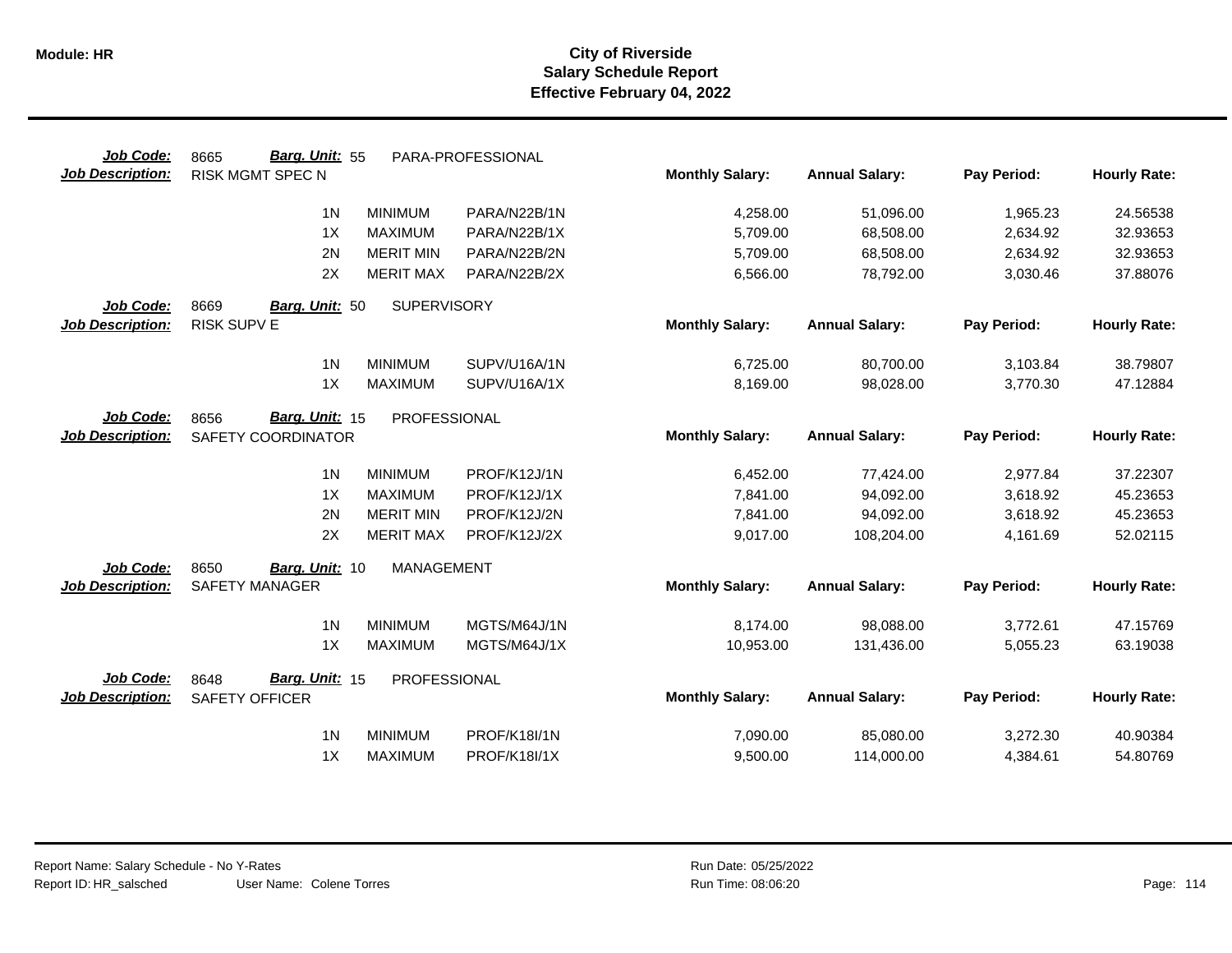| Job Code:               | Barg. Unit: 55<br>8665           | PARA-PROFESSIONAL   |                        |                       |             |                     |
|-------------------------|----------------------------------|---------------------|------------------------|-----------------------|-------------|---------------------|
| <b>Job Description:</b> | <b>RISK MGMT SPEC N</b>          |                     | <b>Monthly Salary:</b> | <b>Annual Salary:</b> | Pay Period: | <b>Hourly Rate:</b> |
|                         | 1 <sub>N</sub><br><b>MINIMUM</b> | PARA/N22B/1N        | 4,258.00               | 51,096.00             | 1,965.23    | 24.56538            |
|                         | 1X<br><b>MAXIMUM</b>             | PARA/N22B/1X        | 5,709.00               | 68,508.00             | 2,634.92    | 32.93653            |
|                         | 2N<br><b>MERIT MIN</b>           | PARA/N22B/2N        | 5,709.00               | 68,508.00             | 2,634.92    | 32.93653            |
|                         | 2X<br><b>MERIT MAX</b>           | PARA/N22B/2X        | 6,566.00               | 78,792.00             | 3,030.46    | 37.88076            |
| Job Code:               | 8669<br>Barg. Unit: 50           | <b>SUPERVISORY</b>  |                        |                       |             |                     |
| <b>Job Description:</b> | RISK SUPV E                      |                     | <b>Monthly Salary:</b> | <b>Annual Salary:</b> | Pay Period: | <b>Hourly Rate:</b> |
|                         | 1 <sub>N</sub><br><b>MINIMUM</b> | SUPV/U16A/1N        | 6,725.00               | 80,700.00             | 3,103.84    | 38.79807            |
|                         | 1X<br><b>MAXIMUM</b>             | SUPV/U16A/1X        | 8,169.00               | 98,028.00             | 3,770.30    | 47.12884            |
| Job Code:               | Barg. Unit: 15<br>8656           | <b>PROFESSIONAL</b> |                        |                       |             |                     |
| <b>Job Description:</b> | SAFETY COORDINATOR               |                     | <b>Monthly Salary:</b> | <b>Annual Salary:</b> | Pay Period: | <b>Hourly Rate:</b> |
|                         | 1 <sub>N</sub><br><b>MINIMUM</b> | PROF/K12J/1N        | 6,452.00               | 77,424.00             | 2,977.84    | 37.22307            |
|                         | 1X<br><b>MAXIMUM</b>             | PROF/K12J/1X        | 7,841.00               | 94,092.00             | 3,618.92    | 45.23653            |
|                         | 2N<br><b>MERIT MIN</b>           | PROF/K12J/2N        | 7,841.00               | 94,092.00             | 3,618.92    | 45.23653            |
|                         | 2X<br><b>MERIT MAX</b>           | PROF/K12J/2X        | 9,017.00               | 108,204.00            | 4,161.69    | 52.02115            |
| Job Code:               | 8650<br>Barg. Unit: 10           | <b>MANAGEMENT</b>   |                        |                       |             |                     |
| <b>Job Description:</b> | <b>SAFETY MANAGER</b>            |                     | <b>Monthly Salary:</b> | <b>Annual Salary:</b> | Pay Period: | <b>Hourly Rate:</b> |
|                         | 1 <sub>N</sub><br><b>MINIMUM</b> | MGTS/M64J/1N        | 8,174.00               | 98,088.00             | 3,772.61    | 47.15769            |
|                         | 1X<br><b>MAXIMUM</b>             | MGTS/M64J/1X        | 10,953.00              | 131,436.00            | 5,055.23    | 63.19038            |
| Job Code:               | Barg. Unit: 15<br>8648           | PROFESSIONAL        |                        |                       |             |                     |
| <b>Job Description:</b> | <b>SAFETY OFFICER</b>            |                     | <b>Monthly Salary:</b> | <b>Annual Salary:</b> | Pay Period: | <b>Hourly Rate:</b> |
|                         | 1 <sub>N</sub><br><b>MINIMUM</b> | PROF/K18I/1N        | 7,090.00               | 85,080.00             | 3,272.30    | 40.90384            |
|                         | 1X<br><b>MAXIMUM</b>             | <b>PROF/K18I/1X</b> | 9,500.00               | 114,000.00            | 4,384.61    | 54.80769            |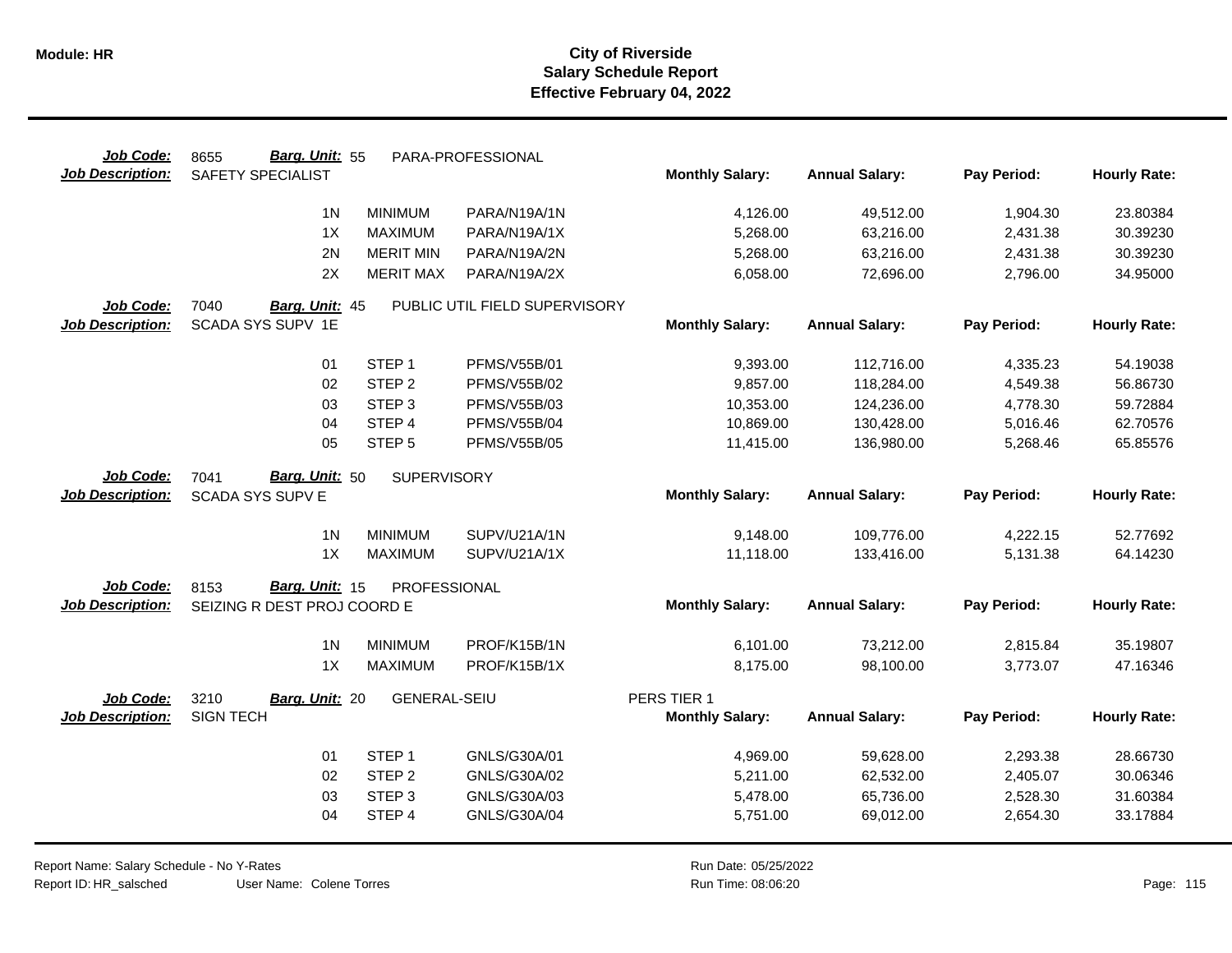| Job Code:               | Barg. Unit: 55<br>8655      |                     | PARA-PROFESSIONAL             |                        |                       |             |                     |
|-------------------------|-----------------------------|---------------------|-------------------------------|------------------------|-----------------------|-------------|---------------------|
| <b>Job Description:</b> | SAFETY SPECIALIST           |                     |                               | <b>Monthly Salary:</b> | <b>Annual Salary:</b> | Pay Period: | <b>Hourly Rate:</b> |
|                         | 1 <sub>N</sub>              | <b>MINIMUM</b>      | PARA/N19A/1N                  | 4,126.00               | 49,512.00             | 1,904.30    | 23.80384            |
|                         | 1X                          | <b>MAXIMUM</b>      | PARA/N19A/1X                  | 5,268.00               | 63,216.00             | 2,431.38    | 30.39230            |
|                         | 2N                          | <b>MERIT MIN</b>    | PARA/N19A/2N                  | 5,268.00               | 63,216.00             | 2,431.38    | 30.39230            |
|                         | 2X                          | <b>MERIT MAX</b>    | PARA/N19A/2X                  | 6,058.00               | 72,696.00             | 2,796.00    | 34.95000            |
| Job Code:               | 7040<br>Barg. Unit: 45      |                     | PUBLIC UTIL FIELD SUPERVISORY |                        |                       |             |                     |
| <b>Job Description:</b> | SCADA SYS SUPV 1E           |                     |                               | <b>Monthly Salary:</b> | <b>Annual Salary:</b> | Pay Period: | <b>Hourly Rate:</b> |
|                         | 01                          | STEP <sub>1</sub>   | <b>PFMS/V55B/01</b>           | 9,393.00               | 112,716.00            | 4,335.23    | 54.19038            |
|                         | 02                          | STEP <sub>2</sub>   | <b>PFMS/V55B/02</b>           | 9,857.00               | 118,284.00            | 4,549.38    | 56.86730            |
|                         | 03                          | STEP <sub>3</sub>   | <b>PFMS/V55B/03</b>           | 10,353.00              | 124,236.00            | 4,778.30    | 59.72884            |
|                         | 04                          | STEP 4              | <b>PFMS/V55B/04</b>           | 10,869.00              | 130,428.00            | 5,016.46    | 62.70576            |
|                         | 05                          | STEP <sub>5</sub>   | <b>PFMS/V55B/05</b>           | 11,415.00              | 136,980.00            | 5,268.46    | 65.85576            |
| Job Code:               | Barg. Unit: 50<br>7041      | SUPERVISORY         |                               |                        |                       |             |                     |
| <b>Job Description:</b> | <b>SCADA SYS SUPV E</b>     |                     |                               | <b>Monthly Salary:</b> | <b>Annual Salary:</b> | Pay Period: | <b>Hourly Rate:</b> |
|                         | 1 <sub>N</sub>              | <b>MINIMUM</b>      | SUPV/U21A/1N                  | 9,148.00               | 109,776.00            | 4,222.15    | 52.77692            |
|                         | 1X                          | <b>MAXIMUM</b>      | SUPV/U21A/1X                  | 11,118.00              | 133,416.00            | 5,131.38    | 64.14230            |
| Job Code:               | Barg. Unit: 15<br>8153      | PROFESSIONAL        |                               |                        |                       |             |                     |
| <b>Job Description:</b> | SEIZING R DEST PROJ COORD E |                     |                               | <b>Monthly Salary:</b> | <b>Annual Salary:</b> | Pay Period: | <b>Hourly Rate:</b> |
|                         | 1 <sub>N</sub>              | <b>MINIMUM</b>      | PROF/K15B/1N                  | 6,101.00               | 73,212.00             | 2,815.84    | 35.19807            |
|                         | 1X                          | <b>MAXIMUM</b>      | PROF/K15B/1X                  | 8,175.00               | 98,100.00             | 3,773.07    | 47.16346            |
| Job Code:               | 3210<br>Barg. Unit: 20      | <b>GENERAL-SEIU</b> |                               | PERS TIER 1            |                       |             |                     |
| <b>Job Description:</b> | <b>SIGN TECH</b>            |                     |                               | <b>Monthly Salary:</b> | <b>Annual Salary:</b> | Pay Period: | <b>Hourly Rate:</b> |
|                         | 01                          | STEP <sub>1</sub>   | GNLS/G30A/01                  | 4,969.00               | 59,628.00             | 2,293.38    | 28.66730            |
|                         | 02                          | STEP <sub>2</sub>   | GNLS/G30A/02                  | 5,211.00               | 62,532.00             | 2,405.07    | 30.06346            |
|                         | 03                          | STEP <sub>3</sub>   | GNLS/G30A/03                  | 5,478.00               | 65,736.00             | 2,528.30    | 31.60384            |
|                         | 04                          | STEP 4              | GNLS/G30A/04                  | 5,751.00               | 69,012.00             | 2,654.30    | 33.17884            |
|                         |                             |                     |                               |                        |                       |             |                     |

Report Name: Salary Schedule - No Y-Rates Report ID: HR\_salsched

User Name: Colene Torres

Run Date: 05/25/2022 08:06:20 Colene Torres Run Time: Page: 115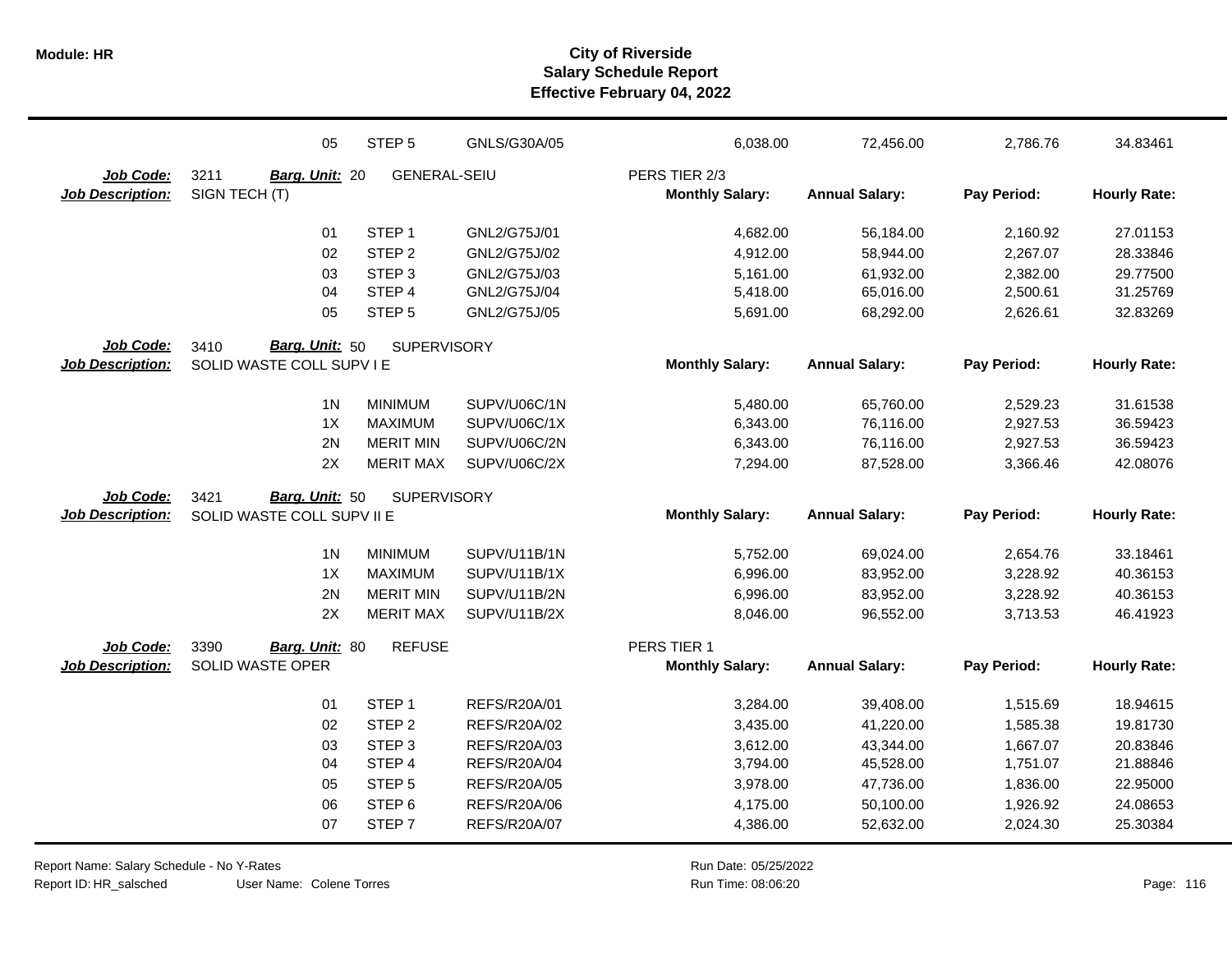|                         | 05                         | STEP <sub>5</sub>   | GNLS/G30A/05        | 6,038.00               | 72,456.00             | 2,786.76    | 34.83461            |
|-------------------------|----------------------------|---------------------|---------------------|------------------------|-----------------------|-------------|---------------------|
| Job Code:               | 3211<br>Barg. Unit: 20     | <b>GENERAL-SEIU</b> |                     | PERS TIER 2/3          |                       |             |                     |
| <b>Job Description:</b> | SIGN TECH (T)              |                     |                     | <b>Monthly Salary:</b> | <b>Annual Salary:</b> | Pay Period: | <b>Hourly Rate:</b> |
|                         | 01                         | STEP <sub>1</sub>   | GNL2/G75J/01        | 4,682.00               | 56,184.00             | 2,160.92    | 27.01153            |
|                         | 02                         | STEP <sub>2</sub>   | GNL2/G75J/02        | 4,912.00               | 58,944.00             | 2,267.07    | 28.33846            |
|                         | 03                         | STEP <sub>3</sub>   | GNL2/G75J/03        | 5,161.00               | 61,932.00             | 2,382.00    | 29.77500            |
|                         | 04                         | STEP 4              | GNL2/G75J/04        | 5,418.00               | 65,016.00             | 2,500.61    | 31.25769            |
|                         | 05                         | STEP <sub>5</sub>   | GNL2/G75J/05        | 5,691.00               | 68,292.00             | 2,626.61    | 32.83269            |
| Job Code:               | Barg. Unit: 50<br>3410     | <b>SUPERVISORY</b>  |                     |                        |                       |             |                     |
| <b>Job Description:</b> | SOLID WASTE COLL SUPV I E  |                     |                     | <b>Monthly Salary:</b> | <b>Annual Salary:</b> | Pay Period: | <b>Hourly Rate:</b> |
|                         | 1 <sub>N</sub>             | <b>MINIMUM</b>      | SUPV/U06C/1N        | 5,480.00               | 65,760.00             | 2,529.23    | 31.61538            |
|                         | 1X                         | <b>MAXIMUM</b>      | SUPV/U06C/1X        | 6,343.00               | 76,116.00             | 2,927.53    | 36.59423            |
|                         | 2N                         | <b>MERIT MIN</b>    | SUPV/U06C/2N        | 6,343.00               | 76,116.00             | 2,927.53    | 36.59423            |
|                         | 2X                         | <b>MERIT MAX</b>    | SUPV/U06C/2X        | 7,294.00               | 87,528.00             | 3,366.46    | 42.08076            |
| Job Code:               | Barg. Unit: 50<br>3421     | <b>SUPERVISORY</b>  |                     |                        |                       |             |                     |
| <b>Job Description:</b> | SOLID WASTE COLL SUPV II E |                     |                     | <b>Monthly Salary:</b> | <b>Annual Salary:</b> | Pay Period: | <b>Hourly Rate:</b> |
|                         | 1 <sub>N</sub>             | <b>MINIMUM</b>      | SUPV/U11B/1N        | 5,752.00               | 69,024.00             | 2,654.76    | 33.18461            |
|                         | 1X                         | <b>MAXIMUM</b>      | SUPV/U11B/1X        | 6,996.00               | 83,952.00             | 3,228.92    | 40.36153            |
|                         | 2N                         | <b>MERIT MIN</b>    | SUPV/U11B/2N        | 6,996.00               | 83,952.00             | 3,228.92    | 40.36153            |
|                         | 2X                         | <b>MERIT MAX</b>    | SUPV/U11B/2X        | 8,046.00               | 96,552.00             | 3,713.53    | 46.41923            |
| Job Code:               | 3390<br>Barg. Unit: 80     | <b>REFUSE</b>       |                     | PERS TIER 1            |                       |             |                     |
| <b>Job Description:</b> | <b>SOLID WASTE OPER</b>    |                     |                     | <b>Monthly Salary:</b> | <b>Annual Salary:</b> | Pay Period: | <b>Hourly Rate:</b> |
|                         | 01                         | STEP <sub>1</sub>   | REFS/R20A/01        | 3,284.00               | 39,408.00             | 1,515.69    | 18.94615            |
|                         | 02                         | STEP <sub>2</sub>   | <b>REFS/R20A/02</b> | 3,435.00               | 41,220.00             | 1,585.38    | 19.81730            |
|                         | 03                         | STEP <sub>3</sub>   | REFS/R20A/03        | 3,612.00               | 43,344.00             | 1,667.07    | 20.83846            |
|                         | 04                         | STEP 4              | REFS/R20A/04        | 3,794.00               | 45,528.00             | 1,751.07    | 21.88846            |
|                         | 05                         | STEP <sub>5</sub>   | <b>REFS/R20A/05</b> | 3,978.00               | 47,736.00             | 1,836.00    | 22.95000            |
|                         | 06                         | STEP <sub>6</sub>   | <b>REFS/R20A/06</b> | 4,175.00               | 50,100.00             | 1,926.92    | 24.08653            |
|                         | 07                         | STEP <sub>7</sub>   | REFS/R20A/07        | 4,386.00               | 52,632.00             | 2,024.30    | 25.30384            |

Report Name: Salary Schedule - No Y-Rates Report ID: HR\_salsched

User Name: Colene Torres

Run Date: 05/25/2022 08:06:20 Colene Torres Run Time: Page: 116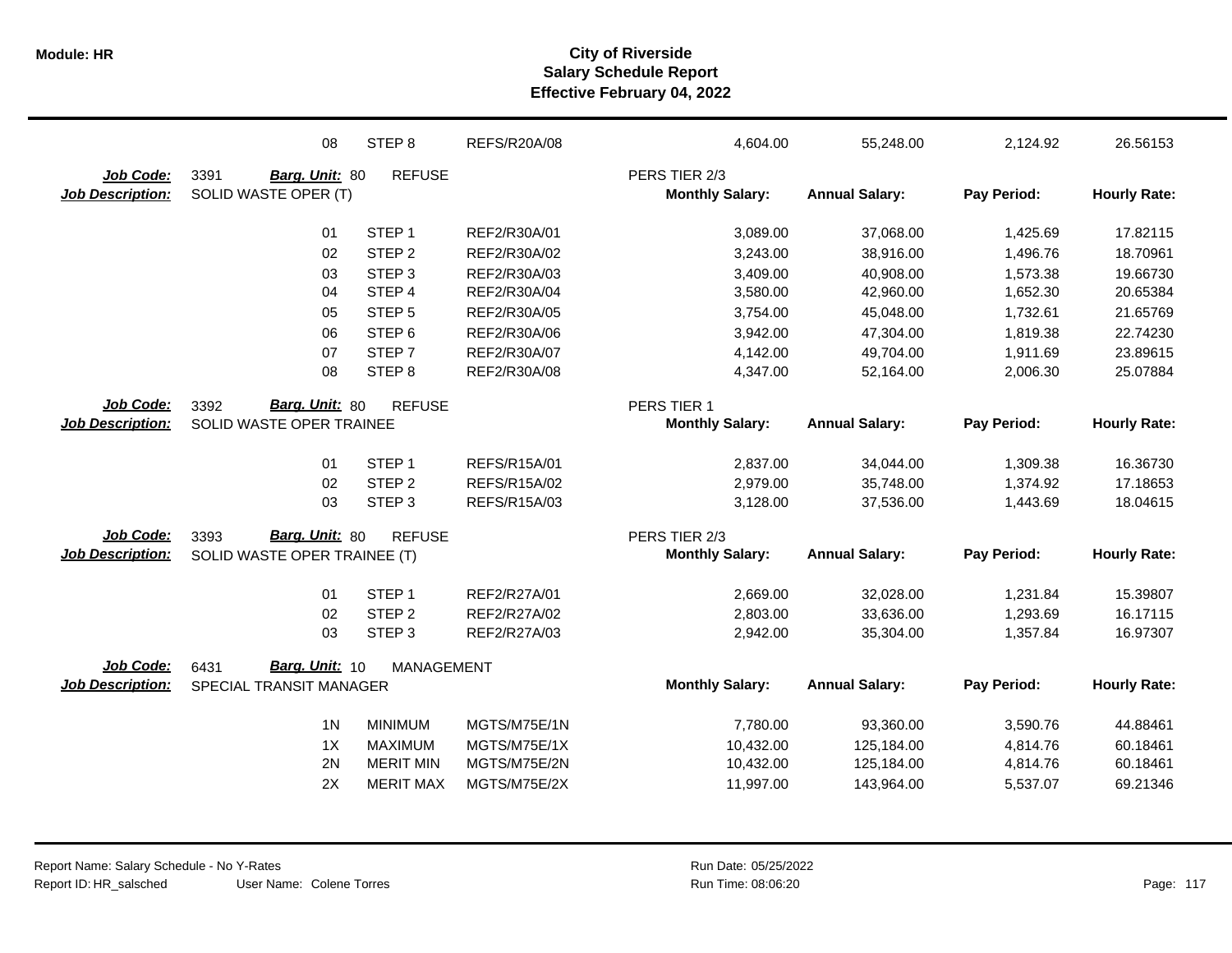|                         | 08                           | STEP <sub>8</sub> | <b>REFS/R20A/08</b> | 4,604.00               | 55,248.00             | 2,124.92    | 26.56153            |
|-------------------------|------------------------------|-------------------|---------------------|------------------------|-----------------------|-------------|---------------------|
| Job Code:               | 3391<br>Barg. Unit: 80       | <b>REFUSE</b>     |                     | PERS TIER 2/3          |                       |             |                     |
| <b>Job Description:</b> | SOLID WASTE OPER (T)         |                   |                     | <b>Monthly Salary:</b> | <b>Annual Salary:</b> | Pay Period: | <b>Hourly Rate:</b> |
|                         | 01                           | STEP <sub>1</sub> | REF2/R30A/01        | 3,089.00               | 37,068.00             | 1,425.69    | 17.82115            |
|                         | 02                           | STEP <sub>2</sub> | REF2/R30A/02        | 3,243.00               | 38,916.00             | 1,496.76    | 18.70961            |
|                         | 03                           | STEP <sub>3</sub> | REF2/R30A/03        | 3,409.00               | 40,908.00             | 1,573.38    | 19.66730            |
|                         | 04                           | STEP 4            | REF2/R30A/04        | 3,580.00               | 42,960.00             | 1,652.30    | 20.65384            |
|                         | 05                           | STEP <sub>5</sub> | REF2/R30A/05        | 3,754.00               | 45,048.00             | 1,732.61    | 21.65769            |
|                         | 06                           | STEP <sub>6</sub> | REF2/R30A/06        | 3,942.00               | 47,304.00             | 1,819.38    | 22.74230            |
|                         | 07                           | STEP <sub>7</sub> | REF2/R30A/07        | 4,142.00               | 49,704.00             | 1,911.69    | 23.89615            |
|                         | 08                           | STEP <sub>8</sub> | REF2/R30A/08        | 4,347.00               | 52,164.00             | 2,006.30    | 25.07884            |
| Job Code:               | Barg. Unit: 80<br>3392       | <b>REFUSE</b>     |                     | PERS TIER 1            |                       |             |                     |
| <b>Job Description:</b> | SOLID WASTE OPER TRAINEE     |                   |                     | <b>Monthly Salary:</b> | <b>Annual Salary:</b> | Pay Period: | <b>Hourly Rate:</b> |
|                         | 01                           | STEP <sub>1</sub> | REFS/R15A/01        | 2,837.00               | 34,044.00             | 1,309.38    | 16.36730            |
|                         | 02                           | STEP <sub>2</sub> | <b>REFS/R15A/02</b> | 2,979.00               | 35,748.00             | 1,374.92    | 17.18653            |
|                         | 03                           | STEP <sub>3</sub> | REFS/R15A/03        | 3,128.00               | 37,536.00             | 1,443.69    | 18.04615            |
| Job Code:               | Barg. Unit: 80<br>3393       | <b>REFUSE</b>     |                     | PERS TIER 2/3          |                       |             |                     |
| <b>Job Description:</b> | SOLID WASTE OPER TRAINEE (T) |                   |                     | <b>Monthly Salary:</b> | <b>Annual Salary:</b> | Pay Period: | <b>Hourly Rate:</b> |
|                         | 01                           | STEP <sub>1</sub> | REF2/R27A/01        | 2,669.00               | 32,028.00             | 1,231.84    | 15.39807            |
|                         | 02                           | STEP <sub>2</sub> | REF2/R27A/02        | 2,803.00               | 33,636.00             | 1,293.69    | 16.17115            |
|                         | 03                           | STEP <sub>3</sub> | REF2/R27A/03        | 2,942.00               | 35,304.00             | 1,357.84    | 16.97307            |
| Job Code:               | Barg. Unit: 10<br>6431       | <b>MANAGEMENT</b> |                     |                        |                       |             |                     |
| <b>Job Description:</b> | SPECIAL TRANSIT MANAGER      |                   |                     | <b>Monthly Salary:</b> | <b>Annual Salary:</b> | Pay Period: | <b>Hourly Rate:</b> |
|                         | 1 <sub>N</sub>               | <b>MINIMUM</b>    | MGTS/M75E/1N        | 7,780.00               | 93,360.00             | 3,590.76    | 44.88461            |
|                         | 1X                           | <b>MAXIMUM</b>    | MGTS/M75E/1X        | 10,432.00              | 125,184.00            | 4,814.76    | 60.18461            |
|                         | 2N                           | <b>MERIT MIN</b>  | MGTS/M75E/2N        | 10,432.00              | 125,184.00            | 4,814.76    | 60.18461            |
|                         | 2X                           | <b>MERIT MAX</b>  | MGTS/M75E/2X        | 11,997.00              | 143,964.00            | 5,537.07    | 69.21346            |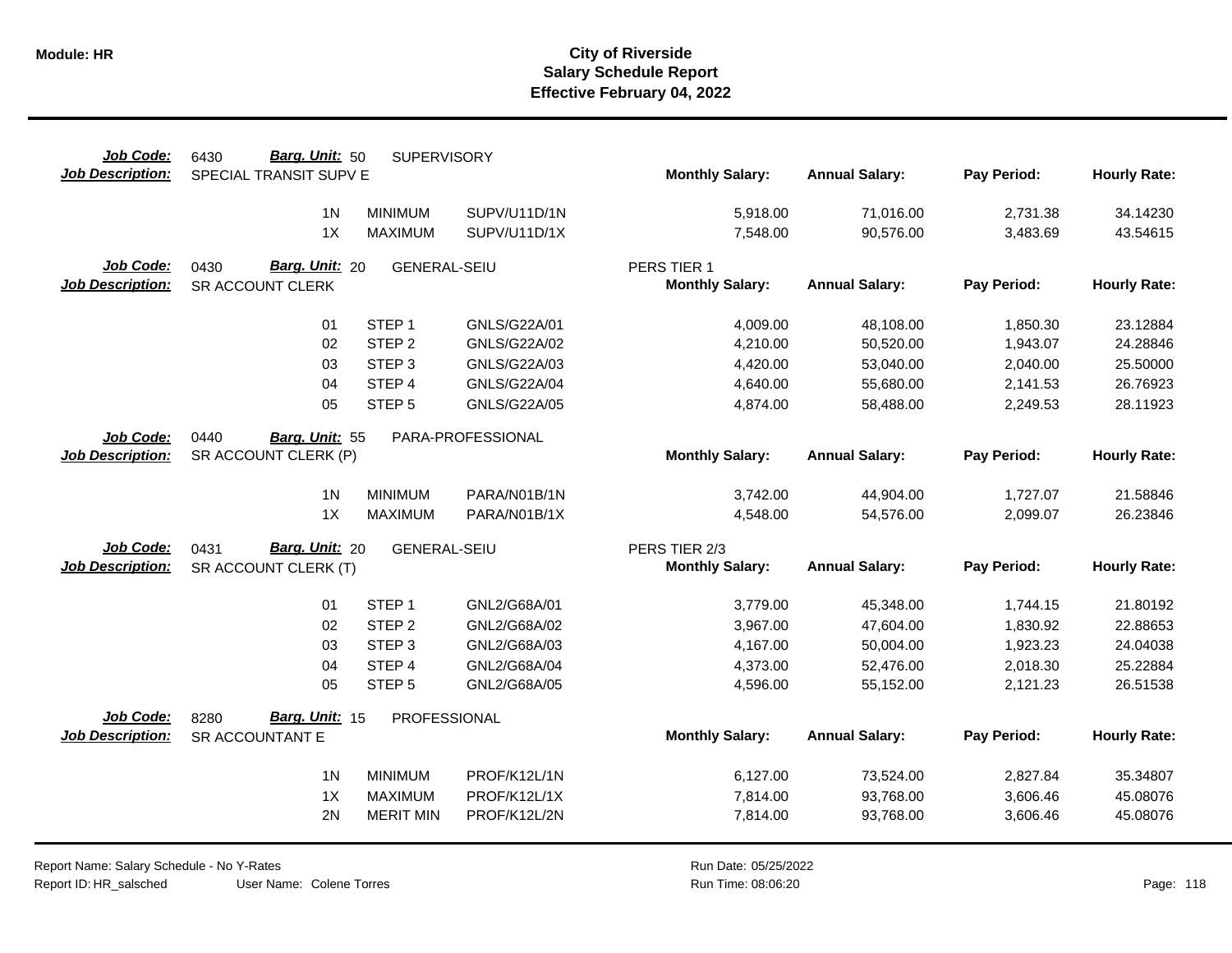| Job Code:                            | Barg. Unit: 50<br>6430  | <b>SUPERVISORY</b>  |                   |                                         |                       |             |                     |
|--------------------------------------|-------------------------|---------------------|-------------------|-----------------------------------------|-----------------------|-------------|---------------------|
| <b>Job Description:</b>              | SPECIAL TRANSIT SUPV E  |                     |                   | <b>Monthly Salary:</b>                  | <b>Annual Salary:</b> | Pay Period: | <b>Hourly Rate:</b> |
|                                      | 1 <sub>N</sub>          | <b>MINIMUM</b>      | SUPV/U11D/1N      | 5,918.00                                | 71,016.00             | 2,731.38    | 34.14230            |
|                                      | 1X                      | <b>MAXIMUM</b>      | SUPV/U11D/1X      | 7,548.00                                | 90,576.00             | 3,483.69    | 43.54615            |
|                                      |                         |                     |                   |                                         |                       |             |                     |
| Job Code:                            | Barg. Unit: 20<br>0430  | <b>GENERAL-SEIU</b> |                   | PERS TIER 1                             |                       |             |                     |
| <b>Job Description:</b>              | SR ACCOUNT CLERK        |                     |                   | <b>Monthly Salary:</b>                  | <b>Annual Salary:</b> | Pay Period: | <b>Hourly Rate:</b> |
|                                      |                         |                     |                   |                                         |                       |             |                     |
|                                      | 01                      | STEP <sub>1</sub>   | GNLS/G22A/01      | 4,009.00                                | 48,108.00             | 1,850.30    | 23.12884            |
|                                      | 02                      | STEP <sub>2</sub>   | GNLS/G22A/02      | 4,210.00                                | 50,520.00             | 1,943.07    | 24.28846            |
|                                      | 03                      | STEP <sub>3</sub>   | GNLS/G22A/03      | 4,420.00                                | 53,040.00             | 2,040.00    | 25.50000            |
|                                      | 04                      | STEP 4              | GNLS/G22A/04      | 4,640.00                                | 55,680.00             | 2,141.53    | 26.76923            |
|                                      | 05                      | STEP <sub>5</sub>   | GNLS/G22A/05      | 4,874.00                                | 58,488.00             | 2,249.53    | 28.11923            |
| Job Code:                            | 0440<br>Barg. Unit: 55  |                     | PARA-PROFESSIONAL |                                         |                       |             |                     |
| <b>Job Description:</b>              | SR ACCOUNT CLERK (P)    |                     |                   | <b>Monthly Salary:</b>                  | <b>Annual Salary:</b> | Pay Period: | <b>Hourly Rate:</b> |
|                                      |                         |                     |                   |                                         |                       |             |                     |
|                                      | 1 <sub>N</sub>          | <b>MINIMUM</b>      | PARA/N01B/1N      | 3,742.00                                | 44,904.00             | 1,727.07    | 21.58846            |
|                                      | 1X                      | <b>MAXIMUM</b>      | PARA/N01B/1X      | 4,548.00                                | 54,576.00             | 2,099.07    | 26.23846            |
|                                      |                         |                     |                   |                                         |                       |             |                     |
| Job Code:<br><b>Job Description:</b> | Barg. Unit: 20<br>0431  | <b>GENERAL-SEIU</b> |                   | PERS TIER 2/3<br><b>Monthly Salary:</b> | <b>Annual Salary:</b> | Pay Period: | <b>Hourly Rate:</b> |
|                                      | SR ACCOUNT CLERK (T)    |                     |                   |                                         |                       |             |                     |
|                                      | 01                      | STEP <sub>1</sub>   | GNL2/G68A/01      | 3,779.00                                | 45,348.00             | 1,744.15    | 21.80192            |
|                                      | 02                      | STEP <sub>2</sub>   | GNL2/G68A/02      | 3,967.00                                | 47,604.00             | 1,830.92    | 22.88653            |
|                                      | 03                      | STEP <sub>3</sub>   | GNL2/G68A/03      | 4,167.00                                | 50,004.00             | 1,923.23    | 24.04038            |
|                                      | 04                      | STEP 4              | GNL2/G68A/04      | 4,373.00                                | 52,476.00             | 2,018.30    | 25.22884            |
|                                      | 05                      | STEP <sub>5</sub>   | GNL2/G68A/05      | 4,596.00                                | 55,152.00             | 2,121.23    | 26.51538            |
| Job Code:                            | Barg. Unit: 15          |                     |                   |                                         |                       |             |                     |
| <b>Job Description:</b>              | 8280<br>SR ACCOUNTANT E | PROFESSIONAL        |                   | <b>Monthly Salary:</b>                  | <b>Annual Salary:</b> | Pay Period: | <b>Hourly Rate:</b> |
|                                      |                         |                     |                   |                                         |                       |             |                     |
|                                      | 1 <sub>N</sub>          | <b>MINIMUM</b>      | PROF/K12L/1N      | 6,127.00                                | 73,524.00             | 2,827.84    | 35.34807            |
|                                      | 1X                      | <b>MAXIMUM</b>      | PROF/K12L/1X      | 7,814.00                                | 93,768.00             | 3,606.46    | 45.08076            |
|                                      | 2N                      | <b>MERIT MIN</b>    | PROF/K12L/2N      | 7,814.00                                | 93,768.00             | 3,606.46    | 45.08076            |
|                                      |                         |                     |                   |                                         |                       |             |                     |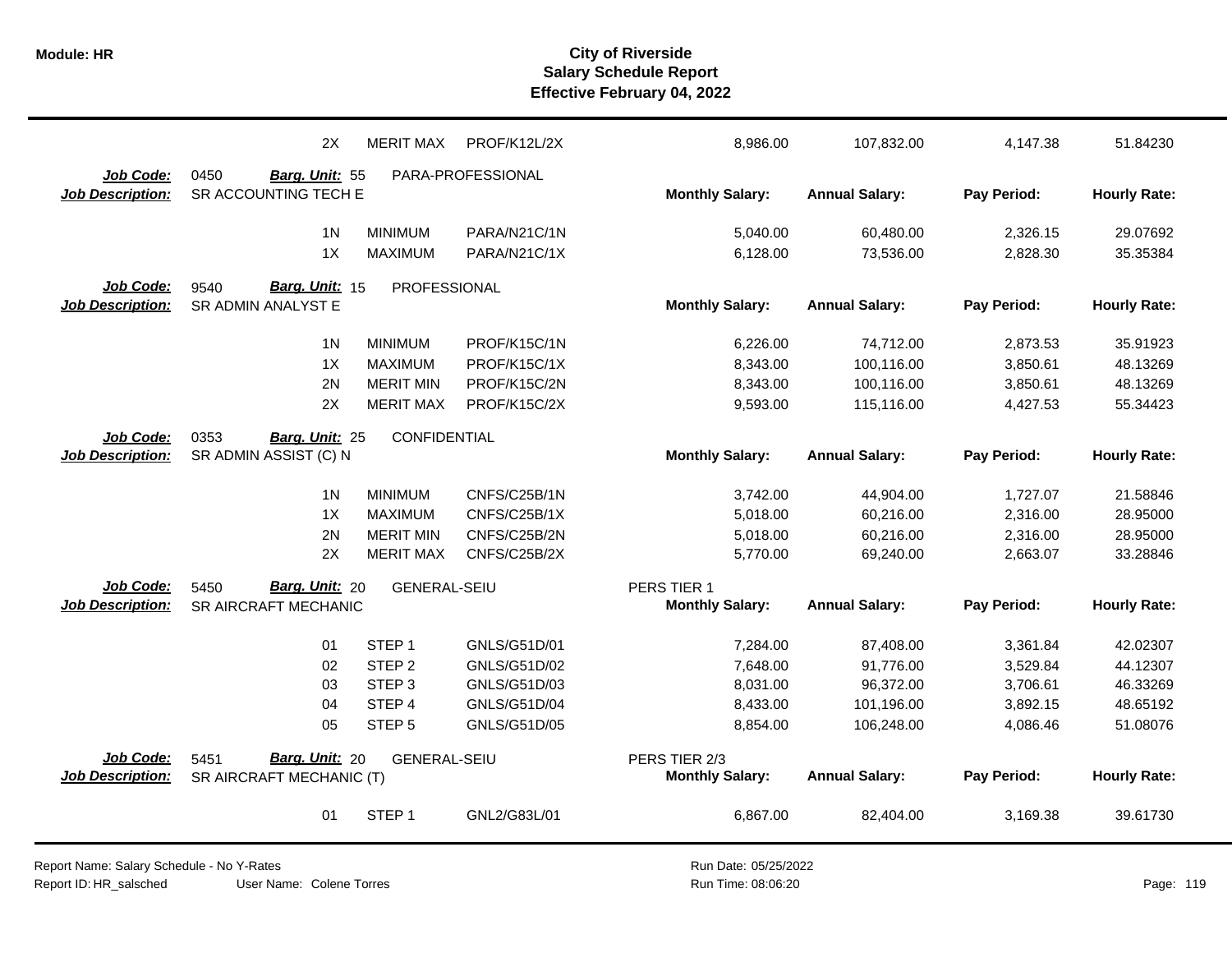|                         | 2X                       | <b>MERIT MAX</b>    | PROF/K12L/2X      | 8,986.00               | 107,832.00            | 4,147.38    | 51.84230            |
|-------------------------|--------------------------|---------------------|-------------------|------------------------|-----------------------|-------------|---------------------|
| Job Code:               | 0450<br>Barg. Unit: 55   |                     | PARA-PROFESSIONAL |                        |                       |             |                     |
| <b>Job Description:</b> | SR ACCOUNTING TECH E     |                     |                   | <b>Monthly Salary:</b> | <b>Annual Salary:</b> | Pay Period: | <b>Hourly Rate:</b> |
|                         | 1 <sub>N</sub>           | <b>MINIMUM</b>      | PARA/N21C/1N      | 5,040.00               | 60,480.00             | 2,326.15    | 29.07692            |
|                         | 1X                       | <b>MAXIMUM</b>      | PARA/N21C/1X      | 6,128.00               | 73,536.00             | 2,828.30    | 35.35384            |
|                         |                          |                     |                   |                        |                       |             |                     |
| Job Code:               | Barg. Unit: 15<br>9540   | PROFESSIONAL        |                   |                        |                       |             |                     |
| <b>Job Description:</b> | SR ADMIN ANALYST E       |                     |                   | <b>Monthly Salary:</b> | <b>Annual Salary:</b> | Pay Period: | <b>Hourly Rate:</b> |
|                         | 1 <sub>N</sub>           | <b>MINIMUM</b>      | PROF/K15C/1N      | 6,226.00               | 74,712.00             | 2,873.53    | 35.91923            |
|                         | 1X                       | <b>MAXIMUM</b>      | PROF/K15C/1X      | 8,343.00               | 100,116.00            | 3,850.61    | 48.13269            |
|                         | 2N                       | <b>MERIT MIN</b>    | PROF/K15C/2N      | 8,343.00               | 100,116.00            | 3,850.61    | 48.13269            |
|                         | 2X                       | <b>MERIT MAX</b>    | PROF/K15C/2X      | 9,593.00               | 115,116.00            | 4,427.53    | 55.34423            |
| Job Code:               | 0353<br>Barg. Unit: 25   | CONFIDENTIAL        |                   |                        |                       |             |                     |
| <b>Job Description:</b> | SR ADMIN ASSIST (C) N    |                     |                   | <b>Monthly Salary:</b> | <b>Annual Salary:</b> | Pay Period: | <b>Hourly Rate:</b> |
|                         |                          |                     |                   |                        |                       |             |                     |
|                         | 1 <sub>N</sub>           | <b>MINIMUM</b>      | CNFS/C25B/1N      | 3,742.00               | 44,904.00             | 1,727.07    | 21.58846            |
|                         | 1X                       | <b>MAXIMUM</b>      | CNFS/C25B/1X      | 5,018.00               | 60,216.00             | 2,316.00    | 28.95000            |
|                         | 2N                       | <b>MERIT MIN</b>    | CNFS/C25B/2N      | 5,018.00               | 60,216.00             | 2,316.00    | 28.95000            |
|                         | 2X                       | <b>MERIT MAX</b>    | CNFS/C25B/2X      | 5,770.00               | 69,240.00             | 2,663.07    | 33.28846            |
| Job Code:               | Barg. Unit: 20<br>5450   | <b>GENERAL-SEIU</b> |                   | PERS TIER 1            |                       |             |                     |
| <b>Job Description:</b> | SR AIRCRAFT MECHANIC     |                     |                   | <b>Monthly Salary:</b> | <b>Annual Salary:</b> | Pay Period: | <b>Hourly Rate:</b> |
|                         |                          |                     |                   |                        |                       |             |                     |
|                         | 01                       | STEP <sub>1</sub>   | GNLS/G51D/01      | 7,284.00               | 87,408.00             | 3,361.84    | 42.02307            |
|                         | 02                       | STEP <sub>2</sub>   | GNLS/G51D/02      | 7,648.00               | 91,776.00             | 3,529.84    | 44.12307            |
|                         | 03                       | STEP <sub>3</sub>   | GNLS/G51D/03      | 8,031.00               | 96,372.00             | 3,706.61    | 46.33269            |
|                         | 04                       | STEP 4              | GNLS/G51D/04      | 8,433.00               | 101,196.00            | 3,892.15    | 48.65192            |
|                         | 05                       | STEP <sub>5</sub>   | GNLS/G51D/05      | 8,854.00               | 106,248.00            | 4,086.46    | 51.08076            |
| Job Code:               | Barg. Unit: 20<br>5451   | <b>GENERAL-SEIU</b> |                   | PERS TIER 2/3          |                       |             |                     |
| <b>Job Description:</b> | SR AIRCRAFT MECHANIC (T) |                     |                   | <b>Monthly Salary:</b> | <b>Annual Salary:</b> | Pay Period: | <b>Hourly Rate:</b> |
|                         |                          |                     |                   |                        |                       |             |                     |
|                         | 01                       | STEP <sub>1</sub>   | GNL2/G83L/01      | 6,867.00               | 82,404.00             | 3,169.38    | 39.61730            |
|                         |                          |                     |                   |                        |                       |             |                     |

Report Name: Salary Schedule - No Y-Rates Report ID: HR\_salsched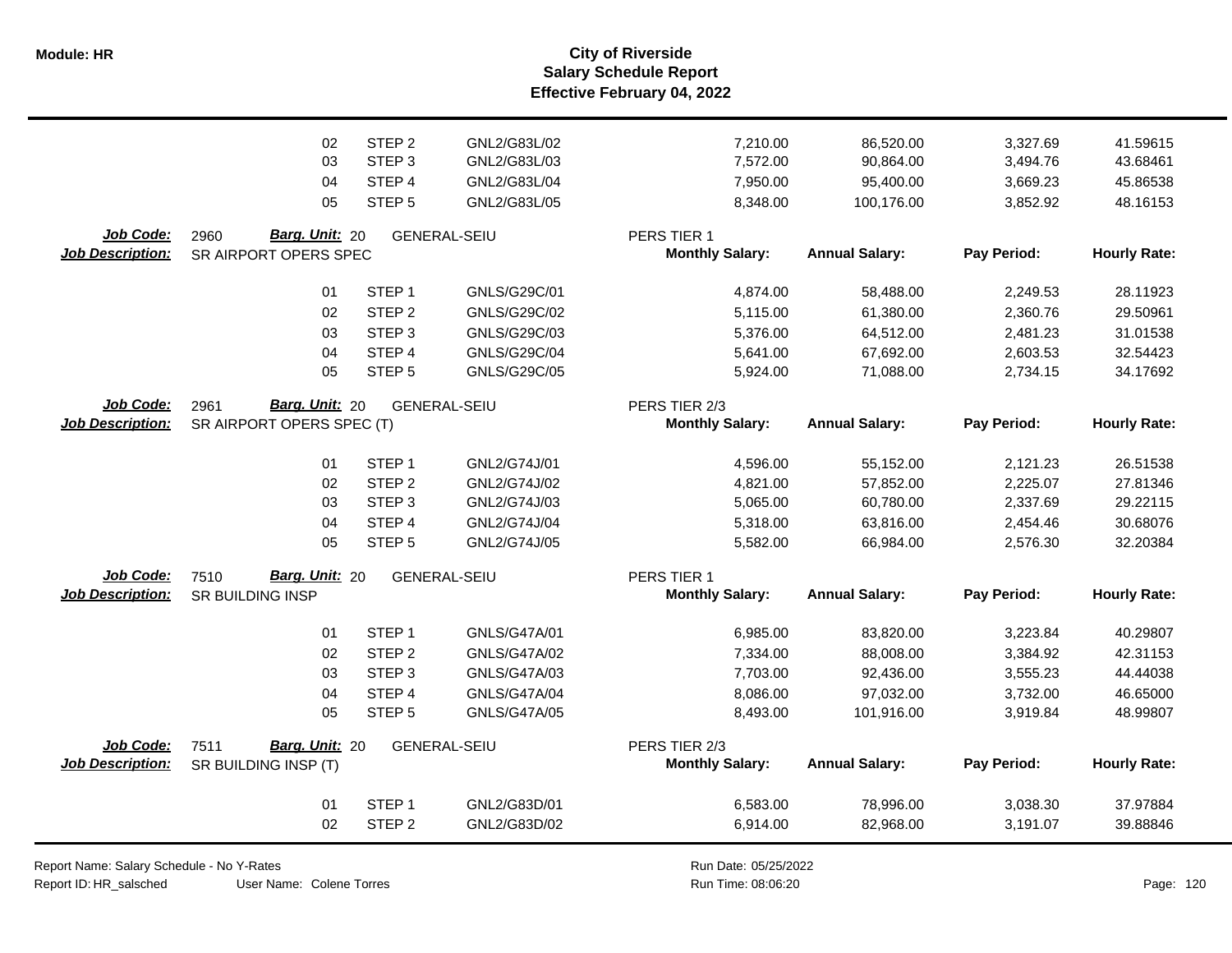**Salary Schedule Report Effective February 04, 2022 Module: HR City of Riverside**

|                         | 02                        | STEP <sub>2</sub> | GNL2/G83L/02        | 7,210.00               | 86,520.00             | 3,327.69    | 41.59615            |
|-------------------------|---------------------------|-------------------|---------------------|------------------------|-----------------------|-------------|---------------------|
|                         | 03                        | STEP <sub>3</sub> | GNL2/G83L/03        | 7,572.00               | 90,864.00             | 3,494.76    | 43.68461            |
|                         | 04                        | STEP 4            | GNL2/G83L/04        | 7,950.00               | 95,400.00             | 3,669.23    | 45.86538            |
|                         | 05                        | STEP <sub>5</sub> | GNL2/G83L/05        | 8,348.00               | 100,176.00            | 3,852.92    | 48.16153            |
|                         |                           |                   |                     |                        |                       |             |                     |
| Job Code:               | Barg. Unit: 20<br>2960    |                   | <b>GENERAL-SEIU</b> | PERS TIER 1            |                       |             |                     |
| <b>Job Description:</b> | SR AIRPORT OPERS SPEC     |                   |                     | <b>Monthly Salary:</b> | <b>Annual Salary:</b> | Pay Period: | <b>Hourly Rate:</b> |
|                         | 01                        | STEP <sub>1</sub> | GNLS/G29C/01        | 4,874.00               | 58,488.00             | 2,249.53    | 28.11923            |
|                         | 02                        | STEP <sub>2</sub> | GNLS/G29C/02        | 5,115.00               | 61,380.00             | 2,360.76    | 29.50961            |
|                         | 03                        | STEP <sub>3</sub> | GNLS/G29C/03        | 5,376.00               | 64,512.00             | 2,481.23    | 31.01538            |
|                         | 04                        | STEP 4            | GNLS/G29C/04        | 5,641.00               | 67,692.00             | 2,603.53    | 32.54423            |
|                         | 05                        | STEP <sub>5</sub> | GNLS/G29C/05        | 5,924.00               | 71,088.00             | 2,734.15    | 34.17692            |
| Job Code:               | Barg. Unit: 20<br>2961    |                   | <b>GENERAL-SEIU</b> | PERS TIER 2/3          |                       |             |                     |
| <b>Job Description:</b> | SR AIRPORT OPERS SPEC (T) |                   |                     | <b>Monthly Salary:</b> | <b>Annual Salary:</b> | Pay Period: | <b>Hourly Rate:</b> |
|                         | 01                        | STEP <sub>1</sub> | GNL2/G74J/01        | 4,596.00               | 55,152.00             | 2,121.23    | 26.51538            |
|                         | 02                        | STEP <sub>2</sub> | GNL2/G74J/02        | 4,821.00               | 57,852.00             | 2,225.07    | 27.81346            |
|                         | 03                        | STEP <sub>3</sub> | GNL2/G74J/03        | 5,065.00               | 60,780.00             | 2,337.69    | 29.22115            |
|                         | 04                        | STEP 4            | GNL2/G74J/04        | 5,318.00               | 63,816.00             | 2,454.46    | 30.68076            |
|                         | 05                        | STEP <sub>5</sub> | GNL2/G74J/05        | 5,582.00               | 66,984.00             | 2,576.30    | 32.20384            |
| Job Code:               | Barg. Unit: 20<br>7510    |                   | <b>GENERAL-SEIU</b> | PERS TIER 1            |                       |             |                     |
| <b>Job Description:</b> | <b>SR BUILDING INSP</b>   |                   |                     | <b>Monthly Salary:</b> | <b>Annual Salary:</b> | Pay Period: | <b>Hourly Rate:</b> |
|                         | 01                        | STEP <sub>1</sub> | GNLS/G47A/01        | 6,985.00               | 83,820.00             | 3,223.84    | 40.29807            |
|                         | 02                        | STEP <sub>2</sub> | GNLS/G47A/02        | 7,334.00               | 88,008.00             | 3,384.92    | 42.31153            |
|                         | 03                        | STEP <sub>3</sub> | GNLS/G47A/03        | 7,703.00               | 92,436.00             | 3,555.23    | 44.44038            |
|                         | 04                        | STEP 4            | <b>GNLS/G47A/04</b> | 8,086.00               | 97,032.00             | 3,732.00    | 46.65000            |
|                         | 05                        | STEP <sub>5</sub> | <b>GNLS/G47A/05</b> | 8,493.00               | 101,916.00            | 3,919.84    | 48.99807            |
| Job Code:               | Barg. Unit: 20<br>7511    |                   | <b>GENERAL-SEIU</b> | PERS TIER 2/3          |                       |             |                     |
| <b>Job Description:</b> | SR BUILDING INSP (T)      |                   |                     | <b>Monthly Salary:</b> | <b>Annual Salary:</b> | Pay Period: | <b>Hourly Rate:</b> |
|                         | 01                        | STEP <sub>1</sub> | GNL2/G83D/01        | 6,583.00               | 78,996.00             | 3,038.30    | 37.97884            |
|                         | 02                        | STEP <sub>2</sub> | GNL2/G83D/02        | 6,914.00               | 82,968.00             | 3,191.07    | 39.88846            |
|                         |                           |                   |                     |                        |                       |             |                     |

Report Name: Salary Schedule - No Y-Rates

Report ID: HR\_salsched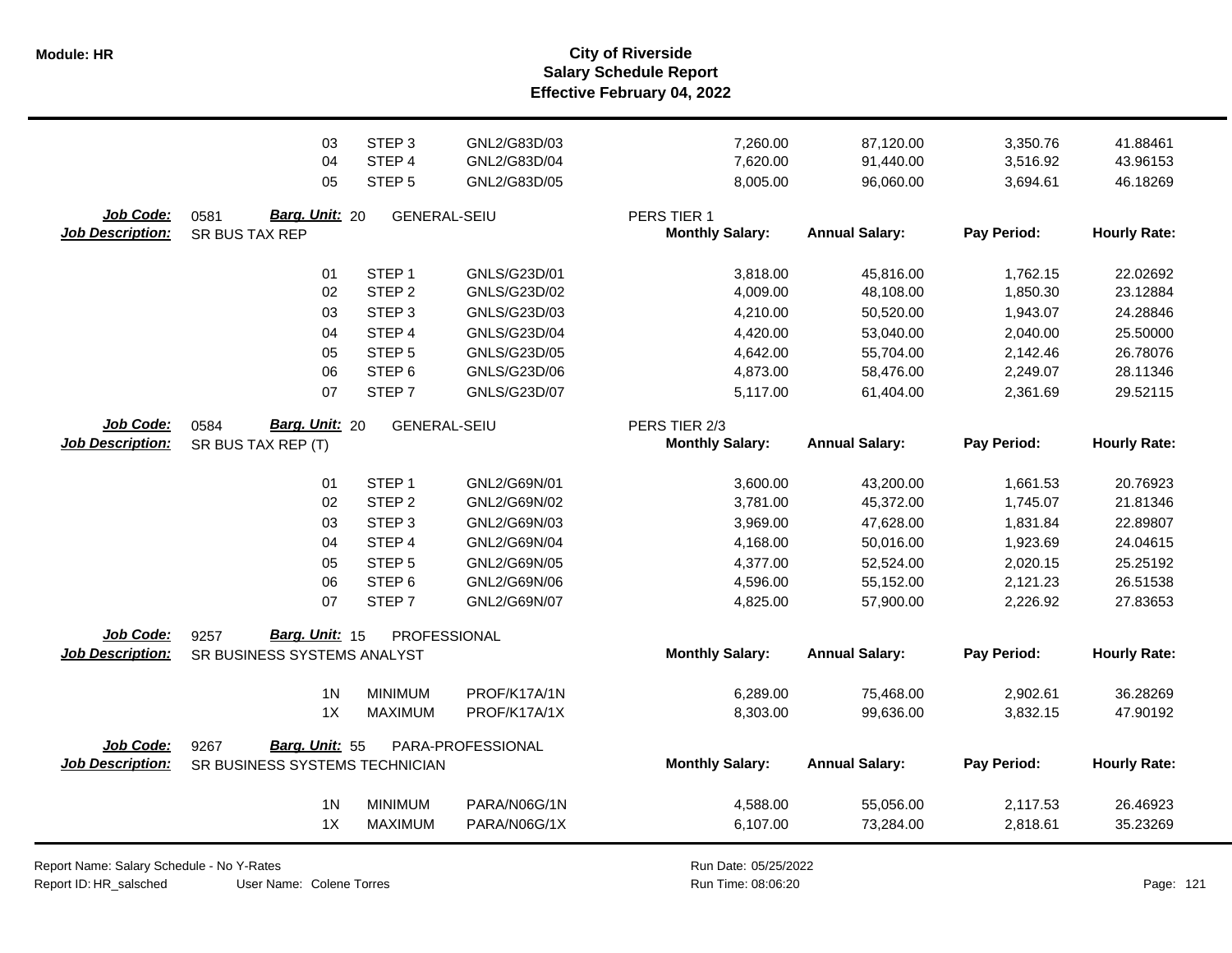**Salary Schedule Report Effective February 04, 2022 Module: HR City of Riverside**

|                                      | 03<br>04<br>05                           | STEP <sub>3</sub><br>STEP 4<br>STEP <sub>5</sub> | GNL2/G83D/03<br>GNL2/G83D/04<br>GNL2/G83D/05 | 7,260.00<br>7,620.00<br>8,005.00      | 87,120.00<br>91,440.00<br>96,060.00 | 3,350.76<br>3,516.92<br>3,694.61 | 41.88461<br>43.96153<br>46.18269 |
|--------------------------------------|------------------------------------------|--------------------------------------------------|----------------------------------------------|---------------------------------------|-------------------------------------|----------------------------------|----------------------------------|
| Job Code:<br><b>Job Description:</b> | 0581<br>Barg. Unit: 20<br>SR BUS TAX REP | <b>GENERAL-SEIU</b>                              |                                              | PERS TIER 1<br><b>Monthly Salary:</b> | <b>Annual Salary:</b>               | Pay Period:                      | <b>Hourly Rate:</b>              |
|                                      | 01                                       | STEP <sub>1</sub>                                | GNLS/G23D/01                                 | 3,818.00                              | 45,816.00                           | 1,762.15                         | 22.02692                         |
|                                      | 02                                       | STEP <sub>2</sub>                                | GNLS/G23D/02                                 | 4,009.00                              | 48,108.00                           | 1,850.30                         | 23.12884                         |
|                                      | 03                                       | STEP <sub>3</sub>                                | GNLS/G23D/03                                 | 4,210.00                              | 50,520.00                           | 1,943.07                         | 24.28846                         |
|                                      | 04                                       | STEP 4                                           | GNLS/G23D/04                                 | 4,420.00                              | 53,040.00                           | 2,040.00                         | 25.50000                         |
|                                      | 05                                       | STEP <sub>5</sub>                                | GNLS/G23D/05                                 | 4,642.00                              | 55,704.00                           | 2,142.46                         | 26.78076                         |
|                                      | 06                                       | STEP <sub>6</sub>                                | GNLS/G23D/06                                 | 4,873.00                              | 58,476.00                           | 2,249.07                         | 28.11346                         |
|                                      | 07                                       | STEP <sub>7</sub>                                | GNLS/G23D/07                                 | 5,117.00                              | 61,404.00                           | 2,361.69                         | 29.52115                         |
| Job Code:                            | Barg. Unit: 20<br>0584                   | <b>GENERAL-SEIU</b>                              |                                              | PERS TIER 2/3                         |                                     |                                  |                                  |
| <b>Job Description:</b>              | SR BUS TAX REP (T)                       |                                                  |                                              | <b>Monthly Salary:</b>                | <b>Annual Salary:</b>               | Pay Period:                      | <b>Hourly Rate:</b>              |
|                                      | 01                                       | STEP <sub>1</sub>                                | GNL2/G69N/01                                 | 3,600.00                              | 43,200.00                           | 1,661.53                         | 20.76923                         |
|                                      | 02                                       | STEP <sub>2</sub>                                | GNL2/G69N/02                                 | 3,781.00                              | 45,372.00                           | 1,745.07                         | 21.81346                         |
|                                      | 03                                       | STEP <sub>3</sub>                                | GNL2/G69N/03                                 | 3,969.00                              | 47,628.00                           | 1,831.84                         | 22.89807                         |
|                                      | 04                                       | STEP 4                                           | GNL2/G69N/04                                 | 4,168.00                              | 50,016.00                           | 1,923.69                         | 24.04615                         |
|                                      | 05                                       | STEP <sub>5</sub>                                | GNL2/G69N/05                                 | 4,377.00                              | 52,524.00                           | 2,020.15                         | 25.25192                         |
|                                      | 06                                       | STEP <sub>6</sub>                                | GNL2/G69N/06                                 | 4,596.00                              | 55,152.00                           | 2,121.23                         | 26.51538                         |
|                                      | 07                                       | STEP <sub>7</sub>                                | GNL2/G69N/07                                 | 4,825.00                              | 57,900.00                           | 2,226.92                         | 27.83653                         |
| Job Code:                            | Barg. Unit: 15<br>9257                   | PROFESSIONAL                                     |                                              |                                       |                                     |                                  |                                  |
| <b>Job Description:</b>              | SR BUSINESS SYSTEMS ANALYST              |                                                  |                                              | <b>Monthly Salary:</b>                | <b>Annual Salary:</b>               | Pay Period:                      | <b>Hourly Rate:</b>              |
|                                      | 1 <sub>N</sub>                           | <b>MINIMUM</b>                                   | PROF/K17A/1N                                 | 6,289.00                              | 75,468.00                           | 2,902.61                         | 36.28269                         |
|                                      | 1X                                       | <b>MAXIMUM</b>                                   | PROF/K17A/1X                                 | 8,303.00                              | 99,636.00                           | 3,832.15                         | 47.90192                         |
| Job Code:                            | Barg. Unit: 55<br>9267                   |                                                  | PARA-PROFESSIONAL                            |                                       |                                     |                                  |                                  |
| <b>Job Description:</b>              | SR BUSINESS SYSTEMS TECHNICIAN           |                                                  |                                              | <b>Monthly Salary:</b>                | <b>Annual Salary:</b>               | Pay Period:                      | <b>Hourly Rate:</b>              |
|                                      | 1 <sub>N</sub>                           | <b>MINIMUM</b>                                   | PARA/N06G/1N                                 | 4,588.00                              | 55,056.00                           | 2,117.53                         | 26.46923                         |
|                                      | 1X                                       | <b>MAXIMUM</b>                                   | PARA/N06G/1X                                 | 6,107.00                              | 73,284.00                           | 2,818.61                         | 35.23269                         |

Report Name: Salary Schedule - No Y-Rates

Report ID: HR\_salsched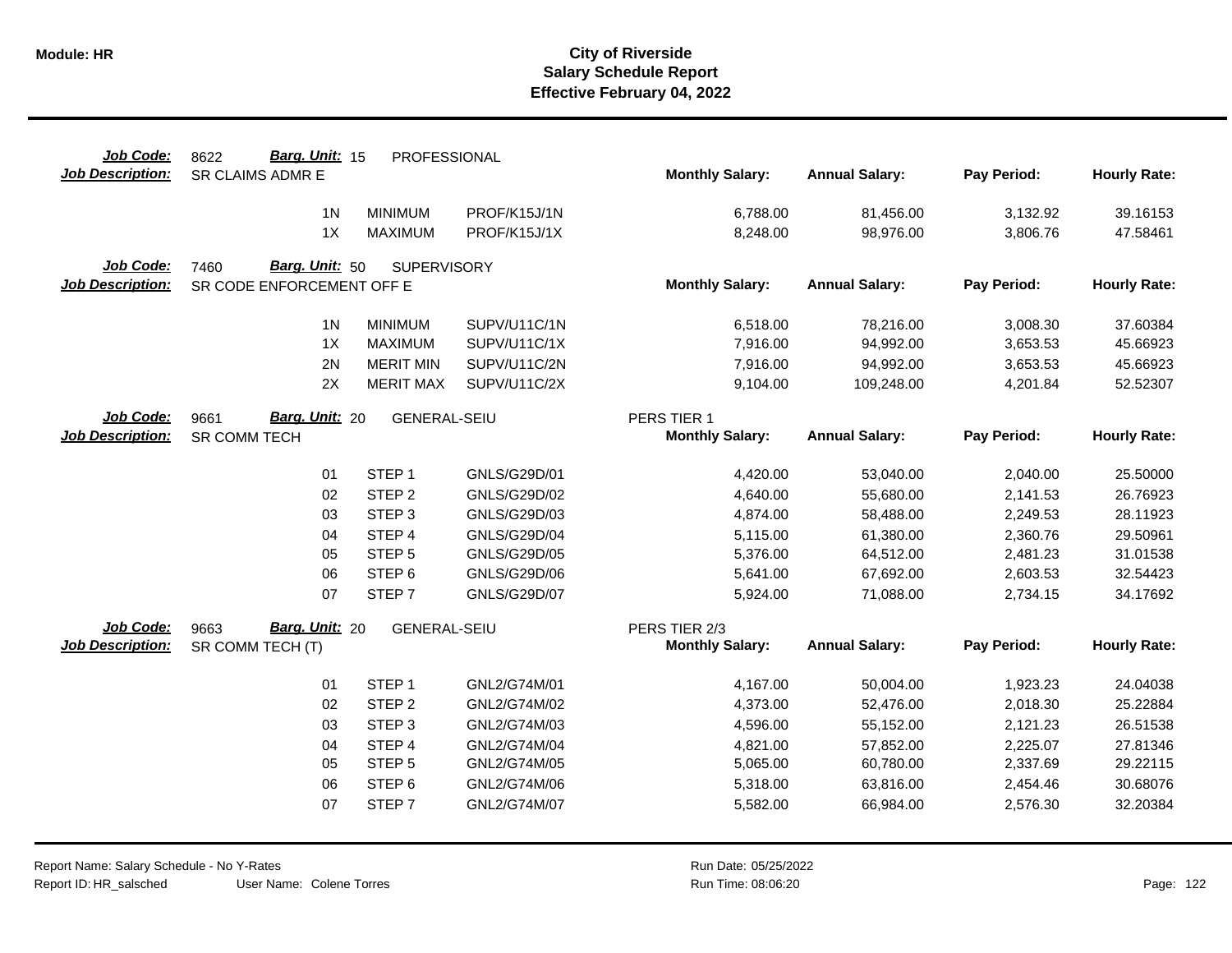| Job Code:               | Barg. Unit: 15<br>8622        | PROFESSIONAL                |                              |                        |                        |                      |                      |
|-------------------------|-------------------------------|-----------------------------|------------------------------|------------------------|------------------------|----------------------|----------------------|
| <b>Job Description:</b> | SR CLAIMS ADMR E              |                             |                              | <b>Monthly Salary:</b> | <b>Annual Salary:</b>  | Pay Period:          | <b>Hourly Rate:</b>  |
|                         | 1 <sub>N</sub>                | <b>MINIMUM</b>              | PROF/K15J/1N                 | 6,788.00               | 81,456.00              | 3,132.92             | 39.16153             |
|                         | 1X                            | <b>MAXIMUM</b>              | PROF/K15J/1X                 | 8,248.00               | 98,976.00              | 3,806.76             | 47.58461             |
| Job Code:               | Barg. Unit: 50<br>7460        | <b>SUPERVISORY</b>          |                              |                        |                        |                      |                      |
| <b>Job Description:</b> | SR CODE ENFORCEMENT OFF E     |                             |                              | <b>Monthly Salary:</b> | <b>Annual Salary:</b>  | Pay Period:          | <b>Hourly Rate:</b>  |
|                         |                               |                             |                              |                        |                        |                      |                      |
|                         | 1 <sub>N</sub>                | <b>MINIMUM</b>              | SUPV/U11C/1N                 | 6,518.00               | 78,216.00              | 3,008.30             | 37.60384             |
|                         | 1X                            | <b>MAXIMUM</b>              | SUPV/U11C/1X                 | 7,916.00               | 94,992.00              | 3,653.53             | 45.66923             |
|                         | 2N                            | <b>MERIT MIN</b>            | SUPV/U11C/2N                 | 7,916.00               | 94,992.00              | 3,653.53             | 45.66923             |
|                         | 2X                            | <b>MERIT MAX</b>            | SUPV/U11C/2X                 | 9,104.00               | 109,248.00             | 4,201.84             | 52.52307             |
| Job Code:               | <b>Barg. Unit: 20</b><br>9661 | GENERAL-SEIU                |                              | PERS TIER 1            |                        |                      |                      |
| <b>Job Description:</b> | <b>SR COMM TECH</b>           |                             |                              | <b>Monthly Salary:</b> | <b>Annual Salary:</b>  | Pay Period:          | <b>Hourly Rate:</b>  |
|                         | 01                            | STEP <sub>1</sub>           | GNLS/G29D/01                 | 4,420.00               | 53,040.00              | 2,040.00             | 25.50000             |
|                         | 02                            | STEP <sub>2</sub>           | GNLS/G29D/02                 | 4,640.00               | 55,680.00              | 2,141.53             | 26.76923             |
|                         | 03                            | STEP <sub>3</sub>           | GNLS/G29D/03                 | 4,874.00               | 58,488.00              | 2,249.53             | 28.11923             |
|                         | 04                            | STEP 4                      | GNLS/G29D/04                 | 5,115.00               | 61,380.00              | 2,360.76             | 29.50961             |
|                         | 05                            | STEP <sub>5</sub>           | GNLS/G29D/05                 | 5,376.00               | 64,512.00              | 2,481.23             | 31.01538             |
|                         | 06                            | STEP <sub>6</sub>           | GNLS/G29D/06                 | 5,641.00               | 67,692.00              | 2,603.53             | 32.54423             |
|                         | 07                            | STEP <sub>7</sub>           | GNLS/G29D/07                 | 5,924.00               | 71,088.00              | 2,734.15             | 34.17692             |
| Job Code:               | Barg. Unit: 20<br>9663        | <b>GENERAL-SEIU</b>         |                              | PERS TIER 2/3          |                        |                      |                      |
| <b>Job Description:</b> | SR COMM TECH (T)              |                             |                              | <b>Monthly Salary:</b> | <b>Annual Salary:</b>  | Pay Period:          | <b>Hourly Rate:</b>  |
|                         | 01                            | STEP <sub>1</sub>           | GNL2/G74M/01                 | 4,167.00               | 50,004.00              | 1,923.23             | 24.04038             |
|                         | 02                            | STEP <sub>2</sub>           | GNL2/G74M/02                 | 4,373.00               | 52,476.00              | 2,018.30             | 25.22884             |
|                         | 03                            | STEP <sub>3</sub>           | GNL2/G74M/03                 | 4,596.00               | 55,152.00              | 2,121.23             | 26.51538             |
|                         |                               |                             |                              |                        |                        |                      |                      |
|                         | 04<br>05                      | STEP 4<br>STEP <sub>5</sub> | GNL2/G74M/04<br>GNL2/G74M/05 | 4,821.00<br>5,065.00   | 57,852.00<br>60,780.00 | 2,225.07<br>2,337.69 | 27.81346<br>29.22115 |
|                         | 06                            | STEP <sub>6</sub>           | GNL2/G74M/06                 | 5,318.00               | 63,816.00              | 2,454.46             | 30.68076             |
|                         |                               |                             |                              |                        |                        |                      |                      |
|                         | 07                            | STEP <sub>7</sub>           | GNL2/G74M/07                 | 5,582.00               | 66,984.00              | 2,576.30             | 32.20384             |
|                         |                               |                             |                              |                        |                        |                      |                      |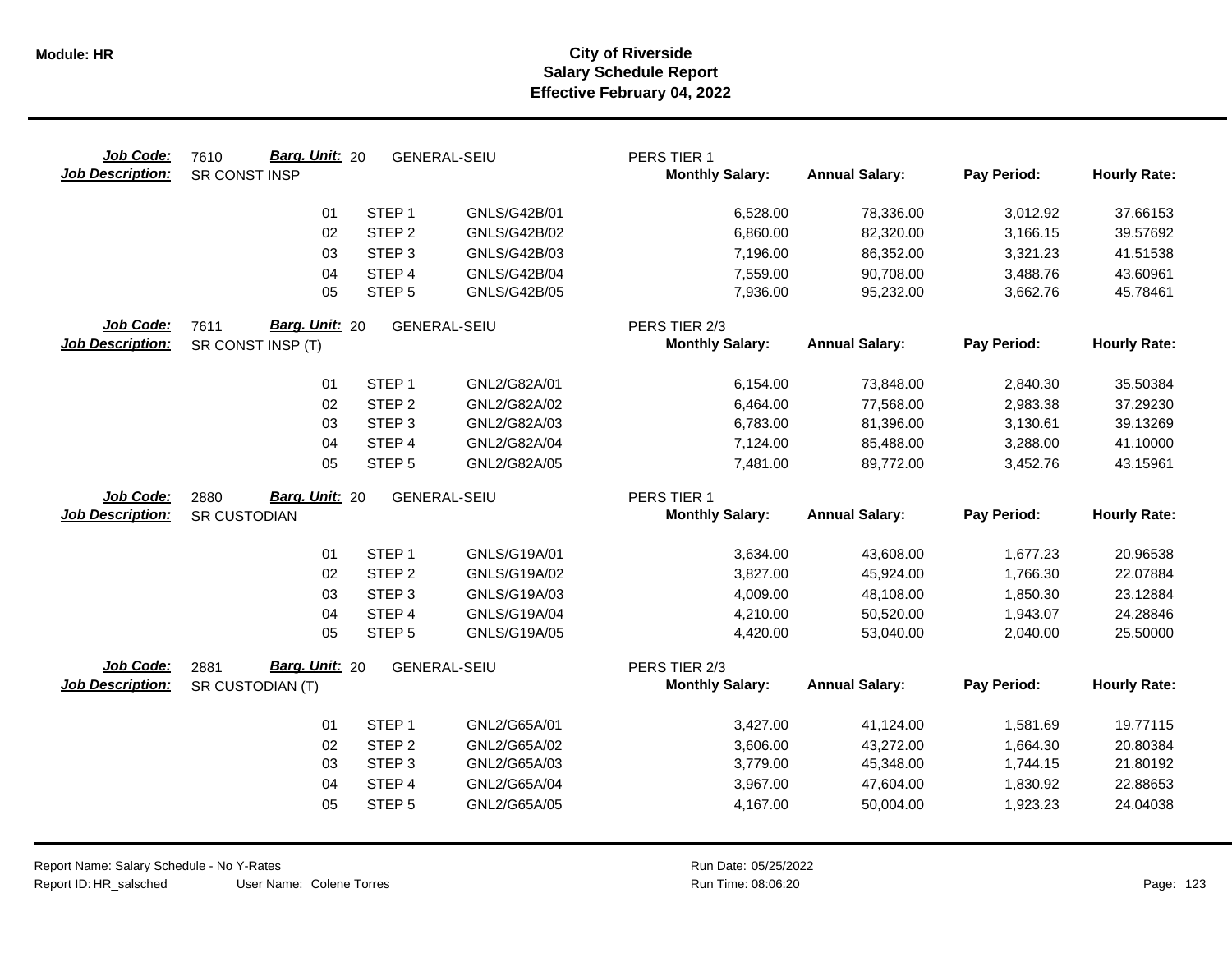| Job Code:<br><b>Job Description:</b> | <b>Barg. Unit: 20</b><br>7610<br>SR CONST INSP | <b>GENERAL-SEIU</b>                    |                              | PERS TIER 1<br><b>Monthly Salary:</b>   | <b>Annual Salary:</b>  | Pay Period:          | <b>Hourly Rate:</b>  |
|--------------------------------------|------------------------------------------------|----------------------------------------|------------------------------|-----------------------------------------|------------------------|----------------------|----------------------|
|                                      | 01                                             | STEP <sub>1</sub>                      | GNLS/G42B/01                 | 6,528.00                                | 78,336.00              | 3,012.92             | 37.66153             |
|                                      | 02                                             | STEP <sub>2</sub>                      | GNLS/G42B/02                 | 6,860.00                                | 82,320.00              | 3,166.15             | 39.57692             |
|                                      | 03                                             | STEP <sub>3</sub>                      | GNLS/G42B/03                 | 7,196.00                                | 86,352.00              | 3,321.23             | 41.51538             |
|                                      | 04                                             | STEP 4                                 | <b>GNLS/G42B/04</b>          | 7,559.00                                | 90,708.00              | 3,488.76             | 43.60961             |
|                                      | 05                                             | STEP <sub>5</sub>                      | <b>GNLS/G42B/05</b>          | 7,936.00                                | 95,232.00              | 3,662.76             | 45.78461             |
| Job Code:<br><b>Job Description:</b> | Barg. Unit: 20<br>7611<br>SR CONST INSP (T)    | <b>GENERAL-SEIU</b>                    |                              | PERS TIER 2/3<br><b>Monthly Salary:</b> | <b>Annual Salary:</b>  | Pay Period:          | <b>Hourly Rate:</b>  |
|                                      | 01                                             | STEP <sub>1</sub>                      | GNL2/G82A/01                 | 6,154.00                                | 73,848.00              | 2,840.30             | 35.50384             |
|                                      | 02                                             | STEP <sub>2</sub>                      | GNL2/G82A/02                 | 6,464.00                                | 77,568.00              | 2,983.38             | 37.29230             |
|                                      | 03                                             | STEP <sub>3</sub>                      | GNL2/G82A/03                 | 6,783.00                                | 81,396.00              | 3,130.61             | 39.13269             |
|                                      | 04                                             | STEP 4                                 | GNL2/G82A/04                 | 7,124.00                                | 85,488.00              | 3,288.00             | 41.10000             |
|                                      | 05                                             | STEP <sub>5</sub>                      | GNL2/G82A/05                 | 7,481.00                                | 89,772.00              | 3,452.76             | 43.15961             |
| Job Code:                            | Barg. Unit: 20<br>2880                         | <b>GENERAL-SEIU</b>                    |                              | PERS TIER 1                             |                        |                      |                      |
| <b>Job Description:</b>              | <b>SR CUSTODIAN</b>                            |                                        |                              | <b>Monthly Salary:</b>                  | <b>Annual Salary:</b>  | Pay Period:          | <b>Hourly Rate:</b>  |
|                                      |                                                |                                        |                              |                                         |                        |                      |                      |
|                                      | 01                                             | STEP <sub>1</sub>                      | GNLS/G19A/01                 | 3,634.00                                | 43,608.00              | 1,677.23             | 20.96538             |
|                                      | 02<br>03                                       | STEP <sub>2</sub><br>STEP <sub>3</sub> | GNLS/G19A/02<br>GNLS/G19A/03 | 3,827.00<br>4,009.00                    | 45,924.00<br>48,108.00 | 1,766.30<br>1,850.30 | 22.07884<br>23.12884 |
|                                      | 04                                             | STEP 4                                 | GNLS/G19A/04                 | 4,210.00                                | 50,520.00              | 1,943.07             | 24.28846             |
|                                      | 05                                             | STEP <sub>5</sub>                      | GNLS/G19A/05                 | 4,420.00                                | 53,040.00              | 2,040.00             | 25.50000             |
|                                      |                                                |                                        |                              |                                         |                        |                      |                      |
| Job Code:                            | Barg. Unit: 20<br>2881                         | <b>GENERAL-SEIU</b>                    |                              | PERS TIER 2/3                           |                        |                      |                      |
| <b>Job Description:</b>              | SR CUSTODIAN (T)                               |                                        |                              | <b>Monthly Salary:</b>                  | <b>Annual Salary:</b>  | Pay Period:          | <b>Hourly Rate:</b>  |
|                                      | 01                                             | STEP <sub>1</sub>                      | GNL2/G65A/01                 | 3,427.00                                | 41,124.00              | 1,581.69             | 19.77115             |
|                                      | 02                                             | STEP <sub>2</sub>                      | GNL2/G65A/02                 | 3,606.00                                | 43,272.00              | 1,664.30             | 20.80384             |
|                                      | 03                                             | STEP <sub>3</sub>                      | GNL2/G65A/03                 | 3,779.00                                | 45,348.00              | 1,744.15             | 21.80192             |
|                                      | 04                                             | STEP 4                                 | GNL2/G65A/04                 | 3,967.00                                | 47,604.00              | 1,830.92             | 22.88653             |
|                                      | 05                                             | STEP <sub>5</sub>                      | GNL2/G65A/05                 | 4,167.00                                | 50,004.00              | 1,923.23             | 24.04038             |
|                                      |                                                |                                        |                              |                                         |                        |                      |                      |

 $\overline{\phantom{0}}$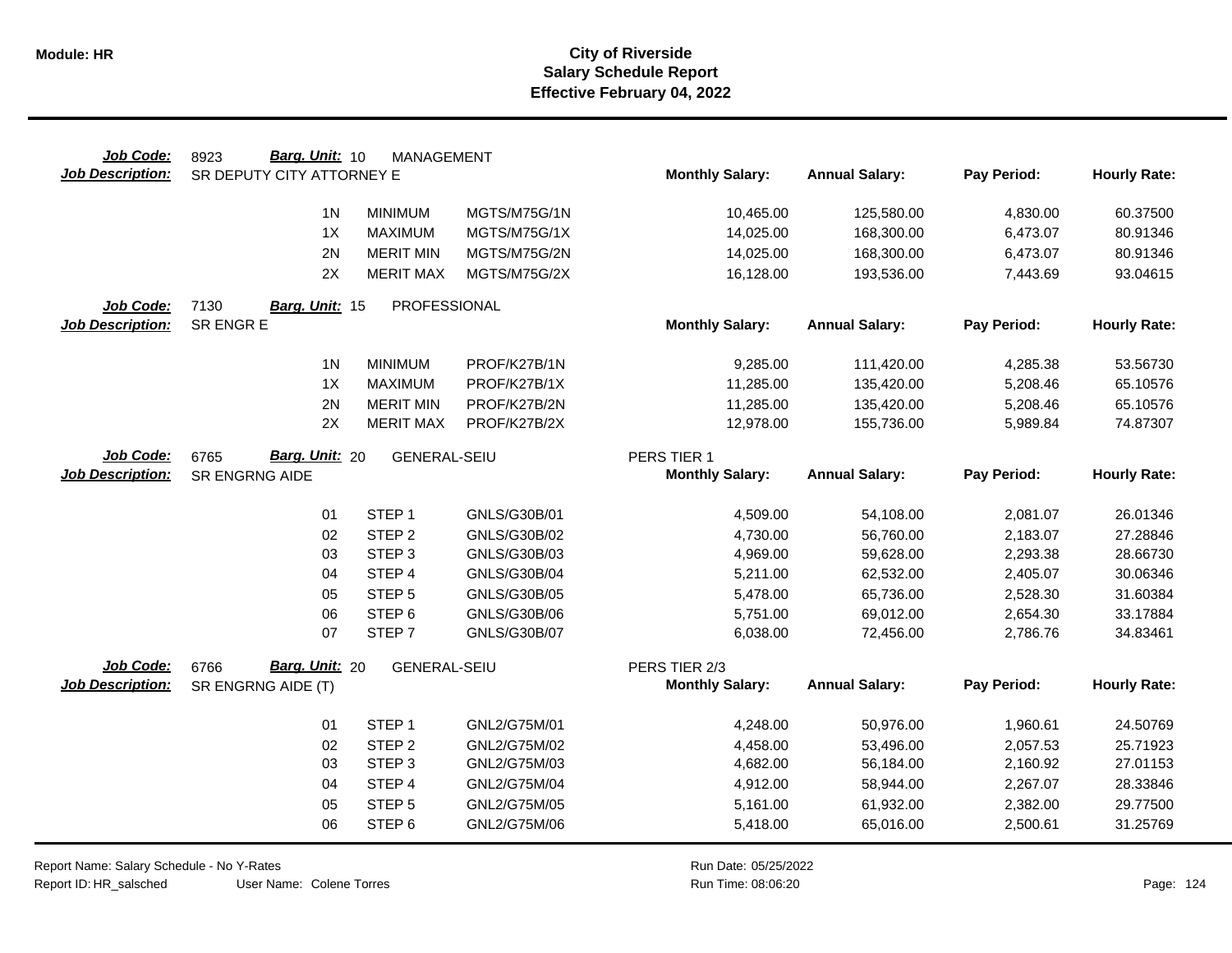| Job Code:               | Barg. Unit: 10<br>8923    | <b>MANAGEMENT</b>   |              |                        |                       |             |                     |
|-------------------------|---------------------------|---------------------|--------------|------------------------|-----------------------|-------------|---------------------|
| <b>Job Description:</b> | SR DEPUTY CITY ATTORNEY E |                     |              | <b>Monthly Salary:</b> | <b>Annual Salary:</b> | Pay Period: | <b>Hourly Rate:</b> |
|                         | 1 <sub>N</sub>            | <b>MINIMUM</b>      | MGTS/M75G/1N | 10,465.00              | 125,580.00            | 4,830.00    | 60.37500            |
|                         | 1X                        | <b>MAXIMUM</b>      | MGTS/M75G/1X | 14,025.00              | 168,300.00            | 6,473.07    | 80.91346            |
|                         | 2N                        | <b>MERIT MIN</b>    | MGTS/M75G/2N | 14,025.00              | 168,300.00            | 6,473.07    | 80.91346            |
|                         | 2X                        | <b>MERIT MAX</b>    | MGTS/M75G/2X | 16,128.00              | 193,536.00            | 7,443.69    | 93.04615            |
|                         |                           |                     |              |                        |                       |             |                     |
| Job Code:               | 7130<br>Barg. Unit: 15    | PROFESSIONAL        |              |                        |                       |             |                     |
| <b>Job Description:</b> | SR ENGR E                 |                     |              | <b>Monthly Salary:</b> | <b>Annual Salary:</b> | Pay Period: | <b>Hourly Rate:</b> |
|                         | 1 <sup>N</sup>            | <b>MINIMUM</b>      | PROF/K27B/1N | 9,285.00               | 111,420.00            | 4,285.38    | 53.56730            |
|                         | 1X                        | <b>MAXIMUM</b>      | PROF/K27B/1X | 11,285.00              | 135,420.00            | 5,208.46    | 65.10576            |
|                         | 2N                        | <b>MERIT MIN</b>    | PROF/K27B/2N | 11,285.00              | 135,420.00            | 5,208.46    | 65.10576            |
|                         | 2X                        | <b>MERIT MAX</b>    | PROF/K27B/2X | 12,978.00              | 155,736.00            | 5,989.84    | 74.87307            |
|                         |                           |                     |              |                        |                       |             |                     |
| Job Code:               | Barg. Unit: 20<br>6765    | <b>GENERAL-SEIU</b> |              | PERS TIER 1            |                       |             |                     |
| <b>Job Description:</b> | SR ENGRNG AIDE            |                     |              | <b>Monthly Salary:</b> | <b>Annual Salary:</b> | Pay Period: | <b>Hourly Rate:</b> |
|                         | 01                        | STEP <sub>1</sub>   | GNLS/G30B/01 | 4,509.00               | 54,108.00             | 2,081.07    | 26.01346            |
|                         | 02                        | STEP <sub>2</sub>   | GNLS/G30B/02 | 4,730.00               | 56,760.00             | 2,183.07    | 27.28846            |
|                         | 03                        | STEP <sub>3</sub>   | GNLS/G30B/03 | 4,969.00               | 59,628.00             | 2,293.38    | 28.66730            |
|                         | 04                        | STEP 4              | GNLS/G30B/04 | 5,211.00               | 62,532.00             | 2,405.07    | 30.06346            |
|                         | 05                        | STEP <sub>5</sub>   | GNLS/G30B/05 | 5,478.00               | 65,736.00             | 2,528.30    | 31.60384            |
|                         | 06                        | STEP <sub>6</sub>   | GNLS/G30B/06 | 5,751.00               | 69,012.00             | 2,654.30    | 33.17884            |
|                         | 07                        | STEP <sub>7</sub>   | GNLS/G30B/07 | 6,038.00               | 72,456.00             | 2,786.76    | 34.83461            |
| Job Code:               | Barg. Unit: 20<br>6766    | <b>GENERAL-SEIU</b> |              | PERS TIER 2/3          |                       |             |                     |
| <b>Job Description:</b> | SR ENGRNG AIDE (T)        |                     |              | <b>Monthly Salary:</b> | <b>Annual Salary:</b> | Pay Period: | <b>Hourly Rate:</b> |
|                         |                           |                     |              |                        |                       |             |                     |
|                         | 01                        | STEP <sub>1</sub>   | GNL2/G75M/01 | 4,248.00               | 50,976.00             | 1,960.61    | 24.50769            |
|                         | 02                        | STEP <sub>2</sub>   | GNL2/G75M/02 | 4,458.00               | 53,496.00             | 2,057.53    | 25.71923            |
|                         | 03                        | STEP <sub>3</sub>   | GNL2/G75M/03 | 4,682.00               | 56,184.00             | 2,160.92    | 27.01153            |
|                         | 04                        | STEP 4              | GNL2/G75M/04 | 4,912.00               | 58,944.00             | 2,267.07    | 28.33846            |
|                         | 05                        | STEP <sub>5</sub>   | GNL2/G75M/05 | 5,161.00               | 61,932.00             | 2,382.00    | 29.77500            |
|                         | 06                        | STEP <sub>6</sub>   | GNL2/G75M/06 | 5,418.00               | 65,016.00             | 2,500.61    | 31.25769            |

Report Name: Salary Schedule - No Y-Rates

Report ID: HR\_salsched

User Name: Colene Torres

Run Date: 05/25/2022 08:06:20 Colene Torres Run Time: Page: 124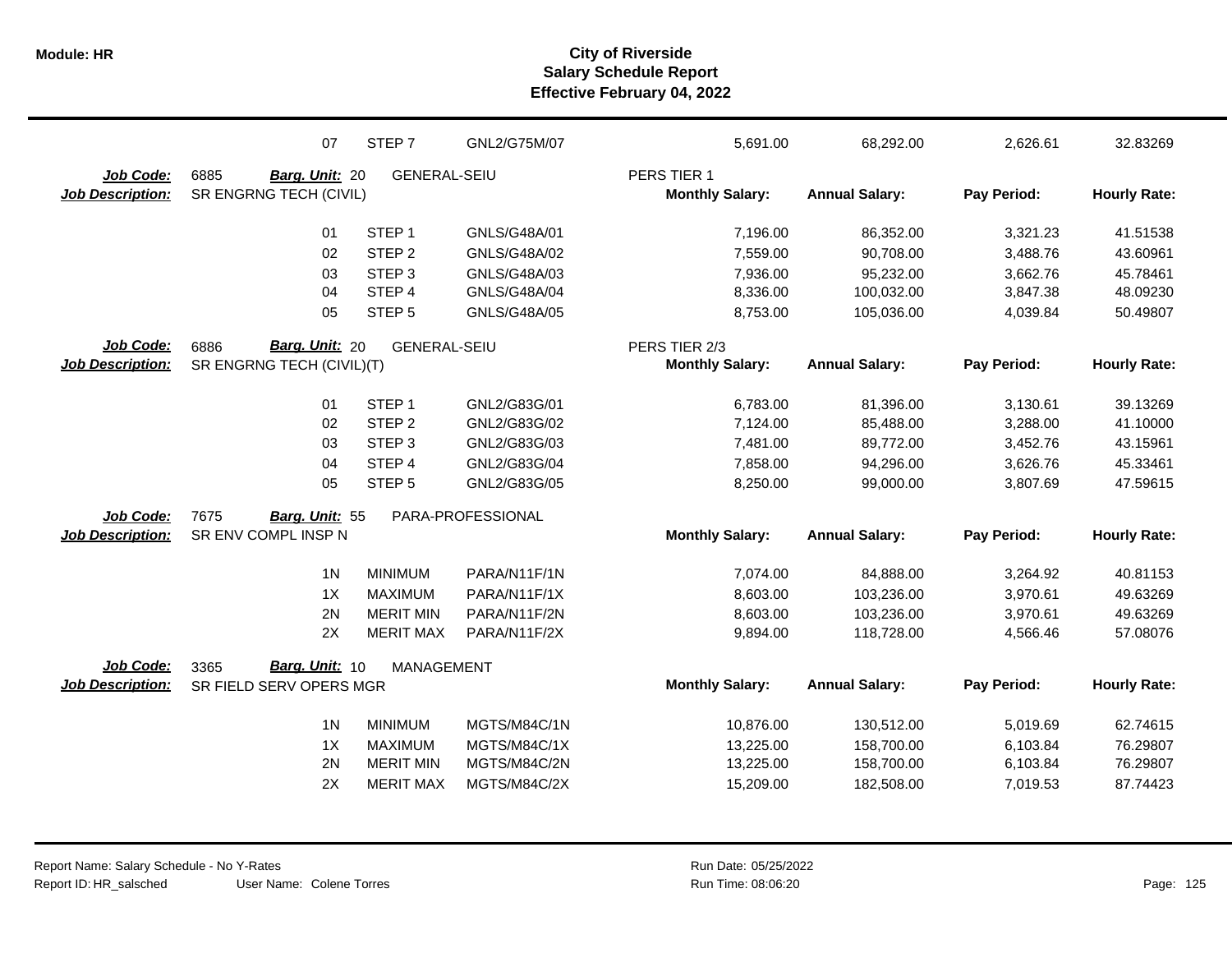|                         | 07                        | STEP 7              | GNL2/G75M/07      | 5,691.00               | 68,292.00             | 2,626.61    | 32.83269            |
|-------------------------|---------------------------|---------------------|-------------------|------------------------|-----------------------|-------------|---------------------|
| Job Code:               | 6885<br>Barg. Unit: 20    | <b>GENERAL-SEIU</b> |                   | PERS TIER 1            |                       |             |                     |
| <b>Job Description:</b> | SR ENGRNG TECH (CIVIL)    |                     |                   | <b>Monthly Salary:</b> | <b>Annual Salary:</b> | Pay Period: | <b>Hourly Rate:</b> |
|                         |                           |                     |                   |                        |                       |             |                     |
|                         | 01                        | STEP <sub>1</sub>   | GNLS/G48A/01      | 7,196.00               | 86,352.00             | 3,321.23    | 41.51538            |
|                         | 02                        | STEP <sub>2</sub>   | GNLS/G48A/02      | 7,559.00               | 90,708.00             | 3,488.76    | 43.60961            |
|                         | 03                        | STEP <sub>3</sub>   | GNLS/G48A/03      | 7,936.00               | 95,232.00             | 3,662.76    | 45.78461            |
|                         | 04                        | STEP 4              | GNLS/G48A/04      | 8,336.00               | 100,032.00            | 3,847.38    | 48.09230            |
|                         | 05                        | STEP <sub>5</sub>   | GNLS/G48A/05      | 8,753.00               | 105,036.00            | 4,039.84    | 50.49807            |
| Job Code:               | Barg. Unit: 20<br>6886    | <b>GENERAL-SEIU</b> |                   | PERS TIER 2/3          |                       |             |                     |
| <b>Job Description:</b> | SR ENGRNG TECH (CIVIL)(T) |                     |                   | <b>Monthly Salary:</b> | <b>Annual Salary:</b> | Pay Period: | <b>Hourly Rate:</b> |
|                         | 01                        | STEP <sub>1</sub>   | GNL2/G83G/01      | 6,783.00               | 81,396.00             | 3,130.61    | 39.13269            |
|                         | 02                        | STEP <sub>2</sub>   | GNL2/G83G/02      | 7,124.00               | 85,488.00             | 3,288.00    | 41.10000            |
|                         | 03                        | STEP <sub>3</sub>   | GNL2/G83G/03      | 7,481.00               | 89,772.00             | 3,452.76    | 43.15961            |
|                         | 04                        | STEP <sub>4</sub>   | GNL2/G83G/04      | 7,858.00               | 94,296.00             | 3,626.76    | 45.33461            |
|                         | 05                        | STEP <sub>5</sub>   | GNL2/G83G/05      | 8,250.00               | 99,000.00             | 3,807.69    | 47.59615            |
| Job Code:               | 7675<br>Barg. Unit: 55    |                     | PARA-PROFESSIONAL |                        |                       |             |                     |
| <b>Job Description:</b> | SR ENV COMPL INSP N       |                     |                   | <b>Monthly Salary:</b> | <b>Annual Salary:</b> | Pay Period: | <b>Hourly Rate:</b> |
|                         |                           |                     |                   |                        |                       |             |                     |
|                         | 1 <sub>N</sub>            | <b>MINIMUM</b>      | PARA/N11F/1N      | 7,074.00               | 84,888.00             | 3,264.92    | 40.81153            |
|                         | 1X                        | <b>MAXIMUM</b>      | PARA/N11F/1X      | 8,603.00               | 103,236.00            | 3,970.61    | 49.63269            |
|                         | 2N                        | <b>MERIT MIN</b>    | PARA/N11F/2N      | 8,603.00               | 103,236.00            | 3,970.61    | 49.63269            |
|                         | 2X                        | <b>MERIT MAX</b>    | PARA/N11F/2X      | 9,894.00               | 118,728.00            | 4,566.46    | 57.08076            |
| Job Code:               | Barg. Unit: 10<br>3365    | <b>MANAGEMENT</b>   |                   |                        |                       |             |                     |
| <b>Job Description:</b> | SR FIELD SERV OPERS MGR   |                     |                   | <b>Monthly Salary:</b> | <b>Annual Salary:</b> | Pay Period: | <b>Hourly Rate:</b> |
|                         | 1 <sub>N</sub>            | <b>MINIMUM</b>      | MGTS/M84C/1N      | 10,876.00              | 130,512.00            | 5,019.69    | 62.74615            |
|                         | 1X                        | <b>MAXIMUM</b>      | MGTS/M84C/1X      | 13,225.00              | 158,700.00            | 6,103.84    | 76.29807            |
|                         | 2N                        | <b>MERIT MIN</b>    | MGTS/M84C/2N      | 13,225.00              | 158,700.00            | 6,103.84    | 76.29807            |
|                         | 2X                        | <b>MERIT MAX</b>    | MGTS/M84C/2X      | 15,209.00              | 182,508.00            | 7,019.53    | 87.74423            |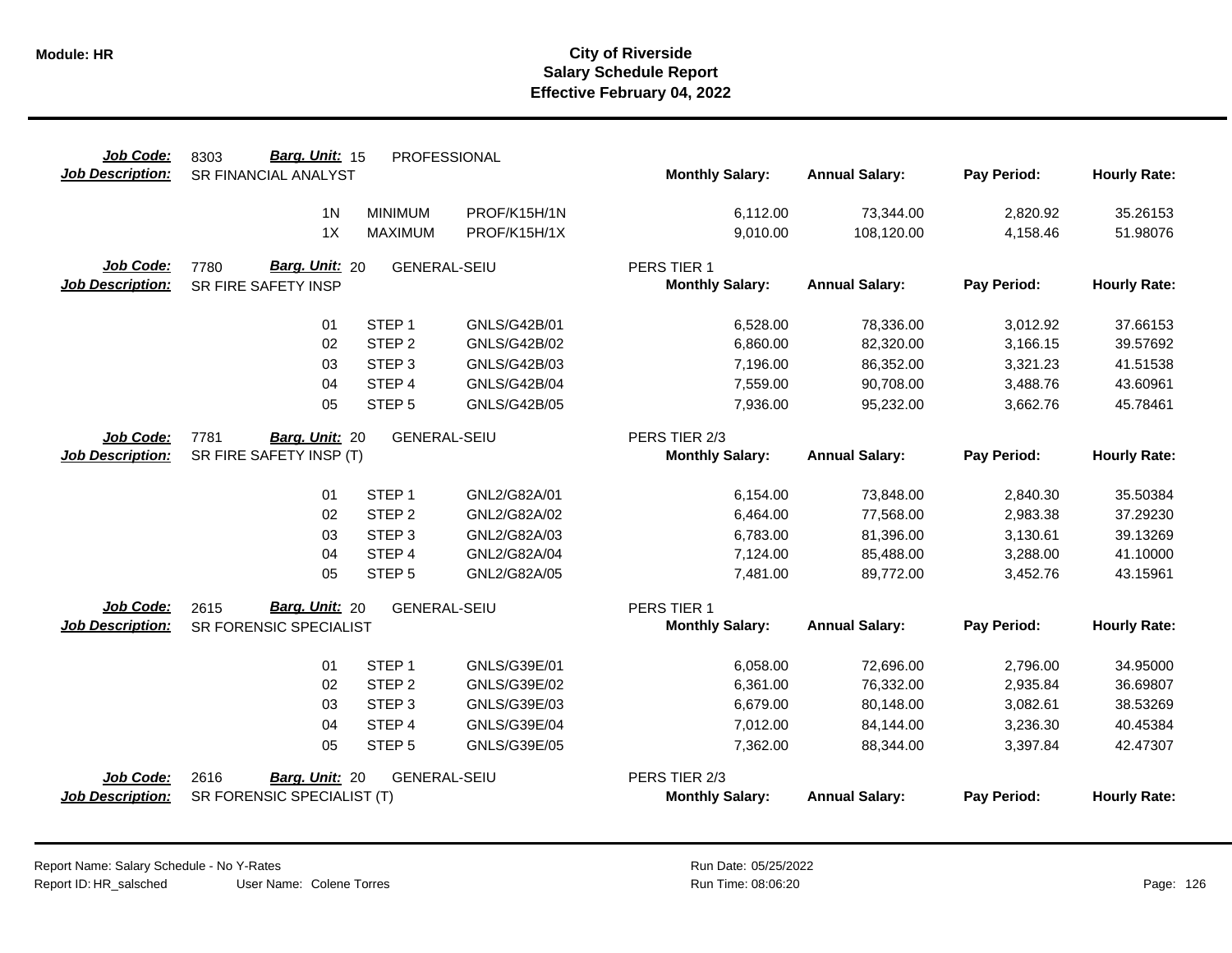| Job Code:<br><b>Job Description:</b> | Barg. Unit: 15<br>8303<br><b>SR FINANCIAL ANALYST</b> | PROFESSIONAL        |                     | <b>Monthly Salary:</b> | <b>Annual Salary:</b> | Pay Period: | <b>Hourly Rate:</b> |
|--------------------------------------|-------------------------------------------------------|---------------------|---------------------|------------------------|-----------------------|-------------|---------------------|
|                                      |                                                       |                     |                     |                        |                       |             |                     |
|                                      | 1 <sub>N</sub>                                        | <b>MINIMUM</b>      | PROF/K15H/1N        | 6,112.00               | 73,344.00             | 2,820.92    | 35.26153            |
|                                      | 1X                                                    | <b>MAXIMUM</b>      | PROF/K15H/1X        | 9,010.00               | 108,120.00            | 4,158.46    | 51.98076            |
| Job Code:                            | Barg. Unit: 20<br>7780                                | <b>GENERAL-SEIU</b> |                     | PERS TIER 1            |                       |             |                     |
| <b>Job Description:</b>              | SR FIRE SAFETY INSP                                   |                     |                     | <b>Monthly Salary:</b> | <b>Annual Salary:</b> | Pay Period: | <b>Hourly Rate:</b> |
|                                      | 01                                                    | STEP <sub>1</sub>   | GNLS/G42B/01        | 6,528.00               | 78,336.00             | 3,012.92    | 37.66153            |
|                                      | 02                                                    | STEP <sub>2</sub>   | <b>GNLS/G42B/02</b> | 6,860.00               | 82,320.00             | 3,166.15    | 39.57692            |
|                                      | 03                                                    | STEP <sub>3</sub>   | GNLS/G42B/03        | 7,196.00               | 86,352.00             | 3,321.23    | 41.51538            |
|                                      | 04                                                    | STEP 4              | GNLS/G42B/04        | 7,559.00               | 90,708.00             | 3,488.76    | 43.60961            |
|                                      | 05                                                    | STEP <sub>5</sub>   | <b>GNLS/G42B/05</b> | 7,936.00               | 95,232.00             | 3,662.76    | 45.78461            |
| Job Code:                            | 7781<br>Barg. Unit: 20                                | <b>GENERAL-SEIU</b> |                     | PERS TIER 2/3          |                       |             |                     |
| <b>Job Description:</b>              | SR FIRE SAFETY INSP (T)                               |                     |                     | <b>Monthly Salary:</b> | <b>Annual Salary:</b> | Pay Period: | <b>Hourly Rate:</b> |
|                                      | 01                                                    | STEP <sub>1</sub>   | GNL2/G82A/01        | 6,154.00               | 73,848.00             | 2,840.30    | 35.50384            |
|                                      | 02                                                    | STEP <sub>2</sub>   | GNL2/G82A/02        | 6,464.00               | 77,568.00             | 2,983.38    | 37.29230            |
|                                      | 03                                                    | STEP <sub>3</sub>   | GNL2/G82A/03        | 6,783.00               | 81,396.00             | 3,130.61    | 39.13269            |
|                                      | 04                                                    | STEP 4              | GNL2/G82A/04        | 7,124.00               | 85,488.00             | 3,288.00    | 41.10000            |
|                                      | 05                                                    | STEP <sub>5</sub>   | GNL2/G82A/05        | 7,481.00               | 89,772.00             | 3,452.76    | 43.15961            |
| Job Code:                            | <b>Barg. Unit: 20</b><br>2615                         | <b>GENERAL-SEIU</b> |                     | PERS TIER 1            |                       |             |                     |
| <b>Job Description:</b>              | SR FORENSIC SPECIALIST                                |                     |                     | <b>Monthly Salary:</b> | <b>Annual Salary:</b> | Pay Period: | <b>Hourly Rate:</b> |
|                                      | 01                                                    | STEP <sub>1</sub>   | GNLS/G39E/01        | 6,058.00               | 72,696.00             | 2,796.00    | 34.95000            |
|                                      | 02                                                    | STEP <sub>2</sub>   | GNLS/G39E/02        | 6,361.00               | 76,332.00             | 2,935.84    | 36.69807            |
|                                      | 03                                                    | STEP <sub>3</sub>   | GNLS/G39E/03        | 6,679.00               | 80,148.00             | 3,082.61    | 38.53269            |
|                                      | 04                                                    | STEP 4              | GNLS/G39E/04        | 7,012.00               | 84,144.00             | 3,236.30    | 40.45384            |
|                                      | 05                                                    | STEP <sub>5</sub>   | GNLS/G39E/05        | 7,362.00               | 88,344.00             | 3,397.84    | 42.47307            |
| Job Code:                            | 2616<br>Barg. Unit: 20                                | <b>GENERAL-SEIU</b> |                     | PERS TIER 2/3          |                       |             |                     |
| <b>Job Description:</b>              | SR FORENSIC SPECIALIST (T)                            |                     |                     | <b>Monthly Salary:</b> | <b>Annual Salary:</b> | Pay Period: | <b>Hourly Rate:</b> |

Report Name: Salary Schedule - No Y-Rates Report ID: HR\_salsched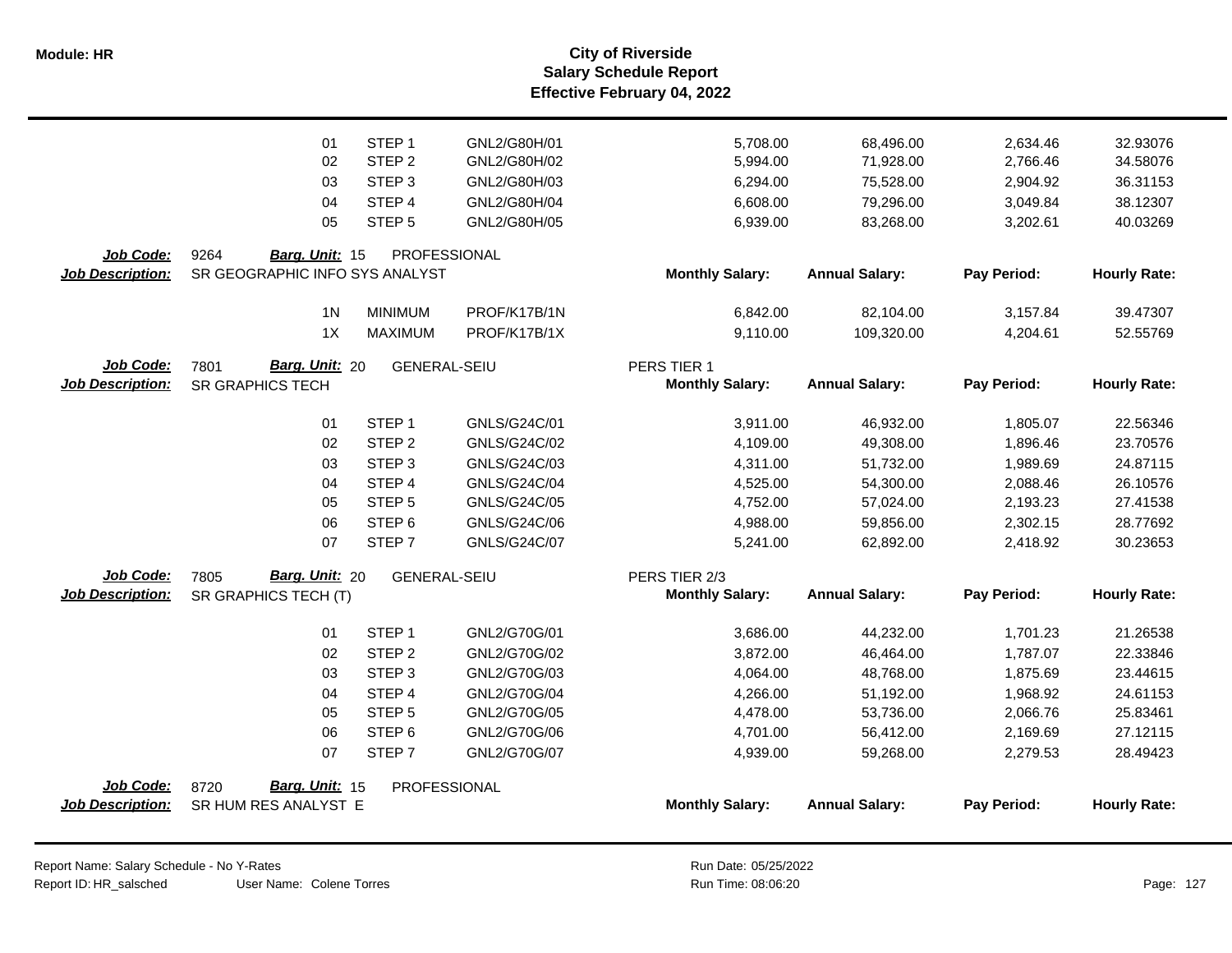|                         | 01                             | STEP <sub>1</sub>   | GNL2/G80H/01 | 5,708.00               | 68,496.00             | 2,634.46    | 32.93076            |
|-------------------------|--------------------------------|---------------------|--------------|------------------------|-----------------------|-------------|---------------------|
|                         | 02                             | STEP <sub>2</sub>   | GNL2/G80H/02 | 5,994.00               | 71,928.00             | 2,766.46    | 34.58076            |
|                         | 03                             | STEP <sub>3</sub>   | GNL2/G80H/03 | 6,294.00               | 75,528.00             | 2,904.92    | 36.31153            |
|                         | 04                             | STEP 4              | GNL2/G80H/04 | 6,608.00               | 79,296.00             | 3,049.84    | 38.12307            |
|                         | 05                             | STEP <sub>5</sub>   | GNL2/G80H/05 | 6,939.00               | 83,268.00             | 3,202.61    | 40.03269            |
|                         |                                |                     |              |                        |                       |             |                     |
| Job Code:               | 9264<br>Barg. Unit: 15         | PROFESSIONAL        |              |                        |                       |             |                     |
| <b>Job Description:</b> | SR GEOGRAPHIC INFO SYS ANALYST |                     |              | <b>Monthly Salary:</b> | <b>Annual Salary:</b> | Pay Period: | <b>Hourly Rate:</b> |
|                         |                                |                     |              |                        |                       |             |                     |
|                         | 1 <sub>N</sub>                 | <b>MINIMUM</b>      | PROF/K17B/1N | 6,842.00               | 82,104.00             | 3,157.84    | 39.47307            |
|                         | 1X                             | <b>MAXIMUM</b>      | PROF/K17B/1X | 9,110.00               | 109,320.00            | 4,204.61    | 52.55769            |
| Job Code:               | Barg. Unit: 20<br>7801         | <b>GENERAL-SEIU</b> |              | PERS TIER 1            |                       |             |                     |
| <b>Job Description:</b> | <b>SR GRAPHICS TECH</b>        |                     |              | <b>Monthly Salary:</b> | <b>Annual Salary:</b> | Pay Period: | <b>Hourly Rate:</b> |
|                         |                                |                     |              |                        |                       |             |                     |
|                         | 01                             | STEP <sub>1</sub>   | GNLS/G24C/01 | 3,911.00               | 46,932.00             | 1,805.07    | 22.56346            |
|                         | 02                             | STEP <sub>2</sub>   | GNLS/G24C/02 | 4,109.00               | 49,308.00             | 1,896.46    | 23.70576            |
|                         | 03                             | STEP <sub>3</sub>   | GNLS/G24C/03 | 4,311.00               | 51,732.00             | 1,989.69    | 24.87115            |
|                         | 04                             | STEP <sub>4</sub>   | GNLS/G24C/04 | 4,525.00               | 54,300.00             | 2,088.46    | 26.10576            |
|                         | 05                             | STEP <sub>5</sub>   | GNLS/G24C/05 | 4,752.00               | 57,024.00             | 2,193.23    | 27.41538            |
|                         | 06                             | STEP <sub>6</sub>   | GNLS/G24C/06 | 4,988.00               | 59,856.00             | 2,302.15    | 28.77692            |
|                         | 07                             | STEP <sub>7</sub>   | GNLS/G24C/07 | 5,241.00               | 62,892.00             | 2,418.92    | 30.23653            |
|                         |                                |                     |              |                        |                       |             |                     |
| Job Code:               | Barg. Unit: 20<br>7805         | <b>GENERAL-SEIU</b> |              | PERS TIER 2/3          | <b>Annual Salary:</b> | Pay Period: | <b>Hourly Rate:</b> |
| Job Description:        | SR GRAPHICS TECH (T)           |                     |              | <b>Monthly Salary:</b> |                       |             |                     |
|                         | 01                             | STEP <sub>1</sub>   | GNL2/G70G/01 | 3,686.00               | 44,232.00             | 1,701.23    | 21.26538            |
|                         | 02                             | STEP <sub>2</sub>   | GNL2/G70G/02 | 3,872.00               | 46,464.00             | 1,787.07    | 22.33846            |
|                         | 03                             | STEP <sub>3</sub>   | GNL2/G70G/03 | 4,064.00               | 48,768.00             | 1,875.69    | 23.44615            |
|                         | 04                             | STEP <sub>4</sub>   | GNL2/G70G/04 | 4,266.00               | 51,192.00             | 1,968.92    | 24.61153            |
|                         | 05                             | STEP <sub>5</sub>   | GNL2/G70G/05 | 4,478.00               | 53,736.00             | 2,066.76    | 25.83461            |
|                         | 06                             | STEP <sub>6</sub>   | GNL2/G70G/06 | 4,701.00               | 56,412.00             | 2,169.69    | 27.12115            |
|                         | 07                             | STEP <sub>7</sub>   | GNL2/G70G/07 | 4,939.00               | 59,268.00             | 2,279.53    | 28.49423            |
|                         |                                |                     |              |                        |                       |             |                     |
| Job Code:               | Barg. Unit: 15<br>8720         | PROFESSIONAL        |              |                        |                       |             |                     |
| <b>Job Description:</b> | SR HUM RES ANALYST E           |                     |              | <b>Monthly Salary:</b> | <b>Annual Salary:</b> | Pay Period: | <b>Hourly Rate:</b> |
|                         |                                |                     |              |                        |                       |             |                     |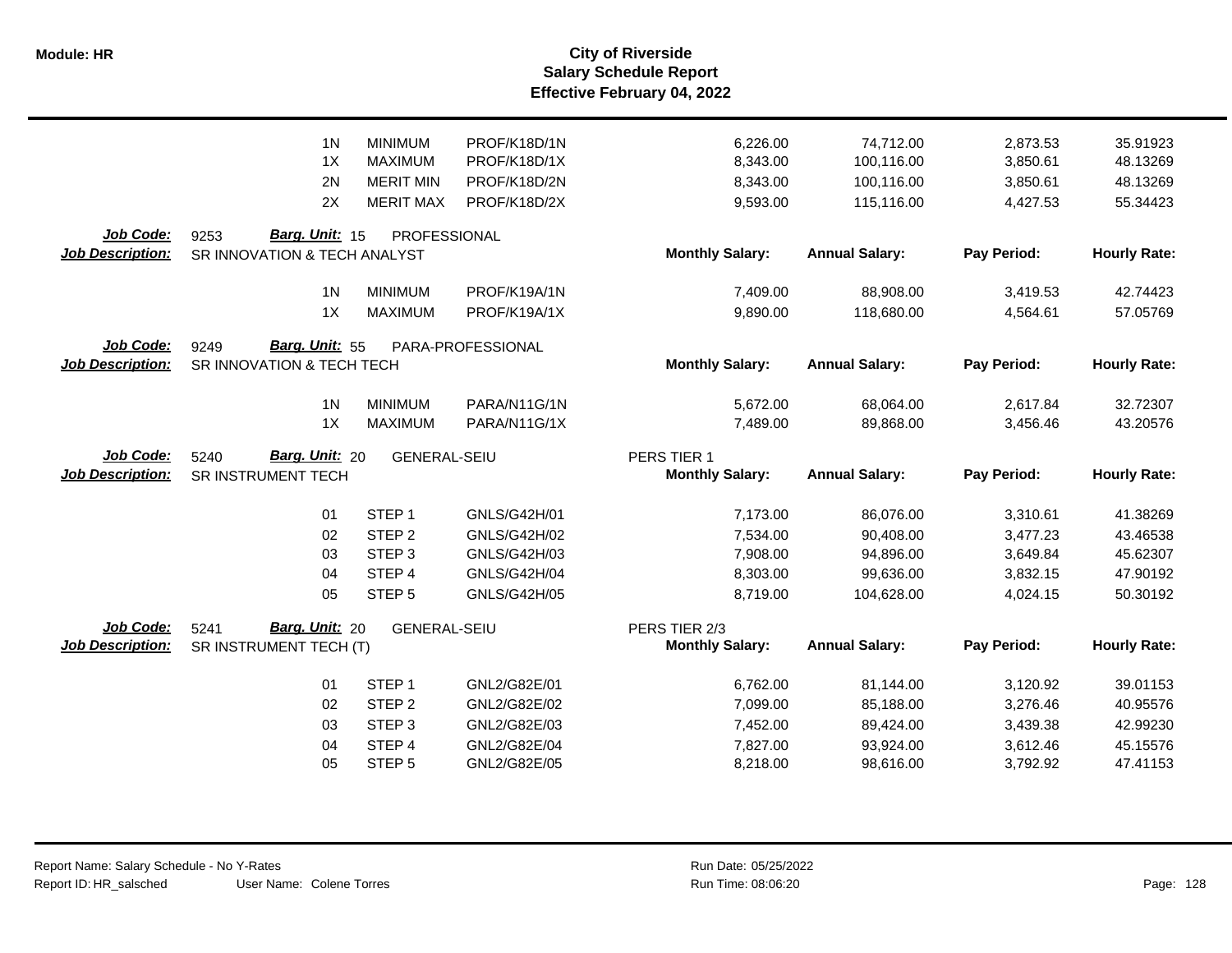|                                             | 1 <sub>N</sub>                                         | <b>MINIMUM</b>      | PROF/K18D/1N      | 6,226.00                                | 74,712.00             | 2,873.53    | 35.91923            |
|---------------------------------------------|--------------------------------------------------------|---------------------|-------------------|-----------------------------------------|-----------------------|-------------|---------------------|
|                                             | 1X                                                     | <b>MAXIMUM</b>      | PROF/K18D/1X      | 8,343.00                                | 100,116.00            | 3,850.61    | 48.13269            |
|                                             | 2N                                                     | <b>MERIT MIN</b>    | PROF/K18D/2N      | 8,343.00                                | 100,116.00            | 3,850.61    | 48.13269            |
|                                             | 2X                                                     | <b>MERIT MAX</b>    | PROF/K18D/2X      | 9,593.00                                | 115,116.00            | 4,427.53    | 55.34423            |
| <b>Job Code:</b><br><b>Job Description:</b> | Barg. Unit: 15<br>9253<br>SR INNOVATION & TECH ANALYST | PROFESSIONAL        |                   | <b>Monthly Salary:</b>                  | <b>Annual Salary:</b> | Pay Period: | <b>Hourly Rate:</b> |
|                                             | 1 <sub>N</sub>                                         | <b>MINIMUM</b>      | PROF/K19A/1N      | 7,409.00                                | 88,908.00             | 3,419.53    | 42.74423            |
|                                             | 1X                                                     | <b>MAXIMUM</b>      | PROF/K19A/1X      | 9,890.00                                | 118,680.00            | 4,564.61    | 57.05769            |
| Job Code:<br><b>Job Description:</b>        | Barg. Unit: 55<br>9249<br>SR INNOVATION & TECH TECH    |                     | PARA-PROFESSIONAL | <b>Monthly Salary:</b>                  | <b>Annual Salary:</b> | Pay Period: | <b>Hourly Rate:</b> |
|                                             | 1 <sub>N</sub>                                         | <b>MINIMUM</b>      | PARA/N11G/1N      | 5,672.00                                | 68,064.00             | 2,617.84    | 32.72307            |
|                                             | 1X                                                     | <b>MAXIMUM</b>      | PARA/N11G/1X      | 7,489.00                                | 89,868.00             | 3,456.46    | 43.20576            |
| Job Code:<br><b>Job Description:</b>        | Barg. Unit: 20<br>5240<br>SR INSTRUMENT TECH           | <b>GENERAL-SEIU</b> |                   | PERS TIER 1<br><b>Monthly Salary:</b>   | <b>Annual Salary:</b> | Pay Period: | <b>Hourly Rate:</b> |
|                                             | 01                                                     | STEP <sub>1</sub>   | GNLS/G42H/01      | 7,173.00                                | 86,076.00             | 3,310.61    | 41.38269            |
|                                             | 02                                                     | STEP <sub>2</sub>   | GNLS/G42H/02      | 7,534.00                                | 90,408.00             | 3,477.23    | 43.46538            |
|                                             | 03                                                     | STEP <sub>3</sub>   | GNLS/G42H/03      | 7,908.00                                | 94,896.00             | 3,649.84    | 45.62307            |
|                                             | 04                                                     | STEP 4              | GNLS/G42H/04      | 8,303.00                                | 99,636.00             | 3,832.15    | 47.90192            |
|                                             | 05                                                     | STEP <sub>5</sub>   | GNLS/G42H/05      | 8.719.00                                | 104,628.00            | 4,024.15    | 50.30192            |
| Job Code:<br><b>Job Description:</b>        | Barg. Unit: 20<br>5241<br>SR INSTRUMENT TECH (T)       | <b>GENERAL-SEIU</b> |                   | PERS TIER 2/3<br><b>Monthly Salary:</b> | <b>Annual Salary:</b> | Pay Period: | <b>Hourly Rate:</b> |
|                                             | 01                                                     | STEP <sub>1</sub>   | GNL2/G82E/01      | 6,762.00                                | 81,144.00             | 3,120.92    | 39.01153            |
|                                             | 02                                                     | STEP <sub>2</sub>   | GNL2/G82E/02      | 7,099.00                                | 85,188.00             | 3,276.46    | 40.95576            |
|                                             | 03                                                     | STEP <sub>3</sub>   | GNL2/G82E/03      | 7,452.00                                | 89,424.00             | 3,439.38    | 42.99230            |
|                                             | 04                                                     | STEP <sub>4</sub>   | GNL2/G82E/04      | 7,827.00                                | 93,924.00             | 3,612.46    | 45.15576            |
|                                             | 05                                                     | STEP <sub>5</sub>   | GNL2/G82E/05      | 8,218.00                                | 98,616.00             | 3,792.92    | 47.41153            |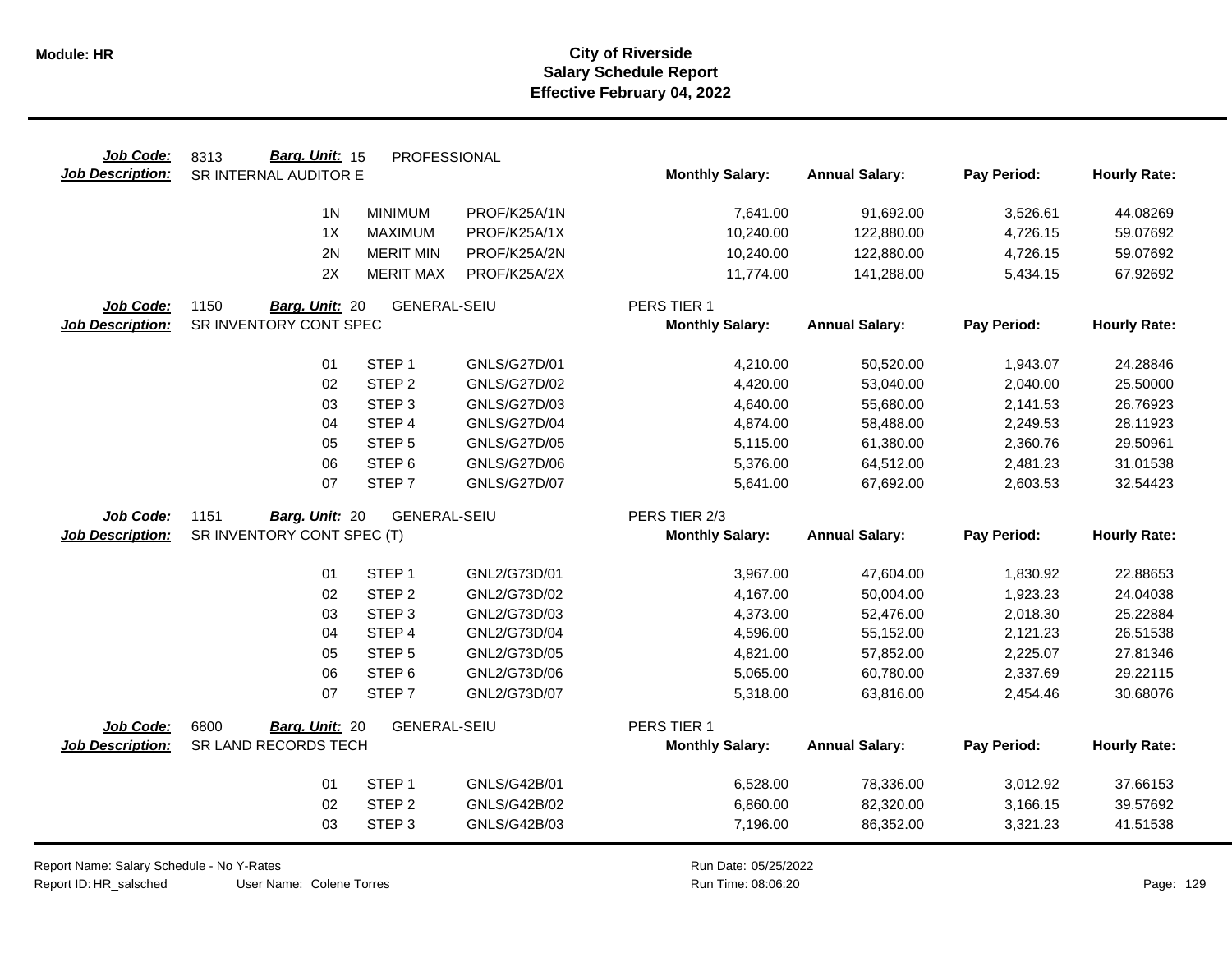| Job Code:               | Barg. Unit: 15<br>8313     | PROFESSIONAL        |                     |                        |                       |             |                     |
|-------------------------|----------------------------|---------------------|---------------------|------------------------|-----------------------|-------------|---------------------|
| <b>Job Description:</b> | SR INTERNAL AUDITOR E      |                     |                     | <b>Monthly Salary:</b> | <b>Annual Salary:</b> | Pay Period: | <b>Hourly Rate:</b> |
|                         | 1 <sub>N</sub>             | <b>MINIMUM</b>      | PROF/K25A/1N        | 7,641.00               | 91,692.00             | 3,526.61    | 44.08269            |
|                         | 1X                         | <b>MAXIMUM</b>      | PROF/K25A/1X        | 10,240.00              | 122,880.00            | 4,726.15    | 59.07692            |
|                         | 2N                         | <b>MERIT MIN</b>    | PROF/K25A/2N        | 10,240.00              | 122,880.00            | 4,726.15    | 59.07692            |
|                         | 2X                         | <b>MERIT MAX</b>    | PROF/K25A/2X        | 11,774.00              | 141,288.00            | 5,434.15    | 67.92692            |
| Job Code:               | 1150<br>Barg. Unit: 20     | <b>GENERAL-SEIU</b> |                     | PERS TIER 1            |                       |             |                     |
| <b>Job Description:</b> | SR INVENTORY CONT SPEC     |                     |                     | <b>Monthly Salary:</b> | <b>Annual Salary:</b> | Pay Period: | <b>Hourly Rate:</b> |
|                         |                            |                     |                     |                        |                       |             |                     |
|                         | 01                         | STEP <sub>1</sub>   | <b>GNLS/G27D/01</b> | 4,210.00               | 50,520.00             | 1,943.07    | 24.28846            |
|                         | 02                         | STEP <sub>2</sub>   | <b>GNLS/G27D/02</b> | 4,420.00               | 53,040.00             | 2,040.00    | 25.50000            |
|                         | 03                         | STEP <sub>3</sub>   | GNLS/G27D/03        | 4,640.00               | 55,680.00             | 2,141.53    | 26.76923            |
|                         | 04                         | STEP <sub>4</sub>   | <b>GNLS/G27D/04</b> | 4,874.00               | 58,488.00             | 2,249.53    | 28.11923            |
|                         | 05                         | STEP <sub>5</sub>   | <b>GNLS/G27D/05</b> | 5,115.00               | 61,380.00             | 2,360.76    | 29.50961            |
|                         | 06                         | STEP <sub>6</sub>   | <b>GNLS/G27D/06</b> | 5,376.00               | 64,512.00             | 2,481.23    | 31.01538            |
|                         | 07                         | STEP <sub>7</sub>   | <b>GNLS/G27D/07</b> | 5,641.00               | 67,692.00             | 2,603.53    | 32.54423            |
| Job Code:               | 1151<br>Barg. Unit: 20     | <b>GENERAL-SEIU</b> |                     | PERS TIER 2/3          |                       |             |                     |
| <b>Job Description:</b> | SR INVENTORY CONT SPEC (T) |                     |                     | <b>Monthly Salary:</b> | <b>Annual Salary:</b> | Pay Period: | <b>Hourly Rate:</b> |
|                         | 01                         | STEP <sub>1</sub>   | GNL2/G73D/01        | 3,967.00               | 47,604.00             | 1,830.92    | 22.88653            |
|                         | 02                         | STEP <sub>2</sub>   | GNL2/G73D/02        | 4,167.00               | 50,004.00             | 1,923.23    | 24.04038            |
|                         | 03                         | STEP <sub>3</sub>   | GNL2/G73D/03        | 4,373.00               | 52,476.00             | 2,018.30    | 25.22884            |
|                         | 04                         | STEP 4              | GNL2/G73D/04        | 4,596.00               | 55,152.00             | 2,121.23    | 26.51538            |
|                         | 05                         | STEP <sub>5</sub>   | GNL2/G73D/05        | 4,821.00               | 57,852.00             | 2,225.07    | 27.81346            |
|                         | 06                         | STEP <sub>6</sub>   | GNL2/G73D/06        | 5,065.00               | 60,780.00             | 2,337.69    | 29.22115            |
|                         | 07                         | STEP <sub>7</sub>   | GNL2/G73D/07        | 5,318.00               | 63,816.00             | 2,454.46    | 30.68076            |
|                         |                            |                     |                     |                        |                       |             |                     |
| Job Code:               | 6800<br>Barg. Unit: 20     | <b>GENERAL-SEIU</b> |                     | PERS TIER 1            |                       |             |                     |
| <b>Job Description:</b> | SR LAND RECORDS TECH       |                     |                     | <b>Monthly Salary:</b> | <b>Annual Salary:</b> | Pay Period: | <b>Hourly Rate:</b> |
|                         |                            |                     |                     |                        |                       |             |                     |
|                         | 01                         | STEP <sub>1</sub>   | GNLS/G42B/01        | 6,528.00               | 78,336.00             | 3,012.92    | 37.66153            |
|                         | 02                         | STEP <sub>2</sub>   | GNLS/G42B/02        | 6,860.00               | 82,320.00             | 3,166.15    | 39.57692            |

Report Name: Salary Schedule - No Y-Rates

Run Date: 05/25/2022 08:06:20 Colene Torres Run Time: Page: 129

 $\overline{\phantom{0}}$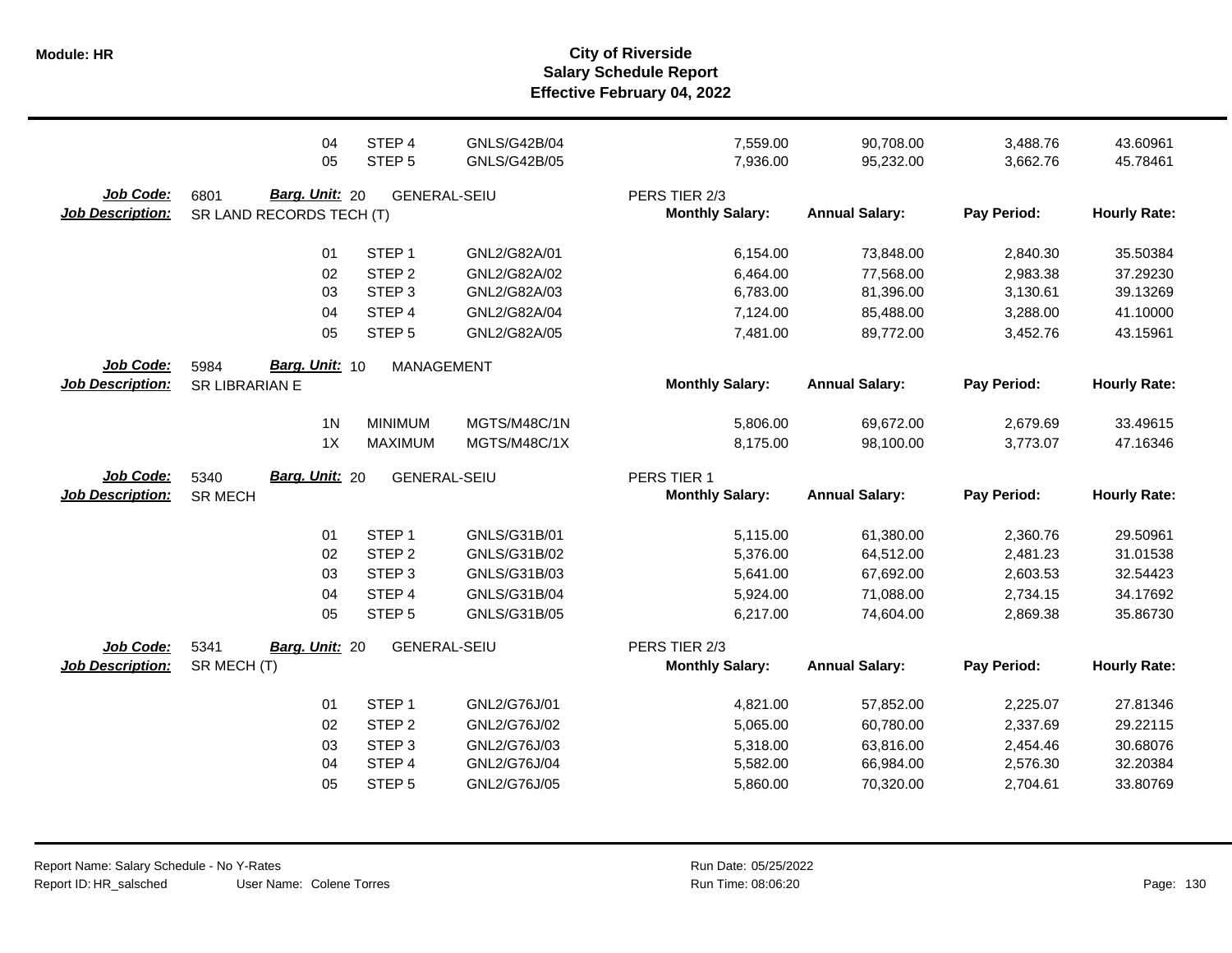|                                      | 04<br>05                                           | STEP 4<br>STEP <sub>5</sub> | <b>GNLS/G42B/04</b><br><b>GNLS/G42B/05</b> | 7,559.00<br>7,936.00                    | 90,708.00<br>95,232.00 | 3,488.76<br>3,662.76 | 43.60961<br>45.78461 |
|--------------------------------------|----------------------------------------------------|-----------------------------|--------------------------------------------|-----------------------------------------|------------------------|----------------------|----------------------|
| Job Code:<br><b>Job Description:</b> | Barg. Unit: 20<br>6801<br>SR LAND RECORDS TECH (T) | <b>GENERAL-SEIU</b>         |                                            | PERS TIER 2/3<br><b>Monthly Salary:</b> | <b>Annual Salary:</b>  | Pay Period:          | <b>Hourly Rate:</b>  |
|                                      | 01                                                 | STEP <sub>1</sub>           | GNL2/G82A/01                               | 6,154.00                                | 73,848.00              | 2,840.30             | 35.50384             |
|                                      | 02                                                 | STEP <sub>2</sub>           | GNL2/G82A/02                               | 6,464.00                                | 77,568.00              | 2,983.38             | 37.29230             |
|                                      | 03                                                 | STEP <sub>3</sub>           | GNL2/G82A/03                               | 6,783.00                                | 81,396.00              | 3,130.61             | 39.13269             |
|                                      | 04                                                 | STEP 4                      | GNL2/G82A/04                               | 7,124.00                                | 85,488.00              | 3,288.00             | 41.10000             |
|                                      | 05                                                 | STEP <sub>5</sub>           | GNL2/G82A/05                               | 7,481.00                                | 89,772.00              | 3,452.76             | 43.15961             |
| Job Code:                            | Barg. Unit: 10<br>5984                             | <b>MANAGEMENT</b>           |                                            |                                         |                        |                      |                      |
| <b>Job Description:</b>              | SR LIBRARIAN E                                     |                             |                                            | <b>Monthly Salary:</b>                  | <b>Annual Salary:</b>  | Pay Period:          | <b>Hourly Rate:</b>  |
|                                      | 1 <sub>N</sub>                                     | <b>MINIMUM</b>              | MGTS/M48C/1N                               | 5,806.00                                | 69,672.00              | 2,679.69             | 33.49615             |
|                                      | 1X                                                 | <b>MAXIMUM</b>              | MGTS/M48C/1X                               | 8,175.00                                | 98,100.00              | 3,773.07             | 47.16346             |
| <b>Job Code:</b>                     | <b>Barg. Unit: 20</b><br>5340                      | <b>GENERAL-SEIU</b>         |                                            | PERS TIER 1                             |                        |                      |                      |
|                                      |                                                    |                             |                                            |                                         |                        |                      |                      |
| <b>Job Description:</b>              | <b>SR MECH</b>                                     |                             |                                            | <b>Monthly Salary:</b>                  | <b>Annual Salary:</b>  | Pay Period:          | <b>Hourly Rate:</b>  |
|                                      |                                                    |                             |                                            |                                         |                        |                      |                      |
|                                      | 01                                                 | STEP <sub>1</sub>           | GNLS/G31B/01                               | 5,115.00                                | 61,380.00              | 2,360.76             | 29.50961             |
|                                      | 02                                                 | STEP <sub>2</sub>           | GNLS/G31B/02                               | 5,376.00                                | 64,512.00              | 2,481.23             | 31.01538             |
|                                      | 03                                                 | STEP <sub>3</sub>           | GNLS/G31B/03                               | 5,641.00                                | 67,692.00              | 2,603.53             | 32.54423             |
|                                      | 04<br>05                                           | STEP 4<br>STEP <sub>5</sub> | GNLS/G31B/04<br>GNLS/G31B/05               | 5,924.00<br>6,217.00                    | 71,088.00<br>74,604.00 | 2,734.15<br>2,869.38 | 34.17692<br>35.86730 |
|                                      |                                                    |                             |                                            |                                         |                        |                      |                      |
| Job Code:<br><b>Job Description:</b> | 5341<br>Barg. Unit: 20<br>SR MECH (T)              | <b>GENERAL-SEIU</b>         |                                            | PERS TIER 2/3<br><b>Monthly Salary:</b> | <b>Annual Salary:</b>  | Pay Period:          | <b>Hourly Rate:</b>  |
|                                      |                                                    |                             |                                            |                                         |                        |                      |                      |
|                                      | 01                                                 | STEP <sub>1</sub>           | GNL2/G76J/01                               | 4,821.00                                | 57,852.00              | 2,225.07             | 27.81346             |
|                                      | 02                                                 | STEP <sub>2</sub>           | GNL2/G76J/02                               | 5,065.00                                | 60,780.00              | 2,337.69             | 29.22115             |
|                                      | 03                                                 | STEP <sub>3</sub>           | GNL2/G76J/03                               | 5,318.00                                | 63,816.00              | 2,454.46             | 30.68076             |
|                                      | 04                                                 | STEP 4                      | GNL2/G76J/04                               | 5,582.00                                | 66,984.00              | 2,576.30             | 32.20384             |
|                                      | 05                                                 | STEP <sub>5</sub>           | GNL2/G76J/05                               | 5,860.00                                | 70,320.00              | 2,704.61             | 33.80769             |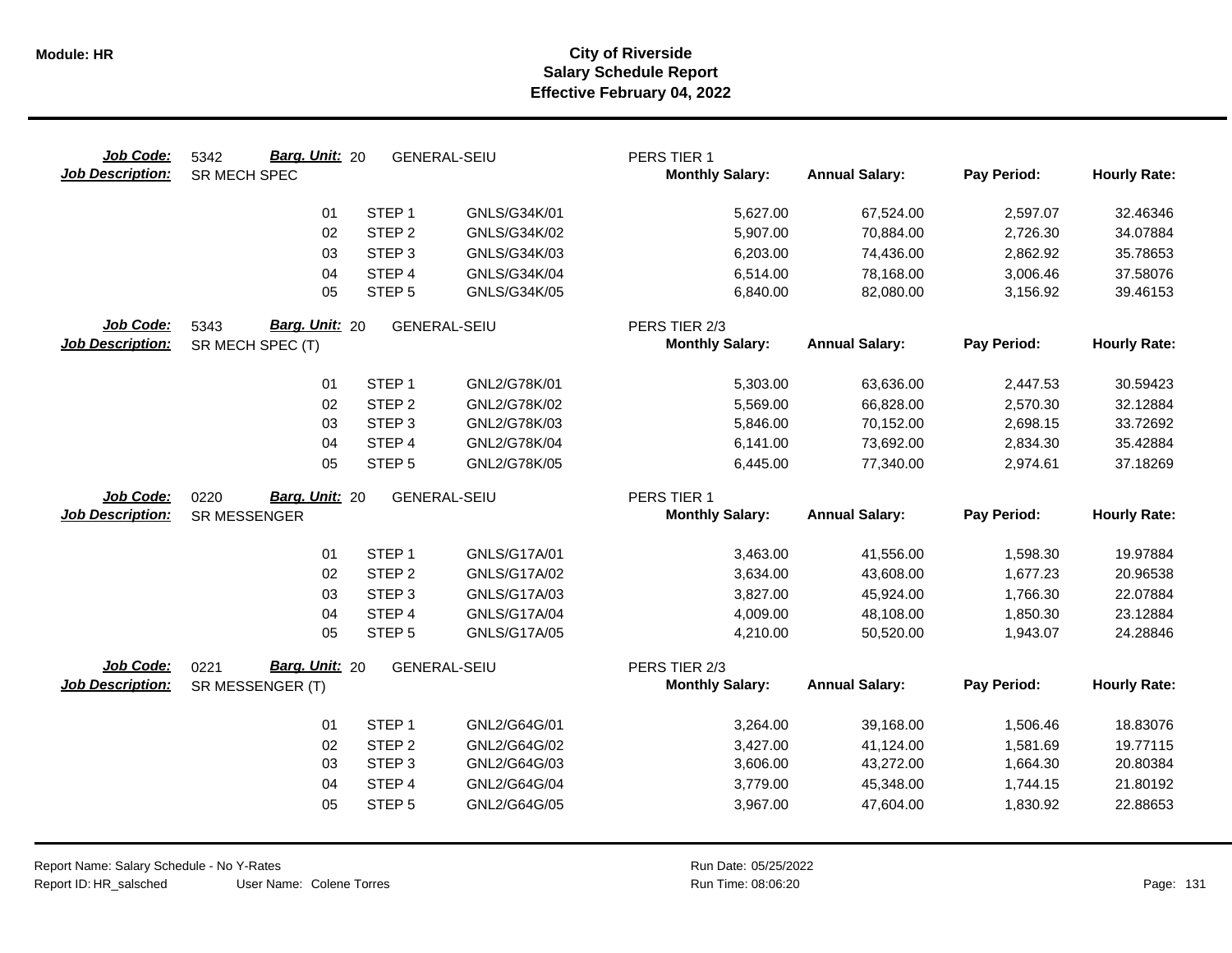| Job Code:<br><b>Job Description:</b> | Barg. Unit: 20<br>5342<br>SR MECH SPEC     | <b>GENERAL-SEIU</b> |                     | PERS TIER 1<br><b>Monthly Salary:</b>   | <b>Annual Salary:</b>  | Pay Period:          | <b>Hourly Rate:</b> |
|--------------------------------------|--------------------------------------------|---------------------|---------------------|-----------------------------------------|------------------------|----------------------|---------------------|
|                                      | 01                                         | STEP <sub>1</sub>   | GNLS/G34K/01        | 5,627.00                                | 67,524.00              | 2,597.07             | 32.46346            |
|                                      | 02                                         | STEP <sub>2</sub>   | GNLS/G34K/02        | 5,907.00                                | 70,884.00              | 2,726.30             | 34.07884            |
|                                      | 03                                         | STEP <sub>3</sub>   | GNLS/G34K/03        | 6,203.00                                | 74,436.00              | 2,862.92             | 35.78653            |
|                                      | 04                                         | STEP 4              | GNLS/G34K/04        | 6,514.00                                | 78,168.00              | 3,006.46             | 37.58076            |
|                                      | 05                                         | STEP <sub>5</sub>   | GNLS/G34K/05        | 6,840.00                                | 82,080.00              | 3,156.92             | 39.46153            |
| Job Code:<br><b>Job Description:</b> | Barg. Unit: 20<br>5343<br>SR MECH SPEC (T) | <b>GENERAL-SEIU</b> |                     | PERS TIER 2/3<br><b>Monthly Salary:</b> | <b>Annual Salary:</b>  | Pay Period:          | <b>Hourly Rate:</b> |
|                                      |                                            |                     |                     |                                         |                        |                      |                     |
|                                      | 01                                         | STEP <sub>1</sub>   | GNL2/G78K/01        | 5,303.00                                | 63,636.00              | 2,447.53             | 30.59423            |
|                                      | 02                                         | STEP <sub>2</sub>   | GNL2/G78K/02        | 5,569.00                                | 66,828.00              | 2,570.30             | 32.12884            |
|                                      | 03                                         | STEP <sub>3</sub>   | GNL2/G78K/03        | 5,846.00                                | 70,152.00              | 2,698.15             | 33.72692            |
|                                      | 04                                         | STEP 4              | GNL2/G78K/04        | 6,141.00                                | 73,692.00              | 2,834.30             | 35.42884            |
|                                      | 05                                         | STEP <sub>5</sub>   | GNL2/G78K/05        | 6,445.00                                | 77,340.00              | 2,974.61             | 37.18269            |
| Job Code:                            | Barg. Unit: 20<br>0220                     | <b>GENERAL-SEIU</b> |                     | PERS TIER 1                             |                        |                      |                     |
| <b>Job Description:</b>              | SR MESSENGER                               |                     |                     | <b>Monthly Salary:</b>                  | <b>Annual Salary:</b>  | Pay Period:          | <b>Hourly Rate:</b> |
|                                      | 01                                         | STEP <sub>1</sub>   | GNLS/G17A/01        |                                         |                        |                      | 19.97884            |
|                                      | 02                                         | STEP <sub>2</sub>   | GNLS/G17A/02        | 3,463.00<br>3,634.00                    | 41,556.00<br>43,608.00 | 1,598.30<br>1,677.23 | 20.96538            |
|                                      | 03                                         | STEP <sub>3</sub>   | GNLS/G17A/03        | 3,827.00                                | 45,924.00              | 1,766.30             | 22.07884            |
|                                      | 04                                         | STEP <sub>4</sub>   | <b>GNLS/G17A/04</b> | 4,009.00                                | 48,108.00              | 1,850.30             | 23.12884            |
|                                      | 05                                         | STEP <sub>5</sub>   | GNLS/G17A/05        | 4,210.00                                | 50,520.00              | 1,943.07             | 24.28846            |
|                                      |                                            |                     |                     |                                         |                        |                      |                     |
| Job Code:                            | Barg. Unit: 20<br>0221                     | <b>GENERAL-SEIU</b> |                     | PERS TIER 2/3                           |                        |                      |                     |
| <b>Job Description:</b>              | SR MESSENGER (T)                           |                     |                     | <b>Monthly Salary:</b>                  | <b>Annual Salary:</b>  | Pay Period:          | <b>Hourly Rate:</b> |
|                                      | 01                                         | STEP <sub>1</sub>   | GNL2/G64G/01        | 3,264.00                                | 39,168.00              | 1,506.46             | 18.83076            |
|                                      | 02                                         | STEP <sub>2</sub>   | GNL2/G64G/02        | 3,427.00                                | 41,124.00              | 1,581.69             | 19.77115            |
|                                      | 03                                         | STEP <sub>3</sub>   | GNL2/G64G/03        | 3,606.00                                | 43,272.00              | 1,664.30             | 20.80384            |
|                                      | 04                                         | STEP 4              | GNL2/G64G/04        | 3,779.00                                | 45,348.00              | 1,744.15             | 21.80192            |
|                                      | 05                                         | STEP <sub>5</sub>   | GNL2/G64G/05        | 3,967.00                                | 47,604.00              | 1,830.92             | 22.88653            |
|                                      |                                            |                     |                     |                                         |                        |                      |                     |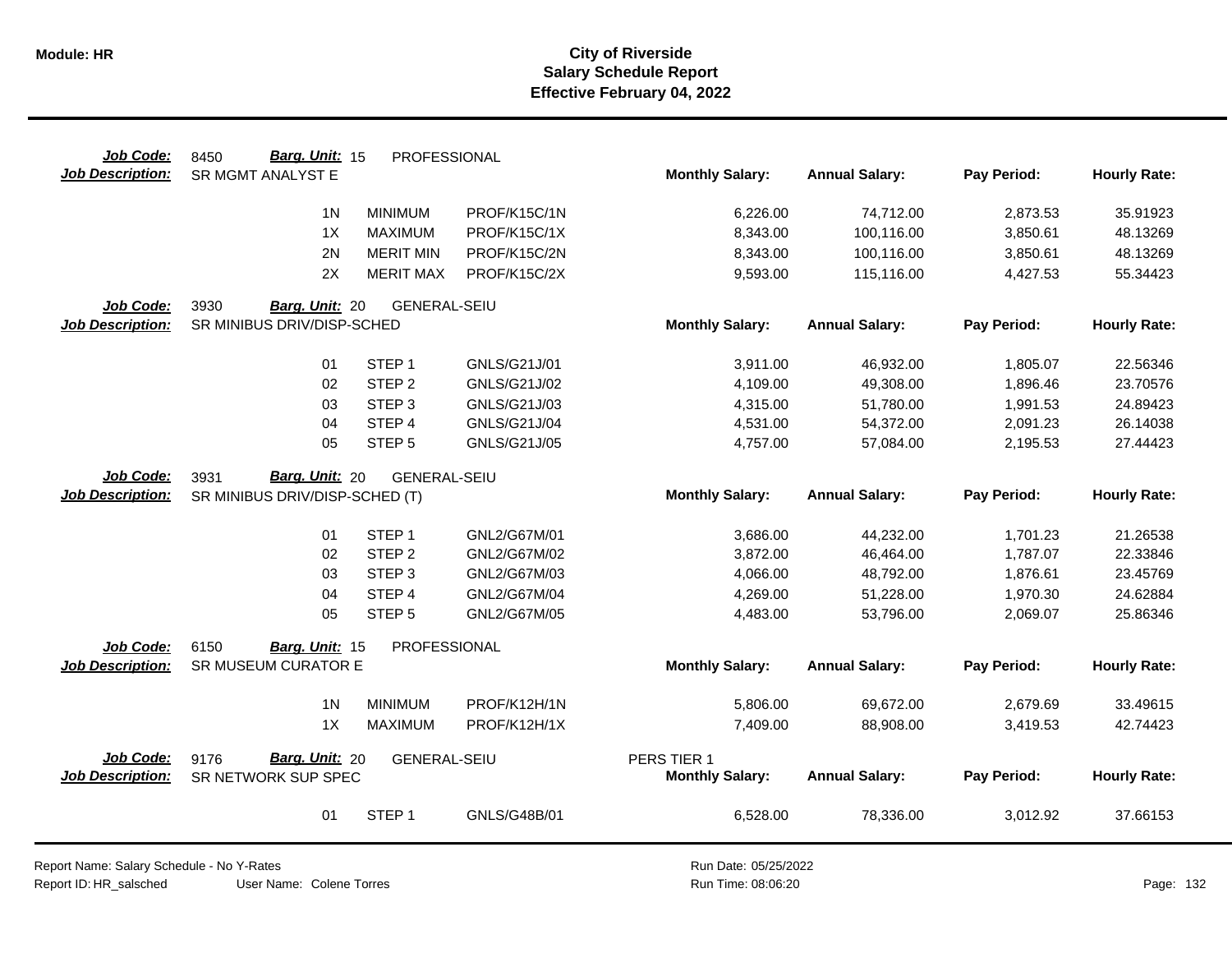| Job Code:<br><b>Job Description:</b> | Barg. Unit: 15<br>8450<br>SR MGMT ANALYST E   | PROFESSIONAL        |              | <b>Monthly Salary:</b> | <b>Annual Salary:</b> | Pay Period: | <b>Hourly Rate:</b> |
|--------------------------------------|-----------------------------------------------|---------------------|--------------|------------------------|-----------------------|-------------|---------------------|
|                                      |                                               |                     |              |                        |                       |             |                     |
|                                      | 1 <sub>N</sub>                                | <b>MINIMUM</b>      | PROF/K15C/1N | 6,226.00               | 74,712.00             | 2,873.53    | 35.91923            |
|                                      | 1X                                            | <b>MAXIMUM</b>      | PROF/K15C/1X | 8,343.00               | 100,116.00            | 3,850.61    | 48.13269            |
|                                      | 2N                                            | <b>MERIT MIN</b>    | PROF/K15C/2N | 8,343.00               | 100,116.00            | 3,850.61    | 48.13269            |
|                                      | 2X                                            | <b>MERIT MAX</b>    | PROF/K15C/2X | 9,593.00               | 115,116.00            | 4,427.53    | 55.34423            |
| Job Code:                            | 3930<br>Barg. Unit: 20                        | <b>GENERAL-SEIU</b> |              |                        |                       |             |                     |
| <b>Job Description:</b>              | SR MINIBUS DRIV/DISP-SCHED                    |                     |              | <b>Monthly Salary:</b> | <b>Annual Salary:</b> | Pay Period: | <b>Hourly Rate:</b> |
|                                      |                                               |                     |              |                        |                       |             |                     |
|                                      | 01                                            | STEP <sub>1</sub>   | GNLS/G21J/01 | 3,911.00               | 46,932.00             | 1,805.07    | 22.56346            |
|                                      | 02                                            | STEP <sub>2</sub>   | GNLS/G21J/02 | 4,109.00               | 49,308.00             | 1,896.46    | 23.70576            |
|                                      | 03                                            | STEP <sub>3</sub>   | GNLS/G21J/03 | 4,315.00               | 51,780.00             | 1,991.53    | 24.89423            |
|                                      | 04                                            | STEP 4              | GNLS/G21J/04 | 4,531.00               | 54,372.00             | 2,091.23    | 26.14038            |
|                                      | 05                                            | STEP <sub>5</sub>   | GNLS/G21J/05 | 4,757.00               | 57,084.00             | 2,195.53    | 27.44423            |
| Job Code:                            | Barg. Unit: 20<br>3931                        | <b>GENERAL-SEIU</b> |              |                        |                       |             |                     |
| <b>Job Description:</b>              | SR MINIBUS DRIV/DISP-SCHED (T)                |                     |              | <b>Monthly Salary:</b> | <b>Annual Salary:</b> | Pay Period: | <b>Hourly Rate:</b> |
|                                      |                                               |                     |              |                        |                       |             |                     |
|                                      | 01                                            | STEP <sub>1</sub>   | GNL2/G67M/01 | 3,686.00               | 44,232.00             | 1,701.23    | 21.26538            |
|                                      | 02                                            | STEP <sub>2</sub>   | GNL2/G67M/02 | 3,872.00               | 46,464.00             | 1,787.07    | 22.33846            |
|                                      | 03                                            | STEP <sub>3</sub>   | GNL2/G67M/03 | 4,066.00               | 48,792.00             | 1,876.61    | 23.45769            |
|                                      | 04                                            | STEP <sub>4</sub>   | GNL2/G67M/04 | 4,269.00               | 51,228.00             | 1,970.30    | 24.62884            |
|                                      | 05                                            | STEP <sub>5</sub>   | GNL2/G67M/05 | 4,483.00               | 53,796.00             | 2,069.07    | 25.86346            |
|                                      |                                               |                     |              |                        |                       |             |                     |
| Job Code:<br><b>Job Description:</b> | 6150<br>Barg. Unit: 15<br>SR MUSEUM CURATOR E | PROFESSIONAL        |              | <b>Monthly Salary:</b> | <b>Annual Salary:</b> | Pay Period: | <b>Hourly Rate:</b> |
|                                      |                                               |                     |              |                        |                       |             |                     |
|                                      | 1 <sub>N</sub>                                | <b>MINIMUM</b>      | PROF/K12H/1N | 5,806.00               | 69,672.00             | 2,679.69    | 33.49615            |
|                                      | 1X                                            | <b>MAXIMUM</b>      | PROF/K12H/1X | 7,409.00               | 88,908.00             | 3,419.53    | 42.74423            |
|                                      |                                               |                     |              |                        |                       |             |                     |
| Job Code:                            | Barg. Unit: 20<br>9176                        | <b>GENERAL-SEIU</b> |              | PERS TIER 1            |                       |             |                     |
| <b>Job Description:</b>              | SR NETWORK SUP SPEC                           |                     |              | <b>Monthly Salary:</b> | <b>Annual Salary:</b> | Pay Period: | <b>Hourly Rate:</b> |
|                                      |                                               |                     |              |                        |                       |             |                     |
|                                      | 01                                            | STEP <sub>1</sub>   | GNLS/G48B/01 | 6,528.00               | 78,336.00             | 3,012.92    | 37.66153            |
|                                      |                                               |                     |              |                        |                       |             |                     |

Report Name: Salary Schedule - No Y-Rates

Report ID: HR\_salsched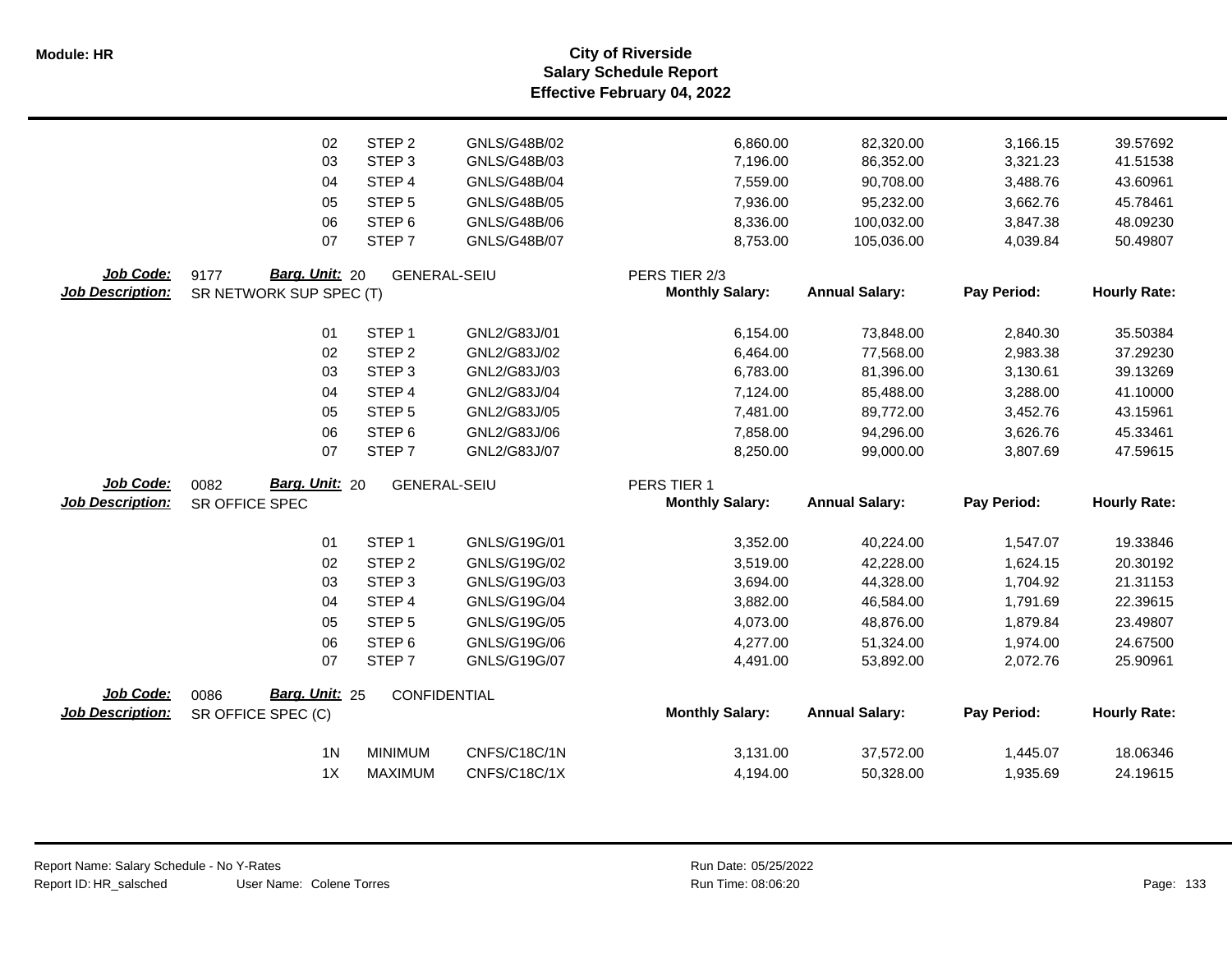**Salary Schedule Report Effective February 04, 2022 Module: HR City of Riverside**

|                         | 02                                       | STEP <sub>2</sub>           | GNLS/G48B/02                 | 6,860.00               | 82,320.00              | 3,166.15             | 39.57692             |
|-------------------------|------------------------------------------|-----------------------------|------------------------------|------------------------|------------------------|----------------------|----------------------|
|                         | 03                                       | STEP <sub>3</sub>           | GNLS/G48B/03                 | 7,196.00               | 86,352.00              | 3,321.23             | 41.51538             |
|                         | 04                                       | STEP 4                      | <b>GNLS/G48B/04</b>          | 7,559.00               | 90,708.00              | 3,488.76             | 43.60961             |
|                         | 05                                       | STEP <sub>5</sub>           | <b>GNLS/G48B/05</b>          | 7,936.00               | 95,232.00              | 3,662.76             | 45.78461             |
|                         | 06                                       | STEP <sub>6</sub>           | GNLS/G48B/06                 | 8,336.00               | 100,032.00             | 3,847.38             | 48.09230             |
|                         | 07                                       | STEP <sub>7</sub>           | <b>GNLS/G48B/07</b>          | 8,753.00               | 105,036.00             | 4,039.84             | 50.49807             |
| Job Code:               | Barg. Unit: 20<br>9177                   | <b>GENERAL-SEIU</b>         |                              | PERS TIER 2/3          |                        |                      |                      |
| <b>Job Description:</b> | SR NETWORK SUP SPEC (T)                  |                             |                              | <b>Monthly Salary:</b> | <b>Annual Salary:</b>  | Pay Period:          | <b>Hourly Rate:</b>  |
|                         | 01                                       | STEP <sub>1</sub>           | GNL2/G83J/01                 | 6,154.00               | 73,848.00              | 2,840.30             | 35.50384             |
|                         | 02                                       | STEP <sub>2</sub>           | GNL2/G83J/02                 | 6,464.00               | 77,568.00              | 2,983.38             | 37.29230             |
|                         | 03                                       | STEP <sub>3</sub>           | GNL2/G83J/03                 | 6,783.00               | 81,396.00              | 3,130.61             | 39.13269             |
|                         | 04                                       | STEP 4                      | GNL2/G83J/04                 | 7,124.00               | 85,488.00              | 3,288.00             | 41.10000             |
|                         | 05                                       | STEP <sub>5</sub>           | GNL2/G83J/05                 | 7,481.00               | 89,772.00              | 3,452.76             | 43.15961             |
|                         | 06                                       | STEP <sub>6</sub>           | GNL2/G83J/06                 | 7,858.00               | 94,296.00              | 3,626.76             | 45.33461             |
|                         | 07                                       | STEP <sub>7</sub>           | GNL2/G83J/07                 | 8,250.00               | 99,000.00              | 3,807.69             | 47.59615             |
|                         |                                          |                             |                              |                        |                        |                      |                      |
| Job Code:               |                                          |                             |                              | PERS TIER 1            |                        |                      |                      |
| <b>Job Description:</b> | Barg. Unit: 20<br>0082<br>SR OFFICE SPEC | <b>GENERAL-SEIU</b>         |                              | <b>Monthly Salary:</b> | <b>Annual Salary:</b>  | Pay Period:          | <b>Hourly Rate:</b>  |
|                         |                                          |                             |                              |                        |                        |                      |                      |
|                         | 01                                       | STEP <sub>1</sub>           | GNLS/G19G/01                 | 3,352.00               | 40,224.00              | 1,547.07             | 19.33846             |
|                         | 02<br>03                                 | STEP <sub>2</sub>           | GNLS/G19G/02                 | 3,519.00               | 42,228.00              | 1,624.15             | 20.30192             |
|                         | 04                                       | STEP <sub>3</sub><br>STEP 4 | GNLS/G19G/03<br>GNLS/G19G/04 | 3,694.00<br>3,882.00   | 44,328.00<br>46,584.00 | 1,704.92<br>1,791.69 | 21.31153<br>22.39615 |
|                         | 05                                       | STEP <sub>5</sub>           | GNLS/G19G/05                 | 4,073.00               | 48,876.00              | 1,879.84             | 23.49807             |
|                         | 06                                       | STEP <sub>6</sub>           | GNLS/G19G/06                 | 4,277.00               | 51,324.00              | 1,974.00             | 24.67500             |
|                         | 07                                       | STEP <sub>7</sub>           | GNLS/G19G/07                 | 4,491.00               | 53,892.00              | 2,072.76             | 25.90961             |
| Job Code:               | Barg. Unit: 25<br>0086                   | CONFIDENTIAL                |                              |                        |                        |                      |                      |
| <b>Job Description:</b> | SR OFFICE SPEC (C)                       |                             |                              | <b>Monthly Salary:</b> | <b>Annual Salary:</b>  | Pay Period:          | <b>Hourly Rate:</b>  |
|                         | 1 <sub>N</sub>                           | <b>MINIMUM</b>              | CNFS/C18C/1N                 | 3,131.00               | 37,572.00              | 1,445.07             | 18.06346             |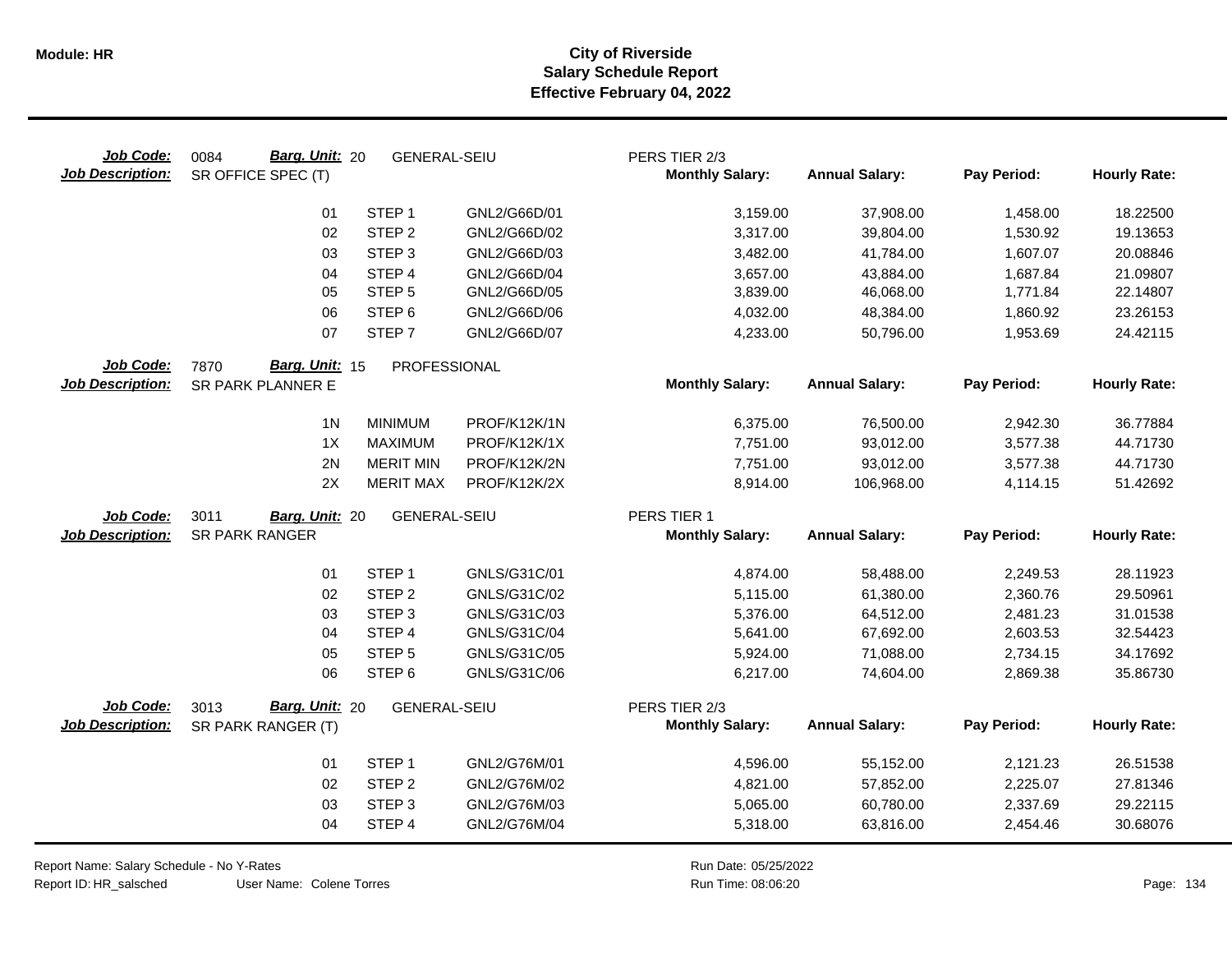|                                                                                                                    | 18.22500            |
|--------------------------------------------------------------------------------------------------------------------|---------------------|
| STEP <sub>1</sub><br>01<br>GNL2/G66D/01<br>3,159.00<br>1,458.00<br>37,908.00                                       |                     |
| 02<br>STEP <sub>2</sub><br>GNL2/G66D/02<br>3,317.00<br>39,804.00<br>1,530.92                                       | 19.13653            |
| STEP <sub>3</sub><br>03<br>GNL2/G66D/03<br>3,482.00<br>41,784.00<br>1,607.07                                       | 20.08846            |
| 04<br>STEP 4<br>GNL2/G66D/04<br>3,657.00<br>43,884.00<br>1,687.84                                                  | 21.09807            |
| STEP <sub>5</sub><br>05<br>GNL2/G66D/05<br>3,839.00<br>46,068.00<br>1,771.84                                       | 22.14807            |
| 06<br>STEP <sub>6</sub><br>GNL2/G66D/06<br>4,032.00<br>48,384.00<br>1,860.92                                       | 23.26153            |
| 07<br>STEP <sub>7</sub><br>GNL2/G66D/07<br>50,796.00<br>1,953.69<br>4,233.00                                       | 24.42115            |
| Job Code:<br>Barg. Unit: 15<br>7870<br>PROFESSIONAL                                                                |                     |
| <b>Monthly Salary:</b><br><b>Job Description:</b><br><b>Annual Salary:</b><br>Pay Period:<br>SR PARK PLANNER E     | <b>Hourly Rate:</b> |
| 1 <sub>N</sub><br><b>MINIMUM</b><br>PROF/K12K/1N<br>6,375.00<br>76,500.00<br>2,942.30                              | 36.77884            |
| 1X<br><b>MAXIMUM</b><br>PROF/K12K/1X<br>7,751.00<br>93,012.00<br>3,577.38                                          | 44.71730            |
| 2N<br><b>MERIT MIN</b><br>PROF/K12K/2N<br>7,751.00<br>93,012.00<br>3,577.38                                        | 44.71730            |
| 2X<br><b>MERIT MAX</b><br>PROF/K12K/2X<br>8,914.00<br>106,968.00<br>4,114.15                                       | 51.42692            |
| 3011<br><b>GENERAL-SEIU</b><br>PERS TIER 1<br>Job Code:<br>Barg. Unit: 20                                          |                     |
| <b>SR PARK RANGER</b><br><b>Job Description:</b><br><b>Monthly Salary:</b><br><b>Annual Salary:</b><br>Pay Period: | <b>Hourly Rate:</b> |
| STEP <sub>1</sub><br>01<br>GNLS/G31C/01<br>4,874.00<br>58,488.00<br>2,249.53                                       | 28.11923            |
| 02<br>STEP <sub>2</sub><br>GNLS/G31C/02<br>5,115.00<br>61,380.00<br>2,360.76                                       | 29.50961            |
| STEP <sub>3</sub><br>03<br>GNLS/G31C/03<br>5,376.00<br>64,512.00<br>2,481.23                                       | 31.01538            |
| STEP 4<br>04<br>GNLS/G31C/04<br>5,641.00<br>67,692.00<br>2,603.53                                                  | 32.54423            |
| 05<br>STEP <sub>5</sub><br>GNLS/G31C/05<br>5,924.00<br>71,088.00<br>2,734.15                                       | 34.17692            |
| 06<br>STEP <sub>6</sub><br>GNLS/G31C/06<br>74,604.00<br>6,217.00<br>2,869.38                                       | 35.86730            |
| Job Code:<br>Barg. Unit: 20<br>3013<br>PERS TIER 2/3<br><b>GENERAL-SEIU</b>                                        |                     |
| <b>Annual Salary:</b><br>Pay Period:<br><b>Job Description:</b><br><b>Monthly Salary:</b><br>SR PARK RANGER (T)    | <b>Hourly Rate:</b> |
| STEP <sub>1</sub><br>GNL2/G76M/01<br>01<br>4,596.00<br>55,152.00<br>2,121.23                                       | 26.51538            |
| 02<br>STEP <sub>2</sub><br>GNL2/G76M/02<br>4,821.00<br>57,852.00<br>2,225.07                                       | 27.81346            |
| STEP <sub>3</sub><br>03<br>GNL2/G76M/03<br>60,780.00<br>2,337.69<br>5,065.00                                       | 29.22115            |
| STEP 4<br>04<br>GNL2/G76M/04<br>5,318.00<br>63,816.00<br>2,454.46                                                  | 30.68076            |

Report Name: Salary Schedule - No Y-Rates

Report ID: HR\_salsched

Run Date: 05/25/2022 08:06:20 Colene Torres Run Time: Page: 134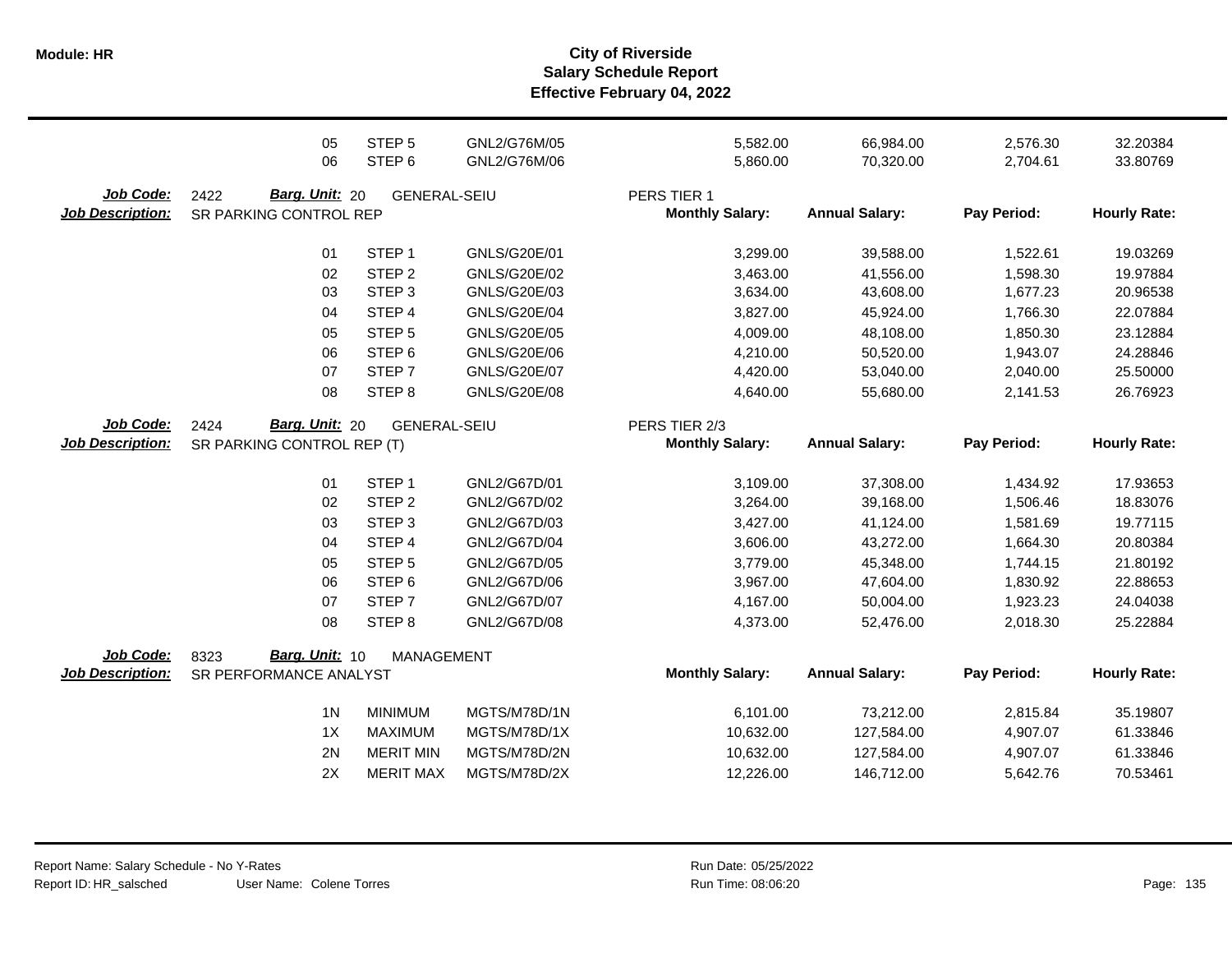**Salary Schedule Report Effective February 04, 2022 Module: HR City of Riverside**

|                         | 05                         | STEP <sub>5</sub>                    | GNL2/G76M/05                 | 5,582.00               | 66,984.00                | 2,576.30             | 32.20384             |
|-------------------------|----------------------------|--------------------------------------|------------------------------|------------------------|--------------------------|----------------------|----------------------|
|                         | 06                         | STEP <sub>6</sub>                    | GNL2/G76M/06                 | 5,860.00               | 70,320.00                | 2,704.61             | 33.80769             |
| Job Code:               | 2422<br>Barg. Unit: 20     | <b>GENERAL-SEIU</b>                  |                              | PERS TIER 1            |                          |                      |                      |
| <b>Job Description:</b> | SR PARKING CONTROL REP     |                                      |                              | <b>Monthly Salary:</b> | <b>Annual Salary:</b>    | Pay Period:          | <b>Hourly Rate:</b>  |
|                         |                            |                                      |                              |                        |                          |                      |                      |
|                         | 01                         | STEP <sub>1</sub>                    | GNLS/G20E/01                 | 3,299.00               | 39,588.00                | 1,522.61             | 19.03269             |
|                         | 02                         | STEP <sub>2</sub>                    | GNLS/G20E/02                 | 3,463.00               | 41,556.00                | 1,598.30             | 19.97884             |
|                         | 03                         | STEP <sub>3</sub>                    | GNLS/G20E/03                 | 3,634.00               | 43,608.00                | 1,677.23             | 20.96538             |
|                         | 04                         | STEP 4                               | <b>GNLS/G20E/04</b>          | 3,827.00               | 45,924.00                | 1,766.30             | 22.07884             |
|                         | 05                         | STEP <sub>5</sub>                    | GNLS/G20E/05                 | 4,009.00               | 48,108.00                | 1,850.30             | 23.12884             |
|                         | 06                         | STEP <sub>6</sub>                    | GNLS/G20E/06                 | 4,210.00               | 50,520.00                | 1,943.07             | 24.28846             |
|                         | 07                         | STEP <sub>7</sub>                    | GNLS/G20E/07                 | 4,420.00               | 53,040.00                | 2,040.00             | 25.50000             |
|                         | 08                         | STEP <sub>8</sub>                    | GNLS/G20E/08                 | 4,640.00               | 55,680.00                | 2,141.53             | 26.76923             |
| Job Code:               | Barg. Unit: 20<br>2424     | <b>GENERAL-SEIU</b>                  |                              | PERS TIER 2/3          |                          |                      |                      |
| <b>Job Description:</b> | SR PARKING CONTROL REP (T) |                                      |                              | <b>Monthly Salary:</b> | <b>Annual Salary:</b>    | Pay Period:          | <b>Hourly Rate:</b>  |
|                         | 01                         | STEP <sub>1</sub>                    | GNL2/G67D/01                 | 3,109.00               | 37,308.00                | 1,434.92             | 17.93653             |
|                         | 02                         | STEP <sub>2</sub>                    | GNL2/G67D/02                 | 3,264.00               | 39,168.00                | 1,506.46             | 18.83076             |
|                         | 03                         | STEP <sub>3</sub>                    | GNL2/G67D/03                 | 3,427.00               | 41,124.00                | 1,581.69             | 19.77115             |
|                         | 04                         | STEP 4                               | GNL2/G67D/04                 | 3,606.00               |                          | 1,664.30             | 20.80384             |
|                         |                            |                                      |                              |                        | 43,272.00                |                      |                      |
|                         | 05                         | STEP <sub>5</sub>                    | GNL2/G67D/05                 | 3,779.00               | 45,348.00                | 1,744.15             | 21.80192             |
|                         | 06                         | STEP <sub>6</sub>                    | GNL2/G67D/06                 | 3,967.00               | 47,604.00                | 1,830.92             | 22.88653             |
|                         | 07                         | STEP <sub>7</sub>                    | GNL2/G67D/07                 | 4,167.00               | 50,004.00                | 1,923.23             | 24.04038             |
|                         | 08                         | STEP <sub>8</sub>                    | GNL2/G67D/08                 | 4,373.00               | 52,476.00                | 2,018.30             | 25.22884             |
| Job Code:               | Barg. Unit: 10<br>8323     | <b>MANAGEMENT</b>                    |                              |                        |                          |                      |                      |
| <b>Job Description:</b> | SR PERFORMANCE ANALYST     |                                      |                              | <b>Monthly Salary:</b> | <b>Annual Salary:</b>    | Pay Period:          | <b>Hourly Rate:</b>  |
|                         | 1 <sub>N</sub>             | <b>MINIMUM</b>                       | MGTS/M78D/1N                 | 6,101.00               | 73,212.00                | 2,815.84             | 35.19807             |
|                         | 1X                         | <b>MAXIMUM</b>                       | MGTS/M78D/1X                 | 10,632.00              | 127,584.00               | 4,907.07             | 61.33846             |
|                         |                            |                                      |                              |                        |                          |                      |                      |
|                         |                            |                                      |                              |                        |                          |                      |                      |
|                         | 2N<br>2X                   | <b>MERIT MIN</b><br><b>MERIT MAX</b> | MGTS/M78D/2N<br>MGTS/M78D/2X | 10,632.00<br>12,226.00 | 127,584.00<br>146,712.00 | 4,907.07<br>5,642.76 | 61.33846<br>70.53461 |

Run Date: 05/25/2022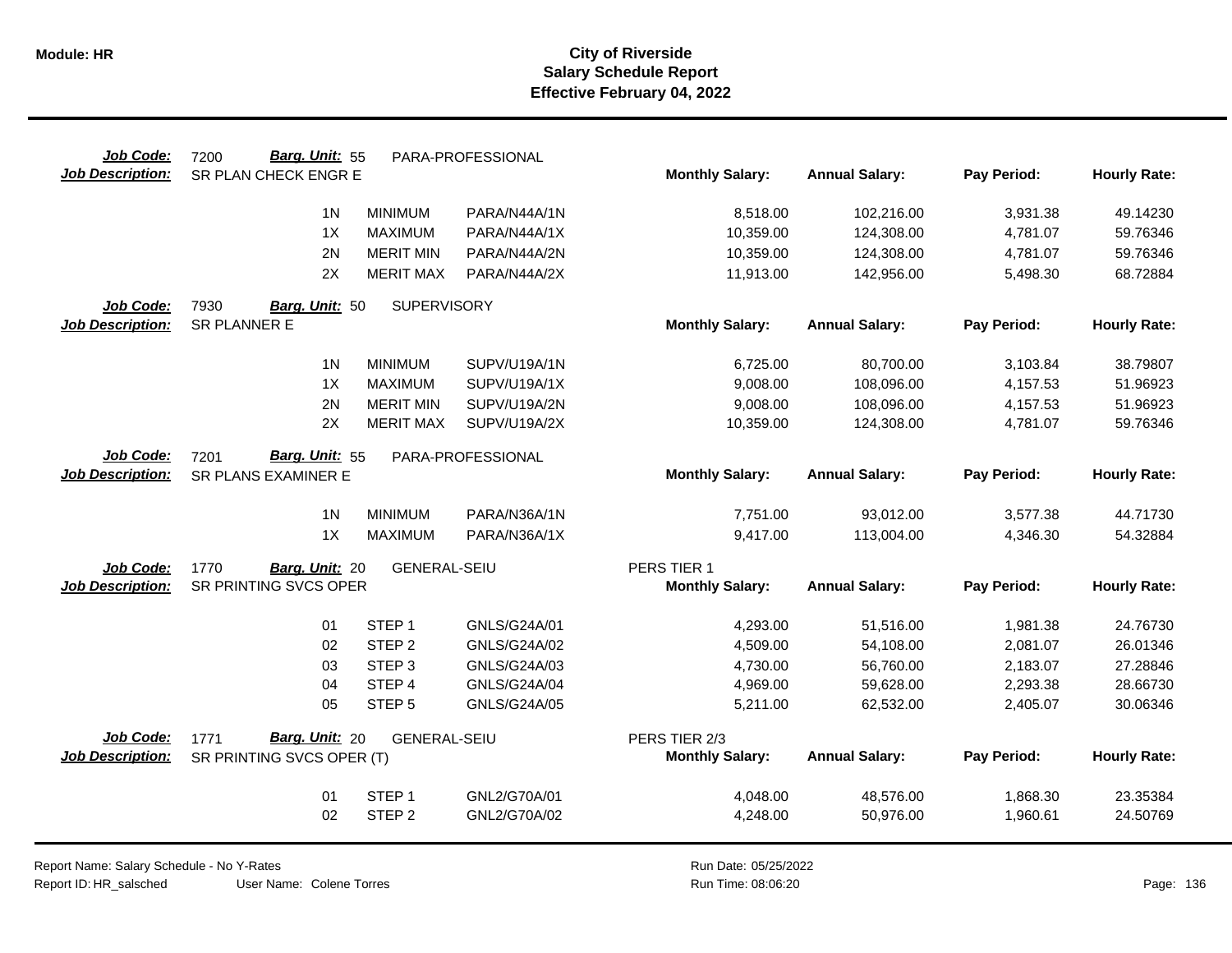| Job Code:               | Barg. Unit: 55<br>7200     |                     | PARA-PROFESSIONAL |                        |                       |             |                     |
|-------------------------|----------------------------|---------------------|-------------------|------------------------|-----------------------|-------------|---------------------|
| <b>Job Description:</b> | SR PLAN CHECK ENGR E       |                     |                   | <b>Monthly Salary:</b> | <b>Annual Salary:</b> | Pay Period: | <b>Hourly Rate:</b> |
|                         | 1 <sub>N</sub>             | <b>MINIMUM</b>      | PARA/N44A/1N      | 8,518.00               | 102,216.00            | 3,931.38    | 49.14230            |
|                         | 1X                         | <b>MAXIMUM</b>      | PARA/N44A/1X      | 10,359.00              | 124,308.00            | 4,781.07    | 59.76346            |
|                         | 2N                         | <b>MERIT MIN</b>    | PARA/N44A/2N      | 10,359.00              | 124,308.00            | 4,781.07    | 59.76346            |
|                         | 2X                         | <b>MERIT MAX</b>    | PARA/N44A/2X      | 11,913.00              | 142,956.00            | 5,498.30    | 68.72884            |
| Job Code:               | 7930<br>Barg. Unit: 50     | <b>SUPERVISORY</b>  |                   |                        |                       |             |                     |
| <b>Job Description:</b> | SR PLANNER E               |                     |                   | <b>Monthly Salary:</b> | <b>Annual Salary:</b> | Pay Period: | <b>Hourly Rate:</b> |
|                         |                            |                     |                   |                        |                       |             |                     |
|                         | 1 <sup>N</sup>             | <b>MINIMUM</b>      | SUPV/U19A/1N      | 6,725.00               | 80,700.00             | 3,103.84    | 38.79807            |
|                         | 1X                         | <b>MAXIMUM</b>      | SUPV/U19A/1X      | 9,008.00               | 108,096.00            | 4,157.53    | 51.96923            |
|                         | 2N                         | <b>MERIT MIN</b>    | SUPV/U19A/2N      | 9,008.00               | 108,096.00            | 4,157.53    | 51.96923            |
|                         | 2X                         | <b>MERIT MAX</b>    | SUPV/U19A/2X      | 10,359.00              | 124,308.00            | 4,781.07    | 59.76346            |
| Job Code:               | 7201<br>Barg. Unit: 55     |                     | PARA-PROFESSIONAL |                        |                       |             |                     |
| <b>Job Description:</b> | <b>SR PLANS EXAMINER E</b> |                     |                   | <b>Monthly Salary:</b> | <b>Annual Salary:</b> | Pay Period: | <b>Hourly Rate:</b> |
|                         |                            |                     |                   |                        |                       |             |                     |
|                         | 1 <sub>N</sub>             | <b>MINIMUM</b>      | PARA/N36A/1N      | 7,751.00               | 93,012.00             | 3,577.38    | 44.71730            |
|                         | 1X                         | <b>MAXIMUM</b>      | PARA/N36A/1X      | 9,417.00               | 113,004.00            | 4,346.30    | 54.32884            |
| Job Code:               | 1770<br>Barg. Unit: 20     | <b>GENERAL-SEIU</b> |                   | PERS TIER 1            |                       |             |                     |
| <b>Job Description:</b> | SR PRINTING SVCS OPER      |                     |                   | <b>Monthly Salary:</b> | <b>Annual Salary:</b> | Pay Period: | <b>Hourly Rate:</b> |
|                         |                            |                     |                   |                        |                       |             |                     |
|                         | 01                         | STEP <sub>1</sub>   | GNLS/G24A/01      | 4,293.00               | 51,516.00             | 1,981.38    | 24.76730            |
|                         | 02                         | STEP <sub>2</sub>   | GNLS/G24A/02      | 4,509.00               | 54,108.00             | 2,081.07    | 26.01346            |
|                         | 03                         | STEP <sub>3</sub>   | GNLS/G24A/03      | 4,730.00               | 56,760.00             | 2,183.07    | 27.28846            |
|                         | 04                         | STEP 4              | GNLS/G24A/04      | 4,969.00               | 59,628.00             | 2,293.38    | 28.66730            |
|                         | 05                         | STEP <sub>5</sub>   | GNLS/G24A/05      | 5,211.00               | 62,532.00             | 2,405.07    | 30.06346            |
| <b>Job Code:</b>        | Barg. Unit: 20<br>1771     | <b>GENERAL-SEIU</b> |                   | PERS TIER 2/3          |                       |             |                     |
| <b>Job Description:</b> | SR PRINTING SVCS OPER (T)  |                     |                   | <b>Monthly Salary:</b> | <b>Annual Salary:</b> | Pay Period: | <b>Hourly Rate:</b> |
|                         |                            |                     |                   |                        |                       |             |                     |
|                         | 01                         | STEP <sub>1</sub>   | GNL2/G70A/01      | 4,048.00               | 48,576.00             | 1,868.30    | 23.35384            |
|                         | 02                         | STEP <sub>2</sub>   | GNL2/G70A/02      | 4,248.00               | 50,976.00             | 1,960.61    | 24.50769            |
|                         |                            |                     |                   |                        |                       |             |                     |

Report Name: Salary Schedule - No Y-Rates Report ID: HR\_salsched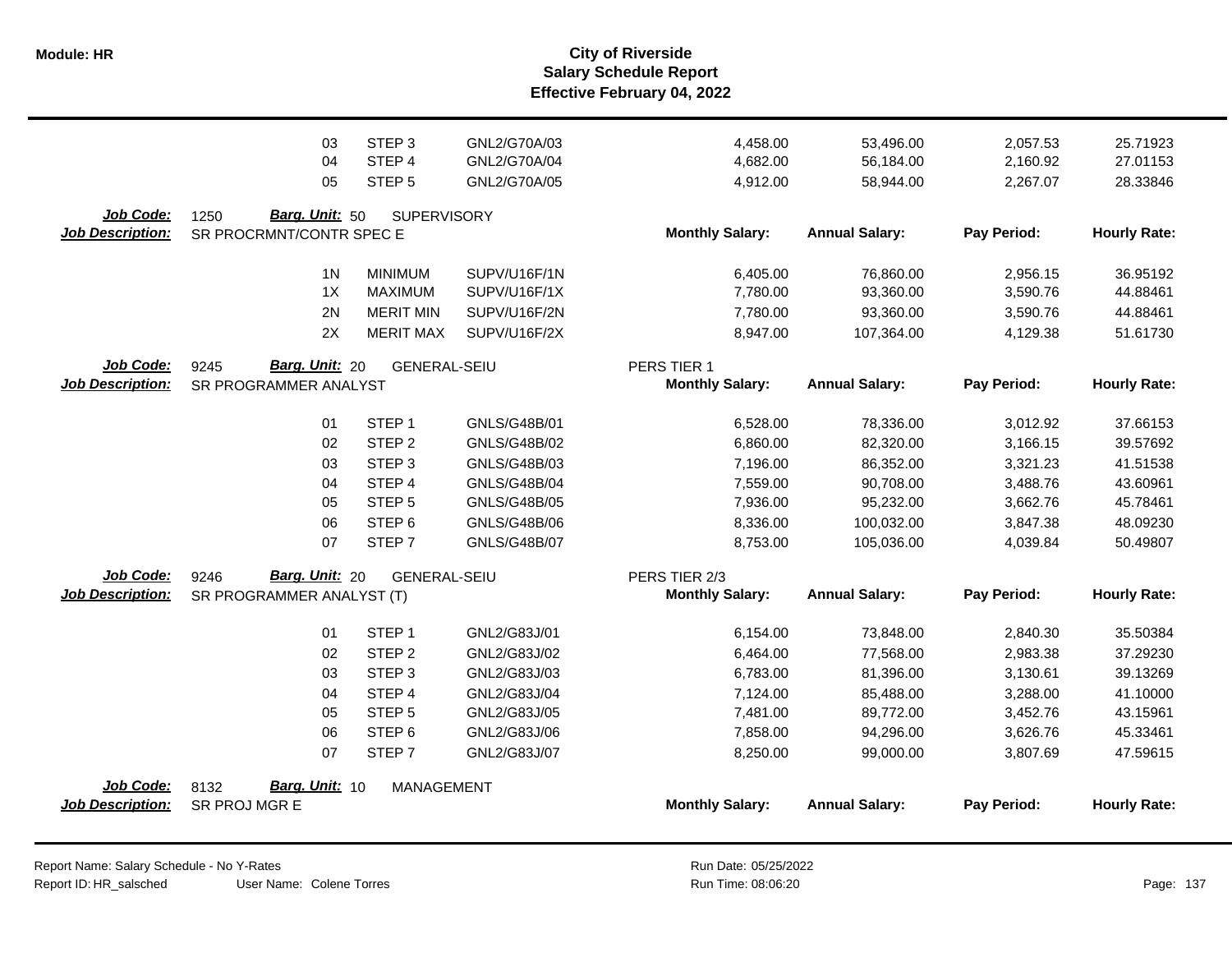|                         | 03                                                   | STEP <sub>3</sub>   | GNL2/G70A/03        | 4,458.00               | 53,496.00             | 2,057.53    | 25.71923            |
|-------------------------|------------------------------------------------------|---------------------|---------------------|------------------------|-----------------------|-------------|---------------------|
|                         | 04                                                   | STEP 4              | GNL2/G70A/04        | 4,682.00               | 56,184.00             | 2,160.92    | 27.01153            |
|                         | 05                                                   | STEP <sub>5</sub>   | GNL2/G70A/05        | 4,912.00               | 58,944.00             | 2,267.07    | 28.33846            |
| Job Code:               | <b>Barg. Unit: 50</b><br>1250                        | <b>SUPERVISORY</b>  |                     |                        |                       |             |                     |
| <b>Job Description:</b> | SR PROCRMNT/CONTR SPEC E                             |                     |                     | <b>Monthly Salary:</b> | <b>Annual Salary:</b> | Pay Period: | <b>Hourly Rate:</b> |
|                         | 1 <sup>N</sup>                                       | <b>MINIMUM</b>      | SUPV/U16F/1N        | 6,405.00               | 76,860.00             | 2,956.15    | 36.95192            |
|                         | 1X                                                   | <b>MAXIMUM</b>      | SUPV/U16F/1X        | 7,780.00               | 93,360.00             | 3,590.76    | 44.88461            |
|                         | 2N                                                   | <b>MERIT MIN</b>    | SUPV/U16F/2N        | 7,780.00               | 93,360.00             | 3,590.76    | 44.88461            |
|                         | 2X                                                   | <b>MERIT MAX</b>    | SUPV/U16F/2X        | 8,947.00               | 107,364.00            | 4,129.38    | 51.61730            |
| Job Code:               | <b>Barg. Unit: 20</b><br>9245<br><b>GENERAL-SEIU</b> |                     | PERS TIER 1         |                        |                       |             |                     |
| <b>Job Description:</b> | SR PROGRAMMER ANALYST                                |                     |                     | <b>Monthly Salary:</b> | <b>Annual Salary:</b> | Pay Period: | <b>Hourly Rate:</b> |
|                         | 01                                                   | STEP <sub>1</sub>   | GNLS/G48B/01        | 6,528.00               | 78,336.00             | 3,012.92    | 37.66153            |
|                         | 02                                                   | STEP <sub>2</sub>   | GNLS/G48B/02        | 6,860.00               | 82,320.00             | 3,166.15    | 39.57692            |
|                         | 03                                                   | STEP <sub>3</sub>   | GNLS/G48B/03        | 7,196.00               | 86,352.00             | 3,321.23    | 41.51538            |
|                         | 04                                                   | STEP 4              | <b>GNLS/G48B/04</b> | 7,559.00               | 90,708.00             | 3,488.76    | 43.60961            |
|                         | 05                                                   | STEP <sub>5</sub>   | GNLS/G48B/05        | 7,936.00               | 95,232.00             | 3,662.76    | 45.78461            |
|                         | 06                                                   | STEP <sub>6</sub>   | GNLS/G48B/06        | 8,336.00               | 100,032.00            | 3,847.38    | 48.09230            |
|                         | 07                                                   | STEP <sub>7</sub>   | <b>GNLS/G48B/07</b> | 8,753.00               | 105,036.00            | 4,039.84    | 50.49807            |
| Job Code:               | <b>Barg. Unit: 20</b><br>9246                        | <b>GENERAL-SEIU</b> |                     | PERS TIER 2/3          |                       |             |                     |
| <b>Job Description:</b> | SR PROGRAMMER ANALYST (T)                            |                     |                     | <b>Monthly Salary:</b> | <b>Annual Salary:</b> | Pay Period: | <b>Hourly Rate:</b> |
|                         | 01                                                   | STEP <sub>1</sub>   | GNL2/G83J/01        | 6,154.00               | 73,848.00             | 2,840.30    | 35.50384            |
|                         | 02                                                   | STEP <sub>2</sub>   | GNL2/G83J/02        | 6,464.00               | 77,568.00             | 2,983.38    | 37.29230            |
|                         | 03                                                   | STEP <sub>3</sub>   | GNL2/G83J/03        | 6,783.00               | 81,396.00             | 3,130.61    | 39.13269            |
|                         | 04                                                   | STEP 4              | GNL2/G83J/04        | 7,124.00               | 85,488.00             | 3,288.00    | 41.10000            |
|                         | 05                                                   | STEP <sub>5</sub>   | GNL2/G83J/05        | 7,481.00               | 89,772.00             | 3,452.76    | 43.15961            |
|                         | 06                                                   | STEP <sub>6</sub>   | GNL2/G83J/06        | 7,858.00               | 94,296.00             | 3,626.76    | 45.33461            |
|                         | 07                                                   | STEP <sub>7</sub>   | GNL2/G83J/07        | 8,250.00               | 99,000.00             | 3,807.69    | 47.59615            |
| Job Code:               | <b>Barg. Unit: 10</b><br>8132                        | MANAGEMENT          |                     |                        |                       |             |                     |
| <b>Job Description:</b> | SR PROJ MGR E                                        |                     |                     | <b>Monthly Salary:</b> | <b>Annual Salary:</b> | Pay Period: | <b>Hourly Rate:</b> |
|                         |                                                      |                     |                     |                        |                       |             |                     |

Report Name: Salary Schedule - No Y-Rates Report ID: HR\_salsched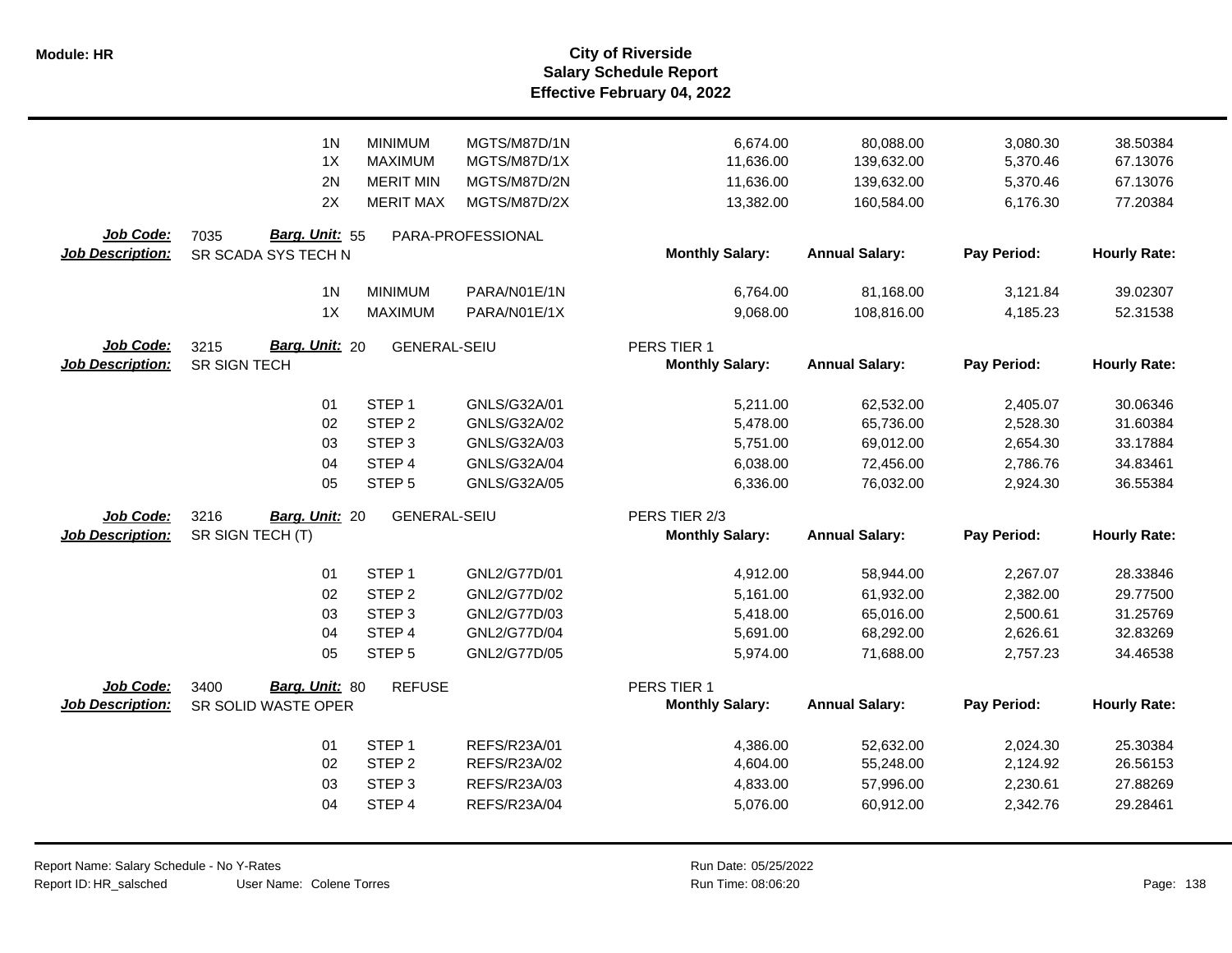|                                      | 1 <sub>N</sub><br>1X<br>2N<br>2X | <b>MINIMUM</b><br><b>MAXIMUM</b><br><b>MERIT MIN</b><br><b>MERIT MAX</b> | MGTS/M87D/1N<br>MGTS/M87D/1X<br>MGTS/M87D/2N<br>MGTS/M87D/2X | 6,674.00<br>11,636.00<br>11,636.00<br>13,382.00 | 80,088.00<br>139,632.00<br>139,632.00 | 3,080.30<br>5,370.46<br>5,370.46<br>6,176.30 | 38.50384<br>67.13076<br>67.13076<br>77.20384 |
|--------------------------------------|----------------------------------|--------------------------------------------------------------------------|--------------------------------------------------------------|-------------------------------------------------|---------------------------------------|----------------------------------------------|----------------------------------------------|
|                                      |                                  |                                                                          |                                                              |                                                 | 160,584.00                            |                                              |                                              |
| Job Code:<br><b>Job Description:</b> | Barg. Unit: 55<br>7035           |                                                                          | PARA-PROFESSIONAL                                            | <b>Monthly Salary:</b>                          | <b>Annual Salary:</b>                 | Pay Period:                                  | <b>Hourly Rate:</b>                          |
|                                      | SR SCADA SYS TECH N              |                                                                          |                                                              |                                                 |                                       |                                              |                                              |
|                                      | 1 <sub>N</sub>                   | <b>MINIMUM</b>                                                           | PARA/N01E/1N                                                 | 6,764.00                                        | 81,168.00                             | 3,121.84                                     | 39.02307                                     |
|                                      | 1X                               | <b>MAXIMUM</b>                                                           | PARA/N01E/1X                                                 | 9,068.00                                        | 108,816.00                            | 4,185.23                                     | 52.31538                                     |
| Job Code:                            | Barg. Unit: 20<br>3215           | <b>GENERAL-SEIU</b>                                                      |                                                              | PERS TIER 1                                     |                                       |                                              |                                              |
| <b>Job Description:</b>              | SR SIGN TECH                     |                                                                          |                                                              | <b>Monthly Salary:</b>                          | <b>Annual Salary:</b>                 | Pay Period:                                  | <b>Hourly Rate:</b>                          |
|                                      | 01                               | STEP <sub>1</sub>                                                        | GNLS/G32A/01                                                 |                                                 |                                       |                                              | 30.06346                                     |
|                                      | 02                               | STEP <sub>2</sub>                                                        | GNLS/G32A/02                                                 | 5,211.00<br>5,478.00                            | 62,532.00<br>65,736.00                | 2,405.07<br>2,528.30                         | 31.60384                                     |
|                                      | 03                               | STEP <sub>3</sub>                                                        | GNLS/G32A/03                                                 | 5,751.00                                        | 69,012.00                             | 2,654.30                                     | 33.17884                                     |
|                                      | 04                               | STEP 4                                                                   | GNLS/G32A/04                                                 | 6,038.00                                        | 72,456.00                             | 2,786.76                                     | 34.83461                                     |
|                                      | 05                               | STEP <sub>5</sub>                                                        | GNLS/G32A/05                                                 | 6,336.00                                        | 76,032.00                             | 2,924.30                                     | 36.55384                                     |
| <b>Job Code:</b>                     | 3216<br>Barg. Unit: 20           | <b>GENERAL-SEIU</b>                                                      |                                                              | PERS TIER 2/3                                   |                                       |                                              |                                              |
| <b>Job Description:</b>              | SR SIGN TECH (T)                 |                                                                          |                                                              | <b>Monthly Salary:</b>                          | <b>Annual Salary:</b>                 | Pay Period:                                  | <b>Hourly Rate:</b>                          |
|                                      |                                  |                                                                          |                                                              |                                                 |                                       |                                              |                                              |
|                                      | 01                               | STEP <sub>1</sub>                                                        | GNL2/G77D/01                                                 | 4,912.00                                        | 58,944.00                             | 2,267.07                                     | 28.33846                                     |
|                                      | 02                               | STEP <sub>2</sub>                                                        | GNL2/G77D/02                                                 | 5,161.00                                        | 61,932.00                             | 2,382.00                                     | 29.77500                                     |
|                                      | 03                               | STEP <sub>3</sub>                                                        | GNL2/G77D/03                                                 | 5,418.00                                        | 65,016.00                             | 2,500.61                                     | 31.25769                                     |
|                                      | 04                               | STEP 4                                                                   | GNL2/G77D/04                                                 | 5,691.00                                        | 68,292.00                             | 2,626.61                                     | 32.83269                                     |
|                                      | 05                               | STEP <sub>5</sub>                                                        | GNL2/G77D/05                                                 | 5,974.00                                        | 71,688.00                             | 2,757.23                                     | 34.46538                                     |
| <b>Job Code:</b>                     | Barg. Unit: 80<br>3400           | <b>REFUSE</b>                                                            |                                                              | PERS TIER 1                                     |                                       |                                              |                                              |
| <b>Job Description:</b>              | SR SOLID WASTE OPER              |                                                                          |                                                              | <b>Monthly Salary:</b>                          | <b>Annual Salary:</b>                 | Pay Period:                                  | <b>Hourly Rate:</b>                          |
|                                      | 01                               | STEP <sub>1</sub>                                                        | REFS/R23A/01                                                 | 4,386.00                                        | 52,632.00                             | 2,024.30                                     | 25.30384                                     |
|                                      | 02                               | STEP <sub>2</sub>                                                        | REFS/R23A/02                                                 | 4,604.00                                        | 55,248.00                             | 2,124.92                                     | 26.56153                                     |
|                                      | 03                               | STEP <sub>3</sub>                                                        | REFS/R23A/03                                                 | 4,833.00                                        | 57,996.00                             | 2,230.61                                     | 27.88269                                     |
|                                      | 04                               | STEP 4                                                                   | REFS/R23A/04                                                 | 5,076.00                                        | 60,912.00                             | 2,342.76                                     | 29.28461                                     |
|                                      |                                  |                                                                          |                                                              |                                                 |                                       |                                              |                                              |
|                                      |                                  |                                                                          |                                                              |                                                 |                                       |                                              |                                              |

 $\overline{\phantom{0}}$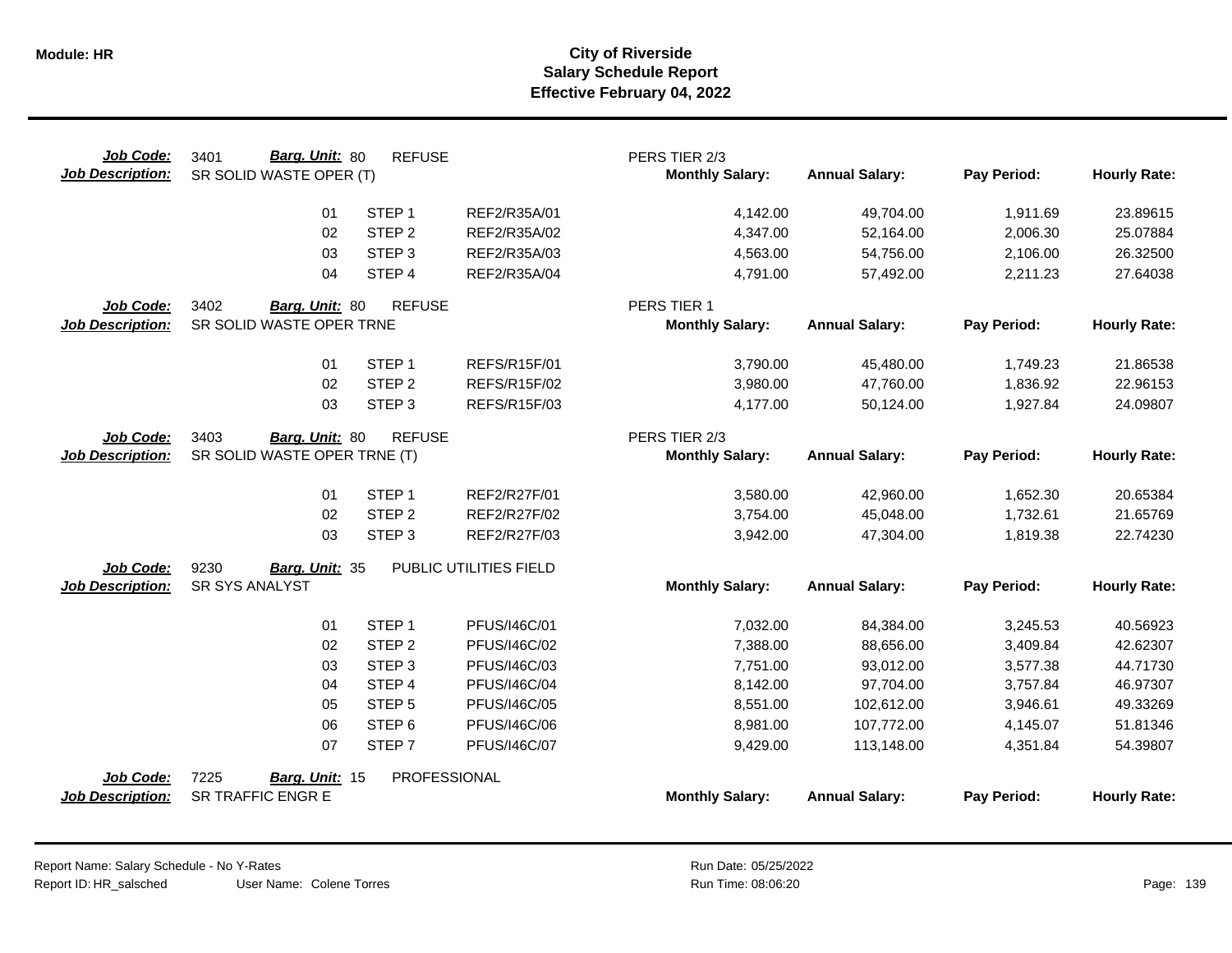| Job Code:<br><b>Job Description:</b> | Barg. Unit: 80<br>3401<br>SR SOLID WASTE OPER (T)      | <b>REFUSE</b>     |                        | PERS TIER 2/3<br><b>Monthly Salary:</b> | <b>Annual Salary:</b> | Pay Period: | <b>Hourly Rate:</b> |
|--------------------------------------|--------------------------------------------------------|-------------------|------------------------|-----------------------------------------|-----------------------|-------------|---------------------|
|                                      | 01                                                     | STEP <sub>1</sub> | REF2/R35A/01           | 4,142.00                                | 49,704.00             | 1,911.69    | 23.89615            |
|                                      | 02                                                     | STEP <sub>2</sub> | REF2/R35A/02           | 4,347.00                                | 52,164.00             | 2,006.30    | 25.07884            |
|                                      | 03                                                     | STEP <sub>3</sub> | REF2/R35A/03           | 4,563.00                                | 54,756.00             | 2,106.00    | 26.32500            |
|                                      | 04                                                     | STEP <sub>4</sub> | REF2/R35A/04           | 4,791.00                                | 57,492.00             | 2,211.23    | 27.64038            |
| Job Code:                            | 3402<br>Barg. Unit: 80                                 | <b>REFUSE</b>     |                        | PERS TIER 1                             |                       |             |                     |
| <b>Job Description:</b>              | SR SOLID WASTE OPER TRNE                               |                   |                        | <b>Monthly Salary:</b>                  | <b>Annual Salary:</b> | Pay Period: | <b>Hourly Rate:</b> |
|                                      | 01                                                     | STEP <sub>1</sub> | REFS/R15F/01           | 3,790.00                                | 45,480.00             | 1,749.23    | 21.86538            |
|                                      | 02                                                     | STEP <sub>2</sub> | REFS/R15F/02           | 3,980.00                                | 47,760.00             | 1,836.92    | 22.96153            |
|                                      | 03                                                     | STEP <sub>3</sub> | <b>REFS/R15F/03</b>    | 4,177.00                                | 50,124.00             | 1,927.84    | 24.09807            |
| Job Code:<br><b>Job Description:</b> | 3403<br>Barg. Unit: 80<br>SR SOLID WASTE OPER TRNE (T) | <b>REFUSE</b>     |                        | PERS TIER 2/3<br><b>Monthly Salary:</b> | <b>Annual Salary:</b> | Pay Period: | <b>Hourly Rate:</b> |
|                                      |                                                        |                   |                        |                                         |                       |             |                     |
|                                      | 01                                                     | STEP <sub>1</sub> | REF2/R27F/01           | 3,580.00                                | 42,960.00             | 1,652.30    | 20.65384            |
|                                      | 02                                                     | STEP <sub>2</sub> | REF2/R27F/02           | 3,754.00                                | 45,048.00             | 1,732.61    | 21.65769            |
|                                      | 03                                                     | STEP <sub>3</sub> | REF2/R27F/03           | 3,942.00                                | 47,304.00             | 1,819.38    | 22.74230            |
| Job Code:                            | 9230<br>Barg. Unit: 35                                 |                   | PUBLIC UTILITIES FIELD |                                         |                       |             |                     |
| <b>Job Description:</b>              | <b>SR SYS ANALYST</b>                                  |                   |                        | <b>Monthly Salary:</b>                  | <b>Annual Salary:</b> | Pay Period: | <b>Hourly Rate:</b> |
|                                      | 01                                                     | STEP <sub>1</sub> | PFUS/I46C/01           | 7,032.00                                | 84,384.00             | 3,245.53    | 40.56923            |
|                                      | 02                                                     | STEP <sub>2</sub> | PFUS/I46C/02           | 7,388.00                                | 88,656.00             | 3,409.84    | 42.62307            |
|                                      | 03                                                     | STEP <sub>3</sub> | PFUS/I46C/03           | 7,751.00                                | 93,012.00             | 3,577.38    | 44.71730            |
|                                      | 04                                                     | STEP 4            | PFUS/I46C/04           | 8,142.00                                | 97,704.00             | 3,757.84    | 46.97307            |
|                                      | 05                                                     | STEP <sub>5</sub> | PFUS/I46C/05           | 8,551.00                                | 102,612.00            | 3,946.61    | 49.33269            |
|                                      | 06                                                     | STEP <sub>6</sub> | PFUS/I46C/06           | 8,981.00                                | 107,772.00            | 4,145.07    | 51.81346            |
|                                      | 07                                                     | STEP 7            | PFUS/I46C/07           | 9,429.00                                | 113,148.00            | 4,351.84    | 54.39807            |
| Job Code:<br><b>Job Description:</b> | 7225<br>Barg. Unit: 15<br><b>SR TRAFFIC ENGR E</b>     | PROFESSIONAL      |                        | <b>Monthly Salary:</b>                  | <b>Annual Salary:</b> | Pay Period: | <b>Hourly Rate:</b> |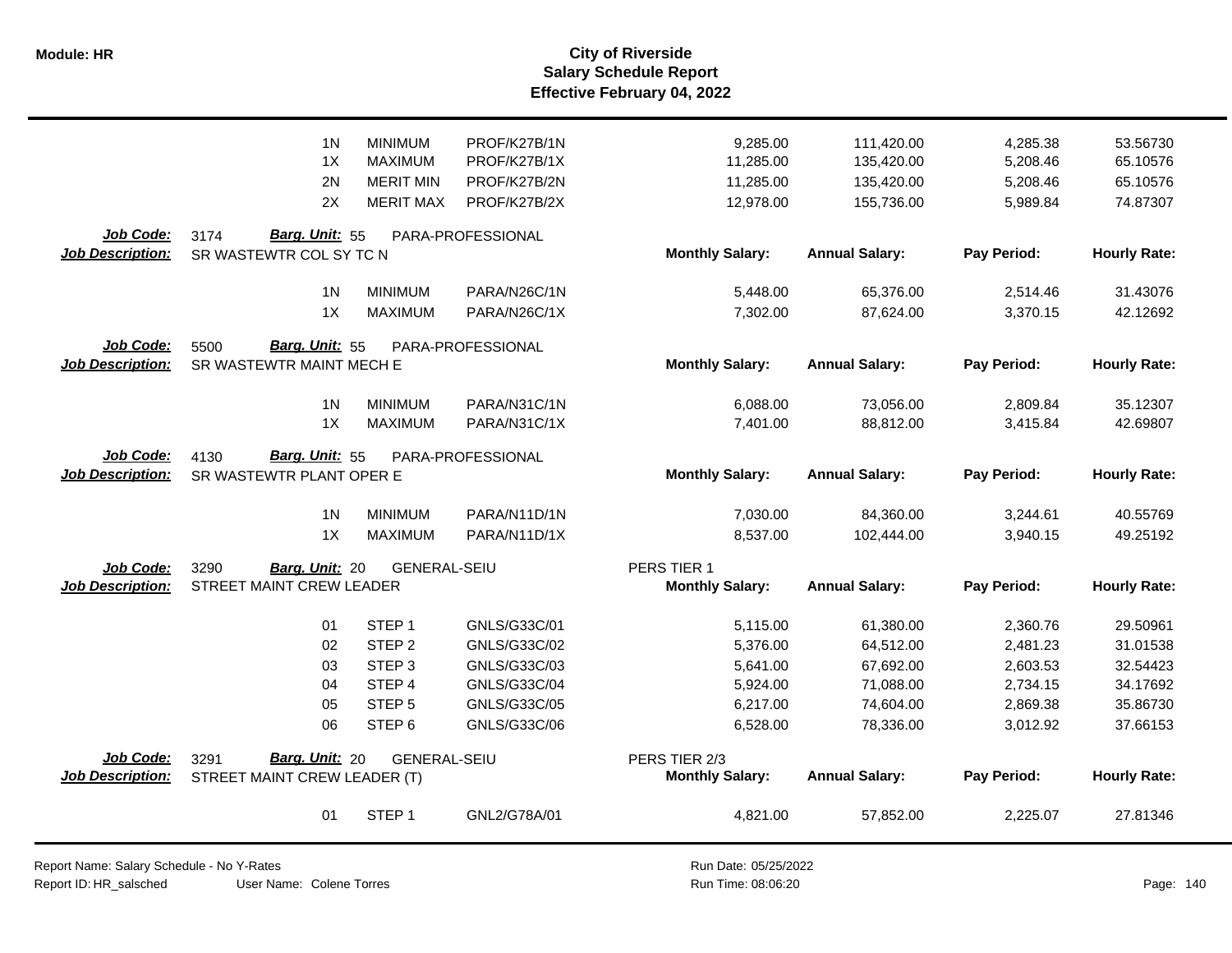|                                      | 1 <sub>N</sub><br>1X<br>2N                                              | <b>MINIMUM</b><br><b>MAXIMUM</b><br><b>MERIT MIN</b>                                                            | PROF/K27B/1N<br>PROF/K27B/1X<br>PROF/K27B/2N                                                 | 9,285.00<br>11,285.00<br>11,285.00                                   | 111,420.00<br>135,420.00<br>135,420.00                                     | 4,285.38<br>5,208.46<br>5,208.46                                     | 53.56730<br>65.10576<br>65.10576                                     |
|--------------------------------------|-------------------------------------------------------------------------|-----------------------------------------------------------------------------------------------------------------|----------------------------------------------------------------------------------------------|----------------------------------------------------------------------|----------------------------------------------------------------------------|----------------------------------------------------------------------|----------------------------------------------------------------------|
|                                      | 2X                                                                      | <b>MERIT MAX</b>                                                                                                | PROF/K27B/2X                                                                                 | 12,978.00                                                            | 155,736.00                                                                 | 5,989.84                                                             | 74.87307                                                             |
| Job Code:<br><b>Job Description:</b> | Barg. Unit: 55<br>3174<br>SR WASTEWTR COL SY TC N                       |                                                                                                                 | PARA-PROFESSIONAL                                                                            | <b>Monthly Salary:</b>                                               | <b>Annual Salary:</b>                                                      | Pay Period:                                                          | <b>Hourly Rate:</b>                                                  |
|                                      | 1 <sub>N</sub><br>1X                                                    | <b>MINIMUM</b><br><b>MAXIMUM</b>                                                                                | PARA/N26C/1N<br>PARA/N26C/1X                                                                 | 5,448.00<br>7,302.00                                                 | 65,376.00<br>87,624.00                                                     | 2,514.46<br>3,370.15                                                 | 31.43076<br>42.12692                                                 |
| Job Code:<br>Job Description:        | <b>Barg. Unit: 55</b><br>5500<br>SR WASTEWTR MAINT MECH E               |                                                                                                                 | PARA-PROFESSIONAL                                                                            | <b>Monthly Salary:</b>                                               | <b>Annual Salary:</b>                                                      | Pay Period:                                                          | <b>Hourly Rate:</b>                                                  |
|                                      | 1 <sub>N</sub><br>1X                                                    | <b>MINIMUM</b><br><b>MAXIMUM</b>                                                                                | PARA/N31C/1N<br>PARA/N31C/1X                                                                 | 6,088.00<br>7,401.00                                                 | 73,056.00<br>88,812.00                                                     | 2,809.84<br>3,415.84                                                 | 35.12307<br>42.69807                                                 |
| Job Code:<br><b>Job Description:</b> | 4130<br>Barg. Unit: 55<br>PARA-PROFESSIONAL<br>SR WASTEWTR PLANT OPER E |                                                                                                                 |                                                                                              | <b>Monthly Salary:</b>                                               | <b>Annual Salary:</b>                                                      | Pay Period:                                                          | <b>Hourly Rate:</b>                                                  |
|                                      | 1 <sub>N</sub><br>1X                                                    | <b>MINIMUM</b><br><b>MAXIMUM</b>                                                                                | PARA/N11D/1N<br>PARA/N11D/1X                                                                 | 7,030.00<br>8,537.00                                                 | 84,360.00<br>102,444.00                                                    | 3,244.61<br>3,940.15                                                 | 40.55769<br>49.25192                                                 |
| Job Code:<br><b>Job Description:</b> | 3290<br>Barg. Unit: 20<br>STREET MAINT CREW LEADER                      | <b>GENERAL-SEIU</b>                                                                                             |                                                                                              | PERS TIER 1<br><b>Monthly Salary:</b>                                | <b>Annual Salary:</b>                                                      | Pay Period:                                                          | <b>Hourly Rate:</b>                                                  |
|                                      | 01<br>02<br>03<br>04<br>05<br>06                                        | STEP <sub>1</sub><br>STEP <sub>2</sub><br>STEP <sub>3</sub><br>STEP 4<br>STEP <sub>5</sub><br>STEP <sub>6</sub> | GNLS/G33C/01<br>GNLS/G33C/02<br>GNLS/G33C/03<br>GNLS/G33C/04<br>GNLS/G33C/05<br>GNLS/G33C/06 | 5,115.00<br>5,376.00<br>5,641.00<br>5,924.00<br>6,217.00<br>6,528.00 | 61,380.00<br>64,512.00<br>67,692.00<br>71,088.00<br>74,604.00<br>78,336.00 | 2,360.76<br>2,481.23<br>2,603.53<br>2,734.15<br>2,869.38<br>3,012.92 | 29.50961<br>31.01538<br>32.54423<br>34.17692<br>35.86730<br>37.66153 |
| Job Code:<br><b>Job Description:</b> | Barg. Unit: 20<br>3291<br>STREET MAINT CREW LEADER (T)                  | <b>GENERAL-SEIU</b>                                                                                             |                                                                                              | PERS TIER 2/3<br><b>Monthly Salary:</b>                              | <b>Annual Salary:</b>                                                      | Pay Period:                                                          | <b>Hourly Rate:</b>                                                  |
|                                      | 01                                                                      | STEP <sub>1</sub>                                                                                               | GNL2/G78A/01                                                                                 | 4,821.00                                                             | 57,852.00                                                                  | 2,225.07                                                             | 27.81346                                                             |

Report Name: Salary Schedule - No Y-Rates Report ID: HR\_salsched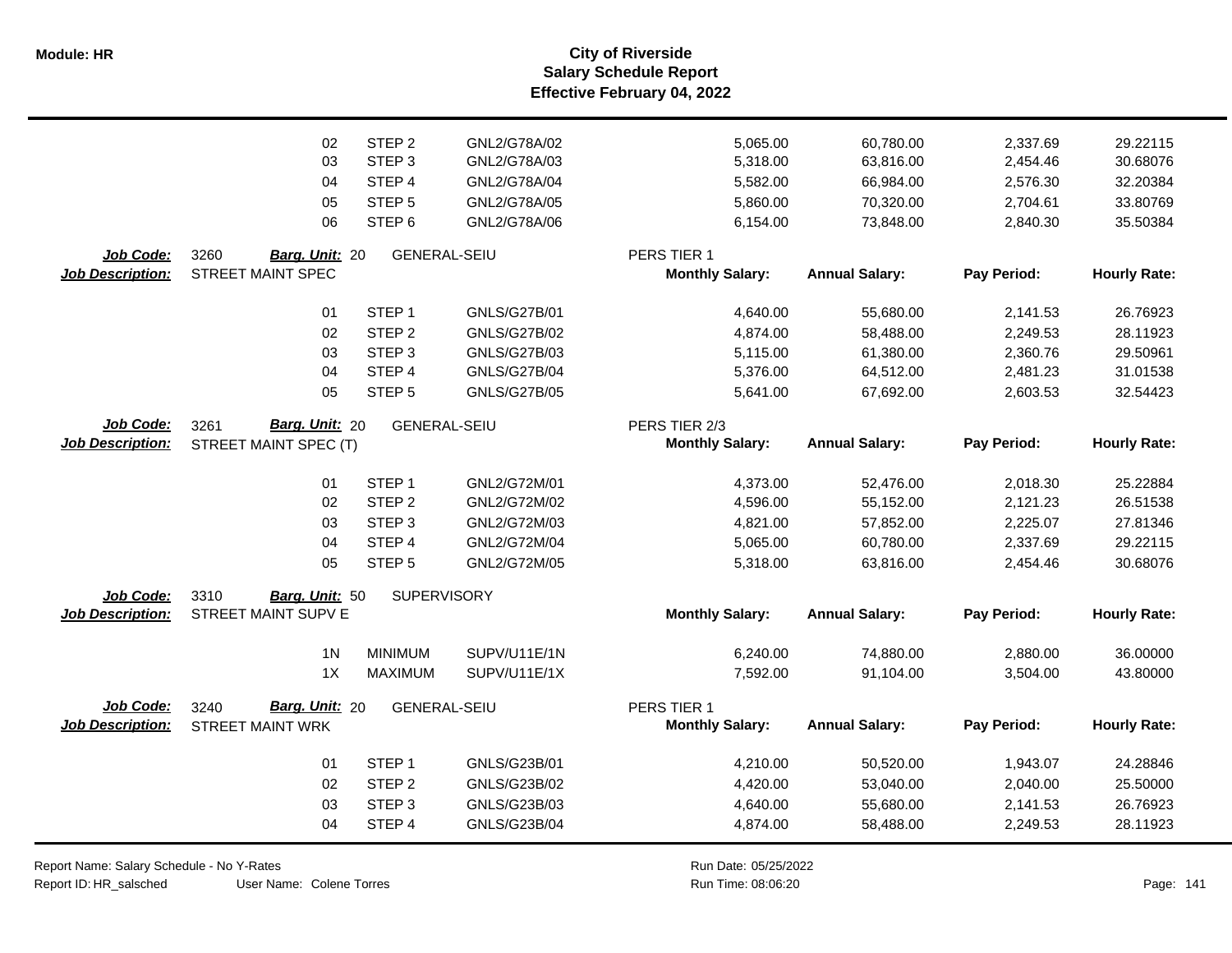**Salary Schedule Report Effective February 04, 2022 Module: HR City of Riverside**

|                         | 02                         | STEP <sub>2</sub>   | GNL2/G78A/02        | 5,065.00               | 60,780.00             | 2,337.69    | 29.22115            |
|-------------------------|----------------------------|---------------------|---------------------|------------------------|-----------------------|-------------|---------------------|
|                         | 03                         | STEP <sub>3</sub>   | GNL2/G78A/03        | 5,318.00               | 63,816.00             | 2,454.46    | 30.68076            |
|                         | 04                         | STEP <sub>4</sub>   | GNL2/G78A/04        | 5,582.00               | 66,984.00             | 2,576.30    | 32.20384            |
|                         | 05                         | STEP <sub>5</sub>   | GNL2/G78A/05        | 5,860.00               | 70,320.00             | 2,704.61    | 33.80769            |
|                         | 06                         | STEP <sub>6</sub>   | GNL2/G78A/06        | 6,154.00               | 73,848.00             | 2,840.30    | 35.50384            |
|                         |                            |                     |                     |                        |                       |             |                     |
| Job Code:               | 3260<br>Barg. Unit: 20     | <b>GENERAL-SEIU</b> |                     | PERS TIER 1            |                       |             |                     |
| <b>Job Description:</b> | <b>STREET MAINT SPEC</b>   |                     |                     | <b>Monthly Salary:</b> | <b>Annual Salary:</b> | Pay Period: | <b>Hourly Rate:</b> |
|                         | 01                         | STEP <sub>1</sub>   | GNLS/G27B/01        | 4,640.00               | 55,680.00             | 2,141.53    | 26.76923            |
|                         | 02                         | STEP <sub>2</sub>   | <b>GNLS/G27B/02</b> | 4,874.00               | 58,488.00             | 2,249.53    | 28.11923            |
|                         | 03                         | STEP <sub>3</sub>   | <b>GNLS/G27B/03</b> | 5,115.00               | 61,380.00             | 2,360.76    | 29.50961            |
|                         | 04                         | STEP <sub>4</sub>   | <b>GNLS/G27B/04</b> | 5,376.00               | 64,512.00             | 2,481.23    | 31.01538            |
|                         | 05                         | STEP <sub>5</sub>   | <b>GNLS/G27B/05</b> | 5,641.00               | 67,692.00             | 2,603.53    | 32.54423            |
|                         |                            |                     |                     |                        |                       |             |                     |
| Job Code:               | Barg. Unit: 20<br>3261     | <b>GENERAL-SEIU</b> |                     | PERS TIER 2/3          |                       |             |                     |
| <b>Job Description:</b> | STREET MAINT SPEC (T)      |                     |                     | <b>Monthly Salary:</b> | <b>Annual Salary:</b> | Pay Period: | <b>Hourly Rate:</b> |
|                         |                            |                     |                     |                        |                       |             |                     |
|                         | 01                         | STEP <sub>1</sub>   | GNL2/G72M/01        | 4,373.00               | 52,476.00             | 2,018.30    | 25.22884            |
|                         | 02                         | STEP <sub>2</sub>   | GNL2/G72M/02        | 4,596.00               | 55,152.00             | 2,121.23    | 26.51538            |
|                         | 03                         | STEP <sub>3</sub>   | GNL2/G72M/03        | 4,821.00               | 57,852.00             | 2,225.07    | 27.81346            |
|                         | 04                         | STEP <sub>4</sub>   | GNL2/G72M/04        | 5,065.00               | 60,780.00             | 2,337.69    | 29.22115            |
|                         | 05                         | STEP <sub>5</sub>   | GNL2/G72M/05        | 5,318.00               | 63,816.00             | 2,454.46    | 30.68076            |
| Job Code:               | 3310<br>Barg. Unit: 50     | <b>SUPERVISORY</b>  |                     |                        |                       |             |                     |
| <b>Job Description:</b> | <b>STREET MAINT SUPV E</b> |                     |                     | <b>Monthly Salary:</b> | <b>Annual Salary:</b> | Pay Period: | <b>Hourly Rate:</b> |
|                         |                            |                     |                     |                        |                       |             |                     |
|                         | 1 <sub>N</sub>             | <b>MINIMUM</b>      | SUPV/U11E/1N        | 6,240.00               | 74,880.00             | 2,880.00    | 36.00000            |
|                         | 1X                         | <b>MAXIMUM</b>      | SUPV/U11E/1X        | 7,592.00               | 91,104.00             | 3,504.00    | 43.80000            |
|                         |                            |                     |                     |                        |                       |             |                     |
| Job Code:               | Barg. Unit: 20<br>3240     | <b>GENERAL-SEIU</b> |                     | PERS TIER 1            |                       |             |                     |
| <b>Job Description:</b> | <b>STREET MAINT WRK</b>    |                     |                     | <b>Monthly Salary:</b> | <b>Annual Salary:</b> | Pay Period: | <b>Hourly Rate:</b> |
|                         | 01                         | STEP <sub>1</sub>   | GNLS/G23B/01        | 4,210.00               | 50,520.00             | 1,943.07    | 24.28846            |
|                         | 02                         | STEP <sub>2</sub>   | GNLS/G23B/02        | 4,420.00               | 53,040.00             | 2,040.00    | 25.50000            |
|                         | 03                         | STEP <sub>3</sub>   | GNLS/G23B/03        | 4,640.00               | 55,680.00             | 2,141.53    | 26.76923            |
|                         | 04                         | STEP 4              | GNLS/G23B/04        | 4,874.00               | 58,488.00             | 2,249.53    | 28.11923            |
|                         |                            |                     |                     |                        |                       |             |                     |

Report Name: Salary Schedule - No Y-Rates

Report ID: HR\_salsched

User Name: Colene Torres 08:06:20 Colene Torres Run Time: Page: 141

Run Date: 05/25/2022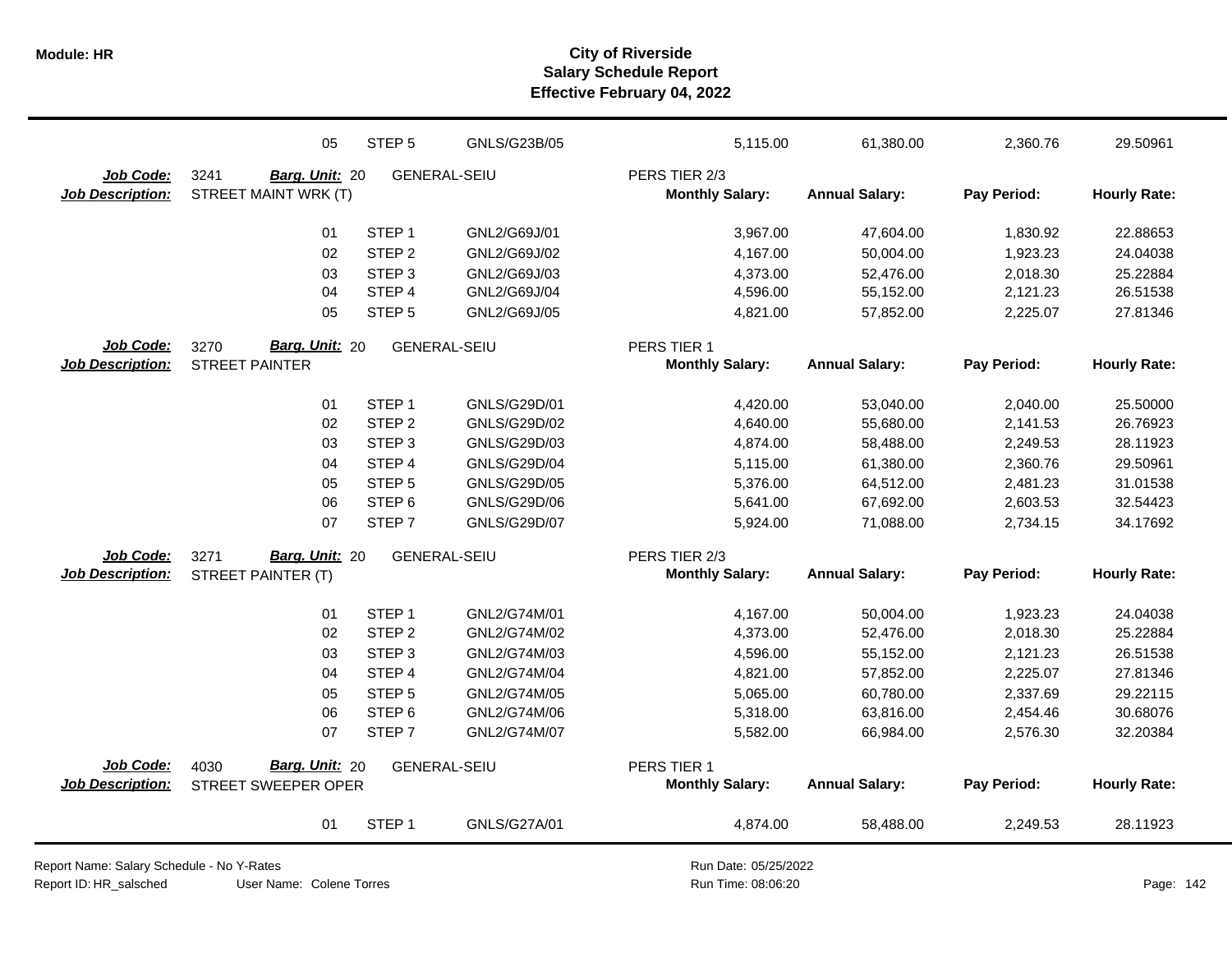|                         | 05                     | STEP <sub>5</sub> | GNLS/G23B/05        | 5,115.00               | 61,380.00             | 2,360.76    | 29.50961            |
|-------------------------|------------------------|-------------------|---------------------|------------------------|-----------------------|-------------|---------------------|
| Job Code:               | 3241<br>Barg. Unit: 20 |                   | <b>GENERAL-SEIU</b> | PERS TIER 2/3          |                       |             |                     |
| <b>Job Description:</b> | STREET MAINT WRK (T)   |                   |                     | <b>Monthly Salary:</b> | <b>Annual Salary:</b> | Pay Period: | <b>Hourly Rate:</b> |
|                         | 01                     | STEP <sub>1</sub> | GNL2/G69J/01        | 3,967.00               | 47,604.00             | 1,830.92    | 22.88653            |
|                         | 02                     | STEP <sub>2</sub> | GNL2/G69J/02        | 4,167.00               | 50,004.00             | 1,923.23    | 24.04038            |
|                         | 03                     | STEP <sub>3</sub> | GNL2/G69J/03        | 4,373.00               | 52,476.00             | 2,018.30    | 25.22884            |
|                         | 04                     | STEP 4            | GNL2/G69J/04        | 4,596.00               | 55,152.00             | 2,121.23    | 26.51538            |
|                         | 05                     | STEP <sub>5</sub> | GNL2/G69J/05        | 4,821.00               | 57,852.00             | 2,225.07    | 27.81346            |
| Job Code:               | Barg. Unit: 20<br>3270 |                   | <b>GENERAL-SEIU</b> | PERS TIER 1            |                       |             |                     |
| <b>Job Description:</b> | <b>STREET PAINTER</b>  |                   |                     | <b>Monthly Salary:</b> | <b>Annual Salary:</b> | Pay Period: | <b>Hourly Rate:</b> |
|                         | 01                     | STEP <sub>1</sub> | GNLS/G29D/01        | 4,420.00               | 53,040.00             | 2,040.00    | 25.50000            |
|                         | 02                     | STEP <sub>2</sub> | GNLS/G29D/02        | 4,640.00               | 55,680.00             | 2,141.53    | 26.76923            |
|                         | 03                     | STEP <sub>3</sub> | GNLS/G29D/03        | 4,874.00               | 58,488.00             | 2,249.53    | 28.11923            |
|                         | 04                     | STEP 4            | GNLS/G29D/04        | 5,115.00               | 61,380.00             | 2,360.76    | 29.50961            |
|                         | 05                     | STEP <sub>5</sub> | GNLS/G29D/05        | 5,376.00               | 64,512.00             | 2,481.23    | 31.01538            |
|                         | 06                     | STEP <sub>6</sub> | GNLS/G29D/06        | 5,641.00               | 67,692.00             | 2,603.53    | 32.54423            |
|                         | 07                     | STEP <sub>7</sub> | GNLS/G29D/07        | 5,924.00               | 71,088.00             | 2,734.15    | 34.17692            |
| <b>Job Code:</b>        | Barg. Unit: 20<br>3271 |                   | <b>GENERAL-SEIU</b> | PERS TIER 2/3          |                       |             |                     |
| <b>Job Description:</b> | STREET PAINTER (T)     |                   |                     | <b>Monthly Salary:</b> | <b>Annual Salary:</b> | Pay Period: | <b>Hourly Rate:</b> |
|                         | 01                     | STEP <sub>1</sub> | GNL2/G74M/01        | 4,167.00               | 50,004.00             | 1,923.23    | 24.04038            |
|                         | 02                     | STEP <sub>2</sub> | GNL2/G74M/02        | 4,373.00               | 52,476.00             | 2,018.30    | 25.22884            |
|                         | 03                     | STEP <sub>3</sub> | GNL2/G74M/03        | 4,596.00               | 55,152.00             | 2,121.23    | 26.51538            |
|                         | 04                     | STEP 4            | GNL2/G74M/04        | 4,821.00               | 57,852.00             | 2,225.07    | 27.81346            |
|                         | 05                     | STEP <sub>5</sub> | GNL2/G74M/05        | 5,065.00               | 60,780.00             | 2,337.69    | 29.22115            |
|                         | 06                     | STEP <sub>6</sub> | GNL2/G74M/06        | 5,318.00               | 63,816.00             | 2,454.46    | 30.68076            |
|                         | 07                     | STEP <sub>7</sub> | GNL2/G74M/07        | 5,582.00               | 66,984.00             | 2,576.30    | 32.20384            |
| Job Code:               | Barg. Unit: 20<br>4030 |                   | <b>GENERAL-SEIU</b> | PERS TIER 1            |                       |             |                     |
| <b>Job Description:</b> | STREET SWEEPER OPER    |                   |                     | <b>Monthly Salary:</b> | <b>Annual Salary:</b> | Pay Period: | <b>Hourly Rate:</b> |
|                         | 01                     | STEP <sub>1</sub> | GNLS/G27A/01        | 4,874.00               | 58,488.00             | 2,249.53    | 28.11923            |

Report Name: Salary Schedule - No Y-Rates Report ID: HR\_salsched

User Name: Colene Torres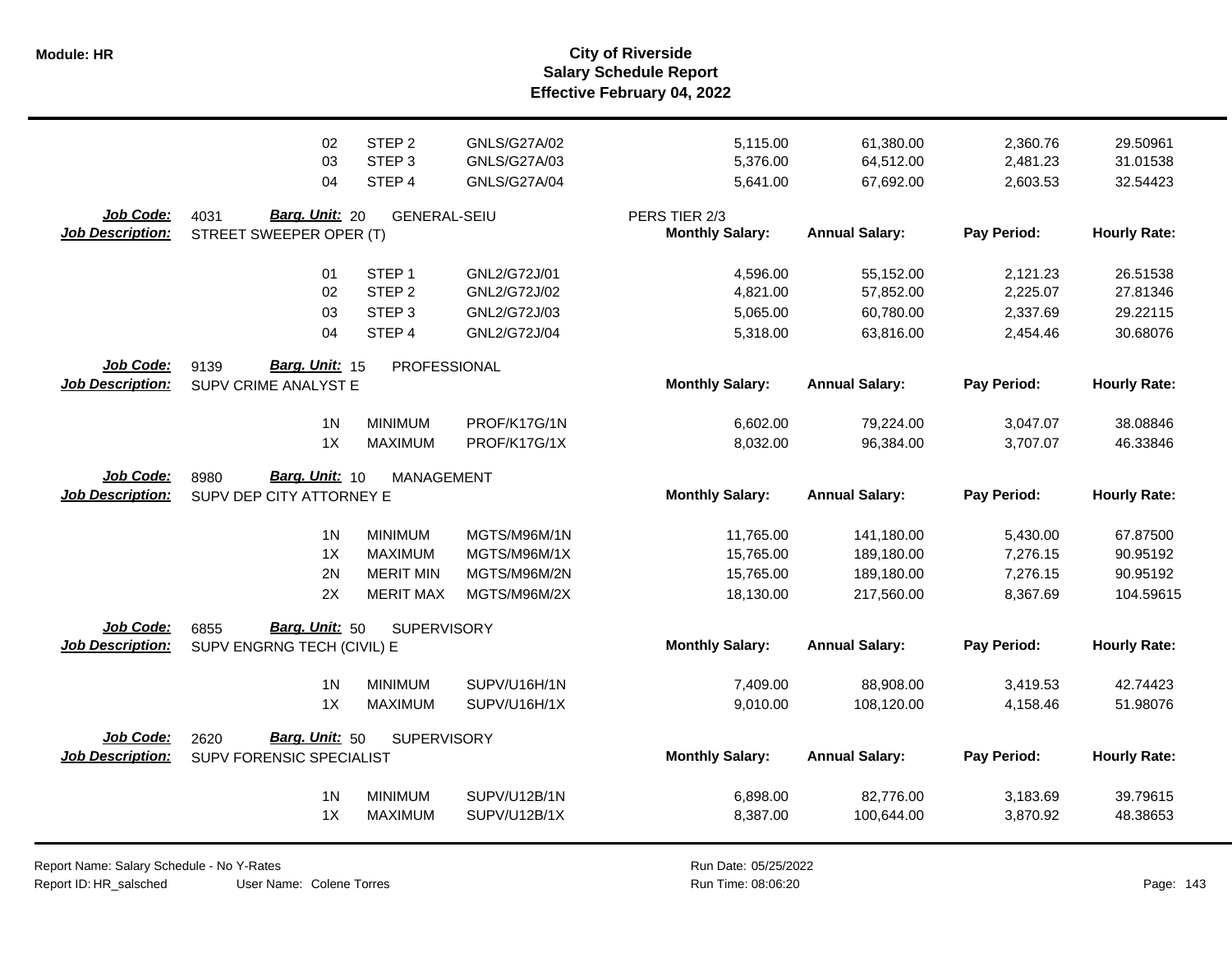**Salary Schedule Report Effective February 04, 2022 Module: HR City of Riverside**

|                                      | 02                                                   | STEP <sub>2</sub>                | GNLS/G27A/02                 | 5,115.00               | 61,380.00                | 2,360.76             | 29.50961             |
|--------------------------------------|------------------------------------------------------|----------------------------------|------------------------------|------------------------|--------------------------|----------------------|----------------------|
|                                      | 03                                                   | STEP <sub>3</sub>                | GNLS/G27A/03                 | 5,376.00               | 64,512.00                | 2,481.23             | 31.01538             |
|                                      | 04                                                   | STEP 4                           | <b>GNLS/G27A/04</b>          | 5,641.00               | 67,692.00                | 2,603.53             | 32.54423             |
|                                      |                                                      |                                  |                              |                        |                          |                      |                      |
| Job Code:                            | <b>Barg. Unit: 20</b><br>4031                        | <b>GENERAL-SEIU</b>              |                              | PERS TIER 2/3          |                          |                      |                      |
| <b>Job Description:</b>              | STREET SWEEPER OPER (T)                              |                                  |                              | <b>Monthly Salary:</b> | <b>Annual Salary:</b>    | Pay Period:          | <b>Hourly Rate:</b>  |
|                                      | 01                                                   | STEP <sub>1</sub>                | GNL2/G72J/01                 | 4,596.00               | 55,152.00                | 2,121.23             | 26.51538             |
|                                      | 02                                                   | STEP <sub>2</sub>                | GNL2/G72J/02                 | 4,821.00               | 57,852.00                | 2,225.07             | 27.81346             |
|                                      | 03                                                   | STEP <sub>3</sub>                | GNL2/G72J/03                 | 5,065.00               | 60,780.00                | 2,337.69             | 29.22115             |
|                                      | 04                                                   | STEP 4                           | GNL2/G72J/04                 | 5,318.00               | 63,816.00                | 2,454.46             | 30.68076             |
| Job Code:                            | Barg. Unit: 15<br>9139                               | PROFESSIONAL                     |                              |                        |                          |                      |                      |
| <b>Job Description:</b>              | SUPV CRIME ANALYST E                                 |                                  |                              | <b>Monthly Salary:</b> | <b>Annual Salary:</b>    | Pay Period:          | <b>Hourly Rate:</b>  |
|                                      | 1 <sub>N</sub>                                       | <b>MINIMUM</b>                   | PROF/K17G/1N                 | 6,602.00               | 79,224.00                | 3,047.07             | 38.08846             |
|                                      | 1X                                                   | <b>MAXIMUM</b>                   | PROF/K17G/1X                 | 8,032.00               | 96,384.00                | 3,707.07             | 46.33846             |
| Job Code:                            | Barg. Unit: 10<br>8980                               | <b>MANAGEMENT</b>                |                              |                        |                          |                      |                      |
| <b>Job Description:</b>              | SUPV DEP CITY ATTORNEY E                             |                                  |                              | <b>Monthly Salary:</b> | <b>Annual Salary:</b>    | Pay Period:          | <b>Hourly Rate:</b>  |
|                                      | 1 <sub>N</sub>                                       | <b>MINIMUM</b>                   | MGTS/M96M/1N                 | 11,765.00              | 141,180.00               | 5,430.00             | 67.87500             |
|                                      |                                                      |                                  |                              |                        |                          |                      |                      |
|                                      | 1X                                                   | <b>MAXIMUM</b>                   | MGTS/M96M/1X                 |                        |                          |                      |                      |
|                                      | 2N                                                   | <b>MERIT MIN</b>                 | MGTS/M96M/2N                 | 15,765.00              | 189,180.00               | 7,276.15             | 90.95192<br>90.95192 |
|                                      | 2X                                                   | <b>MERIT MAX</b>                 | MGTS/M96M/2X                 | 15,765.00<br>18,130.00 | 189,180.00<br>217,560.00 | 7,276.15<br>8,367.69 | 104.59615            |
|                                      |                                                      |                                  |                              |                        |                          |                      |                      |
| Job Code:<br><b>Job Description:</b> | Barg. Unit: 50<br>6855<br>SUPV ENGRNG TECH (CIVIL) E | <b>SUPERVISORY</b>               |                              | <b>Monthly Salary:</b> | <b>Annual Salary:</b>    | Pay Period:          | <b>Hourly Rate:</b>  |
|                                      |                                                      |                                  |                              |                        |                          |                      |                      |
|                                      | 1 <sub>N</sub><br>1X                                 | <b>MINIMUM</b><br><b>MAXIMUM</b> | SUPV/U16H/1N<br>SUPV/U16H/1X | 7,409.00               | 88,908.00                | 3,419.53             | 42.74423             |
|                                      |                                                      |                                  |                              | 9,010.00               | 108,120.00               | 4,158.46             | 51.98076             |
| <b>Job Code:</b>                     | <b>Barg. Unit: 50</b><br>2620                        | <b>SUPERVISORY</b>               |                              |                        |                          |                      |                      |
| <b>Job Description:</b>              | SUPV FORENSIC SPECIALIST                             |                                  |                              | <b>Monthly Salary:</b> | <b>Annual Salary:</b>    | Pay Period:          | <b>Hourly Rate:</b>  |
|                                      | 1 <sub>N</sub>                                       | <b>MINIMUM</b>                   | SUPV/U12B/1N                 |                        | 82,776.00                |                      | 39.79615             |
|                                      | 1X                                                   | <b>MAXIMUM</b>                   | SUPV/U12B/1X                 | 6,898.00<br>8,387.00   | 100,644.00               | 3,183.69<br>3,870.92 | 48.38653             |

Report Name: Salary Schedule - No Y-Rates Report ID: HR\_salsched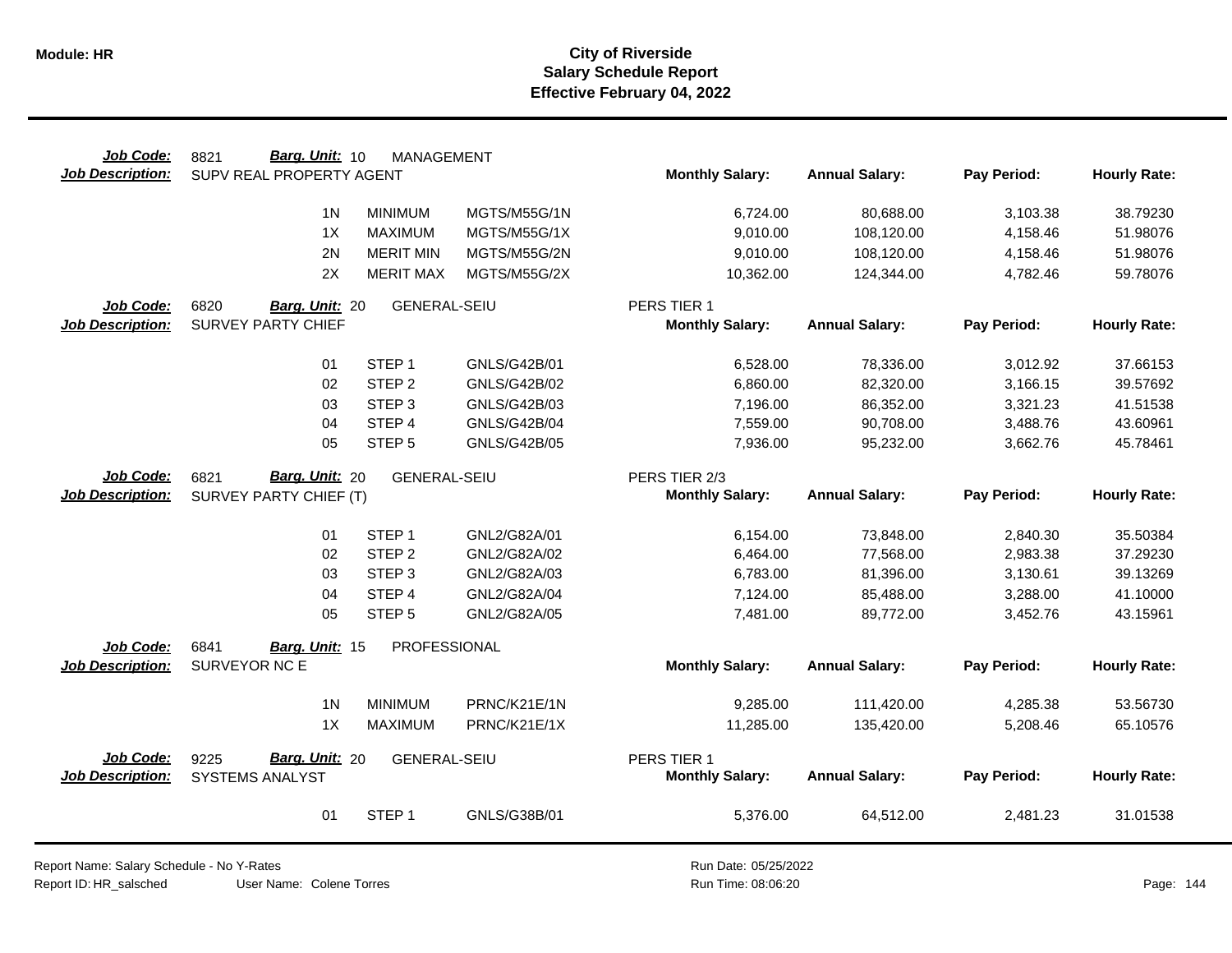| Job Code:                     | Barg. Unit: 10<br>8821          | <b>MANAGEMENT</b>   |                     |                        |                       |             |                     |
|-------------------------------|---------------------------------|---------------------|---------------------|------------------------|-----------------------|-------------|---------------------|
| <b>Job Description:</b>       | SUPV REAL PROPERTY AGENT        |                     |                     | <b>Monthly Salary:</b> | <b>Annual Salary:</b> | Pay Period: | <b>Hourly Rate:</b> |
|                               |                                 |                     |                     |                        |                       |             |                     |
|                               | 1 <sub>N</sub>                  | <b>MINIMUM</b>      | MGTS/M55G/1N        | 6,724.00               | 80,688.00             | 3,103.38    | 38.79230            |
|                               | 1X                              | <b>MAXIMUM</b>      | MGTS/M55G/1X        | 9,010.00               | 108,120.00            | 4,158.46    | 51.98076            |
|                               | 2N                              | <b>MERIT MIN</b>    | MGTS/M55G/2N        | 9,010.00               | 108,120.00            | 4,158.46    | 51.98076            |
|                               | 2X                              | <b>MERIT MAX</b>    | MGTS/M55G/2X        | 10,362.00              | 124,344.00            | 4,782.46    | 59.78076            |
| Job Code:                     | 6820<br>Barg. Unit: 20          | <b>GENERAL-SEIU</b> |                     | PERS TIER 1            |                       |             |                     |
| <b>Job Description:</b>       | <b>SURVEY PARTY CHIEF</b>       |                     |                     | <b>Monthly Salary:</b> | <b>Annual Salary:</b> | Pay Period: | <b>Hourly Rate:</b> |
|                               |                                 |                     |                     |                        |                       |             |                     |
|                               | 01                              | STEP <sub>1</sub>   | GNLS/G42B/01        | 6,528.00               | 78,336.00             | 3,012.92    | 37.66153            |
|                               | 02                              | STEP <sub>2</sub>   | GNLS/G42B/02        | 6,860.00               | 82,320.00             | 3,166.15    | 39.57692            |
|                               | 03                              | STEP <sub>3</sub>   | GNLS/G42B/03        | 7,196.00               | 86,352.00             | 3,321.23    | 41.51538            |
|                               | 04                              | STEP 4              | <b>GNLS/G42B/04</b> | 7,559.00               | 90,708.00             | 3,488.76    | 43.60961            |
|                               | 05                              | STEP <sub>5</sub>   | <b>GNLS/G42B/05</b> | 7,936.00               | 95,232.00             | 3,662.76    | 45.78461            |
| Job Code:                     | Barg. Unit: 20<br>6821          | <b>GENERAL-SEIU</b> |                     | PERS TIER 2/3          |                       |             |                     |
| <b>Job Description:</b>       | SURVEY PARTY CHIEF (T)          |                     |                     | <b>Monthly Salary:</b> | <b>Annual Salary:</b> | Pay Period: | <b>Hourly Rate:</b> |
|                               |                                 |                     |                     |                        |                       |             |                     |
|                               | 01                              | STEP <sub>1</sub>   | GNL2/G82A/01        | 6,154.00               | 73,848.00             | 2,840.30    | 35.50384            |
|                               | 02                              | STEP <sub>2</sub>   | GNL2/G82A/02        | 6,464.00               | 77,568.00             | 2,983.38    | 37.29230            |
|                               | 03                              | STEP <sub>3</sub>   | GNL2/G82A/03        | 6,783.00               | 81,396.00             | 3,130.61    | 39.13269            |
|                               | 04                              | STEP 4              | GNL2/G82A/04        | 7,124.00               | 85,488.00             | 3,288.00    | 41.10000            |
|                               | 05                              | STEP <sub>5</sub>   | GNL2/G82A/05        | 7,481.00               | 89,772.00             | 3,452.76    | 43.15961            |
|                               | 6841                            | PROFESSIONAL        |                     |                        |                       |             |                     |
| Job Code:<br>Job Description: | Barg. Unit: 15<br>SURVEYOR NC E |                     |                     | <b>Monthly Salary:</b> | <b>Annual Salary:</b> | Pay Period: | <b>Hourly Rate:</b> |
|                               |                                 |                     |                     |                        |                       |             |                     |
|                               | 1 <sub>N</sub>                  | <b>MINIMUM</b>      | PRNC/K21E/1N        | 9,285.00               | 111,420.00            | 4,285.38    | 53.56730            |
|                               | 1X                              | <b>MAXIMUM</b>      | PRNC/K21E/1X        | 11,285.00              | 135,420.00            | 5,208.46    | 65.10576            |
|                               |                                 |                     |                     |                        |                       |             |                     |
| Job Code:                     | Barg. Unit: 20<br>9225          | <b>GENERAL-SEIU</b> |                     | PERS TIER 1            |                       |             |                     |
| <b>Job Description:</b>       | SYSTEMS ANALYST                 |                     |                     | <b>Monthly Salary:</b> | <b>Annual Salary:</b> | Pay Period: | <b>Hourly Rate:</b> |
|                               |                                 |                     |                     |                        |                       |             |                     |
|                               | 01                              | STEP <sub>1</sub>   | GNLS/G38B/01        | 5,376.00               | 64,512.00             | 2,481.23    | 31.01538            |

Report Name: Salary Schedule - No Y-Rates

Report ID: HR\_salsched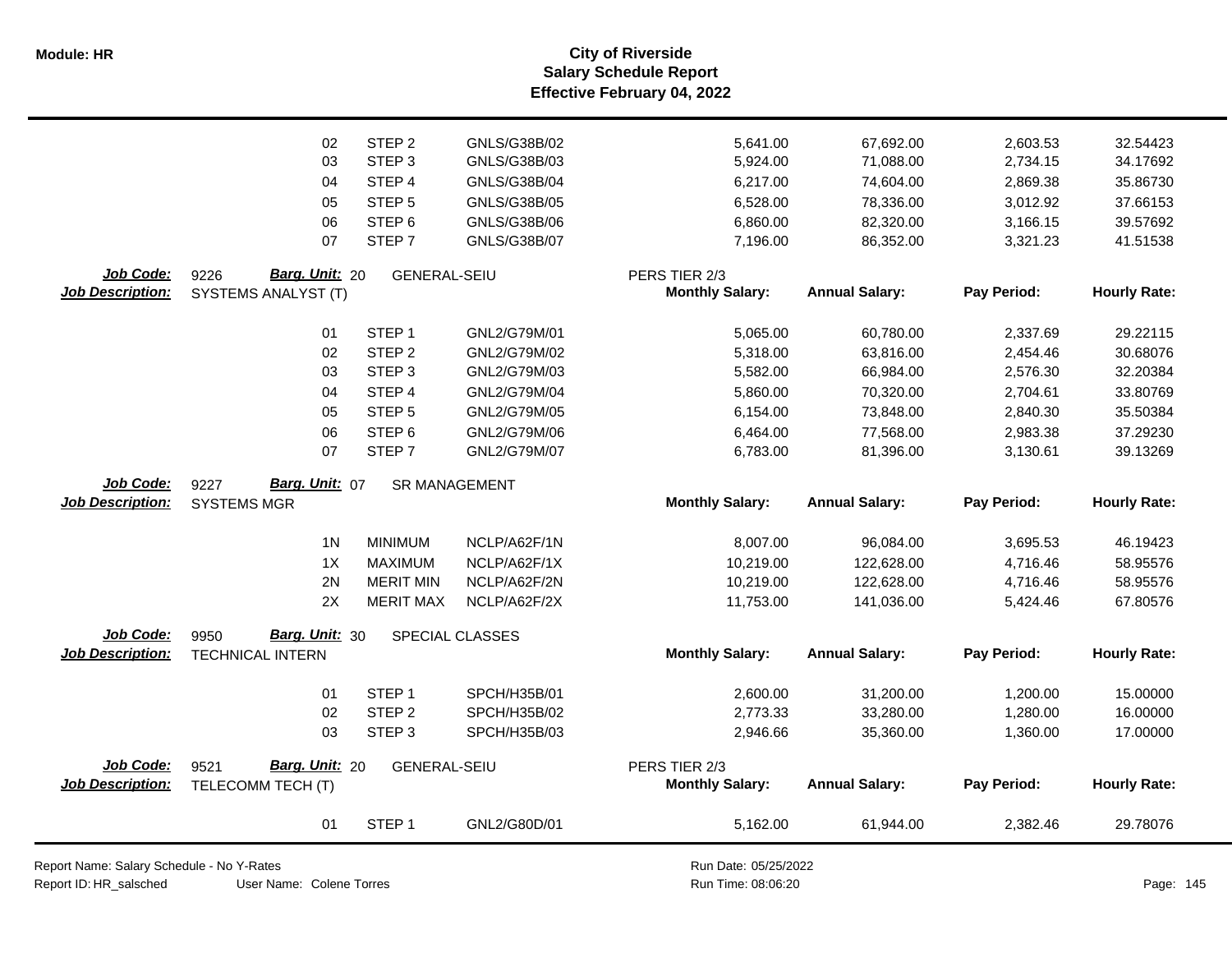**Salary Schedule Report Effective February 04, 2022 Module: HR City of Riverside**

|                         | 02                      | STEP <sub>2</sub>   | GNLS/G38B/02         | 5,641.00               | 67,692.00             | 2,603.53    | 32.54423            |
|-------------------------|-------------------------|---------------------|----------------------|------------------------|-----------------------|-------------|---------------------|
|                         | 03                      | STEP <sub>3</sub>   | GNLS/G38B/03         | 5,924.00               | 71,088.00             | 2,734.15    | 34.17692            |
|                         | 04                      | STEP 4              | GNLS/G38B/04         | 6,217.00               | 74,604.00             | 2,869.38    | 35.86730            |
|                         | 05                      | STEP <sub>5</sub>   | GNLS/G38B/05         | 6,528.00               | 78,336.00             | 3,012.92    | 37.66153            |
|                         | 06                      | STEP <sub>6</sub>   | GNLS/G38B/06         | 6,860.00               | 82,320.00             | 3,166.15    | 39.57692            |
|                         | 07                      | STEP <sub>7</sub>   | GNLS/G38B/07         | 7,196.00               | 86,352.00             | 3,321.23    | 41.51538            |
|                         |                         |                     |                      |                        |                       |             |                     |
| Job Code:               | 9226<br>Barg. Unit: 20  | <b>GENERAL-SEIU</b> |                      | PERS TIER 2/3          |                       |             |                     |
| <b>Job Description:</b> | SYSTEMS ANALYST (T)     |                     |                      | <b>Monthly Salary:</b> | <b>Annual Salary:</b> | Pay Period: | <b>Hourly Rate:</b> |
|                         |                         |                     |                      |                        |                       |             |                     |
|                         | 01                      | STEP <sub>1</sub>   | GNL2/G79M/01         | 5,065.00               | 60,780.00             | 2,337.69    | 29.22115            |
|                         | 02                      | STEP <sub>2</sub>   | GNL2/G79M/02         | 5,318.00               | 63,816.00             | 2,454.46    | 30.68076            |
|                         | 03                      | STEP <sub>3</sub>   | GNL2/G79M/03         | 5,582.00               | 66,984.00             | 2,576.30    | 32.20384            |
|                         | 04                      | STEP 4              | GNL2/G79M/04         | 5,860.00               | 70,320.00             | 2,704.61    | 33.80769            |
|                         | 05                      | STEP <sub>5</sub>   | GNL2/G79M/05         | 6,154.00               | 73,848.00             | 2,840.30    | 35.50384            |
|                         | 06                      | STEP <sub>6</sub>   | GNL2/G79M/06         | 6,464.00               | 77,568.00             | 2,983.38    | 37.29230            |
|                         | 07                      | STEP <sub>7</sub>   | GNL2/G79M/07         | 6,783.00               | 81,396.00             | 3,130.61    | 39.13269            |
|                         |                         |                     |                      |                        |                       |             |                     |
| Job Code:               | Barg. Unit: 07<br>9227  |                     | <b>SR MANAGEMENT</b> |                        |                       |             |                     |
|                         |                         |                     |                      |                        |                       |             |                     |
| <b>Job Description:</b> | <b>SYSTEMS MGR</b>      |                     |                      | <b>Monthly Salary:</b> | <b>Annual Salary:</b> | Pay Period: | <b>Hourly Rate:</b> |
|                         |                         |                     |                      |                        |                       |             |                     |
|                         | 1 <sub>N</sub>          | <b>MINIMUM</b>      | NCLP/A62F/1N         | 8,007.00               | 96,084.00             | 3,695.53    | 46.19423            |
|                         | 1X                      | <b>MAXIMUM</b>      | NCLP/A62F/1X         | 10,219.00              | 122,628.00            | 4,716.46    | 58.95576            |
|                         | 2N                      | <b>MERIT MIN</b>    | NCLP/A62F/2N         | 10,219.00              | 122,628.00            | 4,716.46    | 58.95576            |
|                         | 2X                      | <b>MERIT MAX</b>    | NCLP/A62F/2X         | 11,753.00              | 141,036.00            | 5,424.46    | 67.80576            |
| Job Code:               | Barg. Unit: 30<br>9950  |                     |                      |                        |                       |             |                     |
| <b>Job Description:</b> | <b>TECHNICAL INTERN</b> |                     | SPECIAL CLASSES      | <b>Monthly Salary:</b> | <b>Annual Salary:</b> | Pay Period: | <b>Hourly Rate:</b> |
|                         |                         |                     |                      |                        |                       |             |                     |
|                         | 01                      | STEP <sub>1</sub>   | SPCH/H35B/01         | 2,600.00               | 31,200.00             | 1,200.00    | 15.00000            |
|                         | 02                      | STEP <sub>2</sub>   | SPCH/H35B/02         | 2,773.33               | 33,280.00             | 1,280.00    | 16.00000            |
|                         | 03                      | STEP <sub>3</sub>   | SPCH/H35B/03         | 2,946.66               | 35,360.00             | 1,360.00    | 17.00000            |
|                         |                         |                     |                      |                        |                       |             |                     |
| Job Code:               | Barg. Unit: 20<br>9521  | <b>GENERAL-SEIU</b> |                      | PERS TIER 2/3          |                       |             |                     |
| <b>Job Description:</b> | TELECOMM TECH (T)       |                     |                      | <b>Monthly Salary:</b> | <b>Annual Salary:</b> | Pay Period: | <b>Hourly Rate:</b> |
|                         |                         |                     |                      |                        |                       |             |                     |
|                         | 01                      | STEP <sub>1</sub>   | GNL2/G80D/01         | 5,162.00               | 61,944.00             | 2,382.46    | 29.78076            |

Report Name: Salary Schedule - No Y-Rates

Report ID: HR\_salsched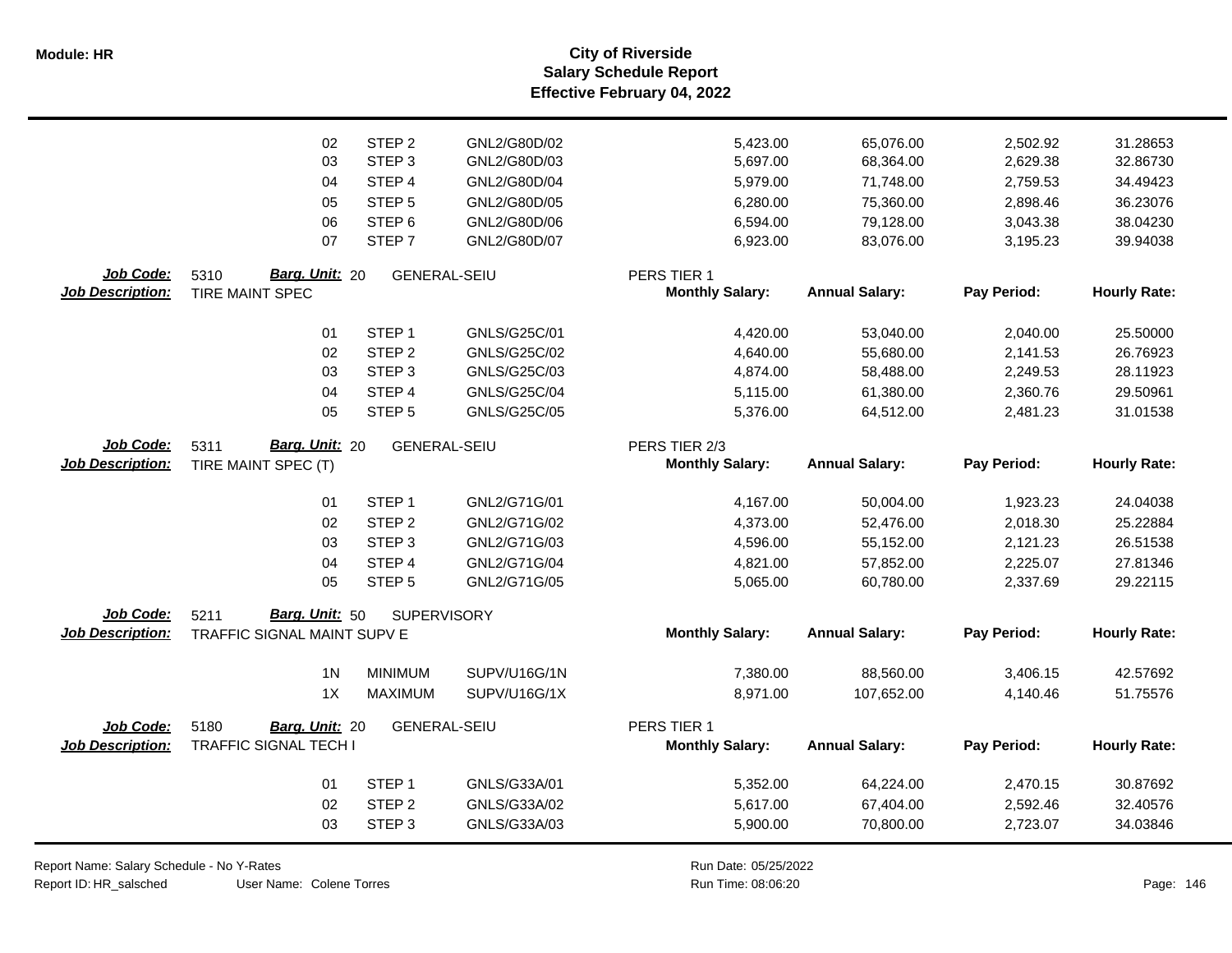|                         | 02                           | STEP <sub>2</sub>   | GNL2/G80D/02 | 5,423.00               | 65,076.00             | 2,502.92    | 31.28653            |
|-------------------------|------------------------------|---------------------|--------------|------------------------|-----------------------|-------------|---------------------|
|                         | 03                           | STEP <sub>3</sub>   | GNL2/G80D/03 | 5,697.00               | 68,364.00             | 2,629.38    | 32.86730            |
|                         | 04                           | STEP 4              | GNL2/G80D/04 | 5,979.00               | 71,748.00             | 2,759.53    | 34.49423            |
|                         | 05                           | STEP <sub>5</sub>   | GNL2/G80D/05 | 6,280.00               | 75,360.00             | 2,898.46    | 36.23076            |
|                         | 06                           | STEP <sub>6</sub>   | GNL2/G80D/06 | 6,594.00               | 79,128.00             | 3,043.38    | 38.04230            |
|                         | 07                           | STEP <sub>7</sub>   | GNL2/G80D/07 | 6,923.00               | 83,076.00             | 3,195.23    | 39.94038            |
| Job Code:               | Barg. Unit: 20<br>5310       | <b>GENERAL-SEIU</b> |              | PERS TIER 1            |                       |             |                     |
| <b>Job Description:</b> | TIRE MAINT SPEC              |                     |              | <b>Monthly Salary:</b> | <b>Annual Salary:</b> | Pay Period: | <b>Hourly Rate:</b> |
|                         | 01                           | STEP <sub>1</sub>   | GNLS/G25C/01 | 4,420.00               | 53,040.00             | 2,040.00    | 25.50000            |
|                         | 02                           | STEP <sub>2</sub>   | GNLS/G25C/02 | 4,640.00               | 55,680.00             | 2,141.53    | 26.76923            |
|                         | 03                           | STEP <sub>3</sub>   | GNLS/G25C/03 | 4,874.00               | 58,488.00             | 2,249.53    | 28.11923            |
|                         | 04                           | STEP <sub>4</sub>   | GNLS/G25C/04 | 5,115.00               | 61,380.00             | 2,360.76    | 29.50961            |
|                         | 05                           | STEP <sub>5</sub>   | GNLS/G25C/05 | 5,376.00               | 64,512.00             | 2,481.23    | 31.01538            |
| Job Code:               | Barg. Unit: 20<br>5311       | <b>GENERAL-SEIU</b> |              | PERS TIER 2/3          |                       |             |                     |
| <b>Job Description:</b> | TIRE MAINT SPEC (T)          |                     |              | <b>Monthly Salary:</b> | <b>Annual Salary:</b> | Pay Period: | <b>Hourly Rate:</b> |
|                         |                              |                     |              |                        |                       |             |                     |
|                         | 01                           | STEP <sub>1</sub>   | GNL2/G71G/01 | 4,167.00               | 50,004.00             | 1,923.23    | 24.04038            |
|                         | 02                           | STEP <sub>2</sub>   | GNL2/G71G/02 | 4,373.00               | 52,476.00             | 2,018.30    | 25.22884            |
|                         | 03                           | STEP <sub>3</sub>   | GNL2/G71G/03 | 4,596.00               | 55,152.00             | 2,121.23    | 26.51538            |
|                         | 04                           | STEP <sub>4</sub>   | GNL2/G71G/04 | 4,821.00               | 57,852.00             | 2,225.07    | 27.81346            |
|                         | 05                           | STEP <sub>5</sub>   | GNL2/G71G/05 | 5,065.00               | 60,780.00             | 2,337.69    | 29.22115            |
| Job Code:               | Barg. Unit: 50<br>5211       | <b>SUPERVISORY</b>  |              |                        |                       |             |                     |
| <b>Job Description:</b> | TRAFFIC SIGNAL MAINT SUPV E  |                     |              | <b>Monthly Salary:</b> | <b>Annual Salary:</b> | Pay Period: | <b>Hourly Rate:</b> |
|                         | 1 <sub>N</sub>               | <b>MINIMUM</b>      | SUPV/U16G/1N | 7,380.00               | 88,560.00             | 3,406.15    | 42.57692            |
|                         | 1X                           | <b>MAXIMUM</b>      | SUPV/U16G/1X | 8,971.00               | 107,652.00            | 4,140.46    | 51.75576            |
| Job Code:               | 5180<br>Barg. Unit: 20       | <b>GENERAL-SEIU</b> |              | PERS TIER 1            |                       |             |                     |
| <b>Job Description:</b> | <b>TRAFFIC SIGNAL TECH I</b> |                     |              | <b>Monthly Salary:</b> | <b>Annual Salary:</b> | Pay Period: | <b>Hourly Rate:</b> |
|                         | 01                           | STEP <sub>1</sub>   | GNLS/G33A/01 | 5,352.00               | 64,224.00             | 2,470.15    | 30.87692            |
|                         | 02                           | STEP <sub>2</sub>   | GNLS/G33A/02 | 5,617.00               | 67,404.00             | 2,592.46    | 32.40576            |
|                         | 03                           | STEP <sub>3</sub>   | GNLS/G33A/03 | 5,900.00               | 70,800.00             | 2,723.07    | 34.03846            |
|                         |                              |                     |              |                        |                       |             |                     |

Report Name: Salary Schedule - No Y-Rates

Report ID: HR\_salsched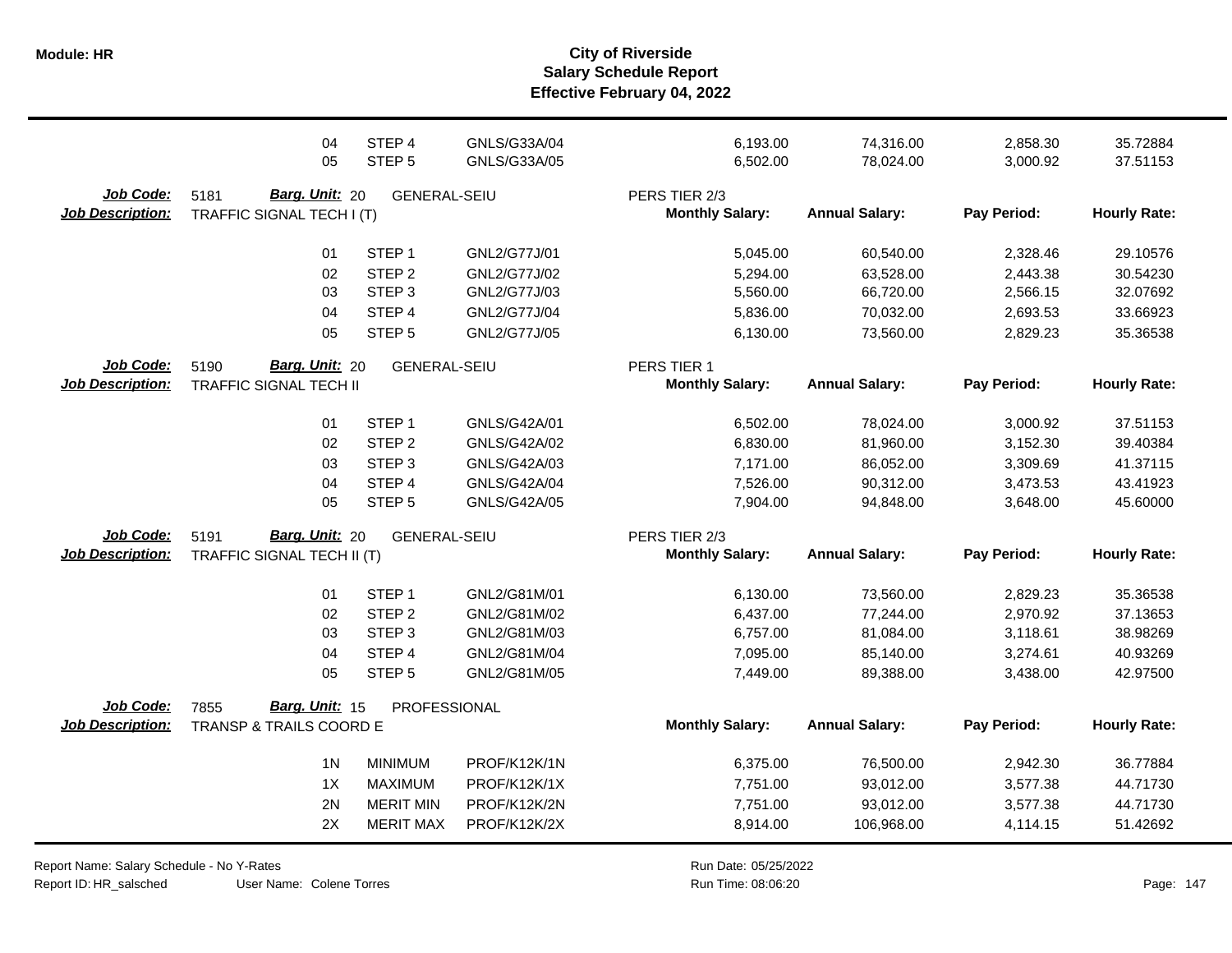|                                      | 04                                                             | STEP 4              | GNLS/G33A/04 | 6,193.00                                | 74,316.00             | 2,858.30    | 35.72884            |
|--------------------------------------|----------------------------------------------------------------|---------------------|--------------|-----------------------------------------|-----------------------|-------------|---------------------|
|                                      | 05                                                             | STEP <sub>5</sub>   | GNLS/G33A/05 | 6,502.00                                | 78,024.00             | 3,000.92    | 37.51153            |
| Job Code:<br><b>Job Description:</b> | 5181<br>Barg. Unit: 20<br>TRAFFIC SIGNAL TECH I (T)            | <b>GENERAL-SEIU</b> |              | PERS TIER 2/3<br><b>Monthly Salary:</b> | <b>Annual Salary:</b> | Pay Period: | <b>Hourly Rate:</b> |
|                                      | 01                                                             | STEP <sub>1</sub>   | GNL2/G77J/01 | 5,045.00                                | 60,540.00             | 2,328.46    | 29.10576            |
|                                      | 02                                                             | STEP <sub>2</sub>   | GNL2/G77J/02 | 5,294.00                                | 63,528.00             | 2,443.38    | 30.54230            |
|                                      | 03                                                             | STEP <sub>3</sub>   | GNL2/G77J/03 | 5,560.00                                | 66,720.00             | 2,566.15    | 32.07692            |
|                                      | 04                                                             | STEP 4              | GNL2/G77J/04 | 5,836.00                                | 70,032.00             | 2,693.53    | 33.66923            |
|                                      | 05                                                             | STEP <sub>5</sub>   | GNL2/G77J/05 | 6,130.00                                | 73,560.00             | 2,829.23    | 35.36538            |
| Job Code:<br>Job Description:        | <b>Barg. Unit: 20</b><br>5190<br><b>TRAFFIC SIGNAL TECH II</b> | <b>GENERAL-SEIU</b> |              | PERS TIER 1<br><b>Monthly Salary:</b>   | <b>Annual Salary:</b> | Pay Period: | <b>Hourly Rate:</b> |
|                                      | 01                                                             | STEP <sub>1</sub>   | GNLS/G42A/01 | 6,502.00                                | 78,024.00             | 3,000.92    | 37.51153            |
|                                      | 02                                                             | STEP <sub>2</sub>   | GNLS/G42A/02 | 6,830.00                                | 81,960.00             | 3,152.30    | 39.40384            |
|                                      | 03                                                             | STEP <sub>3</sub>   | GNLS/G42A/03 | 7,171.00                                | 86,052.00             | 3,309.69    | 41.37115            |
|                                      | 04                                                             | STEP 4              | GNLS/G42A/04 | 7,526.00                                | 90,312.00             | 3,473.53    | 43.41923            |
|                                      | 05                                                             | STEP <sub>5</sub>   | GNLS/G42A/05 | 7,904.00                                | 94,848.00             | 3,648.00    | 45.60000            |
| Job Code:<br><b>Job Description:</b> | Barg. Unit: 20<br>5191<br>TRAFFIC SIGNAL TECH II (T)           | <b>GENERAL-SEIU</b> |              | PERS TIER 2/3<br><b>Monthly Salary:</b> | <b>Annual Salary:</b> | Pay Period: | <b>Hourly Rate:</b> |
|                                      | 01                                                             | STEP <sub>1</sub>   | GNL2/G81M/01 | 6,130.00                                | 73,560.00             | 2,829.23    | 35.36538            |
|                                      | 02                                                             | STEP <sub>2</sub>   | GNL2/G81M/02 | 6,437.00                                | 77,244.00             | 2,970.92    | 37.13653            |
|                                      | 03                                                             | STEP <sub>3</sub>   | GNL2/G81M/03 | 6,757.00                                | 81,084.00             | 3,118.61    | 38.98269            |
|                                      | 04                                                             | STEP 4              | GNL2/G81M/04 | 7,095.00                                | 85,140.00             | 3,274.61    | 40.93269            |
|                                      | 05                                                             | STEP <sub>5</sub>   | GNL2/G81M/05 | 7,449.00                                | 89,388.00             | 3,438.00    | 42.97500            |
| Job Code:<br><b>Job Description:</b> | Barg. Unit: 15<br>7855<br>TRANSP & TRAILS COORD E              | PROFESSIONAL        |              | <b>Monthly Salary:</b>                  | <b>Annual Salary:</b> | Pay Period: | <b>Hourly Rate:</b> |
|                                      | 1 <sub>N</sub>                                                 | <b>MINIMUM</b>      | PROF/K12K/1N | 6,375.00                                | 76,500.00             | 2,942.30    | 36.77884            |
|                                      | 1X                                                             | <b>MAXIMUM</b>      | PROF/K12K/1X | 7,751.00                                | 93,012.00             | 3,577.38    | 44.71730            |
|                                      | 2N                                                             | <b>MERIT MIN</b>    | PROF/K12K/2N | 7,751.00                                | 93,012.00             | 3,577.38    | 44.71730            |
|                                      | 2X                                                             | <b>MERIT MAX</b>    | PROF/K12K/2X | 8,914.00                                | 106,968.00            | 4,114.15    | 51.42692            |

Report Name: Salary Schedule - No Y-Rates Report ID: HR\_salsched

User Name: Colene Torres

Run Date: 05/25/2022 08:06:20 Colene Torres Run Time: Page: 147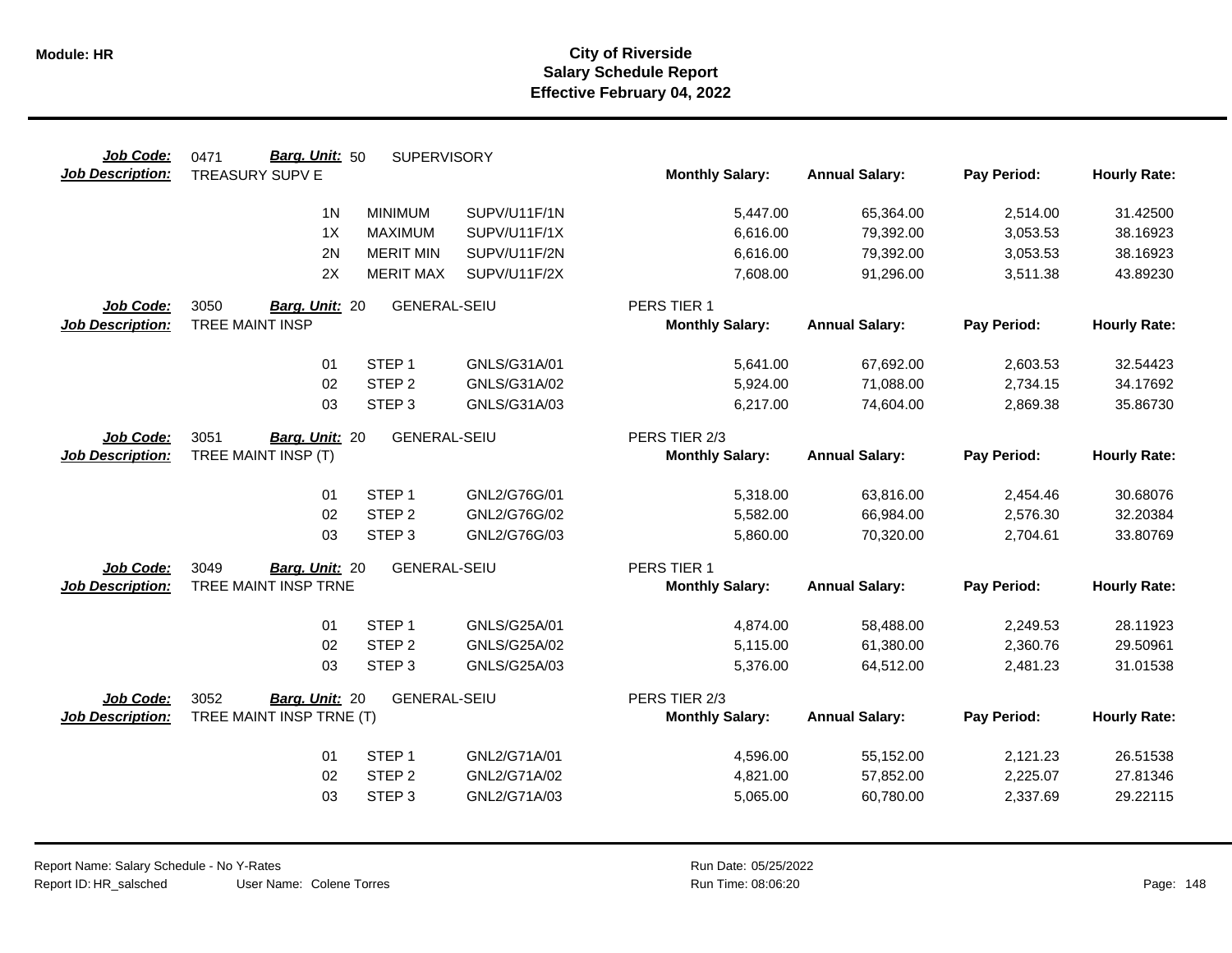| Job Code:               | Barg. Unit: 50<br>0471   | <b>SUPERVISORY</b>  |              |                        |                       |             |                     |
|-------------------------|--------------------------|---------------------|--------------|------------------------|-----------------------|-------------|---------------------|
| <b>Job Description:</b> | <b>TREASURY SUPV E</b>   |                     |              | <b>Monthly Salary:</b> | <b>Annual Salary:</b> | Pay Period: | <b>Hourly Rate:</b> |
|                         | 1 <sup>N</sup>           | <b>MINIMUM</b>      | SUPV/U11F/1N | 5,447.00               | 65,364.00             | 2,514.00    | 31.42500            |
|                         | 1X                       | <b>MAXIMUM</b>      | SUPV/U11F/1X | 6,616.00               | 79,392.00             | 3,053.53    | 38.16923            |
|                         | 2N                       | <b>MERIT MIN</b>    | SUPV/U11F/2N | 6,616.00               | 79,392.00             | 3,053.53    | 38.16923            |
|                         | 2X                       | <b>MERIT MAX</b>    | SUPV/U11F/2X | 7,608.00               | 91,296.00             | 3,511.38    | 43.89230            |
| Job Code:               | 3050<br>Barg. Unit: 20   | <b>GENERAL-SEIU</b> |              | PERS TIER 1            |                       |             |                     |
| <b>Job Description:</b> | TREE MAINT INSP          |                     |              | <b>Monthly Salary:</b> | <b>Annual Salary:</b> | Pay Period: | <b>Hourly Rate:</b> |
|                         | 01                       | STEP <sub>1</sub>   | GNLS/G31A/01 | 5,641.00               | 67,692.00             | 2,603.53    | 32.54423            |
|                         | 02                       | STEP <sub>2</sub>   | GNLS/G31A/02 | 5,924.00               | 71,088.00             | 2,734.15    | 34.17692            |
|                         | 03                       | STEP <sub>3</sub>   | GNLS/G31A/03 | 6,217.00               | 74,604.00             | 2,869.38    | 35.86730            |
| Job Code:               | 3051<br>Barg. Unit: 20   | <b>GENERAL-SEIU</b> |              | PERS TIER 2/3          |                       |             |                     |
| <b>Job Description:</b> | TREE MAINT INSP (T)      |                     |              | <b>Monthly Salary:</b> | <b>Annual Salary:</b> | Pay Period: | <b>Hourly Rate:</b> |
|                         | 01                       | STEP <sub>1</sub>   | GNL2/G76G/01 | 5,318.00               | 63,816.00             | 2,454.46    | 30.68076            |
|                         | 02                       | STEP <sub>2</sub>   | GNL2/G76G/02 | 5,582.00               | 66,984.00             | 2,576.30    | 32.20384            |
|                         | 03                       | STEP <sub>3</sub>   | GNL2/G76G/03 | 5,860.00               | 70,320.00             | 2,704.61    | 33.80769            |
| Job Code:               | 3049<br>Barg. Unit: 20   | <b>GENERAL-SEIU</b> |              | PERS TIER 1            |                       |             |                     |
| <b>Job Description:</b> | TREE MAINT INSP TRNE     |                     |              | <b>Monthly Salary:</b> | <b>Annual Salary:</b> | Pay Period: | <b>Hourly Rate:</b> |
|                         | 01                       | STEP <sub>1</sub>   | GNLS/G25A/01 | 4,874.00               | 58,488.00             | 2,249.53    | 28.11923            |
|                         | 02                       | STEP <sub>2</sub>   | GNLS/G25A/02 | 5,115.00               | 61,380.00             | 2,360.76    | 29.50961            |
|                         | 03                       | STEP <sub>3</sub>   | GNLS/G25A/03 | 5,376.00               | 64,512.00             | 2,481.23    | 31.01538            |
| Job Code:               | 3052<br>Barg. Unit: 20   | <b>GENERAL-SEIU</b> |              | PERS TIER 2/3          |                       |             |                     |
| <b>Job Description:</b> | TREE MAINT INSP TRNE (T) |                     |              | <b>Monthly Salary:</b> | <b>Annual Salary:</b> | Pay Period: | <b>Hourly Rate:</b> |
|                         | 01                       | STEP <sub>1</sub>   | GNL2/G71A/01 | 4,596.00               | 55,152.00             | 2,121.23    | 26.51538            |
|                         | 02                       | STEP <sub>2</sub>   | GNL2/G71A/02 | 4,821.00               | 57,852.00             | 2,225.07    | 27.81346            |
|                         | 03                       | STEP <sub>3</sub>   | GNL2/G71A/03 | 5,065.00               | 60,780.00             | 2,337.69    | 29.22115            |
|                         |                          |                     |              |                        |                       |             |                     |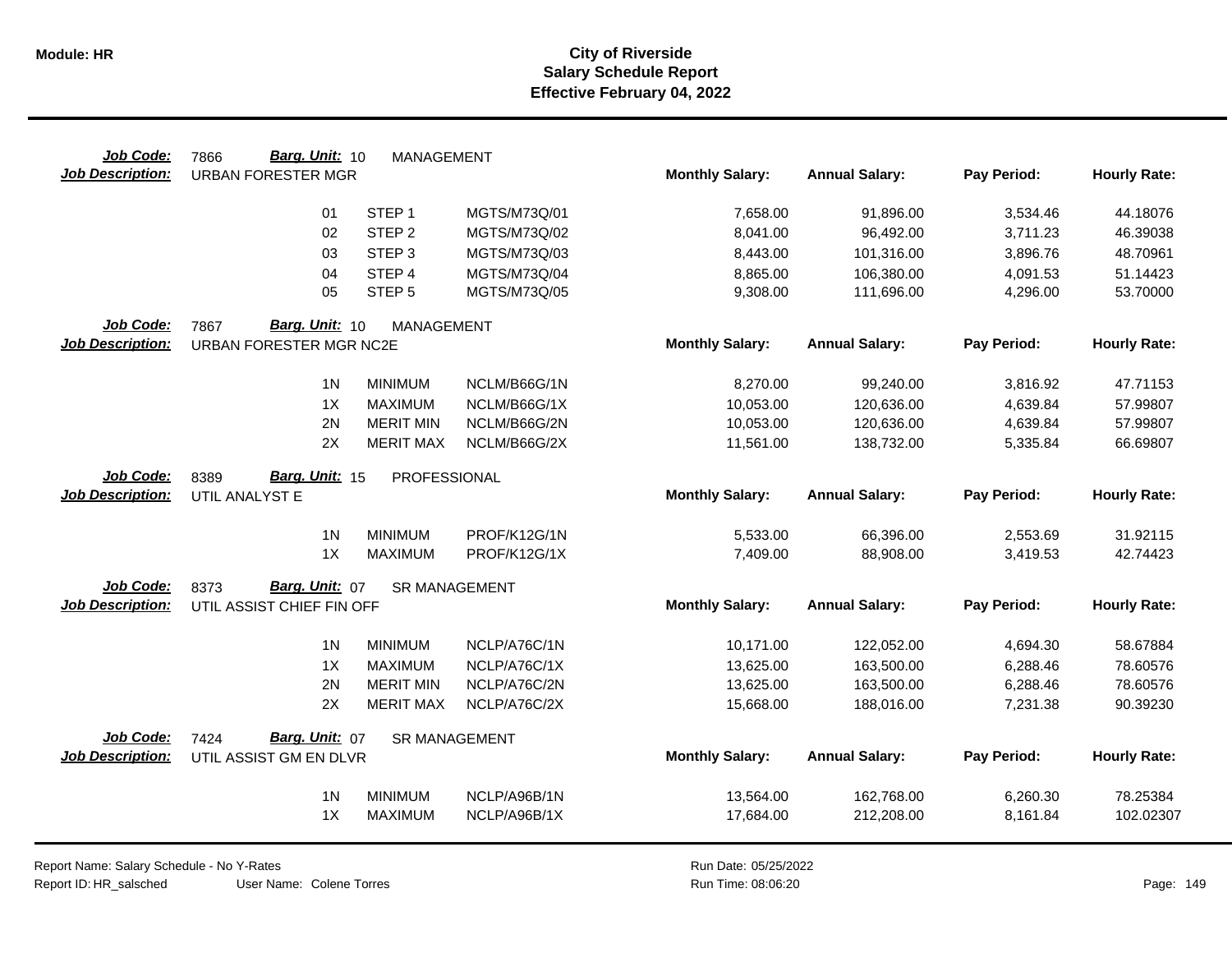| Job Code:               | Barg. Unit: 10<br>7866    | <b>MANAGEMENT</b>    |              |                        |                       |             |                     |
|-------------------------|---------------------------|----------------------|--------------|------------------------|-----------------------|-------------|---------------------|
| <b>Job Description:</b> | <b>URBAN FORESTER MGR</b> |                      |              | <b>Monthly Salary:</b> | <b>Annual Salary:</b> | Pay Period: | <b>Hourly Rate:</b> |
|                         | 01                        | STEP <sub>1</sub>    | MGTS/M73Q/01 | 7,658.00               | 91,896.00             | 3,534.46    | 44.18076            |
|                         | 02                        | STEP <sub>2</sub>    | MGTS/M73Q/02 | 8,041.00               | 96,492.00             | 3,711.23    | 46.39038            |
|                         | 03                        | STEP <sub>3</sub>    | MGTS/M73Q/03 | 8,443.00               | 101,316.00            | 3,896.76    | 48.70961            |
|                         | 04                        | STEP <sub>4</sub>    | MGTS/M73Q/04 | 8,865.00               | 106,380.00            | 4,091.53    | 51.14423            |
|                         | 05                        | STEP <sub>5</sub>    | MGTS/M73Q/05 | 9,308.00               | 111,696.00            | 4,296.00    | 53.70000            |
| Job Code:               | 7867<br>Barg. Unit: 10    | MANAGEMENT           |              |                        |                       |             |                     |
| <b>Job Description:</b> | URBAN FORESTER MGR NC2E   |                      |              | <b>Monthly Salary:</b> | <b>Annual Salary:</b> | Pay Period: | <b>Hourly Rate:</b> |
|                         | 1 <sup>N</sup>            | <b>MINIMUM</b>       | NCLM/B66G/1N | 8,270.00               | 99,240.00             | 3,816.92    | 47.71153            |
|                         | 1X                        | <b>MAXIMUM</b>       | NCLM/B66G/1X | 10,053.00              | 120,636.00            | 4,639.84    | 57.99807            |
|                         | 2N                        | <b>MERIT MIN</b>     | NCLM/B66G/2N | 10,053.00              | 120,636.00            | 4,639.84    | 57.99807            |
|                         | 2X                        | <b>MERIT MAX</b>     | NCLM/B66G/2X | 11,561.00              | 138,732.00            | 5,335.84    | 66.69807            |
| Job Code:               | Barg. Unit: 15<br>8389    | PROFESSIONAL         |              |                        |                       |             |                     |
| <b>Job Description:</b> | UTIL ANALYST E            |                      |              | <b>Monthly Salary:</b> | <b>Annual Salary:</b> | Pay Period: | <b>Hourly Rate:</b> |
|                         | 1 <sub>N</sub>            | <b>MINIMUM</b>       | PROF/K12G/1N | 5,533.00               | 66,396.00             | 2,553.69    | 31.92115            |
|                         | 1X                        | <b>MAXIMUM</b>       | PROF/K12G/1X | 7,409.00               | 88,908.00             | 3,419.53    | 42.74423            |
| Job Code:               | Barg. Unit: 07<br>8373    | <b>SR MANAGEMENT</b> |              |                        |                       |             |                     |
| <b>Job Description:</b> | UTIL ASSIST CHIEF FIN OFF |                      |              | <b>Monthly Salary:</b> | <b>Annual Salary:</b> | Pay Period: | <b>Hourly Rate:</b> |
|                         | 1 <sub>N</sub>            | <b>MINIMUM</b>       | NCLP/A76C/1N | 10,171.00              | 122,052.00            | 4,694.30    | 58.67884            |
|                         | 1X                        | <b>MAXIMUM</b>       | NCLP/A76C/1X | 13,625.00              | 163,500.00            | 6,288.46    | 78.60576            |
|                         | 2N                        | <b>MERIT MIN</b>     | NCLP/A76C/2N | 13,625.00              | 163,500.00            | 6,288.46    | 78.60576            |
|                         | 2X                        | <b>MERIT MAX</b>     | NCLP/A76C/2X | 15,668.00              | 188,016.00            | 7,231.38    | 90.39230            |
| Job Code:               | Barg. Unit: 07<br>7424    | <b>SR MANAGEMENT</b> |              |                        |                       |             |                     |
| <b>Job Description:</b> | UTIL ASSIST GM EN DLVR    |                      |              | <b>Monthly Salary:</b> | <b>Annual Salary:</b> | Pay Period: | <b>Hourly Rate:</b> |
|                         | 1 <sub>N</sub>            | <b>MINIMUM</b>       | NCLP/A96B/1N | 13,564.00              | 162,768.00            | 6,260.30    | 78.25384            |
|                         | 1X                        | <b>MAXIMUM</b>       | NCLP/A96B/1X | 17,684.00              | 212,208.00            | 8,161.84    | 102.02307           |
|                         |                           |                      |              |                        |                       |             |                     |

Report Name: Salary Schedule - No Y-Rates Report ID: HR\_salsched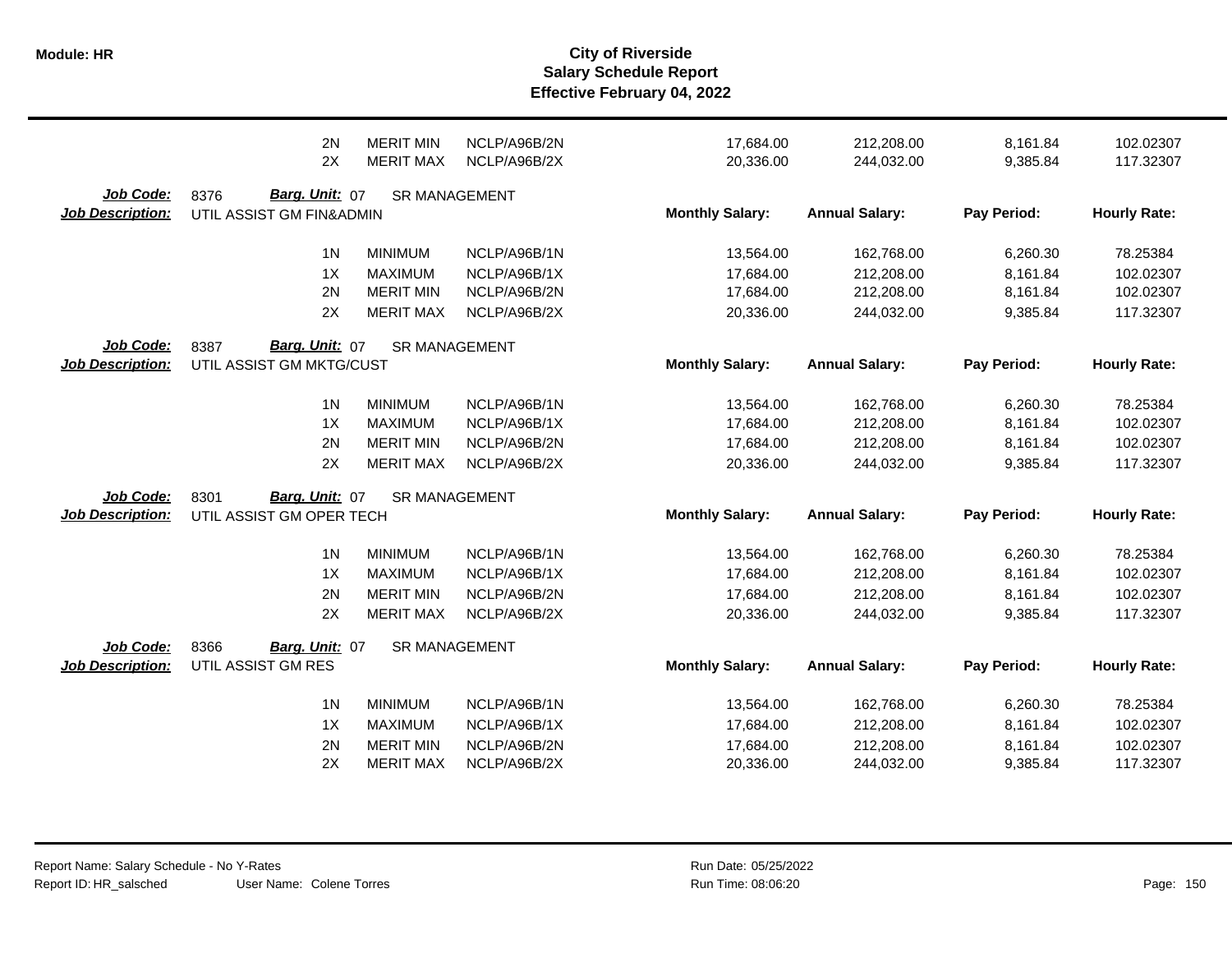|                                      | 2N                                                 | <b>MERIT MIN</b>     | NCLP/A96B/2N | 17,684.00              | 212,208.00            | 8,161.84    | 102.02307           |
|--------------------------------------|----------------------------------------------------|----------------------|--------------|------------------------|-----------------------|-------------|---------------------|
|                                      | 2X                                                 | <b>MERIT MAX</b>     | NCLP/A96B/2X | 20,336.00              | 244,032.00            | 9,385.84    | 117.32307           |
| Job Code:<br><b>Job Description:</b> | Barg. Unit: 07<br>8376<br>UTIL ASSIST GM FIN&ADMIN | <b>SR MANAGEMENT</b> |              | <b>Monthly Salary:</b> | <b>Annual Salary:</b> | Pay Period: | <b>Hourly Rate:</b> |
|                                      | 1 <sub>N</sub>                                     | <b>MINIMUM</b>       | NCLP/A96B/1N | 13,564.00              | 162,768.00            | 6,260.30    | 78.25384            |
|                                      | 1X                                                 | <b>MAXIMUM</b>       | NCLP/A96B/1X | 17,684.00              | 212,208.00            | 8,161.84    | 102.02307           |
|                                      | 2N                                                 | <b>MERIT MIN</b>     | NCLP/A96B/2N | 17,684.00              | 212,208.00            | 8,161.84    | 102.02307           |
|                                      | 2X                                                 | <b>MERIT MAX</b>     | NCLP/A96B/2X | 20,336.00              | 244,032.00            | 9,385.84    | 117.32307           |
| Job Code:<br><b>Job Description:</b> | Barg. Unit: 07<br>8387<br>UTIL ASSIST GM MKTG/CUST | <b>SR MANAGEMENT</b> |              | <b>Monthly Salary:</b> | <b>Annual Salary:</b> | Pay Period: | <b>Hourly Rate:</b> |
|                                      | 1 <sub>N</sub>                                     | <b>MINIMUM</b>       | NCLP/A96B/1N | 13,564.00              | 162,768.00            | 6,260.30    | 78.25384            |
|                                      | 1X                                                 | <b>MAXIMUM</b>       | NCLP/A96B/1X | 17,684.00              | 212,208.00            | 8,161.84    | 102.02307           |
|                                      | 2N                                                 | <b>MERIT MIN</b>     | NCLP/A96B/2N | 17,684.00              | 212,208.00            | 8,161.84    | 102.02307           |
|                                      | 2X                                                 | <b>MERIT MAX</b>     | NCLP/A96B/2X | 20,336.00              | 244,032.00            | 9,385.84    | 117.32307           |
| Job Code:<br><b>Job Description:</b> | Barg. Unit: 07<br>8301<br>UTIL ASSIST GM OPER TECH | <b>SR MANAGEMENT</b> |              | <b>Monthly Salary:</b> | <b>Annual Salary:</b> | Pay Period: | <b>Hourly Rate:</b> |
|                                      | 1 <sub>N</sub>                                     | <b>MINIMUM</b>       | NCLP/A96B/1N | 13,564.00              | 162,768.00            | 6,260.30    | 78.25384            |
|                                      | 1X                                                 | <b>MAXIMUM</b>       | NCLP/A96B/1X | 17,684.00              | 212,208.00            | 8,161.84    | 102.02307           |
|                                      | 2N                                                 | <b>MERIT MIN</b>     | NCLP/A96B/2N | 17,684.00              | 212,208.00            | 8,161.84    | 102.02307           |
|                                      | 2X                                                 | <b>MERIT MAX</b>     | NCLP/A96B/2X | 20,336.00              | 244,032.00            | 9,385.84    | 117.32307           |
| Job Code:<br><b>Job Description:</b> | 8366<br>Barg. Unit: 07<br>UTIL ASSIST GM RES       | <b>SR MANAGEMENT</b> |              | <b>Monthly Salary:</b> | <b>Annual Salary:</b> | Pay Period: | <b>Hourly Rate:</b> |
|                                      | 1 <sub>N</sub>                                     | <b>MINIMUM</b>       | NCLP/A96B/1N | 13,564.00              | 162,768.00            | 6,260.30    | 78.25384            |
|                                      | 1X                                                 | <b>MAXIMUM</b>       | NCLP/A96B/1X | 17,684.00              | 212,208.00            | 8,161.84    | 102.02307           |
|                                      | 2N                                                 | <b>MERIT MIN</b>     | NCLP/A96B/2N | 17,684.00              | 212,208.00            | 8,161.84    | 102.02307           |
|                                      | 2X                                                 | <b>MERIT MAX</b>     | NCLP/A96B/2X | 20,336.00              | 244,032.00            | 9,385.84    | 117.32307           |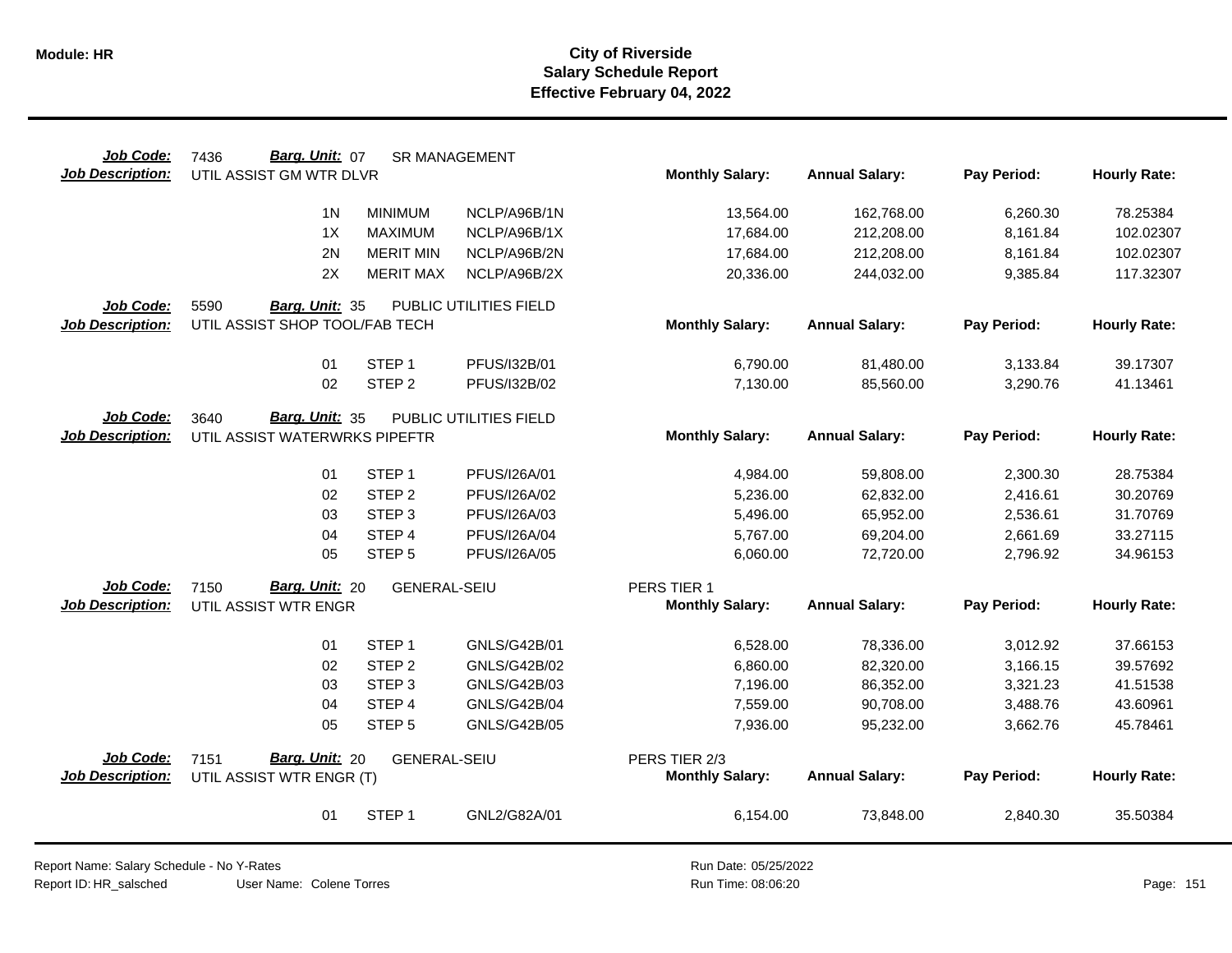| Job Code:                            | Barg. Unit: 07<br>7436                                  | <b>SR MANAGEMENT</b>                   |                              |                        |                        |                      |                      |
|--------------------------------------|---------------------------------------------------------|----------------------------------------|------------------------------|------------------------|------------------------|----------------------|----------------------|
| <b>Job Description:</b>              | UTIL ASSIST GM WTR DLVR                                 |                                        |                              | <b>Monthly Salary:</b> | <b>Annual Salary:</b>  | Pay Period:          | <b>Hourly Rate:</b>  |
|                                      | 1 <sub>N</sub>                                          | <b>MINIMUM</b>                         | NCLP/A96B/1N                 | 13,564.00              | 162,768.00             | 6,260.30             | 78.25384             |
|                                      | 1X                                                      | <b>MAXIMUM</b>                         | NCLP/A96B/1X                 | 17,684.00              | 212,208.00             | 8,161.84             | 102.02307            |
|                                      | 2N                                                      | <b>MERIT MIN</b>                       | NCLP/A96B/2N                 | 17,684.00              | 212,208.00             | 8,161.84             | 102.02307            |
|                                      | 2X                                                      | <b>MERIT MAX</b>                       | NCLP/A96B/2X                 | 20,336.00              | 244,032.00             | 9,385.84             | 117.32307            |
| Job Code:                            | 5590<br>Barg. Unit: 35                                  |                                        | PUBLIC UTILITIES FIELD       |                        |                        |                      |                      |
| <b>Job Description:</b>              | UTIL ASSIST SHOP TOOL/FAB TECH                          |                                        |                              | <b>Monthly Salary:</b> | <b>Annual Salary:</b>  | Pay Period:          | <b>Hourly Rate:</b>  |
|                                      | 01                                                      | STEP <sub>1</sub>                      | PFUS/I32B/01                 | 6,790.00               | 81,480.00              | 3,133.84             | 39.17307             |
|                                      | 02                                                      | STEP <sub>2</sub>                      | PFUS/I32B/02                 | 7,130.00               | 85,560.00              | 3,290.76             | 41.13461             |
| Job Code:<br><b>Job Description:</b> | Barg. Unit: 35<br>3640<br>UTIL ASSIST WATERWRKS PIPEFTR |                                        | PUBLIC UTILITIES FIELD       | <b>Monthly Salary:</b> | <b>Annual Salary:</b>  | Pay Period:          | <b>Hourly Rate:</b>  |
|                                      |                                                         |                                        |                              |                        |                        |                      |                      |
|                                      | 01<br>02                                                | STEP <sub>1</sub><br>STEP <sub>2</sub> | PFUS/I26A/01                 | 4,984.00               | 59,808.00              | 2,300.30             | 28.75384             |
|                                      | 03                                                      | STEP <sub>3</sub>                      | PFUS/I26A/02<br>PFUS/I26A/03 | 5,236.00<br>5,496.00   | 62,832.00<br>65,952.00 | 2,416.61<br>2,536.61 | 30.20769<br>31.70769 |
|                                      | 04                                                      | STEP <sub>4</sub>                      | PFUS/I26A/04                 | 5,767.00               | 69,204.00              | 2,661.69             | 33.27115             |
|                                      | 05                                                      | STEP <sub>5</sub>                      | PFUS/I26A/05                 | 6,060.00               | 72,720.00              | 2,796.92             | 34.96153             |
| Job Code:                            | Barg. Unit: 20<br>7150                                  | <b>GENERAL-SEIU</b>                    |                              | PERS TIER 1            |                        |                      |                      |
| <b>Job Description:</b>              | UTIL ASSIST WTR ENGR                                    |                                        |                              | <b>Monthly Salary:</b> | <b>Annual Salary:</b>  | Pay Period:          | <b>Hourly Rate:</b>  |
|                                      | 01                                                      | STEP <sub>1</sub>                      | GNLS/G42B/01                 | 6,528.00               | 78,336.00              | 3,012.92             | 37.66153             |
|                                      | 02                                                      | STEP <sub>2</sub>                      | GNLS/G42B/02                 | 6,860.00               | 82,320.00              | 3,166.15             | 39.57692             |
|                                      | 03                                                      | STEP <sub>3</sub>                      | GNLS/G42B/03                 | 7,196.00               | 86,352.00              | 3,321.23             | 41.51538             |
|                                      | 04                                                      | STEP 4                                 | <b>GNLS/G42B/04</b>          | 7,559.00               | 90,708.00              | 3,488.76             | 43.60961             |
|                                      | 05                                                      | STEP <sub>5</sub>                      | <b>GNLS/G42B/05</b>          | 7,936.00               | 95,232.00              | 3,662.76             | 45.78461             |
| Job Code:                            | Barg. Unit: 20<br>7151                                  | <b>GENERAL-SEIU</b>                    |                              | PERS TIER 2/3          |                        |                      |                      |
| <b>Job Description:</b>              | UTIL ASSIST WTR ENGR (T)                                |                                        |                              | <b>Monthly Salary:</b> | <b>Annual Salary:</b>  | Pay Period:          | <b>Hourly Rate:</b>  |
|                                      | 01                                                      | STEP <sub>1</sub>                      | GNL2/G82A/01                 | 6,154.00               | 73,848.00              | 2,840.30             | 35.50384             |

Report Name: Salary Schedule - No Y-Rates Report ID: HR\_salsched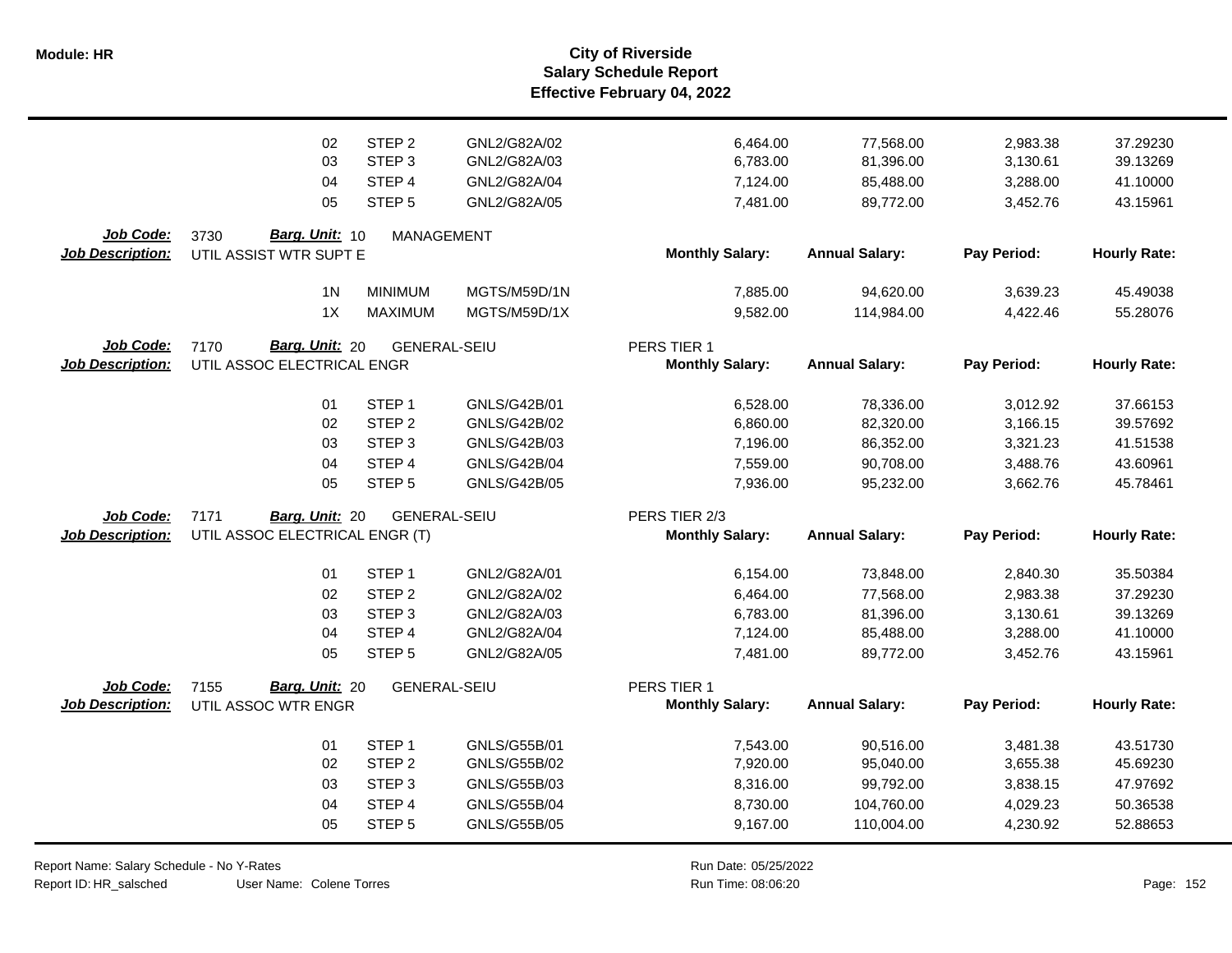|                                      | 02                                                       | STEP <sub>2</sub>   | GNL2/G82A/02        | 6,464.00                                | 77,568.00             | 2,983.38    | 37.29230            |
|--------------------------------------|----------------------------------------------------------|---------------------|---------------------|-----------------------------------------|-----------------------|-------------|---------------------|
|                                      | 03                                                       | STEP <sub>3</sub>   | GNL2/G82A/03        | 6,783.00                                | 81,396.00             | 3,130.61    | 39.13269            |
|                                      | 04                                                       | STEP 4              | GNL2/G82A/04        | 7,124.00                                | 85,488.00             | 3,288.00    | 41.10000            |
|                                      | 05                                                       | STEP <sub>5</sub>   | GNL2/G82A/05        | 7,481.00                                | 89,772.00             | 3,452.76    | 43.15961            |
| Job Code:<br><b>Job Description:</b> | Barg. Unit: 10<br>3730<br>UTIL ASSIST WTR SUPT E         | <b>MANAGEMENT</b>   |                     | <b>Monthly Salary:</b>                  | <b>Annual Salary:</b> | Pay Period: | <b>Hourly Rate:</b> |
|                                      | 1 <sub>N</sub>                                           | <b>MINIMUM</b>      | MGTS/M59D/1N        | 7,885.00                                | 94,620.00             | 3,639.23    | 45.49038            |
|                                      | 1X                                                       | <b>MAXIMUM</b>      | MGTS/M59D/1X        | 9,582.00                                | 114,984.00            | 4,422.46    | 55.28076            |
| Job Code:<br><b>Job Description:</b> | Barg. Unit: 20<br>7170<br>UTIL ASSOC ELECTRICAL ENGR     | <b>GENERAL-SEIU</b> |                     | PERS TIER 1<br><b>Monthly Salary:</b>   | <b>Annual Salary:</b> | Pay Period: | <b>Hourly Rate:</b> |
|                                      | 01                                                       | STEP <sub>1</sub>   | GNLS/G42B/01        | 6,528.00                                | 78,336.00             | 3,012.92    | 37.66153            |
|                                      | 02                                                       | STEP <sub>2</sub>   | GNLS/G42B/02        | 6,860.00                                | 82,320.00             | 3,166.15    | 39.57692            |
|                                      | 03                                                       | STEP <sub>3</sub>   | GNLS/G42B/03        | 7,196.00                                | 86,352.00             | 3,321.23    | 41.51538            |
|                                      | 04                                                       | STEP 4              | <b>GNLS/G42B/04</b> | 7,559.00                                | 90,708.00             | 3,488.76    | 43.60961            |
|                                      | 05                                                       | STEP <sub>5</sub>   | GNLS/G42B/05        | 7,936.00                                | 95,232.00             | 3,662.76    | 45.78461            |
| Job Code:<br><b>Job Description:</b> | 7171<br>Barg. Unit: 20<br>UTIL ASSOC ELECTRICAL ENGR (T) | <b>GENERAL-SEIU</b> |                     | PERS TIER 2/3<br><b>Monthly Salary:</b> | <b>Annual Salary:</b> | Pay Period: | <b>Hourly Rate:</b> |
|                                      | 01                                                       | STEP <sub>1</sub>   | GNL2/G82A/01        | 6,154.00                                | 73,848.00             | 2,840.30    | 35.50384            |
|                                      | 02                                                       | STEP <sub>2</sub>   | GNL2/G82A/02        | 6,464.00                                | 77,568.00             | 2,983.38    | 37.29230            |
|                                      | 03                                                       | STEP <sub>3</sub>   | GNL2/G82A/03        | 6,783.00                                | 81,396.00             | 3,130.61    | 39.13269            |
|                                      | 04                                                       | STEP 4              | GNL2/G82A/04        | 7,124.00                                | 85,488.00             | 3,288.00    | 41.10000            |
|                                      | 05                                                       | STEP <sub>5</sub>   | GNL2/G82A/05        | 7,481.00                                | 89,772.00             | 3,452.76    | 43.15961            |
| <b>Job Code:</b><br>Job Description: | Barg. Unit: 20<br>7155<br>UTIL ASSOC WTR ENGR            | <b>GENERAL-SEIU</b> |                     | PERS TIER 1<br><b>Monthly Salary:</b>   | <b>Annual Salary:</b> | Pay Period: | <b>Hourly Rate:</b> |
|                                      | 01                                                       | STEP <sub>1</sub>   | GNLS/G55B/01        | 7,543.00                                | 90,516.00             | 3,481.38    | 43.51730            |
|                                      | 02                                                       | STEP <sub>2</sub>   | GNLS/G55B/02        | 7,920.00                                | 95,040.00             | 3,655.38    | 45.69230            |
|                                      | 03                                                       | STEP <sub>3</sub>   | GNLS/G55B/03        | 8,316.00                                | 99,792.00             | 3,838.15    | 47.97692            |
|                                      | 04                                                       | STEP 4              | <b>GNLS/G55B/04</b> | 8,730.00                                | 104,760.00            | 4,029.23    | 50.36538            |
|                                      | 05                                                       | STEP <sub>5</sub>   | GNLS/G55B/05        | 9,167.00                                | 110,004.00            | 4,230.92    | 52.88653            |

Report Name: Salary Schedule - No Y-Rates

Report ID: HR\_salsched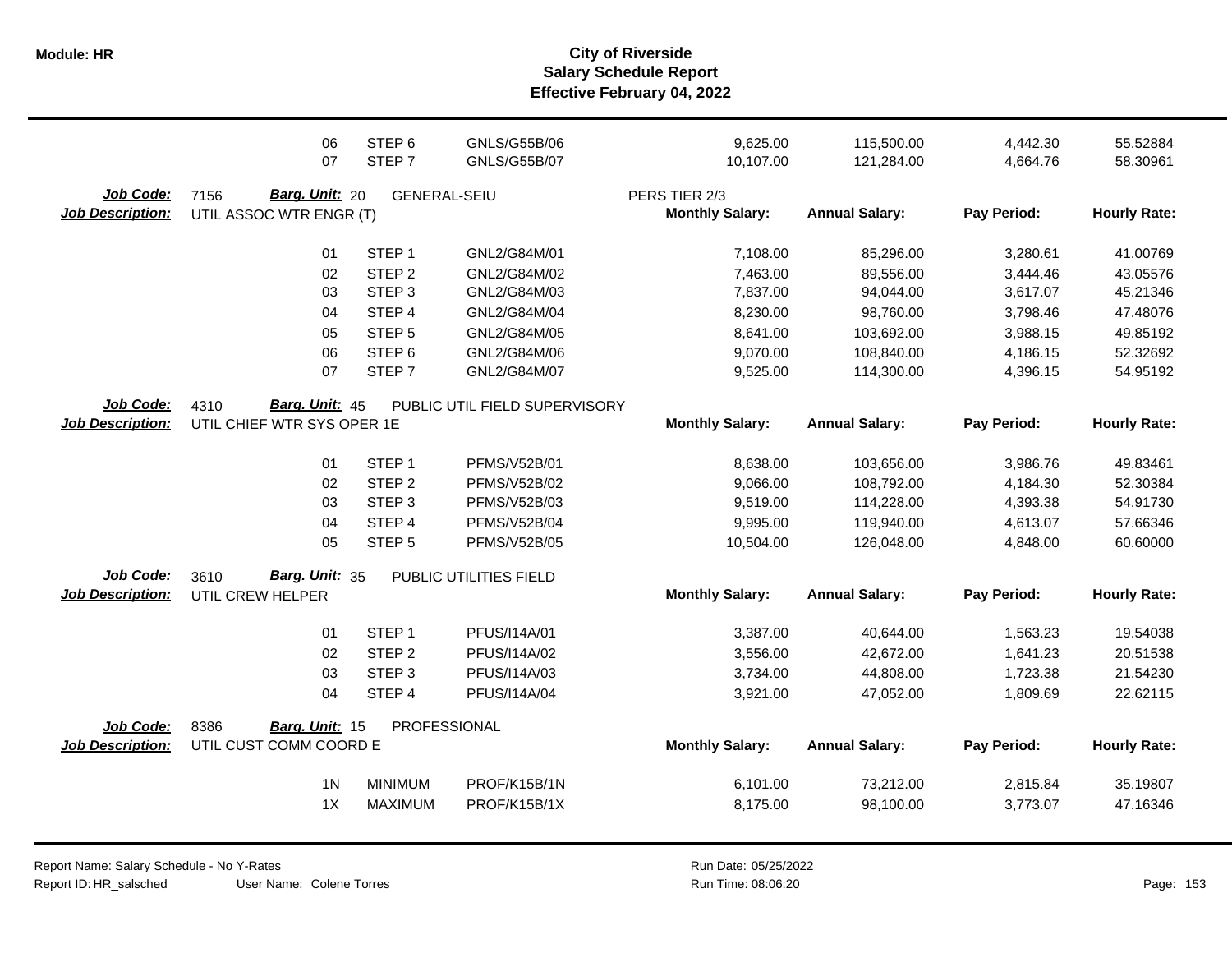|                                      | 06<br>07                                          | STEP <sub>6</sub><br>STEP <sub>7</sub> | GNLS/G55B/06<br><b>GNLS/G55B/07</b> | 9,625.00<br>10,107.00                   | 115,500.00<br>121,284.00 | 4,442.30<br>4,664.76 | 55.52884<br>58.30961 |
|--------------------------------------|---------------------------------------------------|----------------------------------------|-------------------------------------|-----------------------------------------|--------------------------|----------------------|----------------------|
| Job Code:<br><b>Job Description:</b> | 7156<br>Barg. Unit: 20<br>UTIL ASSOC WTR ENGR (T) | <b>GENERAL-SEIU</b>                    |                                     | PERS TIER 2/3<br><b>Monthly Salary:</b> | <b>Annual Salary:</b>    | Pay Period:          | <b>Hourly Rate:</b>  |
|                                      | 01                                                | STEP <sub>1</sub>                      | GNL2/G84M/01                        | 7,108.00                                | 85,296.00                | 3,280.61             | 41.00769             |
|                                      | 02                                                | STEP <sub>2</sub>                      | GNL2/G84M/02                        | 7,463.00                                | 89,556.00                | 3,444.46             | 43.05576             |
|                                      | 03                                                | STEP <sub>3</sub>                      | GNL2/G84M/03                        | 7,837.00                                | 94,044.00                | 3,617.07             | 45.21346             |
|                                      | 04                                                | STEP 4                                 | GNL2/G84M/04                        | 8,230.00                                | 98,760.00                | 3,798.46             | 47.48076             |
|                                      | 05                                                | STEP <sub>5</sub>                      | GNL2/G84M/05                        | 8,641.00                                | 103,692.00               | 3,988.15             | 49.85192             |
|                                      | 06                                                | STEP <sub>6</sub>                      | GNL2/G84M/06                        | 9,070.00                                | 108,840.00               | 4,186.15             | 52.32692             |
|                                      | 07                                                | STEP <sub>7</sub>                      | GNL2/G84M/07                        | 9,525.00                                | 114,300.00               | 4,396.15             | 54.95192             |
| Job Code:                            | 4310<br>Barg. Unit: 45                            |                                        | PUBLIC UTIL FIELD SUPERVISORY       |                                         |                          |                      |                      |
| <b>Job Description:</b>              | UTIL CHIEF WTR SYS OPER 1E                        |                                        |                                     | <b>Monthly Salary:</b>                  | <b>Annual Salary:</b>    | Pay Period:          | <b>Hourly Rate:</b>  |
|                                      | 01                                                | STEP <sub>1</sub>                      | PFMS/V52B/01                        | 8,638.00                                | 103,656.00               | 3,986.76             | 49.83461             |
|                                      | 02                                                | STEP <sub>2</sub>                      | <b>PFMS/V52B/02</b>                 | 9,066.00                                | 108,792.00               | 4,184.30             | 52.30384             |
|                                      | 03                                                | STEP <sub>3</sub>                      | <b>PFMS/V52B/03</b>                 | 9,519.00                                | 114,228.00               | 4,393.38             | 54.91730             |
|                                      | 04                                                | STEP 4                                 | <b>PFMS/V52B/04</b>                 | 9,995.00                                | 119,940.00               | 4,613.07             | 57.66346             |
|                                      | 05                                                | STEP <sub>5</sub>                      | <b>PFMS/V52B/05</b>                 | 10,504.00                               | 126,048.00               | 4,848.00             | 60.60000             |
| Job Code:                            | Barg. Unit: 35<br>3610                            |                                        | PUBLIC UTILITIES FIELD              |                                         |                          |                      |                      |
| <b>Job Description:</b>              | UTIL CREW HELPER                                  |                                        |                                     | <b>Monthly Salary:</b>                  | <b>Annual Salary:</b>    | Pay Period:          | <b>Hourly Rate:</b>  |
|                                      | 01                                                | STEP <sub>1</sub>                      | PFUS/I14A/01                        | 3,387.00                                | 40,644.00                | 1,563.23             | 19.54038             |
|                                      | 02                                                | STEP <sub>2</sub>                      | PFUS/I14A/02                        | 3,556.00                                | 42,672.00                | 1,641.23             | 20.51538             |
|                                      | 03                                                | STEP <sub>3</sub>                      | PFUS/I14A/03                        | 3,734.00                                | 44,808.00                | 1,723.38             | 21.54230             |
|                                      | 04                                                | STEP 4                                 | PFUS/I14A/04                        | 3,921.00                                | 47,052.00                | 1,809.69             | 22.62115             |
| Job Code:                            | 8386<br><b>Barg. Unit: 15</b>                     |                                        | PROFESSIONAL                        |                                         |                          |                      |                      |
| <b>Job Description:</b>              | UTIL CUST COMM COORD E                            |                                        |                                     | <b>Monthly Salary:</b>                  | <b>Annual Salary:</b>    | Pay Period:          | <b>Hourly Rate:</b>  |
|                                      | 1 <sub>N</sub>                                    | <b>MINIMUM</b>                         | PROF/K15B/1N                        | 6,101.00                                | 73,212.00                | 2,815.84             | 35.19807             |
|                                      | 1X                                                | <b>MAXIMUM</b>                         | PROF/K15B/1X                        | 8,175.00                                | 98,100.00                | 3,773.07             | 47.16346             |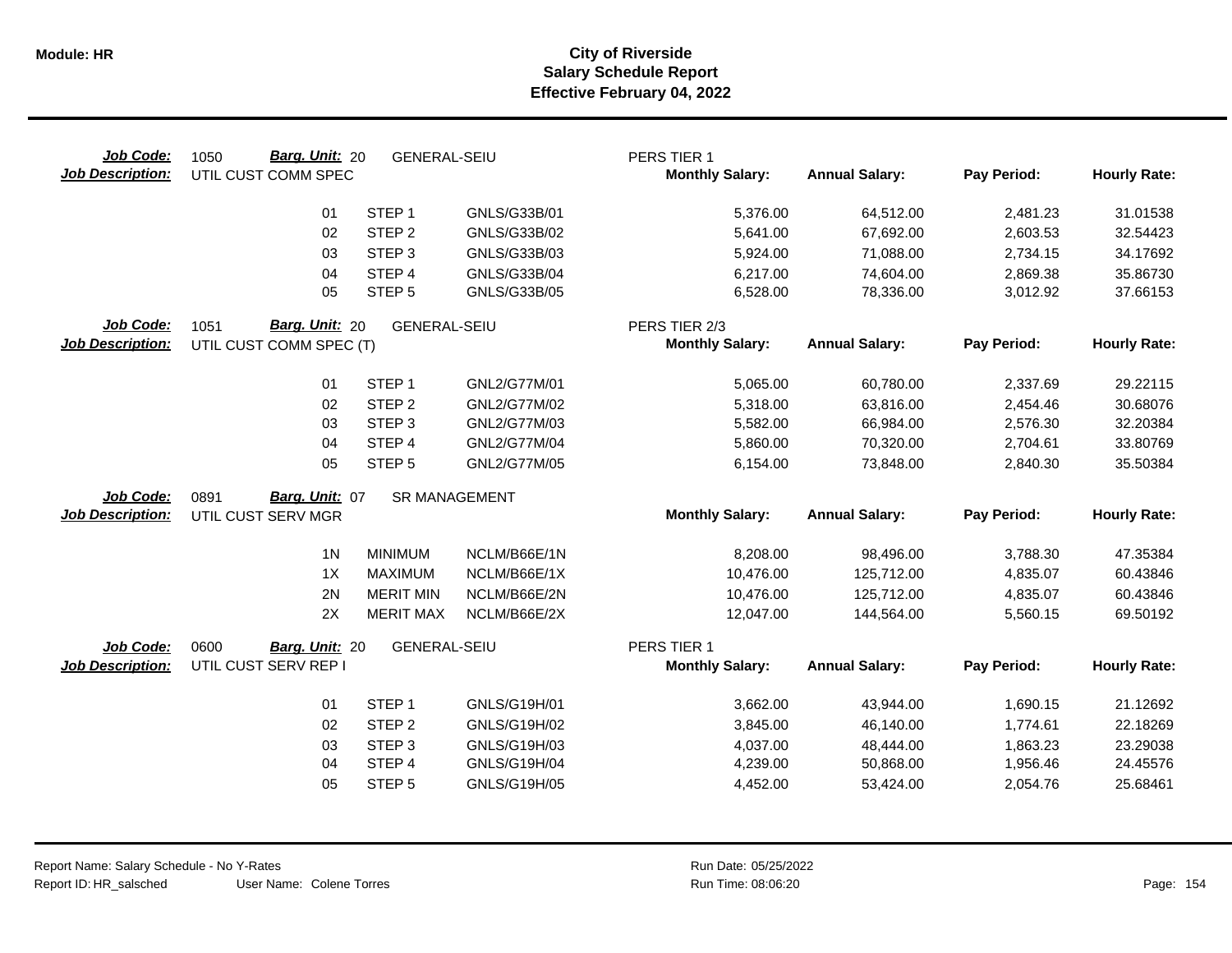| Job Code:<br><b>Job Description:</b> | Barg. Unit: 20<br>1050<br>UTIL CUST COMM SPEC | <b>GENERAL-SEIU</b> |                      | PERS TIER 1<br><b>Monthly Salary:</b> | <b>Annual Salary:</b> | Pay Period: | <b>Hourly Rate:</b> |
|--------------------------------------|-----------------------------------------------|---------------------|----------------------|---------------------------------------|-----------------------|-------------|---------------------|
|                                      | 01                                            | STEP <sub>1</sub>   | GNLS/G33B/01         | 5,376.00                              | 64,512.00             | 2,481.23    | 31.01538            |
|                                      | 02                                            | STEP <sub>2</sub>   | GNLS/G33B/02         | 5,641.00                              | 67,692.00             | 2,603.53    | 32.54423            |
|                                      | 03                                            | STEP <sub>3</sub>   | GNLS/G33B/03         | 5,924.00                              | 71,088.00             | 2,734.15    | 34.17692            |
|                                      | 04                                            | STEP 4              | GNLS/G33B/04         | 6,217.00                              | 74,604.00             | 2,869.38    | 35.86730            |
|                                      | 05                                            | STEP <sub>5</sub>   | GNLS/G33B/05         | 6,528.00                              | 78,336.00             | 3,012.92    | 37.66153            |
| Job Code:                            | 1051<br>Barg. Unit: 20                        | <b>GENERAL-SEIU</b> |                      | PERS TIER 2/3                         |                       |             |                     |
| <b>Job Description:</b>              | UTIL CUST COMM SPEC (T)                       |                     |                      | <b>Monthly Salary:</b>                | <b>Annual Salary:</b> | Pay Period: | <b>Hourly Rate:</b> |
|                                      | 01                                            | STEP <sub>1</sub>   | GNL2/G77M/01         | 5,065.00                              | 60,780.00             | 2,337.69    | 29.22115            |
|                                      | 02                                            | STEP <sub>2</sub>   | GNL2/G77M/02         | 5,318.00                              | 63,816.00             | 2,454.46    | 30.68076            |
|                                      | 03                                            | STEP <sub>3</sub>   | GNL2/G77M/03         | 5,582.00                              | 66,984.00             | 2,576.30    | 32.20384            |
|                                      | 04                                            | STEP 4              | GNL2/G77M/04         | 5,860.00                              | 70,320.00             | 2,704.61    | 33.80769            |
|                                      | 05                                            | STEP <sub>5</sub>   | GNL2/G77M/05         | 6,154.00                              | 73,848.00             | 2,840.30    | 35.50384            |
| Job Code:                            | Barg. Unit: 07<br>0891                        |                     | <b>SR MANAGEMENT</b> |                                       |                       |             |                     |
| <b>Job Description:</b>              | UTIL CUST SERV MGR                            |                     |                      | <b>Monthly Salary:</b>                | <b>Annual Salary:</b> | Pay Period: | <b>Hourly Rate:</b> |
|                                      | 1 <sub>N</sub>                                | <b>MINIMUM</b>      | NCLM/B66E/1N         | 8,208.00                              | 98,496.00             | 3,788.30    | 47.35384            |
|                                      | 1X                                            | <b>MAXIMUM</b>      | NCLM/B66E/1X         | 10,476.00                             | 125,712.00            | 4,835.07    | 60.43846            |
|                                      | 2N                                            | <b>MERIT MIN</b>    | NCLM/B66E/2N         | 10,476.00                             | 125,712.00            | 4,835.07    | 60.43846            |
|                                      | 2X                                            | <b>MERIT MAX</b>    | NCLM/B66E/2X         | 12,047.00                             | 144,564.00            | 5,560.15    | 69.50192            |
| Job Code:                            | 0600<br>Barg. Unit: 20                        | <b>GENERAL-SEIU</b> |                      | PERS TIER 1                           |                       |             |                     |
| <b>Job Description:</b>              | UTIL CUST SERV REP I                          |                     |                      | <b>Monthly Salary:</b>                | <b>Annual Salary:</b> | Pay Period: | <b>Hourly Rate:</b> |
|                                      | 01                                            | STEP <sub>1</sub>   | GNLS/G19H/01         | 3,662.00                              | 43,944.00             | 1,690.15    | 21.12692            |
|                                      | 02                                            | STEP <sub>2</sub>   | GNLS/G19H/02         | 3,845.00                              | 46,140.00             | 1,774.61    | 22.18269            |
|                                      | 03                                            | STEP <sub>3</sub>   | GNLS/G19H/03         | 4,037.00                              | 48,444.00             | 1,863.23    | 23.29038            |
|                                      | 04                                            | STEP 4              | GNLS/G19H/04         | 4,239.00                              | 50,868.00             | 1,956.46    | 24.45576            |
|                                      | 05                                            | STEP <sub>5</sub>   | GNLS/G19H/05         | 4,452.00                              | 53,424.00             | 2,054.76    | 25.68461            |
|                                      |                                               |                     |                      |                                       |                       |             |                     |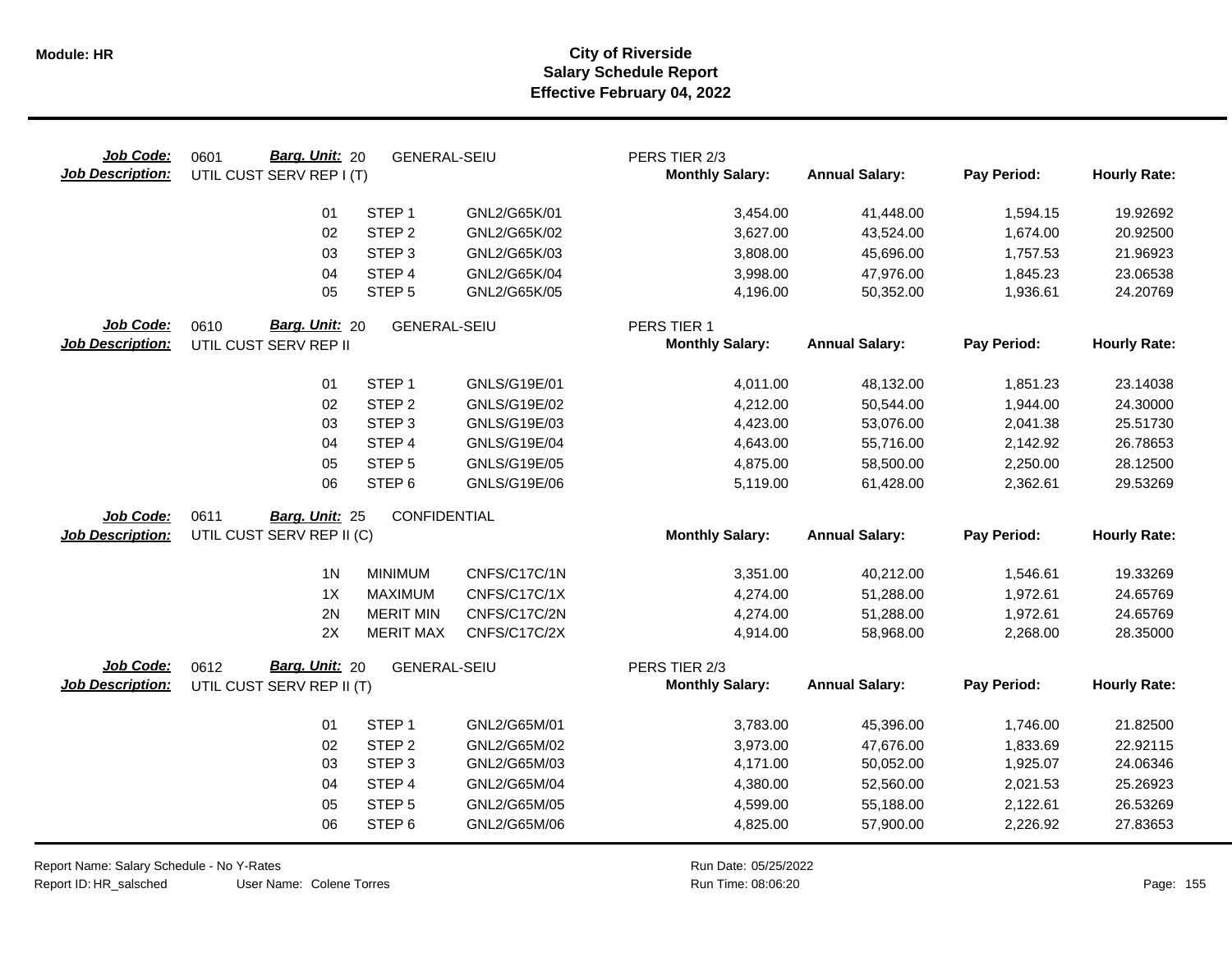| Job Code:<br><b>Job Description:</b> | Barg. Unit: 20<br>0601<br>UTIL CUST SERV REP I (T) | <b>GENERAL-SEIU</b> |              | PERS TIER 2/3<br><b>Monthly Salary:</b> | <b>Annual Salary:</b> | Pay Period: | <b>Hourly Rate:</b> |
|--------------------------------------|----------------------------------------------------|---------------------|--------------|-----------------------------------------|-----------------------|-------------|---------------------|
|                                      | 01                                                 | STEP <sub>1</sub>   | GNL2/G65K/01 | 3,454.00                                | 41,448.00             | 1,594.15    | 19.92692            |
|                                      | 02                                                 | STEP <sub>2</sub>   | GNL2/G65K/02 | 3,627.00                                | 43,524.00             | 1,674.00    | 20.92500            |
|                                      | 03                                                 | STEP <sub>3</sub>   | GNL2/G65K/03 | 3,808.00                                | 45,696.00             | 1,757.53    | 21.96923            |
|                                      | 04                                                 | STEP 4              | GNL2/G65K/04 | 3,998.00                                | 47,976.00             | 1,845.23    | 23.06538            |
|                                      | 05                                                 | STEP <sub>5</sub>   | GNL2/G65K/05 | 4,196.00                                | 50,352.00             | 1,936.61    | 24.20769            |
| Job Code:<br><b>Job Description:</b> | 0610<br>Barg. Unit: 20<br>UTIL CUST SERV REP II    | <b>GENERAL-SEIU</b> |              | PERS TIER 1<br><b>Monthly Salary:</b>   | <b>Annual Salary:</b> | Pay Period: | <b>Hourly Rate:</b> |
|                                      | 01                                                 | STEP <sub>1</sub>   | GNLS/G19E/01 | 4,011.00                                | 48,132.00             | 1,851.23    | 23.14038            |
|                                      | 02                                                 | STEP <sub>2</sub>   | GNLS/G19E/02 | 4,212.00                                | 50,544.00             | 1,944.00    | 24.30000            |
|                                      | 03                                                 | STEP <sub>3</sub>   | GNLS/G19E/03 | 4,423.00                                | 53,076.00             | 2,041.38    | 25.51730            |
|                                      | 04                                                 | STEP 4              | GNLS/G19E/04 | 4,643.00                                | 55,716.00             | 2,142.92    | 26.78653            |
|                                      | 05                                                 | STEP <sub>5</sub>   | GNLS/G19E/05 | 4,875.00                                | 58,500.00             | 2,250.00    | 28.12500            |
|                                      | 06                                                 | STEP <sub>6</sub>   | GNLS/G19E/06 | 5,119.00                                | 61,428.00             | 2,362.61    | 29.53269            |
| Job Code:                            | 0611<br>Barg. Unit: 25                             | CONFIDENTIAL        |              |                                         |                       |             |                     |
| <b>Job Description:</b>              | UTIL CUST SERV REP II (C)                          |                     |              | <b>Monthly Salary:</b>                  | <b>Annual Salary:</b> | Pay Period: | <b>Hourly Rate:</b> |
|                                      | 1 <sub>N</sub>                                     | <b>MINIMUM</b>      | CNFS/C17C/1N | 3,351.00                                | 40,212.00             | 1,546.61    | 19.33269            |
|                                      | 1X                                                 | <b>MAXIMUM</b>      | CNFS/C17C/1X | 4,274.00                                | 51,288.00             | 1,972.61    | 24.65769            |
|                                      | 2N                                                 | <b>MERIT MIN</b>    | CNFS/C17C/2N | 4,274.00                                | 51,288.00             | 1,972.61    | 24.65769            |
|                                      | 2X                                                 | <b>MERIT MAX</b>    | CNFS/C17C/2X | 4,914.00                                | 58,968.00             | 2,268.00    | 28.35000            |
| Job Code:                            | Barg. Unit: 20<br>0612                             | <b>GENERAL-SEIU</b> |              | PERS TIER 2/3                           |                       |             |                     |
| <b>Job Description:</b>              | UTIL CUST SERV REP II (T)                          |                     |              | <b>Monthly Salary:</b>                  | <b>Annual Salary:</b> | Pay Period: | <b>Hourly Rate:</b> |
|                                      | 01                                                 | STEP <sub>1</sub>   | GNL2/G65M/01 | 3,783.00                                | 45,396.00             | 1,746.00    | 21.82500            |
|                                      | 02                                                 | STEP <sub>2</sub>   | GNL2/G65M/02 | 3,973.00                                | 47,676.00             | 1,833.69    | 22.92115            |
|                                      | 03                                                 | STEP <sub>3</sub>   | GNL2/G65M/03 | 4,171.00                                | 50,052.00             | 1,925.07    | 24.06346            |
|                                      | 04                                                 | STEP 4              | GNL2/G65M/04 | 4,380.00                                | 52,560.00             | 2,021.53    | 25.26923            |
|                                      | 05                                                 | STEP <sub>5</sub>   | GNL2/G65M/05 | 4,599.00                                | 55,188.00             | 2,122.61    | 26.53269            |
|                                      | 06                                                 | STEP <sub>6</sub>   | GNL2/G65M/06 | 4,825.00                                | 57,900.00             | 2,226.92    | 27.83653            |

Report Name: Salary Schedule - No Y-Rates Report ID: HR\_salsched

User Name: Colene Torres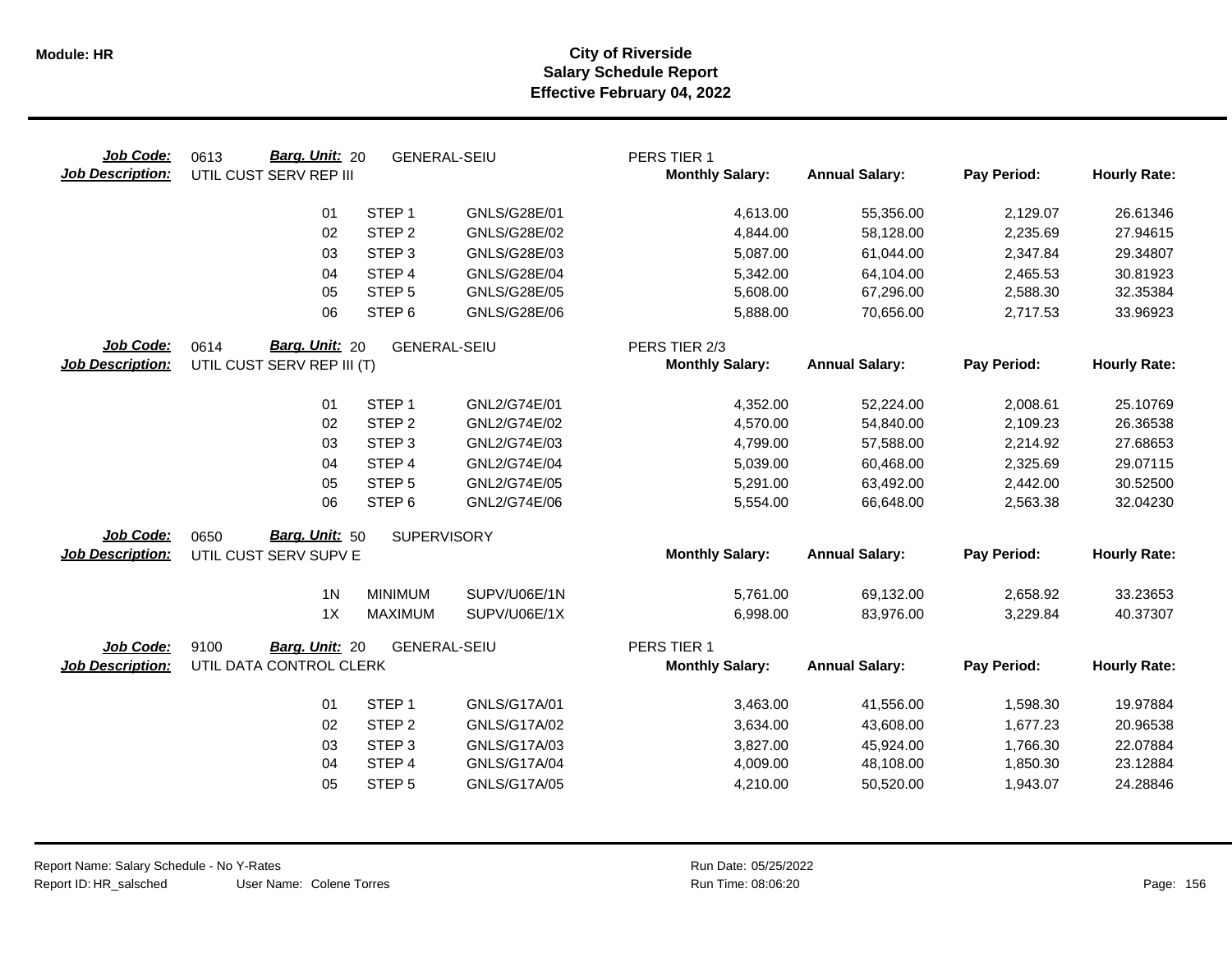| Job Code:<br><b>Job Description:</b> | Barg. Unit: 20<br>0613<br>UTIL CUST SERV REP III     | <b>GENERAL-SEIU</b> |                     | PERS TIER 1<br><b>Monthly Salary:</b>   | <b>Annual Salary:</b> | Pay Period: | <b>Hourly Rate:</b> |
|--------------------------------------|------------------------------------------------------|---------------------|---------------------|-----------------------------------------|-----------------------|-------------|---------------------|
|                                      | 01                                                   | STEP <sub>1</sub>   | GNLS/G28E/01        | 4,613.00                                | 55,356.00             | 2,129.07    | 26.61346            |
|                                      | 02                                                   | STEP <sub>2</sub>   | GNLS/G28E/02        | 4,844.00                                | 58,128.00             | 2,235.69    | 27.94615            |
|                                      | 03                                                   | STEP <sub>3</sub>   | GNLS/G28E/03        | 5,087.00                                | 61,044.00             | 2,347.84    | 29.34807            |
|                                      | 04                                                   | STEP 4              | <b>GNLS/G28E/04</b> | 5,342.00                                | 64,104.00             | 2,465.53    | 30.81923            |
|                                      | 05                                                   | STEP <sub>5</sub>   | GNLS/G28E/05        | 5,608.00                                | 67,296.00             | 2,588.30    | 32.35384            |
|                                      | 06                                                   | STEP <sub>6</sub>   | GNLS/G28E/06        | 5,888.00                                | 70,656.00             | 2,717.53    | 33.96923            |
| Job Code:<br><b>Job Description:</b> | Barg. Unit: 20<br>0614<br>UTIL CUST SERV REP III (T) | <b>GENERAL-SEIU</b> |                     | PERS TIER 2/3<br><b>Monthly Salary:</b> | <b>Annual Salary:</b> | Pay Period: | <b>Hourly Rate:</b> |
|                                      | 01                                                   | STEP <sub>1</sub>   | GNL2/G74E/01        | 4,352.00                                | 52,224.00             | 2,008.61    | 25.10769            |
|                                      | 02                                                   | STEP <sub>2</sub>   | GNL2/G74E/02        | 4,570.00                                | 54,840.00             | 2,109.23    | 26.36538            |
|                                      | 03                                                   | STEP <sub>3</sub>   | GNL2/G74E/03        | 4,799.00                                | 57,588.00             | 2,214.92    | 27.68653            |
|                                      | 04                                                   | STEP 4              | GNL2/G74E/04        | 5,039.00                                | 60,468.00             | 2,325.69    | 29.07115            |
|                                      | 05                                                   | STEP <sub>5</sub>   | GNL2/G74E/05        | 5,291.00                                | 63,492.00             | 2,442.00    | 30.52500            |
|                                      | 06                                                   | STEP <sub>6</sub>   | GNL2/G74E/06        | 5,554.00                                | 66,648.00             | 2,563.38    | 32.04230            |
| Job Code:                            | 0650<br>Barg. Unit: 50                               | <b>SUPERVISORY</b>  |                     |                                         |                       |             |                     |
| <b>Job Description:</b>              | UTIL CUST SERV SUPV E                                |                     |                     | <b>Monthly Salary:</b>                  | <b>Annual Salary:</b> | Pay Period: | <b>Hourly Rate:</b> |
|                                      | 1 <sub>N</sub>                                       | <b>MINIMUM</b>      | SUPV/U06E/1N        | 5,761.00                                | 69,132.00             | 2,658.92    | 33.23653            |
|                                      | 1X                                                   | <b>MAXIMUM</b>      | SUPV/U06E/1X        | 6,998.00                                | 83,976.00             | 3,229.84    | 40.37307            |
| Job Code:                            | 9100<br>Barg. Unit: 20                               | <b>GENERAL-SEIU</b> |                     | PERS TIER 1                             |                       |             |                     |
| <b>Job Description:</b>              | UTIL DATA CONTROL CLERK                              |                     |                     | <b>Monthly Salary:</b>                  | <b>Annual Salary:</b> | Pay Period: | <b>Hourly Rate:</b> |
|                                      | 01                                                   | STEP <sub>1</sub>   | GNLS/G17A/01        | 3,463.00                                | 41,556.00             | 1,598.30    | 19.97884            |
|                                      | 02                                                   | STEP <sub>2</sub>   | GNLS/G17A/02        | 3,634.00                                | 43,608.00             | 1,677.23    | 20.96538            |
|                                      | 03                                                   | STEP <sub>3</sub>   | GNLS/G17A/03        | 3,827.00                                | 45,924.00             | 1,766.30    | 22.07884            |
|                                      | 04                                                   | STEP 4              | GNLS/G17A/04        | 4,009.00                                | 48,108.00             | 1,850.30    | 23.12884            |
|                                      | 05                                                   | STEP <sub>5</sub>   | GNLS/G17A/05        | 4,210.00                                | 50,520.00             | 1,943.07    | 24.28846            |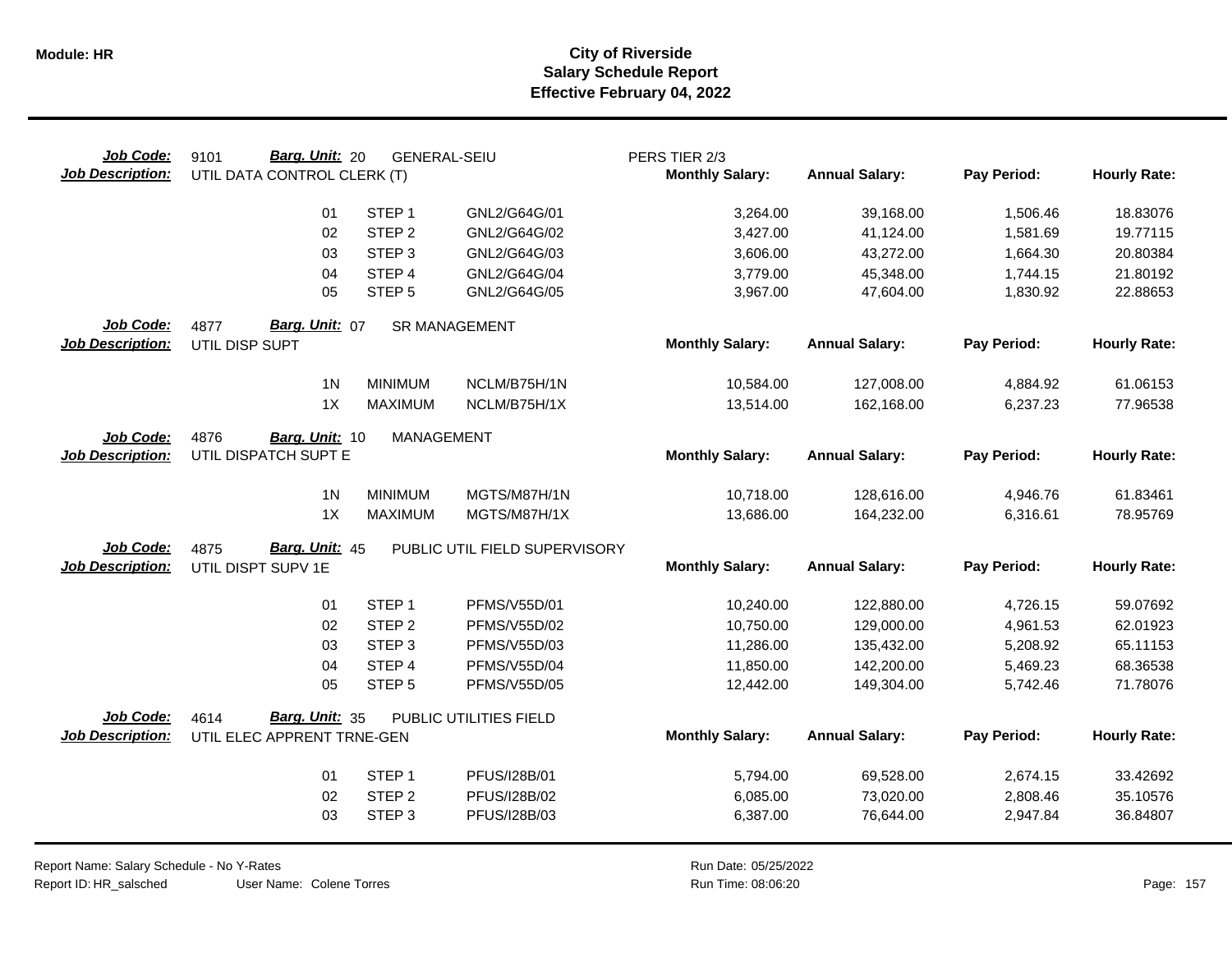| Job Code:<br><b>Job Description:</b> | Barg. Unit: 20<br>9101<br>UTIL DATA CONTROL CLERK (T) | <b>GENERAL-SEIU</b> |                               | PERS TIER 2/3<br><b>Monthly Salary:</b> | <b>Annual Salary:</b> | Pay Period: | <b>Hourly Rate:</b> |
|--------------------------------------|-------------------------------------------------------|---------------------|-------------------------------|-----------------------------------------|-----------------------|-------------|---------------------|
|                                      | 01                                                    | STEP <sub>1</sub>   | GNL2/G64G/01                  | 3,264.00                                | 39,168.00             | 1,506.46    | 18.83076            |
|                                      | 02                                                    | STEP <sub>2</sub>   | GNL2/G64G/02                  | 3,427.00                                | 41,124.00             | 1,581.69    | 19.77115            |
|                                      | 03                                                    | STEP <sub>3</sub>   | GNL2/G64G/03                  | 3,606.00                                | 43,272.00             | 1,664.30    | 20.80384            |
|                                      | 04                                                    | STEP 4              | GNL2/G64G/04                  | 3,779.00                                | 45,348.00             | 1,744.15    | 21.80192            |
|                                      | 05                                                    | STEP <sub>5</sub>   | GNL2/G64G/05                  | 3,967.00                                | 47,604.00             | 1,830.92    | 22.88653            |
| Job Code:                            | Barg. Unit: 07<br>4877                                |                     | <b>SR MANAGEMENT</b>          |                                         |                       |             |                     |
| <b>Job Description:</b>              | UTIL DISP SUPT                                        |                     |                               | <b>Monthly Salary:</b>                  | <b>Annual Salary:</b> | Pay Period: | <b>Hourly Rate:</b> |
|                                      | 1 <sub>N</sub>                                        | <b>MINIMUM</b>      | NCLM/B75H/1N                  | 10,584.00                               | 127,008.00            | 4,884.92    | 61.06153            |
|                                      | 1X                                                    | <b>MAXIMUM</b>      | NCLM/B75H/1X                  | 13,514.00                               | 162,168.00            | 6,237.23    | 77.96538            |
| Job Code:                            | 4876<br>Barg. Unit: 10                                | MANAGEMENT          |                               |                                         |                       |             |                     |
| <b>Job Description:</b>              | UTIL DISPATCH SUPT E                                  |                     |                               | <b>Monthly Salary:</b>                  | <b>Annual Salary:</b> | Pay Period: | <b>Hourly Rate:</b> |
|                                      | 1 <sub>N</sub>                                        | <b>MINIMUM</b>      | MGTS/M87H/1N                  | 10,718.00                               | 128,616.00            | 4,946.76    | 61.83461            |
|                                      | 1X                                                    | <b>MAXIMUM</b>      | MGTS/M87H/1X                  | 13,686.00                               | 164,232.00            | 6,316.61    | 78.95769            |
| Job Code:                            | Barg. Unit: 45<br>4875                                |                     | PUBLIC UTIL FIELD SUPERVISORY |                                         |                       |             |                     |
| <b>Job Description:</b>              | UTIL DISPT SUPV 1E                                    |                     |                               | <b>Monthly Salary:</b>                  | <b>Annual Salary:</b> | Pay Period: | <b>Hourly Rate:</b> |
|                                      | 01                                                    | STEP <sub>1</sub>   | PFMS/V55D/01                  | 10,240.00                               | 122,880.00            | 4,726.15    | 59.07692            |
|                                      | 02                                                    | STEP <sub>2</sub>   | PFMS/V55D/02                  | 10,750.00                               | 129,000.00            | 4,961.53    | 62.01923            |
|                                      | 03                                                    | STEP <sub>3</sub>   | PFMS/V55D/03                  | 11,286.00                               | 135,432.00            | 5,208.92    | 65.11153            |
|                                      | 04                                                    | STEP 4              | PFMS/V55D/04                  | 11,850.00                               | 142,200.00            | 5,469.23    | 68.36538            |
|                                      | 05                                                    | STEP <sub>5</sub>   | PFMS/V55D/05                  | 12,442.00                               | 149,304.00            | 5,742.46    | 71.78076            |
| Job Code:                            | Barg. Unit: 35<br>4614                                |                     | PUBLIC UTILITIES FIELD        |                                         |                       |             |                     |
| <b>Job Description:</b>              | UTIL ELEC APPRENT TRNE-GEN                            |                     |                               | <b>Monthly Salary:</b>                  | <b>Annual Salary:</b> | Pay Period: | <b>Hourly Rate:</b> |
|                                      | 01                                                    | STEP <sub>1</sub>   | PFUS/I28B/01                  | 5,794.00                                | 69,528.00             | 2,674.15    | 33.42692            |
|                                      | 02                                                    | STEP <sub>2</sub>   | PFUS/I28B/02                  | 6,085.00                                | 73,020.00             | 2,808.46    | 35.10576            |
|                                      | 03                                                    | STEP <sub>3</sub>   | PFUS/I28B/03                  | 6,387.00                                | 76,644.00             | 2,947.84    | 36.84807            |
|                                      |                                                       |                     |                               |                                         |                       |             |                     |

User Name: Colene Torres Report Name: Salary Schedule - No Y-Rates Report ID: HR\_salsched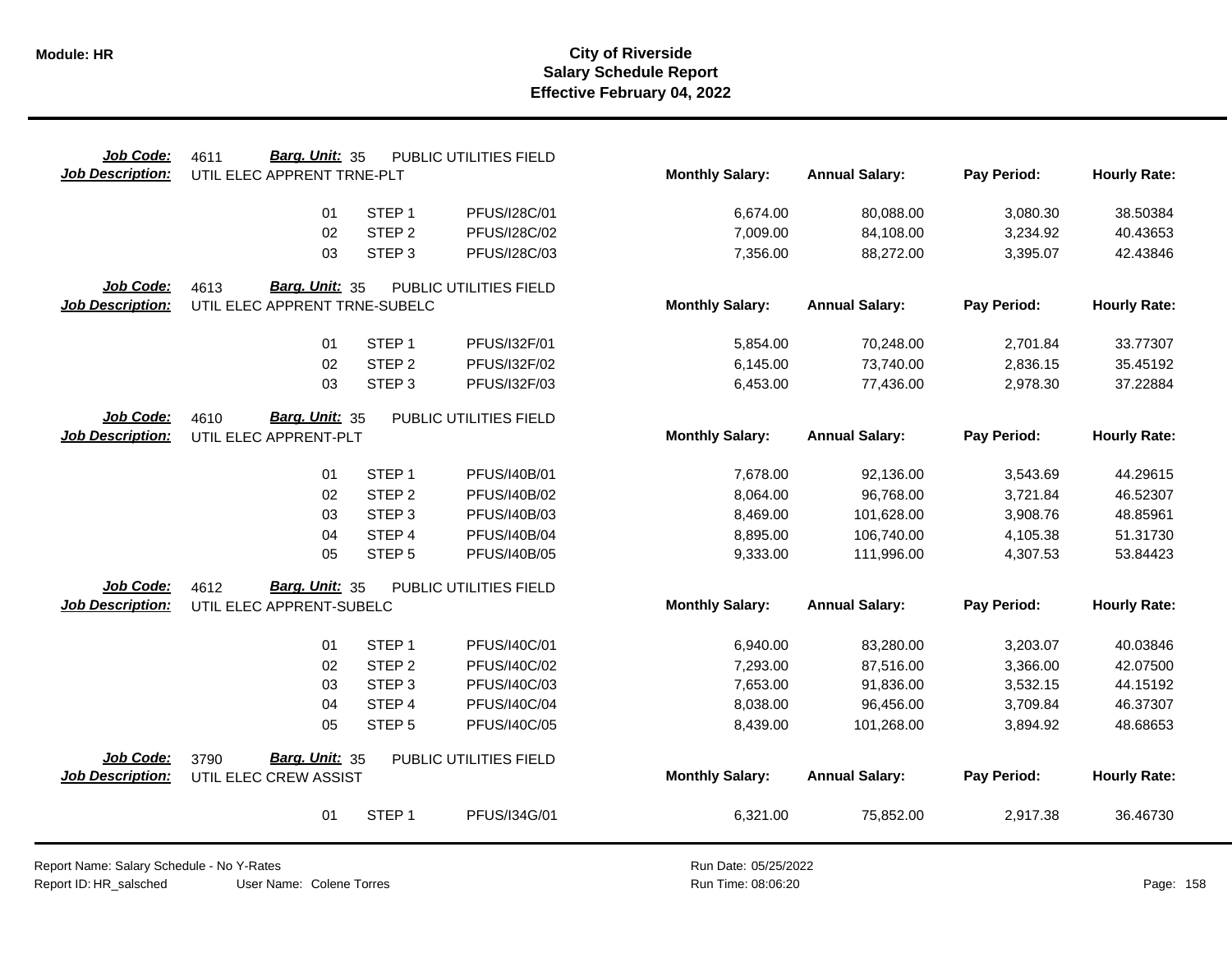| Job Code:               | Barg. Unit: 35<br>4611        |                   | PUBLIC UTILITIES FIELD |                        |                       |             |                     |
|-------------------------|-------------------------------|-------------------|------------------------|------------------------|-----------------------|-------------|---------------------|
| <b>Job Description:</b> | UTIL ELEC APPRENT TRNE-PLT    |                   |                        | <b>Monthly Salary:</b> | <b>Annual Salary:</b> | Pay Period: | <b>Hourly Rate:</b> |
|                         | 01                            | STEP <sub>1</sub> | PFUS/I28C/01           | 6,674.00               | 80,088.00             | 3,080.30    | 38.50384            |
|                         | 02                            | STEP <sub>2</sub> | PFUS/I28C/02           | 7,009.00               | 84,108.00             | 3,234.92    | 40.43653            |
|                         | 03                            | STEP <sub>3</sub> | PFUS/I28C/03           | 7,356.00               | 88,272.00             | 3,395.07    | 42.43846            |
| Job Code:               | 4613<br>Barg. Unit: 35        |                   | PUBLIC UTILITIES FIELD |                        |                       |             |                     |
| <b>Job Description:</b> | UTIL ELEC APPRENT TRNE-SUBELC |                   |                        | <b>Monthly Salary:</b> | <b>Annual Salary:</b> | Pay Period: | <b>Hourly Rate:</b> |
|                         | 01                            | STEP <sub>1</sub> | PFUS/I32F/01           | 5,854.00               | 70,248.00             | 2,701.84    | 33.77307            |
|                         | 02                            | STEP <sub>2</sub> | PFUS/I32F/02           | 6,145.00               | 73,740.00             | 2,836.15    | 35.45192            |
|                         | 03                            | STEP <sub>3</sub> | PFUS/I32F/03           | 6,453.00               | 77,436.00             | 2,978.30    | 37.22884            |
| Job Code:               | <b>Barg. Unit: 35</b><br>4610 |                   | PUBLIC UTILITIES FIELD |                        |                       |             |                     |
| <b>Job Description:</b> | UTIL ELEC APPRENT-PLT         |                   |                        | <b>Monthly Salary:</b> | <b>Annual Salary:</b> | Pay Period: | <b>Hourly Rate:</b> |
|                         | 01                            | STEP <sub>1</sub> | PFUS/I40B/01           | 7,678.00               | 92,136.00             | 3,543.69    | 44.29615            |
|                         | 02                            | STEP <sub>2</sub> | PFUS/I40B/02           | 8,064.00               | 96,768.00             | 3,721.84    | 46.52307            |
|                         | 03                            | STEP <sub>3</sub> | PFUS/I40B/03           | 8,469.00               | 101,628.00            | 3,908.76    | 48.85961            |
|                         | 04                            | STEP 4            | PFUS/I40B/04           | 8,895.00               | 106,740.00            | 4,105.38    | 51.31730            |
|                         | 05                            | STEP <sub>5</sub> | <b>PFUS/I40B/05</b>    | 9,333.00               | 111,996.00            | 4,307.53    | 53.84423            |
| Job Code:               | Barg. Unit: 35<br>4612        |                   | PUBLIC UTILITIES FIELD |                        |                       |             |                     |
| <b>Job Description:</b> | UTIL ELEC APPRENT-SUBELC      |                   |                        | <b>Monthly Salary:</b> | <b>Annual Salary:</b> | Pay Period: | <b>Hourly Rate:</b> |
|                         | 01                            | STEP <sub>1</sub> | PFUS/I40C/01           | 6,940.00               | 83,280.00             | 3,203.07    | 40.03846            |
|                         | 02                            | STEP <sub>2</sub> | PFUS/I40C/02           | 7,293.00               | 87,516.00             | 3,366.00    | 42.07500            |
|                         | 03                            | STEP <sub>3</sub> | PFUS/I40C/03           | 7,653.00               | 91,836.00             | 3,532.15    | 44.15192            |
|                         | 04                            | STEP 4            | PFUS/I40C/04           | 8,038.00               | 96,456.00             | 3,709.84    | 46.37307            |
|                         | 05                            | STEP <sub>5</sub> | PFUS/I40C/05           | 8,439.00               | 101,268.00            | 3,894.92    | 48.68653            |
| Job Code:               | Barg. Unit: 35<br>3790        |                   | PUBLIC UTILITIES FIELD |                        |                       |             |                     |
| <b>Job Description:</b> | UTIL ELEC CREW ASSIST         |                   |                        | <b>Monthly Salary:</b> | <b>Annual Salary:</b> | Pay Period: | <b>Hourly Rate:</b> |
|                         | 01                            | STEP <sub>1</sub> | PFUS/I34G/01           | 6,321.00               | 75,852.00             | 2,917.38    | 36.46730            |

Report Name: Salary Schedule - No Y-Rates Report ID: HR\_salsched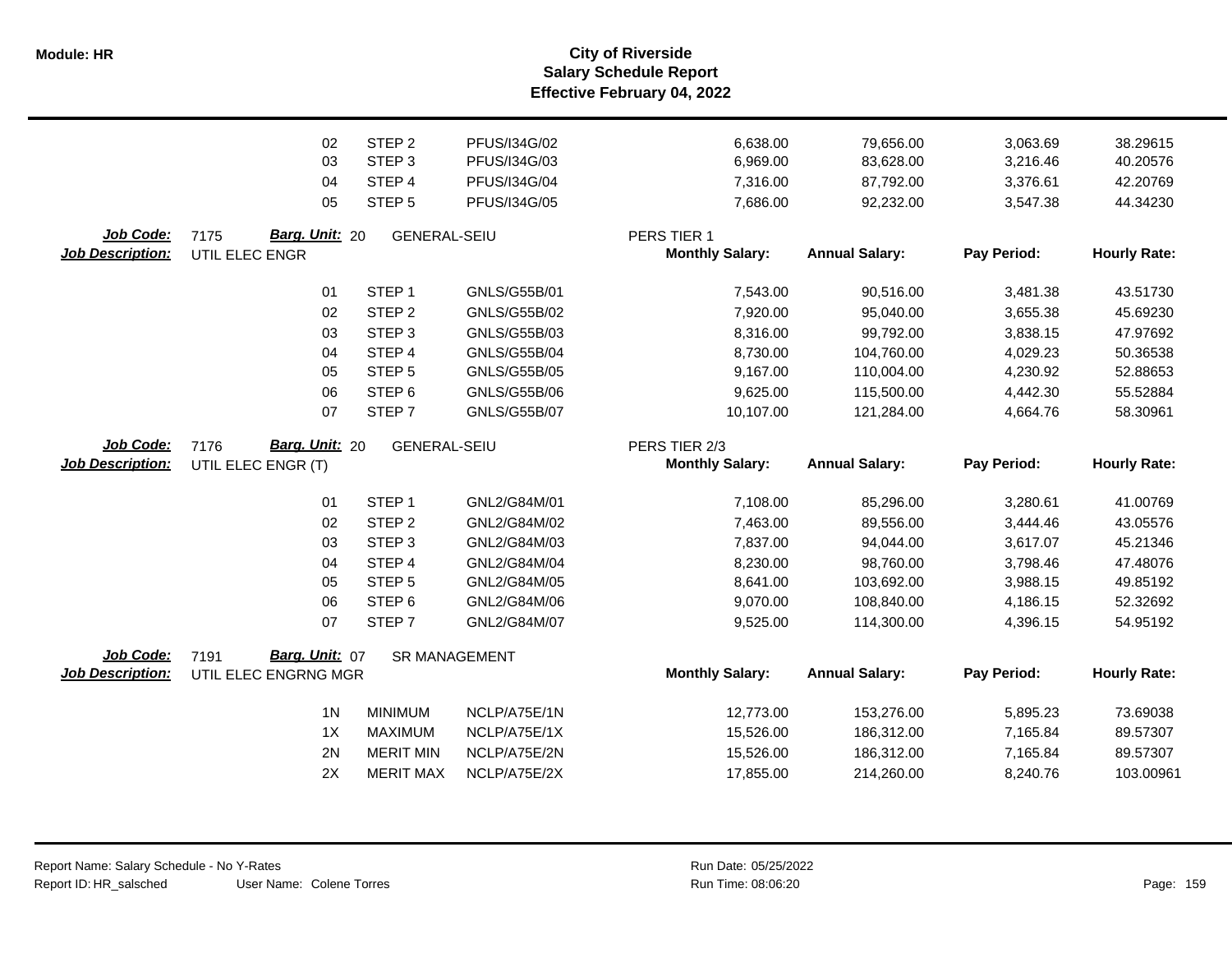**Salary Schedule Report Effective February 04, 2022 Module: HR City of Riverside**

|                         | 02                     | STEP <sub>2</sub>    | PFUS/I34G/02        | 6,638.00               | 79,656.00             | 3,063.69    | 38.29615            |
|-------------------------|------------------------|----------------------|---------------------|------------------------|-----------------------|-------------|---------------------|
|                         | 03                     | STEP <sub>3</sub>    | PFUS/I34G/03        | 6,969.00               | 83,628.00             | 3,216.46    | 40.20576            |
|                         | 04                     | STEP 4               | PFUS/I34G/04        | 7,316.00               | 87,792.00             | 3,376.61    | 42.20769            |
|                         | 05                     | STEP <sub>5</sub>    | PFUS/I34G/05        | 7,686.00               | 92,232.00             | 3,547.38    | 44.34230            |
| Job Code:               | Barg. Unit: 20<br>7175 | <b>GENERAL-SEIU</b>  |                     | PERS TIER 1            |                       |             |                     |
| <b>Job Description:</b> | UTIL ELEC ENGR         |                      |                     | <b>Monthly Salary:</b> | <b>Annual Salary:</b> | Pay Period: | <b>Hourly Rate:</b> |
|                         | 01                     | STEP <sub>1</sub>    | GNLS/G55B/01        | 7,543.00               | 90,516.00             | 3,481.38    | 43.51730            |
|                         | 02                     | STEP <sub>2</sub>    | GNLS/G55B/02        | 7,920.00               | 95,040.00             | 3,655.38    | 45.69230            |
|                         | 03                     | STEP <sub>3</sub>    | GNLS/G55B/03        | 8,316.00               | 99,792.00             | 3,838.15    | 47.97692            |
|                         | 04                     | STEP 4               | <b>GNLS/G55B/04</b> | 8,730.00               | 104,760.00            | 4,029.23    | 50.36538            |
|                         | 05                     | STEP <sub>5</sub>    | GNLS/G55B/05        | 9,167.00               | 110,004.00            | 4,230.92    | 52.88653            |
|                         | 06                     | STEP <sub>6</sub>    | GNLS/G55B/06        | 9,625.00               | 115,500.00            | 4,442.30    | 55.52884            |
|                         | 07                     | STEP <sub>7</sub>    | <b>GNLS/G55B/07</b> | 10,107.00              | 121,284.00            | 4,664.76    | 58.30961            |
| Job Code:               | Barg. Unit: 20<br>7176 | <b>GENERAL-SEIU</b>  |                     | PERS TIER 2/3          |                       |             |                     |
| <b>Job Description:</b> | UTIL ELEC ENGR (T)     |                      |                     | <b>Monthly Salary:</b> | <b>Annual Salary:</b> | Pay Period: | <b>Hourly Rate:</b> |
|                         | 01                     | STEP <sub>1</sub>    | GNL2/G84M/01        | 7,108.00               | 85,296.00             | 3,280.61    | 41.00769            |
|                         | 02                     | STEP <sub>2</sub>    | GNL2/G84M/02        | 7,463.00               | 89,556.00             | 3,444.46    | 43.05576            |
|                         | 03                     | STEP <sub>3</sub>    | GNL2/G84M/03        | 7,837.00               | 94,044.00             | 3,617.07    | 45.21346            |
|                         | 04                     | STEP 4               | GNL2/G84M/04        | 8,230.00               | 98,760.00             | 3,798.46    | 47.48076            |
|                         | 05                     | STEP <sub>5</sub>    | GNL2/G84M/05        | 8,641.00               | 103,692.00            | 3,988.15    | 49.85192            |
|                         | 06                     | STEP <sub>6</sub>    | GNL2/G84M/06        | 9,070.00               | 108,840.00            | 4,186.15    | 52.32692            |
|                         | 07                     | STEP <sub>7</sub>    | GNL2/G84M/07        | 9,525.00               | 114,300.00            | 4,396.15    | 54.95192            |
| Job Code:               | Barg. Unit: 07<br>7191 | <b>SR MANAGEMENT</b> |                     |                        |                       |             |                     |
| <b>Job Description:</b> | UTIL ELEC ENGRNG MGR   |                      |                     | <b>Monthly Salary:</b> | <b>Annual Salary:</b> | Pay Period: | <b>Hourly Rate:</b> |
|                         | 1 <sub>N</sub>         | <b>MINIMUM</b>       | NCLP/A75E/1N        | 12,773.00              | 153,276.00            | 5,895.23    | 73.69038            |
|                         | 1X                     | <b>MAXIMUM</b>       | NCLP/A75E/1X        | 15,526.00              | 186,312.00            | 7,165.84    | 89.57307            |
|                         | 2N                     | <b>MERIT MIN</b>     | NCLP/A75E/2N        | 15,526.00              | 186,312.00            | 7,165.84    | 89.57307            |
|                         | 2X                     | <b>MERIT MAX</b>     | NCLP/A75E/2X        | 17,855.00              | 214,260.00            | 8,240.76    | 103.00961           |
|                         |                        |                      |                     |                        |                       |             |                     |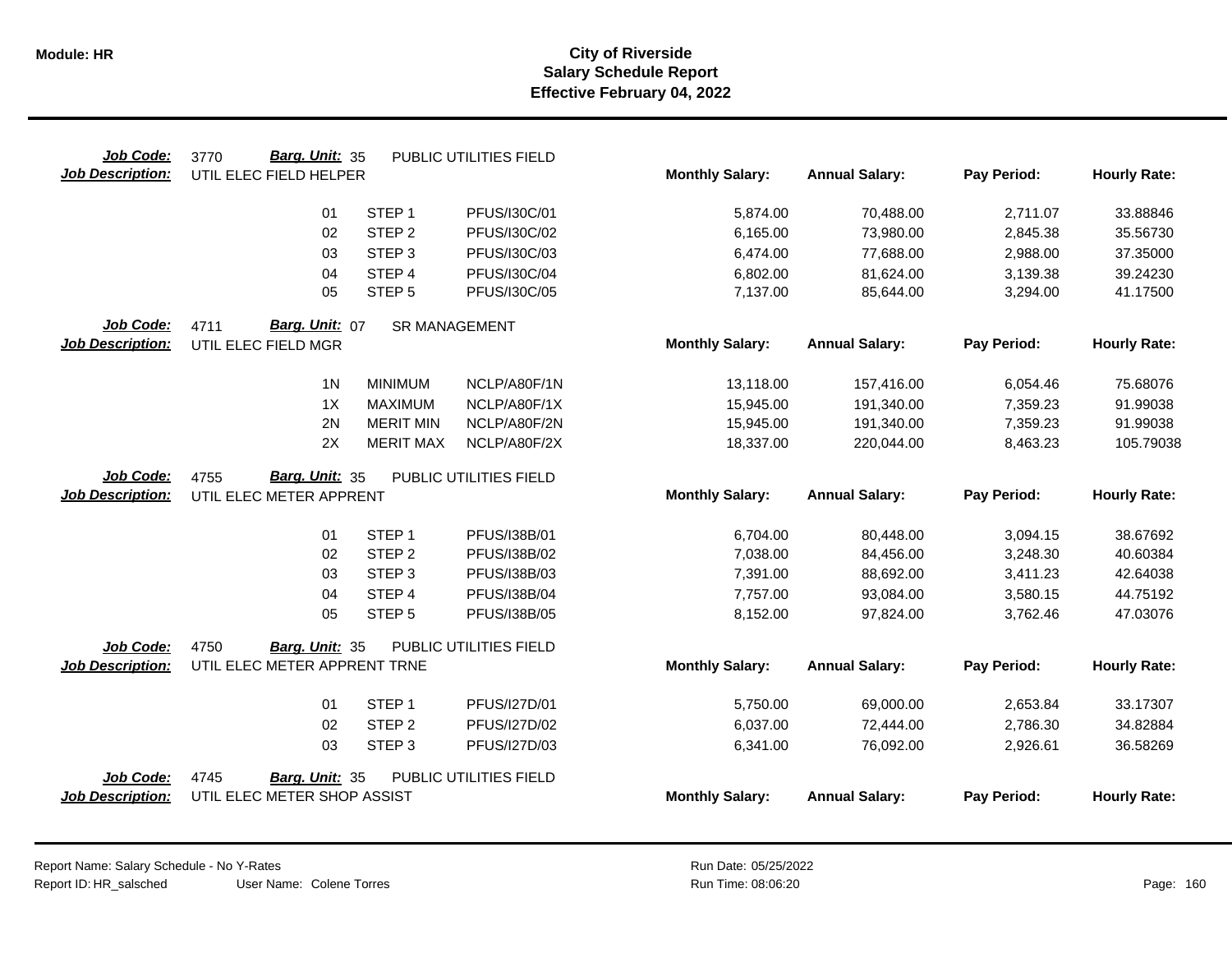| Job Code:               | Barg. Unit: 35<br>3770       |                      | PUBLIC UTILITIES FIELD |                        |                       |             |                     |
|-------------------------|------------------------------|----------------------|------------------------|------------------------|-----------------------|-------------|---------------------|
| <b>Job Description:</b> | UTIL ELEC FIELD HELPER       |                      |                        | <b>Monthly Salary:</b> | <b>Annual Salary:</b> | Pay Period: | <b>Hourly Rate:</b> |
|                         |                              |                      |                        |                        |                       |             |                     |
|                         | 01                           | STEP <sub>1</sub>    | PFUS/I30C/01           | 5,874.00               | 70,488.00             | 2,711.07    | 33.88846            |
|                         | 02                           | STEP <sub>2</sub>    | PFUS/I30C/02           | 6,165.00               | 73,980.00             | 2,845.38    | 35.56730            |
|                         | 03                           | STEP <sub>3</sub>    | PFUS/I30C/03           | 6,474.00               | 77,688.00             | 2,988.00    | 37.35000            |
|                         | 04                           | STEP 4               | PFUS/I30C/04           | 6,802.00               | 81,624.00             | 3,139.38    | 39.24230            |
|                         | 05                           | STEP <sub>5</sub>    | PFUS/I30C/05           | 7,137.00               | 85,644.00             | 3,294.00    | 41.17500            |
| Job Code:               | Barg. Unit: 07<br>4711       | <b>SR MANAGEMENT</b> |                        |                        |                       |             |                     |
| <b>Job Description:</b> | UTIL ELEC FIELD MGR          |                      |                        | <b>Monthly Salary:</b> | <b>Annual Salary:</b> | Pay Period: | <b>Hourly Rate:</b> |
|                         | 1 <sub>N</sub>               | <b>MINIMUM</b>       | NCLP/A80F/1N           | 13,118.00              | 157,416.00            | 6,054.46    | 75.68076            |
|                         | 1X                           | <b>MAXIMUM</b>       | NCLP/A80F/1X           | 15,945.00              | 191,340.00            | 7,359.23    | 91.99038            |
|                         | 2N                           | <b>MERIT MIN</b>     | NCLP/A80F/2N           | 15,945.00              | 191,340.00            | 7,359.23    | 91.99038            |
|                         | 2X                           | <b>MERIT MAX</b>     | NCLP/A80F/2X           | 18,337.00              | 220,044.00            | 8,463.23    | 105.79038           |
| Job Code:               | Barg. Unit: 35<br>4755       |                      | PUBLIC UTILITIES FIELD |                        |                       |             |                     |
| <b>Job Description:</b> | UTIL ELEC METER APPRENT      |                      |                        | <b>Monthly Salary:</b> | <b>Annual Salary:</b> | Pay Period: | <b>Hourly Rate:</b> |
|                         | 01                           | STEP <sub>1</sub>    | PFUS/I38B/01           | 6,704.00               | 80,448.00             | 3,094.15    | 38.67692            |
|                         | 02                           | STEP <sub>2</sub>    | PFUS/I38B/02           | 7,038.00               | 84,456.00             | 3,248.30    | 40.60384            |
|                         | 03                           | STEP <sub>3</sub>    | PFUS/I38B/03           | 7,391.00               | 88,692.00             | 3,411.23    | 42.64038            |
|                         | 04                           | STEP 4               | PFUS/I38B/04           | 7,757.00               | 93,084.00             | 3,580.15    | 44.75192            |
|                         | 05                           | STEP <sub>5</sub>    | PFUS/I38B/05           | 8,152.00               | 97,824.00             | 3,762.46    | 47.03076            |
| Job Code:               | 4750<br>Barg. Unit: 35       |                      | PUBLIC UTILITIES FIELD |                        |                       |             |                     |
| <b>Job Description:</b> | UTIL ELEC METER APPRENT TRNE |                      |                        | <b>Monthly Salary:</b> | <b>Annual Salary:</b> | Pay Period: | <b>Hourly Rate:</b> |
|                         | 01                           | STEP <sub>1</sub>    | PFUS/I27D/01           | 5,750.00               | 69,000.00             | 2,653.84    | 33.17307            |
|                         | 02                           | STEP <sub>2</sub>    | PFUS/I27D/02           | 6,037.00               | 72,444.00             | 2,786.30    | 34.82884            |
|                         | 03                           | STEP <sub>3</sub>    | PFUS/I27D/03           | 6,341.00               | 76,092.00             | 2,926.61    | 36.58269            |
| Job Code:               | 4745<br>Barg. Unit: 35       |                      | PUBLIC UTILITIES FIELD |                        |                       |             |                     |
| Job Description:        | UTIL ELEC METER SHOP ASSIST  |                      |                        | <b>Monthly Salary:</b> | <b>Annual Salary:</b> | Pay Period: | <b>Hourly Rate:</b> |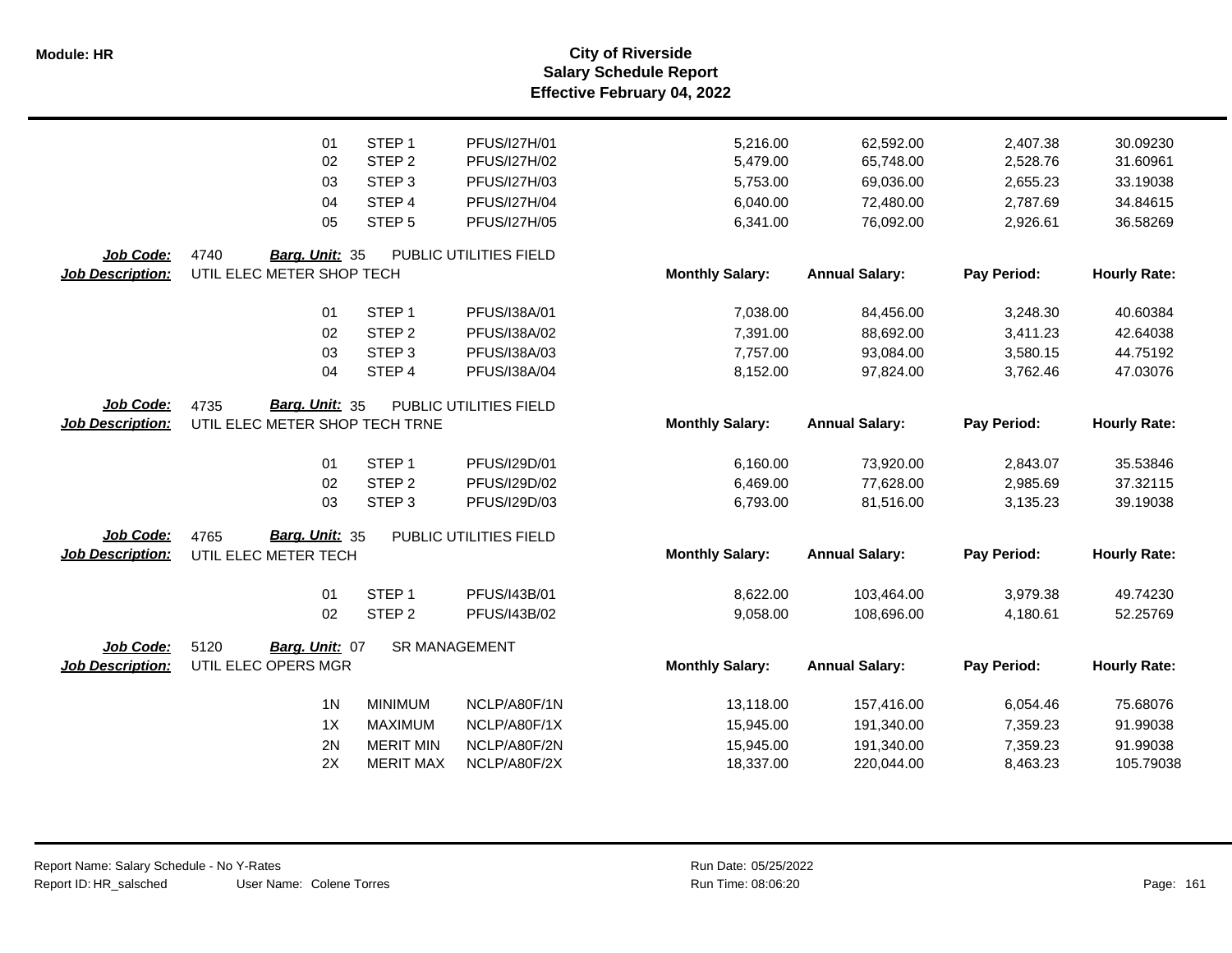**Salary Schedule Report Effective February 04, 2022 Module: HR City of Riverside**

|                         | 01                             | STEP <sub>1</sub>    | PFUS/I27H/01           | 5,216.00               | 62,592.00             | 2,407.38    | 30.09230            |
|-------------------------|--------------------------------|----------------------|------------------------|------------------------|-----------------------|-------------|---------------------|
|                         | 02                             | STEP <sub>2</sub>    | PFUS/I27H/02           | 5,479.00               | 65,748.00             | 2,528.76    | 31.60961            |
|                         | 03                             | STEP <sub>3</sub>    | PFUS/I27H/03           | 5,753.00               | 69,036.00             | 2,655.23    | 33.19038            |
|                         | 04                             | STEP <sub>4</sub>    | PFUS/I27H/04           | 6,040.00               | 72,480.00             | 2,787.69    | 34.84615            |
|                         | 05                             | STEP <sub>5</sub>    | <b>PFUS/I27H/05</b>    | 6,341.00               | 76,092.00             | 2,926.61    | 36.58269            |
| Job Code:               | 4740<br>Barg. Unit: 35         |                      | PUBLIC UTILITIES FIELD |                        |                       |             |                     |
| <b>Job Description:</b> | UTIL ELEC METER SHOP TECH      |                      |                        | <b>Monthly Salary:</b> | <b>Annual Salary:</b> | Pay Period: | <b>Hourly Rate:</b> |
|                         | 01                             | STEP <sub>1</sub>    | PFUS/I38A/01           | 7,038.00               | 84,456.00             | 3,248.30    | 40.60384            |
|                         | 02                             | STEP <sub>2</sub>    | PFUS/I38A/02           | 7,391.00               | 88,692.00             | 3,411.23    | 42.64038            |
|                         | 03                             | STEP <sub>3</sub>    | PFUS/I38A/03           | 7,757.00               | 93,084.00             | 3,580.15    | 44.75192            |
|                         | 04                             | STEP 4               | PFUS/I38A/04           | 8,152.00               | 97,824.00             | 3,762.46    | 47.03076            |
| Job Code:               | Barg. Unit: 35<br>4735         |                      | PUBLIC UTILITIES FIELD |                        |                       |             |                     |
| <b>Job Description:</b> | UTIL ELEC METER SHOP TECH TRNE |                      |                        | <b>Monthly Salary:</b> | <b>Annual Salary:</b> | Pay Period: | <b>Hourly Rate:</b> |
|                         | 01                             | STEP <sub>1</sub>    | PFUS/I29D/01           | 6,160.00               | 73,920.00             | 2,843.07    | 35.53846            |
|                         | 02                             | STEP <sub>2</sub>    | PFUS/I29D/02           | 6,469.00               | 77,628.00             | 2,985.69    | 37.32115            |
|                         | 03                             | STEP <sub>3</sub>    | PFUS/I29D/03           | 6,793.00               | 81,516.00             | 3,135.23    | 39.19038            |
| Job Code:               | 4765<br>Barg. Unit: 35         |                      | PUBLIC UTILITIES FIELD |                        |                       |             |                     |
| <b>Job Description:</b> | UTIL ELEC METER TECH           |                      |                        | <b>Monthly Salary:</b> | <b>Annual Salary:</b> | Pay Period: | <b>Hourly Rate:</b> |
|                         | 01                             | STEP <sub>1</sub>    | PFUS/I43B/01           | 8,622.00               | 103,464.00            | 3,979.38    | 49.74230            |
|                         | 02                             | STEP <sub>2</sub>    | PFUS/I43B/02           | 9,058.00               | 108,696.00            | 4,180.61    | 52.25769            |
| Job Code:               | 5120<br>Barg. Unit: 07         | <b>SR MANAGEMENT</b> |                        |                        |                       |             |                     |
| <b>Job Description:</b> | UTIL ELEC OPERS MGR            |                      |                        | <b>Monthly Salary:</b> | <b>Annual Salary:</b> | Pay Period: | <b>Hourly Rate:</b> |
|                         | 1 <sub>N</sub>                 | <b>MINIMUM</b>       | NCLP/A80F/1N           | 13,118.00              | 157,416.00            | 6,054.46    | 75.68076            |
|                         | 1X                             | <b>MAXIMUM</b>       | NCLP/A80F/1X           | 15,945.00              | 191,340.00            | 7,359.23    | 91.99038            |
|                         | 2N                             | <b>MERIT MIN</b>     | NCLP/A80F/2N           | 15,945.00              | 191,340.00            | 7,359.23    | 91.99038            |
|                         | 2X                             | <b>MERIT MAX</b>     | NCLP/A80F/2X           | 18,337.00              | 220,044.00            | 8,463.23    | 105.79038           |
|                         |                                |                      |                        |                        |                       |             |                     |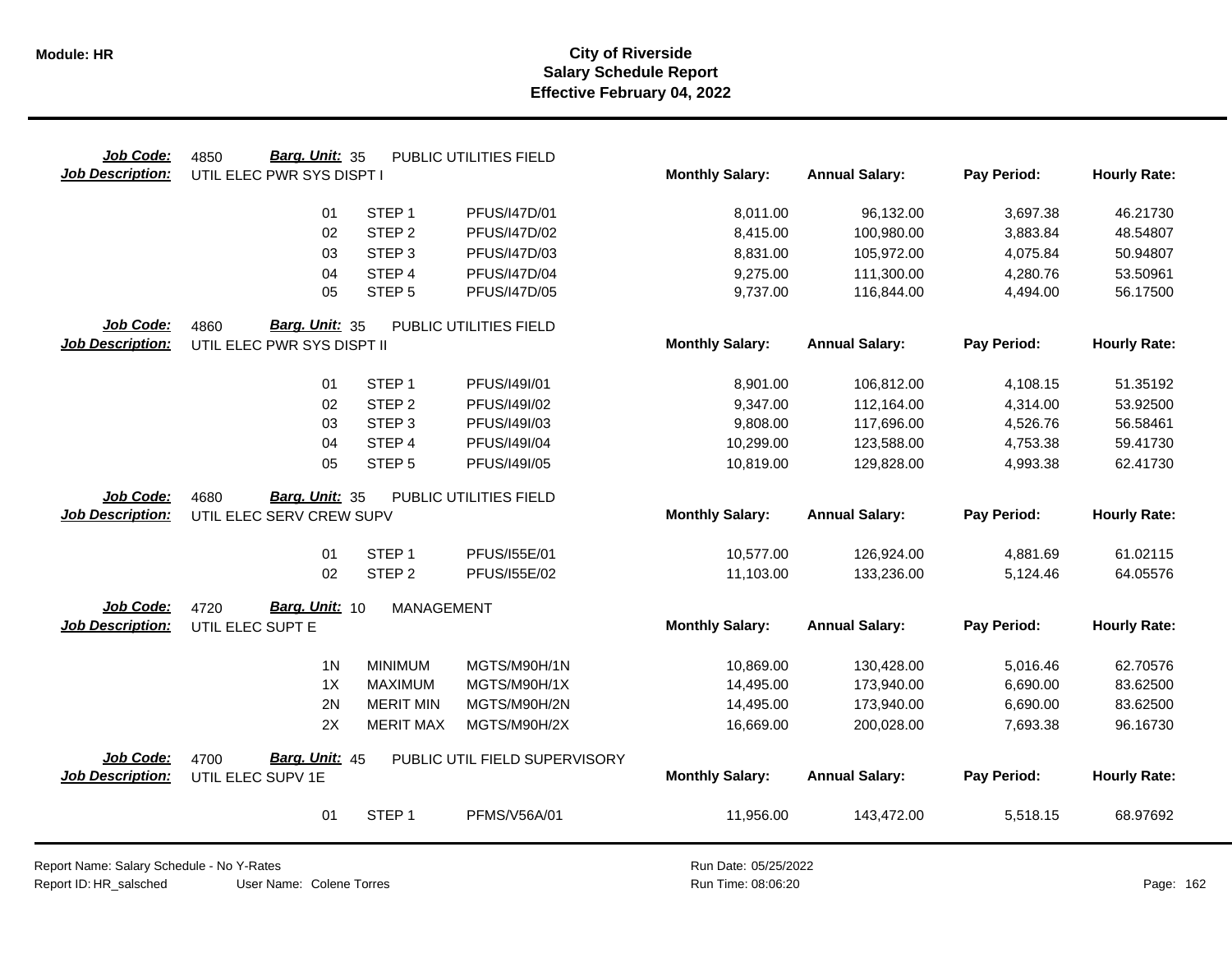| Job Code:               | Barg. Unit: 35<br>4850     |                   | PUBLIC UTILITIES FIELD        |                        |                          |             |                     |
|-------------------------|----------------------------|-------------------|-------------------------------|------------------------|--------------------------|-------------|---------------------|
| <b>Job Description:</b> | UTIL ELEC PWR SYS DISPT I  |                   |                               | <b>Monthly Salary:</b> | <b>Annual Salary:</b>    | Pay Period: | <b>Hourly Rate:</b> |
|                         | 01                         | STEP <sub>1</sub> | PFUS/I47D/01                  | 8,011.00               | 96,132.00                | 3,697.38    | 46.21730            |
|                         | 02                         | STEP <sub>2</sub> | PFUS/I47D/02                  | 8,415.00               | 100,980.00               | 3,883.84    | 48.54807            |
|                         | 03                         | STEP <sub>3</sub> | PFUS/I47D/03                  | 8,831.00               | 105,972.00               | 4,075.84    | 50.94807            |
|                         | 04                         | STEP 4            | <b>PFUS/I47D/04</b>           | 9,275.00               | 111,300.00               | 4,280.76    | 53.50961            |
|                         | 05                         | STEP <sub>5</sub> | PFUS/I47D/05                  | 9,737.00               | 116,844.00               | 4,494.00    | 56.17500            |
| Job Code:               | Barg. Unit: 35<br>4860     |                   | PUBLIC UTILITIES FIELD        |                        |                          |             |                     |
| <b>Job Description:</b> | UTIL ELEC PWR SYS DISPT II |                   |                               | <b>Monthly Salary:</b> | <b>Annual Salary:</b>    | Pay Period: | <b>Hourly Rate:</b> |
|                         | 01                         | STEP <sub>1</sub> | PFUS/I49I/01                  | 8,901.00               | 106,812.00               | 4,108.15    | 51.35192            |
|                         | 02                         | STEP <sub>2</sub> | PFUS/I49I/02                  | 9,347.00               |                          | 4,314.00    | 53.92500            |
|                         | 03                         | STEP <sub>3</sub> | PFUS/I49I/03                  | 9,808.00               | 112,164.00<br>117,696.00 | 4,526.76    | 56.58461            |
|                         | 04                         | STEP 4            | PFUS/I49I/04                  | 10,299.00              | 123,588.00               | 4,753.38    | 59.41730            |
|                         | 05                         | STEP <sub>5</sub> | PFUS/I49I/05                  | 10,819.00              | 129,828.00               | 4,993.38    | 62.41730            |
|                         |                            |                   |                               |                        |                          |             |                     |
| Job Code:               | Barg. Unit: 35<br>4680     |                   | PUBLIC UTILITIES FIELD        |                        |                          |             |                     |
| <b>Job Description:</b> | UTIL ELEC SERV CREW SUPV   |                   |                               | <b>Monthly Salary:</b> | <b>Annual Salary:</b>    | Pay Period: | <b>Hourly Rate:</b> |
|                         |                            |                   |                               |                        |                          |             |                     |
|                         | 01                         | STEP <sub>1</sub> | PFUS/155E/01                  | 10,577.00              | 126,924.00               | 4,881.69    | 61.02115            |
|                         | 02                         | STEP <sub>2</sub> | PFUS/155E/02                  | 11,103.00              | 133,236.00               | 5,124.46    | 64.05576            |
| Job Code:               | Barg. Unit: 10<br>4720     | <b>MANAGEMENT</b> |                               |                        |                          |             |                     |
| <b>Job Description:</b> | UTIL ELEC SUPT E           |                   |                               | <b>Monthly Salary:</b> | <b>Annual Salary:</b>    | Pay Period: | <b>Hourly Rate:</b> |
|                         | 1 <sub>N</sub>             | <b>MINIMUM</b>    | MGTS/M90H/1N                  | 10,869.00              | 130,428.00               | 5,016.46    | 62.70576            |
|                         | 1X                         | <b>MAXIMUM</b>    | MGTS/M90H/1X                  | 14,495.00              | 173,940.00               | 6,690.00    | 83.62500            |
|                         | 2N                         | <b>MERIT MIN</b>  | MGTS/M90H/2N                  | 14,495.00              | 173,940.00               | 6,690.00    | 83.62500            |
|                         | 2X                         | <b>MERIT MAX</b>  | MGTS/M90H/2X                  | 16,669.00              | 200,028.00               | 7,693.38    | 96.16730            |
| Job Code:               | Barg. Unit: 45<br>4700     |                   | PUBLIC UTIL FIELD SUPERVISORY |                        |                          |             |                     |
| <b>Job Description:</b> | UTIL ELEC SUPV 1E          |                   |                               | <b>Monthly Salary:</b> | <b>Annual Salary:</b>    | Pay Period: | <b>Hourly Rate:</b> |
|                         | 01                         | STEP <sub>1</sub> | PFMS/V56A/01                  | 11,956.00              | 143,472.00               | 5,518.15    | 68.97692            |

Report Name: Salary Schedule - No Y-Rates Report ID: HR\_salsched

Run Date: 05/25/2022 08:06:20 Colene Torres Run Time: Page: 162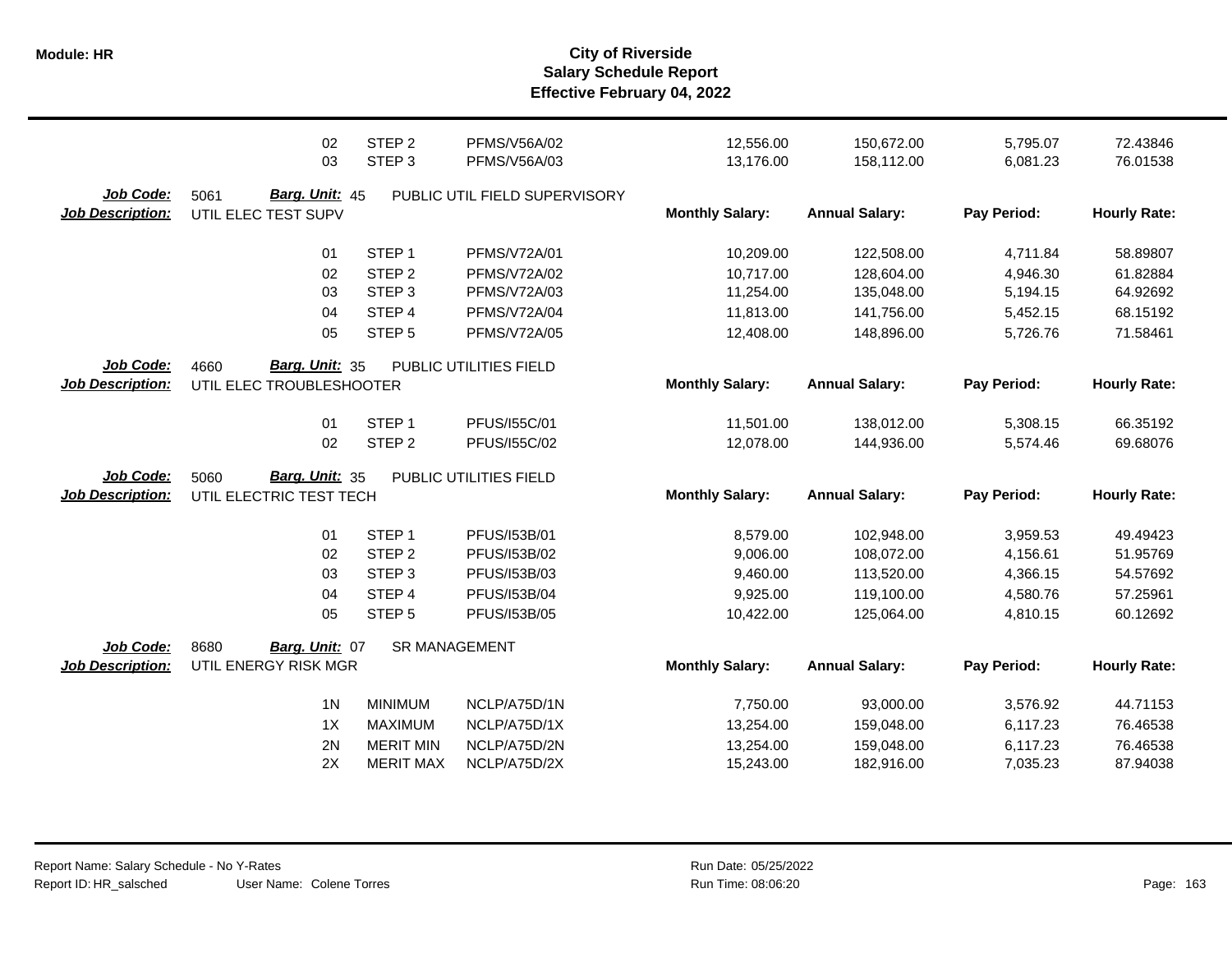|                                      | 02                                                        | STEP <sub>2</sub> | <b>PFMS/V56A/02</b>           | 12,556.00              | 150,672.00            | 5,795.07    | 72.43846            |
|--------------------------------------|-----------------------------------------------------------|-------------------|-------------------------------|------------------------|-----------------------|-------------|---------------------|
|                                      | 03                                                        | STEP <sub>3</sub> | PFMS/V56A/03                  | 13,176.00              | 158,112.00            | 6,081.23    | 76.01538            |
| Job Code:<br><b>Job Description:</b> | Barg. Unit: 45<br>5061<br>UTIL ELEC TEST SUPV             |                   | PUBLIC UTIL FIELD SUPERVISORY | <b>Monthly Salary:</b> | <b>Annual Salary:</b> | Pay Period: | <b>Hourly Rate:</b> |
|                                      | 01                                                        | STEP <sub>1</sub> | PFMS/V72A/01                  | 10,209.00              | 122,508.00            | 4,711.84    | 58.89807            |
|                                      | 02                                                        | STEP <sub>2</sub> | <b>PFMS/V72A/02</b>           | 10,717.00              | 128,604.00            | 4,946.30    | 61.82884            |
|                                      | 03                                                        | STEP <sub>3</sub> | <b>PFMS/V72A/03</b>           | 11,254.00              | 135,048.00            | 5,194.15    | 64.92692            |
|                                      | 04                                                        | STEP 4            | PFMS/V72A/04                  | 11,813.00              | 141,756.00            | 5,452.15    | 68.15192            |
|                                      | 05                                                        | STEP <sub>5</sub> | <b>PFMS/V72A/05</b>           | 12,408.00              | 148,896.00            | 5,726.76    | 71.58461            |
| Job Code:<br><b>Job Description:</b> | <b>Barg. Unit: 35</b><br>4660<br>UTIL ELEC TROUBLESHOOTER |                   | PUBLIC UTILITIES FIELD        | <b>Monthly Salary:</b> | <b>Annual Salary:</b> | Pay Period: | <b>Hourly Rate:</b> |
|                                      | 01                                                        | STEP <sub>1</sub> | PFUS/155C/01                  | 11,501.00              | 138,012.00            | 5,308.15    | 66.35192            |
|                                      | 02                                                        | STEP <sub>2</sub> | PFUS/155C/02                  | 12,078.00              | 144,936.00            | 5,574.46    | 69.68076            |
| Job Code:<br><b>Job Description:</b> | Barg. Unit: 35<br>5060<br>UTIL ELECTRIC TEST TECH         |                   | PUBLIC UTILITIES FIELD        | <b>Monthly Salary:</b> | <b>Annual Salary:</b> | Pay Period: | <b>Hourly Rate:</b> |
|                                      | 01                                                        | STEP <sub>1</sub> | PFUS/153B/01                  | 8,579.00               | 102,948.00            | 3,959.53    | 49.49423            |
|                                      | 02                                                        | STEP <sub>2</sub> | PFUS/153B/02                  | 9,006.00               | 108,072.00            | 4,156.61    | 51.95769            |
|                                      | 03                                                        | STEP <sub>3</sub> | PFUS/153B/03                  | 9,460.00               | 113,520.00            | 4,366.15    | 54.57692            |
|                                      | 04                                                        | STEP <sub>4</sub> | PFUS/153B/04                  | 9,925.00               | 119,100.00            | 4,580.76    | 57.25961            |
|                                      | 05                                                        | STEP <sub>5</sub> | PFUS/I53B/05                  | 10,422.00              | 125,064.00            | 4,810.15    | 60.12692            |
| Job Code:<br><b>Job Description:</b> | 8680<br>Barg. Unit: 07<br>UTIL ENERGY RISK MGR            | SR MANAGEMENT     |                               | <b>Monthly Salary:</b> | <b>Annual Salary:</b> | Pay Period: | <b>Hourly Rate:</b> |
|                                      | 1 <sub>N</sub>                                            | <b>MINIMUM</b>    | NCLP/A75D/1N                  | 7,750.00               | 93,000.00             | 3,576.92    | 44.71153            |
|                                      | 1X                                                        | <b>MAXIMUM</b>    | NCLP/A75D/1X                  | 13,254.00              | 159,048.00            | 6,117.23    | 76.46538            |
|                                      | 2N                                                        | <b>MERIT MIN</b>  | NCLP/A75D/2N                  | 13,254.00              | 159,048.00            | 6,117.23    | 76.46538            |
|                                      | 2X                                                        | <b>MERIT MAX</b>  | NCLP/A75D/2X                  | 15,243.00              | 182,916.00            | 7,035.23    | 87.94038            |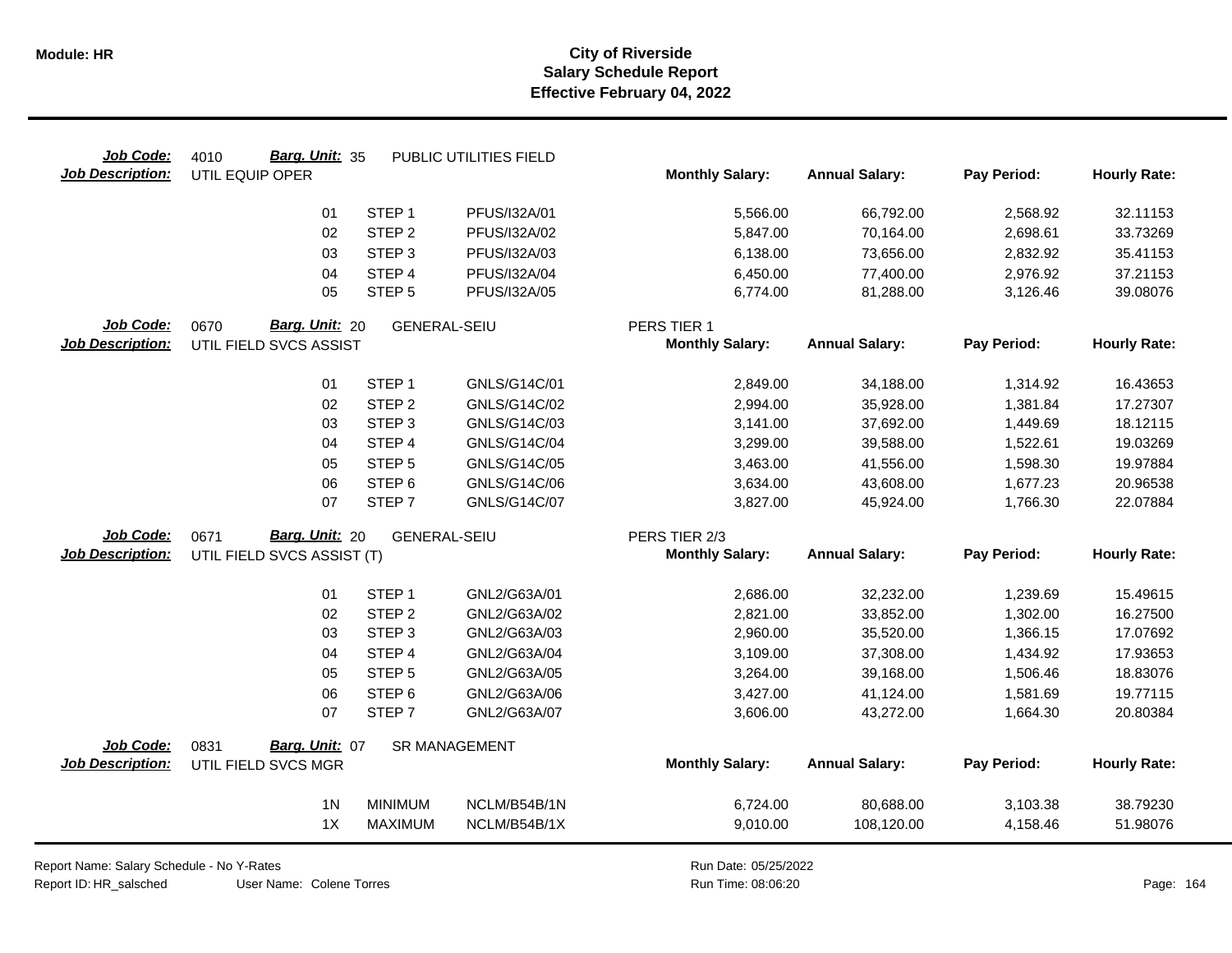| Job Code:               | Barg. Unit: 35<br>4010     |                     | PUBLIC UTILITIES FIELD |                        |                       |             |                     |
|-------------------------|----------------------------|---------------------|------------------------|------------------------|-----------------------|-------------|---------------------|
| <b>Job Description:</b> | UTIL EQUIP OPER            |                     |                        | <b>Monthly Salary:</b> | <b>Annual Salary:</b> | Pay Period: | <b>Hourly Rate:</b> |
|                         | 01                         | STEP <sub>1</sub>   | PFUS/I32A/01           | 5,566.00               | 66,792.00             | 2,568.92    | 32.11153            |
|                         | 02                         | STEP <sub>2</sub>   | PFUS/I32A/02           | 5,847.00               | 70,164.00             | 2,698.61    | 33.73269            |
|                         | 03                         | STEP <sub>3</sub>   | PFUS/I32A/03           | 6,138.00               | 73,656.00             | 2,832.92    | 35.41153            |
|                         | 04                         | STEP 4              | PFUS/I32A/04           | 6,450.00               | 77,400.00             | 2,976.92    | 37.21153            |
|                         | 05                         | STEP <sub>5</sub>   | PFUS/I32A/05           | 6,774.00               | 81,288.00             | 3,126.46    | 39.08076            |
| Job Code:               | Barg. Unit: 20<br>0670     | <b>GENERAL-SEIU</b> |                        | PERS TIER 1            |                       |             |                     |
| Job Description:        | UTIL FIELD SVCS ASSIST     |                     |                        | <b>Monthly Salary:</b> | <b>Annual Salary:</b> | Pay Period: | <b>Hourly Rate:</b> |
|                         | 01                         | STEP <sub>1</sub>   | GNLS/G14C/01           | 2,849.00               | 34,188.00             | 1,314.92    | 16.43653            |
|                         | 02                         | STEP <sub>2</sub>   | GNLS/G14C/02           | 2,994.00               | 35,928.00             | 1,381.84    | 17.27307            |
|                         | 03                         | STEP <sub>3</sub>   | GNLS/G14C/03           | 3,141.00               | 37,692.00             | 1,449.69    | 18.12115            |
|                         | 04                         | STEP 4              | GNLS/G14C/04           | 3,299.00               | 39,588.00             | 1,522.61    | 19.03269            |
|                         | 05                         | STEP <sub>5</sub>   | GNLS/G14C/05           | 3,463.00               | 41,556.00             | 1,598.30    | 19.97884            |
|                         | 06                         | STEP <sub>6</sub>   | GNLS/G14C/06           | 3,634.00               | 43,608.00             | 1,677.23    | 20.96538            |
|                         | 07                         | STEP <sub>7</sub>   | GNLS/G14C/07           | 3,827.00               | 45,924.00             | 1,766.30    | 22.07884            |
| Job Code:               | Barg. Unit: 20<br>0671     | <b>GENERAL-SEIU</b> |                        | PERS TIER 2/3          |                       |             |                     |
| <b>Job Description:</b> | UTIL FIELD SVCS ASSIST (T) |                     |                        | <b>Monthly Salary:</b> | <b>Annual Salary:</b> | Pay Period: | <b>Hourly Rate:</b> |
|                         | 01                         | STEP <sub>1</sub>   | GNL2/G63A/01           | 2,686.00               | 32,232.00             | 1,239.69    | 15.49615            |
|                         | 02                         | STEP <sub>2</sub>   | GNL2/G63A/02           | 2,821.00               | 33,852.00             | 1,302.00    | 16.27500            |
|                         | 03                         | STEP <sub>3</sub>   | GNL2/G63A/03           | 2,960.00               | 35,520.00             | 1,366.15    | 17.07692            |
|                         | 04                         | STEP 4              | GNL2/G63A/04           | 3,109.00               | 37,308.00             | 1,434.92    | 17.93653            |
|                         | 05                         | STEP <sub>5</sub>   | GNL2/G63A/05           | 3,264.00               | 39,168.00             | 1,506.46    | 18.83076            |
|                         | 06                         | STEP <sub>6</sub>   | GNL2/G63A/06           | 3,427.00               | 41,124.00             | 1,581.69    | 19.77115            |
|                         | 07                         | STEP <sub>7</sub>   | GNL2/G63A/07           | 3,606.00               | 43,272.00             | 1,664.30    | 20.80384            |
| Job Code:               | Barg. Unit: 07<br>0831     |                     | <b>SR MANAGEMENT</b>   |                        |                       |             |                     |
| <b>Job Description:</b> | UTIL FIELD SVCS MGR        |                     |                        | <b>Monthly Salary:</b> | <b>Annual Salary:</b> | Pay Period: | <b>Hourly Rate:</b> |
|                         | 1 <sub>N</sub>             | <b>MINIMUM</b>      | NCLM/B54B/1N           | 6,724.00               | 80,688.00             | 3,103.38    | 38.79230            |
|                         | 1X                         | <b>MAXIMUM</b>      | NCLM/B54B/1X           | 9,010.00               | 108,120.00            | 4,158.46    | 51.98076            |
|                         |                            |                     |                        |                        |                       |             |                     |

User Name: Colene Torres Report Name: Salary Schedule - No Y-Rates Report ID: HR\_salsched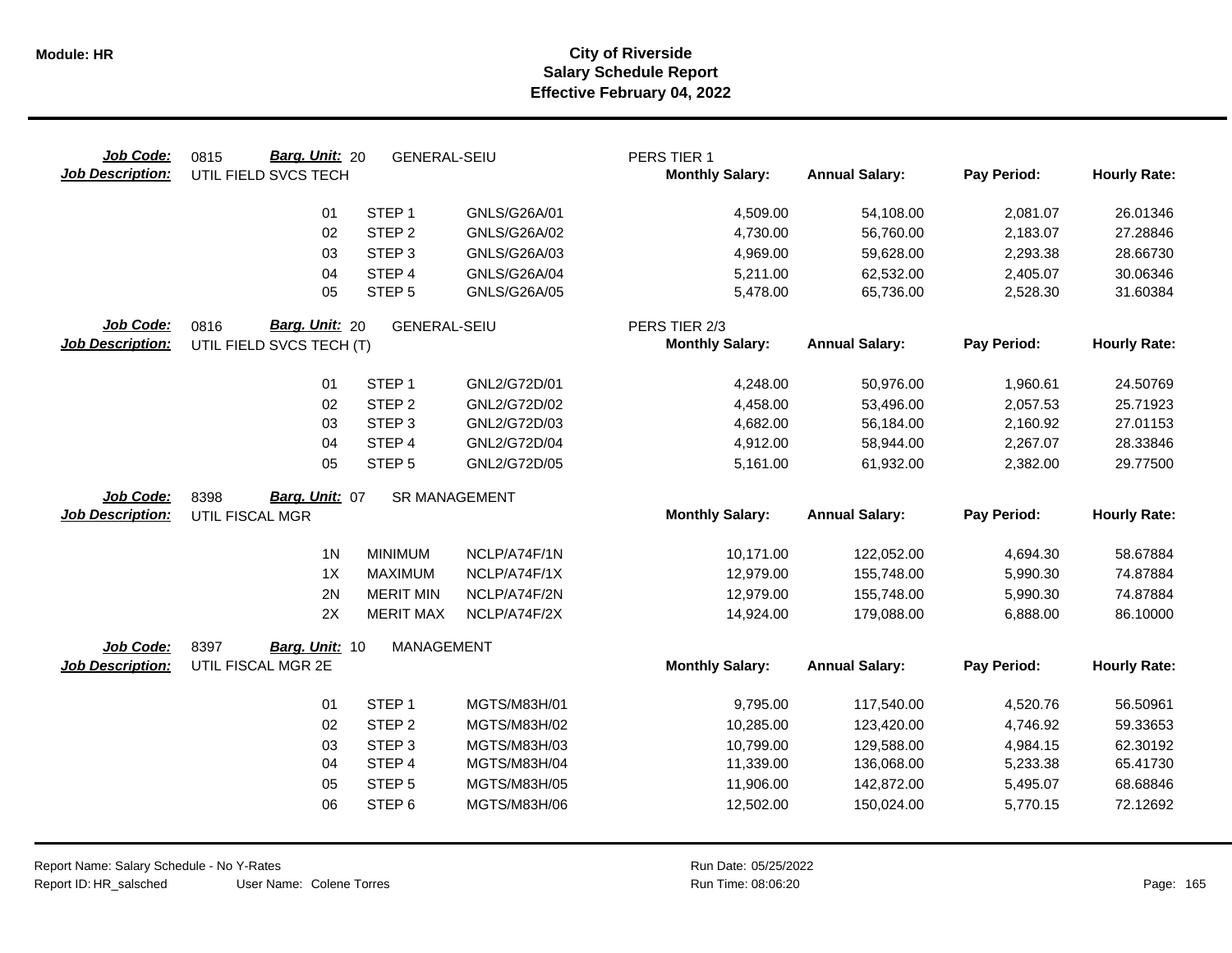| Job Code:<br><b>Job Description:</b> | Barg. Unit: 20<br>0815<br>UTIL FIELD SVCS TECH | <b>GENERAL-SEIU</b>  |                     | PERS TIER 1<br><b>Monthly Salary:</b> | <b>Annual Salary:</b>    | Pay Period:          | <b>Hourly Rate:</b>  |
|--------------------------------------|------------------------------------------------|----------------------|---------------------|---------------------------------------|--------------------------|----------------------|----------------------|
|                                      | 01                                             | STEP <sub>1</sub>    | GNLS/G26A/01        | 4,509.00                              | 54,108.00                | 2,081.07             | 26.01346             |
|                                      | 02                                             | STEP <sub>2</sub>    | GNLS/G26A/02        | 4,730.00                              | 56,760.00                | 2,183.07             | 27.28846             |
|                                      | 03                                             | STEP <sub>3</sub>    | GNLS/G26A/03        | 4,969.00                              | 59,628.00                | 2,293.38             | 28.66730             |
|                                      | 04                                             | STEP 4               | <b>GNLS/G26A/04</b> | 5,211.00                              | 62,532.00                | 2,405.07             | 30.06346             |
|                                      | 05                                             | STEP <sub>5</sub>    | GNLS/G26A/05        | 5,478.00                              | 65,736.00                | 2,528.30             | 31.60384             |
| Job Code:                            | Barg. Unit: 20<br>0816                         | <b>GENERAL-SEIU</b>  |                     | PERS TIER 2/3                         |                          |                      |                      |
| <b>Job Description:</b>              | UTIL FIELD SVCS TECH (T)                       |                      |                     | <b>Monthly Salary:</b>                | <b>Annual Salary:</b>    | Pay Period:          | <b>Hourly Rate:</b>  |
|                                      | 01                                             | STEP <sub>1</sub>    | GNL2/G72D/01        | 4,248.00                              | 50,976.00                | 1,960.61             | 24.50769             |
|                                      | 02                                             | STEP <sub>2</sub>    | GNL2/G72D/02        | 4,458.00                              | 53,496.00                | 2,057.53             | 25.71923             |
|                                      | 03                                             | STEP <sub>3</sub>    | GNL2/G72D/03        | 4,682.00                              | 56,184.00                | 2,160.92             | 27.01153             |
|                                      | 04                                             | STEP 4               | GNL2/G72D/04        | 4,912.00                              | 58,944.00                | 2,267.07             | 28.33846             |
|                                      | 05                                             | STEP <sub>5</sub>    | GNL2/G72D/05        | 5,161.00                              | 61,932.00                | 2,382.00             | 29.77500             |
| Job Code:                            | Barg. Unit: 07<br>8398                         | <b>SR MANAGEMENT</b> |                     |                                       |                          |                      |                      |
| <b>Job Description:</b>              | UTIL FISCAL MGR                                |                      |                     | <b>Monthly Salary:</b>                | <b>Annual Salary:</b>    | Pay Period:          | <b>Hourly Rate:</b>  |
|                                      | 1 <sub>N</sub>                                 | <b>MINIMUM</b>       | NCLP/A74F/1N        | 10,171.00                             | 122,052.00               | 4,694.30             | 58.67884             |
|                                      | 1X                                             | <b>MAXIMUM</b>       | NCLP/A74F/1X        | 12,979.00                             | 155,748.00               | 5,990.30             | 74.87884             |
|                                      | 2N                                             | <b>MERIT MIN</b>     | NCLP/A74F/2N        | 12,979.00                             | 155,748.00               | 5,990.30             | 74.87884             |
|                                      | 2X                                             | <b>MERIT MAX</b>     | NCLP/A74F/2X        | 14,924.00                             | 179,088.00               | 6,888.00             | 86.10000             |
|                                      |                                                |                      |                     |                                       |                          |                      |                      |
|                                      | 8397                                           | <b>MANAGEMENT</b>    |                     |                                       |                          |                      |                      |
| Job Code:<br><b>Job Description:</b> | Barg. Unit: 10<br>UTIL FISCAL MGR 2E           |                      |                     | <b>Monthly Salary:</b>                | <b>Annual Salary:</b>    | Pay Period:          | <b>Hourly Rate:</b>  |
|                                      | 01                                             | STEP <sub>1</sub>    | MGTS/M83H/01        |                                       |                          |                      |                      |
|                                      | 02                                             | STEP <sub>2</sub>    | MGTS/M83H/02        | 9,795.00                              | 117,540.00<br>123,420.00 | 4,520.76<br>4,746.92 | 56.50961<br>59.33653 |
|                                      | 03                                             | STEP <sub>3</sub>    | MGTS/M83H/03        | 10,285.00<br>10,799.00                | 129,588.00               | 4,984.15             | 62.30192             |
|                                      | 04                                             | STEP 4               | MGTS/M83H/04        | 11,339.00                             | 136,068.00               | 5,233.38             | 65.41730             |
|                                      | 05                                             | STEP <sub>5</sub>    | MGTS/M83H/05        | 11,906.00                             | 142,872.00               | 5,495.07             | 68.68846             |
|                                      | 06                                             | STEP <sub>6</sub>    | MGTS/M83H/06        | 12,502.00                             | 150,024.00               | 5,770.15             | 72.12692             |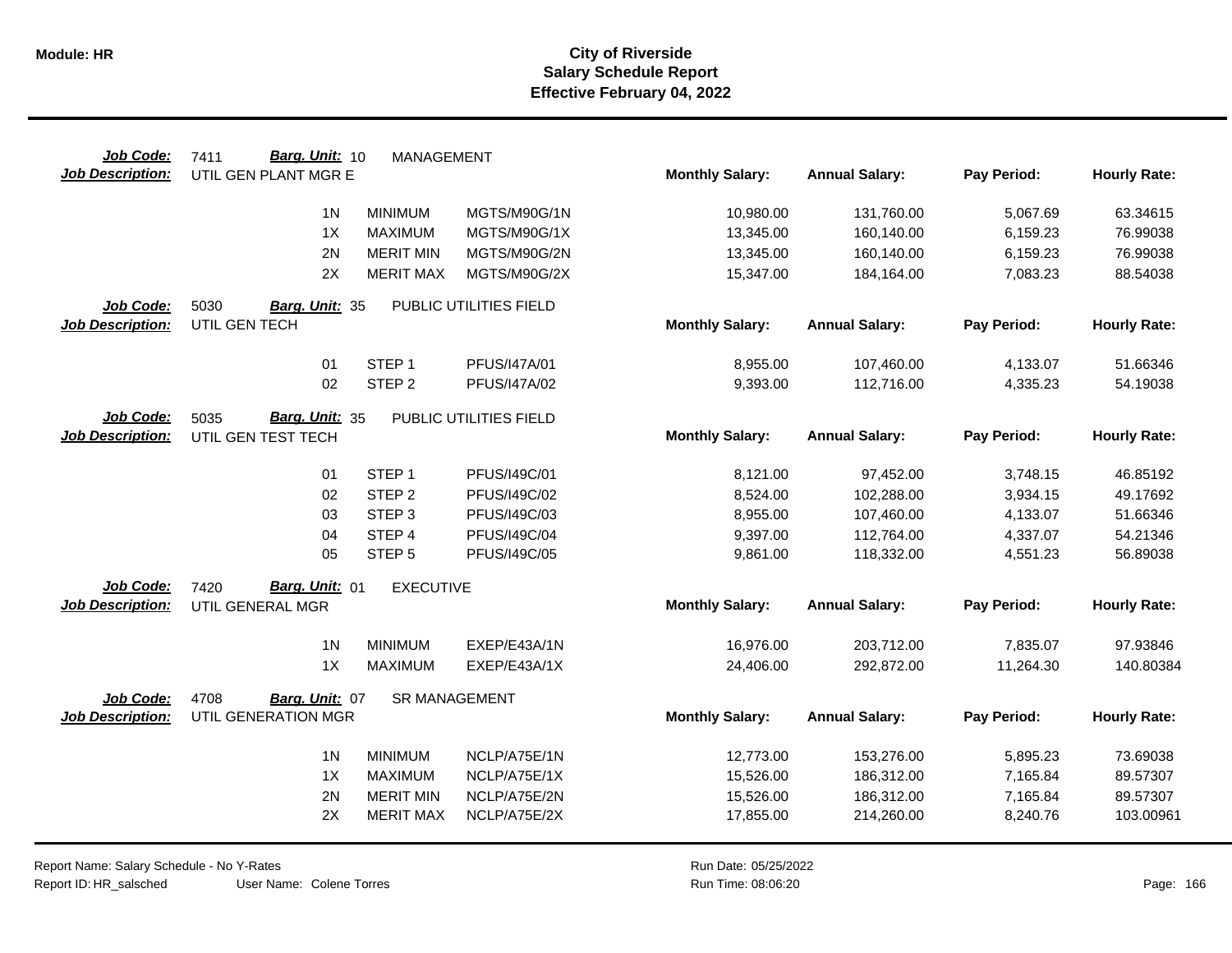| Job Code:               | Barg. Unit: 10<br>7411 | <b>MANAGEMENT</b>    |                        |                        |                       |             |                     |
|-------------------------|------------------------|----------------------|------------------------|------------------------|-----------------------|-------------|---------------------|
| <b>Job Description:</b> | UTIL GEN PLANT MGR E   |                      |                        | <b>Monthly Salary:</b> | <b>Annual Salary:</b> | Pay Period: | <b>Hourly Rate:</b> |
|                         | 1 <sub>N</sub>         | <b>MINIMUM</b>       | MGTS/M90G/1N           | 10,980.00              | 131,760.00            | 5,067.69    | 63.34615            |
|                         | 1X                     | <b>MAXIMUM</b>       | MGTS/M90G/1X           | 13,345.00              | 160,140.00            | 6,159.23    | 76.99038            |
|                         | 2N                     | <b>MERIT MIN</b>     | MGTS/M90G/2N           | 13,345.00              | 160,140.00            | 6,159.23    | 76.99038            |
|                         | 2X                     | <b>MERIT MAX</b>     | MGTS/M90G/2X           | 15,347.00              | 184,164.00            | 7,083.23    | 88.54038            |
| Job Code:               | 5030<br>Barg. Unit: 35 |                      | PUBLIC UTILITIES FIELD |                        |                       |             |                     |
| <b>Job Description:</b> | UTIL GEN TECH          |                      |                        | <b>Monthly Salary:</b> | <b>Annual Salary:</b> | Pay Period: | <b>Hourly Rate:</b> |
|                         | 01                     | STEP <sub>1</sub>    | PFUS/I47A/01           | 8,955.00               | 107,460.00            | 4,133.07    | 51.66346            |
|                         | 02                     | STEP <sub>2</sub>    | PFUS/I47A/02           | 9,393.00               | 112,716.00            | 4,335.23    | 54.19038            |
| Job Code:               | Barg. Unit: 35<br>5035 |                      | PUBLIC UTILITIES FIELD |                        |                       |             |                     |
| <b>Job Description:</b> | UTIL GEN TEST TECH     |                      |                        | <b>Monthly Salary:</b> | <b>Annual Salary:</b> | Pay Period: | <b>Hourly Rate:</b> |
|                         | 01                     | STEP <sub>1</sub>    | PFUS/I49C/01           | 8,121.00               | 97,452.00             | 3,748.15    | 46.85192            |
|                         | 02                     | STEP <sub>2</sub>    | PFUS/I49C/02           | 8,524.00               | 102,288.00            | 3,934.15    | 49.17692            |
|                         | 03                     | STEP <sub>3</sub>    | PFUS/I49C/03           | 8,955.00               | 107,460.00            | 4,133.07    | 51.66346            |
|                         | 04                     | STEP 4               | PFUS/I49C/04           | 9,397.00               | 112,764.00            | 4,337.07    | 54.21346            |
|                         | 05                     | STEP <sub>5</sub>    | PFUS/I49C/05           | 9,861.00               | 118,332.00            | 4,551.23    | 56.89038            |
| Job Code:               | Barg. Unit: 01<br>7420 | <b>EXECUTIVE</b>     |                        |                        |                       |             |                     |
| <b>Job Description:</b> | UTIL GENERAL MGR       |                      |                        | <b>Monthly Salary:</b> | <b>Annual Salary:</b> | Pay Period: | <b>Hourly Rate:</b> |
|                         | 1 <sub>N</sub>         | <b>MINIMUM</b>       | EXEP/E43A/1N           | 16,976.00              | 203,712.00            | 7,835.07    | 97.93846            |
|                         | 1X                     | <b>MAXIMUM</b>       | EXEP/E43A/1X           | 24,406.00              | 292,872.00            | 11,264.30   | 140.80384           |
| Job Code:               | 4708<br>Barg. Unit: 07 | <b>SR MANAGEMENT</b> |                        |                        |                       |             |                     |
| <b>Job Description:</b> | UTIL GENERATION MGR    |                      |                        | <b>Monthly Salary:</b> | <b>Annual Salary:</b> | Pay Period: | <b>Hourly Rate:</b> |
|                         | 1 <sub>N</sub>         | <b>MINIMUM</b>       | NCLP/A75E/1N           | 12,773.00              | 153,276.00            | 5,895.23    | 73.69038            |
|                         | 1X                     | <b>MAXIMUM</b>       | NCLP/A75E/1X           | 15,526.00              | 186,312.00            | 7,165.84    | 89.57307            |
|                         | 2N                     | <b>MERIT MIN</b>     | NCLP/A75E/2N           | 15,526.00              | 186,312.00            | 7,165.84    | 89.57307            |
|                         | 2X                     | <b>MERIT MAX</b>     | NCLP/A75E/2X           | 17,855.00              | 214,260.00            | 8,240.76    | 103.00961           |
|                         |                        |                      |                        |                        |                       |             |                     |

Report Name: Salary Schedule - No Y-Rates Report ID: HR\_salsched

User Name: Colene Torres

Run Date: 05/25/2022 08:06:20 Colene Torres Run Time: Page: 166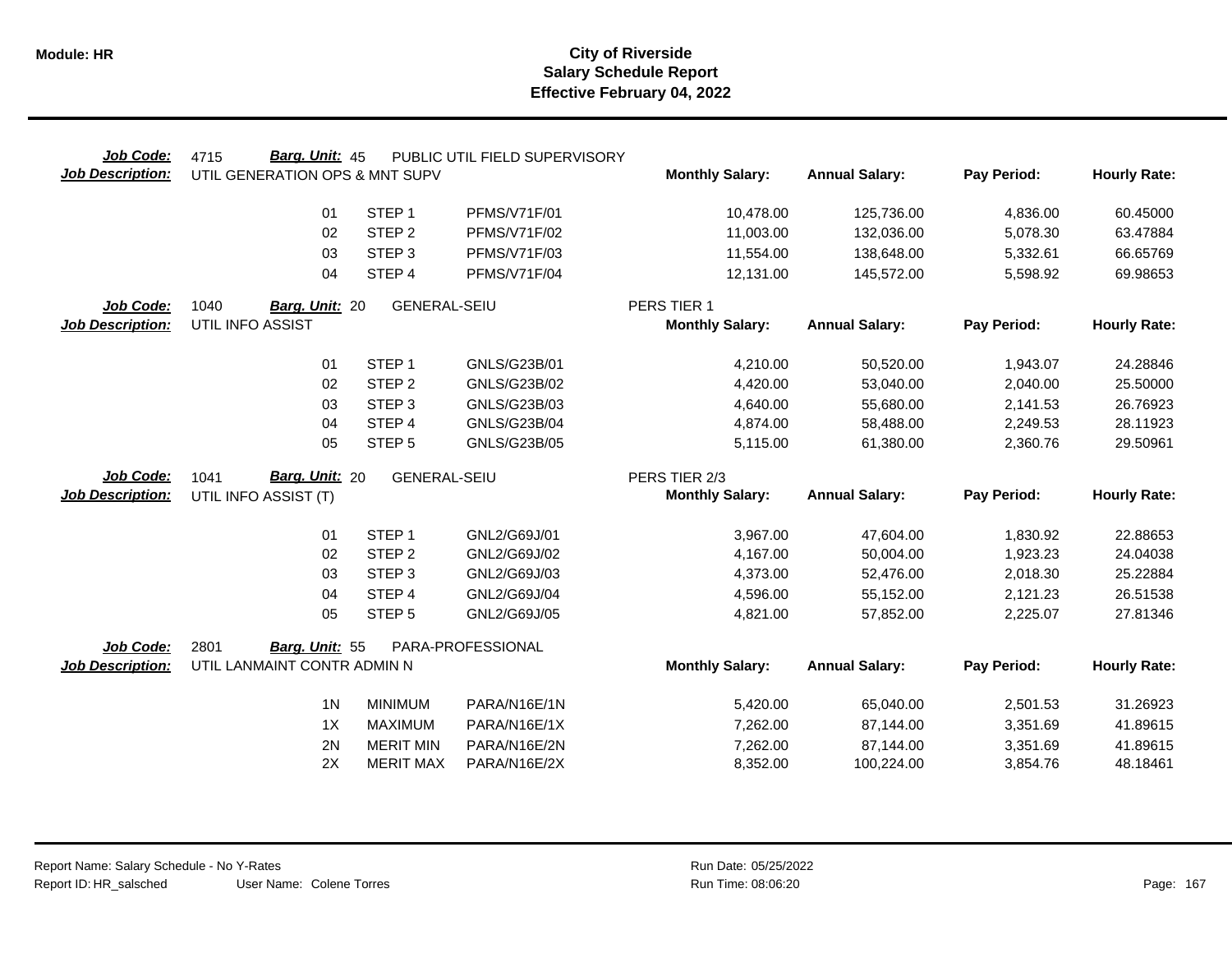| Job Code:               | Barg. Unit: 45<br>4715         |                     | PUBLIC UTIL FIELD SUPERVISORY |                        |                        |                      |                      |
|-------------------------|--------------------------------|---------------------|-------------------------------|------------------------|------------------------|----------------------|----------------------|
| <b>Job Description:</b> | UTIL GENERATION OPS & MNT SUPV |                     |                               | <b>Monthly Salary:</b> | <b>Annual Salary:</b>  | Pay Period:          | <b>Hourly Rate:</b>  |
|                         | 01                             | STEP <sub>1</sub>   | <b>PFMS/V71F/01</b>           | 10,478.00              | 125,736.00             | 4,836.00             | 60.45000             |
|                         | 02                             | STEP <sub>2</sub>   | <b>PFMS/V71F/02</b>           | 11,003.00              | 132,036.00             | 5,078.30             | 63.47884             |
|                         | 03                             | STEP <sub>3</sub>   | <b>PFMS/V71F/03</b>           | 11,554.00              | 138,648.00             | 5,332.61             | 66.65769             |
|                         | 04                             | STEP 4              | PFMS/V71F/04                  | 12,131.00              | 145,572.00             | 5,598.92             | 69.98653             |
| Job Code:               | 1040<br>Barg. Unit: 20         | <b>GENERAL-SEIU</b> |                               | PERS TIER 1            |                        |                      |                      |
| <b>Job Description:</b> | UTIL INFO ASSIST               |                     |                               | <b>Monthly Salary:</b> | <b>Annual Salary:</b>  | Pay Period:          | <b>Hourly Rate:</b>  |
|                         | 01                             | STEP <sub>1</sub>   | GNLS/G23B/01                  | 4,210.00               | 50,520.00              | 1,943.07             | 24.28846             |
|                         | 02                             | STEP <sub>2</sub>   | GNLS/G23B/02                  | 4,420.00               | 53,040.00              | 2,040.00             | 25.50000             |
|                         | 03                             | STEP <sub>3</sub>   | GNLS/G23B/03                  | 4,640.00               | 55,680.00              | 2,141.53             | 26.76923             |
|                         | 04                             | STEP 4              | GNLS/G23B/04                  | 4,874.00               | 58,488.00              | 2,249.53             | 28.11923             |
|                         | 05                             | STEP <sub>5</sub>   | GNLS/G23B/05                  | 5,115.00               | 61,380.00              | 2,360.76             | 29.50961             |
|                         |                                |                     |                               |                        |                        |                      |                      |
| Job Code:               | Barg. Unit: 20<br>1041         | <b>GENERAL-SEIU</b> |                               | PERS TIER 2/3          |                        |                      |                      |
| <b>Job Description:</b> | UTIL INFO ASSIST (T)           |                     |                               | <b>Monthly Salary:</b> | <b>Annual Salary:</b>  | Pay Period:          | <b>Hourly Rate:</b>  |
|                         | 01                             | STEP <sub>1</sub>   | GNL2/G69J/01                  |                        |                        |                      |                      |
|                         | 02                             | STEP <sub>2</sub>   | GNL2/G69J/02                  | 3,967.00<br>4,167.00   | 47,604.00<br>50,004.00 | 1,830.92<br>1,923.23 | 22.88653<br>24.04038 |
|                         | 03                             | STEP <sub>3</sub>   | GNL2/G69J/03                  | 4,373.00               | 52,476.00              | 2,018.30             | 25.22884             |
|                         | 04                             | STEP 4              | GNL2/G69J/04                  | 4,596.00               | 55,152.00              | 2,121.23             | 26.51538             |
|                         | 05                             | STEP <sub>5</sub>   | GNL2/G69J/05                  | 4,821.00               | 57,852.00              | 2,225.07             | 27.81346             |
| Job Code:               | 2801<br>Barg. Unit: 55         |                     | PARA-PROFESSIONAL             |                        |                        |                      |                      |
| <b>Job Description:</b> | UTIL LANMAINT CONTR ADMIN N    |                     |                               | <b>Monthly Salary:</b> | <b>Annual Salary:</b>  | Pay Period:          | <b>Hourly Rate:</b>  |
|                         | 1 <sub>N</sub>                 | <b>MINIMUM</b>      | PARA/N16E/1N                  | 5,420.00               | 65,040.00              | 2,501.53             | 31.26923             |
|                         | 1X                             | <b>MAXIMUM</b>      | PARA/N16E/1X                  | 7,262.00               | 87,144.00              | 3,351.69             | 41.89615             |
|                         | 2N                             | <b>MERIT MIN</b>    | PARA/N16E/2N                  | 7,262.00               | 87,144.00              | 3,351.69             | 41.89615             |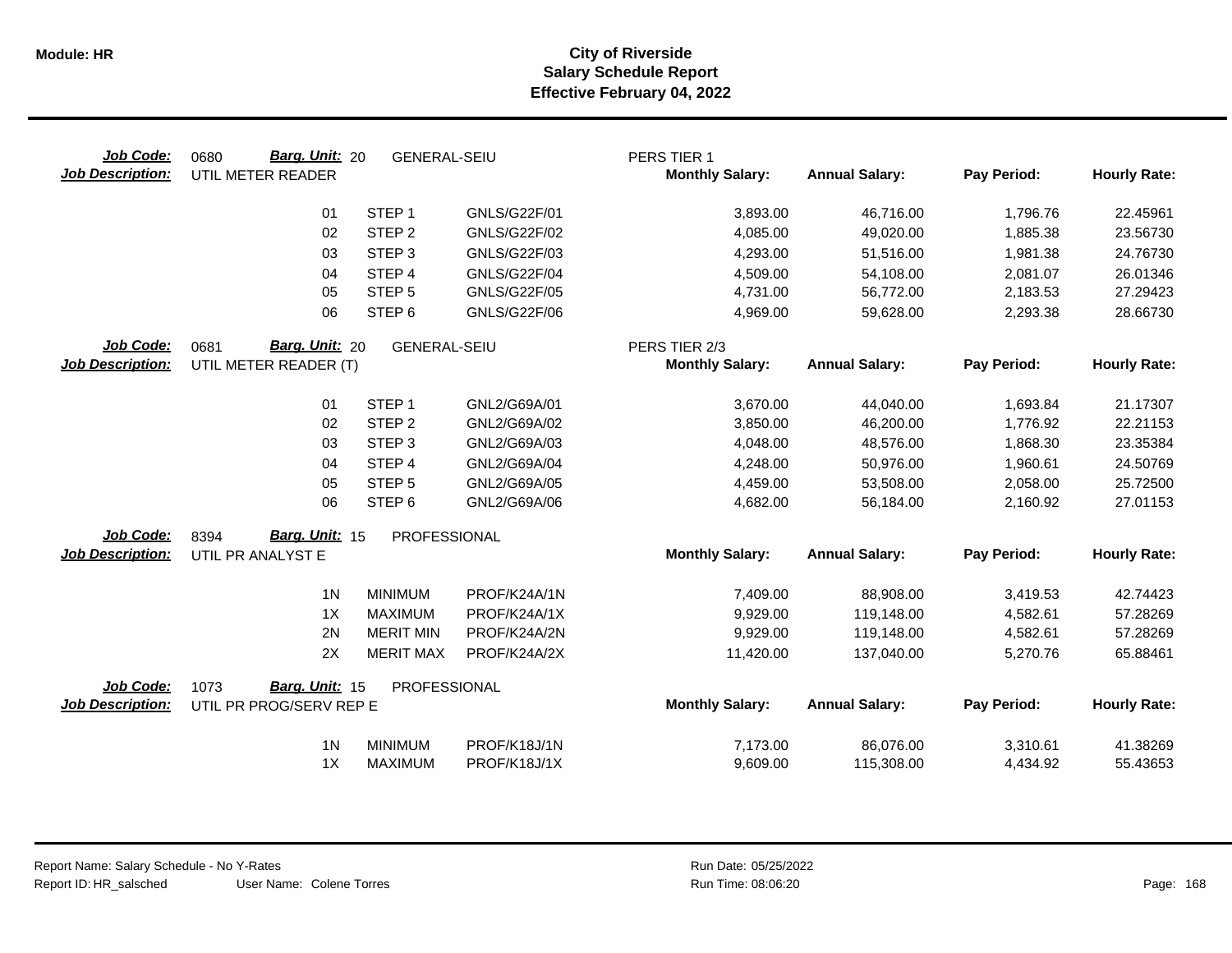| Job Code:<br><b>Job Description:</b> | Barg. Unit: 20<br>0680<br>UTIL METER READER | <b>GENERAL-SEIU</b> |                     | PERS TIER 1<br><b>Monthly Salary:</b> | <b>Annual Salary:</b> | Pay Period: | <b>Hourly Rate:</b> |
|--------------------------------------|---------------------------------------------|---------------------|---------------------|---------------------------------------|-----------------------|-------------|---------------------|
|                                      | 01                                          | STEP <sub>1</sub>   | GNLS/G22F/01        | 3,893.00                              | 46,716.00             | 1,796.76    | 22.45961            |
|                                      | 02                                          | STEP <sub>2</sub>   | <b>GNLS/G22F/02</b> | 4,085.00                              | 49,020.00             | 1,885.38    | 23.56730            |
|                                      | 03                                          | STEP <sub>3</sub>   | GNLS/G22F/03        | 4,293.00                              | 51,516.00             | 1,981.38    | 24.76730            |
|                                      | 04                                          | STEP 4              | <b>GNLS/G22F/04</b> | 4,509.00                              | 54,108.00             | 2,081.07    | 26.01346            |
|                                      | 05                                          | STEP <sub>5</sub>   | <b>GNLS/G22F/05</b> | 4,731.00                              | 56,772.00             | 2,183.53    | 27.29423            |
|                                      | 06                                          | STEP <sub>6</sub>   | GNLS/G22F/06        | 4,969.00                              | 59,628.00             | 2,293.38    | 28.66730            |
| Job Code:                            | Barg. Unit: 20<br>0681                      | <b>GENERAL-SEIU</b> |                     | PERS TIER 2/3                         |                       |             |                     |
| <b>Job Description:</b>              | UTIL METER READER (T)                       |                     |                     | <b>Monthly Salary:</b>                | <b>Annual Salary:</b> | Pay Period: | <b>Hourly Rate:</b> |
|                                      | 01                                          | STEP <sub>1</sub>   | GNL2/G69A/01        | 3,670.00                              | 44,040.00             | 1,693.84    | 21.17307            |
|                                      | 02                                          | STEP <sub>2</sub>   | GNL2/G69A/02        | 3,850.00                              | 46,200.00             | 1,776.92    | 22.21153            |
|                                      | 03                                          | STEP <sub>3</sub>   | GNL2/G69A/03        | 4,048.00                              | 48,576.00             | 1,868.30    | 23.35384            |
|                                      | 04                                          | STEP 4              | GNL2/G69A/04        | 4,248.00                              | 50,976.00             | 1,960.61    | 24.50769            |
|                                      | 05                                          | STEP <sub>5</sub>   | GNL2/G69A/05        | 4,459.00                              | 53,508.00             | 2,058.00    | 25.72500            |
|                                      | 06                                          | STEP <sub>6</sub>   | GNL2/G69A/06        | 4,682.00                              | 56,184.00             | 2,160.92    | 27.01153            |
| Job Code:                            | Barg. Unit: 15<br>8394                      | PROFESSIONAL        |                     |                                       |                       |             |                     |
| <b>Job Description:</b>              | UTIL PR ANALYST E                           |                     |                     | <b>Monthly Salary:</b>                | <b>Annual Salary:</b> | Pay Period: | <b>Hourly Rate:</b> |
|                                      | 1 <sub>N</sub>                              | <b>MINIMUM</b>      | PROF/K24A/1N        | 7,409.00                              | 88,908.00             | 3,419.53    | 42.74423            |
|                                      | 1X                                          | <b>MAXIMUM</b>      | PROF/K24A/1X        | 9,929.00                              | 119,148.00            | 4,582.61    | 57.28269            |
|                                      | 2N                                          | <b>MERIT MIN</b>    | PROF/K24A/2N        | 9,929.00                              | 119,148.00            | 4,582.61    | 57.28269            |
|                                      | 2X                                          | <b>MERIT MAX</b>    | PROF/K24A/2X        | 11,420.00                             | 137,040.00            | 5,270.76    | 65.88461            |
| Job Code:                            | Barg. Unit: 15<br>1073                      | PROFESSIONAL        |                     |                                       |                       |             |                     |
| <b>Job Description:</b>              | UTIL PR PROG/SERV REP E                     |                     |                     | <b>Monthly Salary:</b>                | <b>Annual Salary:</b> | Pay Period: | <b>Hourly Rate:</b> |
|                                      | 1 <sup>N</sup>                              | <b>MINIMUM</b>      | PROF/K18J/1N        | 7,173.00                              | 86,076.00             | 3,310.61    | 41.38269            |
|                                      | 1X                                          | <b>MAXIMUM</b>      | PROF/K18J/1X        | 9,609.00                              | 115,308.00            | 4,434.92    | 55.43653            |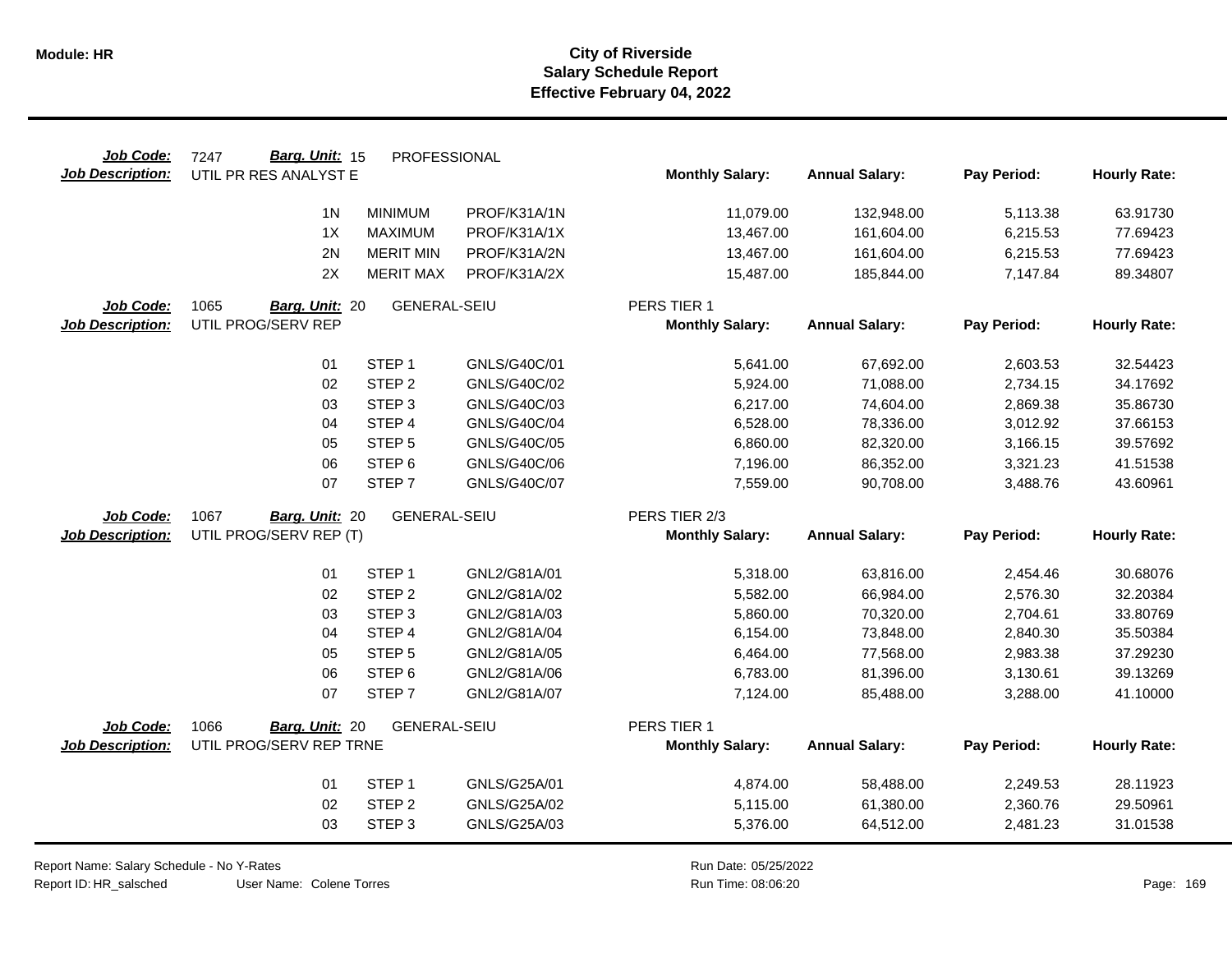| Job Code:               | Barg. Unit: 15<br>7247  | PROFESSIONAL        |              |                        |                       |             |                     |
|-------------------------|-------------------------|---------------------|--------------|------------------------|-----------------------|-------------|---------------------|
| <b>Job Description:</b> | UTIL PR RES ANALYST E   |                     |              | <b>Monthly Salary:</b> | <b>Annual Salary:</b> | Pay Period: | <b>Hourly Rate:</b> |
|                         | 1 <sub>N</sub>          | <b>MINIMUM</b>      | PROF/K31A/1N | 11,079.00              | 132,948.00            | 5,113.38    | 63.91730            |
|                         | 1X                      | <b>MAXIMUM</b>      | PROF/K31A/1X | 13,467.00              | 161,604.00            | 6,215.53    | 77.69423            |
|                         | 2N                      | <b>MERIT MIN</b>    | PROF/K31A/2N |                        |                       |             |                     |
|                         | 2X                      |                     |              | 13,467.00              | 161,604.00            | 6,215.53    | 77.69423            |
|                         |                         | <b>MERIT MAX</b>    | PROF/K31A/2X | 15,487.00              | 185,844.00            | 7,147.84    | 89.34807            |
| Job Code:               | 1065<br>Barg. Unit: 20  | <b>GENERAL-SEIU</b> |              | PERS TIER 1            |                       |             |                     |
| <b>Job Description:</b> | UTIL PROG/SERV REP      |                     |              | <b>Monthly Salary:</b> | <b>Annual Salary:</b> | Pay Period: | <b>Hourly Rate:</b> |
|                         |                         |                     |              |                        |                       |             |                     |
|                         | 01                      | STEP <sub>1</sub>   | GNLS/G40C/01 | 5,641.00               | 67,692.00             | 2,603.53    | 32.54423            |
|                         | 02                      | STEP <sub>2</sub>   | GNLS/G40C/02 | 5,924.00               | 71,088.00             | 2,734.15    | 34.17692            |
|                         | 03                      | STEP <sub>3</sub>   | GNLS/G40C/03 | 6,217.00               | 74,604.00             | 2,869.38    | 35.86730            |
|                         | 04                      | STEP 4              | GNLS/G40C/04 | 6,528.00               | 78,336.00             | 3,012.92    | 37.66153            |
|                         | 05                      | STEP <sub>5</sub>   | GNLS/G40C/05 | 6,860.00               | 82,320.00             | 3,166.15    | 39.57692            |
|                         | 06                      | STEP <sub>6</sub>   | GNLS/G40C/06 | 7,196.00               | 86,352.00             | 3,321.23    | 41.51538            |
|                         | 07                      | STEP <sub>7</sub>   | GNLS/G40C/07 | 7,559.00               | 90,708.00             | 3,488.76    | 43.60961            |
| Job Code:               | 1067<br>Barg. Unit: 20  | <b>GENERAL-SEIU</b> |              | PERS TIER 2/3          |                       |             |                     |
| <b>Job Description:</b> | UTIL PROG/SERV REP (T)  |                     |              | <b>Monthly Salary:</b> | <b>Annual Salary:</b> | Pay Period: | <b>Hourly Rate:</b> |
|                         |                         |                     |              |                        |                       |             |                     |
|                         | 01                      | STEP <sub>1</sub>   | GNL2/G81A/01 | 5,318.00               | 63,816.00             | 2,454.46    | 30.68076            |
|                         | 02                      | STEP <sub>2</sub>   | GNL2/G81A/02 | 5,582.00               | 66,984.00             | 2,576.30    | 32.20384            |
|                         | 03                      | STEP <sub>3</sub>   | GNL2/G81A/03 | 5,860.00               | 70,320.00             | 2,704.61    | 33.80769            |
|                         | 04                      | STEP 4              | GNL2/G81A/04 | 6,154.00               | 73,848.00             | 2,840.30    | 35.50384            |
|                         | 05                      | STEP <sub>5</sub>   | GNL2/G81A/05 | 6,464.00               | 77,568.00             | 2,983.38    | 37.29230            |
|                         | 06                      | STEP <sub>6</sub>   | GNL2/G81A/06 | 6,783.00               | 81,396.00             | 3,130.61    | 39.13269            |
|                         | 07                      | STEP <sub>7</sub>   | GNL2/G81A/07 | 7,124.00               | 85,488.00             | 3,288.00    | 41.10000            |
| Job Code:               | 1066<br>Barg. Unit: 20  | <b>GENERAL-SEIU</b> |              | PERS TIER 1            |                       |             |                     |
| <b>Job Description:</b> | UTIL PROG/SERV REP TRNE |                     |              | <b>Monthly Salary:</b> | <b>Annual Salary:</b> | Pay Period: | <b>Hourly Rate:</b> |
|                         |                         |                     |              |                        |                       |             |                     |
|                         | 01                      | STEP <sub>1</sub>   | GNLS/G25A/01 | 4,874.00               | 58,488.00             | 2,249.53    | 28.11923            |
|                         | 02                      | STEP <sub>2</sub>   | GNLS/G25A/02 | 5,115.00               | 61,380.00             | 2,360.76    | 29.50961            |
|                         |                         |                     |              |                        |                       |             |                     |

Report Name: Salary Schedule - No Y-Rates Report ID: HR\_salsched

 $\overline{\phantom{0}}$ 

User Name: Colene Torres 08:06:20 Colene Torres Run Time: Page: 169

Run Date: 05/25/2022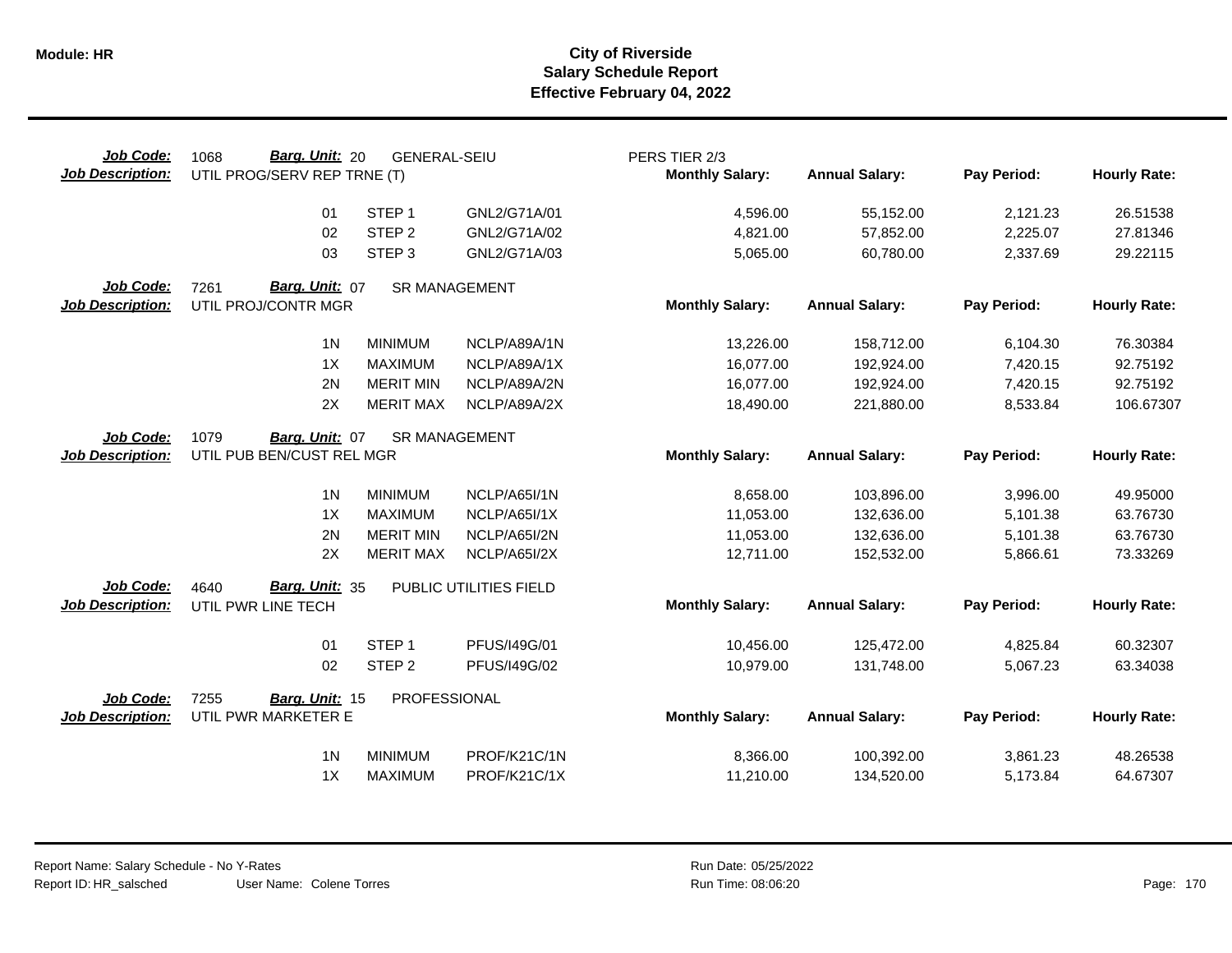| Job Code:<br><b>Job Description:</b> | Barg. Unit: 20<br>1068<br>UTIL PROG/SERV REP TRNE (T) | <b>GENERAL-SEIU</b>  |                        | PERS TIER 2/3<br><b>Monthly Salary:</b> | <b>Annual Salary:</b> | Pay Period: | <b>Hourly Rate:</b> |
|--------------------------------------|-------------------------------------------------------|----------------------|------------------------|-----------------------------------------|-----------------------|-------------|---------------------|
|                                      | 01                                                    | STEP <sub>1</sub>    | GNL2/G71A/01           | 4,596.00                                | 55,152.00             | 2,121.23    | 26.51538            |
|                                      | 02                                                    | STEP <sub>2</sub>    | GNL2/G71A/02           | 4,821.00                                | 57,852.00             | 2,225.07    | 27.81346            |
|                                      | 03                                                    | STEP <sub>3</sub>    | GNL2/G71A/03           | 5,065.00                                | 60,780.00             | 2,337.69    | 29.22115            |
| Job Code:                            | Barg. Unit: 07<br>7261                                | <b>SR MANAGEMENT</b> |                        |                                         |                       |             |                     |
| <b>Job Description:</b>              | UTIL PROJ/CONTR MGR                                   |                      |                        | <b>Monthly Salary:</b>                  | <b>Annual Salary:</b> | Pay Period: | <b>Hourly Rate:</b> |
|                                      | 1 <sub>N</sub>                                        | <b>MINIMUM</b>       | NCLP/A89A/1N           | 13,226.00                               | 158,712.00            | 6,104.30    | 76.30384            |
|                                      | 1X                                                    | <b>MAXIMUM</b>       | NCLP/A89A/1X           | 16,077.00                               | 192,924.00            | 7,420.15    | 92.75192            |
|                                      | 2N                                                    | <b>MERIT MIN</b>     | NCLP/A89A/2N           | 16,077.00                               | 192,924.00            | 7,420.15    | 92.75192            |
|                                      | 2X                                                    | <b>MERIT MAX</b>     | NCLP/A89A/2X           | 18,490.00                               | 221,880.00            | 8,533.84    | 106.67307           |
| Job Code:                            | 1079<br>Barg. Unit: 07                                | <b>SR MANAGEMENT</b> |                        |                                         |                       |             |                     |
| <b>Job Description:</b>              | UTIL PUB BEN/CUST REL MGR                             |                      |                        | <b>Monthly Salary:</b>                  | <b>Annual Salary:</b> | Pay Period: | <b>Hourly Rate:</b> |
|                                      | 1 <sub>N</sub>                                        | <b>MINIMUM</b>       | NCLP/A65I/1N           | 8,658.00                                | 103,896.00            | 3,996.00    | 49.95000            |
|                                      | 1X                                                    | <b>MAXIMUM</b>       | NCLP/A65I/1X           | 11,053.00                               | 132,636.00            | 5,101.38    | 63.76730            |
|                                      | 2N                                                    | <b>MERIT MIN</b>     | NCLP/A65I/2N           | 11,053.00                               | 132,636.00            | 5,101.38    | 63.76730            |
|                                      | 2X                                                    | <b>MERIT MAX</b>     | NCLP/A65I/2X           | 12,711.00                               | 152,532.00            | 5,866.61    | 73.33269            |
| Job Code:                            | Barg. Unit: 35<br>4640                                |                      | PUBLIC UTILITIES FIELD |                                         |                       |             |                     |
| <b>Job Description:</b>              | UTIL PWR LINE TECH                                    |                      |                        | <b>Monthly Salary:</b>                  | <b>Annual Salary:</b> | Pay Period: | <b>Hourly Rate:</b> |
|                                      | 01                                                    | STEP <sub>1</sub>    | PFUS/I49G/01           | 10,456.00                               | 125,472.00            | 4,825.84    | 60.32307            |
|                                      | 02                                                    | STEP <sub>2</sub>    | PFUS/I49G/02           | 10,979.00                               | 131,748.00            | 5,067.23    | 63.34038            |
| Job Code:                            | 7255<br>Barg. Unit: 15                                | PROFESSIONAL         |                        |                                         |                       |             |                     |
| <b>Job Description:</b>              | UTIL PWR MARKETER E                                   |                      |                        | <b>Monthly Salary:</b>                  | <b>Annual Salary:</b> | Pay Period: | <b>Hourly Rate:</b> |
|                                      | 1 <sub>N</sub>                                        | <b>MINIMUM</b>       | PROF/K21C/1N           | 8,366.00                                | 100,392.00            | 3,861.23    | 48.26538            |
|                                      | 1X                                                    | <b>MAXIMUM</b>       | PROF/K21C/1X           | 11,210.00                               | 134,520.00            | 5,173.84    | 64.67307            |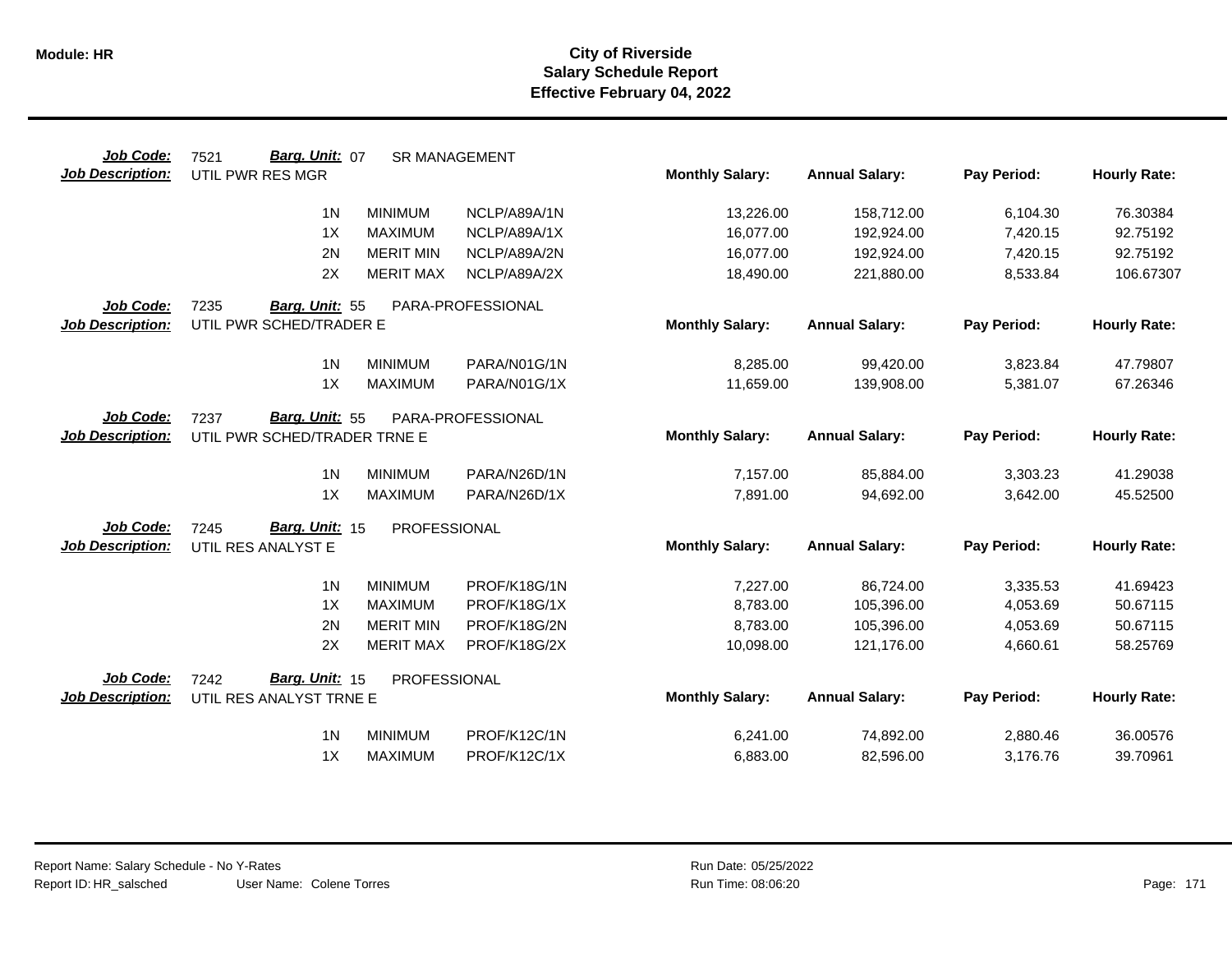| Job Code:               | Barg. Unit: 07<br>7521       |                  | <b>SR MANAGEMENT</b> |                        |                       |             |                     |
|-------------------------|------------------------------|------------------|----------------------|------------------------|-----------------------|-------------|---------------------|
| <b>Job Description:</b> | UTIL PWR RES MGR             |                  |                      | <b>Monthly Salary:</b> | <b>Annual Salary:</b> | Pay Period: | <b>Hourly Rate:</b> |
|                         | 1 <sub>N</sub>               | <b>MINIMUM</b>   | NCLP/A89A/1N         | 13,226.00              | 158,712.00            | 6,104.30    | 76.30384            |
|                         | 1X                           | <b>MAXIMUM</b>   | NCLP/A89A/1X         | 16,077.00              | 192,924.00            | 7,420.15    | 92.75192            |
|                         | 2N                           | <b>MERIT MIN</b> | NCLP/A89A/2N         | 16,077.00              | 192,924.00            | 7,420.15    | 92.75192            |
|                         | 2X                           | <b>MERIT MAX</b> | NCLP/A89A/2X         | 18,490.00              | 221,880.00            | 8,533.84    | 106.67307           |
| Job Code:               | 7235<br>Barg. Unit: 55       |                  | PARA-PROFESSIONAL    |                        |                       |             |                     |
| <b>Job Description:</b> | UTIL PWR SCHED/TRADER E      |                  |                      | <b>Monthly Salary:</b> | <b>Annual Salary:</b> | Pay Period: | <b>Hourly Rate:</b> |
|                         | 1 <sub>N</sub>               | <b>MINIMUM</b>   | PARA/N01G/1N         | 8,285.00               | 99,420.00             | 3,823.84    | 47.79807            |
|                         | 1X                           | <b>MAXIMUM</b>   | PARA/N01G/1X         | 11,659.00              | 139,908.00            | 5,381.07    | 67.26346            |
| Job Code:               | Barg. Unit: 55<br>7237       |                  | PARA-PROFESSIONAL    |                        |                       |             |                     |
| <b>Job Description:</b> | UTIL PWR SCHED/TRADER TRNE E |                  |                      | <b>Monthly Salary:</b> | <b>Annual Salary:</b> | Pay Period: | <b>Hourly Rate:</b> |
|                         | 1 <sub>N</sub>               | <b>MINIMUM</b>   | PARA/N26D/1N         | 7,157.00               | 85,884.00             | 3,303.23    | 41.29038            |
|                         | 1X                           | <b>MAXIMUM</b>   | PARA/N26D/1X         | 7,891.00               | 94,692.00             | 3,642.00    | 45.52500            |
| <b>Job Code:</b>        | Barg. Unit: 15<br>7245       | PROFESSIONAL     |                      |                        |                       |             |                     |
| <b>Job Description:</b> | UTIL RES ANALYST E           |                  |                      | <b>Monthly Salary:</b> | <b>Annual Salary:</b> | Pay Period: | <b>Hourly Rate:</b> |
|                         | 1 <sub>N</sub>               | <b>MINIMUM</b>   | PROF/K18G/1N         | 7,227.00               | 86,724.00             | 3,335.53    | 41.69423            |
|                         | 1X                           | <b>MAXIMUM</b>   | PROF/K18G/1X         | 8,783.00               | 105,396.00            | 4,053.69    | 50.67115            |
|                         | 2N                           | <b>MERIT MIN</b> | PROF/K18G/2N         | 8,783.00               | 105,396.00            | 4,053.69    | 50.67115            |
|                         | 2X                           | <b>MERIT MAX</b> | PROF/K18G/2X         | 10,098.00              | 121,176.00            | 4,660.61    | 58.25769            |
| Job Code:               | Barg. Unit: 15<br>7242       | PROFESSIONAL     |                      |                        |                       |             |                     |
| Job Description:        | UTIL RES ANALYST TRNE E      |                  |                      | <b>Monthly Salary:</b> | <b>Annual Salary:</b> | Pay Period: | <b>Hourly Rate:</b> |
|                         | 1 <sub>N</sub>               | <b>MINIMUM</b>   | PROF/K12C/1N         | 6,241.00               | 74,892.00             | 2,880.46    | 36.00576            |
|                         | 1X                           | <b>MAXIMUM</b>   | PROF/K12C/1X         | 6,883.00               | 82,596.00             | 3,176.76    | 39.70961            |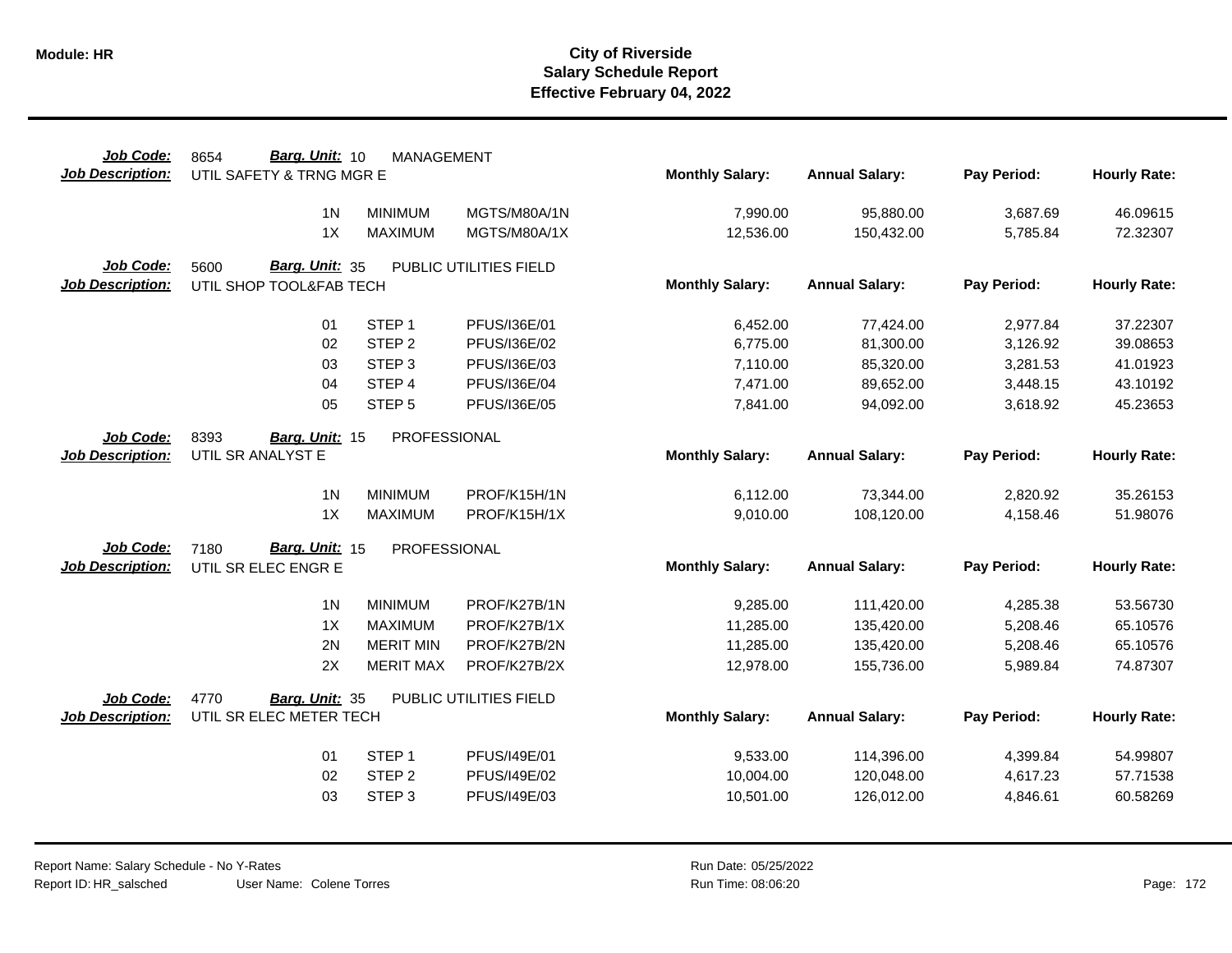| Job Code:               | Barg. Unit: 10<br>8654   | <b>MANAGEMENT</b> |                        |                        |                       |             |                     |
|-------------------------|--------------------------|-------------------|------------------------|------------------------|-----------------------|-------------|---------------------|
| <b>Job Description:</b> | UTIL SAFETY & TRNG MGR E |                   |                        | <b>Monthly Salary:</b> | <b>Annual Salary:</b> | Pay Period: | <b>Hourly Rate:</b> |
|                         | 1 <sub>N</sub>           | <b>MINIMUM</b>    | MGTS/M80A/1N           | 7,990.00               | 95,880.00             | 3,687.69    | 46.09615            |
|                         | 1X                       | <b>MAXIMUM</b>    | MGTS/M80A/1X           | 12,536.00              | 150,432.00            | 5,785.84    | 72.32307            |
| Job Code:               | Barg. Unit: 35<br>5600   |                   | PUBLIC UTILITIES FIELD |                        |                       |             |                     |
| <b>Job Description:</b> | UTIL SHOP TOOL&FAB TECH  |                   |                        | <b>Monthly Salary:</b> | <b>Annual Salary:</b> | Pay Period: | <b>Hourly Rate:</b> |
|                         | 01                       | STEP <sub>1</sub> | PFUS/I36E/01           | 6,452.00               | 77,424.00             | 2,977.84    | 37.22307            |
|                         | 02                       | STEP <sub>2</sub> | PFUS/I36E/02           | 6,775.00               | 81,300.00             | 3,126.92    | 39.08653            |
|                         | 03                       | STEP <sub>3</sub> | PFUS/I36E/03           | 7,110.00               | 85,320.00             | 3,281.53    | 41.01923            |
|                         | 04                       | STEP 4            | PFUS/I36E/04           | 7,471.00               | 89,652.00             | 3,448.15    | 43.10192            |
|                         | 05                       | STEP <sub>5</sub> | PFUS/I36E/05           | 7,841.00               | 94,092.00             | 3,618.92    | 45.23653            |
| Job Code:               | 8393<br>Barg. Unit: 15   | PROFESSIONAL      |                        |                        |                       |             |                     |
| <b>Job Description:</b> | UTIL SR ANALYST E        |                   |                        | <b>Monthly Salary:</b> | <b>Annual Salary:</b> | Pay Period: | <b>Hourly Rate:</b> |
|                         | 1 <sub>N</sub>           | <b>MINIMUM</b>    | PROF/K15H/1N           | 6,112.00               | 73,344.00             | 2,820.92    | 35.26153            |
|                         | 1X                       | <b>MAXIMUM</b>    | PROF/K15H/1X           | 9,010.00               | 108,120.00            | 4,158.46    | 51.98076            |
| Job Code:               | Barg. Unit: 15<br>7180   | PROFESSIONAL      |                        |                        |                       |             |                     |
| <b>Job Description:</b> | UTIL SR ELEC ENGR E      |                   |                        | <b>Monthly Salary:</b> | <b>Annual Salary:</b> | Pay Period: | <b>Hourly Rate:</b> |
|                         | 1 <sub>N</sub>           | <b>MINIMUM</b>    | PROF/K27B/1N           | 9,285.00               | 111,420.00            | 4,285.38    | 53.56730            |
|                         | 1X                       | <b>MAXIMUM</b>    | PROF/K27B/1X           | 11,285.00              | 135,420.00            | 5,208.46    | 65.10576            |
|                         | 2N                       | <b>MERIT MIN</b>  | PROF/K27B/2N           | 11,285.00              | 135,420.00            | 5,208.46    | 65.10576            |
|                         | 2X                       | <b>MERIT MAX</b>  | PROF/K27B/2X           | 12,978.00              | 155,736.00            | 5,989.84    | 74.87307            |
| Job Code:               | 4770<br>Barg. Unit: 35   |                   | PUBLIC UTILITIES FIELD |                        |                       |             |                     |
| <b>Job Description:</b> | UTIL SR ELEC METER TECH  |                   |                        | <b>Monthly Salary:</b> | <b>Annual Salary:</b> | Pay Period: | <b>Hourly Rate:</b> |
|                         | 01                       | STEP <sub>1</sub> | PFUS/I49E/01           | 9,533.00               | 114,396.00            | 4,399.84    | 54.99807            |
|                         | 02                       | STEP <sub>2</sub> | PFUS/I49E/02           | 10,004.00              | 120,048.00            | 4,617.23    | 57.71538            |
|                         | 03                       | STEP <sub>3</sub> | PFUS/I49E/03           | 10,501.00              | 126,012.00            | 4,846.61    | 60.58269            |
|                         |                          |                   |                        |                        |                       |             |                     |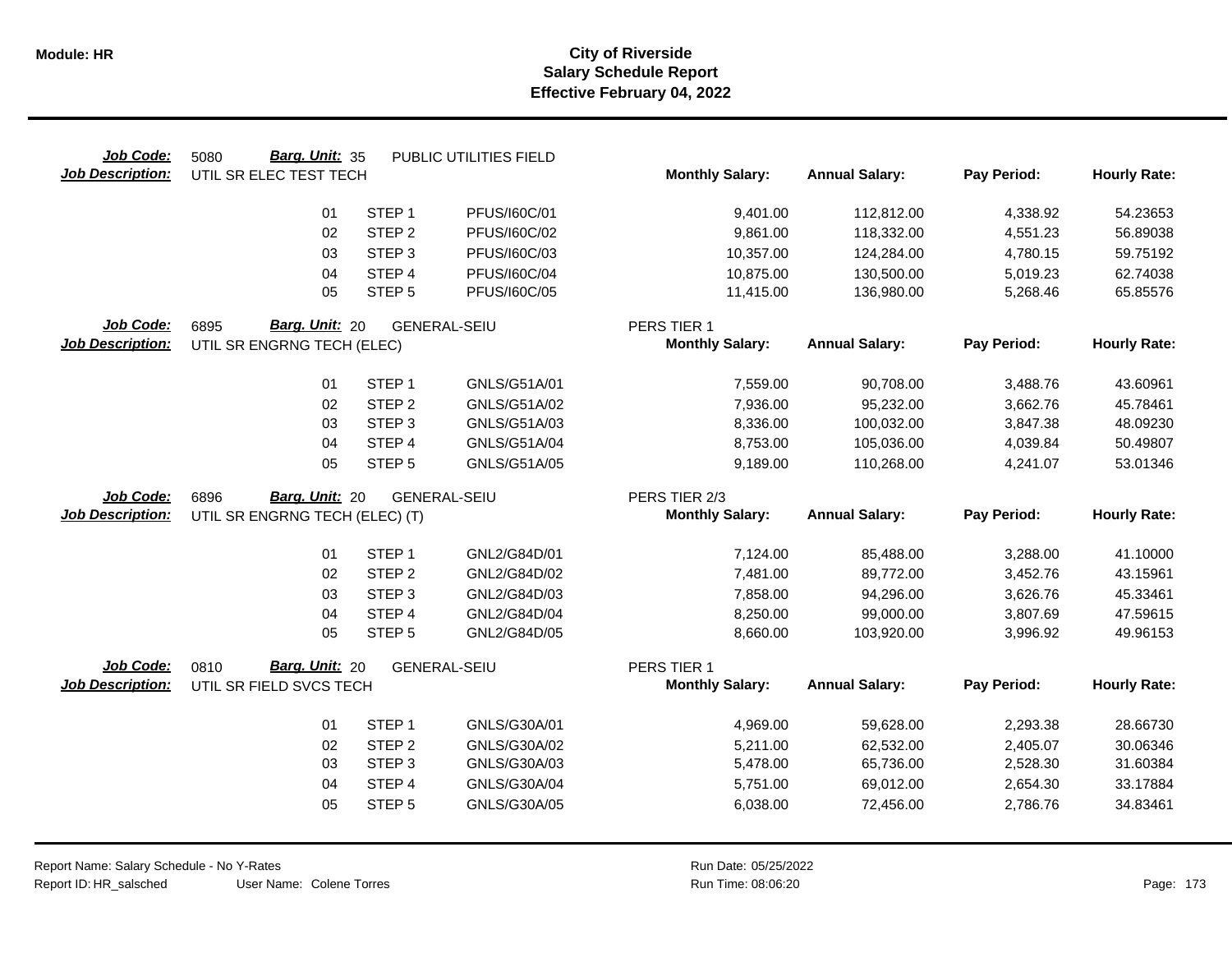| Job Code:               | Barg. Unit: 35<br>5080                 |                   | PUBLIC UTILITIES FIELD |                                         |                       |             |                     |
|-------------------------|----------------------------------------|-------------------|------------------------|-----------------------------------------|-----------------------|-------------|---------------------|
| <b>Job Description:</b> | UTIL SR ELEC TEST TECH                 |                   |                        | <b>Monthly Salary:</b>                  | <b>Annual Salary:</b> | Pay Period: | <b>Hourly Rate:</b> |
|                         | 01                                     | STEP <sub>1</sub> | PFUS/160C/01           | 9,401.00                                | 112,812.00            | 4,338.92    | 54.23653            |
|                         | 02                                     | STEP <sub>2</sub> | PFUS/160C/02           | 9,861.00                                | 118,332.00            | 4,551.23    | 56.89038            |
|                         |                                        |                   |                        |                                         |                       |             |                     |
|                         | 03                                     | STEP <sub>3</sub> | PFUS/160C/03           | 10,357.00                               | 124,284.00            | 4,780.15    | 59.75192            |
|                         | 04                                     | STEP <sub>4</sub> | PFUS/160C/04           | 10,875.00                               | 130,500.00            | 5,019.23    | 62.74038            |
|                         | 05                                     | STEP <sub>5</sub> | PFUS/160C/05           | 11,415.00                               | 136,980.00            | 5,268.46    | 65.85576            |
| Job Code:               | Barg. Unit: 20<br>6895                 |                   | <b>GENERAL-SEIU</b>    | PERS TIER 1                             |                       |             |                     |
| <b>Job Description:</b> | UTIL SR ENGRNG TECH (ELEC)             |                   |                        | <b>Monthly Salary:</b>                  | <b>Annual Salary:</b> | Pay Period: | <b>Hourly Rate:</b> |
|                         |                                        |                   |                        |                                         |                       |             |                     |
|                         | 01                                     | STEP <sub>1</sub> | GNLS/G51A/01           | 7,559.00                                | 90,708.00             | 3,488.76    | 43.60961            |
|                         | 02                                     | STEP <sub>2</sub> | GNLS/G51A/02           | 7,936.00                                | 95,232.00             | 3,662.76    | 45.78461            |
|                         | 03                                     | STEP <sub>3</sub> | GNLS/G51A/03           | 8,336.00                                | 100,032.00            | 3,847.38    | 48.09230            |
|                         | 04                                     | STEP 4            | GNLS/G51A/04           | 8,753.00                                | 105,036.00            | 4,039.84    | 50.49807            |
|                         | 05                                     | STEP <sub>5</sub> | GNLS/G51A/05           | 9,189.00                                | 110,268.00            | 4,241.07    | 53.01346            |
| Job Code:               | Barg. Unit: 20                         |                   |                        |                                         |                       |             |                     |
| <b>Job Description:</b> | 6896<br>UTIL SR ENGRNG TECH (ELEC) (T) |                   | <b>GENERAL-SEIU</b>    | PERS TIER 2/3<br><b>Monthly Salary:</b> | <b>Annual Salary:</b> | Pay Period: | <b>Hourly Rate:</b> |
|                         |                                        |                   |                        |                                         |                       |             |                     |
|                         | 01                                     | STEP <sub>1</sub> | GNL2/G84D/01           | 7,124.00                                | 85,488.00             | 3,288.00    | 41.10000            |
|                         | 02                                     | STEP <sub>2</sub> | GNL2/G84D/02           | 7,481.00                                | 89,772.00             | 3,452.76    | 43.15961            |
|                         | 03                                     | STEP <sub>3</sub> | GNL2/G84D/03           | 7,858.00                                | 94,296.00             | 3,626.76    | 45.33461            |
|                         | 04                                     | STEP 4            | GNL2/G84D/04           | 8,250.00                                | 99,000.00             | 3,807.69    | 47.59615            |
|                         | 05                                     | STEP <sub>5</sub> | GNL2/G84D/05           | 8,660.00                                | 103,920.00            | 3,996.92    | 49.96153            |
|                         |                                        |                   |                        |                                         |                       |             |                     |
| Job Code:               | Barg. Unit: 20<br>0810                 |                   | <b>GENERAL-SEIU</b>    | PERS TIER 1<br><b>Monthly Salary:</b>   | <b>Annual Salary:</b> | Pay Period: |                     |
| <b>Job Description:</b> | UTIL SR FIELD SVCS TECH                |                   |                        |                                         |                       |             | <b>Hourly Rate:</b> |
|                         | 01                                     | STEP <sub>1</sub> | GNLS/G30A/01           | 4,969.00                                | 59,628.00             | 2,293.38    | 28.66730            |
|                         | 02                                     | STEP <sub>2</sub> | GNLS/G30A/02           | 5,211.00                                | 62,532.00             | 2,405.07    | 30.06346            |
|                         | 03                                     | STEP <sub>3</sub> | GNLS/G30A/03           | 5,478.00                                | 65,736.00             | 2,528.30    | 31.60384            |
|                         | 04                                     | STEP 4            | GNLS/G30A/04           | 5,751.00                                | 69,012.00             | 2,654.30    | 33.17884            |
|                         | 05                                     | STEP <sub>5</sub> | GNLS/G30A/05           | 6,038.00                                | 72,456.00             | 2,786.76    | 34.83461            |
|                         |                                        |                   |                        |                                         |                       |             |                     |
|                         |                                        |                   |                        |                                         |                       |             |                     |

 $\overline{\phantom{0}}$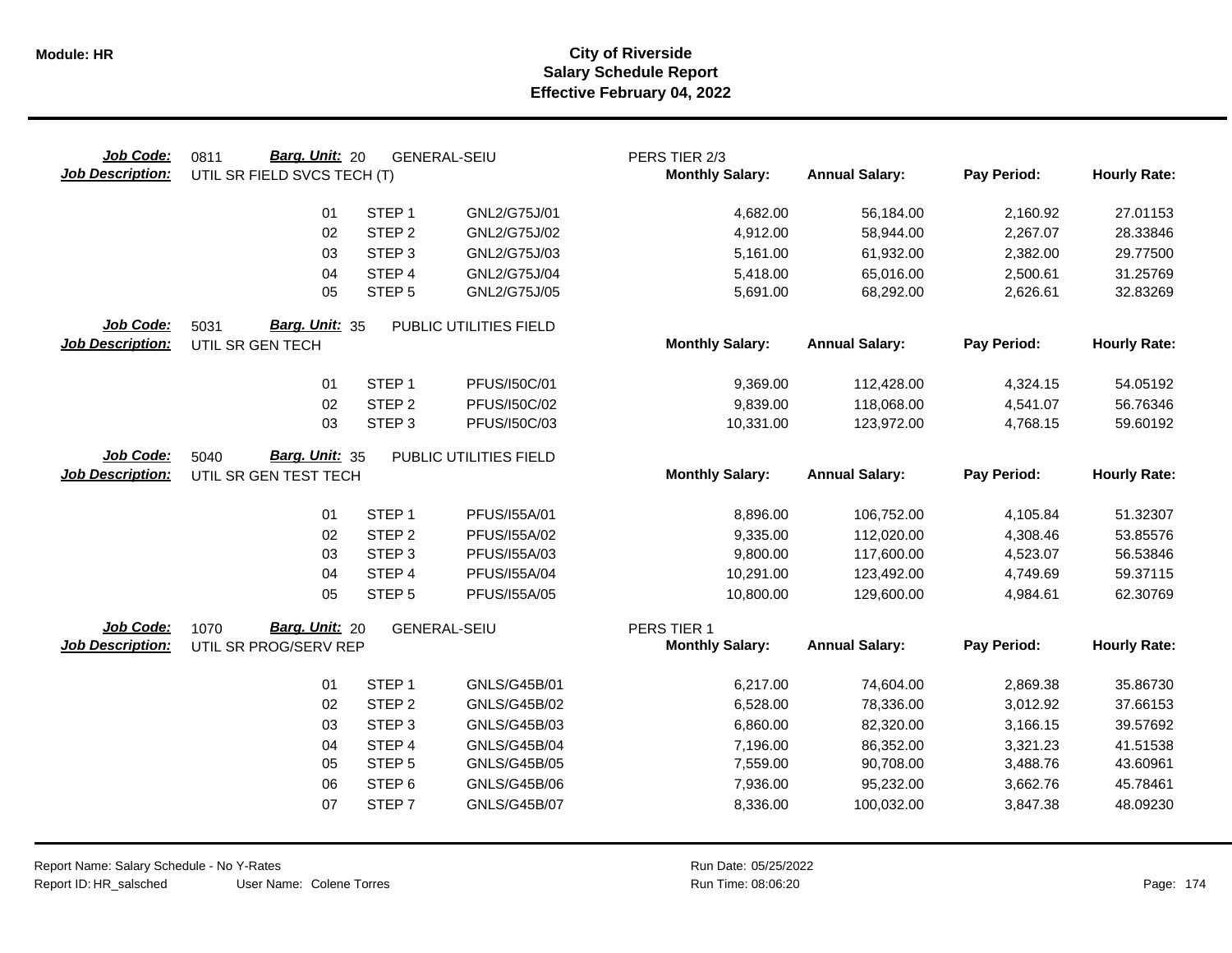| Job Code:<br><b>Job Description:</b> | Barg. Unit: 20<br>0811<br>UTIL SR FIELD SVCS TECH (T) |                   | <b>GENERAL-SEIU</b>    | PERS TIER 2/3<br><b>Monthly Salary:</b> | <b>Annual Salary:</b> | Pay Period:          | <b>Hourly Rate:</b> |
|--------------------------------------|-------------------------------------------------------|-------------------|------------------------|-----------------------------------------|-----------------------|----------------------|---------------------|
|                                      | 01                                                    | STEP <sub>1</sub> | GNL2/G75J/01           | 4,682.00                                | 56,184.00             | 2,160.92             | 27.01153            |
|                                      | 02                                                    | STEP <sub>2</sub> | GNL2/G75J/02           | 4,912.00                                | 58,944.00             | 2,267.07             | 28.33846            |
|                                      | 03                                                    | STEP <sub>3</sub> | GNL2/G75J/03           | 5,161.00                                | 61,932.00             | 2,382.00             | 29.77500            |
|                                      | 04                                                    | STEP 4            | GNL2/G75J/04           | 5,418.00                                | 65,016.00             | 2,500.61             | 31.25769            |
|                                      | 05                                                    | STEP <sub>5</sub> | GNL2/G75J/05           | 5,691.00                                | 68,292.00             | 2,626.61             | 32.83269            |
| Job Code:                            | Barg. Unit: 35<br>5031                                |                   | PUBLIC UTILITIES FIELD |                                         |                       |                      |                     |
| <b>Job Description:</b>              | UTIL SR GEN TECH                                      |                   |                        | <b>Monthly Salary:</b>                  | <b>Annual Salary:</b> | Pay Period:          | <b>Hourly Rate:</b> |
|                                      | 01                                                    | STEP <sub>1</sub> | PFUS/150C/01           | 9,369.00                                | 112,428.00            | 4,324.15             | 54.05192            |
|                                      | 02                                                    | STEP <sub>2</sub> | PFUS/150C/02           | 9,839.00                                | 118,068.00            | 4,541.07             | 56.76346            |
|                                      | 03                                                    | STEP <sub>3</sub> | PFUS/I50C/03           | 10,331.00                               | 123,972.00            | 4,768.15             | 59.60192            |
| Job Code:                            | 5040<br>Barg. Unit: 35                                |                   | PUBLIC UTILITIES FIELD |                                         |                       |                      |                     |
| <b>Job Description:</b>              | UTIL SR GEN TEST TECH                                 |                   |                        | <b>Monthly Salary:</b>                  | <b>Annual Salary:</b> | Pay Period:          | <b>Hourly Rate:</b> |
|                                      | 01                                                    | STEP <sub>1</sub> | PFUS/155A/01           | 8,896.00                                | 106,752.00            |                      | 51.32307            |
|                                      | 02                                                    | STEP <sub>2</sub> | PFUS/155A/02           | 9,335.00                                | 112,020.00            | 4,105.84<br>4,308.46 | 53.85576            |
|                                      | 03                                                    | STEP <sub>3</sub> | PFUS/155A/03           | 9,800.00                                | 117,600.00            | 4,523.07             | 56.53846            |
|                                      | 04                                                    | STEP 4            | PFUS/155A/04           | 10,291.00                               | 123,492.00            | 4,749.69             | 59.37115            |
|                                      | 05                                                    | STEP <sub>5</sub> | PFUS/I55A/05           | 10,800.00                               | 129,600.00            | 4,984.61             | 62.30769            |
| Job Code:                            | Barg. Unit: 20<br>1070                                |                   | <b>GENERAL-SEIU</b>    | PERS TIER 1                             |                       |                      |                     |
| <b>Job Description:</b>              | UTIL SR PROG/SERV REP                                 |                   |                        | <b>Monthly Salary:</b>                  | <b>Annual Salary:</b> | Pay Period:          | <b>Hourly Rate:</b> |
|                                      | 01                                                    | STEP <sub>1</sub> | GNLS/G45B/01           | 6,217.00                                | 74,604.00             | 2,869.38             | 35.86730            |
|                                      | 02                                                    | STEP <sub>2</sub> | GNLS/G45B/02           | 6,528.00                                | 78,336.00             | 3,012.92             | 37.66153            |
|                                      | 03                                                    | STEP <sub>3</sub> | GNLS/G45B/03           | 6,860.00                                | 82,320.00             | 3,166.15             | 39.57692            |
|                                      | 04                                                    | STEP 4            | <b>GNLS/G45B/04</b>    | 7,196.00                                | 86,352.00             | 3,321.23             | 41.51538            |
|                                      | 05                                                    | STEP <sub>5</sub> | <b>GNLS/G45B/05</b>    | 7,559.00                                | 90,708.00             | 3,488.76             | 43.60961            |
|                                      | 06                                                    | STEP <sub>6</sub> | <b>GNLS/G45B/06</b>    | 7,936.00                                | 95,232.00             | 3,662.76             | 45.78461            |
|                                      | 07                                                    | STEP <sub>7</sub> | <b>GNLS/G45B/07</b>    | 8,336.00                                | 100,032.00            | 3,847.38             | 48.09230            |
|                                      |                                                       |                   |                        |                                         |                       |                      |                     |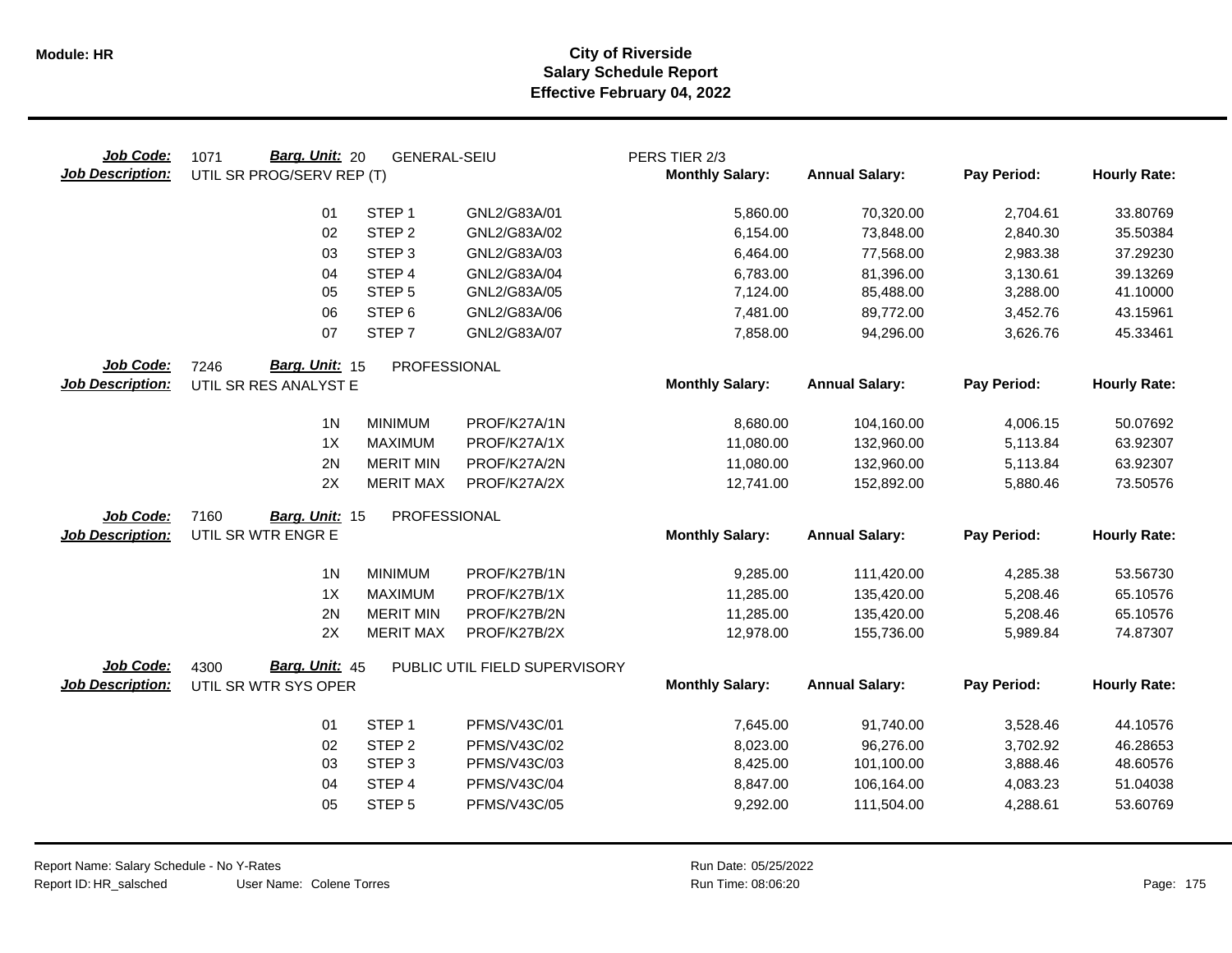| Job Code:<br><b>Job Description:</b> | Barg. Unit: 20<br>1071<br>UTIL SR PROG/SERV REP (T) | <b>GENERAL-SEIU</b> |                               | PERS TIER 2/3<br><b>Monthly Salary:</b> | <b>Annual Salary:</b> | Pay Period: | <b>Hourly Rate:</b> |
|--------------------------------------|-----------------------------------------------------|---------------------|-------------------------------|-----------------------------------------|-----------------------|-------------|---------------------|
|                                      | 01                                                  | STEP <sub>1</sub>   | GNL2/G83A/01                  | 5,860.00                                | 70,320.00             | 2,704.61    | 33.80769            |
|                                      | 02                                                  | STEP <sub>2</sub>   | GNL2/G83A/02                  | 6,154.00                                | 73,848.00             | 2,840.30    | 35.50384            |
|                                      | 03                                                  | STEP <sub>3</sub>   | GNL2/G83A/03                  | 6,464.00                                | 77,568.00             | 2,983.38    | 37.29230            |
|                                      | 04                                                  | STEP 4              | GNL2/G83A/04                  | 6,783.00                                | 81,396.00             | 3,130.61    | 39.13269            |
|                                      | 05                                                  | STEP <sub>5</sub>   | GNL2/G83A/05                  | 7,124.00                                | 85,488.00             | 3,288.00    | 41.10000            |
|                                      | 06                                                  | STEP <sub>6</sub>   | GNL2/G83A/06                  | 7,481.00                                | 89,772.00             | 3,452.76    | 43.15961            |
|                                      | 07                                                  | STEP <sub>7</sub>   | GNL2/G83A/07                  | 7,858.00                                | 94,296.00             | 3,626.76    | 45.33461            |
| Job Code:                            | Barg. Unit: 15<br>7246                              | PROFESSIONAL        |                               |                                         |                       |             |                     |
| <b>Job Description:</b>              | UTIL SR RES ANALYST E                               |                     |                               | <b>Monthly Salary:</b>                  | <b>Annual Salary:</b> | Pay Period: | <b>Hourly Rate:</b> |
|                                      | 1 <sub>N</sub>                                      | <b>MINIMUM</b>      | PROF/K27A/1N                  | 8,680.00                                | 104,160.00            | 4,006.15    | 50.07692            |
|                                      | 1X                                                  | <b>MAXIMUM</b>      | PROF/K27A/1X                  | 11,080.00                               | 132,960.00            | 5,113.84    | 63.92307            |
|                                      | 2N                                                  | <b>MERIT MIN</b>    | PROF/K27A/2N                  | 11,080.00                               | 132,960.00            | 5,113.84    | 63.92307            |
|                                      | 2X                                                  | <b>MERIT MAX</b>    | PROF/K27A/2X                  | 12,741.00                               | 152,892.00            | 5,880.46    | 73.50576            |
| Job Code:                            | 7160<br>Barg. Unit: 15                              | PROFESSIONAL        |                               |                                         |                       |             |                     |
| <b>Job Description:</b>              | UTIL SR WTR ENGR E                                  |                     |                               | <b>Monthly Salary:</b>                  | <b>Annual Salary:</b> | Pay Period: | <b>Hourly Rate:</b> |
|                                      | 1 <sub>N</sub>                                      | <b>MINIMUM</b>      | PROF/K27B/1N                  | 9,285.00                                | 111,420.00            | 4,285.38    | 53.56730            |
|                                      | 1X                                                  | <b>MAXIMUM</b>      | PROF/K27B/1X                  | 11,285.00                               | 135,420.00            | 5,208.46    | 65.10576            |
|                                      | 2N                                                  | <b>MERIT MIN</b>    | PROF/K27B/2N                  | 11,285.00                               | 135,420.00            | 5,208.46    | 65.10576            |
|                                      | 2X                                                  | <b>MERIT MAX</b>    | PROF/K27B/2X                  | 12,978.00                               | 155,736.00            | 5,989.84    | 74.87307            |
| Job Code:                            | Barg. Unit: 45<br>4300                              |                     | PUBLIC UTIL FIELD SUPERVISORY |                                         |                       |             |                     |
| <b>Job Description:</b>              | UTIL SR WTR SYS OPER                                |                     |                               | <b>Monthly Salary:</b>                  | <b>Annual Salary:</b> | Pay Period: | <b>Hourly Rate:</b> |
|                                      | 01                                                  | STEP <sub>1</sub>   | <b>PFMS/V43C/01</b>           | 7,645.00                                | 91,740.00             | 3,528.46    | 44.10576            |
|                                      | 02                                                  | STEP <sub>2</sub>   | PFMS/V43C/02                  | 8,023.00                                | 96,276.00             | 3,702.92    | 46.28653            |
|                                      | 03                                                  | STEP <sub>3</sub>   | PFMS/V43C/03                  | 8,425.00                                | 101,100.00            | 3,888.46    | 48.60576            |
|                                      | 04                                                  | STEP 4              | PFMS/V43C/04                  | 8,847.00                                | 106,164.00            | 4,083.23    | 51.04038            |
|                                      | 05                                                  | STEP <sub>5</sub>   | PFMS/V43C/05                  | 9,292.00                                | 111,504.00            | 4,288.61    | 53.60769            |
|                                      |                                                     |                     |                               |                                         |                       |             |                     |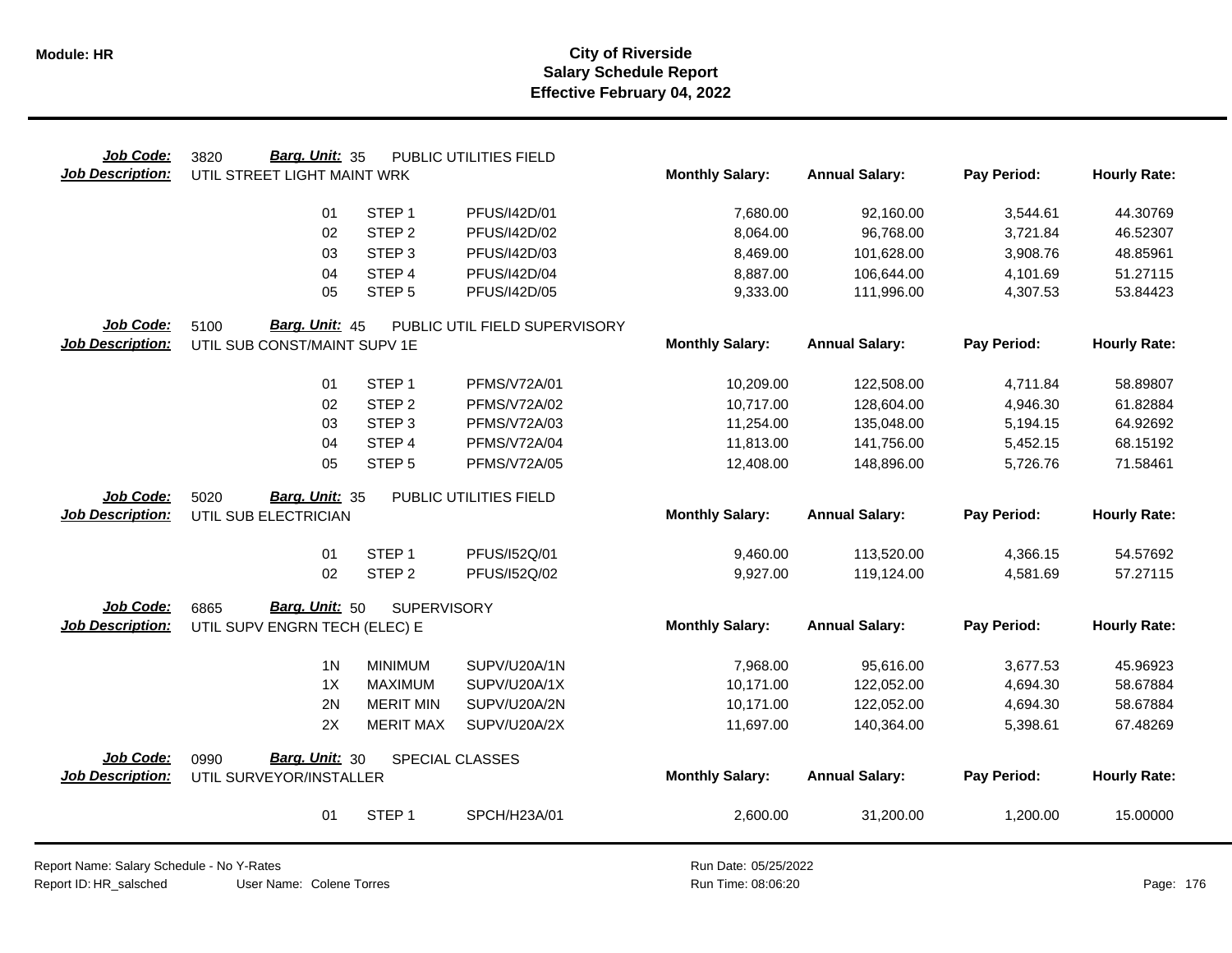| Job Code:               | Barg. Unit: 35<br>3820        |                    | PUBLIC UTILITIES FIELD        |                        |                       |             |                     |
|-------------------------|-------------------------------|--------------------|-------------------------------|------------------------|-----------------------|-------------|---------------------|
| <b>Job Description:</b> | UTIL STREET LIGHT MAINT WRK   |                    |                               | <b>Monthly Salary:</b> | <b>Annual Salary:</b> | Pay Period: | <b>Hourly Rate:</b> |
|                         | 01                            | STEP <sub>1</sub>  | PFUS/I42D/01                  | 7,680.00               | 92,160.00             | 3,544.61    | 44.30769            |
|                         | 02                            | STEP <sub>2</sub>  | PFUS/I42D/02                  | 8,064.00               | 96,768.00             | 3,721.84    | 46.52307            |
|                         | 03                            | STEP <sub>3</sub>  | PFUS/I42D/03                  | 8,469.00               | 101,628.00            | 3,908.76    | 48.85961            |
|                         | 04                            | STEP 4             | PFUS/I42D/04                  | 8,887.00               | 106,644.00            | 4,101.69    | 51.27115            |
|                         | 05                            | STEP <sub>5</sub>  | PFUS/I42D/05                  | 9,333.00               | 111,996.00            | 4,307.53    | 53.84423            |
| Job Code:               | 5100<br>Barg. Unit: 45        |                    | PUBLIC UTIL FIELD SUPERVISORY |                        |                       |             |                     |
| <b>Job Description:</b> | UTIL SUB CONST/MAINT SUPV 1E  |                    |                               | <b>Monthly Salary:</b> | <b>Annual Salary:</b> | Pay Period: | <b>Hourly Rate:</b> |
|                         | 01                            | STEP <sub>1</sub>  | PFMS/V72A/01                  | 10,209.00              | 122,508.00            | 4,711.84    | 58.89807            |
|                         | 02                            | STEP <sub>2</sub>  | <b>PFMS/V72A/02</b>           | 10,717.00              | 128,604.00            | 4,946.30    | 61.82884            |
|                         | 03                            | STEP <sub>3</sub>  | PFMS/V72A/03                  | 11,254.00              | 135,048.00            | 5,194.15    | 64.92692            |
|                         | 04                            | STEP 4             | <b>PFMS/V72A/04</b>           | 11,813.00              | 141,756.00            | 5,452.15    | 68.15192            |
|                         | 05                            | STEP <sub>5</sub>  | <b>PFMS/V72A/05</b>           | 12,408.00              | 148,896.00            | 5,726.76    | 71.58461            |
| Job Code:               | Barg. Unit: 35<br>5020        |                    | PUBLIC UTILITIES FIELD        |                        |                       |             |                     |
| <b>Job Description:</b> | UTIL SUB ELECTRICIAN          |                    |                               | <b>Monthly Salary:</b> | <b>Annual Salary:</b> | Pay Period: | <b>Hourly Rate:</b> |
|                         | 01                            | STEP <sub>1</sub>  | PFUS/I52Q/01                  | 9,460.00               | 113,520.00            | 4,366.15    | 54.57692            |
|                         | 02                            | STEP <sub>2</sub>  | PFUS/152Q/02                  | 9,927.00               | 119,124.00            | 4,581.69    | 57.27115            |
|                         |                               |                    |                               |                        |                       |             |                     |
| Job Code:               | Barg. Unit: 50<br>6865        | <b>SUPERVISORY</b> |                               |                        |                       |             |                     |
| <b>Job Description:</b> | UTIL SUPV ENGRN TECH (ELEC) E |                    |                               | <b>Monthly Salary:</b> | <b>Annual Salary:</b> | Pay Period: | <b>Hourly Rate:</b> |
|                         | 1 <sub>N</sub>                | <b>MINIMUM</b>     | SUPV/U20A/1N                  | 7,968.00               | 95,616.00             | 3,677.53    | 45.96923            |
|                         | 1X                            | MAXIMUM            | SUPV/U20A/1X                  | 10,171.00              | 122,052.00            | 4,694.30    | 58.67884            |
|                         | 2N                            | <b>MERIT MIN</b>   | SUPV/U20A/2N                  | 10,171.00              | 122,052.00            | 4,694.30    | 58.67884            |
|                         | 2X                            | <b>MERIT MAX</b>   | SUPV/U20A/2X                  | 11,697.00              | 140,364.00            | 5,398.61    | 67.48269            |
| Job Code:               | <b>Barg. Unit: 30</b><br>0990 |                    | <b>SPECIAL CLASSES</b>        |                        |                       |             |                     |
| <b>Job Description:</b> | UTIL SURVEYOR/INSTALLER       |                    |                               | <b>Monthly Salary:</b> | <b>Annual Salary:</b> | Pay Period: | <b>Hourly Rate:</b> |
|                         | 01                            | STEP <sub>1</sub>  | SPCH/H23A/01                  | 2,600.00               | 31,200.00             | 1,200.00    | 15.00000            |

Report Name: Salary Schedule - No Y-Rates Report ID: HR\_salsched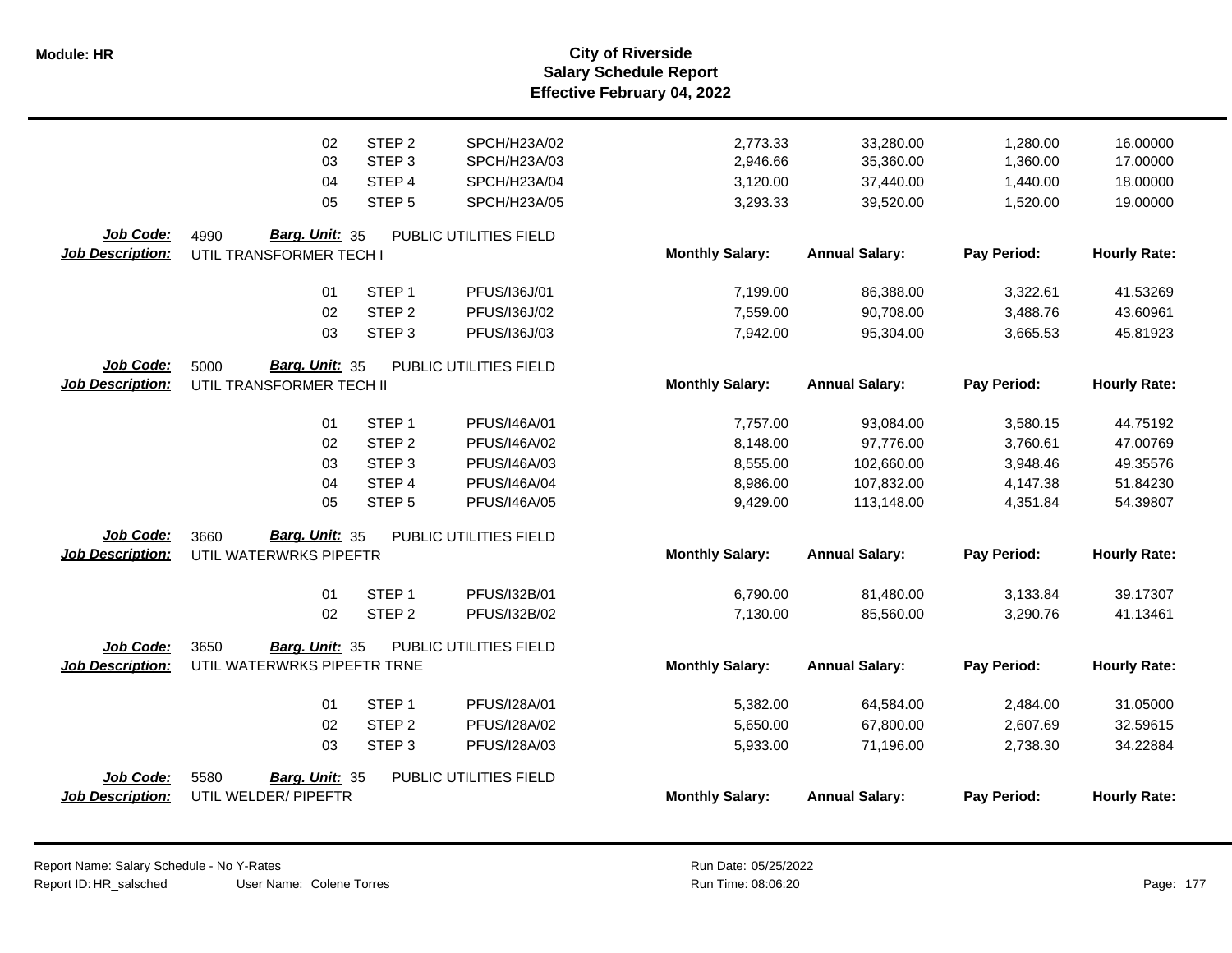|                         | 02                          | STEP <sub>2</sub> | SPCH/H23A/02           | 2,773.33               | 33,280.00             | 1,280.00    | 16.00000            |
|-------------------------|-----------------------------|-------------------|------------------------|------------------------|-----------------------|-------------|---------------------|
|                         | 03                          | STEP <sub>3</sub> | SPCH/H23A/03           | 2,946.66               | 35,360.00             | 1,360.00    | 17.00000            |
|                         | 04                          | STEP 4            | SPCH/H23A/04           | 3,120.00               | 37,440.00             | 1,440.00    | 18.00000            |
|                         | 05                          | STEP <sub>5</sub> | SPCH/H23A/05           | 3,293.33               | 39,520.00             | 1,520.00    | 19.00000            |
| Job Code:               | Barg. Unit: 35<br>4990      |                   | PUBLIC UTILITIES FIELD |                        |                       |             |                     |
| <b>Job Description:</b> | UTIL TRANSFORMER TECH I     |                   |                        | <b>Monthly Salary:</b> | <b>Annual Salary:</b> | Pay Period: | <b>Hourly Rate:</b> |
|                         | 01                          | STEP <sub>1</sub> | PFUS/I36J/01           | 7,199.00               | 86,388.00             | 3,322.61    | 41.53269            |
|                         | 02                          | STEP <sub>2</sub> | PFUS/136J/02           | 7,559.00               | 90,708.00             | 3,488.76    | 43.60961            |
|                         | 03                          | STEP <sub>3</sub> | PFUS/136J/03           | 7,942.00               | 95,304.00             | 3,665.53    | 45.81923            |
| Job Code:               | Barg. Unit: 35<br>5000      |                   | PUBLIC UTILITIES FIELD |                        |                       |             |                     |
| <b>Job Description:</b> | UTIL TRANSFORMER TECH II    |                   |                        | <b>Monthly Salary:</b> | <b>Annual Salary:</b> | Pay Period: | <b>Hourly Rate:</b> |
|                         | 01                          | STEP <sub>1</sub> | PFUS/I46A/01           | 7,757.00               | 93,084.00             | 3,580.15    | 44.75192            |
|                         | 02                          | STEP <sub>2</sub> | PFUS/I46A/02           | 8,148.00               | 97,776.00             | 3,760.61    | 47.00769            |
|                         | 03                          | STEP <sub>3</sub> | PFUS/I46A/03           | 8,555.00               | 102,660.00            | 3,948.46    | 49.35576            |
|                         | 04                          | STEP 4            | <b>PFUS/I46A/04</b>    | 8,986.00               | 107,832.00            | 4,147.38    | 51.84230            |
|                         | 05                          | STEP <sub>5</sub> | <b>PFUS/I46A/05</b>    | 9,429.00               | 113,148.00            | 4,351.84    | 54.39807            |
| Job Code:               | Barg. Unit: 35<br>3660      |                   | PUBLIC UTILITIES FIELD |                        |                       |             |                     |
| Job Description:        | UTIL WATERWRKS PIPEFTR      |                   |                        | <b>Monthly Salary:</b> | <b>Annual Salary:</b> | Pay Period: | <b>Hourly Rate:</b> |
|                         | 01                          | STEP <sub>1</sub> | PFUS/I32B/01           | 6,790.00               | 81,480.00             | 3,133.84    | 39.17307            |
|                         | 02                          | STEP <sub>2</sub> | PFUS/I32B/02           | 7,130.00               | 85,560.00             | 3,290.76    | 41.13461            |
| Job Code:               | 3650<br>Barg. Unit: 35      |                   | PUBLIC UTILITIES FIELD |                        |                       |             |                     |
| Job Description:        | UTIL WATERWRKS PIPEFTR TRNE |                   |                        | <b>Monthly Salary:</b> | <b>Annual Salary:</b> | Pay Period: | <b>Hourly Rate:</b> |
|                         | 01                          | STEP <sub>1</sub> | PFUS/I28A/01           | 5,382.00               | 64,584.00             | 2,484.00    | 31.05000            |
|                         | 02                          | STEP <sub>2</sub> | PFUS/I28A/02           | 5,650.00               | 67,800.00             | 2,607.69    | 32.59615            |
|                         | 03                          | STEP <sub>3</sub> | PFUS/I28A/03           | 5,933.00               | 71,196.00             | 2,738.30    | 34.22884            |
| Job Code:               | 5580<br>Barg. Unit: 35      |                   | PUBLIC UTILITIES FIELD |                        |                       |             |                     |
| Job Description:        | UTIL WELDER/ PIPEFTR        |                   |                        | <b>Monthly Salary:</b> | <b>Annual Salary:</b> | Pay Period: | <b>Hourly Rate:</b> |
|                         |                             |                   |                        |                        |                       |             |                     |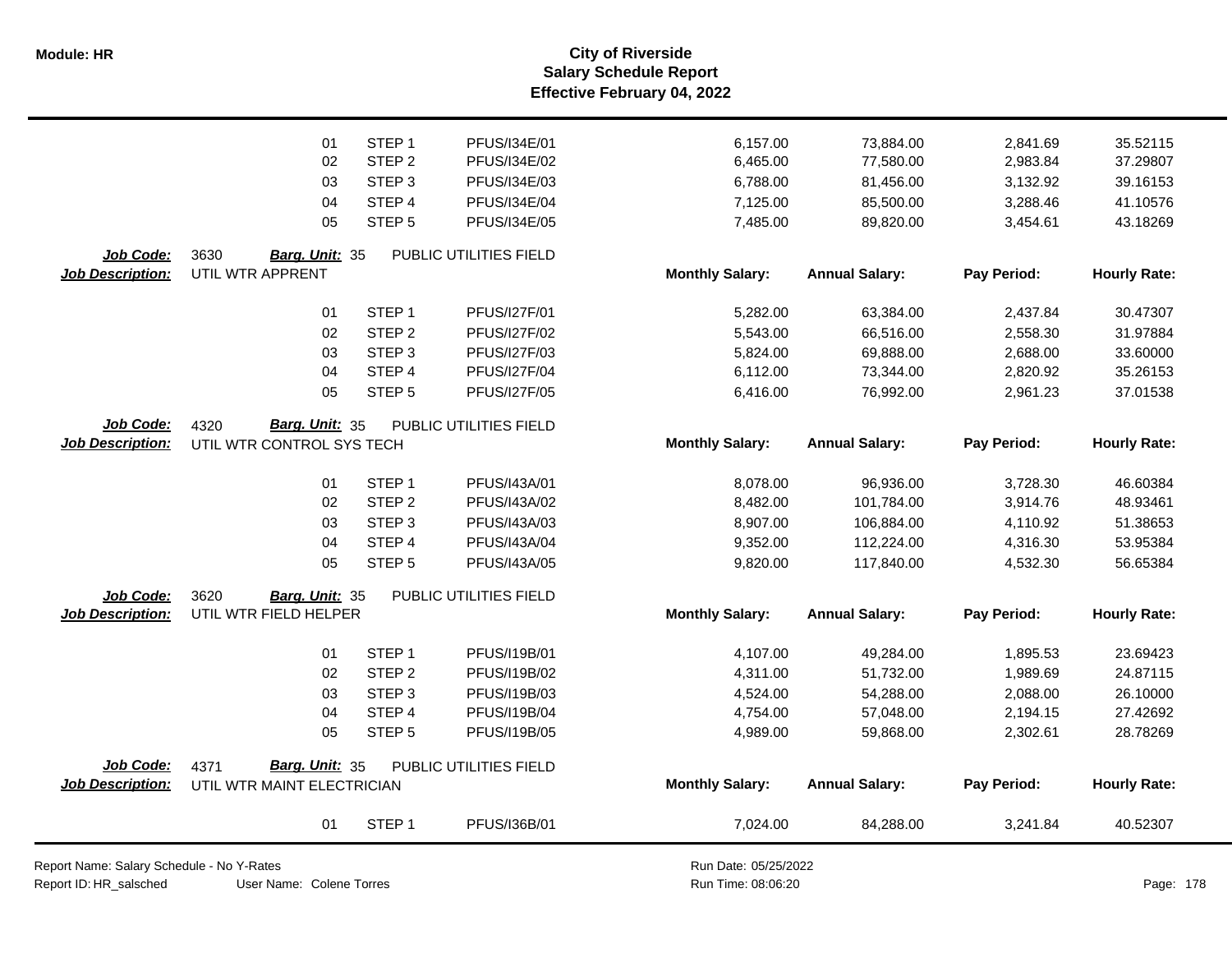**Salary Schedule Report Effective February 04, 2022 Module: HR City of Riverside**

|                         | 01                         | STEP <sub>1</sub> | PFUS/I34E/01           | 6,157.00               | 73,884.00             | 2,841.69    | 35.52115            |
|-------------------------|----------------------------|-------------------|------------------------|------------------------|-----------------------|-------------|---------------------|
|                         | 02                         | STEP <sub>2</sub> | PFUS/I34E/02           | 6,465.00               | 77,580.00             | 2,983.84    | 37.29807            |
|                         | 03                         | STEP <sub>3</sub> | PFUS/I34E/03           | 6,788.00               | 81,456.00             | 3,132.92    | 39.16153            |
|                         | 04                         | STEP <sub>4</sub> | PFUS/I34E/04           | 7,125.00               | 85,500.00             | 3,288.46    | 41.10576            |
|                         | 05                         | STEP <sub>5</sub> | PFUS/I34E/05           | 7,485.00               | 89,820.00             | 3,454.61    | 43.18269            |
| Job Code:               | 3630<br>Barg. Unit: 35     |                   | PUBLIC UTILITIES FIELD |                        |                       |             |                     |
| <b>Job Description:</b> | UTIL WTR APPRENT           |                   |                        | <b>Monthly Salary:</b> | <b>Annual Salary:</b> | Pay Period: | <b>Hourly Rate:</b> |
|                         | 01                         | STEP <sub>1</sub> | PFUS/I27F/01           | 5,282.00               | 63,384.00             | 2,437.84    | 30.47307            |
|                         | 02                         | STEP <sub>2</sub> | <b>PFUS/I27F/02</b>    | 5,543.00               | 66,516.00             | 2,558.30    | 31.97884            |
|                         | 03                         | STEP <sub>3</sub> | PFUS/I27F/03           | 5,824.00               | 69,888.00             | 2,688.00    | 33.60000            |
|                         | 04                         | STEP 4            | <b>PFUS/I27F/04</b>    | 6,112.00               | 73,344.00             | 2,820.92    | 35.26153            |
|                         | 05                         | STEP <sub>5</sub> | PFUS/I27F/05           | 6,416.00               | 76,992.00             | 2,961.23    | 37.01538            |
| Job Code:               | Barg. Unit: 35<br>4320     |                   | PUBLIC UTILITIES FIELD |                        |                       |             |                     |
| <b>Job Description:</b> | UTIL WTR CONTROL SYS TECH  |                   |                        | <b>Monthly Salary:</b> | <b>Annual Salary:</b> | Pay Period: | <b>Hourly Rate:</b> |
|                         | 01                         | STEP <sub>1</sub> | PFUS/I43A/01           | 8,078.00               | 96,936.00             | 3,728.30    | 46.60384            |
|                         | 02                         | STEP <sub>2</sub> | PFUS/I43A/02           | 8,482.00               | 101,784.00            | 3,914.76    | 48.93461            |
|                         | 03                         | STEP <sub>3</sub> | PFUS/I43A/03           | 8,907.00               | 106,884.00            | 4,110.92    | 51.38653            |
|                         | 04                         | STEP 4            | PFUS/I43A/04           | 9,352.00               | 112,224.00            | 4,316.30    | 53.95384            |
|                         | 05                         | STEP <sub>5</sub> | PFUS/I43A/05           | 9,820.00               | 117,840.00            | 4,532.30    | 56.65384            |
| Job Code:               | 3620<br>Barg. Unit: 35     |                   | PUBLIC UTILITIES FIELD |                        |                       |             |                     |
| <b>Job Description:</b> | UTIL WTR FIELD HELPER      |                   |                        | <b>Monthly Salary:</b> | <b>Annual Salary:</b> | Pay Period: | <b>Hourly Rate:</b> |
|                         | 01                         | STEP <sub>1</sub> | PFUS/I19B/01           | 4,107.00               | 49,284.00             | 1,895.53    | 23.69423            |
|                         | 02                         | STEP <sub>2</sub> | PFUS/I19B/02           | 4,311.00               | 51,732.00             | 1,989.69    | 24.87115            |
|                         | 03                         | STEP <sub>3</sub> | PFUS/I19B/03           | 4,524.00               | 54,288.00             | 2,088.00    | 26.10000            |
|                         | 04                         | STEP 4            | PFUS/I19B/04           | 4,754.00               | 57,048.00             | 2,194.15    | 27.42692            |
|                         | 05                         | STEP <sub>5</sub> | PFUS/I19B/05           | 4,989.00               | 59,868.00             | 2,302.61    | 28.78269            |
| Job Code:               | Barg. Unit: 35<br>4371     |                   | PUBLIC UTILITIES FIELD |                        |                       |             |                     |
| <b>Job Description:</b> | UTIL WTR MAINT ELECTRICIAN |                   |                        | <b>Monthly Salary:</b> | <b>Annual Salary:</b> | Pay Period: | <b>Hourly Rate:</b> |
|                         | 01                         | STEP <sub>1</sub> | PFUS/I36B/01           | 7,024.00               | 84,288.00             | 3,241.84    | 40.52307            |

Report Name: Salary Schedule - No Y-Rates

Report ID: HR\_salsched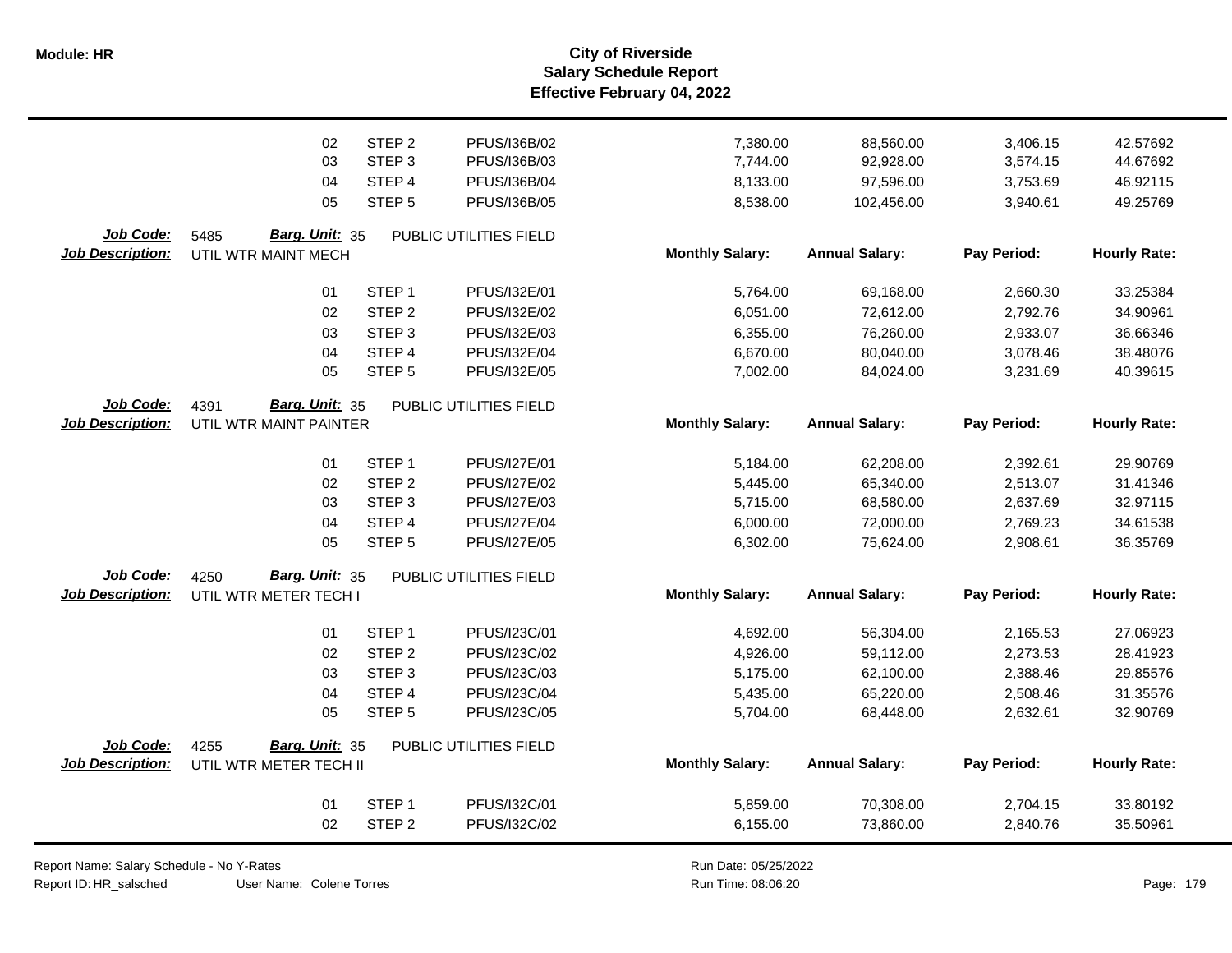**Salary Schedule Report Effective February 04, 2022 Module: HR City of Riverside**

|                         | 02                     | STEP <sub>2</sub> | PFUS/I36B/02           | 7,380.00               | 88,560.00             | 3,406.15    | 42.57692            |
|-------------------------|------------------------|-------------------|------------------------|------------------------|-----------------------|-------------|---------------------|
|                         | 03                     | STEP <sub>3</sub> | PFUS/I36B/03           | 7,744.00               | 92,928.00             | 3,574.15    | 44.67692            |
|                         | 04                     | STEP 4            | PFUS/I36B/04           | 8,133.00               | 97,596.00             | 3,753.69    | 46.92115            |
|                         | 05                     | STEP <sub>5</sub> | PFUS/I36B/05           | 8,538.00               | 102,456.00            | 3,940.61    | 49.25769            |
| Job Code:               | Barg. Unit: 35<br>5485 |                   | PUBLIC UTILITIES FIELD |                        |                       |             |                     |
| <b>Job Description:</b> | UTIL WTR MAINT MECH    |                   |                        | <b>Monthly Salary:</b> | <b>Annual Salary:</b> | Pay Period: | <b>Hourly Rate:</b> |
|                         | 01                     | STEP <sub>1</sub> | PFUS/I32E/01           | 5,764.00               | 69,168.00             | 2,660.30    | 33.25384            |
|                         | 02                     | STEP <sub>2</sub> | PFUS/I32E/02           | 6,051.00               | 72,612.00             | 2,792.76    | 34.90961            |
|                         | 03                     | STEP <sub>3</sub> | PFUS/I32E/03           | 6,355.00               | 76,260.00             | 2,933.07    | 36.66346            |
|                         | 04                     | STEP 4            | PFUS/I32E/04           | 6,670.00               | 80,040.00             | 3,078.46    | 38.48076            |
|                         | 05                     | STEP <sub>5</sub> | PFUS/I32E/05           | 7,002.00               | 84,024.00             | 3,231.69    | 40.39615            |
| Job Code:               | 4391<br>Barg. Unit: 35 |                   | PUBLIC UTILITIES FIELD |                        |                       |             |                     |
| <b>Job Description:</b> | UTIL WTR MAINT PAINTER |                   |                        | <b>Monthly Salary:</b> | <b>Annual Salary:</b> | Pay Period: | <b>Hourly Rate:</b> |
|                         | 01                     | STEP <sub>1</sub> | PFUS/I27E/01           | 5,184.00               | 62,208.00             | 2,392.61    | 29.90769            |
|                         | 02                     | STEP <sub>2</sub> | <b>PFUS/I27E/02</b>    | 5,445.00               | 65,340.00             | 2,513.07    | 31.41346            |
|                         | 03                     | STEP <sub>3</sub> | PFUS/I27E/03           | 5,715.00               | 68,580.00             | 2,637.69    | 32.97115            |
|                         | 04                     | STEP 4            | <b>PFUS/I27E/04</b>    | 6,000.00               | 72,000.00             | 2,769.23    | 34.61538            |
|                         | 05                     | STEP <sub>5</sub> | PFUS/I27E/05           | 6,302.00               | 75,624.00             | 2,908.61    | 36.35769            |
| Job Code:               | Barg. Unit: 35<br>4250 |                   | PUBLIC UTILITIES FIELD |                        |                       |             |                     |
| <b>Job Description:</b> | UTIL WTR METER TECH I  |                   |                        | <b>Monthly Salary:</b> | <b>Annual Salary:</b> | Pay Period: | <b>Hourly Rate:</b> |
|                         | 01                     | STEP <sub>1</sub> | PFUS/I23C/01           | 4,692.00               | 56,304.00             | 2,165.53    | 27.06923            |
|                         | 02                     | STEP <sub>2</sub> | PFUS/I23C/02           | 4,926.00               | 59,112.00             | 2,273.53    | 28.41923            |
|                         | 03                     | STEP <sub>3</sub> | PFUS/I23C/03           | 5,175.00               | 62,100.00             | 2,388.46    | 29.85576            |
|                         | 04                     | STEP <sub>4</sub> | PFUS/I23C/04           | 5,435.00               | 65,220.00             | 2,508.46    | 31.35576            |
|                         | 05                     | STEP <sub>5</sub> | PFUS/I23C/05           | 5,704.00               | 68,448.00             | 2,632.61    | 32.90769            |
| Job Code:               | Barg. Unit: 35<br>4255 |                   | PUBLIC UTILITIES FIELD |                        |                       |             |                     |
| <b>Job Description:</b> | UTIL WTR METER TECH II |                   |                        | <b>Monthly Salary:</b> | <b>Annual Salary:</b> | Pay Period: | <b>Hourly Rate:</b> |
|                         | 01                     | STEP <sub>1</sub> | PFUS/132C/01           | 5,859.00               | 70,308.00             | 2,704.15    | 33.80192            |
|                         | 02                     | STEP <sub>2</sub> | PFUS/I32C/02           | 6,155.00               | 73,860.00             | 2,840.76    | 35.50961            |
|                         |                        |                   |                        |                        |                       |             |                     |

Report Name: Salary Schedule - No Y-Rates

Report ID: HR\_salsched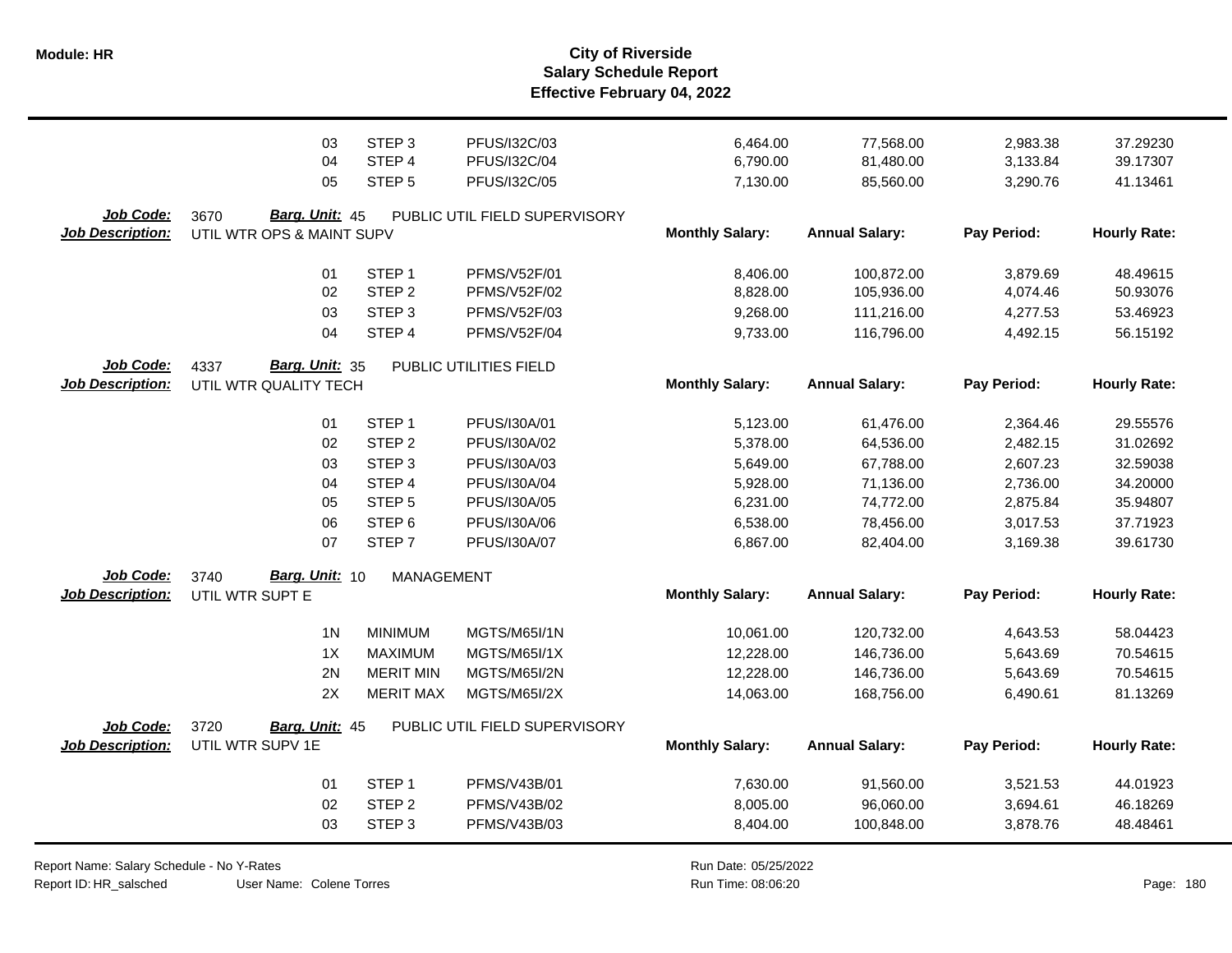|                         | 03                            | STEP <sub>3</sub> | PFUS/I32C/03                  | 6,464.00               | 77,568.00             | 2,983.38    | 37.29230            |
|-------------------------|-------------------------------|-------------------|-------------------------------|------------------------|-----------------------|-------------|---------------------|
|                         | 04                            | STEP 4            | PFUS/I32C/04                  | 6,790.00               | 81,480.00             | 3,133.84    | 39.17307            |
|                         | 05                            | STEP <sub>5</sub> | PFUS/I32C/05                  | 7,130.00               | 85,560.00             | 3,290.76    | 41.13461            |
| Job Code:               | 3670<br><b>Barg. Unit: 45</b> |                   | PUBLIC UTIL FIELD SUPERVISORY |                        |                       |             |                     |
| <b>Job Description:</b> | UTIL WTR OPS & MAINT SUPV     |                   |                               | <b>Monthly Salary:</b> | <b>Annual Salary:</b> | Pay Period: | <b>Hourly Rate:</b> |
|                         |                               |                   |                               |                        |                       |             |                     |
|                         | 01                            | STEP <sub>1</sub> | <b>PFMS/V52F/01</b>           | 8,406.00               | 100,872.00            | 3,879.69    | 48.49615            |
|                         | 02                            | STEP <sub>2</sub> | <b>PFMS/V52F/02</b>           | 8,828.00               | 105,936.00            | 4,074.46    | 50.93076            |
|                         | 03                            | STEP <sub>3</sub> | <b>PFMS/V52F/03</b>           | 9,268.00               | 111,216.00            | 4,277.53    | 53.46923            |
|                         | 04                            | STEP <sub>4</sub> | <b>PFMS/V52F/04</b>           | 9,733.00               | 116,796.00            | 4,492.15    | 56.15192            |
| Job Code:               | Barg. Unit: 35<br>4337        |                   | PUBLIC UTILITIES FIELD        |                        |                       |             |                     |
| <b>Job Description:</b> | UTIL WTR QUALITY TECH         |                   |                               | <b>Monthly Salary:</b> | <b>Annual Salary:</b> | Pay Period: | <b>Hourly Rate:</b> |
|                         |                               |                   |                               |                        |                       |             |                     |
|                         | 01                            | STEP <sub>1</sub> | PFUS/I30A/01                  | 5,123.00               | 61,476.00             | 2,364.46    | 29.55576            |
|                         | 02                            | STEP <sub>2</sub> | PFUS/I30A/02                  | 5,378.00               | 64,536.00             | 2,482.15    | 31.02692            |
|                         | 03                            | STEP <sub>3</sub> | PFUS/I30A/03                  | 5,649.00               | 67,788.00             | 2,607.23    | 32.59038            |
|                         | 04                            | STEP 4            | PFUS/I30A/04                  | 5,928.00               | 71,136.00             | 2,736.00    | 34.20000            |
|                         | 05                            | STEP <sub>5</sub> | PFUS/I30A/05                  | 6,231.00               | 74,772.00             | 2,875.84    | 35.94807            |
|                         | 06                            | STEP <sub>6</sub> | PFUS/I30A/06                  | 6,538.00               | 78,456.00             | 3,017.53    | 37.71923            |
|                         | 07                            | STEP <sub>7</sub> | PFUS/I30A/07                  | 6,867.00               | 82,404.00             | 3,169.38    | 39.61730            |
| Job Code:               | Barg. Unit: 10<br>3740        | <b>MANAGEMENT</b> |                               |                        |                       |             |                     |
| <b>Job Description:</b> | UTIL WTR SUPT E               |                   |                               | <b>Monthly Salary:</b> | <b>Annual Salary:</b> | Pay Period: | <b>Hourly Rate:</b> |
|                         |                               |                   |                               |                        |                       |             |                     |
|                         | 1 <sub>N</sub>                | <b>MINIMUM</b>    | <b>MGTS/M65I/1N</b>           | 10,061.00              | 120,732.00            | 4,643.53    | 58.04423            |
|                         | 1X                            | <b>MAXIMUM</b>    | <b>MGTS/M65I/1X</b>           | 12,228.00              | 146,736.00            | 5,643.69    | 70.54615            |
|                         | 2N                            | <b>MERIT MIN</b>  | MGTS/M65I/2N                  | 12,228.00              | 146,736.00            | 5,643.69    | 70.54615            |
|                         | 2X                            | <b>MERIT MAX</b>  | <b>MGTS/M65I/2X</b>           | 14,063.00              | 168,756.00            | 6,490.61    | 81.13269            |
| Job Code:               | 3720<br>Barg. Unit: 45        |                   | PUBLIC UTIL FIELD SUPERVISORY |                        |                       |             |                     |
| <b>Job Description:</b> | UTIL WTR SUPV 1E              |                   |                               | <b>Monthly Salary:</b> | <b>Annual Salary:</b> | Pay Period: | <b>Hourly Rate:</b> |
|                         |                               |                   |                               |                        |                       |             |                     |
|                         | 01                            | STEP <sub>1</sub> | <b>PFMS/V43B/01</b>           | 7,630.00               | 91,560.00             | 3,521.53    | 44.01923            |
|                         | 02                            | STEP <sub>2</sub> | PFMS/V43B/02                  | 8,005.00               | 96,060.00             | 3,694.61    | 46.18269            |
|                         | 03                            | STEP <sub>3</sub> | PFMS/V43B/03                  | 8,404.00               | 100,848.00            | 3,878.76    | 48.48461            |
|                         |                               |                   |                               |                        |                       |             |                     |

Report Name: Salary Schedule - No Y-Rates Report ID: HR\_salsched

User Name: Colene Torres

Run Date: 05/25/2022 08:06:20 Colene Torres Run Time: Page: 180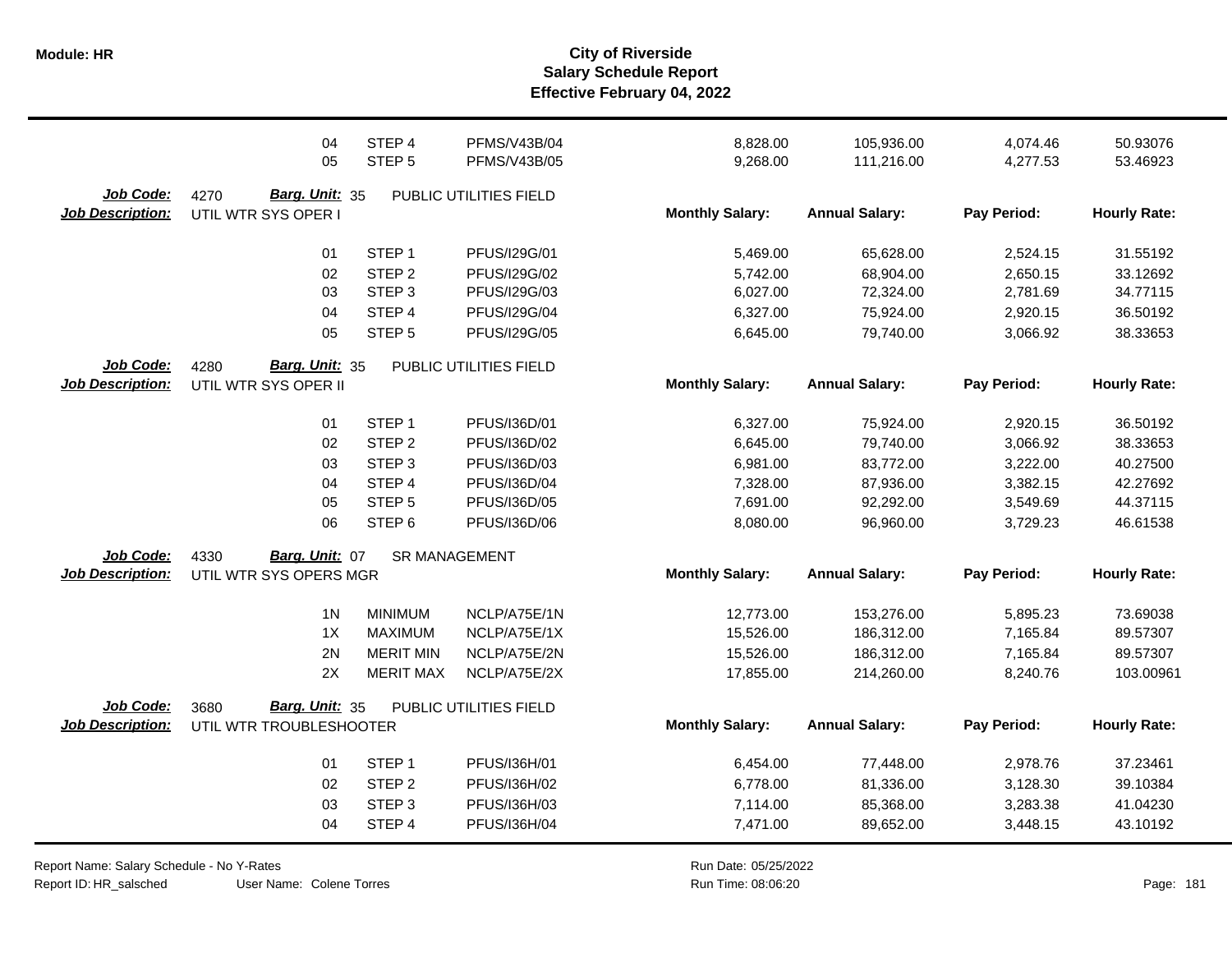|                         | 04                      | STEP 4            | <b>PFMS/V43B/04</b>    | 8,828.00               | 105,936.00            | 4,074.46    | 50.93076            |
|-------------------------|-------------------------|-------------------|------------------------|------------------------|-----------------------|-------------|---------------------|
|                         | 05                      | STEP <sub>5</sub> | PFMS/V43B/05           | 9,268.00               | 111,216.00            | 4,277.53    | 53.46923            |
| Job Code:               | 4270<br>Barg. Unit: 35  |                   | PUBLIC UTILITIES FIELD |                        |                       |             |                     |
| <b>Job Description:</b> | UTIL WTR SYS OPER I     |                   |                        | <b>Monthly Salary:</b> | <b>Annual Salary:</b> | Pay Period: | <b>Hourly Rate:</b> |
|                         |                         |                   |                        |                        |                       |             |                     |
|                         | 01                      | STEP <sub>1</sub> | PFUS/I29G/01           | 5,469.00               | 65,628.00             | 2,524.15    | 31.55192            |
|                         | 02                      | STEP <sub>2</sub> | PFUS/I29G/02           | 5,742.00               | 68,904.00             | 2,650.15    | 33.12692            |
|                         | 03                      | STEP <sub>3</sub> | PFUS/I29G/03           | 6,027.00               | 72,324.00             | 2,781.69    | 34.77115            |
|                         | 04                      | STEP 4            | PFUS/I29G/04           | 6,327.00               | 75,924.00             | 2,920.15    | 36.50192            |
|                         | 05                      | STEP <sub>5</sub> | PFUS/I29G/05           | 6,645.00               | 79,740.00             | 3,066.92    | 38.33653            |
| Job Code:               | Barg. Unit: 35<br>4280  |                   | PUBLIC UTILITIES FIELD |                        |                       |             |                     |
| <b>Job Description:</b> | UTIL WTR SYS OPER II    |                   |                        | <b>Monthly Salary:</b> | <b>Annual Salary:</b> | Pay Period: | <b>Hourly Rate:</b> |
|                         | 01                      | STEP <sub>1</sub> | PFUS/I36D/01           | 6,327.00               | 75,924.00             | 2,920.15    | 36.50192            |
|                         | 02                      | STEP <sub>2</sub> | PFUS/I36D/02           | 6,645.00               | 79,740.00             | 3,066.92    | 38.33653            |
|                         | 03                      | STEP <sub>3</sub> | PFUS/I36D/03           | 6,981.00               | 83,772.00             | 3,222.00    | 40.27500            |
|                         | 04                      | STEP 4            | PFUS/I36D/04           | 7,328.00               | 87,936.00             | 3,382.15    | 42.27692            |
|                         | 05                      | STEP <sub>5</sub> | PFUS/I36D/05           | 7,691.00               | 92,292.00             | 3,549.69    | 44.37115            |
|                         | 06                      | STEP <sub>6</sub> | PFUS/I36D/06           | 8,080.00               | 96,960.00             | 3,729.23    | 46.61538            |
| Job Code:               | Barg. Unit: 07<br>4330  |                   | <b>SR MANAGEMENT</b>   |                        |                       |             |                     |
| <b>Job Description:</b> | UTIL WTR SYS OPERS MGR  |                   |                        | <b>Monthly Salary:</b> | <b>Annual Salary:</b> | Pay Period: | <b>Hourly Rate:</b> |
|                         | 1 <sub>N</sub>          | <b>MINIMUM</b>    | NCLP/A75E/1N           | 12,773.00              | 153,276.00            | 5,895.23    | 73.69038            |
|                         | 1X                      | <b>MAXIMUM</b>    | NCLP/A75E/1X           | 15,526.00              | 186,312.00            | 7,165.84    | 89.57307            |
|                         | 2N                      | <b>MERIT MIN</b>  | NCLP/A75E/2N           | 15,526.00              | 186,312.00            | 7,165.84    | 89.57307            |
|                         | 2X                      | <b>MERIT MAX</b>  | NCLP/A75E/2X           | 17,855.00              | 214,260.00            | 8,240.76    | 103.00961           |
| Job Code:               | Barg. Unit: 35<br>3680  |                   | PUBLIC UTILITIES FIELD |                        |                       |             |                     |
| <b>Job Description:</b> | UTIL WTR TROUBLESHOOTER |                   |                        | <b>Monthly Salary:</b> | <b>Annual Salary:</b> | Pay Period: | <b>Hourly Rate:</b> |
|                         | 01                      | STEP <sub>1</sub> | PFUS/I36H/01           | 6,454.00               | 77,448.00             | 2,978.76    | 37.23461            |
|                         | 02                      | STEP <sub>2</sub> | PFUS/I36H/02           | 6,778.00               | 81,336.00             | 3,128.30    | 39.10384            |
|                         | 03                      | STEP <sub>3</sub> | PFUS/I36H/03           | 7,114.00               | 85,368.00             | 3,283.38    | 41.04230            |
|                         | 04                      | STEP 4            | PFUS/I36H/04           | 7,471.00               | 89,652.00             | 3,448.15    | 43.10192            |
|                         |                         |                   |                        |                        |                       |             |                     |

Report Name: Salary Schedule - No Y-Rates Report ID: HR\_salsched

User Name: Colene Torres

Run Date: 05/25/2022 08:06:20 Colene Torres Run Time: Page: 181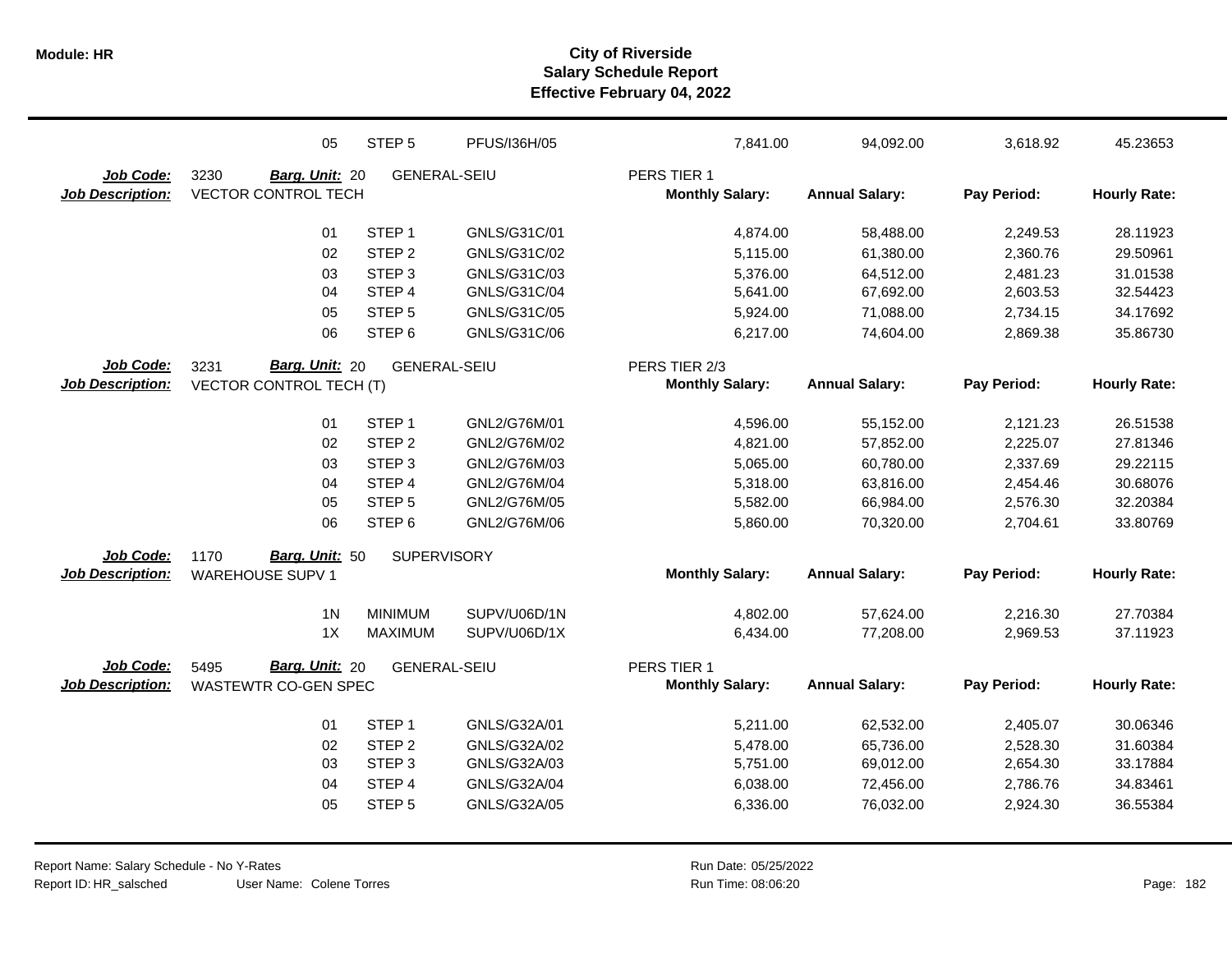|                         | 05                             | STEP <sub>5</sub>   | PFUS/I36H/05 | 7,841.00               | 94,092.00              | 3,618.92             | 45.23653             |
|-------------------------|--------------------------------|---------------------|--------------|------------------------|------------------------|----------------------|----------------------|
| Job Code:               | 3230<br>Barg. Unit: 20         | <b>GENERAL-SEIU</b> |              | PERS TIER 1            |                        |                      |                      |
| <b>Job Description:</b> | <b>VECTOR CONTROL TECH</b>     |                     |              | <b>Monthly Salary:</b> | <b>Annual Salary:</b>  | Pay Period:          | <b>Hourly Rate:</b>  |
|                         |                                |                     |              |                        |                        |                      |                      |
|                         | 01                             | STEP <sub>1</sub>   | GNLS/G31C/01 | 4,874.00               | 58,488.00              | 2,249.53             | 28.11923             |
|                         | 02                             | STEP <sub>2</sub>   | GNLS/G31C/02 | 5,115.00               | 61,380.00              | 2,360.76             | 29.50961             |
|                         | 03                             | STEP <sub>3</sub>   | GNLS/G31C/03 | 5,376.00               | 64,512.00              | 2,481.23             | 31.01538             |
|                         | 04                             | STEP <sub>4</sub>   | GNLS/G31C/04 | 5,641.00               | 67,692.00              | 2,603.53             | 32.54423             |
|                         | 05                             | STEP <sub>5</sub>   | GNLS/G31C/05 | 5,924.00               | 71,088.00              | 2,734.15             | 34.17692             |
|                         | 06                             | STEP <sub>6</sub>   | GNLS/G31C/06 | 6,217.00               | 74,604.00              | 2,869.38             | 35.86730             |
| Job Code:               | Barg. Unit: 20<br>3231         | <b>GENERAL-SEIU</b> |              | PERS TIER 2/3          |                        |                      |                      |
| <b>Job Description:</b> | <b>VECTOR CONTROL TECH (T)</b> |                     |              | <b>Monthly Salary:</b> | <b>Annual Salary:</b>  | Pay Period:          | <b>Hourly Rate:</b>  |
|                         | 01                             | STEP <sub>1</sub>   | GNL2/G76M/01 | 4,596.00               | 55,152.00              | 2,121.23             | 26.51538             |
|                         | 02                             | STEP <sub>2</sub>   | GNL2/G76M/02 | 4,821.00               | 57,852.00              | 2,225.07             | 27.81346             |
|                         | 03                             | STEP <sub>3</sub>   | GNL2/G76M/03 | 5,065.00               | 60,780.00              | 2,337.69             | 29.22115             |
|                         | 04                             | STEP <sub>4</sub>   | GNL2/G76M/04 | 5,318.00               | 63,816.00              | 2,454.46             | 30.68076             |
|                         | 05                             | STEP <sub>5</sub>   | GNL2/G76M/05 | 5,582.00               | 66,984.00              | 2,576.30             | 32.20384             |
|                         | 06                             | STEP <sub>6</sub>   | GNL2/G76M/06 | 5,860.00               | 70,320.00              | 2,704.61             | 33.80769             |
| Job Code:               | <b>Barg. Unit: 50</b><br>1170  | <b>SUPERVISORY</b>  |              |                        |                        |                      |                      |
| <b>Job Description:</b> | <b>WAREHOUSE SUPV 1</b>        |                     |              | <b>Monthly Salary:</b> | <b>Annual Salary:</b>  | Pay Period:          | <b>Hourly Rate:</b>  |
|                         |                                |                     |              |                        |                        |                      |                      |
|                         | 1 <sub>N</sub>                 | <b>MINIMUM</b>      | SUPV/U06D/1N | 4,802.00               | 57,624.00              | 2,216.30             | 27.70384             |
|                         | 1X                             | <b>MAXIMUM</b>      | SUPV/U06D/1X | 6,434.00               | 77,208.00              | 2,969.53             | 37.11923             |
| Job Code:               | 5495<br>Barg. Unit: 20         | <b>GENERAL-SEIU</b> |              | PERS TIER 1            |                        |                      |                      |
| <b>Job Description:</b> | WASTEWTR CO-GEN SPEC           |                     |              | <b>Monthly Salary:</b> | <b>Annual Salary:</b>  | Pay Period:          | <b>Hourly Rate:</b>  |
|                         | 01                             | STEP <sub>1</sub>   | GNLS/G32A/01 |                        |                        |                      |                      |
|                         | 02                             | STEP <sub>2</sub>   | GNLS/G32A/02 | 5,211.00<br>5,478.00   | 62,532.00<br>65,736.00 | 2,405.07<br>2,528.30 | 30.06346<br>31.60384 |
|                         | 03                             | STEP <sub>3</sub>   | GNLS/G32A/03 | 5,751.00               | 69,012.00              | 2,654.30             | 33.17884             |
|                         | 04                             | STEP 4              | GNLS/G32A/04 | 6,038.00               | 72,456.00              | 2,786.76             | 34.83461             |
|                         | 05                             | STEP <sub>5</sub>   | GNLS/G32A/05 |                        |                        |                      | 36.55384             |
|                         |                                |                     |              | 6,336.00               | 76,032.00              | 2,924.30             |                      |
|                         |                                |                     |              |                        |                        |                      |                      |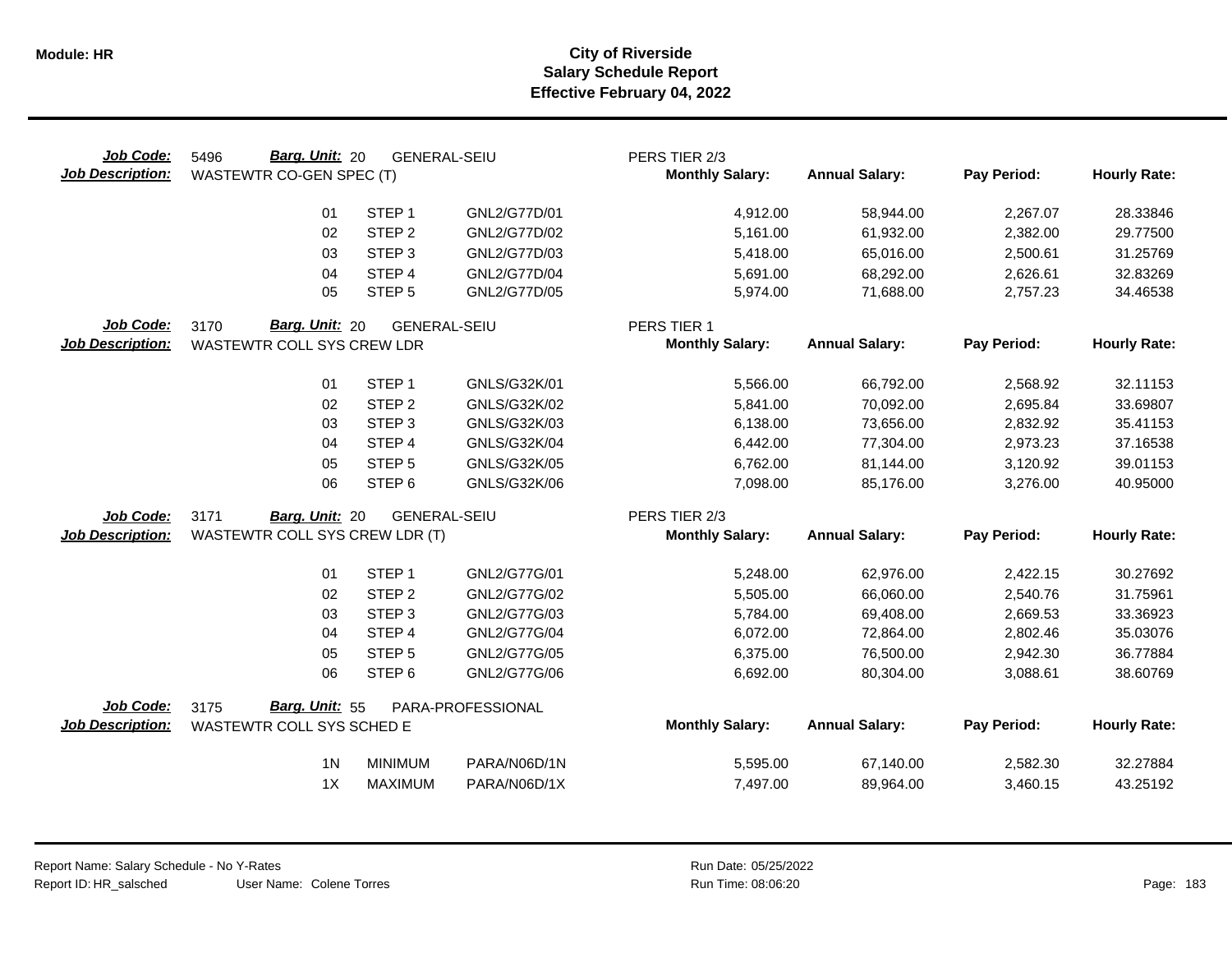| Job Code:<br><b>Job Description:</b> | <b>Barg. Unit: 20</b><br>5496<br>WASTEWTR CO-GEN SPEC (T) |                   | <b>GENERAL-SEIU</b> | PERS TIER 2/3<br><b>Monthly Salary:</b> | <b>Annual Salary:</b> | Pay Period: | <b>Hourly Rate:</b> |
|--------------------------------------|-----------------------------------------------------------|-------------------|---------------------|-----------------------------------------|-----------------------|-------------|---------------------|
|                                      | 01                                                        | STEP <sub>1</sub> | GNL2/G77D/01        | 4,912.00                                | 58,944.00             | 2,267.07    | 28.33846            |
|                                      | 02                                                        | STEP <sub>2</sub> | GNL2/G77D/02        | 5,161.00                                | 61,932.00             | 2,382.00    | 29.77500            |
|                                      | 03                                                        | STEP <sub>3</sub> | GNL2/G77D/03        | 5,418.00                                | 65,016.00             | 2,500.61    | 31.25769            |
|                                      | 04                                                        | STEP 4            | GNL2/G77D/04        | 5,691.00                                | 68,292.00             | 2,626.61    | 32.83269            |
|                                      | 05                                                        | STEP <sub>5</sub> | GNL2/G77D/05        | 5,974.00                                | 71,688.00             | 2,757.23    | 34.46538            |
| Job Code:                            | 3170<br>Barg. Unit: 20                                    |                   | <b>GENERAL-SEIU</b> | PERS TIER 1                             |                       |             |                     |
| <b>Job Description:</b>              | WASTEWTR COLL SYS CREW LDR                                |                   |                     | <b>Monthly Salary:</b>                  | <b>Annual Salary:</b> | Pay Period: | <b>Hourly Rate:</b> |
|                                      | 01                                                        | STEP <sub>1</sub> | GNLS/G32K/01        | 5,566.00                                | 66,792.00             | 2,568.92    | 32.11153            |
|                                      | 02                                                        | STEP <sub>2</sub> | GNLS/G32K/02        | 5,841.00                                | 70,092.00             | 2,695.84    | 33.69807            |
|                                      | 03                                                        | STEP <sub>3</sub> | GNLS/G32K/03        | 6,138.00                                | 73,656.00             | 2,832.92    | 35.41153            |
|                                      | 04                                                        | STEP 4            | GNLS/G32K/04        | 6,442.00                                | 77,304.00             | 2,973.23    | 37.16538            |
|                                      | 05                                                        | STEP <sub>5</sub> | GNLS/G32K/05        | 6,762.00                                | 81,144.00             | 3,120.92    | 39.01153            |
|                                      | 06                                                        | STEP <sub>6</sub> | GNLS/G32K/06        | 7,098.00                                | 85,176.00             | 3,276.00    | 40.95000            |
| Job Code:                            | 3171<br>Barg. Unit: 20                                    |                   | <b>GENERAL-SEIU</b> | PERS TIER 2/3                           |                       |             |                     |
| <b>Job Description:</b>              | WASTEWTR COLL SYS CREW LDR (T)                            |                   |                     | <b>Monthly Salary:</b>                  | <b>Annual Salary:</b> | Pay Period: | <b>Hourly Rate:</b> |
|                                      | 01                                                        | STEP <sub>1</sub> | GNL2/G77G/01        | 5,248.00                                | 62,976.00             | 2,422.15    | 30.27692            |
|                                      | 02                                                        | STEP <sub>2</sub> | GNL2/G77G/02        | 5,505.00                                | 66,060.00             | 2,540.76    | 31.75961            |
|                                      | 03                                                        | STEP <sub>3</sub> | GNL2/G77G/03        | 5,784.00                                | 69,408.00             | 2,669.53    | 33.36923            |
|                                      | 04                                                        | STEP 4            | GNL2/G77G/04        | 6,072.00                                | 72,864.00             | 2,802.46    | 35.03076            |
|                                      | 05                                                        | STEP <sub>5</sub> | GNL2/G77G/05        | 6,375.00                                | 76,500.00             | 2,942.30    | 36.77884            |
|                                      | 06                                                        | STEP <sub>6</sub> | GNL2/G77G/06        | 6,692.00                                | 80,304.00             | 3,088.61    | 38.60769            |
| Job Code:                            | Barg. Unit: 55<br>3175                                    |                   | PARA-PROFESSIONAL   |                                         |                       |             |                     |
| <b>Job Description:</b>              | WASTEWTR COLL SYS SCHED E                                 |                   |                     | <b>Monthly Salary:</b>                  | <b>Annual Salary:</b> | Pay Period: | <b>Hourly Rate:</b> |
|                                      | 1 <sub>N</sub>                                            | <b>MINIMUM</b>    | PARA/N06D/1N        | 5,595.00                                | 67,140.00             | 2,582.30    | 32.27884            |
|                                      | 1X                                                        | <b>MAXIMUM</b>    | PARA/N06D/1X        | 7,497.00                                | 89,964.00             | 3,460.15    | 43.25192            |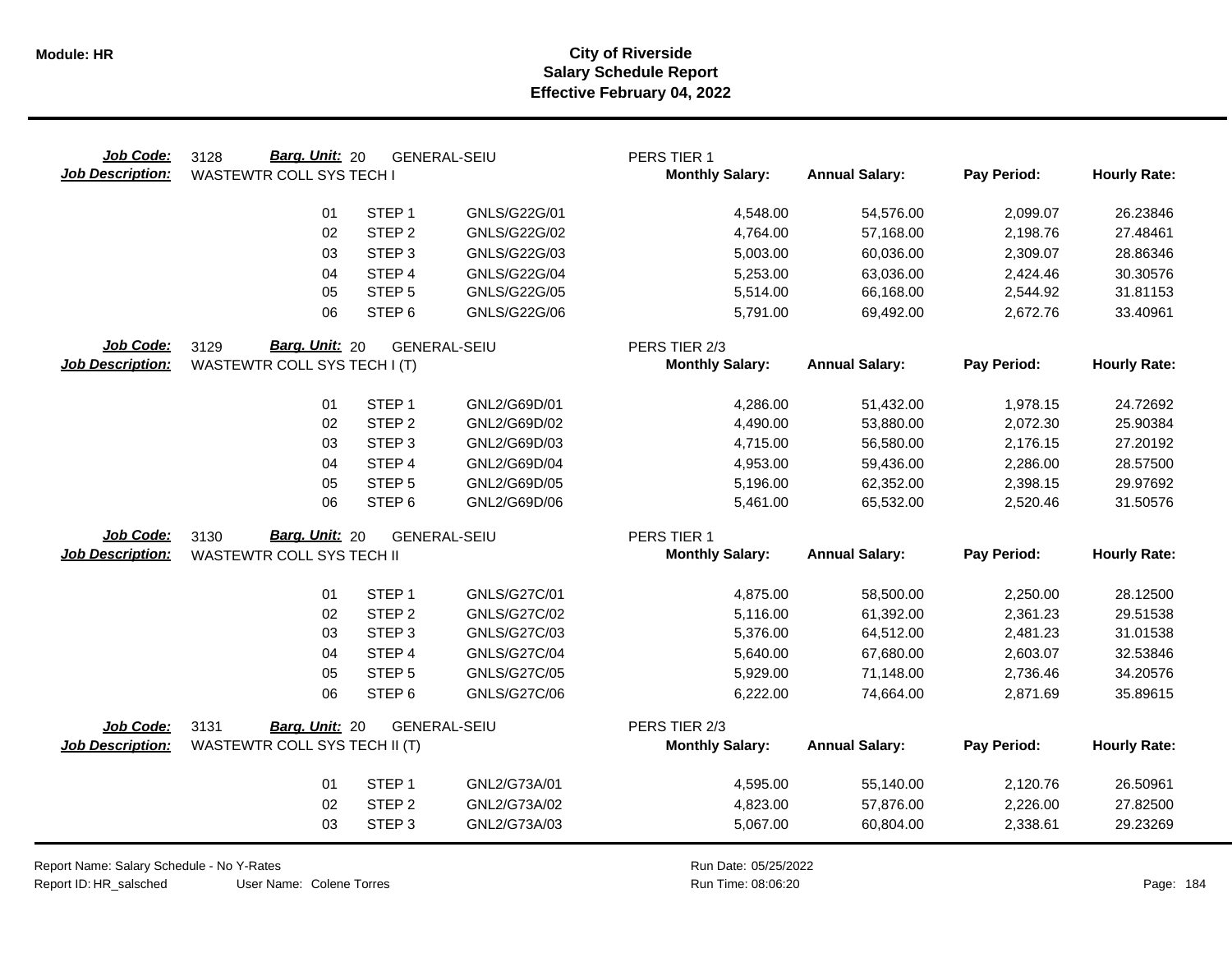| Job Code:<br><b>Job Description:</b> | Barg. Unit: 20<br>3128<br><b>WASTEWTR COLL SYS TECH I</b> |                   | <b>GENERAL-SEIU</b> | PERS TIER 1<br><b>Monthly Salary:</b> | <b>Annual Salary:</b> | Pay Period: | <b>Hourly Rate:</b> |
|--------------------------------------|-----------------------------------------------------------|-------------------|---------------------|---------------------------------------|-----------------------|-------------|---------------------|
|                                      | 01                                                        | STEP <sub>1</sub> | GNLS/G22G/01        | 4,548.00                              | 54,576.00             | 2,099.07    | 26.23846            |
|                                      | 02                                                        | STEP <sub>2</sub> | GNLS/G22G/02        | 4,764.00                              | 57,168.00             | 2,198.76    | 27.48461            |
|                                      | 03                                                        | STEP <sub>3</sub> | GNLS/G22G/03        | 5,003.00                              | 60,036.00             | 2,309.07    | 28.86346            |
|                                      | 04                                                        | STEP 4            | GNLS/G22G/04        | 5,253.00                              | 63,036.00             | 2,424.46    | 30.30576            |
|                                      | 05                                                        | STEP <sub>5</sub> | GNLS/G22G/05        | 5,514.00                              | 66,168.00             | 2,544.92    | 31.81153            |
|                                      | 06                                                        | STEP <sub>6</sub> | GNLS/G22G/06        | 5,791.00                              | 69,492.00             | 2,672.76    | 33.40961            |
| Job Code:                            | Barg. Unit: 20<br>3129                                    |                   | <b>GENERAL-SEIU</b> | PERS TIER 2/3                         |                       |             |                     |
| <b>Job Description:</b>              | WASTEWTR COLL SYS TECH I (T)                              |                   |                     | <b>Monthly Salary:</b>                | <b>Annual Salary:</b> | Pay Period: | <b>Hourly Rate:</b> |
|                                      | 01                                                        | STEP <sub>1</sub> | GNL2/G69D/01        | 4,286.00                              | 51,432.00             | 1,978.15    | 24.72692            |
|                                      | 02                                                        | STEP <sub>2</sub> | GNL2/G69D/02        | 4,490.00                              | 53,880.00             | 2,072.30    | 25.90384            |
|                                      | 03                                                        | STEP <sub>3</sub> | GNL2/G69D/03        | 4,715.00                              | 56,580.00             | 2,176.15    | 27.20192            |
|                                      | 04                                                        | STEP 4            | GNL2/G69D/04        | 4,953.00                              | 59,436.00             | 2,286.00    | 28.57500            |
|                                      | 05                                                        | STEP <sub>5</sub> | GNL2/G69D/05        | 5,196.00                              | 62,352.00             | 2,398.15    | 29.97692            |
|                                      | 06                                                        | STEP <sub>6</sub> | GNL2/G69D/06        | 5,461.00                              | 65,532.00             | 2,520.46    | 31.50576            |
| Job Code:                            | Barg. Unit: 20<br>3130                                    |                   | <b>GENERAL-SEIU</b> | PERS TIER 1                           |                       |             |                     |
| <b>Job Description:</b>              | <b>WASTEWTR COLL SYS TECH II</b>                          |                   |                     | <b>Monthly Salary:</b>                | <b>Annual Salary:</b> | Pay Period: | <b>Hourly Rate:</b> |
|                                      | 01                                                        | STEP <sub>1</sub> | GNLS/G27C/01        | 4,875.00                              | 58,500.00             | 2,250.00    | 28.12500            |
|                                      | 02                                                        | STEP <sub>2</sub> | <b>GNLS/G27C/02</b> | 5,116.00                              | 61,392.00             | 2,361.23    | 29.51538            |
|                                      | 03                                                        | STEP <sub>3</sub> | GNLS/G27C/03        | 5,376.00                              | 64,512.00             | 2,481.23    | 31.01538            |
|                                      | 04                                                        | STEP 4            | <b>GNLS/G27C/04</b> | 5,640.00                              | 67,680.00             | 2,603.07    | 32.53846            |
|                                      | 05                                                        | STEP <sub>5</sub> | <b>GNLS/G27C/05</b> | 5,929.00                              | 71,148.00             | 2,736.46    | 34.20576            |
|                                      | 06                                                        | STEP <sub>6</sub> | <b>GNLS/G27C/06</b> | 6,222.00                              | 74,664.00             | 2,871.69    | 35.89615            |
| Job Code:                            | 3131<br>Barg. Unit: 20                                    |                   | <b>GENERAL-SEIU</b> | PERS TIER 2/3                         |                       |             |                     |
| <b>Job Description:</b>              | WASTEWTR COLL SYS TECH II (T)                             |                   |                     | <b>Monthly Salary:</b>                | <b>Annual Salary:</b> | Pay Period: | <b>Hourly Rate:</b> |
|                                      | 01                                                        | STEP <sub>1</sub> | GNL2/G73A/01        | 4,595.00                              | 55,140.00             | 2,120.76    | 26.50961            |
|                                      | 02                                                        | STEP <sub>2</sub> | GNL2/G73A/02        | 4,823.00                              | 57,876.00             | 2,226.00    | 27.82500            |
|                                      | 03                                                        | STEP <sub>3</sub> | GNL2/G73A/03        | 5,067.00                              | 60,804.00             | 2,338.61    | 29.23269            |

Report Name: Salary Schedule - No Y-Rates Report ID: HR\_salsched

 $\overline{\phantom{0}}$ 

User Name: Colene Torres

Run Date: 05/25/2022 08:06:20 Colene Torres Run Time: Page: 184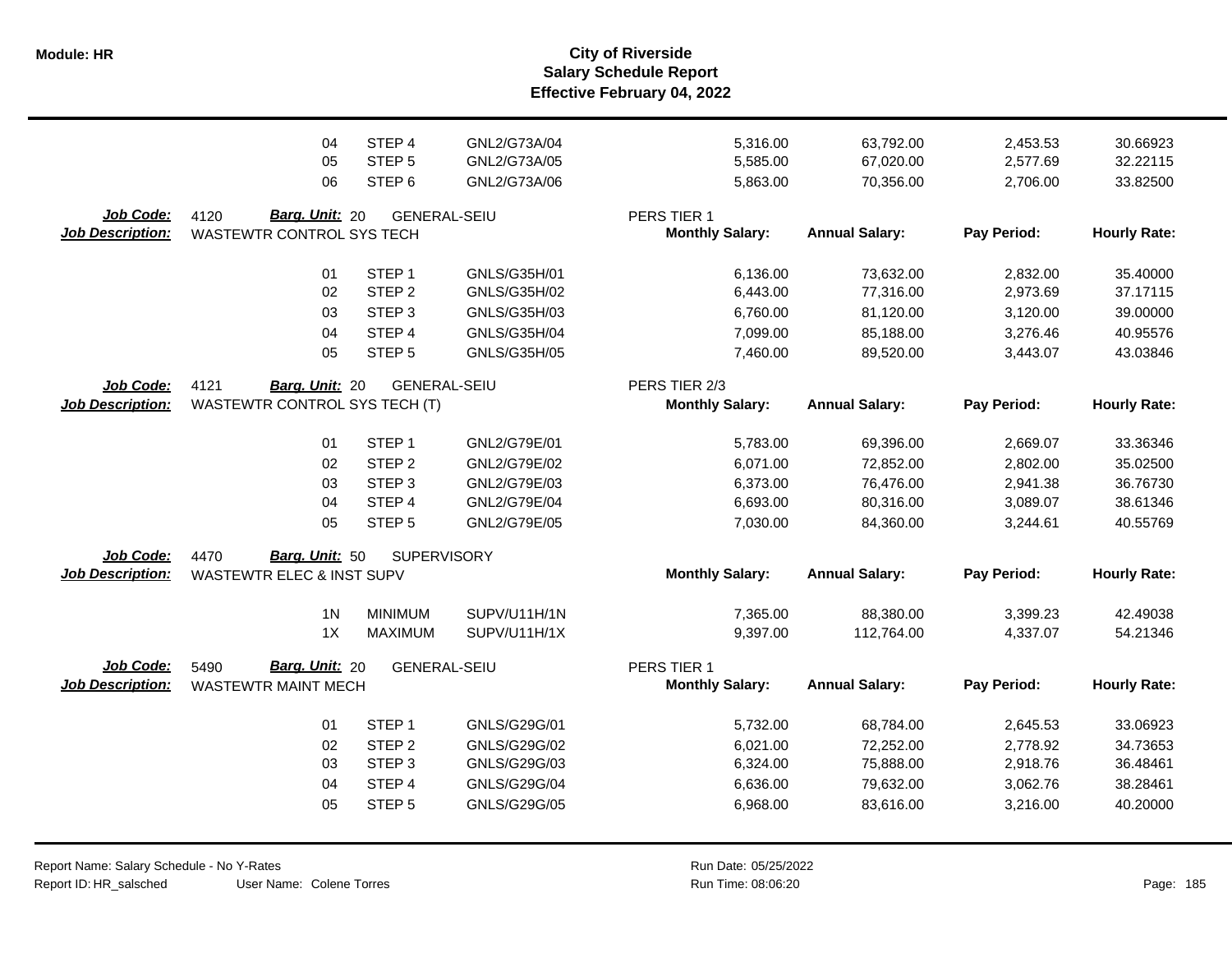**Salary Schedule Report Effective February 04, 2022 Module: HR City of Riverside**

|                                      | 04                                                             | STEP 4              | GNL2/G73A/04 | 5,316.00                                | 63,792.00             | 2,453.53    | 30.66923            |
|--------------------------------------|----------------------------------------------------------------|---------------------|--------------|-----------------------------------------|-----------------------|-------------|---------------------|
|                                      | 05                                                             | STEP <sub>5</sub>   | GNL2/G73A/05 | 5,585.00                                | 67,020.00             | 2,577.69    | 32.22115            |
|                                      | 06                                                             | STEP <sub>6</sub>   | GNL2/G73A/06 | 5,863.00                                | 70,356.00             | 2,706.00    | 33.82500            |
| Job Code:<br><b>Job Description:</b> | Barg. Unit: 20<br>4120<br>WASTEWTR CONTROL SYS TECH            | <b>GENERAL-SEIU</b> |              | PERS TIER 1<br><b>Monthly Salary:</b>   | <b>Annual Salary:</b> | Pay Period: | <b>Hourly Rate:</b> |
|                                      | 01                                                             | STEP <sub>1</sub>   | GNLS/G35H/01 | 6,136.00                                | 73,632.00             | 2,832.00    | 35.40000            |
|                                      | 02                                                             | STEP <sub>2</sub>   | GNLS/G35H/02 | 6,443.00                                | 77,316.00             | 2,973.69    | 37.17115            |
|                                      | 03                                                             | STEP <sub>3</sub>   | GNLS/G35H/03 | 6,760.00                                | 81,120.00             | 3,120.00    | 39.00000            |
|                                      | 04                                                             | STEP 4              | GNLS/G35H/04 | 7,099.00                                | 85,188.00             | 3,276.46    | 40.95576            |
|                                      | 05                                                             | STEP <sub>5</sub>   | GNLS/G35H/05 | 7,460.00                                | 89,520.00             | 3,443.07    | 43.03846            |
| Job Code:<br><b>Job Description:</b> | 4121<br>Barg. Unit: 20<br><b>WASTEWTR CONTROL SYS TECH (T)</b> | <b>GENERAL-SEIU</b> |              | PERS TIER 2/3<br><b>Monthly Salary:</b> | <b>Annual Salary:</b> | Pay Period: | <b>Hourly Rate:</b> |
|                                      | 01                                                             | STEP <sub>1</sub>   | GNL2/G79E/01 | 5,783.00                                | 69,396.00             | 2,669.07    | 33.36346            |
|                                      | 02                                                             | STEP <sub>2</sub>   | GNL2/G79E/02 | 6,071.00                                | 72,852.00             | 2,802.00    | 35.02500            |
|                                      | 03                                                             | STEP <sub>3</sub>   | GNL2/G79E/03 | 6,373.00                                | 76,476.00             | 2,941.38    | 36.76730            |
|                                      | 04                                                             | STEP 4              | GNL2/G79E/04 | 6,693.00                                | 80,316.00             | 3,089.07    | 38.61346            |
|                                      | 05                                                             | STEP <sub>5</sub>   | GNL2/G79E/05 | 7,030.00                                | 84,360.00             | 3,244.61    | 40.55769            |
| Job Code:<br><b>Job Description:</b> | Barg. Unit: 50<br>4470<br><b>WASTEWTR ELEC &amp; INST SUPV</b> | SUPERVISORY         |              | <b>Monthly Salary:</b>                  | <b>Annual Salary:</b> | Pay Period: | <b>Hourly Rate:</b> |
|                                      | 1 <sub>N</sub>                                                 | <b>MINIMUM</b>      | SUPV/U11H/1N | 7,365.00                                | 88,380.00             | 3,399.23    | 42.49038            |
|                                      | 1X                                                             | <b>MAXIMUM</b>      | SUPV/U11H/1X | 9,397.00                                | 112,764.00            | 4,337.07    | 54.21346            |
| Job Code:<br><b>Job Description:</b> | Barg. Unit: 20<br>5490<br><b>WASTEWTR MAINT MECH</b>           | <b>GENERAL-SEIU</b> |              | PERS TIER 1<br><b>Monthly Salary:</b>   | <b>Annual Salary:</b> | Pay Period: | <b>Hourly Rate:</b> |
|                                      | 01                                                             | STEP <sub>1</sub>   | GNLS/G29G/01 | 5,732.00                                | 68,784.00             | 2,645.53    | 33.06923            |
|                                      | 02                                                             | STEP <sub>2</sub>   | GNLS/G29G/02 | 6,021.00                                | 72,252.00             | 2,778.92    | 34.73653            |
|                                      | 03                                                             | STEP <sub>3</sub>   | GNLS/G29G/03 | 6,324.00                                | 75,888.00             | 2,918.76    | 36.48461            |
|                                      | 04                                                             | STEP 4              | GNLS/G29G/04 | 6,636.00                                | 79,632.00             | 3,062.76    | 38.28461            |
|                                      | 05                                                             | STEP <sub>5</sub>   | GNLS/G29G/05 | 6,968.00                                | 83,616.00             | 3,216.00    | 40.20000            |

User Name: Colene Torres Report Name: Salary Schedule - No Y-Rates Report ID: HR\_salsched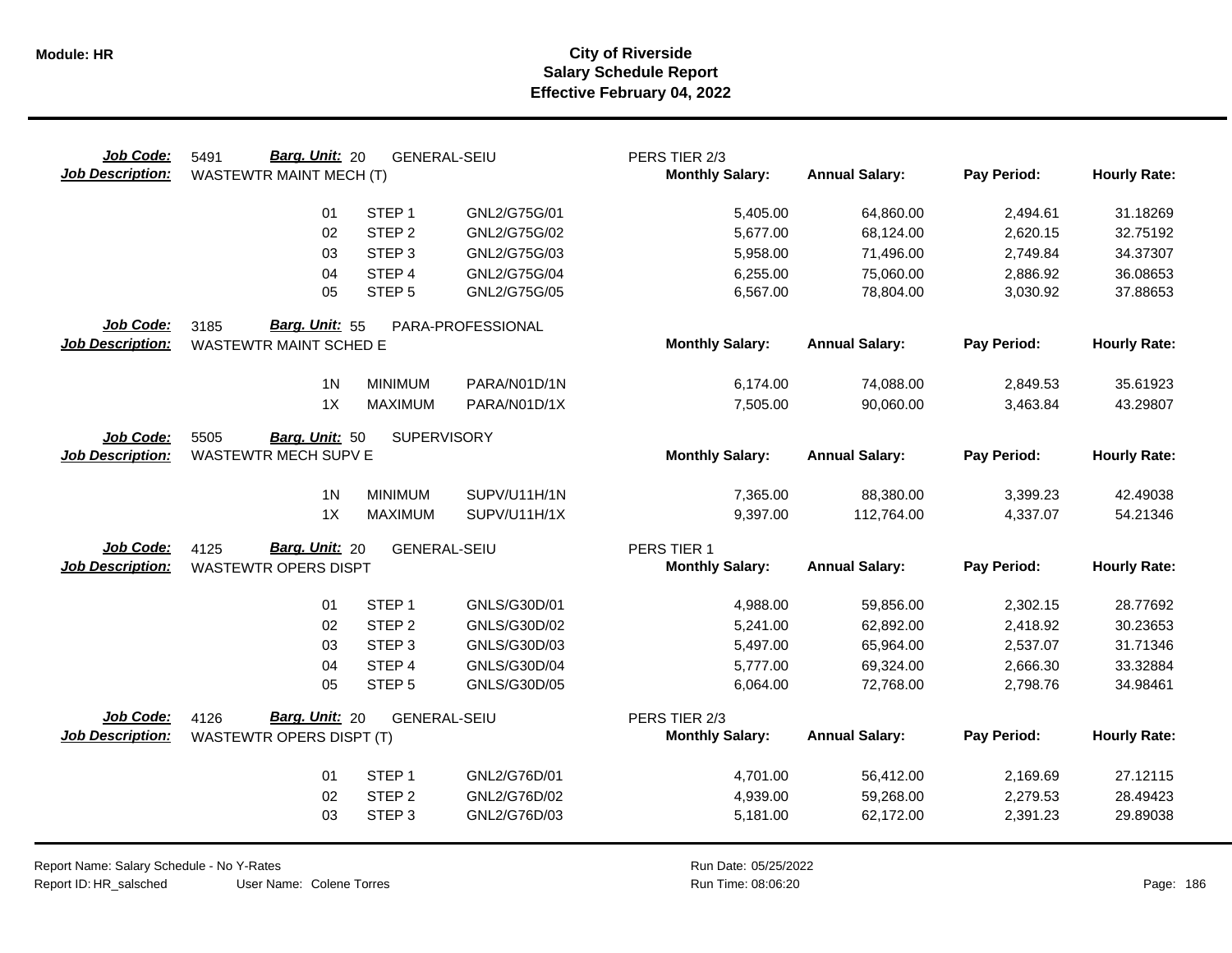| Job Code:<br><b>Job Description:</b> | Barg. Unit: 20<br>5491<br>WASTEWTR MAINT MECH (T)       | <b>GENERAL-SEIU</b> |                   | PERS TIER 2/3<br><b>Monthly Salary:</b> | <b>Annual Salary:</b> | Pay Period: | <b>Hourly Rate:</b> |
|--------------------------------------|---------------------------------------------------------|---------------------|-------------------|-----------------------------------------|-----------------------|-------------|---------------------|
|                                      | 01                                                      | STEP <sub>1</sub>   | GNL2/G75G/01      | 5,405.00                                | 64,860.00             | 2,494.61    | 31.18269            |
|                                      | 02                                                      | STEP <sub>2</sub>   | GNL2/G75G/02      | 5,677.00                                | 68,124.00             | 2,620.15    | 32.75192            |
|                                      | 03                                                      | STEP <sub>3</sub>   | GNL2/G75G/03      | 5,958.00                                | 71,496.00             | 2,749.84    | 34.37307            |
|                                      | 04                                                      | STEP 4              | GNL2/G75G/04      | 6,255.00                                | 75,060.00             | 2,886.92    | 36.08653            |
|                                      | 05                                                      | STEP <sub>5</sub>   | GNL2/G75G/05      | 6,567.00                                | 78,804.00             | 3,030.92    | 37.88653            |
| Job Code:<br><b>Job Description:</b> | Barg. Unit: 55<br>3185<br><b>WASTEWTR MAINT SCHED E</b> |                     | PARA-PROFESSIONAL | <b>Monthly Salary:</b>                  | <b>Annual Salary:</b> | Pay Period: | <b>Hourly Rate:</b> |
|                                      | 1 <sub>N</sub>                                          | <b>MINIMUM</b>      | PARA/N01D/1N      | 6,174.00                                | 74,088.00             | 2,849.53    | 35.61923            |
|                                      | 1X                                                      | <b>MAXIMUM</b>      | PARA/N01D/1X      | 7,505.00                                | 90,060.00             | 3,463.84    | 43.29807            |
| Job Code:<br><b>Job Description:</b> | 5505<br>Barg. Unit: 50<br>WASTEWTR MECH SUPV E          | <b>SUPERVISORY</b>  |                   | <b>Monthly Salary:</b>                  | <b>Annual Salary:</b> | Pay Period: | <b>Hourly Rate:</b> |
|                                      | 1 <sub>N</sub>                                          | <b>MINIMUM</b>      | SUPV/U11H/1N      | 7,365.00                                | 88,380.00             | 3,399.23    | 42.49038            |
|                                      | 1X                                                      | <b>MAXIMUM</b>      | SUPV/U11H/1X      | 9,397.00                                | 112,764.00            | 4,337.07    | 54.21346            |
| Job Code:<br><b>Job Description:</b> | Barg. Unit: 20<br>4125<br><b>WASTEWTR OPERS DISPT</b>   | <b>GENERAL-SEIU</b> |                   | PERS TIER 1<br><b>Monthly Salary:</b>   | <b>Annual Salary:</b> | Pay Period: | <b>Hourly Rate:</b> |
|                                      | 01                                                      | STEP <sub>1</sub>   | GNLS/G30D/01      | 4,988.00                                | 59,856.00             | 2,302.15    | 28.77692            |
|                                      | 02                                                      | STEP <sub>2</sub>   | GNLS/G30D/02      | 5,241.00                                | 62,892.00             | 2,418.92    | 30.23653            |
|                                      | 03                                                      | STEP <sub>3</sub>   | GNLS/G30D/03      | 5,497.00                                | 65,964.00             | 2,537.07    | 31.71346            |
|                                      | 04                                                      | STEP 4              | GNLS/G30D/04      | 5,777.00                                | 69,324.00             | 2,666.30    | 33.32884            |
|                                      | 05                                                      | STEP <sub>5</sub>   | GNLS/G30D/05      | 6,064.00                                | 72,768.00             | 2,798.76    | 34.98461            |
| Job Code:                            | Barg. Unit: 20<br>4126                                  | <b>GENERAL-SEIU</b> |                   | PERS TIER 2/3                           |                       |             |                     |
| <b>Job Description:</b>              | <b>WASTEWTR OPERS DISPT (T)</b>                         |                     |                   | <b>Monthly Salary:</b>                  | <b>Annual Salary:</b> | Pay Period: | <b>Hourly Rate:</b> |
|                                      | 01                                                      | STEP <sub>1</sub>   | GNL2/G76D/01      | 4,701.00                                | 56,412.00             | 2,169.69    | 27.12115            |
|                                      | 02                                                      | STEP <sub>2</sub>   | GNL2/G76D/02      | 4,939.00                                | 59,268.00             | 2,279.53    | 28.49423            |
|                                      | 03                                                      | STEP <sub>3</sub>   | GNL2/G76D/03      | 5,181.00                                | 62,172.00             | 2,391.23    | 29.89038            |
|                                      |                                                         |                     |                   |                                         |                       |             |                     |

Report Name: Salary Schedule - No Y-Rates Report ID: HR\_salsched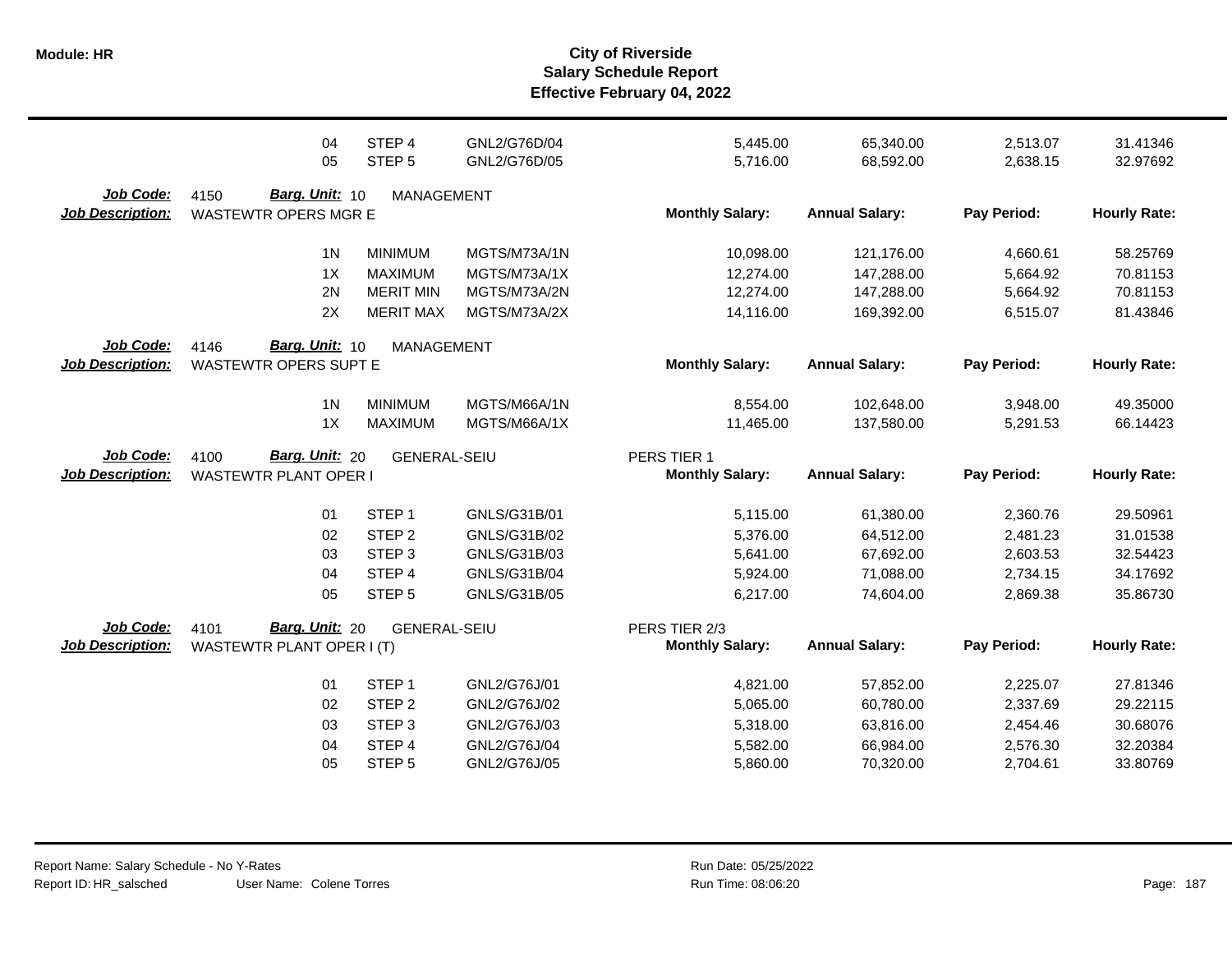|                                      | 04                                                     | STEP 4              | GNL2/G76D/04 | 5,445.00                                | 65,340.00             | 2,513.07    | 31.41346            |
|--------------------------------------|--------------------------------------------------------|---------------------|--------------|-----------------------------------------|-----------------------|-------------|---------------------|
|                                      | 05                                                     | STEP <sub>5</sub>   | GNL2/G76D/05 | 5,716.00                                | 68,592.00             | 2,638.15    | 32.97692            |
| Job Code:<br><b>Job Description:</b> | Barg. Unit: 10<br>4150<br><b>WASTEWTR OPERS MGR E</b>  | MANAGEMENT          |              | <b>Monthly Salary:</b>                  | <b>Annual Salary:</b> | Pay Period: | <b>Hourly Rate:</b> |
|                                      | 1 <sub>N</sub>                                         | <b>MINIMUM</b>      | MGTS/M73A/1N | 10,098.00                               | 121,176.00            | 4,660.61    | 58.25769            |
|                                      | 1X                                                     | <b>MAXIMUM</b>      | MGTS/M73A/1X | 12,274.00                               | 147,288.00            | 5,664.92    | 70.81153            |
|                                      | 2N                                                     | <b>MERIT MIN</b>    | MGTS/M73A/2N | 12,274.00                               | 147,288.00            | 5,664.92    | 70.81153            |
|                                      | 2X                                                     | <b>MERIT MAX</b>    | MGTS/M73A/2X | 14,116.00                               | 169,392.00            | 6,515.07    | 81.43846            |
| Job Code:<br><b>Job Description:</b> | Barg. Unit: 10<br>4146<br><b>WASTEWTR OPERS SUPT E</b> | <b>MANAGEMENT</b>   |              | <b>Monthly Salary:</b>                  | <b>Annual Salary:</b> | Pay Period: | <b>Hourly Rate:</b> |
|                                      | 1 <sub>N</sub>                                         | <b>MINIMUM</b>      | MGTS/M66A/1N | 8,554.00                                | 102,648.00            | 3,948.00    | 49.35000            |
|                                      | 1X                                                     | <b>MAXIMUM</b>      | MGTS/M66A/1X | 11,465.00                               | 137,580.00            | 5,291.53    | 66.14423            |
| Job Code:<br><b>Job Description:</b> | Barg. Unit: 20<br>4100<br><b>WASTEWTR PLANT OPER I</b> | <b>GENERAL-SEIU</b> |              | PERS TIER 1<br><b>Monthly Salary:</b>   | <b>Annual Salary:</b> | Pay Period: | <b>Hourly Rate:</b> |
|                                      | 01                                                     | STEP <sub>1</sub>   | GNLS/G31B/01 | 5,115.00                                | 61,380.00             | 2,360.76    | 29.50961            |
|                                      | 02                                                     | STEP <sub>2</sub>   | GNLS/G31B/02 | 5,376.00                                | 64,512.00             | 2,481.23    | 31.01538            |
|                                      | 03                                                     | STEP <sub>3</sub>   | GNLS/G31B/03 | 5,641.00                                | 67,692.00             | 2,603.53    | 32.54423            |
|                                      | 04                                                     | STEP <sub>4</sub>   | GNLS/G31B/04 | 5,924.00                                | 71,088.00             | 2,734.15    | 34.17692            |
|                                      | 05                                                     | STEP <sub>5</sub>   | GNLS/G31B/05 | 6,217.00                                | 74,604.00             | 2,869.38    | 35.86730            |
| Job Code:<br><b>Job Description:</b> | Barg. Unit: 20<br>4101<br>WASTEWTR PLANT OPER I (T)    | <b>GENERAL-SEIU</b> |              | PERS TIER 2/3<br><b>Monthly Salary:</b> | <b>Annual Salary:</b> | Pay Period: | <b>Hourly Rate:</b> |
|                                      | 01                                                     | STEP <sub>1</sub>   | GNL2/G76J/01 | 4,821.00                                | 57,852.00             | 2,225.07    | 27.81346            |
|                                      | 02                                                     | STEP <sub>2</sub>   | GNL2/G76J/02 | 5,065.00                                | 60,780.00             | 2,337.69    | 29.22115            |
|                                      | 03                                                     | STEP <sub>3</sub>   | GNL2/G76J/03 | 5,318.00                                | 63,816.00             | 2,454.46    | 30.68076            |
|                                      | 04                                                     | STEP 4              | GNL2/G76J/04 | 5,582.00                                | 66,984.00             | 2,576.30    | 32.20384            |
|                                      | 05                                                     | STEP <sub>5</sub>   | GNL2/G76J/05 | 5,860.00                                | 70,320.00             | 2,704.61    | 33.80769            |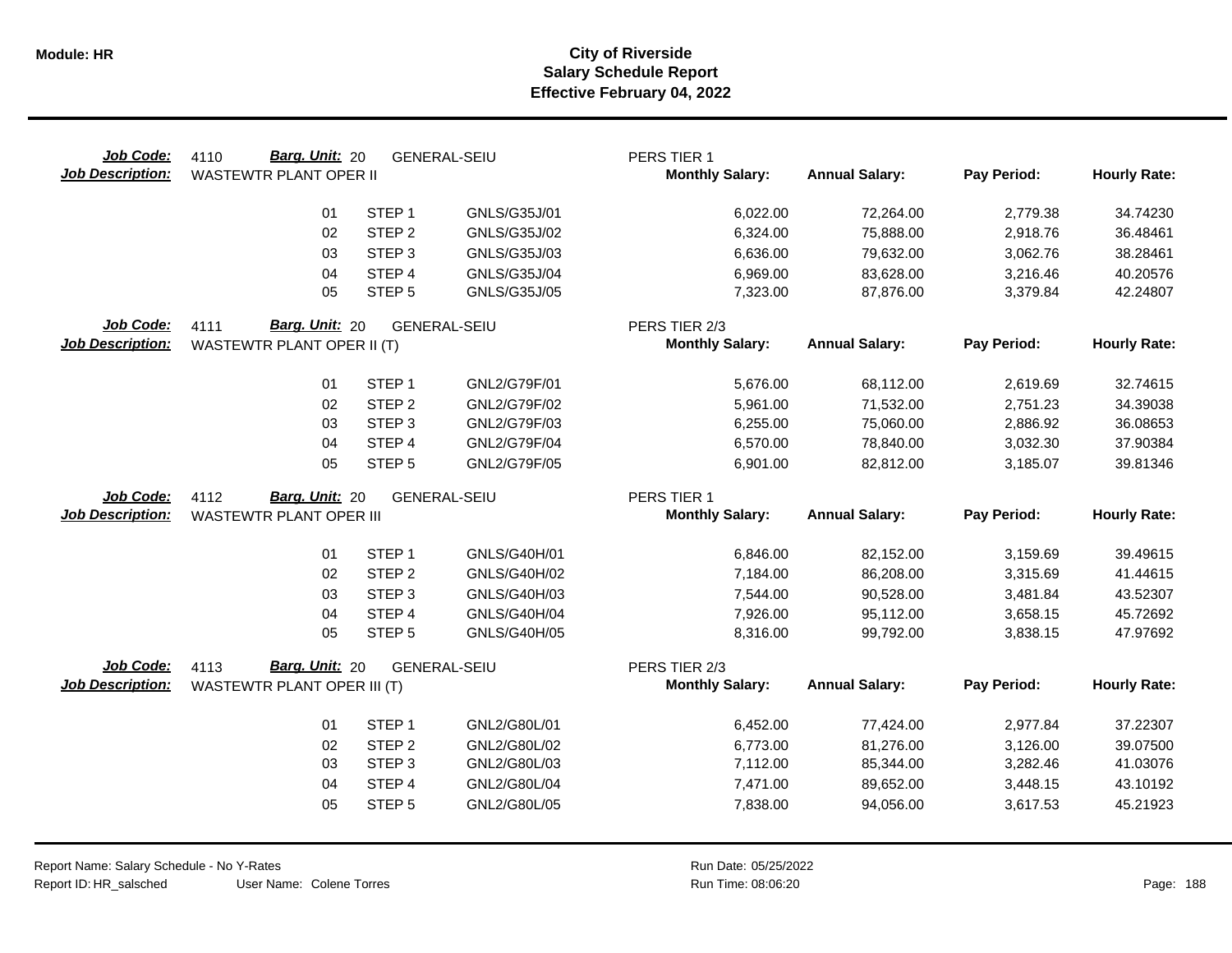| Job Code:<br><b>Job Description:</b> | Barg. Unit: 20<br>4110<br><b>WASTEWTR PLANT OPER II</b> |                                        | <b>GENERAL-SEIU</b>          | PERS TIER 1<br><b>Monthly Salary:</b> | <b>Annual Salary:</b>  | Pay Period:          | <b>Hourly Rate:</b>  |
|--------------------------------------|---------------------------------------------------------|----------------------------------------|------------------------------|---------------------------------------|------------------------|----------------------|----------------------|
|                                      | 01                                                      | STEP <sub>1</sub>                      | GNLS/G35J/01                 | 6,022.00                              | 72,264.00              | 2,779.38             | 34.74230             |
|                                      | 02                                                      | STEP <sub>2</sub>                      | GNLS/G35J/02                 | 6,324.00                              | 75,888.00              | 2,918.76             | 36.48461             |
|                                      | 03                                                      | STEP <sub>3</sub>                      | GNLS/G35J/03                 | 6,636.00                              | 79,632.00              | 3,062.76             | 38.28461             |
|                                      | 04                                                      | STEP 4                                 | GNLS/G35J/04                 | 6,969.00                              | 83,628.00              | 3,216.46             | 40.20576             |
|                                      | 05                                                      | STEP <sub>5</sub>                      | GNLS/G35J/05                 | 7,323.00                              | 87,876.00              | 3,379.84             | 42.24807             |
| Job Code:                            | Barg. Unit: 20<br>4111                                  |                                        | <b>GENERAL-SEIU</b>          | PERS TIER 2/3                         |                        |                      |                      |
| <b>Job Description:</b>              | WASTEWTR PLANT OPER II (T)                              |                                        |                              | <b>Monthly Salary:</b>                | <b>Annual Salary:</b>  | Pay Period:          | <b>Hourly Rate:</b>  |
|                                      | 01                                                      | STEP <sub>1</sub>                      | GNL2/G79F/01                 | 5,676.00                              | 68,112.00              | 2,619.69             | 32.74615             |
|                                      | 02                                                      | STEP <sub>2</sub>                      | GNL2/G79F/02                 | 5,961.00                              | 71,532.00              | 2,751.23             | 34.39038             |
|                                      | 03                                                      | STEP <sub>3</sub>                      | GNL2/G79F/03                 | 6,255.00                              | 75,060.00              | 2,886.92             | 36.08653             |
|                                      | 04                                                      | STEP 4                                 | GNL2/G79F/04                 | 6,570.00                              | 78,840.00              | 3,032.30             | 37.90384             |
|                                      | 05                                                      | STEP <sub>5</sub>                      | GNL2/G79F/05                 | 6,901.00                              | 82,812.00              | 3,185.07             | 39.81346             |
| Job Code:                            | Barg. Unit: 20<br>4112                                  |                                        | <b>GENERAL-SEIU</b>          | PERS TIER 1                           |                        |                      |                      |
| <b>Job Description:</b>              | <b>WASTEWTR PLANT OPER III</b>                          |                                        |                              | <b>Monthly Salary:</b>                | <b>Annual Salary:</b>  | Pay Period:          | <b>Hourly Rate:</b>  |
|                                      |                                                         |                                        |                              |                                       |                        |                      |                      |
|                                      | 01                                                      | STEP <sub>1</sub><br>STEP <sub>2</sub> | GNLS/G40H/01                 | 6,846.00                              | 82,152.00              | 3,159.69             | 39.49615             |
|                                      | 02                                                      | STEP <sub>3</sub>                      | GNLS/G40H/02                 | 7,184.00                              | 86,208.00              | 3,315.69             | 41.44615             |
|                                      | 03<br>04                                                | STEP 4                                 | GNLS/G40H/03<br>GNLS/G40H/04 | 7,544.00                              | 90,528.00              | 3,481.84             | 43.52307             |
|                                      | 05                                                      | STEP <sub>5</sub>                      | GNLS/G40H/05                 | 7,926.00<br>8,316.00                  | 95,112.00<br>99,792.00 | 3,658.15<br>3,838.15 | 45.72692<br>47.97692 |
|                                      |                                                         |                                        |                              |                                       |                        |                      |                      |
| Job Code:                            | Barg. Unit: 20<br>4113                                  |                                        | <b>GENERAL-SEIU</b>          | PERS TIER 2/3                         |                        |                      |                      |
| <b>Job Description:</b>              | WASTEWTR PLANT OPER III (T)                             |                                        |                              | <b>Monthly Salary:</b>                | <b>Annual Salary:</b>  | Pay Period:          | <b>Hourly Rate:</b>  |
|                                      | 01                                                      | STEP <sub>1</sub>                      | GNL2/G80L/01                 | 6,452.00                              | 77,424.00              | 2,977.84             | 37.22307             |
|                                      | 02                                                      | STEP <sub>2</sub>                      | GNL2/G80L/02                 | 6,773.00                              | 81,276.00              | 3,126.00             | 39.07500             |
|                                      | 03                                                      | STEP <sub>3</sub>                      | GNL2/G80L/03                 | 7,112.00                              | 85,344.00              | 3,282.46             | 41.03076             |
|                                      | 04                                                      | STEP 4                                 | GNL2/G80L/04                 | 7,471.00                              | 89,652.00              | 3,448.15             | 43.10192             |
|                                      | 05                                                      | STEP <sub>5</sub>                      | GNL2/G80L/05                 | 7,838.00                              | 94,056.00              | 3,617.53             | 45.21923             |
|                                      |                                                         |                                        |                              |                                       |                        |                      |                      |

 $\overline{\phantom{0}}$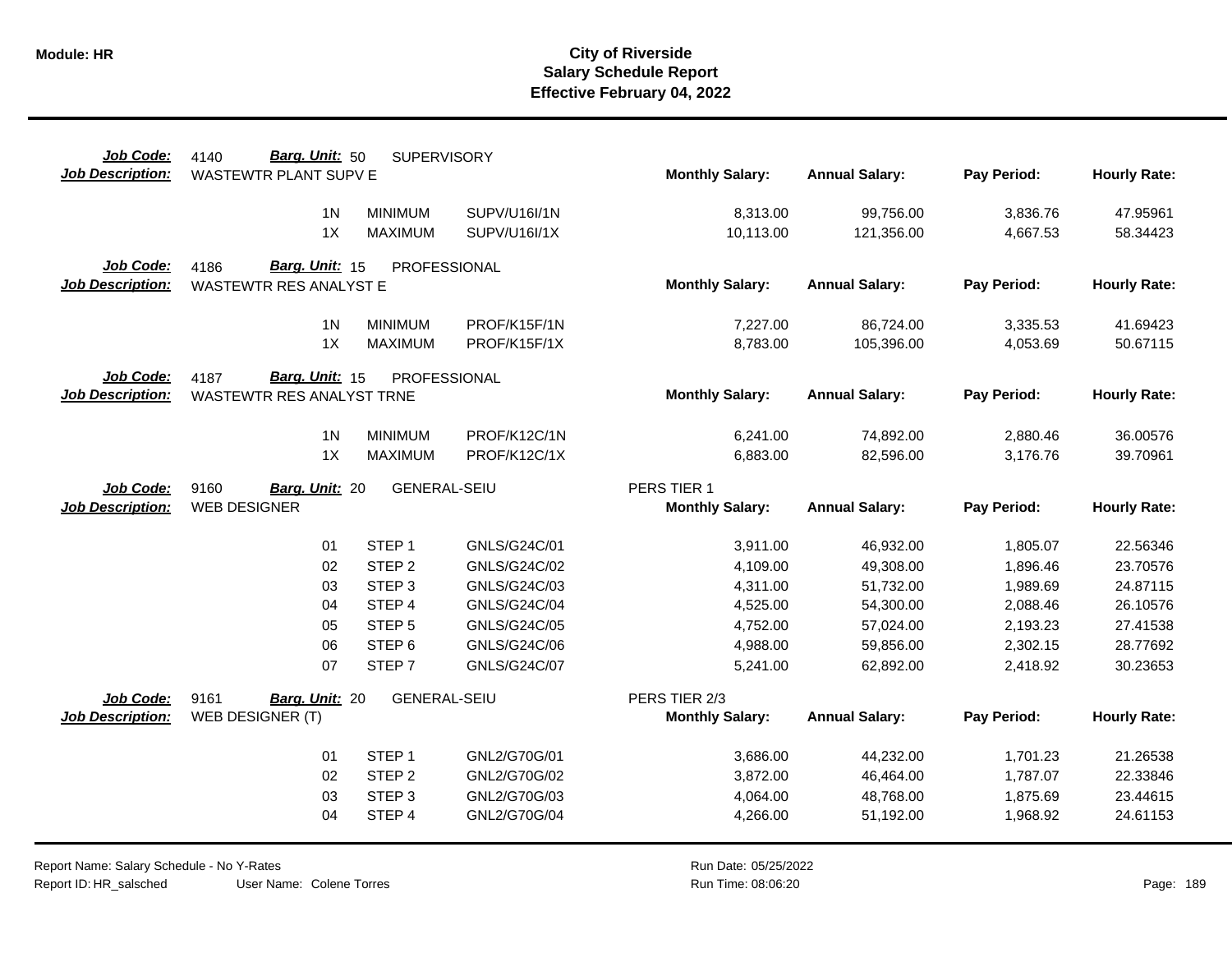| Job Code:               | Barg. Unit: 50<br>4140        | <b>SUPERVISORY</b>          |                     |                        |                        |                      |                     |
|-------------------------|-------------------------------|-----------------------------|---------------------|------------------------|------------------------|----------------------|---------------------|
| <b>Job Description:</b> | <b>WASTEWTR PLANT SUPV E</b>  |                             |                     | <b>Monthly Salary:</b> | <b>Annual Salary:</b>  | Pay Period:          | <b>Hourly Rate:</b> |
|                         | 1 <sup>N</sup>                | <b>MINIMUM</b>              | SUPV/U16I/1N        | 8,313.00               | 99,756.00              | 3,836.76             | 47.95961            |
|                         | 1X                            | <b>MAXIMUM</b>              | <b>SUPV/U16I/1X</b> | 10,113.00              | 121,356.00             | 4,667.53             | 58.34423            |
|                         |                               |                             |                     |                        |                        |                      |                     |
| Job Code:               | Barg. Unit: 15<br>4186        | PROFESSIONAL                |                     |                        |                        |                      |                     |
| <b>Job Description:</b> | <b>WASTEWTR RES ANALYST E</b> |                             |                     | <b>Monthly Salary:</b> | <b>Annual Salary:</b>  | Pay Period:          | <b>Hourly Rate:</b> |
|                         |                               |                             |                     |                        |                        |                      |                     |
|                         | 1 <sub>N</sub>                | <b>MINIMUM</b>              | PROF/K15F/1N        | 7,227.00               | 86,724.00              | 3,335.53             | 41.69423            |
|                         | 1X                            | <b>MAXIMUM</b>              | PROF/K15F/1X        | 8,783.00               | 105,396.00             | 4,053.69             | 50.67115            |
| Job Code:               | Barg. Unit: 15<br>4187        | PROFESSIONAL                |                     |                        |                        |                      |                     |
| <b>Job Description:</b> | WASTEWTR RES ANALYST TRNE     |                             |                     | <b>Monthly Salary:</b> | <b>Annual Salary:</b>  | Pay Period:          | <b>Hourly Rate:</b> |
|                         |                               |                             |                     |                        |                        |                      |                     |
|                         | 1 <sub>N</sub>                | <b>MINIMUM</b>              | PROF/K12C/1N        | 6,241.00               | 74,892.00              | 2,880.46             | 36.00576            |
|                         | 1X                            | <b>MAXIMUM</b>              | PROF/K12C/1X        | 6,883.00               | 82,596.00              | 3,176.76             | 39.70961            |
| Job Code:               | 9160<br>Barg. Unit: 20        | <b>GENERAL-SEIU</b>         |                     | PERS TIER 1            |                        |                      |                     |
|                         |                               |                             |                     |                        |                        |                      |                     |
|                         |                               |                             |                     |                        |                        |                      |                     |
| <b>Job Description:</b> | <b>WEB DESIGNER</b>           |                             |                     | <b>Monthly Salary:</b> | <b>Annual Salary:</b>  | Pay Period:          | <b>Hourly Rate:</b> |
|                         | 01                            | STEP <sub>1</sub>           | GNLS/G24C/01        | 3,911.00               | 46,932.00              | 1,805.07             | 22.56346            |
|                         | 02                            | STEP <sub>2</sub>           | GNLS/G24C/02        | 4,109.00               | 49,308.00              | 1,896.46             | 23.70576            |
|                         | 03                            | STEP <sub>3</sub>           | GNLS/G24C/03        | 4,311.00               | 51,732.00              | 1,989.69             | 24.87115            |
|                         | 04                            | STEP 4                      | GNLS/G24C/04        | 4,525.00               | 54,300.00              | 2,088.46             | 26.10576            |
|                         | 05                            | STEP <sub>5</sub>           | GNLS/G24C/05        | 4,752.00               | 57,024.00              | 2,193.23             | 27.41538            |
|                         | 06                            | STEP <sub>6</sub>           | GNLS/G24C/06        | 4,988.00               | 59,856.00              | 2,302.15             | 28.77692            |
|                         | 07                            | STEP <sub>7</sub>           | GNLS/G24C/07        | 5,241.00               | 62,892.00              | 2,418.92             | 30.23653            |
|                         |                               |                             |                     |                        |                        |                      |                     |
| Job Code:               | 9161<br>Barg. Unit: 20        | <b>GENERAL-SEIU</b>         |                     | PERS TIER 2/3          |                        |                      |                     |
| <b>Job Description:</b> | WEB DESIGNER (T)              |                             |                     | <b>Monthly Salary:</b> | <b>Annual Salary:</b>  | Pay Period:          | <b>Hourly Rate:</b> |
|                         | 01                            | STEP <sub>1</sub>           | GNL2/G70G/01        | 3,686.00               | 44,232.00              | 1,701.23             | 21.26538            |
|                         | 02                            | STEP <sub>2</sub>           | GNL2/G70G/02        | 3,872.00               | 46,464.00              | 1,787.07             | 22.33846            |
|                         | 03                            |                             | GNL2/G70G/03        |                        |                        |                      | 23.44615            |
|                         | 04                            | STEP <sub>3</sub><br>STEP 4 | GNL2/G70G/04        | 4,064.00<br>4,266.00   | 48,768.00<br>51,192.00 | 1,875.69<br>1,968.92 | 24.61153            |

Report Name: Salary Schedule - No Y-Rates Report ID: HR\_salsched